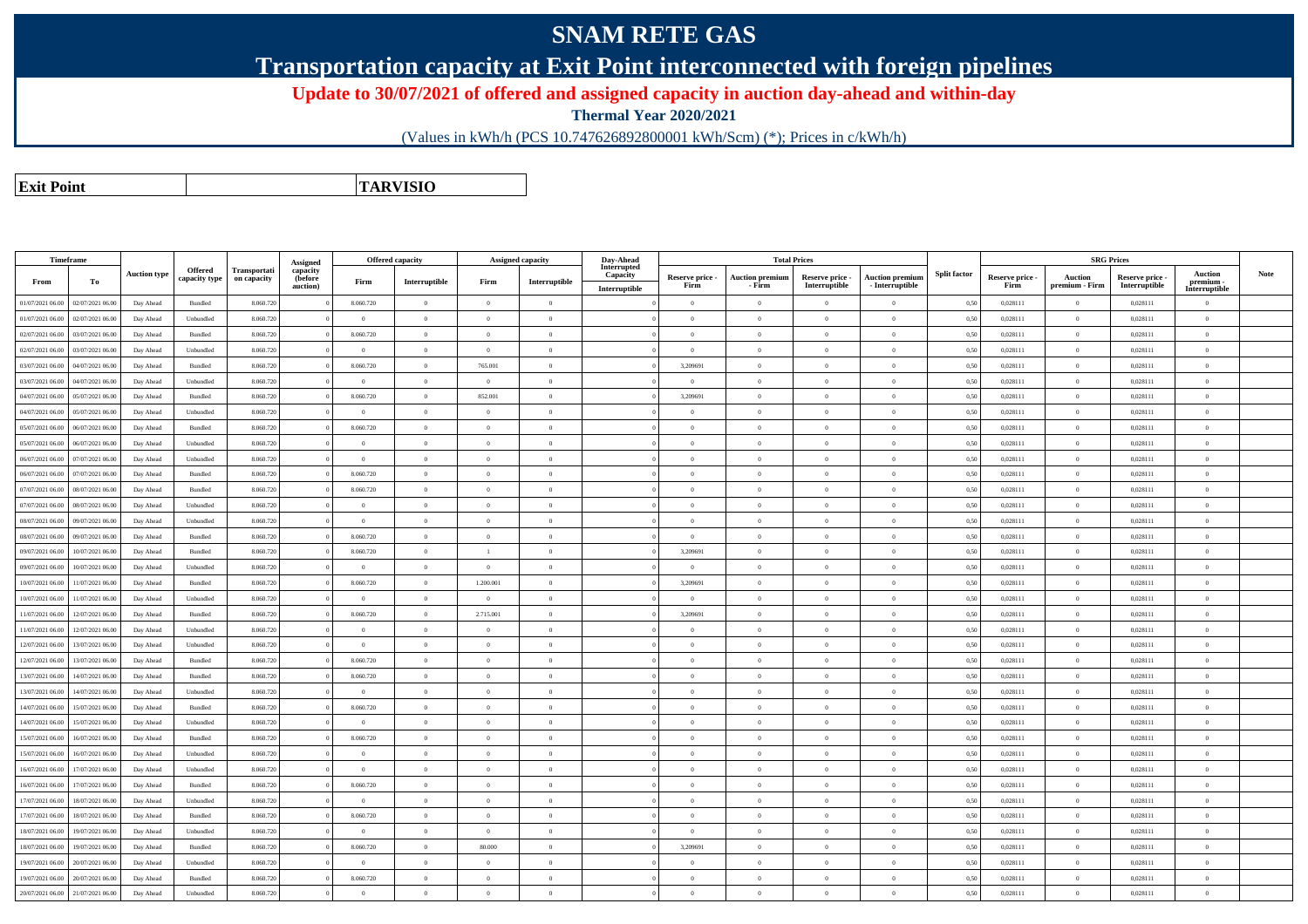## **SNAM RETE GAS**

**Transportation capacity at Exit Point interconnected with foreign pipelines**

**Update to 30/07/2021 of offered and assigned capacity in auction day-ahead and within-day**

**Thermal Year 2020/2021**

(Values in kWh/h (PCS 10.747626892800001 kWh/Scm) (\*); Prices in c/kWh/h)

**Exit PointTARVISIO**

|                  | <b>Timeframe</b> |                     |                                 |                             | Assigned                        |                | <b>Offered capacity</b> |                | <b>Assigned capacity</b> | Dav-Ahead<br>Interrupted  |                         | <b>Total Prices</b>              |                                  |                                           |                     |                         | <b>SRG Prices</b>                |                                  |                                                                            |      |
|------------------|------------------|---------------------|---------------------------------|-----------------------------|---------------------------------|----------------|-------------------------|----------------|--------------------------|---------------------------|-------------------------|----------------------------------|----------------------------------|-------------------------------------------|---------------------|-------------------------|----------------------------------|----------------------------------|----------------------------------------------------------------------------|------|
| From             | Тo               | <b>Auction type</b> | <b>Offered</b><br>capacity type | Transportati<br>on capacity | capacity<br>(before<br>auction) | Firm           | Interruptible           | Firm           | Interruptible            | Capacity<br>Interruptible | Reserve price -<br>Firm | <b>Auction premium</b><br>- Firm | Reserve price -<br>Interruptible | <b>Auction premium</b><br>- Interruptible | <b>Split factor</b> | Reserve price -<br>Firm | <b>Auction</b><br>premium - Firm | Reserve price -<br>Interruptible | <b>Auction</b><br>premium -<br>$\label{prop:inter} \textbf{Interruptible}$ | Note |
| 01/07/2021 06:00 | 02/07/2021 06:00 | Day Ahead           | Bundled                         | 8.060.720                   |                                 | 8.060.720      | $\overline{0}$          | $\Omega$       | $\overline{0}$           |                           | $\Omega$                | $\theta$                         | $\theta$                         | $\Omega$                                  | 0,50                | 0,028111                | $\theta$                         | 0,028111                         | $\theta$                                                                   |      |
| 01/07/2021 06:00 | 02/07/2021 06:00 | Day Ahead           | Unbundled                       | 8.060.720                   |                                 | $\overline{0}$ | $\overline{0}$          | $\Omega$       | $\overline{0}$           |                           | $\Omega$                | $\overline{0}$                   | $\overline{0}$                   | $\mathbf{0}$                              | 0,50                | 0,028111                | $\theta$                         | 0,028111                         | $\mathbf{0}$                                                               |      |
| 02/07/2021 06:00 | 03/07/2021 06:00 | Day Ahead           | Bundled                         | 8.060.720                   |                                 | 8.060.720      | $\theta$                | $\theta$       | $\theta$                 |                           | $\Omega$                | $\overline{0}$                   | $\theta$                         | $\mathbf{0}$                              | 0,50                | 0,028111                | $\theta$                         | 0,028111                         | $\theta$                                                                   |      |
| 02/07/2021 06:00 | 03/07/2021 06:00 | Day Ahead           | Unbundled                       | 8.060.720                   |                                 | $\Omega$       | $\Omega$                | $\theta$       | $\Omega$                 |                           | $\Omega$                | $\Omega$                         | $\theta$                         | $\theta$                                  | 0,50                | 0,028111                | $\Omega$                         | 0.028111                         | $\Omega$                                                                   |      |
| 03/07/2021 06:00 | 04/07/2021 06:0  | Day Ahead           | Bundled                         | 8.060.720                   |                                 | 8.060.720      | $\Omega$                | 765.001        | $\Omega$                 |                           | 3,209691                | $\Omega$                         | $\theta$                         | $\theta$                                  | 0,50                | 0,028111                | $\Omega$                         | 0,028111                         | $\Omega$                                                                   |      |
| 03/07/2021 06:00 | 04/07/2021 06.00 | Day Ahead           | Unbundled                       | 8.060.720                   |                                 | $\overline{0}$ | $\overline{0}$          | $\alpha$       | $\overline{0}$           |                           | $\Omega$                | $\overline{0}$                   | $\theta$                         | $\overline{0}$                            | 0,50                | 0,028111                | $\theta$                         | 0,028111                         | $\overline{0}$                                                             |      |
| 04/07/2021 06:00 | 05/07/2021 06.0  | Day Ahead           | Bundled                         | 8.060.720                   |                                 | 8.060.720      | $\overline{0}$          | 852.001        | $\overline{0}$           |                           | 3,209691                | $\overline{0}$                   | $\overline{0}$                   | $\theta$                                  | 0,50                | 0,028111                | $\overline{0}$                   | 0,028111                         | $\overline{0}$                                                             |      |
| 04/07/2021 06:00 | 05/07/2021 06.00 | Day Ahead           | Unbundled                       | 8.060.720                   |                                 | $\overline{0}$ | $\overline{0}$          | $\Omega$       | $\overline{0}$           |                           | $\Omega$                | $\overline{0}$                   | $\overline{0}$                   | $\overline{0}$                            | 0,50                | 0,028111                | $\overline{0}$                   | 0,028111                         | $\mathbf{0}$                                                               |      |
| 05/07/2021 06:00 | 06/07/2021 06.00 | Day Ahead           | Bundled                         | 8.060.720                   |                                 | 8.060.720      | $\theta$                |                | $\theta$                 |                           |                         | $\overline{0}$                   | $\theta$                         | $\theta$                                  | 0,50                | 0,028111                | $\Omega$                         | 0,028111                         | $\theta$                                                                   |      |
| 05/07/2021 06:00 | 06/07/2021 06:00 | Day Ahead           | Unbundled                       | 8.060.720                   |                                 | $\overline{0}$ | $\overline{0}$          | $\Omega$       | $\overline{0}$           |                           | $\Omega$                | $\overline{0}$                   | $\overline{0}$                   | $\overline{0}$                            | 0,50                | 0,028111                | $\overline{0}$                   | 0,028111                         | $\mathbf{0}$                                                               |      |
| 06/07/2021 06:00 | 07/07/2021 06:00 | Day Ahead           | Unbundled                       | 8.060.720                   |                                 | $\theta$       | $\theta$                | $\Omega$       | $\Omega$                 |                           | $\Omega$                | $\theta$                         | $\theta$                         | $\theta$                                  | 0,50                | 0.028111                | $\theta$                         | 0.028111                         | $\theta$                                                                   |      |
| 06/07/2021 06:00 | 07/07/2021 06:00 | Day Ahead           | $\mathbf B$ undled              | 8.060.720                   |                                 | 8.060,720      | $\theta$                | $\Omega$       | $\overline{0}$           |                           | $\Omega$                | $\overline{0}$                   | $\overline{0}$                   | $\overline{0}$                            | 0,50                | 0,028111                | $\overline{0}$                   | 0.028111                         | $\overline{0}$                                                             |      |
| 07/07/2021 06:00 | 08/07/2021 06.00 | Day Ahead           | Bundled                         | 8.060.720                   |                                 | 8.060.720      | $\overline{0}$          | $\Omega$       | $\overline{0}$           |                           | $\Omega$                | $\Omega$                         | $\theta$                         | $\theta$                                  | 0,50                | 0,028111                | $\theta$                         | 0,028111                         | $\overline{0}$                                                             |      |
| 07/07/2021 06:00 | 08/07/2021 06.00 | Day Ahead           | Unbundled                       | 8.060.720                   |                                 | $\Omega$       | $\theta$                | $\Omega$       | $\Omega$                 |                           | $\Omega$                | $\overline{0}$                   | $\theta$                         | $\theta$                                  | 0,50                | 0,028111                | $\Omega$                         | 0,028111                         | $\theta$                                                                   |      |
| 08/07/2021 06:00 | 09/07/2021 06.00 | Day Ahead           | Unbundled                       | 8.060.720                   |                                 | $\overline{0}$ | $\overline{0}$          | $\overline{0}$ | $\overline{0}$           |                           | $\Omega$                | $\overline{0}$                   | $\theta$                         | $\overline{0}$                            | 0,50                | 0,028111                | $\theta$                         | 0,028111                         | $\mathbf{0}$                                                               |      |
| 08/07/2021 06:00 | 09/07/2021 06.00 | Day Ahead           | Bundled                         | 8.060.720                   |                                 | 8.060.720      | $\overline{0}$          | $\Omega$       | $\overline{0}$           |                           | $\Omega$                | $\overline{0}$                   | $\theta$                         | $\theta$                                  | 0,50                | 0,028111                | $\theta$                         | 0,028111                         | $\Omega$                                                                   |      |
| 09/07/2021 06:00 | 10/07/2021 06:00 | Day Ahead           | Bundled                         | 8.060.720                   |                                 | 8.060.720      | $\overline{0}$          | $\mathbf{1}$   | $\overline{0}$           |                           | 3,209691                | $\overline{0}$                   | $\overline{0}$                   | $\overline{0}$                            | 0,50                | 0,028111                | $\overline{0}$                   | 0,028111                         | $\mathbf{0}$                                                               |      |
| 09/07/2021 06:00 | 10/07/2021 06:00 | Day Ahead           | Unbundled                       | 8.060.720                   |                                 | $\theta$       | $\mathbf{0}$            |                | $\overline{0}$           |                           | $\Omega$                | $\overline{0}$                   | $\overline{0}$                   | $\mathbf{0}$                              | 0,50                | 0,028111                | $\theta$                         | 0,028111                         | $\mathbf{0}$                                                               |      |
| 10/07/2021 06:00 | 11/07/2021 06:00 | Day Ahead           | Bundled                         | 8.060.720                   |                                 | 8.060.720      | $\overline{0}$          | 1.200.001      | $\overline{0}$           |                           | 3,209691                | $\overline{0}$                   | $\overline{0}$                   | $\overline{0}$                            | 0,50                | 0,028111                | $\overline{0}$                   | 0,028111                         | $\overline{0}$                                                             |      |
| 10/07/2021 06:00 | 11/07/2021 06:00 | Day Ahead           | Unbundled                       | 8.060.720                   |                                 | $\overline{0}$ | $\overline{0}$          | $\theta$       | $\overline{0}$           |                           | $^{\circ}$              | $\theta$                         | $\theta$                         | $\theta$                                  | 0,50                | 0,028111                | $\theta$                         | 0.028111                         | $\theta$                                                                   |      |
| 11/07/2021 06:00 | 12/07/2021 06:00 | Day Ahead           | Bundled                         | 8.060.720                   |                                 | 8.060.720      | $\overline{0}$          | 2.715.001      | $\overline{0}$           |                           | 3,209691                | $\overline{0}$                   | $\overline{0}$                   | $\theta$                                  | 0,50                | 0,028111                | $\overline{0}$                   | 0,028111                         | $\theta$                                                                   |      |
| 11/07/2021 06:00 | 12/07/2021 06.00 | Day Ahead           | Unbundled                       | 8.060.720                   |                                 | $\Omega$       | $\overline{0}$          | $^{\circ}$     | $\Omega$                 |                           | $\Omega$                | $\Omega$                         | $\theta$                         | $\theta$                                  | 0,50                | 0,028111                | $\Omega$                         | 0,028111                         | $\theta$                                                                   |      |
| 12/07/2021 06:00 | 13/07/2021 06.0  | Day Ahead           | Unbundled                       | 8.060.720                   |                                 | $\overline{0}$ | $\overline{0}$          | $\overline{0}$ | $\overline{0}$           |                           | $\Omega$                | $\bf{0}$                         | $\overline{0}$                   | $\overline{0}$                            | 0,50                | 0,028111                | $\overline{0}$                   | 0,028111                         | $\theta$                                                                   |      |
| 12/07/2021 06:00 | 13/07/2021 06.00 | Day Ahead           | Bundled                         | 8.060.720                   |                                 | 8.060.720      | $\overline{0}$          | $\overline{0}$ | $\overline{0}$           |                           | $\overline{0}$          | $\overline{0}$                   | $\overline{0}$                   | $\overline{0}$                            | 0,50                | 0,028111                | $\theta$                         | 0,028111                         | $\mathbf{0}$                                                               |      |
| 13/07/2021 06:00 | 14/07/2021 06.00 | Day Ahead           | Bundled                         | 8.060.720                   |                                 | 8.060.720      | $\theta$                | $\Omega$       | $\overline{0}$           |                           | $\Omega$                | $\overline{0}$                   | $\theta$                         | $\theta$                                  | 0,50                | 0,028111                | $\theta$                         | 0,028111                         | $\theta$                                                                   |      |
| 13/07/2021 06:00 | 14/07/2021 06.00 | Day Ahead           | Unbundled                       | 8.060.720                   |                                 | $\Omega$       | $\Omega$                | $\Omega$       | $\Omega$                 |                           | $\Omega$                | $\theta$                         | $\theta$                         | $\theta$                                  | 0,50                | 0,028111                | $\theta$                         | 0,028111                         | $\theta$                                                                   |      |
| 14/07/2021 06:00 | 15/07/2021 06:00 | Day Ahead           | <b>Bundled</b>                  | 8.060.720                   |                                 | 8.060,720      | $\Omega$                | $\Omega$       | $\Omega$                 |                           | $\Omega$                | $\theta$                         | $\theta$                         | $\theta$                                  | 0,50                | 0.028111                | $\theta$                         | 0.028111                         | $\overline{0}$                                                             |      |
| 14/07/2021 06:00 | 15/07/2021 06:00 | Day Ahead           | Unbundled                       | 8.060.720                   |                                 | $\theta$       | $\theta$                | $\overline{0}$ | $\overline{0}$           |                           | $\theta$                | $\overline{0}$                   | $\overline{0}$                   | $\mathbf{0}$                              | 0,50                | 0,028111                | $\theta$                         | 0,028111                         | $\overline{0}$                                                             |      |
| 15/07/2021 06:00 | 16/07/2021 06:00 | Day Ahead           | Bundled                         | 8.060.720                   |                                 | 8.060.720      | $\overline{0}$          | $\Omega$       | $\overline{0}$           |                           | $\Omega$                | $\theta$                         | $\Omega$                         | $\overline{0}$                            | 0,50                | 0,028111                | $\theta$                         | 0,028111                         | $\theta$                                                                   |      |
| 15/07/2021 06:00 | 16/07/2021 06.00 | Day Ahead           | Unbundled                       | 8.060.720                   |                                 | $\theta$       | $\overline{0}$          | $^{\circ}$     | $\Omega$                 |                           | $\Omega$                | $\Omega$                         | $\theta$                         | $\Omega$                                  | 0,50                | 0,028111                | $\Omega$                         | 0,028111                         | $\Omega$                                                                   |      |
| 16/07/2021 06:00 | 17/07/2021 06.00 | Day Ahead           | Unbundled                       | 8.060.720                   |                                 | $\theta$       | $\theta$                | $^{\circ}$     | $\overline{0}$           |                           | $\Omega$                | $\Omega$                         | $\theta$                         | $\theta$                                  | 0,50                | 0,028111                | $\Omega$                         | 0,028111                         | $\Omega$                                                                   |      |
| 16/07/2021 06:00 | 17/07/2021 06.0  | Day Ahead           | Bundled                         | 8.060.720                   |                                 | 8.060.720      | $\overline{0}$          | $\Omega$       | $\overline{0}$           |                           | $\Omega$                | $\overline{0}$                   | $\theta$                         | $\theta$                                  | 0,50                | 0,028111                | $\Omega$                         | 0,028111                         | $\Omega$                                                                   |      |
| 17/07/2021 06:00 | 18/07/2021 06:00 | Day Ahead           | Unbundled                       | 8.060.720                   |                                 | $\overline{0}$ | $\overline{0}$          | $\overline{0}$ | $\overline{0}$           |                           | $\overline{0}$          | $\overline{0}$                   | $\overline{0}$                   | $\mathbf{0}$                              | 0,50                | 0,028111                | $\theta$                         | 0,028111                         | $\mathbf{0}$                                                               |      |
| 17/07/2021 06:00 | 18/07/2021 06:00 | Day Ahead           | Bundled                         | 8.060.720                   |                                 | 8.060.720      | $\theta$                | $\theta$       | $\overline{0}$           |                           |                         | $\overline{0}$                   | $\overline{0}$                   | $\theta$                                  | 0,50                | 0,028111                | $\theta$                         | 0,028111                         | $\mathbf{0}$                                                               |      |
| 18/07/2021 06:00 | 19/07/2021 06.00 | Day Ahead           | Unbundled                       | 8.060.720                   |                                 | $\overline{0}$ | $\overline{0}$          | $\Omega$       | $\overline{0}$           |                           | $\Omega$                | $\overline{0}$                   | $\overline{0}$                   | $\theta$                                  | 0,50                | 0,028111                | $\overline{0}$                   | 0,028111                         | $\overline{0}$                                                             |      |
| 18/07/2021 06:00 | 19/07/2021 06:00 | Day Ahead           | <b>Bundled</b>                  | 8.060.720                   |                                 | 8.060.720      | $\theta$                | 80,000         | $\theta$                 |                           | 3.209691                | $\theta$                         | $\theta$                         | $\Omega$                                  | 0,50                | 0.028111                | $\theta$                         | 0.028111                         | $\Omega$                                                                   |      |
| 19/07/2021 06:00 | 20/07/2021 06:00 | Day Ahead           | Unbundled                       | 8.060.720                   |                                 | $\theta$       | $\overline{0}$          | $^{\circ}$     | $\theta$                 |                           | $\Omega$                | $\Omega$                         | $\theta$                         | $\theta$                                  | 0,50                | 0,028111                | $\overline{0}$                   | 0,028111                         | $\theta$                                                                   |      |
| 19/07/2021 06:00 | 20/07/2021 06:00 | Day Ahead           | Bundled                         | 8.060.720                   |                                 | 8.060.720      | $\theta$                | $\theta$       | $\overline{0}$           |                           | $\Omega$                | $\overline{0}$                   | $\overline{0}$                   | $\theta$                                  | 0,50                | 0,028111                | $\theta$                         | 0,028111                         | $\overline{0}$                                                             |      |
| 20/07/2021 06:00 | 21/07/2021 06:00 | Day Ahead           | Unbundled                       | 8.060.720                   |                                 | $\theta$       | $\theta$                | $\Omega$       | $\Omega$                 |                           | $\Omega$                | $\Omega$                         | $\theta$                         | $\Omega$                                  | 0,50                | 0,028111                | $\theta$                         | 0,028111                         | $\theta$                                                                   |      |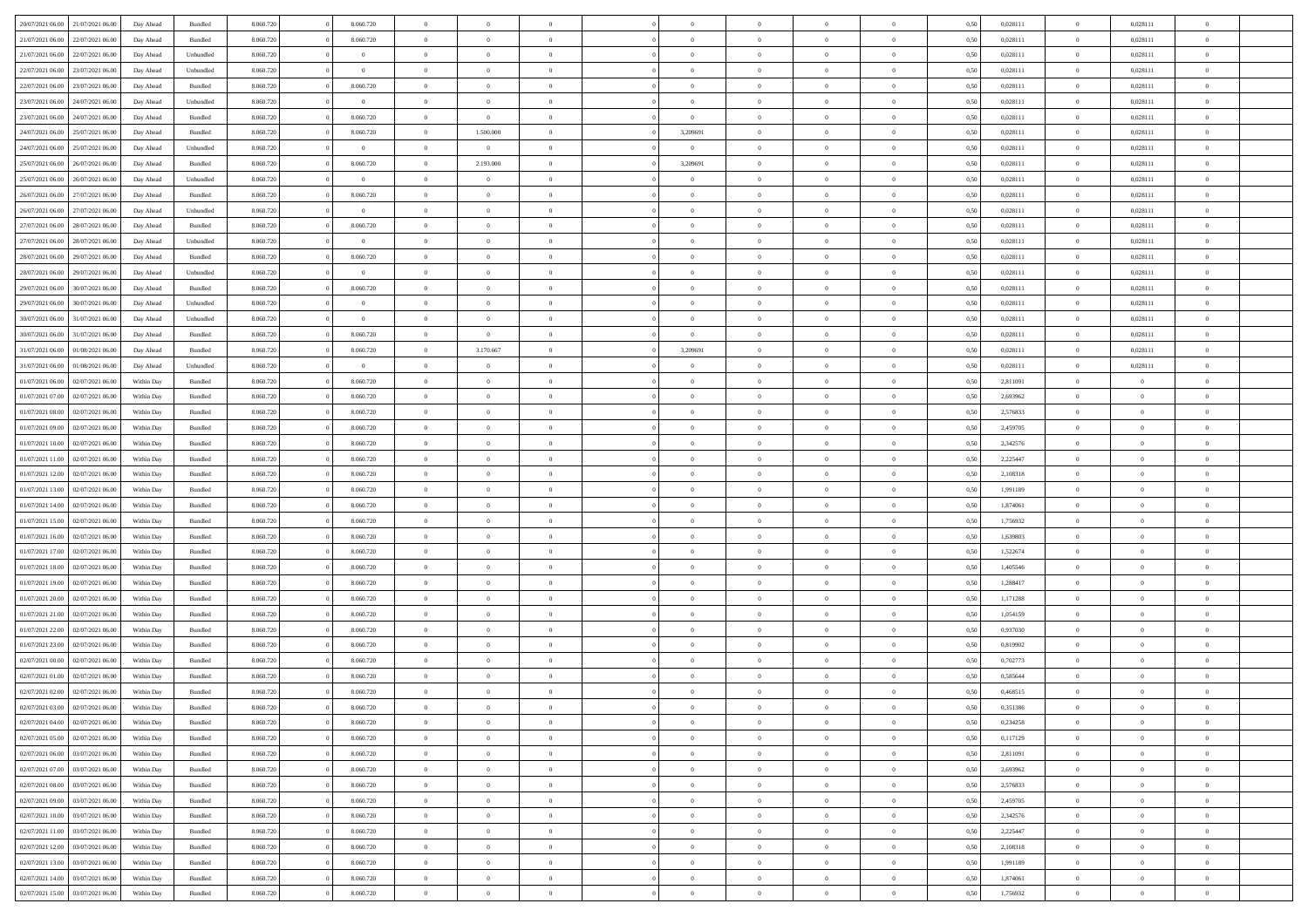| 20/07/2021 06:00 | 21/07/2021 06:00                  | Day Ahead  | Bundled   | 8.060.720 | 8.060.720      | $\overline{0}$ | $\Omega$       |                | $\Omega$       | $\Omega$       | $\theta$       | $\theta$       | 0,50 | 0,028111 | $\theta$       | 0,028111       | $\theta$       |  |
|------------------|-----------------------------------|------------|-----------|-----------|----------------|----------------|----------------|----------------|----------------|----------------|----------------|----------------|------|----------|----------------|----------------|----------------|--|
| 21/07/2021 06:00 | 22/07/2021 06:00                  | Day Ahead  | Bundled   | 8.060.720 | 8.060.720      | $\overline{0}$ | $\theta$       | $\overline{0}$ | $\overline{0}$ | $\bf{0}$       | $\overline{0}$ | $\overline{0}$ | 0,50 | 0,028111 | $\theta$       | 0,028111       | $\overline{0}$ |  |
| 21/07/2021 06:00 | 22/07/2021 06:00                  | Day Ahead  | Unbundled | 8.060.720 | $\bf{0}$       | $\overline{0}$ | $\bf{0}$       | $\overline{0}$ | $\bf{0}$       | $\bf{0}$       | $\bf{0}$       | $\bf{0}$       | 0,50 | 0,028111 | $\overline{0}$ | 0,028111       | $\overline{0}$ |  |
| 22/07/2021 06:00 | 23/07/2021 06:00                  | Day Ahead  | Unbundled | 8.060.720 | $\overline{0}$ | $\overline{0}$ | $\overline{0}$ | $\overline{0}$ | $\overline{0}$ | $\bf{0}$       | $\overline{0}$ | $\overline{0}$ | 0.50 | 0.028111 | $\overline{0}$ | 0,028111       | $\overline{0}$ |  |
|                  |                                   |            |           |           |                | $\overline{0}$ | $\theta$       |                |                |                |                |                |      |          |                |                |                |  |
| 22/07/2021 06:00 | 23/07/2021 06:00                  | Day Ahead  | Bundled   | 8.060.720 | 8.060.720      |                |                | $\overline{0}$ | $\overline{0}$ | $\bf{0}$       | $\overline{0}$ | $\overline{0}$ | 0,50 | 0,028111 | $\,$ 0 $\,$    | 0,028111       | $\overline{0}$ |  |
| 23/07/2021 06:00 | 24/07/2021 06:00                  | Day Ahead  | Unbundled | 8.060.720 | $\mathbf{0}$   | $\overline{0}$ | $\overline{0}$ | $\overline{0}$ | $\bf{0}$       | $\overline{0}$ | $\overline{0}$ | $\mathbf{0}$   | 0,50 | 0,028111 | $\overline{0}$ | 0,028111       | $\bf{0}$       |  |
| 23/07/2021 06:00 | 24/07/2021 06.00                  | Day Ahead  | Bundled   | 8.060.720 | 8.060.720      | $\overline{0}$ | $\overline{0}$ | $\overline{0}$ | $\overline{0}$ | $\overline{0}$ | $\overline{0}$ | $\overline{0}$ | 0.50 | 0,028111 | $\overline{0}$ | 0,028111       | $\overline{0}$ |  |
| 24/07/2021 06:00 | 25/07/2021 06:00                  | Day Ahead  | Bundled   | 8.060.720 | 8.060.720      | $\overline{0}$ | 1.500.000      | $\overline{0}$ | 3,209691       | $\bf{0}$       | $\overline{0}$ | $\bf{0}$       | 0,50 | 0,028111 | $\,$ 0 $\,$    | 0,028111       | $\overline{0}$ |  |
| 24/07/2021 06:00 | 25/07/2021 06:00                  | Day Ahead  | Unbundled | 8.060.720 | $\bf{0}$       | $\overline{0}$ | $\bf{0}$       | $\overline{0}$ | $\bf{0}$       | $\bf{0}$       | $\bf{0}$       | $\bf{0}$       | 0,50 | 0,028111 | $\overline{0}$ | 0,028111       | $\overline{0}$ |  |
| 25/07/2021 06:00 | 26/07/2021 06:00                  | Day Ahead  | Bundled   | 8.060.720 | 8.060.720      | $\overline{0}$ | 2.193.000      | $\overline{0}$ | 3,209691       | $\overline{0}$ | $\overline{0}$ | $\overline{0}$ | 0.50 | 0,028111 | $\overline{0}$ | 0,028111       | $\overline{0}$ |  |
|                  |                                   |            |           |           |                |                |                |                |                |                |                |                |      |          |                |                |                |  |
| 25/07/2021 06:00 | 26/07/2021 06:00                  | Day Ahead  | Unbundled | 8.060.720 | $\overline{0}$ | $\overline{0}$ | $\theta$       | $\overline{0}$ | $\overline{0}$ | $\bf{0}$       | $\overline{0}$ | $\bf{0}$       | 0,50 | 0,028111 | $\,$ 0 $\,$    | 0,028111       | $\overline{0}$ |  |
| 26/07/2021 06:00 | 27/07/2021 06:00                  | Day Ahead  | Bundled   | 8.060.720 | 8.060.720      | $\overline{0}$ | $\bf{0}$       | $\overline{0}$ | $\bf{0}$       | $\bf{0}$       | $\bf{0}$       | $\bf{0}$       | 0,50 | 0,028111 | $\overline{0}$ | 0,028111       | $\overline{0}$ |  |
| 26/07/2021 06:00 | 27/07/2021 06:00                  | Day Ahead  | Unbundled | 8.060.720 | $\overline{0}$ | $\overline{0}$ | $\overline{0}$ | $\overline{0}$ | $\overline{0}$ | $\bf{0}$       | $\overline{0}$ | $\overline{0}$ | 0.50 | 0,028111 | $\overline{0}$ | 0.028111       | $\overline{0}$ |  |
| 27/07/2021 06:00 | 28/07/2021 06:00                  | Day Ahead  | Bundled   | 8.060.720 | 8.060.720      | $\overline{0}$ | $\theta$       | $\overline{0}$ | $\overline{0}$ | $\bf{0}$       | $\overline{0}$ | $\overline{0}$ | 0,50 | 0,028111 | $\,$ 0 $\,$    | 0,028111       | $\overline{0}$ |  |
| 27/07/2021 06:00 | 28/07/2021 06:00                  | Day Ahead  | Unbundled | 8.060.720 | $\mathbf{0}$   | $\overline{0}$ | $\overline{0}$ | $\overline{0}$ | $\bf{0}$       | $\overline{0}$ | $\overline{0}$ | $\mathbf{0}$   | 0,50 | 0,028111 | $\overline{0}$ | 0,028111       | $\bf{0}$       |  |
| 28/07/2021 06:00 | 29/07/2021 06:00                  |            | Bundled   | 8.060.720 | 8.060.720      | $\overline{0}$ | $\overline{0}$ | $\overline{0}$ |                | $\overline{0}$ | $\overline{0}$ | $\overline{0}$ | 0.50 | 0,028111 | $\overline{0}$ | 0,028111       | $\overline{0}$ |  |
|                  |                                   | Day Ahead  |           |           |                |                |                |                | $\overline{0}$ |                |                |                |      |          |                |                |                |  |
| 28/07/2021 06:00 | 29/07/2021 06:00                  | Day Ahead  | Unbundled | 8.060.720 | $\overline{0}$ | $\overline{0}$ | $\theta$       | $\overline{0}$ | $\overline{0}$ | $\bf{0}$       | $\overline{0}$ | $\bf{0}$       | 0,50 | 0,028111 | $\,0\,$        | 0,028111       | $\overline{0}$ |  |
| 29/07/2021 06:00 | 30/07/2021 06:00                  | Day Ahead  | Bundled   | 8.060.720 | 8.060.720      | $\overline{0}$ | $\overline{0}$ | $\overline{0}$ | $\bf{0}$       | $\bf{0}$       | $\bf{0}$       | $\bf{0}$       | 0,50 | 0,028111 | $\bf{0}$       | 0,028111       | $\overline{0}$ |  |
| 29/07/2021 06:00 | 30/07/2021 06:00                  | Day Ahead  | Unbundled | 8.060.720 | $\overline{0}$ | $\overline{0}$ | $\overline{0}$ | $\overline{0}$ | $\overline{0}$ | $\overline{0}$ | $\overline{0}$ | $\overline{0}$ | 0.50 | 0,028111 | $\overline{0}$ | 0,028111       | $\overline{0}$ |  |
| 30/07/2021 06:00 | 31/07/2021 06:00                  | Day Ahead  | Unbundled | 8.060.720 | $\overline{0}$ | $\overline{0}$ | $\theta$       | $\overline{0}$ | $\overline{0}$ | $\bf{0}$       | $\overline{0}$ | $\bf{0}$       | 0,50 | 0,028111 | $\,$ 0 $\,$    | 0,028111       | $\overline{0}$ |  |
| 30/07/2021 06:00 | 31/07/2021 06:00                  | Day Ahead  | Bundled   | 8.060.720 | 8.060.720      | $\overline{0}$ | $\bf{0}$       | $\overline{0}$ | $\bf{0}$       | $\bf{0}$       | $\bf{0}$       | $\bf{0}$       | 0,50 | 0,028111 | $\overline{0}$ | 0,028111       | $\overline{0}$ |  |
| 31/07/2021 06:00 | 01/08/2021 06:00                  |            | Bundled   | 8.060.720 | 8.060.720      | $\overline{0}$ | 3.170.667      |                | 3,209691       | $\bf{0}$       | $\overline{0}$ |                | 0.50 | 0.028111 | $\overline{0}$ | 0.028111       | $\overline{0}$ |  |
|                  |                                   | Day Ahead  |           |           |                |                |                | $\overline{0}$ |                |                |                | $\overline{0}$ |      |          |                |                |                |  |
| 31/07/2021 06:00 | 01/08/2021 06:00                  | Day Ahead  | Unbundled | 8.060.720 | $\overline{0}$ | $\overline{0}$ | $\theta$       | $\overline{0}$ | $\overline{0}$ | $\bf{0}$       | $\overline{0}$ | $\bf{0}$       | 0,50 | 0,028111 | $\,$ 0 $\,$    | 0,028111       | $\overline{0}$ |  |
| 01/07/2021 06:00 | 02/07/2021 06:00                  | Within Day | Bundled   | 8.060.720 | 8.060.720      | $\overline{0}$ | $\overline{0}$ | $\overline{0}$ | $\bf{0}$       | $\overline{0}$ | $\overline{0}$ | $\mathbf{0}$   | 0,50 | 2,811091 | $\overline{0}$ | $\overline{0}$ | $\bf{0}$       |  |
| 01/07/2021 07:00 | 02/07/2021 06:00                  | Within Dav | Bundled   | 8.060.720 | 8.060.720      | $\overline{0}$ | $\overline{0}$ | $\overline{0}$ | $\overline{0}$ | $\overline{0}$ | $\overline{0}$ | $\overline{0}$ | 0.50 | 2,693962 | $\overline{0}$ | $\overline{0}$ | $\overline{0}$ |  |
| 01/07/2021 08:00 | 02/07/2021 06:00                  | Within Day | Bundled   | 8.060.720 | 8.060.720      | $\overline{0}$ | $\theta$       | $\overline{0}$ | $\overline{0}$ | $\bf{0}$       | $\overline{0}$ | $\bf{0}$       | 0,50 | 2,576833 | $\theta$       | $\theta$       | $\overline{0}$ |  |
| 01/07/2021 09:00 | 02/07/2021 06:00                  | Within Day | Bundled   | 8.060.720 | 8.060.720      | $\overline{0}$ | $\overline{0}$ | $\overline{0}$ | $\bf{0}$       | $\bf{0}$       | $\bf{0}$       | $\bf{0}$       | 0,50 | 2,459705 | $\,0\,$        | $\overline{0}$ | $\overline{0}$ |  |
| 01/07/2021 10:00 | 02/07/2021 06:00                  | Within Dav | Bundled   | 8.060.720 | 8.060.720      | $\overline{0}$ | $\overline{0}$ | $\overline{0}$ | $\overline{0}$ | $\overline{0}$ | $\overline{0}$ | $\overline{0}$ | 0.50 | 2,342576 | $\theta$       | $\overline{0}$ | $\overline{0}$ |  |
|                  |                                   |            |           |           |                |                |                |                |                |                |                |                |      |          |                |                |                |  |
| 01/07/2021 11:00 | 02/07/2021 06:00                  | Within Day | Bundled   | 8.060.720 | 8.060.720      | $\overline{0}$ | $\theta$       | $\overline{0}$ | $\overline{0}$ | $\bf{0}$       | $\overline{0}$ | $\bf{0}$       | 0,50 | 2,225447 | $\,$ 0 $\,$    | $\theta$       | $\overline{0}$ |  |
| 01/07/2021 12:00 | 02/07/2021 06:00                  | Within Day | Bundled   | 8.060.720 | 8.060.720      | $\overline{0}$ | $\overline{0}$ | $\overline{0}$ | $\bf{0}$       | $\bf{0}$       | $\bf{0}$       | $\bf{0}$       | 0,50 | 2,108318 | $\overline{0}$ | $\overline{0}$ | $\overline{0}$ |  |
| 01/07/2021 13:00 | 02/07/2021 06:00                  | Within Day | Bundled   | 8.060.720 | 8.060.720      | $\overline{0}$ | $\Omega$       | $\Omega$       | $\Omega$       | $\Omega$       | $\Omega$       | $\overline{0}$ | 0,50 | 1,991189 | $\,0\,$        | $\Omega$       | $\theta$       |  |
| 01/07/2021 14:00 | 02/07/2021 06:00                  | Within Day | Bundled   | 8.060.720 | 8.060.720      | $\overline{0}$ | $\theta$       | $\overline{0}$ | $\overline{0}$ | $\bf{0}$       | $\overline{0}$ | $\bf{0}$       | 0,50 | 1,874061 | $\theta$       | $\overline{0}$ | $\overline{0}$ |  |
| 01/07/2021 15:00 | 02/07/2021 06:00                  | Within Day | Bundled   | 8.060.720 | 8.060.720      | $\overline{0}$ | $\overline{0}$ | $\overline{0}$ | $\bf{0}$       | $\bf{0}$       | $\overline{0}$ | $\mathbf{0}$   | 0,50 | 1,756932 | $\overline{0}$ | $\overline{0}$ | $\bf{0}$       |  |
| 01/07/2021 16:00 | 02/07/2021 06:00                  |            | Bundled   | 8.060.720 | 8.060.720      | $\overline{0}$ | $\Omega$       | $\Omega$       | $\Omega$       | $\Omega$       | $\Omega$       | $\overline{0}$ | 0.50 | 1,639803 | $\theta$       | $\theta$       | $\theta$       |  |
|                  |                                   | Within Day |           |           |                |                |                |                |                |                |                |                |      |          |                |                |                |  |
| 01/07/2021 17:00 | 02/07/2021 06:00                  | Within Day | Bundled   | 8.060.720 | 8.060.720      | $\overline{0}$ | $\theta$       | $\overline{0}$ | $\overline{0}$ | $\bf{0}$       | $\overline{0}$ | $\bf{0}$       | 0,50 | 1,522674 | $\theta$       | $\theta$       | $\overline{0}$ |  |
| 01/07/2021 18:00 | 02/07/2021 06:00                  | Within Day | Bundled   | 8.060.720 | 8.060.720      | $\overline{0}$ | $\overline{0}$ | $\overline{0}$ | $\bf{0}$       | $\bf{0}$       | $\overline{0}$ | $\bf{0}$       | 0,50 | 1,405546 | $\,0\,$        | $\overline{0}$ | $\overline{0}$ |  |
| 01/07/2021 19:00 | 02/07/2021 06:00                  | Within Day | Bundled   | 8.060.720 | 8.060.720      | $\overline{0}$ | $\Omega$       | $\Omega$       | $\Omega$       | $\Omega$       | $\theta$       | $\overline{0}$ | 0.50 | 1.288417 | $\theta$       | $\theta$       | $\theta$       |  |
| 01/07/2021 20.00 | 02/07/2021 06:00                  | Within Day | Bundled   | 8.060.720 | 8.060.720      | $\overline{0}$ | $\theta$       | $\overline{0}$ | $\overline{0}$ | $\bf{0}$       | $\overline{0}$ | $\bf{0}$       | 0,50 | 1,171288 | $\,$ 0 $\,$    | $\overline{0}$ | $\overline{0}$ |  |
| 01/07/2021 21.00 | 02/07/2021 06:00                  | Within Day | Bundled   | 8.060.720 | 8.060.720      | $\overline{0}$ | $\overline{0}$ | $\overline{0}$ | $\overline{0}$ | $\bf{0}$       | $\overline{0}$ | $\bf{0}$       | 0,50 | 1,054159 | $\bf{0}$       | $\overline{0}$ | $\overline{0}$ |  |
| 01/07/2021 22.00 | 02/07/2021 06:00                  |            | Bundled   | 8.060.720 | 8.060.720      | $\overline{0}$ | $\Omega$       | $\Omega$       | $\Omega$       | $\Omega$       | $\Omega$       | $\overline{0}$ | 0,50 | 0,937030 | $\,0\,$        | $\theta$       | $\theta$       |  |
|                  |                                   | Within Day |           |           |                |                |                |                |                |                |                |                |      |          |                |                |                |  |
| 01/07/2021 23:00 | 02/07/2021 06:00                  | Within Day | Bundled   | 8.060.720 | 8.060.720      | $\overline{0}$ | $\theta$       | $\overline{0}$ | $\overline{0}$ | $\bf{0}$       | $\overline{0}$ | $\bf{0}$       | 0,50 | 0,819902 | $\,$ 0 $\,$    | $\overline{0}$ | $\overline{0}$ |  |
| 02/07/2021 00:00 | 02/07/2021 06:00                  | Within Day | Bundled   | 8.060.720 | 8.060.720      | $\overline{0}$ | $\overline{0}$ | $\overline{0}$ | $\overline{0}$ | $\bf{0}$       | $\overline{0}$ | $\mathbf{0}$   | 0,50 | 0,702773 | $\bf{0}$       | $\overline{0}$ | $\bf{0}$       |  |
| 02/07/2021 01:00 | 02/07/2021 06:00                  | Within Day | Bundled   | 8.060.720 | 8.060.720      | $\overline{0}$ | $\Omega$       | $\Omega$       | $\Omega$       | $\Omega$       | $\Omega$       | $\Omega$       | 0.50 | 0.585644 | $\theta$       | $\Omega$       | $\theta$       |  |
| 02/07/2021 02:00 | 02/07/2021 06:00                  | Within Day | Bundled   | 8.060.720 | 8.060.720      | $\overline{0}$ | $\,$ 0 $\,$    | $\overline{0}$ | $\bf{0}$       | $\,$ 0         | $\bf{0}$       | $\bf{0}$       | 0,50 | 0,468515 | $\,0\,$        | $\overline{0}$ | $\overline{0}$ |  |
|                  | 02/07/2021 03:00 02/07/2021 06:00 | Within Day | Bundled   | 8.060.720 | 8.060.720      | $\bf{0}$       | $\bf{0}$       |                |                |                |                |                | 0,50 | 0,351386 | $\bf{0}$       | $\overline{0}$ |                |  |
| 02/07/2021 04:00 | 02/07/2021 06:00                  | Within Day | Bundled   | 8.060.720 | 8.060.720      | $\overline{0}$ | $\overline{0}$ | $\overline{0}$ | $\Omega$       | $\overline{0}$ | $\overline{0}$ | $\overline{0}$ | 0.50 | 0,234258 | $\theta$       | $\theta$       | $\theta$       |  |
|                  |                                   |            |           |           |                |                |                |                |                |                |                |                |      |          |                |                |                |  |
| 02/07/2021 05:00 | 02/07/2021 06:00                  | Within Day | Bundled   | 8.060.720 | 8.060.720      | $\overline{0}$ | $\,$ 0         | $\overline{0}$ | $\bf{0}$       | $\,$ 0 $\,$    | $\overline{0}$ | $\mathbf{0}$   | 0,50 | 0,117129 | $\,$ 0 $\,$    | $\,$ 0 $\,$    | $\,$ 0         |  |
| 02/07/2021 06:00 | 03/07/2021 06:00                  | Within Day | Bundled   | 8.060.720 | 8.060.720      | $\overline{0}$ | $\overline{0}$ | $\overline{0}$ | $\overline{0}$ | $\overline{0}$ | $\overline{0}$ | $\mathbf{0}$   | 0,50 | 2,811091 | $\overline{0}$ | $\bf{0}$       | $\overline{0}$ |  |
| 02/07/2021 07:00 | 03/07/2021 06:00                  | Within Day | Bundled   | 8.060.720 | 8.060.720      | $\overline{0}$ | $\overline{0}$ | $\overline{0}$ | $\Omega$       | $\overline{0}$ | $\overline{0}$ | $\overline{0}$ | 0,50 | 2,693962 | $\overline{0}$ | $\theta$       | $\overline{0}$ |  |
| 02/07/2021 08:00 | 03/07/2021 06:00                  | Within Day | Bundled   | 8.060.720 | 8.060.720      | $\overline{0}$ | $\,$ 0         | $\overline{0}$ | $\overline{0}$ | $\,$ 0 $\,$    | $\overline{0}$ | $\mathbf{0}$   | 0,50 | 2,576833 | $\,$ 0 $\,$    | $\overline{0}$ | $\overline{0}$ |  |
| 02/07/2021 09:00 | 03/07/2021 06:00                  | Within Day | Bundled   | 8.060.720 | 8.060.720      | $\overline{0}$ | $\overline{0}$ | $\overline{0}$ | $\overline{0}$ | $\overline{0}$ | $\overline{0}$ | $\mathbf{0}$   | 0,50 | 2,459705 | $\overline{0}$ | $\overline{0}$ | $\bf{0}$       |  |
| 02/07/2021 10:00 | 03/07/2021 06:00                  | Within Day | Bundled   | 8.060.720 | 8.060.720      | $\overline{0}$ | $\overline{0}$ | $\overline{0}$ | $\Omega$       | $\overline{0}$ | $\overline{0}$ | $\bf{0}$       | 0.50 | 2,342576 | $\overline{0}$ | $\theta$       | $\overline{0}$ |  |
| 02/07/2021 11:00 | 03/07/2021 06:00                  | Within Day | Bundled   | 8.060.720 | 8.060.720      | $\overline{0}$ | $\,$ 0         | $\overline{0}$ | $\bf{0}$       | $\bf{0}$       | $\bf{0}$       | $\bf{0}$       | 0,50 | 2,225447 | $\,$ 0 $\,$    | $\overline{0}$ | $\overline{0}$ |  |
|                  |                                   |            |           |           |                |                |                |                |                |                |                |                |      |          |                |                |                |  |
| 02/07/2021 12:00 | 03/07/2021 06:00                  | Within Day | Bundled   | 8.060.720 | 8.060.720      | $\overline{0}$ | $\bf{0}$       | $\overline{0}$ | $\overline{0}$ | $\overline{0}$ | $\overline{0}$ | $\mathbf{0}$   | 0,50 | 2,108318 | $\overline{0}$ | $\overline{0}$ | $\bf{0}$       |  |
| 02/07/2021 13:00 | 03/07/2021 06:00                  | Within Day | Bundled   | 8.060.720 | 8.060.720      | $\overline{0}$ | $\overline{0}$ | $\overline{0}$ | $\Omega$       | $\overline{0}$ | $\overline{0}$ | $\overline{0}$ | 0.50 | 1,991189 | $\overline{0}$ | $\overline{0}$ | $\overline{0}$ |  |
| 02/07/2021 14:00 | 03/07/2021 06:00                  | Within Day | Bundled   | 8.060.720 | 8.060.720      | $\overline{0}$ | $\bf{0}$       | $\overline{0}$ | $\overline{0}$ | $\bf{0}$       | $\bf{0}$       | $\bf{0}$       | 0,50 | 1,874061 | $\,$ 0 $\,$    | $\,$ 0 $\,$    | $\bf{0}$       |  |
| 02/07/2021 15:00 | 03/07/2021 06:00                  | Within Day | Bundled   | 8.060.720 | 8.060.720      | $\overline{0}$ | $\bf{0}$       | $\overline{0}$ | $\bf{0}$       | $\bf{0}$       | $\bf{0}$       | $\bf{0}$       | 0,50 | 1,756932 | $\overline{0}$ | $\overline{0}$ | $\bf{0}$       |  |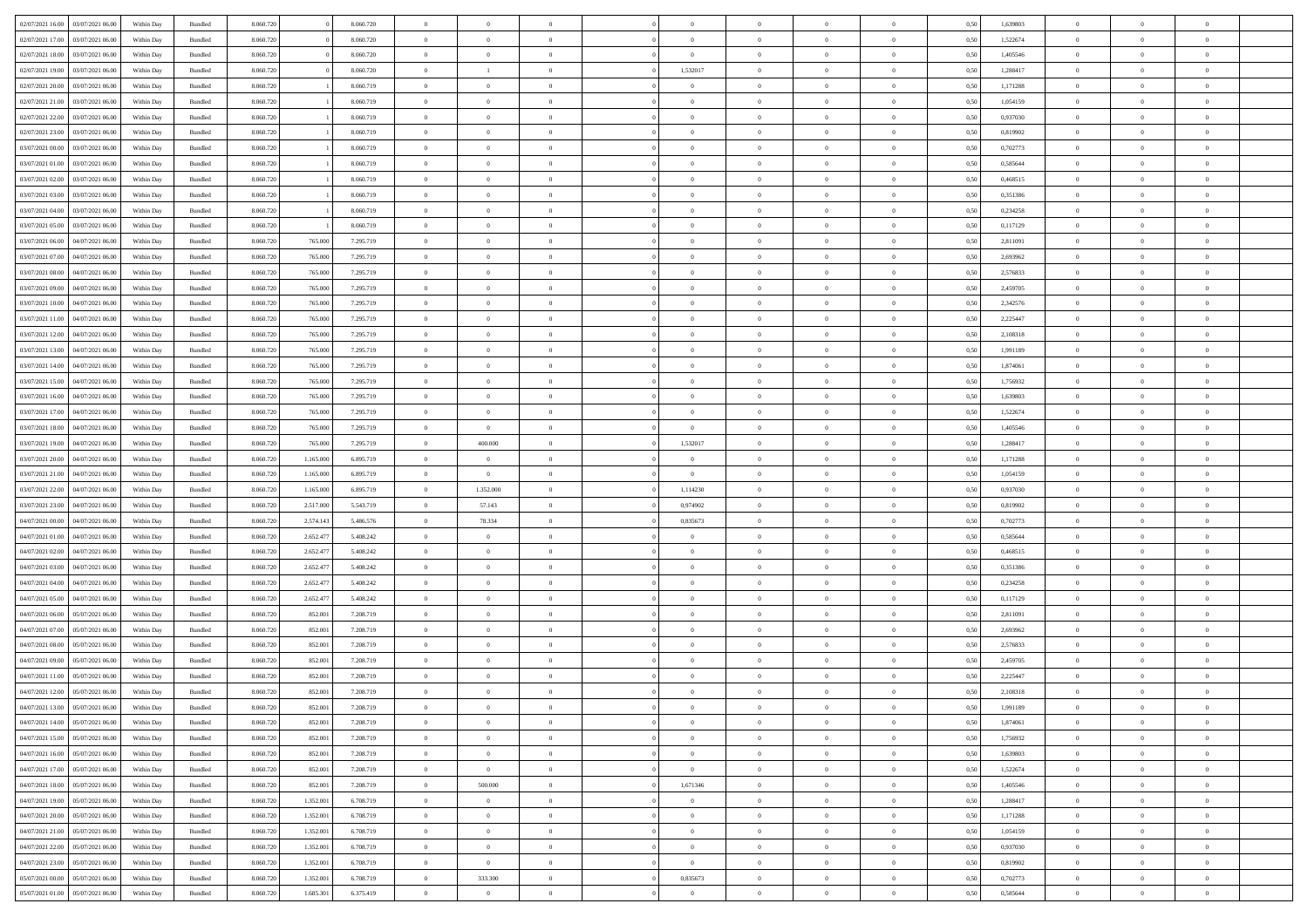| 02/07/2021 16:00                    | 03/07/2021 06:00 | Within Day | Bundled | 8.060.720 |           | 8.060.720 | $\overline{0}$ | $\Omega$       |                |                | $\Omega$       | $\Omega$       | $\overline{0}$ | 0,50 | 1,639803 | $\theta$       | $\theta$       | $\theta$                 |  |
|-------------------------------------|------------------|------------|---------|-----------|-----------|-----------|----------------|----------------|----------------|----------------|----------------|----------------|----------------|------|----------|----------------|----------------|--------------------------|--|
| 02/07/2021 17:00                    | 03/07/2021 06:00 | Within Dav | Bundled | 8.060.720 |           | 8.060.720 | $\overline{0}$ | $\Omega$       |                | $\Omega$       | $\Omega$       | $\Omega$       | $\bf{0}$       | 0.50 | 1,522674 | $\theta$       | $\Omega$       | $\sqrt{ }$               |  |
| 02/07/2021 18:00                    | 03/07/2021 06:00 | Within Day | Bundled | 8.060.720 |           | 8.060.720 | $\overline{0}$ | $\overline{0}$ | $\overline{0}$ | $\overline{0}$ | $\,$ 0 $\,$    | $\overline{0}$ | $\,$ 0 $\,$    | 0,50 | 1,405546 | $\,$ 0 $\,$    | $\overline{0}$ | $\overline{0}$           |  |
| 02/07/2021 19:00                    | 03/07/2021 06.00 | Within Day | Bundled | 8.060.720 |           | 8.060.720 | $\overline{0}$ | $\!-1$         | $\overline{0}$ | 1,532017       | $\bf{0}$       | $\overline{0}$ | $\bf{0}$       | 0,50 | 1,288417 | $\bf{0}$       | $\overline{0}$ | $\overline{0}$           |  |
|                                     |                  |            |         |           |           |           |                |                |                |                |                |                |                |      |          |                |                |                          |  |
| 02/07/2021 20:00                    | 03/07/2021 06:00 | Within Day | Bundled | 8.060.720 |           | 8.060.719 | $\overline{0}$ | $\Omega$       | $^{\circ}$     | $\Omega$       | $\overline{0}$ | $\Omega$       | $\overline{0}$ | 0.50 | 1,171288 | $\theta$       | $\theta$       | $\sqrt{ }$               |  |
| 02/07/2021 21:00                    | 03/07/2021 06:00 | Within Day | Bundled | 8.060.720 |           | 8.060.719 | $\overline{0}$ | $\overline{0}$ | $\overline{0}$ | $\overline{0}$ | $\,$ 0 $\,$    | $\overline{0}$ | $\,$ 0 $\,$    | 0,50 | 1,054159 | $\theta$       | $\overline{0}$ | $\overline{0}$           |  |
| 02/07/2021 22.00                    | 03/07/2021 06:00 | Within Day | Bundled | 8.060.720 |           | 8.060.719 | $\overline{0}$ | $\overline{0}$ | $\overline{0}$ | $\Omega$       | $\overline{0}$ | $\overline{0}$ | $\overline{0}$ | 0.50 | 0,937030 | $\bf{0}$       | $\theta$       | $\overline{0}$           |  |
| 02/07/2021 23:00                    | 03/07/2021 06:00 | Within Dav | Bundled | 8.060.720 |           | 8.060.719 | $\overline{0}$ | $\Omega$       | $^{\circ}$     | $\Omega$       | $\bf{0}$       | $\Omega$       | $\overline{0}$ | 0.50 | 0,819902 | $\theta$       | $\theta$       | $\sqrt{ }$               |  |
| 03/07/2021 00:00                    | 03/07/2021 06:00 | Within Day | Bundled | 8.060.720 |           | 8.060.719 | $\overline{0}$ | $\overline{0}$ | $\overline{0}$ | $\overline{0}$ | $\,$ 0 $\,$    | $\overline{0}$ | $\,$ 0 $\,$    | 0,50 | 0,702773 | $\,$ 0 $\,$    | $\overline{0}$ | $\overline{0}$           |  |
| 03/07/2021 01:00                    | 03/07/2021 06:00 | Within Day | Bundled | 8.060.720 |           | 8.060.719 | $\overline{0}$ | $\overline{0}$ | $\overline{0}$ | $\Omega$       | $\overline{0}$ | $\overline{0}$ | $\bf{0}$       | 0,50 | 0,585644 | $\bf{0}$       | $\overline{0}$ | $\overline{0}$           |  |
|                                     |                  |            |         |           |           |           |                |                |                |                |                |                |                |      |          |                |                |                          |  |
| 03/07/2021 02:00                    | 03/07/2021 06:00 | Within Dav | Bundled | 8.060.720 |           | 8.060.719 | $\overline{0}$ | $\Omega$       | $^{\circ}$     | $\Omega$       | $\bf{0}$       | $\Omega$       | $\overline{0}$ | 0.50 | 0,468515 | $\theta$       | $\theta$       | $\sqrt{ }$               |  |
| 03/07/2021 03:00                    | 03/07/2021 06:00 | Within Day | Bundled | 8.060.720 |           | 8.060.719 | $\overline{0}$ | $\overline{0}$ | $\overline{0}$ | $\overline{0}$ | $\,$ 0 $\,$    | $\overline{0}$ | $\,$ 0 $\,$    | 0,50 | 0,351386 | $\,$ 0 $\,$    | $\overline{0}$ | $\,$ 0                   |  |
| 03/07/2021 04:00                    | 03/07/2021 06.00 | Within Day | Bundled | 8.060.720 |           | 8.060.719 | $\overline{0}$ | $\overline{0}$ | $\overline{0}$ | $\overline{0}$ | $\bf{0}$       | $\overline{0}$ | $\bf{0}$       | 0,50 | 0,234258 | $\bf{0}$       | $\overline{0}$ | $\overline{\phantom{a}}$ |  |
| 03/07/2021 05:00                    | 03/07/2021 06:00 | Within Day | Bundled | 8.060.720 |           | 8.060.719 | $\overline{0}$ | $\theta$       | $^{\circ}$     | $\overline{0}$ | $\bf{0}$       | $\Omega$       | $\bf{0}$       | 0.50 | 0,117129 | $\theta$       | $\theta$       | $\sqrt{ }$               |  |
| 03/07/2021 06:00                    | 04/07/2021 06:00 | Within Day | Bundled | 8.060.720 | 765.000   | 7.295.719 | $\overline{0}$ | $\overline{0}$ | $\overline{0}$ | $\overline{0}$ | $\,$ 0 $\,$    | $\overline{0}$ | $\,$ 0 $\,$    | 0,50 | 2,811091 | $\theta$       | $\overline{0}$ | $\overline{0}$           |  |
| 03/07/2021 07:00                    | 04/07/2021 06:00 | Within Day | Bundled | 8.060.720 | 765.000   | 7.295.719 | $\overline{0}$ | $\overline{0}$ | $\overline{0}$ | $\Omega$       | $\overline{0}$ | $\overline{0}$ | $\overline{0}$ | 0.50 | 2,693962 | $\theta$       | $\overline{0}$ | $\overline{0}$           |  |
| 03/07/2021 08:00                    | 04/07/2021 06:00 | Within Day | Bundled | 8.060.720 | 765.000   | 7.295.719 | $\overline{0}$ | $\Omega$       | $^{\circ}$     | $\Omega$       | $\overline{0}$ | $\Omega$       | $\bf{0}$       | 0.50 | 2,576833 | $\theta$       | $\Omega$       | $\sqrt{ }$               |  |
|                                     |                  |            |         |           |           |           |                |                |                |                |                |                |                |      |          |                |                |                          |  |
| 03/07/2021 09:00                    | 04/07/2021 06:00 | Within Day | Bundled | 8.060.720 | 765.000   | 7.295.719 | $\overline{0}$ | $\overline{0}$ | $\overline{0}$ | $\overline{0}$ | $\,$ 0 $\,$    | $\overline{0}$ | $\,$ 0 $\,$    | 0,50 | 2,459705 | $\,$ 0 $\,$    | $\overline{0}$ | $\overline{0}$           |  |
| 03/07/2021 10:00                    | 04/07/2021 06:00 | Within Day | Bundled | 8.060.720 | 765.000   | 7.295.719 | $\overline{0}$ | $\overline{0}$ | $\overline{0}$ | $\Omega$       | $\overline{0}$ | $\overline{0}$ | $\bf{0}$       | 0.50 | 2,342576 | $\bf{0}$       | $\theta$       | $\overline{0}$           |  |
| 03/07/2021 11:00                    | 04/07/2021 06:00 | Within Dav | Bundled | 8.060.720 | 765.000   | 7.295.719 | $\overline{0}$ | $\Omega$       | $\Omega$       | $\Omega$       | $\bf{0}$       | $\Omega$       | $\overline{0}$ | 0.50 | 2,225447 | $\theta$       | $\theta$       | $\sqrt{ }$               |  |
| 03/07/2021 12:00                    | 04/07/2021 06:00 | Within Day | Bundled | 8.060.720 | 765.000   | 7.295.719 | $\overline{0}$ | $\overline{0}$ | $\overline{0}$ | $\overline{0}$ | $\,$ 0 $\,$    | $\overline{0}$ | $\,$ 0 $\,$    | 0,50 | 2,108318 | $\,$ 0 $\,$    | $\overline{0}$ | $\,$ 0                   |  |
| 03/07/2021 13:00                    | 04/07/2021 06.00 | Within Day | Bundled | 8.060.720 | 765.000   | 7.295.719 | $\overline{0}$ | $\overline{0}$ | $\overline{0}$ | $\overline{0}$ | $\bf{0}$       | $\overline{0}$ | $\bf{0}$       | 0,50 | 1,991189 | $\bf{0}$       | $\overline{0}$ | $\overline{0}$           |  |
| 03/07/2021 14:00                    | 04/07/2021 06:00 | Within Day | Bundled | 8.060.720 | 765.000   | 7.295.719 | $\overline{0}$ | $\Omega$       | $\Omega$       | $\overline{0}$ | $\bf{0}$       | $\Omega$       | $\overline{0}$ | 0.50 | 1,874061 | $\theta$       | $\theta$       | $\sqrt{ }$               |  |
| 03/07/2021 15:00                    | 04/07/2021 06:00 | Within Day | Bundled | 8.060.720 | 765.000   | 7.295.719 | $\overline{0}$ | $\overline{0}$ | $\overline{0}$ | $\overline{0}$ | $\,$ 0 $\,$    | $\overline{0}$ | $\,$ 0 $\,$    | 0,50 | 1,756932 | $\theta$       | $\overline{0}$ | $\overline{0}$           |  |
|                                     |                  |            |         |           |           |           |                |                |                |                |                |                |                |      |          |                |                |                          |  |
| 03/07/2021 16:00                    | 04/07/2021 06:00 | Within Day | Bundled | 8.060.720 | 765.000   | 7.295.719 | $\overline{0}$ | $\overline{0}$ | $\overline{0}$ | $\Omega$       | $\overline{0}$ | $\overline{0}$ | $\bf{0}$       | 0.50 | 1,639803 | $\bf{0}$       | $\overline{0}$ | $\overline{0}$           |  |
| 03/07/2021 17:00                    | 04/07/2021 06:00 | Within Dav | Bundled | 8.060.720 | 765.000   | 7.295.719 | $\overline{0}$ | $\theta$       | $\Omega$       | $\Omega$       | $\bf{0}$       | $\Omega$       | $\bf{0}$       | 0.50 | 1,522674 | $\theta$       | $\theta$       | $\sqrt{ }$               |  |
| 03/07/2021 18:00                    | 04/07/2021 06:00 | Within Day | Bundled | 8.060.720 | 765.000   | 7.295.719 | $\overline{0}$ | $\overline{0}$ | $\overline{0}$ | $\overline{0}$ | $\overline{0}$ | $\overline{0}$ | $\,$ 0 $\,$    | 0,50 | 1,405546 | $\,$ 0 $\,$    | $\overline{0}$ | $\overline{0}$           |  |
| 03/07/2021 19:00                    | 04/07/2021 06:00 | Within Day | Bundled | 8.060.720 | 765.000   | 7.295.719 | $\overline{0}$ | 400,000        | $\overline{0}$ | 1,532017       | $\overline{0}$ | $\overline{0}$ | $\bf{0}$       | 0.50 | 1,288417 | $\bf{0}$       | $\overline{0}$ | $\overline{0}$           |  |
| 03/07/2021 20:00                    | 04/07/2021 06:00 | Within Dav | Bundled | 8.060.720 | 1.165.000 | 6.895.719 | $\overline{0}$ | $\Omega$       | $^{\circ}$     | $\Omega$       | $\bf{0}$       | $\Omega$       | $\overline{0}$ | 0.50 | 1,171288 | $\theta$       | $\theta$       | $\sqrt{ }$               |  |
| 03/07/2021 21:00                    | 04/07/2021 06:00 | Within Day | Bundled | 8.060.720 | 1.165.000 | 6.895.719 | $\overline{0}$ | $\overline{0}$ | $\overline{0}$ | $\overline{0}$ | $\,$ 0 $\,$    | $\overline{0}$ | $\,$ 0 $\,$    | 0,50 | 1,054159 | $\,$ 0 $\,$    | $\overline{0}$ | $\,$ 0                   |  |
| 03/07/2021 22.00                    | 04/07/2021 06.00 | Within Day | Bundled | 8.060.720 | 1.165.000 | 6.895.719 | $\overline{0}$ | 1.352.000      | $\bf{0}$       | 1,114230       | $\bf{0}$       | $\bf{0}$       | $\bf{0}$       | 0,50 | 0,937030 | $\,$ 0 $\,$    | $\overline{0}$ | $\overline{0}$           |  |
|                                     |                  |            |         |           |           |           |                |                |                |                |                |                |                |      |          |                |                |                          |  |
| 03/07/2021 23:00                    | 04/07/2021 06:00 | Within Day | Bundled | 8.060.720 | 2.517.000 | 5.543.719 | $\overline{0}$ | 57.143         | $\Omega$       | 0,974902       | $\overline{0}$ | $\Omega$       | $\bf{0}$       | 0.50 | 0,819902 | $\theta$       | $\theta$       | $\sqrt{ }$               |  |
| 04/07/2021 00:00                    | 04/07/2021 06:00 | Within Day | Bundled | 8.060.720 | 2.574.143 | 5.486.576 | $\overline{0}$ | 78.334         | $\overline{0}$ | 0,835673       | $\overline{0}$ | $\overline{0}$ | $\,$ 0 $\,$    | 0,50 | 0,702773 | $\theta$       | $\overline{0}$ | $\overline{0}$           |  |
| 04/07/2021 01:00                    | 04/07/2021 06.00 | Within Day | Bundled | 8.060.720 | 2.652.477 | 5.408.242 | $\overline{0}$ | $\overline{0}$ | $\overline{0}$ | $\bf{0}$       | $\,$ 0         | $\bf{0}$       | $\bf{0}$       | 0,50 | 0,585644 | $\,$ 0 $\,$    | $\overline{0}$ | $\overline{0}$           |  |
| 04/07/2021 02:00                    | 04/07/2021 06:00 | Within Day | Bundled | 8.060.720 | 2.652.477 | 5.408.242 | $\overline{0}$ | $\Omega$       | $^{\circ}$     | $\Omega$       | $\overline{0}$ | $\Omega$       | $\overline{0}$ | 0.50 | 0,468515 | $\theta$       | $\theta$       | $\sqrt{ }$               |  |
| 04/07/2021 03:00                    | 04/07/2021 06:00 | Within Day | Bundled | 8.060.720 | 2.652.477 | 5.408.242 | $\overline{0}$ | $\overline{0}$ | $\overline{0}$ | $\overline{0}$ | $\,$ 0 $\,$    | $\overline{0}$ | $\,$ 0 $\,$    | 0,50 | 0,351386 | $\,$ 0 $\,$    | $\overline{0}$ | $\overline{0}$           |  |
| 04/07/2021 04:00                    | 04/07/2021 06.00 | Within Day | Bundled | 8.060.720 | 2.652.477 | 5.408.242 | $\overline{0}$ | $\overline{0}$ | $\overline{0}$ | $\bf{0}$       | $\bf{0}$       | $\overline{0}$ | $\bf{0}$       | 0,50 | 0,234258 | $\,$ 0 $\,$    | $\overline{0}$ | $\overline{0}$           |  |
| 04/07/2021 05:00                    | 04/07/2021 06:00 | Within Dav | Bundled | 8.060.720 | 2.652.47  | 5.408.242 | $\overline{0}$ | $\Omega$       | $^{\circ}$     | $\Omega$       | $\bf{0}$       | $\Omega$       | $\overline{0}$ | 0.50 | 0,117129 | $\theta$       | $\theta$       | $\sqrt{ }$               |  |
|                                     |                  |            |         |           |           |           | $\overline{0}$ | $\overline{0}$ | $\overline{0}$ | $\overline{0}$ | $\,$ 0 $\,$    | $\overline{0}$ |                |      |          | $\,$ 0 $\,$    | $\overline{0}$ | $\,$ 0                   |  |
| 04/07/2021 06:00                    | 05/07/2021 06:00 | Within Day | Bundled | 8.060.720 | 852.001   | 7.208.719 |                |                |                |                |                |                | $\,$ 0 $\,$    | 0,50 | 2,811091 |                |                |                          |  |
| 04/07/2021 07:00                    | 05/07/2021 06.00 | Within Day | Bundled | 8.060.720 | 852.001   | 7.208.719 | $\overline{0}$ | $\overline{0}$ | $\overline{0}$ | $\bf{0}$       | $\,$ 0         | $\overline{0}$ | $\bf{0}$       | 0,50 | 2,693962 | $\,$ 0 $\,$    | $\overline{0}$ | $\overline{0}$           |  |
| 04/07/2021 08:00                    | 05/07/2021 06:00 | Within Day | Bundled | 8.060.720 | 852.001   | 7.208.719 | $\overline{0}$ | $\theta$       | $\Omega$       | $\Omega$       | $\bf{0}$       | $\Omega$       | $\overline{0}$ | 0.50 | 2,576833 | $\theta$       | $\theta$       | $\sqrt{ }$               |  |
| 04/07/2021 09:00                    | 05/07/2021 06:00 | Within Day | Bundled | 8.060.720 | 852.001   | 7.208.719 | $\overline{0}$ | $\theta$       | $\overline{0}$ | $\overline{0}$ | $\,$ 0 $\,$    | $\overline{0}$ | $\,$ 0 $\,$    | 0,50 | 2,459705 | $\,$ 0 $\,$    | $\overline{0}$ | $\overline{0}$           |  |
| 04/07/2021 11:00                    | 05/07/2021 06.00 | Within Day | Bundled | 8.060.720 | 852.001   | 7.208.719 | $\overline{0}$ | $\theta$       | $\overline{0}$ | $\overline{0}$ | $\overline{0}$ | $\overline{0}$ | $\bf{0}$       | 0,50 | 2,225447 | $\,$ 0 $\,$    | $\theta$       | $\overline{0}$           |  |
| 04/07/2021 12:00   05/07/2021 06:00 |                  | Within Day | Bundled | 8.060.720 | 852.001   | 7.208.719 | $\overline{0}$ | $\overline{0}$ | $\Omega$       | $\overline{0}$ | $\bf{0}$       | $\overline{0}$ | $\overline{0}$ | 0.50 | 2,108318 | $\theta$       | $\theta$       | $\overline{0}$           |  |
| 04/07/2021 13:00 05/07/2021 06:00   |                  | Within Day | Bundled | 8.060.720 | 852.001   | 7.208.719 | $\overline{0}$ | $\mathbf{0}$   |                |                |                |                |                | 0,50 | 1,991189 | $\theta$       | $\theta$       |                          |  |
| 04/07/2021 14:00                    | 05/07/2021 06:00 | Within Day | Bundled | 8.060.720 | 852.001   | 7.208.719 | $\overline{0}$ | $\bf{0}$       | $\overline{0}$ | $\bf{0}$       | $\bf{0}$       | $\overline{0}$ | $\bf{0}$       | 0,50 | 1,874061 | $\bf{0}$       | $\overline{0}$ | $\bf{0}$                 |  |
| 04/07/2021 15:00                    | 05/07/2021 06:00 | Within Day | Bundled | 8.060.720 | 852.001   | 7.208.719 | $\overline{0}$ | $\overline{0}$ | $\overline{0}$ | $\overline{0}$ | $\overline{0}$ | $\overline{0}$ | $\overline{0}$ | 0,50 | 1,756932 | $\overline{0}$ | $\overline{0}$ | $\overline{0}$           |  |
|                                     |                  |            |         |           |           |           |                |                |                |                |                |                |                |      |          |                |                |                          |  |
| 04/07/2021 16:00                    | 05/07/2021 06:00 | Within Day | Bundled | 8.060.720 | 852.001   | 7.208.719 | $\overline{0}$ | $\overline{0}$ | $\overline{0}$ | $\overline{0}$ | $\bf{0}$       | $\overline{0}$ | $\,$ 0 $\,$    | 0,50 | 1,639803 | $\mathbf{0}$   | $\,$ 0 $\,$    | $\bf{0}$                 |  |
| 04/07/2021 17.00                    | 05/07/2021 06:00 | Within Day | Bundled | 8.060.720 | 852.001   | 7.208.719 | $\overline{0}$ | $\overline{0}$ | $\overline{0}$ | $\overline{0}$ | $\bf{0}$       | $\overline{0}$ | $\mathbf{0}$   | 0,50 | 1,522674 | $\bf{0}$       | $\overline{0}$ | $\bf{0}$                 |  |
| 04/07/2021 18:00                    | 05/07/2021 06:00 | Within Day | Bundled | 8.060.720 | 852.001   | 7.208.719 | $\overline{0}$ | 500.000        | $\overline{0}$ | 1,671346       | $\overline{0}$ | $\overline{0}$ | $\overline{0}$ | 0,50 | 1,405546 | $\overline{0}$ | $\theta$       | $\overline{0}$           |  |
| 04/07/2021 19:00                    | 05/07/2021 06:00 | Within Day | Bundled | 8.060.720 | 1.352.001 | 6.708.719 | $\overline{0}$ | $\overline{0}$ | $\overline{0}$ | $\overline{0}$ | $\bf{0}$       | $\overline{0}$ | $\,$ 0 $\,$    | 0,50 | 1,288417 | $\,$ 0 $\,$    | $\,$ 0 $\,$    | $\,$ 0 $\,$              |  |
| 04/07/2021 20.00                    | 05/07/2021 06:00 | Within Day | Bundled | 8.060.720 | 1.352.001 | 6.708.719 | $\overline{0}$ | $\overline{0}$ | $\overline{0}$ | $\bf{0}$       | $\bf{0}$       | $\bf{0}$       | $\mathbf{0}$   | 0,50 | 1,171288 | $\bf{0}$       | $\overline{0}$ | $\bf{0}$                 |  |
| 04/07/2021 21:00                    | 05/07/2021 06:00 | Within Day | Bundled | 8.060.720 | 1.352.001 | 6.708.719 | $\overline{0}$ | $\overline{0}$ | $\overline{0}$ | $\overline{0}$ | $\overline{0}$ | $\overline{0}$ | $\mathbf{0}$   | 0,50 | 1,054159 | $\overline{0}$ | $\theta$       | $\overline{0}$           |  |
| 04/07/2021 22.00                    | 05/07/2021 06:00 | Within Day | Bundled | 8.060.720 | 1.352.001 | 6.708.719 | $\overline{0}$ | $\bf{0}$       | $\overline{0}$ | $\overline{0}$ | $\,$ 0 $\,$    | $\overline{0}$ | $\,$ 0 $\,$    | 0,50 | 0,937030 | $\mathbf{0}$   | $\,$ 0 $\,$    | $\,$ 0                   |  |
|                                     |                  |            |         |           |           |           |                |                |                |                |                |                |                |      |          |                |                |                          |  |
| 04/07/2021 23.00                    | 05/07/2021 06:00 | Within Day | Bundled | 8.060.720 | 1.352.001 | 6.708.719 | $\overline{0}$ | $\overline{0}$ | $\overline{0}$ | $\bf{0}$       | $\bf{0}$       | $\bf{0}$       | $\bf{0}$       | 0,50 | 0,819902 | $\bf{0}$       | $\overline{0}$ | $\bf{0}$                 |  |
| 05/07/2021 00:00                    | 05/07/2021 06:00 | Within Day | Bundled | 8.060.720 | 1.352.001 | 6.708.719 | $\overline{0}$ | 333.300        | $\overline{0}$ | 0,835673       | $\theta$       | $\overline{0}$ | $\overline{0}$ | 0.50 | 0,702773 | $\overline{0}$ | $\theta$       | $\overline{0}$           |  |
| 05/07/2021 01:00   05/07/2021 06:00 |                  | Within Day | Bundled | 8.060.720 | 1.685.301 | 6.375.419 | $\mathbf{0}$   | $\overline{0}$ | $\overline{0}$ | $\overline{0}$ | $\bf{0}$       | $\overline{0}$ | $\,$ 0 $\,$    | 0,50 | 0,585644 | $\mathbf{0}$   | $\,$ 0 $\,$    | $\,$ 0 $\,$              |  |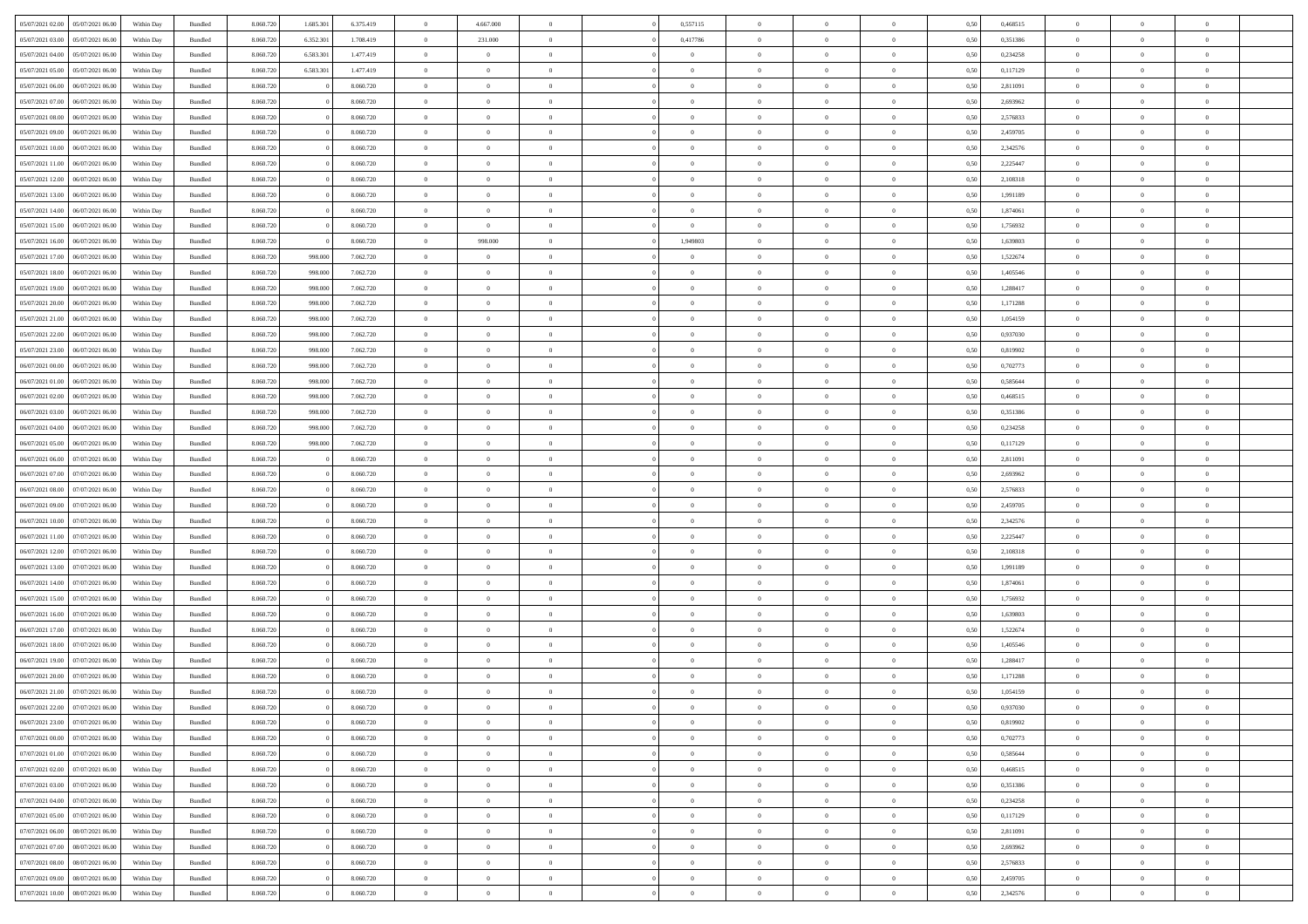| 05/07/2021 02:00                  | 05/07/2021 06:00 | Within Day | Bundled            | 8.060.720 | 1.685.301 | 6.375.419 | $\overline{0}$ | 4.667.000      |                | 0,557115       | $\bf{0}$       | $\overline{0}$ | $\theta$       | 0,50 | 0,468515 | $\theta$       | $\theta$       | $\theta$                 |  |
|-----------------------------------|------------------|------------|--------------------|-----------|-----------|-----------|----------------|----------------|----------------|----------------|----------------|----------------|----------------|------|----------|----------------|----------------|--------------------------|--|
| 05/07/2021 03:00                  | 05/07/2021 06.00 | Within Day | Bundled            | 8.060.72  | 6.352.301 | 1.708.419 | $\overline{0}$ | 231.000        | $\overline{0}$ | 0,417786       | $\,$ 0         | $\bf{0}$       | $\bf{0}$       | 0,50 | 0,351386 | $\,$ 0 $\,$    | $\overline{0}$ | $\overline{0}$           |  |
|                                   |                  |            |                    |           |           |           |                |                |                |                |                |                |                |      |          |                |                |                          |  |
| 05/07/2021 04:00                  | 05/07/2021 06:00 | Within Day | Bundled            | 8.060.720 | 6.583.301 | 1.477.419 | $\overline{0}$ | $\overline{0}$ | $\overline{0}$ | $\overline{0}$ | $\bf{0}$       | $\overline{0}$ | $\mathbf{0}$   | 0.50 | 0,234258 | $\bf{0}$       | $\overline{0}$ | $\overline{0}$           |  |
| 05/07/2021 05:00                  | 05/07/2021 06:00 | Within Day | Bundled            | 8.060.720 | 6.583.301 | 1.477.419 | $\overline{0}$ | $\overline{0}$ | $\overline{0}$ | $\overline{0}$ | $\bf{0}$       | $\overline{0}$ | $\overline{0}$ | 0,50 | 0,117129 | $\,$ 0 $\,$    | $\overline{0}$ | $\overline{0}$           |  |
| 05/07/2021 06:00                  | 06/07/2021 06.00 | Within Day | Bundled            | 8.060.720 |           | 8.060.720 | $\overline{0}$ | $\theta$       | $\overline{0}$ | $\overline{0}$ | $\overline{0}$ | $\overline{0}$ | $\bf{0}$       | 0,50 | 2,811091 | $\,$ 0 $\,$    | $\overline{0}$ | $\overline{0}$           |  |
| 05/07/2021 07:00                  | 06/07/2021 06:00 | Within Day | Bundled            | 8.060.720 |           | 8.060.720 | $\overline{0}$ | $\overline{0}$ | $\overline{0}$ | $\overline{0}$ | $\bf{0}$       | $\overline{0}$ | $\overline{0}$ | 0.50 | 2.693962 | $\,0\,$        | $\theta$       | $\overline{0}$           |  |
| 05/07/2021 08:00                  | 06/07/2021 06:00 | Within Day | Bundled            | 8.060.720 |           | 8.060.720 | $\overline{0}$ | $\overline{0}$ | $\overline{0}$ | $\overline{0}$ | $\bf{0}$       | $\overline{0}$ | $\overline{0}$ | 0,50 | 2,576833 | $\,$ 0 $\,$    | $\theta$       | $\overline{0}$           |  |
| 05/07/2021 09:00                  | 06/07/2021 06.00 | Within Day | Bundled            | 8.060.720 |           | 8.060.720 | $\overline{0}$ | $\theta$       | $\overline{0}$ | $\overline{0}$ | $\,$ 0         | $\bf{0}$       | $\bf{0}$       | 0,50 | 2,459705 | $\,$ 0 $\,$    | $\overline{0}$ | $\overline{0}$           |  |
| 05/07/2021 10:00                  | 06/07/2021 06:00 | Within Day | Bundled            | 8.060.720 |           | 8.060.720 | $\overline{0}$ | $\overline{0}$ | $\overline{0}$ | $\overline{0}$ | $\bf{0}$       | $\overline{0}$ | $\bf{0}$       | 0.50 | 2.342576 | $\,0\,$        | $\overline{0}$ | $\overline{0}$           |  |
| 05/07/2021 11:00                  | 06/07/2021 06:00 | Within Day | Bundled            | 8.060.720 |           | 8.060.720 | $\overline{0}$ | $\overline{0}$ | $\overline{0}$ | $\overline{0}$ | $\,$ 0         | $\overline{0}$ | $\bf{0}$       | 0,50 | 2,225447 | $\,$ 0 $\,$    | $\overline{0}$ | $\overline{0}$           |  |
| 05/07/2021 12:00                  | 06/07/2021 06.00 | Within Day | Bundled            | 8.060.720 |           | 8.060.720 | $\bf{0}$       | $\theta$       | $\overline{0}$ | $\overline{0}$ | $\,$ 0         | $\overline{0}$ | $\bf{0}$       | 0,50 | 2,108318 | $\,$ 0 $\,$    | $\overline{0}$ | $\overline{0}$           |  |
|                                   | 06/07/2021 06:00 |            |                    |           |           | 8.060.720 |                | $\overline{0}$ | $\overline{0}$ |                |                | $\overline{0}$ |                |      |          |                |                |                          |  |
| 05/07/2021 13:00                  |                  | Within Day | Bundled            | 8.060.720 |           |           | $\overline{0}$ |                |                | $\overline{0}$ | $\bf{0}$       |                | $\mathbf{0}$   | 0.50 | 1,991189 | $\bf{0}$       | $\overline{0}$ | $\bf{0}$                 |  |
| 05/07/2021 14:00                  | 06/07/2021 06:00 | Within Day | Bundled            | 8.060.720 |           | 8.060.720 | $\overline{0}$ | $\overline{0}$ | $\overline{0}$ | $\overline{0}$ | $\,$ 0         | $\overline{0}$ | $\overline{0}$ | 0,50 | 1,874061 | $\,$ 0 $\,$    | $\overline{0}$ | $\overline{0}$           |  |
| 05/07/2021 15:00                  | 06/07/2021 06.00 | Within Day | Bundled            | 8.060.720 |           | 8.060.720 | $\overline{0}$ | $\overline{0}$ | $\overline{0}$ | $\overline{0}$ | $\,$ 0         | $\overline{0}$ | $\bf{0}$       | 0,50 | 1,756932 | $\,$ 0 $\,$    | $\overline{0}$ | $\overline{0}$           |  |
| 05/07/2021 16:00                  | 06/07/2021 06:00 | Within Day | Bundled            | 8.060.720 |           | 8.060.720 | $\overline{0}$ | 998.000        | $\overline{0}$ | 1,949803       | $\bf{0}$       | $\overline{0}$ | $\bf{0}$       | 0.50 | 1.639803 | $\theta$       | $\theta$       | $\overline{0}$           |  |
| 05/07/2021 17:00                  | 06/07/2021 06:00 | Within Day | Bundled            | 8.060.720 | 998.000   | 7.062.720 | $\overline{0}$ | $\overline{0}$ | $\overline{0}$ | $\overline{0}$ | $\bf{0}$       | $\overline{0}$ | $\bf{0}$       | 0,50 | 1,522674 | $\,$ 0 $\,$    | $\theta$       | $\overline{0}$           |  |
| 05/07/2021 18:00                  | 06/07/2021 06.00 | Within Day | Bundled            | 8.060.720 | 998.000   | 7.062.720 | $\overline{0}$ | $\theta$       | $\overline{0}$ |                | $\bf{0}$       | $\overline{0}$ | $\bf{0}$       | 0,50 | 1,405546 | $\,$ 0 $\,$    | $\overline{0}$ | $\overline{0}$           |  |
| 05/07/2021 19:00                  | 06/07/2021 06:00 | Within Day | Bundled            | 8.060.720 | 998,000   | 7.062.720 | $\overline{0}$ | $\overline{0}$ | $\overline{0}$ | $\overline{0}$ | $\bf{0}$       | $\overline{0}$ | $\bf{0}$       | 0.50 | 1.288417 | $\,0\,$        | $\overline{0}$ | $\overline{\phantom{a}}$ |  |
| 05/07/2021 20:00                  | 06/07/2021 06:00 | Within Day | Bundled            | 8.060.720 | 998.000   | 7.062.720 | $\overline{0}$ | $\overline{0}$ | $\overline{0}$ | $\overline{0}$ | $\bf{0}$       | $\overline{0}$ | $\bf{0}$       | 0,50 | 1,171288 | $\,$ 0 $\,$    | $\overline{0}$ | $\overline{0}$           |  |
| 05/07/2021 21:00                  | 06/07/2021 06.00 | Within Day | Bundled            | 8.060.720 | 998.000   | 7.062.720 | $\bf{0}$       | $\theta$       | $\overline{0}$ | $\overline{0}$ | $\,$ 0         | $\overline{0}$ | $\bf{0}$       | 0,50 | 1,054159 | $\,$ 0 $\,$    | $\overline{0}$ | $\overline{0}$           |  |
| 05/07/2021 22.00                  | 06/07/2021 06:00 | Within Day | Bundled            | 8.060.720 | 998,000   | 7.062.720 | $\overline{0}$ | $\overline{0}$ | $\overline{0}$ | $\overline{0}$ | $\bf{0}$       | $\overline{0}$ | $\mathbf{0}$   | 0.50 | 0.937030 | $\bf{0}$       | $\overline{0}$ | $\bf{0}$                 |  |
| 05/07/2021 23:00                  | 06/07/2021 06:00 |            |                    | 8.060.720 |           |           | $\overline{0}$ | $\overline{0}$ | $\overline{0}$ | $\overline{0}$ | $\,$ 0         | $\overline{0}$ | $\overline{0}$ |      | 0,819902 | $\,$ 0 $\,$    | $\overline{0}$ | $\overline{0}$           |  |
|                                   |                  | Within Day | Bundled            |           | 998.000   | 7.062.720 |                |                |                |                |                |                |                | 0,50 |          |                |                |                          |  |
| 06/07/2021 00:00                  | 06/07/2021 06.00 | Within Day | Bundled            | 8.060.720 | 998.000   | 7.062.720 | $\overline{0}$ | $\theta$       | $\overline{0}$ | $\overline{0}$ | $\,$ 0         | $\overline{0}$ | $\bf{0}$       | 0,50 | 0,702773 | $\,$ 0 $\,$    | $\overline{0}$ | $\overline{0}$           |  |
| 06/07/2021 01:00                  | 06/07/2021 06:00 | Within Day | Bundled            | 8.060.720 | 998,000   | 7.062.720 | $\overline{0}$ | $\overline{0}$ | $\overline{0}$ | $\overline{0}$ | $\bf{0}$       | $\overline{0}$ | $\bf{0}$       | 0.50 | 0.585644 | $\,0\,$        | $\theta$       | $\overline{0}$           |  |
| 06/07/2021 02:00                  | 06/07/2021 06:00 | Within Day | Bundled            | 8.060.720 | 998.000   | 7.062.720 | $\overline{0}$ | $\overline{0}$ | $\overline{0}$ | $\overline{0}$ | $\,$ 0         | $\overline{0}$ | $\overline{0}$ | 0,50 | 0,468515 | $\,0\,$        | $\theta$       | $\overline{0}$           |  |
| 06/07/2021 03:00                  | 06/07/2021 06.00 | Within Day | Bundled            | 8.060.720 | 998.000   | 7.062.720 | $\overline{0}$ | $\theta$       | $\overline{0}$ |                | $\bf{0}$       | $\overline{0}$ | $\bf{0}$       | 0,50 | 0,351386 | $\,$ 0 $\,$    | $\overline{0}$ | $\overline{0}$           |  |
| 06/07/2021 04:00                  | 06/07/2021 06:00 | Within Day | Bundled            | 8.060.720 | 998,000   | 7.062.720 | $\overline{0}$ | $\overline{0}$ | $\overline{0}$ | $\overline{0}$ | $\bf{0}$       | $\overline{0}$ | $\bf{0}$       | 0.50 | 0.234258 | $\,0\,$        | $\overline{0}$ | $\overline{0}$           |  |
| 06/07/2021 05:00                  | 06/07/2021 06:00 | Within Day | Bundled            | 8.060.720 | 998.000   | 7.062.720 | $\overline{0}$ | $\overline{0}$ | $\overline{0}$ | $\overline{0}$ | $\bf{0}$       | $\overline{0}$ | $\bf{0}$       | 0,50 | 0,117129 | $\,$ 0 $\,$    | $\overline{0}$ | $\overline{0}$           |  |
| 06/07/2021 06:00                  | 07/07/2021 06.00 | Within Day | Bundled            | 8.060.720 |           | 8.060.720 | $\overline{0}$ | $\overline{0}$ | $\overline{0}$ | $\overline{0}$ | $\bf{0}$       | $\overline{0}$ | $\bf{0}$       | 0,50 | 2,811091 | $\,$ 0 $\,$    | $\overline{0}$ | $\overline{0}$           |  |
| 06/07/2021 07:00                  | 07/07/2021 06:00 | Within Day | Bundled            | 8.060.720 |           | 8.060.720 | $\overline{0}$ | $\overline{0}$ | $\overline{0}$ | $\overline{0}$ | $\bf{0}$       | $\overline{0}$ | $\mathbf{0}$   | 0.50 | 2,693962 | $\bf{0}$       | $\overline{0}$ | $\bf{0}$                 |  |
| 06/07/2021 08:00                  | 07/07/2021 06:00 | Within Dav | Bundled            | 8.060.720 |           | 8.060.720 | $\overline{0}$ | $\overline{0}$ | $\overline{0}$ | $\overline{0}$ | $\overline{0}$ | $\overline{0}$ | $\overline{0}$ | 0.50 | 2,576833 | $\theta$       | $\overline{0}$ | $\overline{0}$           |  |
|                                   |                  |            |                    |           |           |           |                |                |                |                |                |                |                |      |          |                |                |                          |  |
| 06/07/2021 09:00                  | 07/07/2021 06.00 | Within Day | Bundled            | 8.060.720 |           | 8.060.720 | $\overline{0}$ | $\theta$       | $\overline{0}$ | $\overline{0}$ | $\,$ 0         | $\overline{0}$ | $\bf{0}$       | 0,50 | 2,459705 | $\,$ 0 $\,$    | $\overline{0}$ | $\overline{0}$           |  |
| 06/07/2021 10:00                  | 07/07/2021 06:00 | Within Day | Bundled            | 8.060.720 |           | 8.060.720 | $\overline{0}$ | $\overline{0}$ | $\overline{0}$ | $\overline{0}$ | $\bf{0}$       | $\overline{0}$ | $\bf{0}$       | 0.50 | 2.342576 | $\,0\,$        | $\theta$       | $\overline{0}$           |  |
| 06/07/2021 11:00                  | 07/07/2021 06:00 | Within Dav | Bundled            | 8.060.720 |           | 8.060.720 | $\overline{0}$ | $\overline{0}$ | $\Omega$       | $\overline{0}$ | $\mathbf{0}$   | $\overline{0}$ | $\overline{0}$ | 0.50 | 2,225447 | $\theta$       | $\overline{0}$ | $\overline{0}$           |  |
| 06/07/2021 12:00                  | 07/07/2021 06.00 | Within Day | Bundled            | 8.060.720 |           | 8.060.720 | $\overline{0}$ | $\theta$       | $\overline{0}$ | $\overline{0}$ | $\,$ 0         | $\overline{0}$ | $\bf{0}$       | 0,50 | 2,108318 | $\,$ 0 $\,$    | $\overline{0}$ | $\overline{0}$           |  |
| 06/07/2021 13:00                  | 07/07/2021 06:00 | Within Day | Bundled            | 8.060.720 |           | 8.060.720 | $\overline{0}$ | $\overline{0}$ | $\overline{0}$ | $\overline{0}$ | $\bf{0}$       | $\overline{0}$ | $\bf{0}$       | 0.50 | 1,991189 | $\,0\,$        | $\overline{0}$ | $\overline{0}$           |  |
| 06/07/2021 14:00                  | 07/07/2021 06:00 | Within Dav | Bundled            | 8.060.720 |           | 8.060.720 | $\overline{0}$ | $\overline{0}$ | $\overline{0}$ | $\overline{0}$ | $\overline{0}$ | $\overline{0}$ | $\overline{0}$ | 0.50 | 1,874061 | $\theta$       | $\overline{0}$ | $\overline{0}$           |  |
| 06/07/2021 15:00                  | 07/07/2021 06.00 | Within Day | Bundled            | 8.060.720 |           | 8.060.720 | $\bf{0}$       | $\overline{0}$ | $\overline{0}$ | $\overline{0}$ | $\bf{0}$       | $\bf{0}$       | $\bf{0}$       | 0,50 | 1,756932 | $\,$ 0 $\,$    | $\overline{0}$ | $\overline{0}$           |  |
| 06/07/2021 16:00                  | 07/07/2021 06:00 | Within Day | Bundled            | 8.060.720 |           | 8.060.720 | $\overline{0}$ | $\overline{0}$ | $\overline{0}$ | $\overline{0}$ | $\bf{0}$       | $\overline{0}$ | $\mathbf{0}$   | 0.50 | 1.639803 | $\bf{0}$       | $\overline{0}$ | $\overline{0}$           |  |
| 06/07/2021 17:00                  | 07/07/2021 06:00 | Within Dav | Bundled            | 8.060.720 |           | 8.060.720 | $\overline{0}$ | $\overline{0}$ | $\Omega$       | $\overline{0}$ | $\mathbf{0}$   | $\overline{0}$ | $\overline{0}$ | 0.50 | 1,522674 | $\theta$       | $\overline{0}$ | $\overline{0}$           |  |
| 06/07/2021 18:00                  | 07/07/2021 06.00 | Within Day | Bundled            | 8.060.720 |           | 8.060.720 | $\overline{0}$ | $\theta$       | $\overline{0}$ | $\overline{0}$ | $\,$ 0         | $\overline{0}$ | $\bf{0}$       | 0,50 | 1,405546 | $\,$ 0 $\,$    | $\overline{0}$ | $\overline{0}$           |  |
|                                   |                  |            |                    |           |           |           |                |                |                |                |                |                |                |      |          |                |                |                          |  |
| 06/07/2021 19:00                  | 07/07/2021 06:00 | Within Day | Bundled            | 8.060.720 |           | 8.060.720 | $\overline{0}$ | $\overline{0}$ | $\overline{0}$ | $\overline{0}$ | $\bf{0}$       | $\overline{0}$ | $\overline{0}$ | 0.50 | 1.288417 | $\,0\,$        | $\theta$       | $\overline{0}$           |  |
| 06/07/2021 20:00                  | 07/07/2021 06:00 | Within Dav | Bundled            | 8.060.720 |           | 8.060.720 | $\overline{0}$ | $\Omega$       | $\Omega$       | $\Omega$       | $\bf{0}$       | $\overline{0}$ | $\overline{0}$ | 0.50 | 1,171288 | $\theta$       | $\theta$       | $\overline{0}$           |  |
| 06/07/2021 21:00                  | 07/07/2021 06:00 | Within Day | Bundled            | 8.060.720 |           | 8.060.720 | $\bf{0}$       | $\overline{0}$ | $\overline{0}$ | $\bf{0}$       | $\,$ 0         | $\bf{0}$       | $\bf{0}$       | 0,50 | 1,054159 | $\,$ 0 $\,$    | $\overline{0}$ | $\overline{0}$           |  |
| 06/07/2021 22:00 07/07/2021 06:00 |                  | Within Day | $\mathbf B$ undled | 8.060.720 |           | 8.060.720 | $\bf{0}$       | $\bf{0}$       |                | $^{\circ}$     | $\Omega$       |                |                | 0,50 | 0.937030 | $\bf{0}$       | $\theta$       |                          |  |
| 06/07/2021 23:00 07/07/2021 06:00 |                  | Within Day | Bundled            | 8.060.720 |           | 8.060.720 | $\overline{0}$ | $\overline{0}$ | $\overline{0}$ | $\overline{0}$ | $\overline{0}$ | $\overline{0}$ | $\mathbf{0}$   | 0,50 | 0,819902 | $\theta$       | $\overline{0}$ | $\overline{0}$           |  |
| 07/07/2021 00:00                  | 07/07/2021 06:00 | Within Day | Bundled            | 8.060.720 |           | 8.060.720 | $\overline{0}$ | $\overline{0}$ | $\overline{0}$ | $\bf{0}$       | $\overline{0}$ | $\overline{0}$ | $\bf{0}$       | 0,50 | 0,702773 | $\overline{0}$ | $\overline{0}$ | $\bf{0}$                 |  |
| 07/07/2021 01:00                  | 07/07/2021 06:00 | Within Day | Bundled            | 8.060.720 |           | 8.060.720 | $\overline{0}$ | $\overline{0}$ | $\overline{0}$ | $\overline{0}$ | $\overline{0}$ | $\overline{0}$ | $\mathbf{0}$   | 0.50 | 0.585644 | $\overline{0}$ | $\bf{0}$       | $\bf{0}$                 |  |
| 07/07/2021 02:00                  | 07/07/2021 06:00 | Within Day | Bundled            | 8.060.720 |           | 8.060.720 | $\overline{0}$ | $\overline{0}$ | $\overline{0}$ | $\overline{0}$ | $\overline{0}$ | $\overline{0}$ | $\mathbf{0}$   | 0,50 | 0,468515 | $\overline{0}$ | $\theta$       | $\overline{0}$           |  |
| 07/07/2021 03:00                  | 07/07/2021 06:00 | Within Day | Bundled            | 8.060.720 |           | 8.060.720 | $\overline{0}$ | $\overline{0}$ | $\overline{0}$ | $\overline{0}$ | $\bf{0}$       | $\bf{0}$       | $\bf{0}$       | 0,50 | 0,351386 | $\bf{0}$       | $\overline{0}$ | $\overline{0}$           |  |
| 07/07/2021 04:00                  | 07/07/2021 06:00 | Within Day | Bundled            | 8.060.720 |           | 8.060.720 | $\overline{0}$ | $\overline{0}$ | $\overline{0}$ | $\overline{0}$ | $\bf{0}$       | $\overline{0}$ | $\mathbf{0}$   | 0.50 | 0,234258 | $\,$ 0 $\,$    | $\overline{0}$ | $\overline{0}$           |  |
|                                   |                  |            |                    |           |           |           |                |                |                |                |                |                |                |      |          |                |                |                          |  |
| 07/07/2021 05:00                  | 07/07/2021 06:00 | Within Day | Bundled            | 8.060.720 |           | 8.060.720 | $\overline{0}$ | $\overline{0}$ | $\overline{0}$ | $\overline{0}$ | $\overline{0}$ | $\overline{0}$ | $\overline{0}$ | 0,50 | 0,117129 | $\overline{0}$ | $\theta$       | $\overline{0}$           |  |
| 07/07/2021 06:00                  | 08/07/2021 06:00 | Within Day | Bundled            | 8.060.720 |           | 8.060.720 | $\overline{0}$ | $\,$ 0         | $\overline{0}$ | $\bf{0}$       | $\overline{0}$ | $\overline{0}$ | $\bf{0}$       | 0,50 | 2,811091 | $\,$ 0 $\,$    | $\overline{0}$ | $\overline{0}$           |  |
| 07/07/2021 07:00                  | 08/07/2021 06:00 | Within Day | Bundled            | 8.060.720 |           | 8.060.720 | $\overline{0}$ | $\overline{0}$ | $\overline{0}$ | $\overline{0}$ | $\bf{0}$       | $\overline{0}$ | $\mathbf{0}$   | 0.50 | 2.693962 | $\mathbf{0}$   | $\bf{0}$       | $\bf{0}$                 |  |
| 07/07/2021 08:00                  | 08/07/2021 06:00 | Within Day | Bundled            | 8.060.720 |           | 8.060.720 | $\overline{0}$ | $\overline{0}$ | $\overline{0}$ | $\overline{0}$ | $\overline{0}$ | $\overline{0}$ | $\overline{0}$ | 0,50 | 2,576833 | $\overline{0}$ | $\overline{0}$ | $\overline{0}$           |  |
| 07/07/2021 09:00                  | 08/07/2021 06:00 | Within Day | Bundled            | 8.060.720 |           | 8.060.720 | $\overline{0}$ | $\bf{0}$       | $\overline{0}$ | $\bf{0}$       | $\bf{0}$       | $\overline{0}$ | $\bf{0}$       | 0,50 | 2,459705 | $\overline{0}$ | $\overline{0}$ | $\bf{0}$                 |  |
| 07/07/2021 10:00 08/07/2021 06:00 |                  | Within Day | Bundled            | 8.060.720 |           | 8.060.720 | $\overline{0}$ | $\,$ 0 $\,$    | $\overline{0}$ | $\overline{0}$ | $\,$ 0 $\,$    | $\,$ 0 $\,$    | $\,$ 0 $\,$    | 0,50 | 2,342576 | $\overline{0}$ | $\,$ 0 $\,$    | $\,$ 0 $\,$              |  |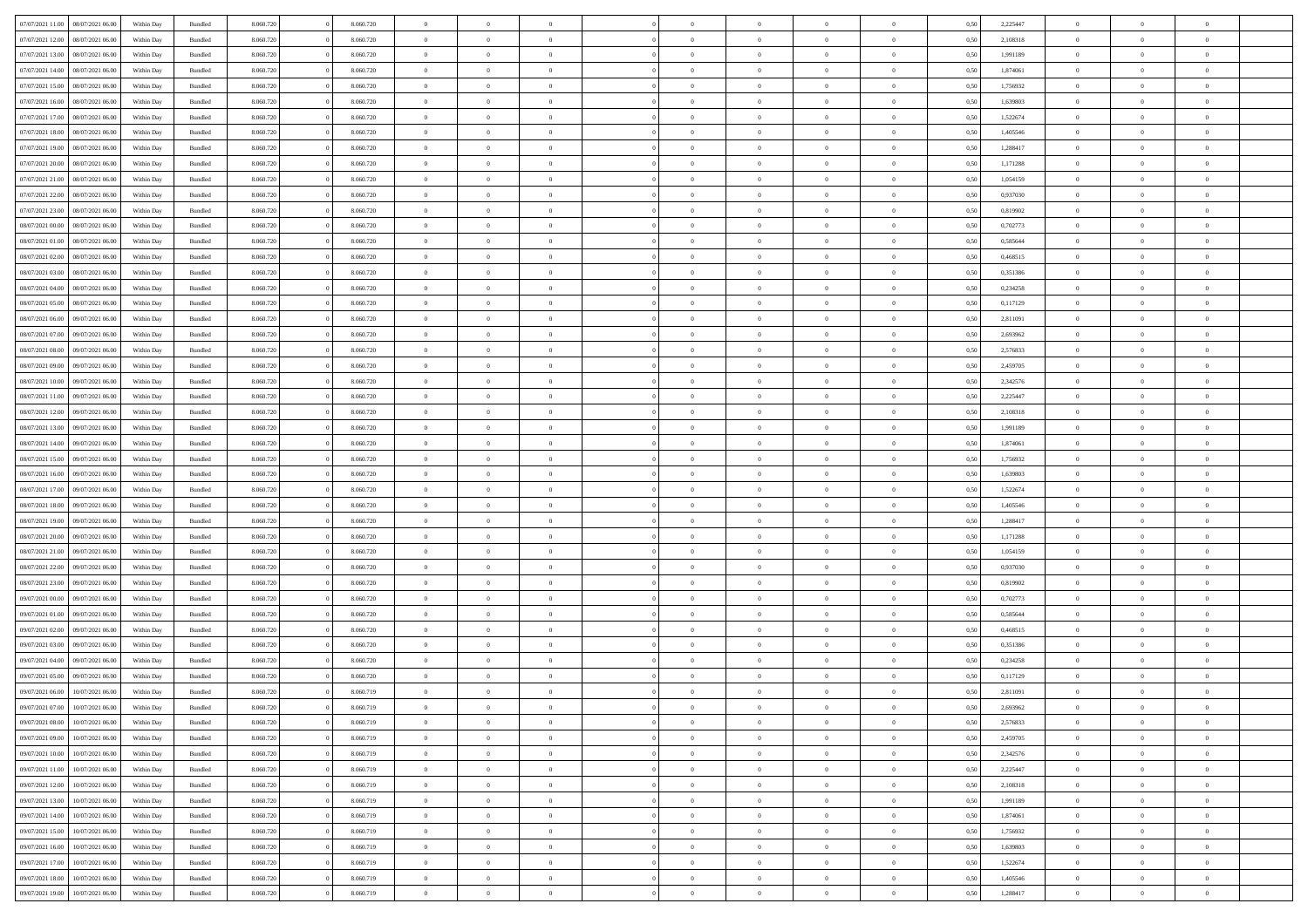| 07/07/2021 11:00 | 08/07/2021 06:00 | Within Day | Bundled            | 8.060.720 | 8.060.720 | $\overline{0}$ | $\Omega$       |                | $\Omega$       | $\Omega$       | $\theta$       | $\theta$       | 0.50 | 2,225447 | $\theta$       | $\theta$       | $\theta$       |  |
|------------------|------------------|------------|--------------------|-----------|-----------|----------------|----------------|----------------|----------------|----------------|----------------|----------------|------|----------|----------------|----------------|----------------|--|
| 07/07/2021 12:00 | 08/07/2021 06:00 | Within Day | Bundled            | 8.060.720 | 8.060.720 | $\overline{0}$ | $\theta$       | $\overline{0}$ | $\overline{0}$ | $\bf{0}$       | $\overline{0}$ | $\overline{0}$ | 0,50 | 2,108318 | $\theta$       | $\theta$       | $\overline{0}$ |  |
| 07/07/2021 13:00 | 08/07/2021 06:00 | Within Day | Bundled            | 8.060.720 | 8.060.720 | $\overline{0}$ | $\overline{0}$ | $\overline{0}$ | $\overline{0}$ | $\bf{0}$       | $\overline{0}$ | $\bf{0}$       | 0,50 | 1,991189 | $\overline{0}$ | $\overline{0}$ | $\overline{0}$ |  |
| 07/07/2021 14:00 | 08/07/2021 06:00 | Within Dav | Bundled            | 8.060.720 | 8.060.720 | $\overline{0}$ | $\overline{0}$ | $\overline{0}$ | $\overline{0}$ | $\bf{0}$       | $\overline{0}$ | $\overline{0}$ | 0.50 | 1.874061 | $\theta$       | $\theta$       | $\overline{0}$ |  |
|                  |                  |            |                    |           |           |                |                |                |                |                |                |                |      |          |                |                |                |  |
| 07/07/2021 15:00 | 08/07/2021 06:00 | Within Day | Bundled            | 8.060.720 | 8.060.720 | $\overline{0}$ | $\theta$       | $\overline{0}$ | $\overline{0}$ | $\bf{0}$       | $\overline{0}$ | $\bf{0}$       | 0,50 | 1,756932 | $\theta$       | $\theta$       | $\overline{0}$ |  |
| 07/07/2021 16:00 | 08/07/2021 06:00 | Within Day | Bundled            | 8.060.720 | 8.060.720 | $\overline{0}$ | $\bf{0}$       | $\overline{0}$ | $\overline{0}$ | $\overline{0}$ | $\overline{0}$ | $\mathbf{0}$   | 0,50 | 1,639803 | $\overline{0}$ | $\overline{0}$ | $\bf{0}$       |  |
| 07/07/2021 17:00 | 08/07/2021 06:00 | Within Dav | Bundled            | 8.060.720 | 8.060.720 | $\overline{0}$ | $\overline{0}$ | $\overline{0}$ | $\overline{0}$ | $\overline{0}$ | $\overline{0}$ | $\overline{0}$ | 0.50 | 1,522674 | $\theta$       | $\overline{0}$ | $\overline{0}$ |  |
| 07/07/2021 18:00 | 08/07/2021 06:00 | Within Day | Bundled            | 8.060.720 | 8.060.720 | $\overline{0}$ | $\theta$       | $\overline{0}$ | $\overline{0}$ | $\bf{0}$       | $\overline{0}$ | $\bf{0}$       | 0,50 | 1,405546 | $\theta$       | $\theta$       | $\overline{0}$ |  |
|                  |                  |            |                    |           |           |                |                |                |                |                |                |                |      |          |                |                |                |  |
| 07/07/2021 19:00 | 08/07/2021 06:00 | Within Day | Bundled            | 8.060.720 | 8.060.720 | $\overline{0}$ | $\overline{0}$ | $\overline{0}$ | $\overline{0}$ | $\bf{0}$       | $\overline{0}$ | $\bf{0}$       | 0,50 | 1,288417 | $\,0\,$        | $\overline{0}$ | $\overline{0}$ |  |
| 07/07/2021 20:00 | 08/07/2021 06:00 | Within Dav | Bundled            | 8.060.720 | 8.060.720 | $\overline{0}$ | $\overline{0}$ | $\overline{0}$ | $\overline{0}$ | $\overline{0}$ | $\overline{0}$ | $\overline{0}$ | 0.50 | 1,171288 | $\theta$       | $\overline{0}$ | $\overline{0}$ |  |
| 07/07/2021 21.00 | 08/07/2021 06:00 | Within Day | Bundled            | 8.060.720 | 8.060.720 | $\overline{0}$ | $\theta$       | $\overline{0}$ | $\overline{0}$ | $\bf{0}$       | $\overline{0}$ | $\bf{0}$       | 0,50 | 1,054159 | $\,$ 0 $\,$    | $\theta$       | $\overline{0}$ |  |
| 07/07/2021 22.00 | 08/07/2021 06:00 | Within Day | Bundled            | 8.060.720 | 8.060.720 | $\overline{0}$ | $\overline{0}$ | $\overline{0}$ | $\overline{0}$ | $\bf{0}$       | $\overline{0}$ | $\bf{0}$       | 0,50 | 0,937030 | $\overline{0}$ | $\overline{0}$ | $\overline{0}$ |  |
| 07/07/2021 23:00 | 08/07/2021 06:00 | Within Dav | Bundled            | 8.060.720 | 8.060.720 | $\overline{0}$ | $\overline{0}$ | $\overline{0}$ | $\overline{0}$ | $\bf{0}$       | $\overline{0}$ | $\overline{0}$ | 0.50 | 0.819902 | $\theta$       | $\theta$       | $\overline{0}$ |  |
|                  |                  |            |                    |           |           |                |                |                |                |                |                |                |      |          |                |                |                |  |
| 08/07/2021 00:00 | 08/07/2021 06:00 | Within Day | Bundled            | 8.060.720 | 8.060.720 | $\overline{0}$ | $\theta$       | $\overline{0}$ | $\overline{0}$ | $\bf{0}$       | $\overline{0}$ | $\overline{0}$ | 0,50 | 0,702773 | $\theta$       | $\overline{0}$ | $\overline{0}$ |  |
| 08/07/2021 01:00 | 08/07/2021 06:00 | Within Day | Bundled            | 8.060.720 | 8.060.720 | $\overline{0}$ | $\overline{0}$ | $\overline{0}$ | $\overline{0}$ | $\overline{0}$ | $\overline{0}$ | $\mathbf{0}$   | 0,50 | 0,585644 | $\bf{0}$       | $\overline{0}$ | $\bf{0}$       |  |
| 08/07/2021 02:00 | 08/07/2021 06:00 | Within Dav | Bundled            | 8.060.720 | 8.060.720 | $\overline{0}$ | $\overline{0}$ | $\overline{0}$ | $\overline{0}$ | $\overline{0}$ | $\overline{0}$ | $\overline{0}$ | 0.50 | 0,468515 | $\theta$       | $\overline{0}$ | $\overline{0}$ |  |
| 08/07/2021 03:00 | 08/07/2021 06:00 | Within Day | Bundled            | 8.060.720 | 8.060.720 | $\overline{0}$ | $\theta$       | $\overline{0}$ | $\overline{0}$ | $\bf{0}$       | $\overline{0}$ | $\bf{0}$       | 0,50 | 0,351386 | $\theta$       | $\theta$       | $\overline{0}$ |  |
|                  |                  |            |                    |           |           |                | $\overline{0}$ |                |                | $\bf{0}$       |                |                |      |          | $\,0\,$        | $\overline{0}$ | $\overline{0}$ |  |
| 08/07/2021 04:00 | 08/07/2021 06:00 | Within Day | Bundled            | 8.060.720 | 8.060.720 | $\overline{0}$ |                | $\overline{0}$ | $\bf{0}$       |                | $\bf{0}$       | $\bf{0}$       | 0,50 | 0,234258 |                |                |                |  |
| 08/07/2021 05:00 | 08/07/2021 06:00 | Within Dav | Bundled            | 8.060.720 | 8.060.720 | $\overline{0}$ | $\overline{0}$ | $\overline{0}$ | $\overline{0}$ | $\overline{0}$ | $\overline{0}$ | $\overline{0}$ | 0.50 | 0,117129 | $\theta$       | $\overline{0}$ | $\overline{0}$ |  |
| 08/07/2021 06:00 | 09/07/2021 06:00 | Within Day | Bundled            | 8.060.720 | 8.060.720 | $\overline{0}$ | $\theta$       | $\overline{0}$ | $\overline{0}$ | $\bf{0}$       | $\overline{0}$ | $\bf{0}$       | 0,50 | 2,811091 | $\,$ 0 $\,$    | $\theta$       | $\overline{0}$ |  |
| 08/07/2021 07:00 | 09/07/2021 06:00 | Within Day | Bundled            | 8.060.720 | 8.060.720 | $\overline{0}$ | $\overline{0}$ | $\overline{0}$ | $\bf{0}$       | $\bf{0}$       | $\bf{0}$       | $\bf{0}$       | 0,50 | 2,693962 | $\bf{0}$       | $\overline{0}$ | $\overline{0}$ |  |
| 08/07/2021 08:00 | 09/07/2021 06:00 | Within Day | Bundled            | 8.060.720 | 8.060.720 | $\overline{0}$ | $\overline{0}$ | $\overline{0}$ | $\overline{0}$ | $\bf{0}$       | $\overline{0}$ | $\overline{0}$ | 0.50 | 2,576833 | $\theta$       | $\theta$       | $\overline{0}$ |  |
|                  |                  |            |                    |           |           |                |                |                |                |                |                |                |      |          |                |                |                |  |
| 08/07/2021 09:00 | 09/07/2021 06:00 | Within Day | Bundled            | 8.060.720 | 8.060.720 | $\overline{0}$ | $\theta$       | $\overline{0}$ | $\overline{0}$ | $\bf{0}$       | $\overline{0}$ | $\bf{0}$       | 0,50 | 2,459705 | $\,$ 0 $\,$    | $\overline{0}$ | $\overline{0}$ |  |
| 08/07/2021 10:00 | 09/07/2021 06:00 | Within Day | Bundled            | 8.060.720 | 8.060.720 | $\overline{0}$ | $\bf{0}$       | $\overline{0}$ | $\bf{0}$       | $\overline{0}$ | $\overline{0}$ | $\mathbf{0}$   | 0,50 | 2,342576 | $\bf{0}$       | $\overline{0}$ | $\bf{0}$       |  |
| 08/07/2021 11:00 | 09/07/2021 06:00 | Within Dav | Bundled            | 8.060.720 | 8.060.720 | $\overline{0}$ | $\overline{0}$ | $\overline{0}$ | $\overline{0}$ | $\overline{0}$ | $\overline{0}$ | $\overline{0}$ | 0.50 | 2,225447 | $\theta$       | $\overline{0}$ | $\overline{0}$ |  |
| 08/07/2021 12:00 | 09/07/2021 06:00 | Within Day | Bundled            | 8.060.720 | 8.060.720 | $\overline{0}$ | $\theta$       | $\overline{0}$ | $\overline{0}$ | $\bf{0}$       | $\overline{0}$ | $\bf{0}$       | 0,50 | 2,108318 | $\theta$       | $\theta$       | $\overline{0}$ |  |
|                  |                  |            |                    |           |           |                |                |                |                |                |                |                |      |          |                |                |                |  |
| 08/07/2021 13:00 | 09/07/2021 06:00 | Within Day | Bundled            | 8.060.720 | 8.060.720 | $\overline{0}$ | $\overline{0}$ | $\overline{0}$ | $\bf{0}$       | $\bf{0}$       | $\bf{0}$       | $\bf{0}$       | 0,50 | 1,991189 | $\,0\,$        | $\overline{0}$ | $\overline{0}$ |  |
| 08/07/2021 14:00 | 09/07/2021 06:00 | Within Day | Bundled            | 8.060.720 | 8.060.720 | $\overline{0}$ | $\overline{0}$ | $\overline{0}$ | $\overline{0}$ | $\overline{0}$ | $\overline{0}$ | $\overline{0}$ | 0.50 | 1,874061 | $\theta$       | $\overline{0}$ | $\overline{0}$ |  |
| 08/07/2021 15:00 | 09/07/2021 06:00 | Within Day | Bundled            | 8.060.720 | 8.060.720 | $\overline{0}$ | $\theta$       | $\overline{0}$ | $\overline{0}$ | $\bf{0}$       | $\overline{0}$ | $\bf{0}$       | 0,50 | 1,756932 | $\,$ 0 $\,$    | $\overline{0}$ | $\overline{0}$ |  |
| 08/07/2021 16:00 | 09/07/2021 06:00 | Within Day | Bundled            | 8.060.720 | 8.060.720 | $\overline{0}$ | $\overline{0}$ | $\overline{0}$ | $\bf{0}$       | $\bf{0}$       | $\bf{0}$       | $\bf{0}$       | 0,50 | 1,639803 | $\bf{0}$       | $\overline{0}$ | $\overline{0}$ |  |
| 08/07/2021 17:00 | 09/07/2021 06:00 | Within Day | Bundled            | 8.060.720 | 8.060.720 | $\overline{0}$ | $\Omega$       | $\Omega$       | $\Omega$       | $\Omega$       | $\Omega$       | $\overline{0}$ | 0.50 | 1,522674 | $\,0\,$        | $\theta$       | $\theta$       |  |
|                  |                  |            |                    |           |           |                |                |                |                |                |                |                |      |          |                |                |                |  |
| 08/07/2021 18:00 | 09/07/2021 06:00 | Within Day | Bundled            | 8.060.720 | 8.060.720 | $\overline{0}$ | $\theta$       | $\overline{0}$ | $\overline{0}$ | $\bf{0}$       | $\overline{0}$ | $\bf{0}$       | 0,50 | 1,405546 | $\theta$       | $\theta$       | $\overline{0}$ |  |
| 08/07/2021 19:00 | 09/07/2021 06:00 | Within Day | Bundled            | 8.060.720 | 8.060.720 | $\overline{0}$ | $\overline{0}$ | $\overline{0}$ | $\bf{0}$       | $\bf{0}$       | $\overline{0}$ | $\mathbf{0}$   | 0,50 | 1,288417 | $\bf{0}$       | $\overline{0}$ | $\bf{0}$       |  |
| 08/07/2021 20:00 | 09/07/2021 06:00 | Within Day | Bundled            | 8.060.720 | 8.060.720 | $\overline{0}$ | $\Omega$       | $\Omega$       | $\Omega$       | $\bf{0}$       | $\overline{0}$ | $\overline{0}$ | 0.50 | 1,171288 | $\,0\,$        | $\theta$       | $\theta$       |  |
| 08/07/2021 21:00 | 09/07/2021 06:00 | Within Day | Bundled            | 8.060.720 | 8.060.720 | $\overline{0}$ | $\theta$       | $\overline{0}$ | $\overline{0}$ | $\bf{0}$       | $\overline{0}$ | $\bf{0}$       | 0,50 | 1,054159 | $\theta$       | $\theta$       | $\overline{0}$ |  |
| 08/07/2021 22.00 | 09/07/2021 06:00 | Within Day | Bundled            | 8.060.720 | 8.060.720 | $\overline{0}$ | $\overline{0}$ | $\overline{0}$ | $\bf{0}$       | $\bf{0}$       | $\bf{0}$       | $\bf{0}$       | 0,50 | 0,937030 | $\,0\,$        | $\overline{0}$ | $\overline{0}$ |  |
|                  |                  |            |                    |           |           |                |                |                |                |                |                |                |      |          |                |                |                |  |
| 08/07/2021 23:00 | 09/07/2021 06:00 | Within Day | Bundled            | 8.060.720 | 8.060.720 | $\overline{0}$ | $\Omega$       | $\Omega$       | $\Omega$       | $\theta$       | $\theta$       | $\overline{0}$ | 0.50 | 0,819902 | $\theta$       | $\theta$       | $\theta$       |  |
| 09/07/2021 00:00 | 09/07/2021 06:00 | Within Day | Bundled            | 8.060.720 | 8.060.720 | $\overline{0}$ | $\theta$       | $\overline{0}$ | $\overline{0}$ | $\bf{0}$       | $\overline{0}$ | $\bf{0}$       | 0,50 | 0,702773 | $\,$ 0 $\,$    | $\overline{0}$ | $\overline{0}$ |  |
| 09/07/2021 01:00 | 09/07/2021 06:00 | Within Day | Bundled            | 8.060.720 | 8.060.720 | $\overline{0}$ | $\overline{0}$ | $\overline{0}$ | $\bf{0}$       | $\bf{0}$       | $\bf{0}$       | $\bf{0}$       | 0,50 | 0,585644 | $\overline{0}$ | $\overline{0}$ | $\overline{0}$ |  |
| 09/07/2021 02.00 | 09/07/2021 06:00 | Within Day | Bundled            | 8.060.720 | 8.060.720 | $\overline{0}$ | $\Omega$       | $\Omega$       | $\Omega$       | $\Omega$       | $\overline{0}$ | $\overline{0}$ | 0.50 | 0,468515 | $\,0\,$        | $\theta$       | $\theta$       |  |
| 09/07/2021 03:00 | 09/07/2021 06:00 | Within Day | Bundled            | 8.060.720 | 8.060.720 | $\overline{0}$ | $\theta$       | $\overline{0}$ | $\overline{0}$ | $\bf{0}$       | $\overline{0}$ | $\bf{0}$       | 0,50 | 0,351386 | $\,$ 0 $\,$    | $\overline{0}$ | $\overline{0}$ |  |
|                  |                  |            |                    |           |           |                |                |                |                |                |                |                |      |          |                |                |                |  |
| 09/07/2021 04:00 | 09/07/2021 06:00 | Within Day | Bundled            | 8.060.720 | 8.060.720 | $\overline{0}$ | $\overline{0}$ | $\overline{0}$ | $\overline{0}$ | $\bf{0}$       | $\overline{0}$ | $\mathbf{0}$   | 0,50 | 0,234258 | $\overline{0}$ | $\overline{0}$ | $\bf{0}$       |  |
| 09/07/2021 05:00 | 09/07/2021 06:00 | Within Day | Bundled            | 8.060.720 | 8.060.720 | $\overline{0}$ | $\Omega$       | $\Omega$       | $\Omega$       | $\Omega$       | $\Omega$       | $\overline{0}$ | 0.50 | 0,117129 | $\theta$       | $\theta$       | $\theta$       |  |
| 09/07/2021 06:00 | 10/07/2021 06:00 | Within Day | Bundled            | 8.060.720 | 8.060.719 | $\overline{0}$ | $\bf{0}$       | $\overline{0}$ | $\bf{0}$       | $\,$ 0         | $\overline{0}$ | $\bf{0}$       | 0,50 | 2,811091 | $\,0\,$        | $\,$ 0 $\,$    | $\overline{0}$ |  |
| 09/07/2021 07:00 | 10/07/2021 06:00 | Within Day | $\mathbf B$ undled | 8.060.720 | 8.060.719 | $\bf{0}$       | $\bf{0}$       |                |                | $\bf{0}$       |                |                | 0,50 | 2,693962 | $\bf{0}$       | $\overline{0}$ |                |  |
|                  |                  |            |                    |           |           |                |                |                |                |                |                |                |      |          |                |                |                |  |
| 09/07/2021 08:00 | 10/07/2021 06:00 | Within Day | Bundled            | 8.060.720 | 8.060.719 | $\overline{0}$ | $\overline{0}$ | $\overline{0}$ | $\Omega$       | $\overline{0}$ | $\overline{0}$ | $\overline{0}$ | 0.50 | 2,576833 | $\theta$       | $\theta$       | $\theta$       |  |
| 09/07/2021 09:00 | 10/07/2021 06:00 | Within Day | Bundled            | 8.060.720 | 8.060.719 | $\overline{0}$ | $\,$ 0         | $\overline{0}$ | $\overline{0}$ | $\,$ 0 $\,$    | $\overline{0}$ | $\mathbf{0}$   | 0,50 | 2,459705 | $\,$ 0 $\,$    | $\,$ 0 $\,$    | $\,$ 0         |  |
| 09/07/2021 10:00 | 10/07/2021 06:00 | Within Day | Bundled            | 8.060.720 | 8.060.719 | $\overline{0}$ | $\overline{0}$ | $\overline{0}$ | $\overline{0}$ | $\overline{0}$ | $\overline{0}$ | $\mathbf{0}$   | 0,50 | 2,342576 | $\overline{0}$ | $\bf{0}$       | $\bf{0}$       |  |
| 09/07/2021 11:00 | 10/07/2021 06:00 | Within Day | Bundled            | 8.060.720 | 8.060.719 | $\overline{0}$ | $\overline{0}$ | $\overline{0}$ | $\Omega$       | $\overline{0}$ | $\overline{0}$ | $\overline{0}$ | 0,50 | 2,225447 | $\overline{0}$ | $\theta$       | $\overline{0}$ |  |
| 09/07/2021 12:00 | 10/07/2021 06:00 | Within Day | Bundled            | 8.060.720 | 8.060.719 | $\overline{0}$ | $\,$ 0         | $\overline{0}$ | $\overline{0}$ | $\,$ 0 $\,$    | $\overline{0}$ |                |      | 2,108318 | $\,$ 0 $\,$    | $\overline{0}$ | $\overline{0}$ |  |
|                  |                  |            |                    |           |           |                |                |                |                |                |                | $\mathbf{0}$   | 0,50 |          |                |                |                |  |
| 09/07/2021 13:00 | 10/07/2021 06:00 | Within Day | Bundled            | 8.060.720 | 8.060.719 | $\overline{0}$ | $\overline{0}$ | $\overline{0}$ | $\overline{0}$ | $\overline{0}$ | $\overline{0}$ | $\mathbf{0}$   | 0,50 | 1,991189 | $\overline{0}$ | $\overline{0}$ | $\bf{0}$       |  |
| 09/07/2021 14:00 | 10/07/2021 06:00 | Within Day | Bundled            | 8.060.720 | 8.060.719 | $\overline{0}$ | $\overline{0}$ | $\overline{0}$ | $\Omega$       | $\overline{0}$ | $\overline{0}$ | $\bf{0}$       | 0.50 | 1,874061 | $\overline{0}$ | $\theta$       | $\overline{0}$ |  |
| 09/07/2021 15:00 | 10/07/2021 06:00 | Within Day | Bundled            | 8.060.720 | 8.060.719 | $\overline{0}$ | $\,$ 0         | $\overline{0}$ | $\overline{0}$ | $\bf{0}$       | $\overline{0}$ | $\bf{0}$       | 0,50 | 1,756932 | $\,$ 0 $\,$    | $\overline{0}$ | $\overline{0}$ |  |
| 09/07/2021 16:00 | 10/07/2021 06:00 | Within Day | Bundled            | 8.060.720 | 8.060.719 | $\overline{0}$ | $\bf{0}$       | $\overline{0}$ | $\overline{0}$ | $\overline{0}$ | $\overline{0}$ | $\mathbf{0}$   | 0,50 | 1,639803 | $\overline{0}$ | $\overline{0}$ | $\bf{0}$       |  |
|                  |                  |            |                    |           |           |                |                |                |                |                |                |                |      |          |                |                |                |  |
| 09/07/2021 17:00 | 10/07/2021 06:00 | Within Day | Bundled            | 8.060.720 | 8.060.719 | $\overline{0}$ | $\overline{0}$ | $\overline{0}$ | $\Omega$       | $\overline{0}$ | $\overline{0}$ | $\overline{0}$ | 0.50 | 1,522674 | $\overline{0}$ | $\overline{0}$ | $\overline{0}$ |  |
| 09/07/2021 18:00 | 10/07/2021 06:00 | Within Day | Bundled            | 8.060.720 | 8.060.719 | $\overline{0}$ | $\bf{0}$       | $\overline{0}$ | $\overline{0}$ | $\bf{0}$       | $\overline{0}$ | $\bf{0}$       | 0,50 | 1,405546 | $\,$ 0 $\,$    | $\,$ 0 $\,$    | $\bf{0}$       |  |
| 09/07/2021 19:00 | 10/07/2021 06:00 | Within Day | Bundled            | 8.060.720 | 8.060.719 | $\overline{0}$ | $\bf{0}$       | $\overline{0}$ | $\bf{0}$       | $\bf{0}$       | $\bf{0}$       | $\bf{0}$       | 0,50 | 1,288417 | $\overline{0}$ | $\overline{0}$ | $\bf{0}$       |  |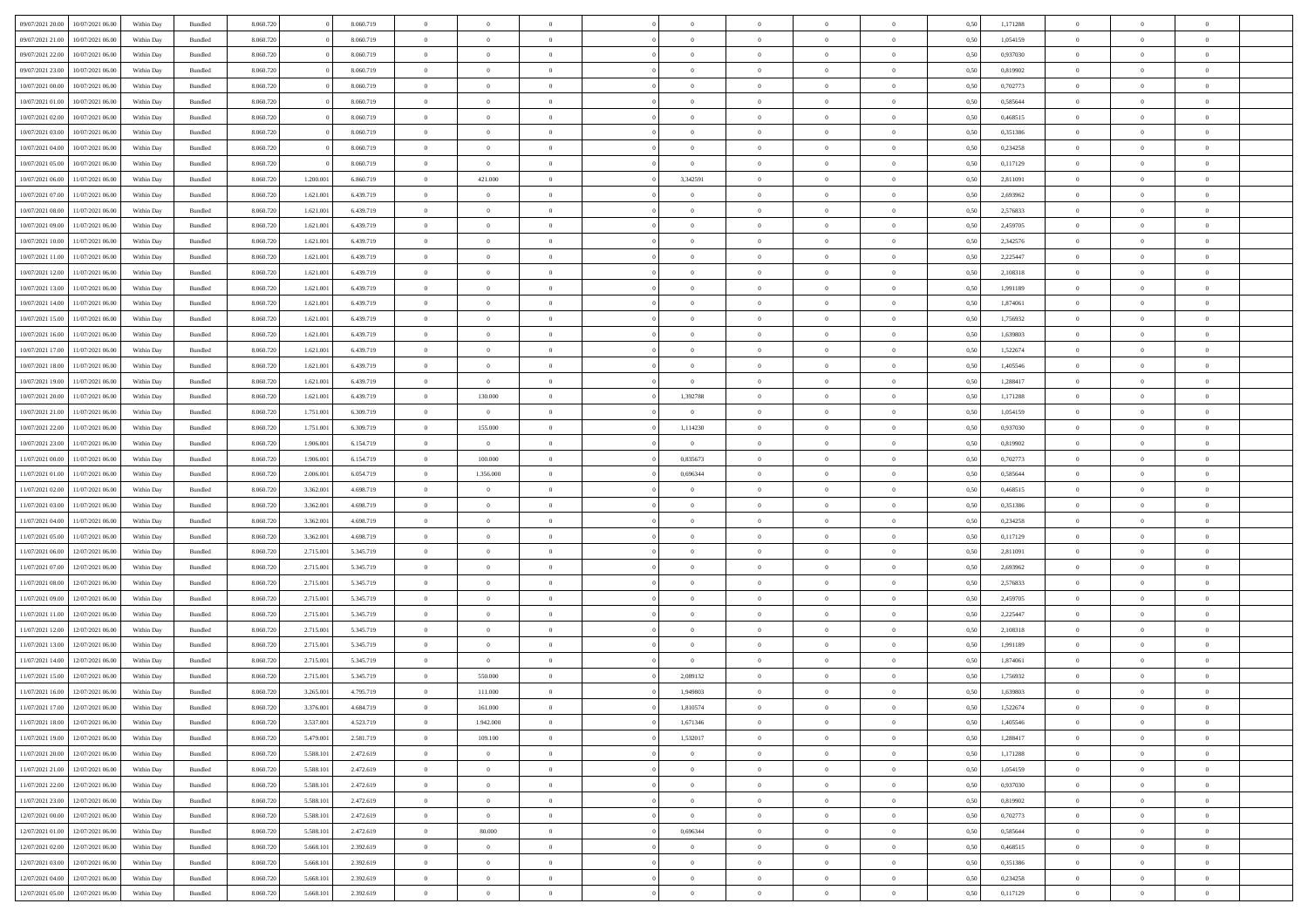| 09/07/2021 20:00 | 10/07/2021 06:00                  | Within Day | Bundled            | 8.060.720 |           | 8.060.719 | $\overline{0}$ | $\Omega$       |                | $\Omega$       | $\Omega$       | $\theta$       | $\theta$       | 0.50 | 1,171288 | $\theta$       | $\theta$       | $\theta$       |  |
|------------------|-----------------------------------|------------|--------------------|-----------|-----------|-----------|----------------|----------------|----------------|----------------|----------------|----------------|----------------|------|----------|----------------|----------------|----------------|--|
|                  |                                   |            |                    |           |           |           |                |                |                |                |                |                |                |      |          |                |                |                |  |
| 09/07/2021 21.00 | 10/07/2021 06:00                  | Within Day | Bundled            | 8.060.720 |           | 8.060.719 | $\overline{0}$ | $\theta$       | $\overline{0}$ | $\overline{0}$ | $\bf{0}$       | $\overline{0}$ | $\overline{0}$ | 0,50 | 1,054159 | $\theta$       | $\theta$       | $\overline{0}$ |  |
| 09/07/2021 22.00 | 10/07/2021 06:00                  | Within Day | Bundled            | 8.060.720 |           | 8.060.719 | $\overline{0}$ | $\overline{0}$ | $\overline{0}$ | $\bf{0}$       | $\bf{0}$       | $\bf{0}$       | $\bf{0}$       | 0,50 | 0,937030 | $\bf{0}$       | $\overline{0}$ | $\overline{0}$ |  |
| 09/07/2021 23:00 | 10/07/2021 06:00                  | Within Dav | Bundled            | 8.060.720 |           | 8.060.719 | $\overline{0}$ | $\overline{0}$ | $\overline{0}$ | $\overline{0}$ | $\bf{0}$       | $\overline{0}$ | $\overline{0}$ | 0.50 | 0.819902 | $\theta$       | $\theta$       | $\overline{0}$ |  |
|                  |                                   |            |                    |           |           |           |                |                |                |                |                |                |                |      |          |                |                |                |  |
| 10/07/2021 00:00 | 10/07/2021 06:00                  | Within Day | Bundled            | 8.060.720 |           | 8.060.719 | $\overline{0}$ | $\theta$       | $\overline{0}$ | $\overline{0}$ | $\bf{0}$       | $\overline{0}$ | $\bf{0}$       | 0,50 | 0,702773 | $\theta$       | $\overline{0}$ | $\overline{0}$ |  |
| 10/07/2021 01:00 | 10/07/2021 06:00                  | Within Day | Bundled            | 8.060.720 |           | 8.060.719 | $\overline{0}$ | $\bf{0}$       | $\overline{0}$ | $\bf{0}$       | $\overline{0}$ | $\overline{0}$ | $\mathbf{0}$   | 0,50 | 0,585644 | $\bf{0}$       | $\overline{0}$ | $\bf{0}$       |  |
| 10/07/2021 02:00 | 10/07/2021 06:00                  | Within Dav | Bundled            | 8.060.720 |           | 8.060.719 | $\overline{0}$ | $\overline{0}$ | $\overline{0}$ | $\overline{0}$ | $\overline{0}$ | $\overline{0}$ | $\overline{0}$ | 0.50 | 0,468515 | $\theta$       | $\overline{0}$ | $\overline{0}$ |  |
| 10/07/2021 03:00 | 10/07/2021 06:00                  | Within Day | Bundled            | 8.060.720 |           | 8.060.719 | $\overline{0}$ | $\theta$       | $\overline{0}$ | $\overline{0}$ | $\bf{0}$       | $\overline{0}$ | $\bf{0}$       | 0,50 | 0,351386 | $\theta$       | $\theta$       | $\overline{0}$ |  |
|                  |                                   |            |                    |           |           |           |                | $\overline{0}$ |                |                | $\bf{0}$       |                |                |      |          | $\,0\,$        | $\overline{0}$ | $\overline{0}$ |  |
| 10/07/2021 04:00 | 10/07/2021 06:00                  | Within Day | Bundled            | 8.060.720 |           | 8.060.719 | $\overline{0}$ |                | $\overline{0}$ | $\bf{0}$       |                | $\bf{0}$       | $\bf{0}$       | 0,50 | 0,234258 |                |                |                |  |
| 10/07/2021 05:00 | 10/07/2021 06:00                  | Within Dav | Bundled            | 8.060.720 |           | 8.060.719 | $\overline{0}$ | $\overline{0}$ | $\overline{0}$ | $\overline{0}$ | $\overline{0}$ | $\overline{0}$ | $\overline{0}$ | 0.50 | 0,117129 | $\theta$       | $\overline{0}$ | $\overline{0}$ |  |
| 10/07/2021 06:00 | 11/07/2021 06:00                  | Within Day | Bundled            | 8.060.720 | 1.200.001 | 6.860.719 | $\overline{0}$ | 421.000        | $\overline{0}$ | 3,342591       | $\bf{0}$       | $\overline{0}$ | $\bf{0}$       | 0,50 | 2,811091 | $\theta$       | $\theta$       | $\overline{0}$ |  |
| 10/07/2021 07:00 | 11/07/2021 06:00                  | Within Day | Bundled            | 8.060.720 | 1.621.001 | 6.439.719 | $\overline{0}$ | $\bf{0}$       | $\overline{0}$ | $\bf{0}$       | $\bf{0}$       | $\bf{0}$       | $\bf{0}$       | 0,50 | 2,693962 | $\bf{0}$       | $\overline{0}$ | $\overline{0}$ |  |
| 10/07/2021 08:00 | 11/07/2021 06:00                  | Within Dav | Bundled            | 8.060.720 | 1.621.001 | 6.439.719 | $\overline{0}$ | $\overline{0}$ | $\overline{0}$ | $\overline{0}$ | $\bf{0}$       | $\overline{0}$ | $\overline{0}$ | 0.50 | 2,576833 | $\theta$       | $\theta$       | $\overline{0}$ |  |
|                  |                                   |            |                    |           |           |           | $\overline{0}$ | $\theta$       |                |                |                |                |                |      |          | $\theta$       | $\overline{0}$ |                |  |
| 10/07/2021 09:00 | 11/07/2021 06:00                  | Within Day | Bundled            | 8.060.720 | 1.621.001 | 6.439.719 |                |                | $\overline{0}$ | $\overline{0}$ | $\bf{0}$       | $\overline{0}$ | $\overline{0}$ | 0,50 | 2,459705 |                |                | $\overline{0}$ |  |
| 10/07/2021 10:00 | 11/07/2021 06:00                  | Within Day | Bundled            | 8.060.720 | 1.621.001 | 6.439.719 | $\overline{0}$ | $\bf{0}$       | $\overline{0}$ | $\bf{0}$       | $\overline{0}$ | $\overline{0}$ | $\mathbf{0}$   | 0,50 | 2,342576 | $\overline{0}$ | $\overline{0}$ | $\bf{0}$       |  |
| 10/07/2021 11:00 | 11/07/2021 06:00                  | Within Dav | Bundled            | 8.060.720 | 1.621.001 | 6.439.719 | $\overline{0}$ | $\overline{0}$ | $\overline{0}$ | $\overline{0}$ | $\overline{0}$ | $\overline{0}$ | $\overline{0}$ | 0.50 | 2,225447 | $\theta$       | $\overline{0}$ | $\overline{0}$ |  |
| 10/07/2021 12:00 | 11/07/2021 06:00                  | Within Day | Bundled            | 8.060.720 | 1.621.001 | 6.439.719 | $\overline{0}$ | $\theta$       | $\overline{0}$ | $\overline{0}$ | $\bf{0}$       | $\overline{0}$ | $\bf{0}$       | 0,50 | 2,108318 | $\theta$       | $\theta$       | $\overline{0}$ |  |
| 10/07/2021 13:00 | 11/07/2021 06:00                  | Within Day | Bundled            | 8.060.720 | 1.621.001 | 6.439.719 | $\overline{0}$ | $\overline{0}$ | $\overline{0}$ | $\bf{0}$       | $\bf{0}$       | $\bf{0}$       | $\bf{0}$       | 0,50 | 1,991189 | $\,0\,$        | $\overline{0}$ | $\overline{0}$ |  |
|                  |                                   |            |                    |           |           |           |                |                |                |                |                |                |                |      |          |                |                |                |  |
| 10/07/2021 14:00 | 11/07/2021 06:00                  | Within Dav | Bundled            | 8.060.720 | 1.621.001 | 6.439.719 | $\overline{0}$ | $\overline{0}$ | $\overline{0}$ | $\overline{0}$ | $\overline{0}$ | $\overline{0}$ | $\overline{0}$ | 0.50 | 1,874061 | $\theta$       | $\overline{0}$ | $\overline{0}$ |  |
| 10/07/2021 15:00 | 11/07/2021 06:00                  | Within Day | Bundled            | 8.060.720 | 1.621.001 | 6.439.719 | $\overline{0}$ | $\theta$       | $\overline{0}$ | $\overline{0}$ | $\bf{0}$       | $\overline{0}$ | $\bf{0}$       | 0,50 | 1,756932 | $\theta$       | $\theta$       | $\overline{0}$ |  |
| 10/07/2021 16:00 | 11/07/2021 06:00                  | Within Day | Bundled            | 8.060.720 | 1.621.001 | 6.439.719 | $\overline{0}$ | $\overline{0}$ | $\overline{0}$ | $\bf{0}$       | $\bf{0}$       | $\bf{0}$       | $\bf{0}$       | 0,50 | 1,639803 | $\,0\,$        | $\overline{0}$ | $\overline{0}$ |  |
| 10/07/2021 17:00 | 11/07/2021 06:00                  | Within Dav | Bundled            | 8.060.720 | 1.621.001 | 6.439.719 | $\overline{0}$ | $\overline{0}$ | $\overline{0}$ | $\overline{0}$ | $\bf{0}$       | $\overline{0}$ | $\overline{0}$ | 0.50 | 1,522674 | $\theta$       | $\overline{0}$ | $\overline{0}$ |  |
|                  |                                   |            |                    |           |           |           | $\overline{0}$ | $\theta$       |                |                |                |                |                |      |          | $\theta$       | $\overline{0}$ |                |  |
| 10/07/2021 18:00 | 11/07/2021 06:00                  | Within Day | Bundled            | 8.060.720 | 1.621.001 | 6.439.719 |                |                | $\overline{0}$ | $\overline{0}$ | $\bf{0}$       | $\overline{0}$ | $\bf{0}$       | 0,50 | 1,405546 |                |                | $\overline{0}$ |  |
| 10/07/2021 19:00 | 11/07/2021 06:00                  | Within Day | Bundled            | 8.060.720 | 1.621.001 | 6.439.719 | $\overline{0}$ | $\overline{0}$ | $\overline{0}$ | $\overline{0}$ | $\bf{0}$       | $\overline{0}$ | $\mathbf{0}$   | 0,50 | 1,288417 | $\overline{0}$ | $\overline{0}$ | $\bf{0}$       |  |
| 10/07/2021 20:00 | 11/07/2021 06:00                  | Within Dav | Bundled            | 8.060.720 | 1.621.001 | 6.439.719 | $\overline{0}$ | 130.000        | $\overline{0}$ | 1,392788       | $\overline{0}$ | $\overline{0}$ | $\overline{0}$ | 0.50 | 1,171288 | $\theta$       | $\overline{0}$ | $\overline{0}$ |  |
| 10/07/2021 21:00 | 11/07/2021 06:00                  | Within Day | Bundled            | 8.060.720 | 1.751.001 | 6.309.719 | $\overline{0}$ | $\overline{0}$ | $\overline{0}$ | $\overline{0}$ | $\bf{0}$       | $\overline{0}$ | $\bf{0}$       | 0,50 | 1,054159 | $\theta$       | $\theta$       | $\overline{0}$ |  |
| 10/07/2021 22.00 | 11/07/2021 06:00                  | Within Day | Bundled            | 8.060.720 | 1.751.001 | 6.309.719 | $\overline{0}$ | 155.000        | $\overline{0}$ | 1,114230       | $\bf{0}$       | $\overline{0}$ | $\bf{0}$       | 0,50 | 0,937030 | $\,0\,$        | $\overline{0}$ | $\overline{0}$ |  |
|                  |                                   |            |                    |           |           |           |                |                |                |                |                |                |                |      |          |                |                |                |  |
| 10/07/2021 23:00 | 11/07/2021 06:00                  | Within Day | Bundled            | 8.060.720 | 1.906.001 | 6.154.719 | $\overline{0}$ | $\overline{0}$ | $\overline{0}$ | $\overline{0}$ | $\overline{0}$ | $\overline{0}$ | $\overline{0}$ | 0.50 | 0,819902 | $\theta$       | $\overline{0}$ | $\overline{0}$ |  |
| 11/07/2021 00:00 | 11/07/2021 06:00                  | Within Day | Bundled            | 8.060.720 | 1.906.001 | 6.154.719 | $\overline{0}$ | 100.000        | $\overline{0}$ | 0,835673       | $\bf{0}$       | $\overline{0}$ | $\bf{0}$       | 0,50 | 0,702773 | $\,$ 0 $\,$    | $\theta$       | $\overline{0}$ |  |
| 11/07/2021 01:00 | 11/07/2021 06:00                  | Within Day | Bundled            | 8.060.720 | 2.006.001 | 6.054.719 | $\overline{0}$ | 1.356.000      | $\overline{0}$ | 0,696344       | $\bf{0}$       | $\overline{0}$ | $\bf{0}$       | 0,50 | 0,585644 | $\bf{0}$       | $\overline{0}$ | $\overline{0}$ |  |
| 11/07/2021 02:00 | 11/07/2021 06.00                  | Within Day | Bundled            | 8.060.720 | 3.362.001 | 4.698.719 | $\overline{0}$ | $\Omega$       | $\Omega$       | $\Omega$       | $\Omega$       | $\Omega$       | $\overline{0}$ | 0.50 | 0.468515 | $\,0\,$        | $\theta$       | $\theta$       |  |
| 11/07/2021 03:00 | 11/07/2021 06:00                  | Within Day | Bundled            | 8.060.720 | 3.362.001 | 4.698.719 | $\overline{0}$ | $\theta$       | $\overline{0}$ | $\overline{0}$ | $\bf{0}$       | $\overline{0}$ | $\bf{0}$       | 0,50 | 0,351386 | $\theta$       | $\overline{0}$ | $\overline{0}$ |  |
|                  |                                   |            |                    |           |           |           |                |                |                |                |                |                |                |      |          |                |                |                |  |
| 11/07/2021 04:00 | 11/07/2021 06:00                  | Within Day | Bundled            | 8.060.720 | 3.362.001 | 4.698.719 | $\overline{0}$ | $\overline{0}$ | $\overline{0}$ | $\overline{0}$ | $\bf{0}$       | $\overline{0}$ | $\mathbf{0}$   | 0,50 | 0,234258 | $\overline{0}$ | $\overline{0}$ | $\bf{0}$       |  |
| 11/07/2021 05:00 | 11/07/2021 06:00                  | Within Day | Bundled            | 8.060.720 | 3.362.001 | 4.698.719 | $\overline{0}$ | $\Omega$       | $\Omega$       | $\Omega$       | $\overline{0}$ | $\overline{0}$ | $\overline{0}$ | 0.50 | 0,117129 | $\,0\,$        | $\theta$       | $\theta$       |  |
| 11/07/2021 06:00 | 12/07/2021 06:00                  | Within Day | Bundled            | 8.060.720 | 2.715.001 | 5.345.719 | $\overline{0}$ | $\theta$       | $\overline{0}$ | $\overline{0}$ | $\bf{0}$       | $\overline{0}$ | $\bf{0}$       | 0,50 | 2,811091 | $\theta$       | $\theta$       | $\overline{0}$ |  |
| 11/07/2021 07:00 | 12/07/2021 06:00                  | Within Day | Bundled            | 8.060.720 | 2.715.001 | 5.345.719 | $\overline{0}$ | $\overline{0}$ | $\overline{0}$ | $\bf{0}$       | $\bf{0}$       | $\overline{0}$ | $\bf{0}$       | 0,50 | 2,693962 | $\,0\,$        | $\overline{0}$ | $\overline{0}$ |  |
|                  |                                   |            |                    |           |           |           |                |                |                |                |                |                |                |      |          |                |                |                |  |
| 11/07/2021 08:00 | 12/07/2021 06:00                  | Within Day | Bundled            | 8.060.72  | 2.715.001 | 5.345.719 | $\overline{0}$ | $\Omega$       | $\Omega$       | $\Omega$       | $\theta$       | $\theta$       | $\overline{0}$ | 0.50 | 2,576833 | $\theta$       | $\theta$       | $\theta$       |  |
| 11/07/2021 09:00 | 12/07/2021 06:00                  | Within Day | Bundled            | 8.060.720 | 2.715.001 | 5.345.719 | $\overline{0}$ | $\theta$       | $\overline{0}$ | $\overline{0}$ | $\bf{0}$       | $\overline{0}$ | $\bf{0}$       | 0,50 | 2,459705 | $\,$ 0 $\,$    | $\overline{0}$ | $\overline{0}$ |  |
| 11/07/2021 11:00 | 12/07/2021 06:00                  | Within Day | Bundled            | 8.060.720 | 2.715.001 | 5.345.719 | $\overline{0}$ | $\overline{0}$ | $\overline{0}$ | $\overline{0}$ | $\bf{0}$       | $\overline{0}$ | $\bf{0}$       | 0,50 | 2,225447 | $\bf{0}$       | $\overline{0}$ | $\overline{0}$ |  |
| 11/07/2021 12:00 | 12/07/2021 06:00                  | Within Day | Bundled            | 8.060.720 | 2.715.001 | 5.345.719 | $\overline{0}$ | $\Omega$       | $\overline{0}$ | $\Omega$       | $\overline{0}$ | $\overline{0}$ | $\overline{0}$ | 0.50 | 2,108318 | $\,0\,$        | $\theta$       | $\theta$       |  |
| 11/07/2021 13:00 | 12/07/2021 06:00                  | Within Day | Bundled            | 8.060.720 | 2.715.001 | 5.345.719 | $\overline{0}$ | $\theta$       | $\overline{0}$ | $\overline{0}$ | $\bf{0}$       | $\overline{0}$ | $\bf{0}$       | 0,50 | 1,991189 | $\,$ 0 $\,$    | $\overline{0}$ | $\overline{0}$ |  |
|                  |                                   |            |                    |           |           |           |                |                |                |                |                |                |                |      |          |                |                |                |  |
| 11/07/2021 14:00 | 12/07/2021 06:00                  | Within Day | Bundled            | 8.060.720 | 2.715.001 | 5.345.719 | $\overline{0}$ | $\overline{0}$ | $\overline{0}$ | $\overline{0}$ | $\bf{0}$       | $\overline{0}$ | $\mathbf{0}$   | 0,50 | 1,874061 | $\overline{0}$ | $\overline{0}$ | $\bf{0}$       |  |
| 11/07/2021 15:00 | 12/07/2021 06:00                  | Within Day | Bundled            | 8.060.72  | 2.715.001 | 5.345.719 | $\overline{0}$ | 550,000        | $\Omega$       | 2.089132       | $\Omega$       | $\Omega$       | $\overline{0}$ | 0.50 | 1,756932 | $\theta$       | $\theta$       | $\theta$       |  |
| 11/07/2021 16:00 | 12/07/2021 06:00                  | Within Day | Bundled            | 8.060.720 | 3.265.001 | 4.795.719 | $\overline{0}$ | 111.000        | $\overline{0}$ | 1,949803       | $\,$ 0         | $\bf{0}$       | $\bf{0}$       | 0,50 | 1,639803 | $\,0\,$        | $\,0\,$        | $\overline{0}$ |  |
| 11/07/2021 17:00 | 12/07/2021 06:00                  | Within Day | $\mathbf B$ undled | 8.060.720 | 3.376.001 | 4.684.719 | $\bf{0}$       | 161.000        |                | 1,810574       |                |                |                | 0,50 | 1,522674 | $\bf{0}$       | $\overline{0}$ |                |  |
| 11/07/2021 18:00 | 12/07/2021 06:00                  | Within Day | Bundled            | 8.060.720 | 3.537.001 | 4.523.719 | $\overline{0}$ | 1.942.000      | $\overline{0}$ | 1,671346       | $\overline{0}$ | $\overline{0}$ | $\overline{0}$ | 0.50 | 1.405546 | $\theta$       | $\theta$       | $\theta$       |  |
|                  |                                   |            |                    |           |           |           |                |                |                |                |                |                |                |      |          |                |                |                |  |
| 11/07/2021 19:00 | 12/07/2021 06:00                  | Within Day | Bundled            | 8.060.720 | 5.479.001 | 2.581.719 | $\overline{0}$ | 109.100        | $\overline{0}$ | 1,532017       | $\bf{0}$       | $\overline{0}$ | $\mathbf{0}$   | 0,50 | 1,288417 | $\,$ 0 $\,$    | $\,$ 0 $\,$    | $\bf{0}$       |  |
| 11/07/2021 20:00 | 12/07/2021 06:00                  | Within Day | Bundled            | 8.060.720 | 5.588.101 | 2.472.619 | $\overline{0}$ | $\overline{0}$ | $\overline{0}$ | $\overline{0}$ | $\overline{0}$ | $\overline{0}$ | $\mathbf{0}$   | 0,50 | 1,171288 | $\overline{0}$ | $\bf{0}$       | $\bf{0}$       |  |
| 11/07/2021 21:00 | 12/07/2021 06:00                  | Within Day | Bundled            | 8.060.720 | 5.588.101 | 2.472.619 | $\overline{0}$ | $\overline{0}$ | $\overline{0}$ | $\Omega$       | $\overline{0}$ | $\overline{0}$ | $\bf{0}$       | 0,50 | 1,054159 | $\overline{0}$ | $\theta$       | $\overline{0}$ |  |
| 11/07/2021 22.00 | 12/07/2021 06:00                  | Within Day | Bundled            | 8.060.720 | 5.588.101 | 2.472.619 | $\overline{0}$ | $\,$ 0         | $\overline{0}$ | $\overline{0}$ | $\,$ 0 $\,$    | $\bf{0}$       | $\bf{0}$       | 0,50 | 0,937030 | $\,$ 0 $\,$    | $\overline{0}$ | $\overline{0}$ |  |
|                  |                                   |            |                    |           |           |           |                |                |                |                |                |                |                |      |          |                |                |                |  |
| 11/07/2021 23.00 | 12/07/2021 06:00                  | Within Day | Bundled            | 8.060.720 | 5.588.101 | 2.472.619 | $\overline{0}$ | $\overline{0}$ | $\overline{0}$ | $\overline{0}$ | $\overline{0}$ | $\overline{0}$ | $\mathbf{0}$   | 0,50 | 0,819902 | $\overline{0}$ | $\bf{0}$       | $\bf{0}$       |  |
| 12/07/2021 00:00 | 12/07/2021 06:00                  | Within Day | Bundled            | 8.060.720 | 5.588.101 | 2.472.619 | $\overline{0}$ | $\overline{0}$ | $\overline{0}$ | $\overline{0}$ | $\overline{0}$ | $\overline{0}$ | $\bf{0}$       | 0.50 | 0,702773 | $\overline{0}$ | $\theta$       | $\overline{0}$ |  |
| 12/07/2021 01:00 | 12/07/2021 06:00                  | Within Day | Bundled            | 8.060.720 | 5.588.101 | 2.472.619 | $\overline{0}$ | 80.000         | $\overline{0}$ | 0,696344       | $\,$ 0         | $\bf{0}$       | $\bf{0}$       | 0,50 | 0,585644 | $\,$ 0 $\,$    | $\overline{0}$ | $\overline{0}$ |  |
| 12/07/2021 02:00 | 12/07/2021 06:00                  | Within Day | Bundled            | 8.060.720 | 5.668.101 | 2.392.619 | $\overline{0}$ | $\bf{0}$       | $\overline{0}$ | $\overline{0}$ | $\overline{0}$ | $\overline{0}$ | $\mathbf{0}$   | 0,50 | 0,468515 | $\overline{0}$ | $\overline{0}$ | $\bf{0}$       |  |
| 12/07/2021 03:00 | 12/07/2021 06:00                  | Within Day | Bundled            | 8.060.720 | 5.668.10  | 2.392.619 | $\overline{0}$ | $\overline{0}$ | $\overline{0}$ | $\Omega$       | $\overline{0}$ | $\overline{0}$ | $\overline{0}$ | 0.50 | 0,351386 | $\overline{0}$ | $\theta$       | $\overline{0}$ |  |
|                  |                                   |            |                    |           |           |           |                |                |                |                |                |                |                |      |          |                |                |                |  |
| 12/07/2021 04:00 | 12/07/2021 06:00                  | Within Day | Bundled            | 8.060.720 | 5.668.101 | 2.392.619 | $\overline{0}$ | $\bf{0}$       | $\overline{0}$ | $\overline{0}$ | $\bf{0}$       | $\overline{0}$ | $\mathbf{0}$   | 0,50 | 0,234258 | $\,$ 0 $\,$    | $\,$ 0 $\,$    | $\bf{0}$       |  |
|                  | 12/07/2021 05:00 12/07/2021 06:00 | Within Day | Bundled            | 8.060.720 | 5.668.101 | 2.392.619 | $\overline{0}$ | $\overline{0}$ | $\overline{0}$ | $\overline{0}$ | $\bf{0}$       | $\overline{0}$ | $\mathbf{0}$   | 0,50 | 0,117129 | $\overline{0}$ | $\bf{0}$       | $\bf{0}$       |  |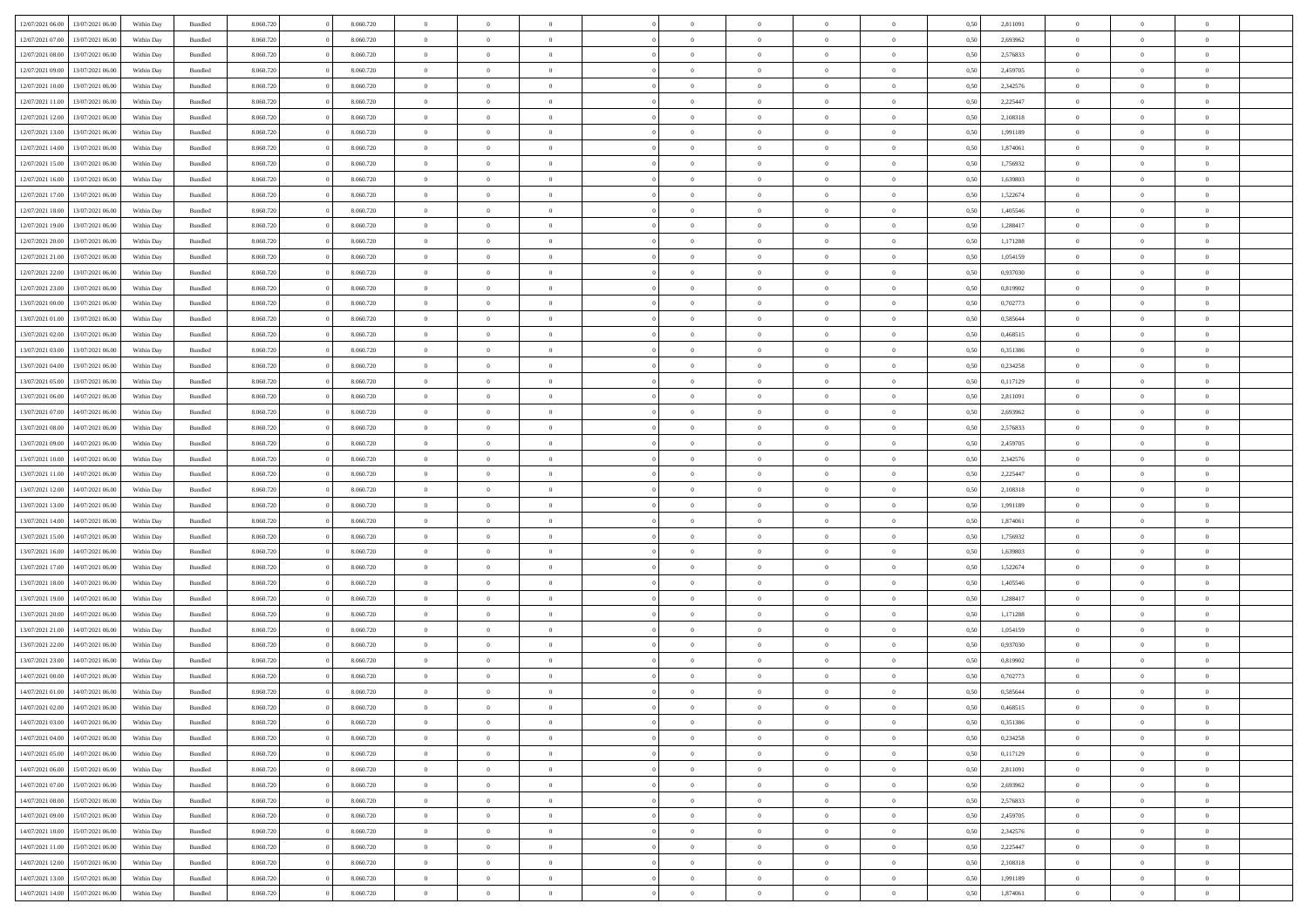| 12/07/2021 06:00 |                  |            |                    |           |           | $\overline{0}$ | $\Omega$       |                |                | $\Omega$       | $\theta$       | $\theta$       |      |          | $\theta$       |                | $\theta$       |  |
|------------------|------------------|------------|--------------------|-----------|-----------|----------------|----------------|----------------|----------------|----------------|----------------|----------------|------|----------|----------------|----------------|----------------|--|
|                  | 13/07/2021 06:00 | Within Day | Bundled            | 8.060.720 | 8.060.720 |                |                |                | $\Omega$       |                |                |                | 0.50 | 2,811091 |                | $\theta$       |                |  |
| 12/07/2021 07:00 | 13/07/2021 06:00 | Within Day | Bundled            | 8.060.720 | 8.060.720 | $\overline{0}$ | $\theta$       | $\overline{0}$ | $\overline{0}$ | $\bf{0}$       | $\overline{0}$ | $\overline{0}$ | 0,50 | 2,693962 | $\theta$       | $\theta$       | $\overline{0}$ |  |
| 12/07/2021 08:00 | 13/07/2021 06:00 | Within Day | Bundled            | 8.060.720 | 8.060.720 | $\overline{0}$ | $\overline{0}$ | $\overline{0}$ | $\overline{0}$ | $\bf{0}$       | $\overline{0}$ | $\bf{0}$       | 0,50 | 2,576833 | $\bf{0}$       | $\overline{0}$ | $\overline{0}$ |  |
|                  |                  |            |                    |           |           |                |                |                |                |                |                |                |      |          | $\theta$       |                |                |  |
| 12/07/2021 09:00 | 13/07/2021 06:00 | Within Dav | Bundled            | 8.060.720 | 8.060.720 | $\overline{0}$ | $\overline{0}$ | $\overline{0}$ | $\overline{0}$ | $\bf{0}$       | $\overline{0}$ | $\overline{0}$ | 0.50 | 2,459705 |                | $\theta$       | $\overline{0}$ |  |
| 12/07/2021 10:00 | 13/07/2021 06:00 | Within Day | Bundled            | 8.060.720 | 8.060.720 | $\overline{0}$ | $\theta$       | $\overline{0}$ | $\overline{0}$ | $\bf{0}$       | $\overline{0}$ | $\bf{0}$       | 0,50 | 2,342576 | $\theta$       | $\theta$       | $\overline{0}$ |  |
| 12/07/2021 11:00 | 13/07/2021 06:00 | Within Day | Bundled            | 8.060.720 | 8.060.720 | $\overline{0}$ | $\bf{0}$       | $\overline{0}$ | $\overline{0}$ | $\overline{0}$ | $\overline{0}$ | $\mathbf{0}$   | 0,50 | 2,225447 | $\overline{0}$ | $\overline{0}$ | $\bf{0}$       |  |
| 12/07/2021 12:00 | 13/07/2021 06:00 | Within Dav | Bundled            | 8.060.720 | 8.060.720 | $\overline{0}$ | $\overline{0}$ | $\overline{0}$ | $\overline{0}$ | $\overline{0}$ | $\overline{0}$ | $\overline{0}$ | 0.50 | 2,108318 | $\theta$       | $\overline{0}$ | $\overline{0}$ |  |
|                  |                  |            |                    |           |           |                |                |                |                |                |                |                |      |          |                |                |                |  |
| 12/07/2021 13:00 | 13/07/2021 06:00 | Within Day | Bundled            | 8.060.720 | 8.060.720 | $\overline{0}$ | $\theta$       | $\overline{0}$ | $\overline{0}$ | $\bf{0}$       | $\overline{0}$ | $\bf{0}$       | 0,50 | 1,991189 | $\theta$       | $\theta$       | $\overline{0}$ |  |
| 12/07/2021 14:00 | 13/07/2021 06:00 | Within Day | Bundled            | 8.060.720 | 8.060.720 | $\overline{0}$ | $\overline{0}$ | $\overline{0}$ | $\bf{0}$       | $\bf{0}$       | $\bf{0}$       | $\bf{0}$       | 0,50 | 1,874061 | $\,0\,$        | $\overline{0}$ | $\overline{0}$ |  |
| 12/07/2021 15:00 | 13/07/2021 06:00 | Within Dav | Bundled            | 8.060.720 | 8.060.720 | $\overline{0}$ | $\overline{0}$ | $\overline{0}$ | $\overline{0}$ | $\overline{0}$ | $\overline{0}$ | $\overline{0}$ | 0.50 | 1,756932 | $\theta$       | $\overline{0}$ | $\overline{0}$ |  |
|                  |                  |            |                    |           |           |                |                |                |                |                |                |                |      |          |                |                |                |  |
| 12/07/2021 16:00 | 13/07/2021 06:00 | Within Day | Bundled            | 8.060.720 | 8.060.720 | $\overline{0}$ | $\theta$       | $\overline{0}$ | $\overline{0}$ | $\bf{0}$       | $\overline{0}$ | $\bf{0}$       | 0,50 | 1,639803 | $\,$ 0 $\,$    | $\theta$       | $\overline{0}$ |  |
| 12/07/2021 17:00 | 13/07/2021 06:00 | Within Day | Bundled            | 8.060.720 | 8.060.720 | $\overline{0}$ | $\overline{0}$ | $\overline{0}$ | $\bf{0}$       | $\bf{0}$       | $\bf{0}$       | $\bf{0}$       | 0,50 | 1,522674 | $\overline{0}$ | $\overline{0}$ | $\overline{0}$ |  |
| 12/07/2021 18:00 | 13/07/2021 06:00 | Within Dav | Bundled            | 8.060.720 | 8.060.720 | $\overline{0}$ | $\overline{0}$ | $\overline{0}$ | $\overline{0}$ | $\bf{0}$       | $\overline{0}$ | $\overline{0}$ | 0.50 | 1,405546 | $\theta$       | $\theta$       | $\overline{0}$ |  |
|                  |                  |            |                    |           |           |                |                |                |                |                |                |                |      |          |                |                |                |  |
| 12/07/2021 19:00 | 13/07/2021 06:00 | Within Day | Bundled            | 8.060.720 | 8.060.720 | $\overline{0}$ | $\theta$       | $\overline{0}$ | $\overline{0}$ | $\bf{0}$       | $\overline{0}$ | $\overline{0}$ | 0,50 | 1,288417 | $\theta$       | $\theta$       | $\overline{0}$ |  |
| 12/07/2021 20:00 | 13/07/2021 06:00 | Within Day | Bundled            | 8.060.720 | 8.060.720 | $\overline{0}$ | $\bf{0}$       | $\overline{0}$ | $\bf{0}$       | $\overline{0}$ | $\overline{0}$ | $\mathbf{0}$   | 0,50 | 1,171288 | $\overline{0}$ | $\overline{0}$ | $\bf{0}$       |  |
| 12/07/2021 21:00 | 13/07/2021 06:00 | Within Dav | Bundled            | 8.060.720 | 8.060.720 | $\overline{0}$ | $\overline{0}$ | $\overline{0}$ | $\overline{0}$ | $\overline{0}$ | $\overline{0}$ | $\overline{0}$ | 0.50 | 1,054159 | $\theta$       | $\overline{0}$ | $\overline{0}$ |  |
| 12/07/2021 22:00 | 13/07/2021 06:00 | Within Day | Bundled            | 8.060.720 | 8.060.720 | $\overline{0}$ | $\theta$       | $\overline{0}$ | $\overline{0}$ | $\bf{0}$       | $\overline{0}$ | $\bf{0}$       | 0,50 | 0,937030 | $\theta$       | $\theta$       | $\overline{0}$ |  |
|                  |                  |            |                    |           |           |                |                |                |                |                |                |                |      |          |                |                |                |  |
| 12/07/2021 23:00 | 13/07/2021 06:00 | Within Day | Bundled            | 8.060.720 | 8.060.720 | $\overline{0}$ | $\overline{0}$ | $\overline{0}$ | $\overline{0}$ | $\bf{0}$       | $\overline{0}$ | $\bf{0}$       | 0,50 | 0,819902 | $\,0\,$        | $\overline{0}$ | $\overline{0}$ |  |
| 13/07/2021 00:00 | 13/07/2021 06:00 | Within Dav | Bundled            | 8.060.720 | 8.060.720 | $\overline{0}$ | $\overline{0}$ | $\overline{0}$ | $\overline{0}$ | $\overline{0}$ | $\overline{0}$ | $\overline{0}$ | 0.50 | 0,702773 | $\theta$       | $\overline{0}$ | $\overline{0}$ |  |
| 13/07/2021 01:00 | 13/07/2021 06:00 | Within Day | Bundled            | 8.060.720 | 8.060.720 | $\overline{0}$ | $\theta$       | $\overline{0}$ | $\overline{0}$ | $\bf{0}$       | $\overline{0}$ | $\bf{0}$       | 0,50 | 0,585644 | $\theta$       | $\theta$       | $\overline{0}$ |  |
|                  |                  |            |                    |           |           |                |                |                |                |                |                |                |      |          |                |                |                |  |
| 13/07/2021 02:00 | 13/07/2021 06:00 | Within Day | Bundled            | 8.060.720 | 8.060.720 | $\overline{0}$ | $\overline{0}$ | $\overline{0}$ | $\overline{0}$ | $\bf{0}$       | $\overline{0}$ | $\bf{0}$       | 0,50 | 0,468515 | $\bf{0}$       | $\overline{0}$ | $\overline{0}$ |  |
| 13/07/2021 03:00 | 13/07/2021 06:00 | Within Day | Bundled            | 8.060.720 | 8.060.720 | $\overline{0}$ | $\overline{0}$ | $\overline{0}$ | $\overline{0}$ | $\bf{0}$       | $\overline{0}$ | $\overline{0}$ | 0.50 | 0,351386 | $\theta$       | $\theta$       | $\overline{0}$ |  |
| 13/07/2021 04:00 | 13/07/2021 06:00 | Within Day | Bundled            | 8.060.720 | 8.060.720 | $\overline{0}$ | $\theta$       | $\overline{0}$ | $\overline{0}$ | $\bf{0}$       | $\overline{0}$ | $\bf{0}$       | 0,50 | 0,234258 | $\,$ 0 $\,$    | $\overline{0}$ | $\overline{0}$ |  |
|                  |                  |            |                    |           |           |                | $\bf{0}$       |                |                |                |                |                |      |          |                | $\overline{0}$ | $\bf{0}$       |  |
| 13/07/2021 05:00 | 13/07/2021 06:00 | Within Day | Bundled            | 8.060.720 | 8.060.720 | $\overline{0}$ |                | $\overline{0}$ | $\overline{0}$ | $\overline{0}$ | $\overline{0}$ | $\mathbf{0}$   | 0,50 | 0,117129 | $\overline{0}$ |                |                |  |
| 13/07/2021 06:00 | 14/07/2021 06:00 | Within Dav | Bundled            | 8.060.720 | 8.060.720 | $\overline{0}$ | $\overline{0}$ | $\overline{0}$ | $\overline{0}$ | $\overline{0}$ | $\overline{0}$ | $\overline{0}$ | 0.50 | 2,811091 | $\theta$       | $\theta$       | $\overline{0}$ |  |
| 13/07/2021 07:00 | 14/07/2021 06:00 | Within Day | Bundled            | 8.060.720 | 8.060.720 | $\overline{0}$ | $\theta$       | $\overline{0}$ | $\overline{0}$ | $\bf{0}$       | $\overline{0}$ | $\bf{0}$       | 0,50 | 2,693962 | $\theta$       | $\theta$       | $\overline{0}$ |  |
| 13/07/2021 08:00 | 14/07/2021 06:00 | Within Day | Bundled            | 8.060.720 | 8.060.720 | $\overline{0}$ | $\overline{0}$ | $\overline{0}$ | $\overline{0}$ | $\bf{0}$       | $\overline{0}$ | $\bf{0}$       | 0,50 | 2,576833 | $\,0\,$        | $\overline{0}$ | $\overline{0}$ |  |
|                  |                  |            |                    |           |           |                |                |                |                |                |                |                |      |          |                |                |                |  |
| 13/07/2021 09:00 | 14/07/2021 06:00 | Within Day | Bundled            | 8.060.720 | 8.060.720 | $\overline{0}$ | $\overline{0}$ | $\overline{0}$ | $\overline{0}$ | $\overline{0}$ | $\overline{0}$ | $\overline{0}$ | 0.50 | 2,459705 | $\theta$       | $\overline{0}$ | $\overline{0}$ |  |
| 13/07/2021 10:00 | 14/07/2021 06:00 | Within Day | Bundled            | 8.060.720 | 8.060.720 | $\overline{0}$ | $\theta$       | $\overline{0}$ | $\overline{0}$ | $\bf{0}$       | $\overline{0}$ | $\bf{0}$       | 0,50 | 2,342576 | $\,$ 0 $\,$    | $\overline{0}$ | $\overline{0}$ |  |
| 13/07/2021 11:00 | 14/07/2021 06:00 | Within Day | Bundled            | 8.060.720 | 8.060.720 | $\overline{0}$ | $\overline{0}$ | $\overline{0}$ | $\overline{0}$ | $\bf{0}$       | $\overline{0}$ | $\bf{0}$       | 0,50 | 2,225447 | $\overline{0}$ | $\overline{0}$ | $\overline{0}$ |  |
|                  |                  |            |                    |           |           |                |                |                |                |                |                |                |      |          |                |                | $\theta$       |  |
| 13/07/2021 12:00 | 14/07/2021 06:00 | Within Day | Bundled            | 8.060.720 | 8.060.720 | $\overline{0}$ | $\Omega$       | $\Omega$       | $\Omega$       | $\Omega$       | $\Omega$       | $\overline{0}$ | 0.50 | 2,108318 | $\,0\,$        | $\theta$       |                |  |
| 13/07/2021 13:00 | 14/07/2021 06:00 | Within Day | Bundled            | 8.060.720 | 8.060.720 | $\overline{0}$ | $\theta$       | $\overline{0}$ | $\overline{0}$ | $\bf{0}$       | $\overline{0}$ | $\bf{0}$       | 0,50 | 1,991189 | $\theta$       | $\theta$       | $\overline{0}$ |  |
| 13/07/2021 14:00 | 14/07/2021 06:00 | Within Day | Bundled            | 8.060.720 | 8.060.720 | $\overline{0}$ | $\overline{0}$ | $\overline{0}$ | $\overline{0}$ | $\bf{0}$       | $\overline{0}$ | $\mathbf{0}$   | 0,50 | 1,874061 | $\overline{0}$ | $\overline{0}$ | $\bf{0}$       |  |
| 13/07/2021 15:00 | 14/07/2021 06:00 | Within Day | Bundled            | 8.060.720 | 8.060.720 | $\overline{0}$ | $\Omega$       | $\Omega$       | $\Omega$       | $\bf{0}$       | $\overline{0}$ | $\overline{0}$ | 0.50 | 1,756932 | $\,0\,$        | $\theta$       | $\theta$       |  |
|                  |                  |            |                    |           |           |                |                |                |                |                |                |                |      |          |                |                |                |  |
| 13/07/2021 16:00 | 14/07/2021 06:00 | Within Day | Bundled            | 8.060.720 | 8.060.720 | $\overline{0}$ | $\theta$       | $\overline{0}$ | $\overline{0}$ | $\bf{0}$       | $\overline{0}$ | $\bf{0}$       | 0,50 | 1,639803 | $\,$ 0 $\,$    | $\theta$       | $\overline{0}$ |  |
| 13/07/2021 17:00 | 14/07/2021 06:00 | Within Day | Bundled            | 8.060.720 | 8.060.720 | $\overline{0}$ | $\overline{0}$ | $\overline{0}$ | $\bf{0}$       | $\bf{0}$       | $\bf{0}$       | $\bf{0}$       | 0,50 | 1,522674 | $\,0\,$        | $\overline{0}$ | $\overline{0}$ |  |
| 13/07/2021 18:00 | 14/07/2021 06:00 | Within Day | Bundled            | 8.060.720 | 8.060.720 | $\overline{0}$ | $\Omega$       | $\Omega$       | $\Omega$       | $\theta$       | $\theta$       | $\overline{0}$ | 0.50 | 1.405546 | $\theta$       | $\theta$       | $\theta$       |  |
| 13/07/2021 19:00 | 14/07/2021 06:00 |            |                    | 8.060.720 | 8.060.720 | $\overline{0}$ | $\theta$       | $\overline{0}$ | $\overline{0}$ | $\bf{0}$       | $\overline{0}$ |                |      | 1,288417 | $\,$ 0 $\,$    | $\overline{0}$ | $\overline{0}$ |  |
|                  |                  | Within Day | Bundled            |           |           |                |                |                |                |                |                | $\bf{0}$       | 0,50 |          |                |                |                |  |
| 13/07/2021 20:00 | 14/07/2021 06:00 | Within Day | Bundled            | 8.060.720 | 8.060.720 | $\overline{0}$ | $\overline{0}$ | $\overline{0}$ | $\bf{0}$       | $\bf{0}$       | $\bf{0}$       | $\bf{0}$       | 0,50 | 1,171288 | $\bf{0}$       | $\overline{0}$ | $\overline{0}$ |  |
| 13/07/2021 21:00 | 14/07/2021 06:00 | Within Day | Bundled            | 8.060.720 | 8.060.720 | $\overline{0}$ | $\Omega$       | $\Omega$       | $\Omega$       | $\Omega$       | $\overline{0}$ | $\overline{0}$ | 0.50 | 1,054159 | $\,0\,$        | $\theta$       | $\theta$       |  |
| 13/07/2021 22:00 | 14/07/2021 06:00 | Within Day | Bundled            | 8.060.720 | 8.060.720 | $\overline{0}$ | $\theta$       | $\overline{0}$ | $\overline{0}$ | $\bf{0}$       | $\overline{0}$ | $\bf{0}$       | 0,50 | 0,937030 | $\,$ 0 $\,$    | $\overline{0}$ | $\overline{0}$ |  |
|                  |                  |            |                    |           |           |                |                |                |                |                |                |                |      |          |                |                |                |  |
| 13/07/2021 23:00 | 14/07/2021 06:00 | Within Day | Bundled            | 8.060.720 | 8.060.720 | $\overline{0}$ | $\overline{0}$ | $\overline{0}$ | $\bf{0}$       | $\bf{0}$       | $\bf{0}$       | $\mathbf{0}$   | 0,50 | 0,819902 | $\bf{0}$       | $\overline{0}$ | $\bf{0}$       |  |
| 14/07/2021 00:00 | 14/07/2021 06:00 | Within Day | Bundled            | 8.060.720 | 8.060.720 | $\overline{0}$ | $\Omega$       | $\Omega$       | $\Omega$       | $\Omega$       | $\Omega$       | $\overline{0}$ | 0.50 | 0.702773 | $\theta$       | $\theta$       | $\theta$       |  |
| 14/07/2021 01:00 | 14/07/2021 06:00 | Within Day | Bundled            | 8.060.720 | 8.060.720 | $\overline{0}$ | $\overline{0}$ | $\overline{0}$ | $\bf{0}$       | $\,$ 0         | $\bf{0}$       | $\bf{0}$       | 0,50 | 0,585644 | $\,0\,$        | $\,$ 0 $\,$    | $\overline{0}$ |  |
| 14/07/2021 02:00 | 14/07/2021 06:00 | Within Day | $\mathbf B$ undled | 8.060.720 | 8.060.720 | $\bf{0}$       | $\bf{0}$       |                |                | $\bf{0}$       |                |                | 0,50 | 0,468515 | $\bf{0}$       | $\overline{0}$ |                |  |
|                  |                  |            |                    |           |           |                |                |                |                |                |                |                |      |          |                |                |                |  |
| 14/07/2021 03:00 | 14/07/2021 06:00 | Within Day | Bundled            | 8.060.720 | 8.060.720 | $\overline{0}$ | $\overline{0}$ | $\overline{0}$ | $\Omega$       | $\overline{0}$ | $\overline{0}$ | $\overline{0}$ | 0,50 | 0,351386 | $\theta$       | $\theta$       | $\theta$       |  |
| 14/07/2021 04:00 | 14/07/2021 06:00 | Within Day | Bundled            | 8.060.720 | 8.060.720 | $\overline{0}$ | $\,$ 0         | $\overline{0}$ | $\bf{0}$       | $\,$ 0 $\,$    | $\overline{0}$ | $\mathbf{0}$   | 0,50 | 0,234258 | $\,$ 0 $\,$    | $\,$ 0 $\,$    | $\,$ 0         |  |
| 14/07/2021 05:00 | 14/07/2021 06:00 | Within Day | Bundled            | 8.060.720 | 8.060.720 | $\overline{0}$ | $\overline{0}$ | $\overline{0}$ | $\overline{0}$ | $\overline{0}$ | $\overline{0}$ | $\mathbf{0}$   | 0,50 | 0,117129 | $\overline{0}$ | $\bf{0}$       | $\overline{0}$ |  |
|                  |                  |            |                    |           |           |                |                |                |                |                |                |                |      |          |                |                |                |  |
| 14/07/2021 06:00 | 15/07/2021 06:00 | Within Day | Bundled            | 8.060.720 | 8.060.720 | $\overline{0}$ | $\overline{0}$ | $\overline{0}$ | $\Omega$       | $\overline{0}$ | $\overline{0}$ | $\overline{0}$ | 0,50 | 2,811091 | $\overline{0}$ | $\theta$       | $\overline{0}$ |  |
| 14/07/2021 07:00 | 15/07/2021 06:00 | Within Day | Bundled            | 8.060.720 | 8.060.720 | $\overline{0}$ | $\,$ 0         | $\overline{0}$ | $\overline{0}$ | $\,$ 0 $\,$    | $\overline{0}$ | $\mathbf{0}$   | 0,50 | 2,693962 | $\,$ 0 $\,$    | $\overline{0}$ | $\overline{0}$ |  |
| 14/07/2021 08:00 | 15/07/2021 06:00 | Within Day | Bundled            | 8.060.720 | 8.060.720 | $\overline{0}$ | $\overline{0}$ | $\overline{0}$ | $\overline{0}$ | $\overline{0}$ | $\overline{0}$ | $\mathbf{0}$   | 0,50 | 2,576833 | $\overline{0}$ | $\overline{0}$ | $\overline{0}$ |  |
| 14/07/2021 09:00 | 15/07/2021 06:00 | Within Day | Bundled            | 8.060.720 | 8.060.720 | $\overline{0}$ | $\overline{0}$ | $\overline{0}$ | $\Omega$       | $\overline{0}$ | $\overline{0}$ | $\bf{0}$       | 0.50 | 2,459705 | $\overline{0}$ | $\theta$       | $\overline{0}$ |  |
|                  |                  |            |                    |           |           |                |                |                |                |                |                |                |      |          |                |                |                |  |
| 14/07/2021 10:00 | 15/07/2021 06:00 | Within Day | Bundled            | 8.060.720 | 8.060.720 | $\overline{0}$ | $\,$ 0         | $\overline{0}$ | $\bf{0}$       | $\bf{0}$       | $\bf{0}$       | $\bf{0}$       | 0,50 | 2,342576 | $\,$ 0 $\,$    | $\overline{0}$ | $\overline{0}$ |  |
| 14/07/2021 11:00 | 15/07/2021 06:00 | Within Day | Bundled            | 8.060.720 | 8.060.720 | $\overline{0}$ | $\bf{0}$       | $\overline{0}$ | $\overline{0}$ | $\overline{0}$ | $\overline{0}$ | $\mathbf{0}$   | 0,50 | 2,225447 | $\overline{0}$ | $\overline{0}$ | $\bf{0}$       |  |
| 14/07/2021 12:00 | 15/07/2021 06:00 | Within Day | Bundled            | 8.060.720 | 8.060.720 | $\overline{0}$ | $\overline{0}$ | $\overline{0}$ | $\Omega$       | $\overline{0}$ | $\overline{0}$ | $\overline{0}$ | 0.50 | 2,108318 | $\overline{0}$ | $\overline{0}$ | $\overline{0}$ |  |
|                  |                  |            |                    |           |           |                | $\bf{0}$       |                | $\overline{0}$ |                |                |                |      |          | $\,$ 0 $\,$    | $\,$ 0 $\,$    |                |  |
| 14/07/2021 13:00 | 15/07/2021 06:00 | Within Day | Bundled            | 8.060.720 | 8.060.720 | $\overline{0}$ |                | $\overline{0}$ |                | $\bf{0}$       | $\bf{0}$       | $\mathbf{0}$   | 0,50 | 1,991189 |                |                | $\bf{0}$       |  |
| 14/07/2021 14:00 | 15/07/2021 06:00 | Within Day | Bundled            | 8.060.720 | 8.060.720 | $\overline{0}$ | $\overline{0}$ | $\overline{0}$ | $\overline{0}$ | $\overline{0}$ | $\bf{0}$       | $\mathbf{0}$   | 0,50 | 1,874061 | $\overline{0}$ | $\bf{0}$       | $\overline{0}$ |  |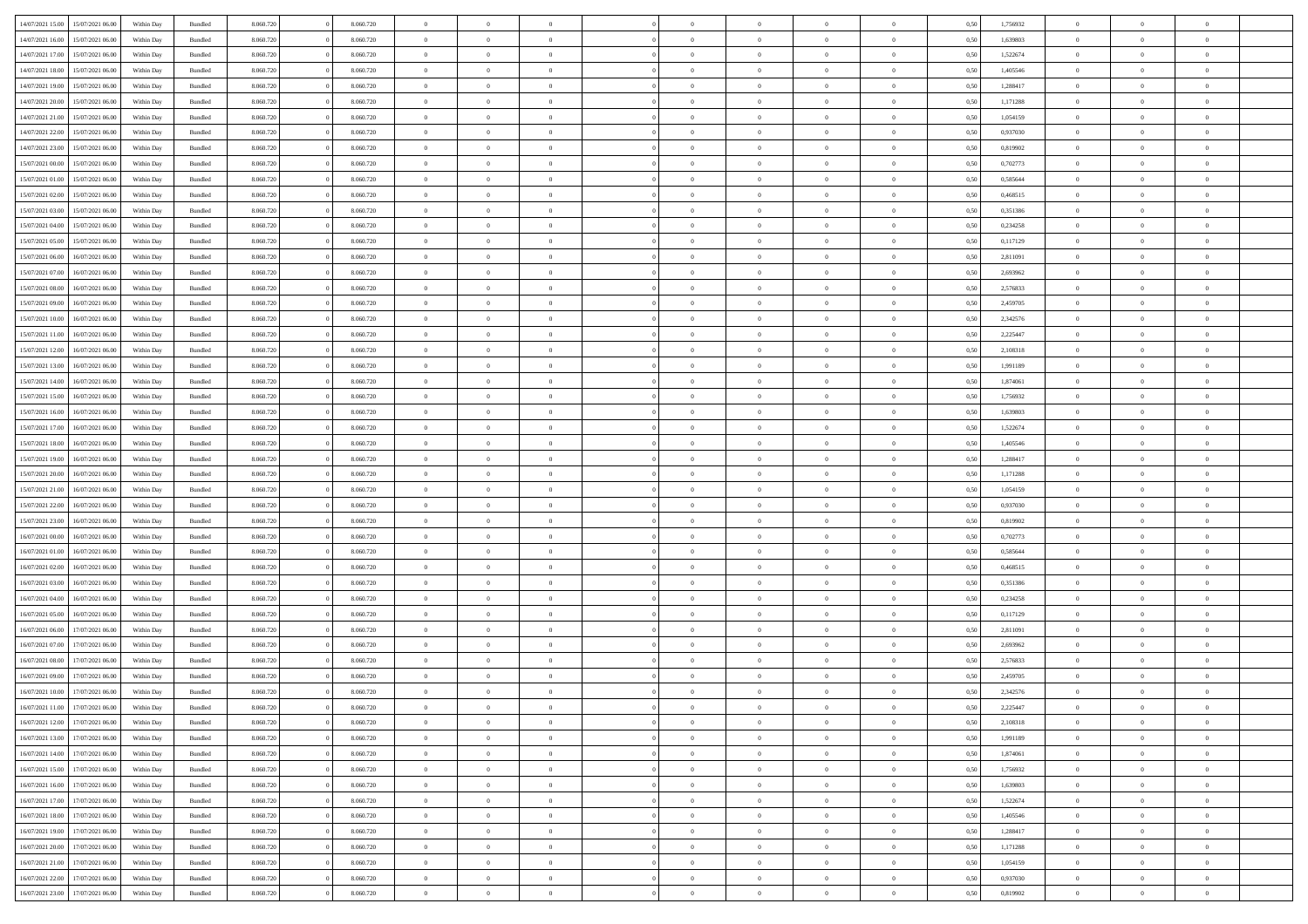| 14/07/2021 15:00 | 15/07/2021 06:00                  | Within Day | Bundled            | 8.060.720 | 8.060.720 | $\overline{0}$ | $\Omega$       |                | $\Omega$       | $\Omega$       | $\theta$       | $\theta$       | 0.50 | 1,756932 | $\theta$       | $\theta$       | $\overline{0}$ |  |
|------------------|-----------------------------------|------------|--------------------|-----------|-----------|----------------|----------------|----------------|----------------|----------------|----------------|----------------|------|----------|----------------|----------------|----------------|--|
| 14/07/2021 16:00 | 15/07/2021 06:00                  | Within Day | Bundled            | 8.060.720 | 8.060.720 | $\overline{0}$ | $\theta$       | $\overline{0}$ | $\overline{0}$ | $\bf{0}$       | $\overline{0}$ | $\bf{0}$       | 0,50 | 1,639803 | $\theta$       | $\overline{0}$ | $\overline{0}$ |  |
| 14/07/2021 17:00 | 15/07/2021 06:00                  | Within Day | Bundled            | 8.060.720 | 8.060.720 | $\overline{0}$ | $\bf{0}$       | $\overline{0}$ | $\bf{0}$       | $\bf{0}$       | $\bf{0}$       | $\mathbf{0}$   | 0,50 | 1,522674 | $\overline{0}$ | $\overline{0}$ | $\bf{0}$       |  |
|                  |                                   |            |                    |           |           |                |                |                |                |                |                |                |      |          | $\theta$       |                |                |  |
| 14/07/2021 18:00 | 15/07/2021 06:00                  | Within Dav | Bundled            | 8.060.720 | 8.060.720 | $\overline{0}$ | $\overline{0}$ | $\overline{0}$ | $\overline{0}$ | $\bf{0}$       | $\overline{0}$ | $\overline{0}$ | 0.50 | 1,405546 |                | $\theta$       | $\overline{0}$ |  |
| 14/07/2021 19:00 | 15/07/2021 06:00                  | Within Day | Bundled            | 8.060.720 | 8.060.720 | $\overline{0}$ | $\theta$       | $\overline{0}$ | $\overline{0}$ | $\bf{0}$       | $\overline{0}$ | $\bf{0}$       | 0,50 | 1,288417 | $\theta$       | $\overline{0}$ | $\overline{0}$ |  |
| 14/07/2021 20:00 | 15/07/2021 06:00                  | Within Day | Bundled            | 8.060.720 | 8.060.720 | $\overline{0}$ | $\overline{0}$ | $\overline{0}$ | $\bf{0}$       | $\overline{0}$ | $\overline{0}$ | $\mathbf{0}$   | 0,50 | 1,171288 | $\overline{0}$ | $\overline{0}$ | $\bf{0}$       |  |
| 14/07/2021 21:00 | 15/07/2021 06:00                  | Within Dav | Bundled            | 8.060.720 | 8.060.720 | $\overline{0}$ | $\overline{0}$ | $\overline{0}$ | $\overline{0}$ | $\overline{0}$ | $\overline{0}$ | $\overline{0}$ | 0.50 | 1,054159 | $\theta$       | $\overline{0}$ | $\overline{0}$ |  |
|                  |                                   |            |                    |           |           |                |                |                |                |                |                |                |      |          |                |                |                |  |
| 14/07/2021 22.00 | 15/07/2021 06:00                  | Within Day | Bundled            | 8.060.720 | 8.060.720 | $\overline{0}$ | $\theta$       | $\overline{0}$ | $\overline{0}$ | $\bf{0}$       | $\overline{0}$ | $\bf{0}$       | 0,50 | 0,937030 | $\theta$       | $\theta$       | $\overline{0}$ |  |
| 14/07/2021 23.00 | 15/07/2021 06:00                  | Within Day | Bundled            | 8.060.720 | 8.060.720 | $\overline{0}$ | $\overline{0}$ | $\overline{0}$ | $\bf{0}$       | $\bf{0}$       | $\bf{0}$       | $\bf{0}$       | 0,50 | 0,819902 | $\,0\,$        | $\overline{0}$ | $\overline{0}$ |  |
| 15/07/2021 00:00 | 15/07/2021 06:00                  | Within Dav | Bundled            | 8.060.720 | 8.060.720 | $\overline{0}$ | $\overline{0}$ | $\overline{0}$ | $\overline{0}$ | $\overline{0}$ | $\overline{0}$ | $\overline{0}$ | 0.50 | 0,702773 | $\theta$       | $\overline{0}$ | $\overline{0}$ |  |
|                  |                                   |            |                    |           |           |                |                |                |                |                |                |                |      |          |                |                |                |  |
| 15/07/2021 01:00 | 15/07/2021 06:00                  | Within Day | Bundled            | 8.060.720 | 8.060.720 | $\overline{0}$ | $\theta$       | $\overline{0}$ | $\overline{0}$ | $\bf{0}$       | $\overline{0}$ | $\bf{0}$       | 0,50 | 0,585644 | $\,$ 0 $\,$    | $\overline{0}$ | $\overline{0}$ |  |
| 15/07/2021 02:00 | 15/07/2021 06:00                  | Within Day | Bundled            | 8.060.720 | 8.060.720 | $\overline{0}$ | $\bf{0}$       | $\overline{0}$ | $\bf{0}$       | $\bf{0}$       | $\bf{0}$       | $\mathbf{0}$   | 0,50 | 0,468515 | $\overline{0}$ | $\overline{0}$ | $\bf{0}$       |  |
| 15/07/2021 03:00 | 15/07/2021 06:00                  | Within Dav | Bundled            | 8.060.720 | 8.060.720 | $\overline{0}$ | $\overline{0}$ | $\overline{0}$ | $\overline{0}$ | $\bf{0}$       | $\overline{0}$ | $\overline{0}$ | 0.50 | 0,351386 | $\theta$       | $\theta$       | $\overline{0}$ |  |
| 15/07/2021 04:00 | 15/07/2021 06:00                  | Within Day | Bundled            | 8.060.720 | 8.060.720 | $\overline{0}$ | $\theta$       | $\overline{0}$ | $\overline{0}$ | $\bf{0}$       | $\overline{0}$ | $\overline{0}$ | 0,50 | 0,234258 | $\theta$       | $\overline{0}$ | $\overline{0}$ |  |
|                  |                                   |            |                    |           |           |                |                |                |                |                |                |                |      |          |                |                |                |  |
| 15/07/2021 05:00 | 15/07/2021 06:00                  | Within Day | Bundled            | 8.060.720 | 8.060.720 | $\overline{0}$ | $\overline{0}$ | $\overline{0}$ | $\bf{0}$       | $\overline{0}$ | $\overline{0}$ | $\mathbf{0}$   | 0,50 | 0,117129 | $\overline{0}$ | $\overline{0}$ | $\bf{0}$       |  |
| 15/07/2021 06:00 | 16/07/2021 06:00                  | Within Dav | Bundled            | 8.060.720 | 8.060.720 | $\overline{0}$ | $\overline{0}$ | $\overline{0}$ | $\overline{0}$ | $\overline{0}$ | $\overline{0}$ | $\overline{0}$ | 0.50 | 2,811091 | $\overline{0}$ | $\overline{0}$ | $\overline{0}$ |  |
| 15/07/2021 07:00 | 16/07/2021 06:00                  | Within Day | Bundled            | 8.060.720 | 8.060.720 | $\overline{0}$ | $\theta$       | $\overline{0}$ | $\overline{0}$ | $\bf{0}$       | $\overline{0}$ | $\bf{0}$       | 0,50 | 2,693962 | $\theta$       | $\theta$       | $\overline{0}$ |  |
|                  |                                   |            |                    |           |           |                |                |                |                |                |                |                |      |          |                |                |                |  |
| 15/07/2021 08:00 | 16/07/2021 06:00                  | Within Day | Bundled            | 8.060.720 | 8.060.720 | $\overline{0}$ | $\overline{0}$ | $\overline{0}$ | $\bf{0}$       | $\bf{0}$       | $\bf{0}$       | $\mathbf{0}$   | 0,50 | 2,576833 | $\bf{0}$       | $\overline{0}$ | $\bf{0}$       |  |
| 15/07/2021 09:00 | 16/07/2021 06:00                  | Within Dav | Bundled            | 8.060.720 | 8.060.720 | $\overline{0}$ | $\overline{0}$ | $\overline{0}$ | $\overline{0}$ | $\overline{0}$ | $\overline{0}$ | $\overline{0}$ | 0.50 | 2,459705 | $\theta$       | $\overline{0}$ | $\overline{0}$ |  |
| 15/07/2021 10:00 | 16/07/2021 06:00                  | Within Day | Bundled            | 8.060.720 | 8.060.720 | $\overline{0}$ | $\theta$       | $\overline{0}$ | $\overline{0}$ | $\bf{0}$       | $\overline{0}$ | $\bf{0}$       | 0,50 | 2,342576 | $\,$ 0 $\,$    | $\overline{0}$ | $\overline{0}$ |  |
| 15/07/2021 11:00 | 16/07/2021 06:00                  | Within Day | Bundled            | 8.060.720 | 8.060.720 | $\overline{0}$ | $\overline{0}$ | $\overline{0}$ | $\bf{0}$       | $\bf{0}$       | $\bf{0}$       | $\bf{0}$       | 0,50 | 2,225447 | $\bf{0}$       | $\overline{0}$ | $\bf{0}$       |  |
| 15/07/2021 12:00 | 16/07/2021 06:00                  |            | Bundled            | 8.060.720 | 8.060.720 | $\overline{0}$ | $\overline{0}$ | $\overline{0}$ |                | $\bf{0}$       | $\overline{0}$ |                | 0.50 | 2,108318 | $\theta$       | $\overline{0}$ | $\overline{0}$ |  |
|                  |                                   | Within Day |                    |           |           |                |                |                | $\overline{0}$ |                |                | $\overline{0}$ |      |          |                |                |                |  |
| 15/07/2021 13:00 | 16/07/2021 06:00                  | Within Day | Bundled            | 8.060.720 | 8.060.720 | $\overline{0}$ | $\theta$       | $\overline{0}$ | $\overline{0}$ | $\bf{0}$       | $\overline{0}$ | $\bf{0}$       | 0,50 | 1,991189 | $\,$ 0 $\,$    | $\overline{0}$ | $\overline{0}$ |  |
| 15/07/2021 14:00 | 16/07/2021 06:00                  | Within Day | Bundled            | 8.060.720 | 8.060.720 | $\overline{0}$ | $\overline{0}$ | $\overline{0}$ | $\bf{0}$       | $\overline{0}$ | $\overline{0}$ | $\mathbf{0}$   | 0,50 | 1,874061 | $\bf{0}$       | $\overline{0}$ | $\bf{0}$       |  |
| 15/07/2021 15:00 | 16/07/2021 06:00                  | Within Dav | Bundled            | 8.060.720 | 8.060.720 | $\overline{0}$ | $\overline{0}$ | $\overline{0}$ | $\overline{0}$ | $\overline{0}$ | $\overline{0}$ | $\overline{0}$ | 0.50 | 1,756932 | $\overline{0}$ | $\overline{0}$ | $\overline{0}$ |  |
|                  |                                   |            |                    |           |           |                |                |                |                |                |                |                |      |          |                |                |                |  |
| 15/07/2021 16:00 | 16/07/2021 06:00                  | Within Day | Bundled            | 8.060.720 | 8.060.720 | $\overline{0}$ | $\theta$       | $\overline{0}$ | $\overline{0}$ | $\bf{0}$       | $\overline{0}$ | $\bf{0}$       | 0,50 | 1,639803 | $\theta$       | $\theta$       | $\overline{0}$ |  |
| 15/07/2021 17:00 | 16/07/2021 06:00                  | Within Day | Bundled            | 8.060.720 | 8.060.720 | $\overline{0}$ | $\overline{0}$ | $\overline{0}$ | $\bf{0}$       | $\bf{0}$       | $\bf{0}$       | $\bf{0}$       | 0,50 | 1,522674 | $\,0\,$        | $\overline{0}$ | $\overline{0}$ |  |
| 15/07/2021 18:00 | 16/07/2021 06:00                  | Within Day | Bundled            | 8.060.720 | 8.060.720 | $\overline{0}$ | $\overline{0}$ | $\overline{0}$ | $\overline{0}$ | $\overline{0}$ | $\overline{0}$ | $\overline{0}$ | 0.50 | 1,405546 | $\theta$       | $\overline{0}$ | $\overline{0}$ |  |
| 15/07/2021 19:00 | 16/07/2021 06:00                  | Within Day | Bundled            | 8.060.720 | 8.060.720 | $\overline{0}$ | $\theta$       | $\overline{0}$ | $\overline{0}$ | $\bf{0}$       | $\overline{0}$ | $\bf{0}$       | 0,50 | 1,288417 | $\,$ 0 $\,$    | $\overline{0}$ | $\overline{0}$ |  |
|                  |                                   |            |                    |           |           |                |                |                |                |                |                |                |      |          |                |                |                |  |
| 15/07/2021 20.00 | 16/07/2021 06:00                  | Within Day | Bundled            | 8.060.720 | 8.060.720 | $\overline{0}$ | $\overline{0}$ | $\overline{0}$ | $\bf{0}$       | $\bf{0}$       | $\overline{0}$ | $\bf{0}$       | 0,50 | 1,171288 | $\overline{0}$ | $\overline{0}$ | $\bf{0}$       |  |
| 15/07/2021 21:00 | 16/07/2021 06:00                  | Within Day | Bundled            | 8.060.720 | 8.060.720 | $\overline{0}$ | $\Omega$       | $\Omega$       | $\Omega$       | $\Omega$       | $\overline{0}$ | $\overline{0}$ | 0,50 | 1,054159 | $\,0\,$        | $\theta$       | $\theta$       |  |
| 15/07/2021 22:00 | 16/07/2021 06:00                  | Within Day | Bundled            | 8.060.720 | 8.060.720 | $\overline{0}$ | $\theta$       | $\overline{0}$ | $\overline{0}$ | $\bf{0}$       | $\overline{0}$ | $\bf{0}$       | 0,50 | 0,937030 | $\theta$       | $\overline{0}$ | $\overline{0}$ |  |
| 15/07/2021 23:00 | 16/07/2021 06:00                  | Within Day | Bundled            | 8.060.720 | 8.060.720 | $\overline{0}$ | $\overline{0}$ | $\overline{0}$ | $\overline{0}$ | $\overline{0}$ | $\overline{0}$ | $\mathbf{0}$   | 0,50 | 0,819902 | $\overline{0}$ | $\overline{0}$ | $\bf{0}$       |  |
|                  |                                   |            |                    |           |           |                |                |                |                |                |                |                |      |          |                |                |                |  |
| 16/07/2021 00:00 | 16/07/2021 06:00                  | Within Day | Bundled            | 8.060.720 | 8.060.720 | $\overline{0}$ | $\Omega$       | $\Omega$       | $\Omega$       | $\overline{0}$ | $\overline{0}$ | $\overline{0}$ | 0.50 | 0,702773 | $\theta$       | $\theta$       | $\theta$       |  |
| 16/07/2021 01:00 | 16/07/2021 06:00                  | Within Day | Bundled            | 8.060.720 | 8.060.720 | $\overline{0}$ | $\theta$       | $\overline{0}$ | $\overline{0}$ | $\bf{0}$       | $\overline{0}$ | $\bf{0}$       | 0,50 | 0,585644 | $\theta$       | $\overline{0}$ | $\overline{0}$ |  |
| 16/07/2021 02:00 | 16/07/2021 06:00                  | Within Day | Bundled            | 8.060.720 | 8.060.720 | $\overline{0}$ | $\overline{0}$ | $\overline{0}$ | $\overline{0}$ | $\bf{0}$       | $\overline{0}$ | $\bf{0}$       | 0,50 | 0,468515 | $\bf{0}$       | $\overline{0}$ | $\bf{0}$       |  |
| 16/07/2021 03:00 | 16/07/2021 06:00                  | Within Day | Bundled            | 8.060.720 | 8.060.720 | $\overline{0}$ | $\Omega$       | $\Omega$       | $\Omega$       | $\theta$       | $\theta$       | $\overline{0}$ | 0.50 | 0,351386 | $\theta$       | $\theta$       | $\theta$       |  |
|                  |                                   |            |                    |           |           |                |                |                |                |                |                |                |      |          |                |                |                |  |
| 16/07/2021 04:00 | 16/07/2021 06:00                  | Within Day | Bundled            | 8.060.720 | 8.060.720 | $\overline{0}$ | $\theta$       | $\overline{0}$ | $\overline{0}$ | $\bf{0}$       | $\overline{0}$ | $\bf{0}$       | 0,50 | 0,234258 | $\,$ 0 $\,$    | $\overline{0}$ | $\overline{0}$ |  |
| 16/07/2021 05:00 | 16/07/2021 06:00                  | Within Day | Bundled            | 8.060.720 | 8.060.720 | $\overline{0}$ | $\overline{0}$ | $\overline{0}$ | $\overline{0}$ | $\bf{0}$       | $\overline{0}$ | $\mathbf{0}$   | 0,50 | 0,117129 | $\overline{0}$ | $\overline{0}$ | $\bf{0}$       |  |
| 16/07/2021 06:00 | 17/07/2021 06:00                  | Within Day | Bundled            | 8.060.720 | 8.060.720 | $\overline{0}$ | $\Omega$       | $\Omega$       | $\Omega$       | $\overline{0}$ | $\overline{0}$ | $\overline{0}$ | 0,50 | 2,811091 | $\,0\,$        | $\theta$       | $\theta$       |  |
| 16/07/2021 07:00 | 17/07/2021 06:00                  | Within Day | Bundled            | 8.060.720 | 8.060.720 | $\overline{0}$ | $\overline{0}$ | $\overline{0}$ | $\overline{0}$ | $\bf{0}$       | $\overline{0}$ | $\bf{0}$       | 0,50 | 2,693962 | $\,$ 0 $\,$    | $\overline{0}$ | $\overline{0}$ |  |
|                  |                                   |            |                    |           |           |                |                |                |                |                |                |                |      |          |                |                |                |  |
| 16/07/2021 08:00 | 17/07/2021 06:00                  | Within Day | Bundled            | 8.060.720 | 8.060.720 | $\overline{0}$ | $\overline{0}$ | $\overline{0}$ | $\overline{0}$ | $\bf{0}$       | $\overline{0}$ | $\mathbf{0}$   | 0,50 | 2,576833 | $\overline{0}$ | $\overline{0}$ | $\bf{0}$       |  |
| 16/07/2021 09:00 | 17/07/2021 06:00                  | Within Day | Bundled            | 8.060.720 | 8.060.720 | $\overline{0}$ | $\Omega$       | $\Omega$       | $\Omega$       | $\Omega$       | $\Omega$       | $\overline{0}$ | 0.50 | 2,459705 | $\theta$       | $\theta$       | $\theta$       |  |
| 16/07/2021 10:00 | 17/07/2021 06:00                  | Within Day | Bundled            | 8.060.720 | 8.060.720 | $\overline{0}$ | $\overline{0}$ | $\bf{0}$       | $\bf{0}$       | $\,$ 0         | $\overline{0}$ | $\bf{0}$       | 0,50 | 2,342576 | $\,0\,$        | $\,$ 0 $\,$    | $\overline{0}$ |  |
|                  | 16/07/2021 11:00 17/07/2021 06:00 | Within Day | $\mathbf B$ undled | 8.060.720 | 8.060.720 | $\bf{0}$       | $\bf{0}$       |                |                | $\bf{0}$       |                |                | 0,50 | 2,225447 | $\bf{0}$       | $\overline{0}$ |                |  |
|                  |                                   |            |                    |           |           |                |                |                |                |                |                |                |      |          |                |                |                |  |
| 16/07/2021 12:00 | 17/07/2021 06:00                  | Within Day | Bundled            | 8.060.720 | 8.060.720 | $\overline{0}$ | $\overline{0}$ | $\overline{0}$ | $\Omega$       | $\overline{0}$ | $\overline{0}$ | $\overline{0}$ | 0.50 | 2,108318 | $\theta$       | $\theta$       | $\theta$       |  |
| 16/07/2021 13:00 | 17/07/2021 06:00                  | Within Day | Bundled            | 8.060.720 | 8.060.720 | $\overline{0}$ | $\,$ 0         | $\overline{0}$ | $\bf{0}$       | $\,$ 0 $\,$    | $\overline{0}$ | $\mathbf{0}$   | 0,50 | 1,991189 | $\,$ 0 $\,$    | $\,$ 0 $\,$    | $\,$ 0         |  |
| 16/07/2021 14:00 | 17/07/2021 06:00                  | Within Day | Bundled            | 8.060.720 | 8.060.720 | $\overline{0}$ | $\overline{0}$ | $\overline{0}$ | $\overline{0}$ | $\overline{0}$ | $\overline{0}$ | $\mathbf{0}$   | 0,50 | 1,874061 | $\overline{0}$ | $\bf{0}$       | $\overline{0}$ |  |
| 16/07/2021 15:00 | 17/07/2021 06:00                  | Within Day |                    | 8.060.720 | 8.060.720 | $\overline{0}$ | $\overline{0}$ | $\overline{0}$ | $\Omega$       | $\overline{0}$ | $\overline{0}$ | $\overline{0}$ | 0,50 | 1,756932 | $\overline{0}$ | $\theta$       | $\overline{0}$ |  |
|                  |                                   |            | Bundled            |           |           |                |                |                |                |                |                |                |      |          |                |                |                |  |
| 16/07/2021 16:00 | 17/07/2021 06:00                  | Within Day | Bundled            | 8.060.720 | 8.060.720 | $\overline{0}$ | $\,$ 0         | $\overline{0}$ | $\overline{0}$ | $\,$ 0 $\,$    | $\overline{0}$ | $\mathbf{0}$   | 0,50 | 1,639803 | $\,$ 0 $\,$    | $\overline{0}$ | $\overline{0}$ |  |
| 16/07/2021 17:00 | 17/07/2021 06:00                  | Within Day | Bundled            | 8.060.720 | 8.060.720 | $\overline{0}$ | $\overline{0}$ | $\overline{0}$ | $\overline{0}$ | $\overline{0}$ | $\overline{0}$ | $\mathbf{0}$   | 0,50 | 1,522674 | $\overline{0}$ | $\overline{0}$ | $\bf{0}$       |  |
| 16/07/2021 18:00 | 17/07/2021 06:00                  | Within Day | Bundled            | 8.060.720 | 8.060.720 | $\overline{0}$ | $\overline{0}$ | $\overline{0}$ | $\Omega$       | $\overline{0}$ | $\overline{0}$ | $\bf{0}$       | 0.50 | 1,405546 | $\overline{0}$ | $\theta$       | $\overline{0}$ |  |
|                  |                                   |            |                    |           |           |                |                |                |                |                |                |                |      |          |                |                |                |  |
| 16/07/2021 19:00 | 17/07/2021 06:00                  | Within Day | Bundled            | 8.060.720 | 8.060.720 | $\overline{0}$ | $\,$ 0         | $\overline{0}$ | $\bf{0}$       | $\bf{0}$       | $\bf{0}$       | $\bf{0}$       | 0,50 | 1,288417 | $\,$ 0 $\,$    | $\overline{0}$ | $\overline{0}$ |  |
| 16/07/2021 20:00 | 17/07/2021 06:00                  | Within Day | Bundled            | 8.060.720 | 8.060.720 | $\overline{0}$ | $\bf{0}$       | $\overline{0}$ | $\overline{0}$ | $\overline{0}$ | $\overline{0}$ | $\mathbf{0}$   | 0,50 | 1,171288 | $\overline{0}$ | $\overline{0}$ | $\bf{0}$       |  |
| 16/07/2021 21:00 | 17/07/2021 06:00                  | Within Day | Bundled            | 8.060.720 | 8.060.720 | $\overline{0}$ | $\overline{0}$ | $\overline{0}$ | $\Omega$       | $\overline{0}$ | $\overline{0}$ | $\overline{0}$ | 0.50 | 1,054159 | $\overline{0}$ | $\overline{0}$ | $\overline{0}$ |  |
| 16/07/2021 22.00 | 17/07/2021 06:00                  | Within Day | Bundled            | 8.060.720 | 8.060.720 | $\overline{0}$ | $\bf{0}$       | $\overline{0}$ | $\overline{0}$ | $\bf{0}$       | $\bf{0}$       | $\bf{0}$       | 0,50 | 0,937030 | $\,$ 0 $\,$    | $\,$ 0 $\,$    | $\bf{0}$       |  |
|                  |                                   |            |                    |           |           |                |                |                |                |                |                |                |      |          |                |                |                |  |
| 16/07/2021 23:00 | 17/07/2021 06:00                  | Within Day | Bundled            | 8.060.720 | 8.060.720 | $\overline{0}$ | $\bf{0}$       | $\overline{0}$ | $\bf{0}$       | $\bf{0}$       | $\bf{0}$       | $\bf{0}$       | 0,50 | 0,819902 | $\overline{0}$ | $\overline{0}$ | $\bf{0}$       |  |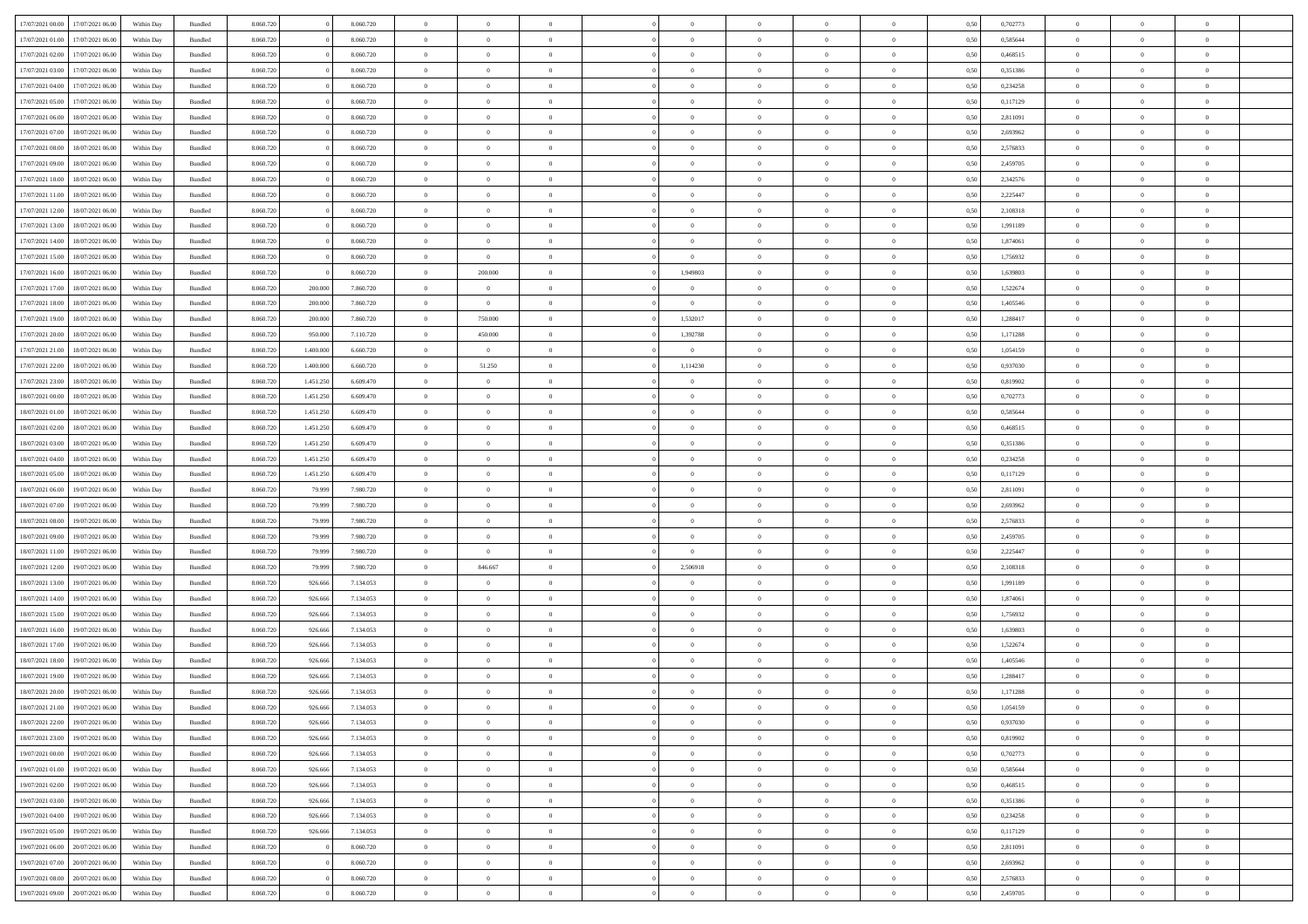| 17/07/2021 00:00 |                  |            |                    |           |           |           | $\overline{0}$ | $\Omega$       |                |                | $\Omega$       | $\theta$       | $\theta$       |      |          | $\theta$       |                | $\theta$       |  |
|------------------|------------------|------------|--------------------|-----------|-----------|-----------|----------------|----------------|----------------|----------------|----------------|----------------|----------------|------|----------|----------------|----------------|----------------|--|
|                  | 17/07/2021 06:00 | Within Day | Bundled            | 8.060.720 |           | 8.060.720 |                |                |                | $\Omega$       |                |                |                | 0.50 | 0,702773 |                | $\theta$       |                |  |
| 17/07/2021 01:00 | 17/07/2021 06:00 | Within Day | Bundled            | 8.060.720 |           | 8.060.720 | $\overline{0}$ | $\theta$       | $\overline{0}$ | $\overline{0}$ | $\bf{0}$       | $\overline{0}$ | $\overline{0}$ | 0,50 | 0,585644 | $\theta$       | $\theta$       | $\overline{0}$ |  |
| 17/07/2021 02:00 | 17/07/2021 06:00 | Within Day | Bundled            | 8.060.720 |           | 8.060.720 | $\overline{0}$ | $\overline{0}$ | $\overline{0}$ | $\bf{0}$       | $\bf{0}$       | $\bf{0}$       | $\mathbf{0}$   | 0,50 | 0,468515 | $\overline{0}$ | $\overline{0}$ | $\overline{0}$ |  |
| 17/07/2021 03:00 | 17/07/2021 06:00 | Within Dav | Bundled            | 8.060.720 |           | 8.060.720 | $\overline{0}$ | $\overline{0}$ | $\overline{0}$ | $\overline{0}$ | $\bf{0}$       | $\overline{0}$ | $\overline{0}$ | 0.50 | 0,351386 | $\theta$       | $\theta$       | $\overline{0}$ |  |
|                  |                  |            |                    |           |           |           |                |                |                |                |                |                |                |      |          |                |                |                |  |
| 17/07/2021 04:00 | 17/07/2021 06:00 | Within Day | Bundled            | 8.060.720 |           | 8.060.720 | $\overline{0}$ | $\theta$       | $\overline{0}$ | $\overline{0}$ | $\bf{0}$       | $\overline{0}$ | $\bf{0}$       | 0,50 | 0,234258 | $\theta$       | $\overline{0}$ | $\overline{0}$ |  |
| 17/07/2021 05:00 | 17/07/2021 06:00 | Within Day | Bundled            | 8.060.720 |           | 8.060.720 | $\overline{0}$ | $\bf{0}$       | $\overline{0}$ | $\bf{0}$       | $\overline{0}$ | $\overline{0}$ | $\mathbf{0}$   | 0,50 | 0,117129 | $\overline{0}$ | $\overline{0}$ | $\bf{0}$       |  |
| 17/07/2021 06:00 | 18/07/2021 06:00 | Within Dav | Bundled            | 8.060.720 |           | 8.060.720 | $\overline{0}$ | $\overline{0}$ | $\overline{0}$ | $\overline{0}$ | $\overline{0}$ | $\overline{0}$ | $\overline{0}$ | 0.50 | 2,811091 | $\theta$       | $\overline{0}$ | $\overline{0}$ |  |
| 17/07/2021 07:00 | 18/07/2021 06:00 | Within Day | Bundled            | 8.060.720 |           | 8.060.720 | $\overline{0}$ | $\theta$       | $\overline{0}$ | $\overline{0}$ | $\bf{0}$       | $\overline{0}$ | $\bf{0}$       | 0,50 | 2,693962 | $\theta$       | $\theta$       | $\overline{0}$ |  |
|                  |                  |            |                    |           |           |           |                | $\overline{0}$ |                |                | $\bf{0}$       |                |                |      |          | $\,0\,$        | $\overline{0}$ | $\overline{0}$ |  |
| 17/07/2021 08:00 | 18/07/2021 06:00 | Within Day | Bundled            | 8.060.720 |           | 8.060.720 | $\overline{0}$ |                | $\overline{0}$ | $\bf{0}$       |                | $\bf{0}$       | $\bf{0}$       | 0,50 | 2,576833 |                |                |                |  |
| 17/07/2021 09:00 | 18/07/2021 06:00 | Within Dav | Bundled            | 8.060.720 |           | 8.060.720 | $\overline{0}$ | $\overline{0}$ | $\overline{0}$ | $\overline{0}$ | $\overline{0}$ | $\overline{0}$ | $\overline{0}$ | 0.50 | 2,459705 | $\theta$       | $\overline{0}$ | $\overline{0}$ |  |
| 17/07/2021 10:00 | 18/07/2021 06:00 | Within Day | Bundled            | 8.060.720 |           | 8.060.720 | $\overline{0}$ | $\theta$       | $\overline{0}$ | $\overline{0}$ | $\bf{0}$       | $\overline{0}$ | $\bf{0}$       | 0,50 | 2,342576 | $\,$ 0 $\,$    | $\overline{0}$ | $\overline{0}$ |  |
| 17/07/2021 11:00 | 18/07/2021 06:00 | Within Day | Bundled            | 8.060.720 |           | 8.060.720 | $\overline{0}$ | $\overline{0}$ | $\overline{0}$ | $\bf{0}$       | $\bf{0}$       | $\bf{0}$       | $\mathbf{0}$   | 0,50 | 2,225447 | $\bf{0}$       | $\overline{0}$ | $\overline{0}$ |  |
| 17/07/2021 12:00 | 18/07/2021 06:00 | Within Dav | Bundled            | 8.060.720 |           | 8.060.720 | $\overline{0}$ | $\overline{0}$ | $\overline{0}$ | $\overline{0}$ | $\bf{0}$       | $\overline{0}$ | $\overline{0}$ | 0.50 | 2,108318 | $\theta$       | $\theta$       | $\overline{0}$ |  |
|                  |                  |            |                    |           |           |           | $\overline{0}$ | $\theta$       | $\overline{0}$ | $\overline{0}$ | $\bf{0}$       | $\overline{0}$ |                |      |          | $\theta$       | $\overline{0}$ | $\overline{0}$ |  |
| 17/07/2021 13:00 | 18/07/2021 06:00 | Within Day | Bundled            | 8.060.720 |           | 8.060.720 |                |                |                |                |                |                | $\bf{0}$       | 0,50 | 1,991189 |                |                |                |  |
| 17/07/2021 14:00 | 18/07/2021 06:00 | Within Day | Bundled            | 8.060.720 |           | 8.060.720 | $\overline{0}$ | $\overline{0}$ | $\overline{0}$ | $\bf{0}$       | $\overline{0}$ | $\overline{0}$ | $\mathbf{0}$   | 0,50 | 1,874061 | $\overline{0}$ | $\overline{0}$ | $\bf{0}$       |  |
| 17/07/2021 15:00 | 18/07/2021 06:00 | Within Dav | Bundled            | 8.060.720 |           | 8.060.720 | $\overline{0}$ | $\overline{0}$ | $\overline{0}$ | $\overline{0}$ | $\overline{0}$ | $\overline{0}$ | $\overline{0}$ | 0.50 | 1,756932 | $\theta$       | $\overline{0}$ | $\overline{0}$ |  |
| 17/07/2021 16:00 | 18/07/2021 06:00 | Within Day | Bundled            | 8.060.720 |           | 8.060.720 | $\overline{0}$ | 200.000        | $\overline{0}$ | 1,949803       | $\bf{0}$       | $\overline{0}$ | $\bf{0}$       | 0,50 | 1,639803 | $\theta$       | $\theta$       | $\overline{0}$ |  |
| 17/07/2021 17:00 | 18/07/2021 06:00 | Within Day | Bundled            | 8.060.720 | 200.000   | 7.860.720 | $\overline{0}$ | $\overline{0}$ | $\overline{0}$ | $\bf{0}$       | $\bf{0}$       | $\bf{0}$       | $\bf{0}$       | 0,50 | 1,522674 | $\,0\,$        | $\overline{0}$ | $\overline{0}$ |  |
| 17/07/2021 18:00 | 18/07/2021 06:00 | Within Dav | Bundled            | 8.060.720 | 200,000   | 7.860.720 | $\overline{0}$ | $\overline{0}$ | $\overline{0}$ | $\overline{0}$ | $\overline{0}$ | $\overline{0}$ | $\overline{0}$ | 0.50 | 1,405546 | $\theta$       | $\overline{0}$ | $\overline{0}$ |  |
|                  |                  |            |                    |           |           |           |                |                |                |                |                |                |                |      |          |                |                |                |  |
| 17/07/2021 19:00 | 18/07/2021 06:00 | Within Day | Bundled            | 8.060.720 | 200.000   | 7.860.720 | $\overline{0}$ | 750,000        | $\overline{0}$ | 1,532017       | $\bf{0}$       | $\overline{0}$ | $\bf{0}$       | 0,50 | 1,288417 | $\,$ 0 $\,$    | $\theta$       | $\overline{0}$ |  |
| 17/07/2021 20.00 | 18/07/2021 06:00 | Within Day | Bundled            | 8.060.720 | 950.000   | 7.110.720 | $\overline{0}$ | 450.000        | $\overline{0}$ | 1,392788       | $\bf{0}$       | $\bf{0}$       | $\bf{0}$       | 0,50 | 1,171288 | $\,0\,$        | $\overline{0}$ | $\overline{0}$ |  |
| 17/07/2021 21:00 | 18/07/2021 06:00 | Within Day | Bundled            | 8.060.720 | 1.400.000 | 6.660.720 | $\overline{0}$ | $\overline{0}$ | $\overline{0}$ | $\overline{0}$ | $\overline{0}$ | $\overline{0}$ | $\overline{0}$ | 0.50 | 1,054159 | $\theta$       | $\overline{0}$ | $\overline{0}$ |  |
| 17/07/2021 22.00 | 18/07/2021 06:00 | Within Day | Bundled            | 8.060.720 | 1.400.000 | 6.660.720 | $\overline{0}$ | 51.250         | $\overline{0}$ | 1,114230       | $\bf{0}$       | $\overline{0}$ | $\bf{0}$       | 0,50 | 0,937030 | $\theta$       | $\overline{0}$ | $\overline{0}$ |  |
|                  |                  |            |                    |           |           |           |                |                |                |                |                |                |                |      |          |                |                |                |  |
| 17/07/2021 23:00 | 18/07/2021 06:00 | Within Day | Bundled            | 8.060.720 | 1.451.250 | 6.609.470 | $\overline{0}$ | $\overline{0}$ | $\overline{0}$ | $\bf{0}$       | $\overline{0}$ | $\overline{0}$ | $\mathbf{0}$   | 0,50 | 0,819902 | $\overline{0}$ | $\overline{0}$ | $\bf{0}$       |  |
| 18/07/2021 00:00 | 18/07/2021 06:00 | Within Dav | Bundled            | 8.060.720 | 1.451.250 | 6.609.470 | $\overline{0}$ | $\overline{0}$ | $\overline{0}$ | $\overline{0}$ | $\overline{0}$ | $\overline{0}$ | $\overline{0}$ | 0.50 | 0,702773 | $\theta$       | $\overline{0}$ | $\overline{0}$ |  |
| 18/07/2021 01:00 | 18/07/2021 06:00 | Within Day | Bundled            | 8.060.720 | 1.451.250 | 6.609.470 | $\overline{0}$ | $\theta$       | $\overline{0}$ | $\overline{0}$ | $\bf{0}$       | $\overline{0}$ | $\bf{0}$       | 0,50 | 0,585644 | $\theta$       | $\theta$       | $\overline{0}$ |  |
| 18/07/2021 02:00 | 18/07/2021 06:00 | Within Day | Bundled            | 8.060.720 | 1.451.250 | 6.609.470 | $\overline{0}$ | $\overline{0}$ | $\overline{0}$ | $\bf{0}$       | $\bf{0}$       | $\bf{0}$       | $\bf{0}$       | 0,50 | 0,468515 | $\,0\,$        | $\overline{0}$ | $\overline{0}$ |  |
| 18/07/2021 03:00 | 18/07/2021 06:00 | Within Day | Bundled            | 8.060.720 | 1.451.250 | 6.609.470 | $\overline{0}$ | $\overline{0}$ | $\overline{0}$ | $\overline{0}$ | $\overline{0}$ | $\overline{0}$ | $\overline{0}$ | 0.50 | 0,351386 | $\theta$       | $\overline{0}$ | $\overline{0}$ |  |
|                  |                  |            |                    |           |           |           |                |                |                |                |                |                |                |      |          |                |                |                |  |
| 18/07/2021 04:00 | 18/07/2021 06:00 | Within Day | Bundled            | 8.060.720 | 1.451.250 | 6.609.470 | $\overline{0}$ | $\theta$       | $\overline{0}$ | $\overline{0}$ | $\bf{0}$       | $\overline{0}$ | $\bf{0}$       | 0,50 | 0,234258 | $\,$ 0 $\,$    | $\overline{0}$ | $\overline{0}$ |  |
| 18/07/2021 05:00 | 18/07/2021 06:00 | Within Day | Bundled            | 8.060.720 | 1.451.250 | 6.609.470 | $\overline{0}$ | $\overline{0}$ | $\overline{0}$ | $\bf{0}$       | $\bf{0}$       | $\bf{0}$       | $\bf{0}$       | 0,50 | 0,117129 | $\overline{0}$ | $\overline{0}$ | $\overline{0}$ |  |
| 18/07/2021 06:00 | 19/07/2021 06:00 | Within Day | Bundled            | 8.060.720 | 79.999    | 7.980.720 | $\overline{0}$ | $\Omega$       | $\Omega$       | $\Omega$       | $\Omega$       | $\Omega$       | $\overline{0}$ | 0,50 | 2,811091 | $\,0\,$        | $\theta$       | $\theta$       |  |
| 18/07/2021 07:00 | 19/07/2021 06:00 | Within Day | Bundled            | 8.060.720 | 79.999    | 7.980.720 | $\overline{0}$ | $\theta$       | $\overline{0}$ | $\overline{0}$ | $\bf{0}$       | $\overline{0}$ | $\bf{0}$       | 0,50 | 2,693962 | $\theta$       | $\overline{0}$ | $\overline{0}$ |  |
| 18/07/2021 08:00 | 19/07/2021 06:00 | Within Day | Bundled            | 8.060.720 | 79.999    | 7.980.720 | $\overline{0}$ | $\overline{0}$ | $\overline{0}$ | $\bf{0}$       | $\bf{0}$       | $\overline{0}$ | $\mathbf{0}$   | 0,50 | 2,576833 | $\overline{0}$ | $\overline{0}$ | $\bf{0}$       |  |
|                  |                  |            |                    |           |           |           |                |                |                |                |                |                |                |      |          |                |                |                |  |
| 18/07/2021 09:00 | 19/07/2021 06:00 | Within Day | Bundled            | 8.060.720 | 79.999    | 7.980.720 | $\overline{0}$ | $\Omega$       | $\Omega$       | $\Omega$       | $\bf{0}$       | $\overline{0}$ | $\overline{0}$ | 0.50 | 2,459705 | $\,0\,$        | $\theta$       | $\theta$       |  |
| 18/07/2021 11:00 | 19/07/2021 06:00 | Within Day | Bundled            | 8.060.720 | 79.999    | 7.980.720 | $\overline{0}$ | $\overline{0}$ | $\overline{0}$ | $\overline{0}$ | $\bf{0}$       | $\overline{0}$ | $\bf{0}$       | 0,50 | 2,225447 | $\,$ 0 $\,$    | $\theta$       | $\overline{0}$ |  |
| 18/07/2021 12:00 | 19/07/2021 06:00 | Within Day | Bundled            | 8.060.720 | 79.999    | 7.980.720 | $\overline{0}$ | 846.667        | $\overline{0}$ | 2,506918       | $\bf{0}$       | $\bf{0}$       | $\bf{0}$       | 0,50 | 2,108318 | $\,0\,$        | $\overline{0}$ | $\overline{0}$ |  |
| 18/07/2021 13:00 | 19/07/2021 06:00 | Within Day | Bundled            | 8.060.720 | 926.666   | 7.134.053 | $\overline{0}$ | $\Omega$       | $\Omega$       | $\Omega$       | $\theta$       | $\theta$       | $\overline{0}$ | 0.50 | 1,991189 | $\theta$       | $\theta$       | $\theta$       |  |
| 18/07/2021 14:00 | 19/07/2021 06:00 | Within Day | Bundled            | 8.060.720 | 926.666   | 7.134.053 | $\overline{0}$ | $\theta$       | $\overline{0}$ | $\overline{0}$ | $\bf{0}$       | $\overline{0}$ | $\bf{0}$       | 0,50 | 1,874061 | $\,$ 0 $\,$    | $\overline{0}$ | $\overline{0}$ |  |
|                  |                  |            |                    |           |           |           |                |                |                |                |                |                |                |      |          |                |                |                |  |
| 18/07/2021 15:00 | 19/07/2021 06:00 | Within Day | Bundled            | 8.060.720 | 926.666   | 7.134.053 | $\overline{0}$ | $\overline{0}$ | $\overline{0}$ | $\bf{0}$       | $\bf{0}$       | $\bf{0}$       | $\bf{0}$       | 0,50 | 1,756932 | $\bf{0}$       | $\overline{0}$ | $\overline{0}$ |  |
| 18/07/2021 16:00 | 19/07/2021 06:00 | Within Day | Bundled            | 8.060.720 | 926.666   | 7.134.053 | $\overline{0}$ | $\Omega$       | $\overline{0}$ | $\Omega$       | $\overline{0}$ | $\overline{0}$ | $\overline{0}$ | 0.50 | 1,639803 | $\,0\,$        | $\theta$       | $\theta$       |  |
| 18/07/2021 17:00 | 19/07/2021 06:00 | Within Day | Bundled            | 8.060.720 | 926.666   | 7.134.053 | $\overline{0}$ | $\theta$       | $\overline{0}$ | $\overline{0}$ | $\bf{0}$       | $\overline{0}$ | $\bf{0}$       | 0,50 | 1,522674 | $\,$ 0 $\,$    | $\overline{0}$ | $\overline{0}$ |  |
| 18/07/2021 18:00 | 19/07/2021 06:00 | Within Day | Bundled            | 8.060.720 | 926.666   | 7.134.053 | $\overline{0}$ | $\overline{0}$ | $\overline{0}$ | $\bf{0}$       | $\bf{0}$       | $\bf{0}$       | $\mathbf{0}$   | 0,50 | 1,405546 | $\bf{0}$       | $\overline{0}$ | $\bf{0}$       |  |
| 18/07/2021 19:00 | 19/07/2021 06:00 | Within Day | Bundled            | 8.060.720 | 926.666   | 7.134.053 | $\overline{0}$ | $\Omega$       | $\Omega$       | $\Omega$       | $\Omega$       | $\Omega$       | $\overline{0}$ | 0.50 | 1,288417 | $\theta$       | $\theta$       | $\theta$       |  |
| 18/07/2021 20:00 | 19/07/2021 06:00 |            |                    | 8.060.720 |           | 7.134.053 | $\overline{0}$ | $\overline{0}$ | $\overline{0}$ | $\bf{0}$       | $\,$ 0         |                |                |      | 1,171288 | $\,0\,$        | $\,$ 0 $\,$    | $\overline{0}$ |  |
|                  |                  | Within Day | Bundled            |           | 926.666   |           |                |                |                |                |                | $\bf{0}$       | $\bf{0}$       | 0,50 |          |                |                |                |  |
| 18/07/2021 21:00 | 19/07/2021 06:00 | Within Day | $\mathbf B$ undled | 8.060.720 | 926.666   | 7.134.053 | $\bf{0}$       | $\bf{0}$       |                |                |                |                |                | 0,50 | 1,054159 | $\bf{0}$       | $\overline{0}$ |                |  |
| 18/07/2021 22:00 | 19/07/2021 06:00 | Within Day | Bundled            | 8.060.720 | 926.666   | 7.134.053 | $\overline{0}$ | $\overline{0}$ | $\Omega$       | $\Omega$       | $\overline{0}$ | $\overline{0}$ | $\overline{0}$ | 0.50 | 0.937030 | $\theta$       | $\theta$       | $\theta$       |  |
| 18/07/2021 23:00 | 19/07/2021 06:00 | Within Day | Bundled            | 8.060.720 | 926.666   | 7.134.053 | $\overline{0}$ | $\,$ 0         | $\overline{0}$ | $\bf{0}$       | $\,$ 0 $\,$    | $\overline{0}$ | $\mathbf{0}$   | 0,50 | 0,819902 | $\,$ 0 $\,$    | $\,$ 0 $\,$    | $\,$ 0         |  |
| 19/07/2021 00:00 | 19/07/2021 06:00 | Within Day | Bundled            | 8.060.720 | 926.666   | 7.134.053 | $\overline{0}$ | $\overline{0}$ | $\overline{0}$ | $\overline{0}$ | $\overline{0}$ | $\overline{0}$ | $\mathbf{0}$   | 0,50 | 0,702773 | $\overline{0}$ | $\bf{0}$       | $\overline{0}$ |  |
|                  |                  |            |                    |           |           |           |                |                |                |                |                |                |                |      |          |                |                |                |  |
| 19/07/2021 01:00 | 19/07/2021 06:00 | Within Day | Bundled            | 8.060.720 | 926.666   | 7.134.053 | $\overline{0}$ | $\overline{0}$ | $\overline{0}$ | $\Omega$       | $\overline{0}$ | $\overline{0}$ | $\overline{0}$ | 0,50 | 0,585644 | $\bf{0}$       | $\theta$       | $\overline{0}$ |  |
| 19/07/2021 02:00 | 19/07/2021 06:00 | Within Day | Bundled            | 8.060.720 | 926.666   | 7.134.053 | $\overline{0}$ | $\,$ 0         | $\overline{0}$ | $\overline{0}$ | $\,$ 0 $\,$    | $\overline{0}$ | $\mathbf{0}$   | 0,50 | 0,468515 | $\,$ 0 $\,$    | $\overline{0}$ | $\overline{0}$ |  |
| 19/07/2021 03:00 | 19/07/2021 06:00 | Within Day | Bundled            | 8.060.720 | 926.666   | 7.134.053 | $\overline{0}$ | $\overline{0}$ | $\overline{0}$ | $\overline{0}$ | $\overline{0}$ | $\overline{0}$ | $\mathbf{0}$   | 0,50 | 0,351386 | $\overline{0}$ | $\overline{0}$ | $\overline{0}$ |  |
| 19/07/2021 04:00 | 19/07/2021 06:00 | Within Day | Bundled            | 8.060.720 | 926.666   | 7.134.053 | $\overline{0}$ | $\overline{0}$ | $\overline{0}$ | $\Omega$       | $\overline{0}$ | $\overline{0}$ | $\bf{0}$       | 0.50 | 0,234258 | $\overline{0}$ | $\theta$       | $\overline{0}$ |  |
| 19/07/2021 05:00 | 19/07/2021 06:00 | Within Day | Bundled            | 8.060.720 | 926.666   | 7.134.053 | $\overline{0}$ | $\,$ 0         | $\overline{0}$ | $\bf{0}$       | $\bf{0}$       | $\overline{0}$ | $\bf{0}$       | 0,50 | 0,117129 | $\,$ 0 $\,$    | $\overline{0}$ | $\overline{0}$ |  |
|                  |                  |            |                    |           |           |           |                |                |                |                |                |                |                |      |          |                |                |                |  |
| 19/07/2021 06:00 | 20/07/2021 06:00 | Within Day | Bundled            | 8.060.720 |           | 8.060.720 | $\overline{0}$ | $\bf{0}$       | $\overline{0}$ | $\overline{0}$ | $\overline{0}$ | $\overline{0}$ | $\mathbf{0}$   | 0,50 | 2,811091 | $\overline{0}$ | $\overline{0}$ | $\bf{0}$       |  |
| 19/07/2021 07:00 | 20/07/2021 06:00 | Within Day | Bundled            | 8.060.720 |           | 8.060.720 | $\overline{0}$ | $\overline{0}$ | $\overline{0}$ | $\Omega$       | $\overline{0}$ | $\overline{0}$ | $\overline{0}$ | 0.50 | 2,693962 | $\overline{0}$ | $\overline{0}$ | $\overline{0}$ |  |
| 19/07/2021 08:00 | 20/07/2021 06:00 | Within Day | Bundled            | 8.060.720 |           | 8.060.720 | $\overline{0}$ | $\bf{0}$       | $\overline{0}$ | $\overline{0}$ | $\bf{0}$       | $\overline{0}$ | $\mathbf{0}$   | 0,50 | 2,576833 | $\,$ 0 $\,$    | $\,$ 0 $\,$    | $\bf{0}$       |  |
| 19/07/2021 09:00 | 20/07/2021 06:00 | Within Day | Bundled            | 8.060.720 |           | 8.060.720 | $\overline{0}$ | $\overline{0}$ | $\overline{0}$ | $\overline{0}$ | $\overline{0}$ | $\overline{0}$ | $\mathbf{0}$   | 0,50 | 2,459705 | $\overline{0}$ | $\bf{0}$       | $\overline{0}$ |  |
|                  |                  |            |                    |           |           |           |                |                |                |                |                |                |                |      |          |                |                |                |  |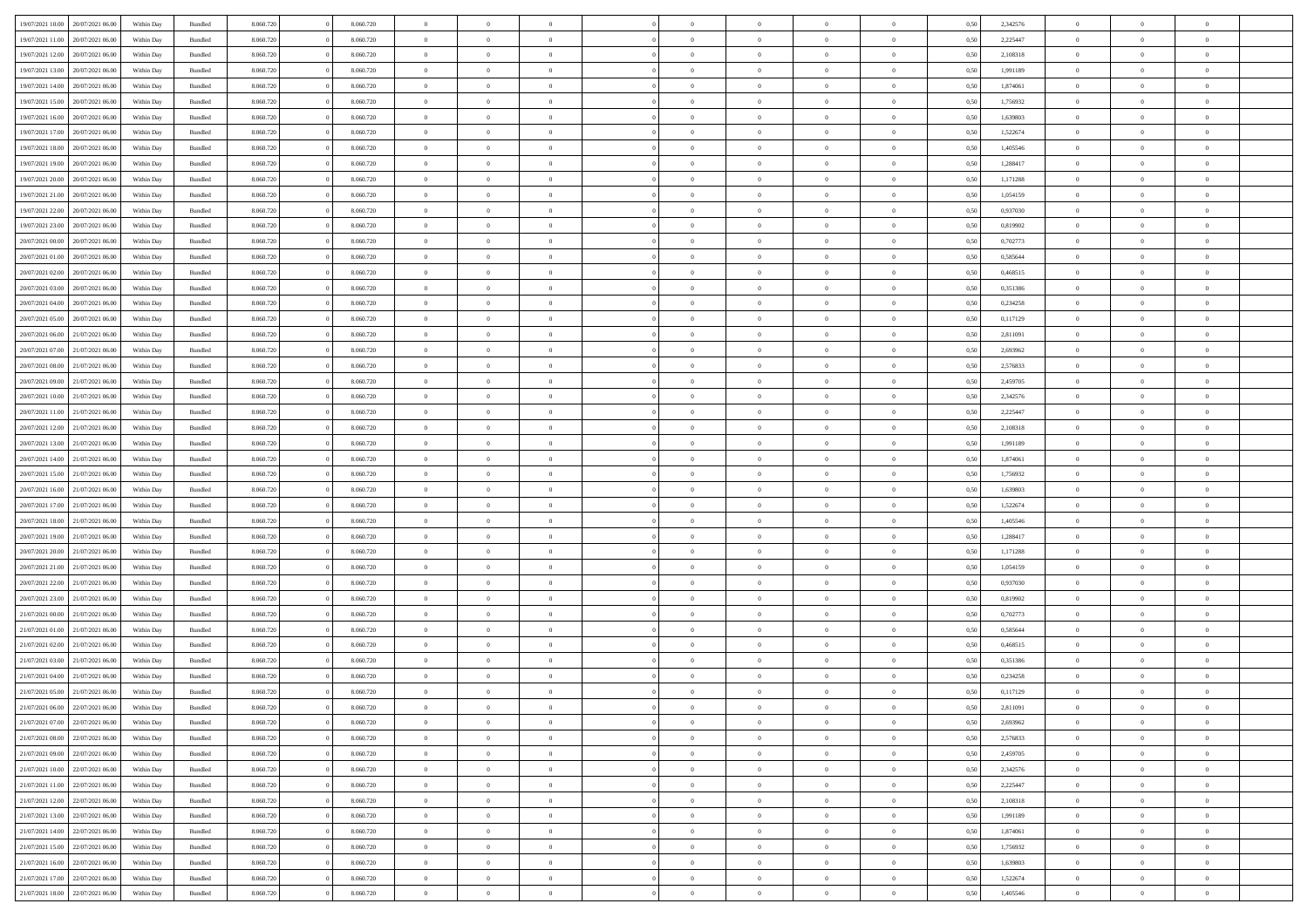| 19/07/2021 10:00                  | 20/07/2021 06:00 | Within Day | Bundled            | 8.060.720 | 8.060.720 | $\overline{0}$ | $\Omega$       |                | $\Omega$       | $\Omega$       | $\theta$       | $\theta$       | 0.50 | 2,342576 | $\theta$       | $\theta$       | $\theta$       |  |
|-----------------------------------|------------------|------------|--------------------|-----------|-----------|----------------|----------------|----------------|----------------|----------------|----------------|----------------|------|----------|----------------|----------------|----------------|--|
| 19/07/2021 11:00                  | 20/07/2021 06:00 | Within Day | Bundled            | 8.060.720 | 8.060.720 | $\overline{0}$ | $\theta$       | $\overline{0}$ | $\overline{0}$ | $\bf{0}$       | $\overline{0}$ | $\overline{0}$ | 0,50 | 2,225447 | $\theta$       | $\theta$       | $\overline{0}$ |  |
| 19/07/2021 12:00                  | 20/07/2021 06:00 | Within Day | Bundled            | 8.060.720 | 8.060.720 | $\overline{0}$ | $\overline{0}$ | $\overline{0}$ | $\overline{0}$ | $\bf{0}$       | $\overline{0}$ | $\bf{0}$       | 0,50 | 2,108318 | $\bf{0}$       | $\overline{0}$ | $\overline{0}$ |  |
| 19/07/2021 13:00                  | 20/07/2021 06:00 | Within Dav | Bundled            | 8.060.720 | 8.060.720 | $\overline{0}$ | $\overline{0}$ | $\overline{0}$ | $\overline{0}$ | $\bf{0}$       | $\overline{0}$ | $\overline{0}$ | 0.50 | 1.991189 | $\theta$       | $\theta$       | $\overline{0}$ |  |
| 19/07/2021 14:00                  | 20/07/2021 06:00 | Within Day | Bundled            | 8.060.720 | 8.060.720 | $\overline{0}$ | $\theta$       | $\overline{0}$ | $\overline{0}$ | $\bf{0}$       | $\overline{0}$ | $\bf{0}$       | 0,50 | 1,874061 | $\theta$       | $\theta$       | $\overline{0}$ |  |
|                                   |                  |            |                    |           |           |                |                |                |                |                |                |                |      |          |                |                |                |  |
| 19/07/2021 15:00                  | 20/07/2021 06:00 | Within Day | Bundled            | 8.060.720 | 8.060.720 | $\overline{0}$ | $\bf{0}$       | $\overline{0}$ | $\overline{0}$ | $\overline{0}$ | $\overline{0}$ | $\mathbf{0}$   | 0,50 | 1,756932 | $\overline{0}$ | $\overline{0}$ | $\bf{0}$       |  |
| 19/07/2021 16:00                  | 20/07/2021 06:00 | Within Dav | Bundled            | 8.060.720 | 8.060.720 | $\overline{0}$ | $\overline{0}$ | $\overline{0}$ | $\overline{0}$ | $\overline{0}$ | $\overline{0}$ | $\overline{0}$ | 0.50 | 1,639803 | $\theta$       | $\theta$       | $\overline{0}$ |  |
| 19/07/2021 17:00                  | 20/07/2021 06:00 | Within Day | Bundled            | 8.060.720 | 8.060.720 | $\overline{0}$ | $\theta$       | $\overline{0}$ | $\overline{0}$ | $\bf{0}$       | $\overline{0}$ | $\bf{0}$       | 0,50 | 1,522674 | $\theta$       | $\theta$       | $\overline{0}$ |  |
| 19/07/2021 18:00                  | 20/07/2021 06:00 | Within Day | Bundled            | 8.060.720 | 8.060.720 | $\overline{0}$ | $\overline{0}$ | $\overline{0}$ | $\overline{0}$ | $\bf{0}$       | $\overline{0}$ | $\bf{0}$       | 0,50 | 1,405546 | $\,0\,$        | $\overline{0}$ | $\overline{0}$ |  |
| 19/07/2021 19:00                  | 20/07/2021 06:00 | Within Dav | Bundled            | 8.060.720 | 8.060.720 | $\overline{0}$ | $\overline{0}$ | $\overline{0}$ | $\overline{0}$ | $\overline{0}$ | $\overline{0}$ | $\overline{0}$ | 0.50 | 1,288417 | $\theta$       | $\overline{0}$ | $\overline{0}$ |  |
| 19/07/2021 20:00                  | 20/07/2021 06:00 | Within Day | Bundled            | 8.060.720 | 8.060.720 | $\overline{0}$ | $\theta$       | $\overline{0}$ | $\overline{0}$ | $\bf{0}$       | $\overline{0}$ | $\bf{0}$       | 0,50 | 1,171288 | $\,$ 0 $\,$    | $\overline{0}$ | $\overline{0}$ |  |
| 19/07/2021 21.00                  | 20/07/2021 06:00 | Within Day | Bundled            | 8.060.720 | 8.060.720 | $\overline{0}$ | $\overline{0}$ | $\overline{0}$ | $\overline{0}$ | $\bf{0}$       | $\overline{0}$ | $\bf{0}$       | 0,50 | 1,054159 | $\overline{0}$ | $\overline{0}$ | $\overline{0}$ |  |
|                                   |                  |            |                    |           |           |                |                |                |                |                |                |                |      |          |                |                |                |  |
| 19/07/2021 22:00                  | 20/07/2021 06:00 | Within Dav | Bundled            | 8.060.720 | 8.060.720 | $\overline{0}$ | $\overline{0}$ | $\overline{0}$ | $\overline{0}$ | $\bf{0}$       | $\overline{0}$ | $\overline{0}$ | 0.50 | 0,937030 | $\theta$       | $\theta$       | $\overline{0}$ |  |
| 19/07/2021 23:00                  | 20/07/2021 06:00 | Within Day | Bundled            | 8.060.720 | 8.060.720 | $\overline{0}$ | $\theta$       | $\overline{0}$ | $\overline{0}$ | $\bf{0}$       | $\overline{0}$ | $\overline{0}$ | 0,50 | 0,819902 | $\theta$       | $\theta$       | $\overline{0}$ |  |
| 20/07/2021 00:00                  | 20/07/2021 06:00 | Within Day | Bundled            | 8.060.720 | 8.060.720 | $\overline{0}$ | $\overline{0}$ | $\overline{0}$ | $\overline{0}$ | $\overline{0}$ | $\overline{0}$ | $\mathbf{0}$   | 0,50 | 0,702773 | $\overline{0}$ | $\overline{0}$ | $\bf{0}$       |  |
| 20/07/2021 01:00                  | 20/07/2021 06:00 | Within Dav | Bundled            | 8.060.720 | 8.060.720 | $\overline{0}$ | $\overline{0}$ | $\overline{0}$ | $\overline{0}$ | $\overline{0}$ | $\overline{0}$ | $\overline{0}$ | 0.50 | 0,585644 | $\theta$       | $\overline{0}$ | $\overline{0}$ |  |
| 20/07/2021 02:00                  | 20/07/2021 06:00 | Within Day | Bundled            | 8.060.720 | 8.060.720 | $\overline{0}$ | $\theta$       | $\overline{0}$ | $\overline{0}$ | $\bf{0}$       | $\overline{0}$ | $\bf{0}$       | 0,50 | 0,468515 | $\theta$       | $\theta$       | $\overline{0}$ |  |
| 20/07/2021 03:00                  | 20/07/2021 06:00 | Within Day | Bundled            | 8.060.720 | 8.060.720 | $\overline{0}$ | $\overline{0}$ | $\overline{0}$ | $\overline{0}$ | $\bf{0}$       | $\overline{0}$ | $\bf{0}$       | 0,50 | 0,351386 | $\,0\,$        | $\overline{0}$ | $\overline{0}$ |  |
| 20/07/2021 04:00                  | 20/07/2021 06:00 | Within Dav | Bundled            | 8.060.720 | 8.060.720 | $\overline{0}$ | $\overline{0}$ | $\overline{0}$ | $\overline{0}$ | $\overline{0}$ | $\overline{0}$ | $\overline{0}$ | 0.50 | 0,234258 | $\theta$       | $\overline{0}$ | $\overline{0}$ |  |
| 20/07/2021 05:00                  | 20/07/2021 06:00 | Within Day | Bundled            | 8.060.720 | 8.060.720 | $\overline{0}$ | $\theta$       | $\overline{0}$ | $\overline{0}$ | $\bf{0}$       | $\overline{0}$ | $\bf{0}$       | 0,50 | 0,117129 | $\theta$       | $\theta$       | $\overline{0}$ |  |
|                                   |                  |            |                    |           |           |                |                |                |                |                |                |                |      |          |                |                |                |  |
| 20/07/2021 06:00                  | 21/07/2021 06:00 | Within Day | Bundled            | 8.060.720 | 8.060.720 | $\overline{0}$ | $\overline{0}$ | $\overline{0}$ | $\overline{0}$ | $\bf{0}$       | $\overline{0}$ | $\bf{0}$       | 0,50 | 2,811091 | $\,0\,$        | $\overline{0}$ | $\overline{0}$ |  |
| 20/07/2021 07:00                  | 21/07/2021 06:00 | Within Day | Bundled            | 8.060.720 | 8.060.720 | $\overline{0}$ | $\overline{0}$ | $\overline{0}$ | $\overline{0}$ | $\bf{0}$       | $\overline{0}$ | $\overline{0}$ | 0.50 | 2,693962 | $\theta$       | $\theta$       | $\overline{0}$ |  |
| 20/07/2021 08:00                  | 21/07/2021 06:00 | Within Day | Bundled            | 8.060.720 | 8.060.720 | $\overline{0}$ | $\theta$       | $\overline{0}$ | $\overline{0}$ | $\bf{0}$       | $\overline{0}$ | $\bf{0}$       | 0,50 | 2,576833 | $\theta$       | $\overline{0}$ | $\overline{0}$ |  |
| 20/07/2021 09:00                  | 21/07/2021 06:00 | Within Day | Bundled            | 8.060.720 | 8.060.720 | $\overline{0}$ | $\bf{0}$       | $\overline{0}$ | $\overline{0}$ | $\overline{0}$ | $\overline{0}$ | $\mathbf{0}$   | 0,50 | 2,459705 | $\overline{0}$ | $\overline{0}$ | $\bf{0}$       |  |
| 20/07/2021 10:00                  | 21/07/2021 06:00 | Within Dav | Bundled            | 8.060.720 | 8.060.720 | $\overline{0}$ | $\overline{0}$ | $\overline{0}$ | $\overline{0}$ | $\overline{0}$ | $\overline{0}$ | $\overline{0}$ | 0.50 | 2,342576 | $\theta$       | $\theta$       | $\overline{0}$ |  |
| 20/07/2021 11:00                  | 21/07/2021 06:00 | Within Day | Bundled            | 8.060.720 | 8.060.720 | $\overline{0}$ | $\theta$       | $\overline{0}$ | $\overline{0}$ | $\bf{0}$       | $\overline{0}$ | $\bf{0}$       | 0,50 | 2,225447 | $\theta$       | $\theta$       | $\overline{0}$ |  |
| 20/07/2021 12:00                  | 21/07/2021 06:00 | Within Day | Bundled            | 8.060.720 | 8.060.720 | $\overline{0}$ | $\overline{0}$ | $\overline{0}$ | $\overline{0}$ | $\bf{0}$       | $\overline{0}$ | $\bf{0}$       | 0,50 | 2,108318 | $\,0\,$        | $\overline{0}$ | $\overline{0}$ |  |
|                                   |                  |            |                    |           |           |                |                |                |                | $\overline{0}$ |                |                |      |          | $\theta$       | $\overline{0}$ |                |  |
| 20/07/2021 13:00                  | 21/07/2021 06:00 | Within Day | Bundled            | 8.060.720 | 8.060.720 | $\overline{0}$ | $\overline{0}$ | $\overline{0}$ | $\overline{0}$ |                | $\overline{0}$ | $\overline{0}$ | 0.50 | 1,991189 |                |                | $\overline{0}$ |  |
| 20/07/2021 14:00                  | 21/07/2021 06:00 | Within Day | Bundled            | 8.060.720 | 8.060.720 | $\overline{0}$ | $\theta$       | $\overline{0}$ | $\overline{0}$ | $\bf{0}$       | $\overline{0}$ | $\bf{0}$       | 0,50 | 1,874061 | $\,$ 0 $\,$    | $\overline{0}$ | $\overline{0}$ |  |
| 20/07/2021 15:00                  | 21/07/2021 06:00 | Within Day | Bundled            | 8.060.720 | 8.060.720 | $\overline{0}$ | $\overline{0}$ | $\overline{0}$ | $\overline{0}$ | $\bf{0}$       | $\overline{0}$ | $\bf{0}$       | 0,50 | 1,756932 | $\overline{0}$ | $\overline{0}$ | $\overline{0}$ |  |
| 20/07/2021 16:00                  | 21/07/2021 06:00 | Within Day | Bundled            | 8.060.720 | 8.060.720 | $\overline{0}$ | $\Omega$       | $\Omega$       | $\Omega$       | $\Omega$       | $\Omega$       | $\overline{0}$ | 0.50 | 1,639803 | $\,0\,$        | $\Omega$       | $\theta$       |  |
| 20/07/2021 17:00                  | 21/07/2021 06:00 | Within Day | Bundled            | 8.060.720 | 8.060.720 | $\overline{0}$ | $\theta$       | $\overline{0}$ | $\overline{0}$ | $\bf{0}$       | $\overline{0}$ | $\bf{0}$       | 0,50 | 1,522674 | $\theta$       | $\theta$       | $\overline{0}$ |  |
| 20/07/2021 18:00                  | 21/07/2021 06:00 | Within Day | Bundled            | 8.060.720 | 8.060.720 | $\overline{0}$ | $\overline{0}$ | $\overline{0}$ | $\overline{0}$ | $\bf{0}$       | $\overline{0}$ | $\mathbf{0}$   | 0,50 | 1,405546 | $\overline{0}$ | $\overline{0}$ | $\bf{0}$       |  |
| 20/07/2021 19:00                  | 21/07/2021 06:00 | Within Day | Bundled            | 8.060.720 | 8.060.720 | $\overline{0}$ | $\Omega$       | $\Omega$       | $\Omega$       | $\Omega$       | $\Omega$       | $\overline{0}$ | 0.50 | 1,288417 | $\theta$       | $\theta$       | $\theta$       |  |
| 20/07/2021 20:00                  | 21/07/2021 06:00 | Within Day | Bundled            | 8.060.720 | 8.060.720 | $\overline{0}$ | $\theta$       | $\overline{0}$ | $\overline{0}$ | $\bf{0}$       | $\overline{0}$ | $\bf{0}$       | 0,50 | 1,171288 | $\theta$       | $\theta$       | $\overline{0}$ |  |
|                                   |                  |            |                    |           |           |                | $\overline{0}$ |                |                | $\bf{0}$       |                |                |      |          | $\,0\,$        | $\overline{0}$ | $\overline{0}$ |  |
| 20/07/2021 21:00                  | 21/07/2021 06:00 | Within Day | Bundled            | 8.060.720 | 8.060.720 | $\overline{0}$ |                | $\overline{0}$ | $\overline{0}$ |                | $\overline{0}$ | $\bf{0}$       | 0,50 | 1,054159 |                |                |                |  |
| 20/07/2021 22:00                  | 21/07/2021 06:00 | Within Day | Bundled            | 8.060.720 | 8.060.720 | $\overline{0}$ | $\Omega$       | $\Omega$       | $\Omega$       | $\Omega$       | $\theta$       | $\overline{0}$ | 0.50 | 0.937030 | $\theta$       | $\theta$       | $\theta$       |  |
| 20/07/2021 23:00                  | 21/07/2021 06:00 | Within Day | Bundled            | 8.060.720 | 8.060.720 | $\overline{0}$ | $\theta$       | $\overline{0}$ | $\overline{0}$ | $\bf{0}$       | $\overline{0}$ | $\bf{0}$       | 0,50 | 0,819902 | $\,$ 0 $\,$    | $\overline{0}$ | $\overline{0}$ |  |
| 21/07/2021 00:00                  | 21/07/2021 06:00 | Within Day | Bundled            | 8.060.720 | 8.060.720 | $\overline{0}$ | $\overline{0}$ | $\overline{0}$ | $\bf{0}$       | $\bf{0}$       | $\bf{0}$       | $\bf{0}$       | 0,50 | 0,702773 | $\overline{0}$ | $\overline{0}$ | $\overline{0}$ |  |
| 21/07/2021 01:00                  | 21/07/2021 06:00 | Within Day | Bundled            | 8.060.720 | 8.060.720 | $\overline{0}$ | $\Omega$       | $\Omega$       | $\Omega$       | $\Omega$       | $\overline{0}$ | $\overline{0}$ | 0.50 | 0,585644 | $\,0\,$        | $\theta$       | $\theta$       |  |
| 21/07/2021 02:00                  | 21/07/2021 06:00 | Within Day | Bundled            | 8.060.720 | 8.060.720 | $\overline{0}$ | $\theta$       | $\overline{0}$ | $\overline{0}$ | $\bf{0}$       | $\overline{0}$ | $\bf{0}$       | 0,50 | 0,468515 | $\,$ 0 $\,$    | $\overline{0}$ | $\overline{0}$ |  |
| 21/07/2021 03:00                  | 21/07/2021 06:00 | Within Day | Bundled            | 8.060.720 | 8.060.720 | $\overline{0}$ | $\overline{0}$ | $\overline{0}$ | $\bf{0}$       | $\bf{0}$       | $\bf{0}$       | $\mathbf{0}$   | 0,50 | 0,351386 | $\overline{0}$ | $\overline{0}$ | $\bf{0}$       |  |
| 21/07/2021 04:00                  | 21/07/2021 06:00 | Within Day | Bundled            | 8.060.720 | 8.060.720 | $\overline{0}$ | $\Omega$       | $\Omega$       | $\Omega$       | $\Omega$       | $\Omega$       | $\overline{0}$ | 0.50 | 0,234258 | $\theta$       | $\Omega$       | $\theta$       |  |
| 21/07/2021 05:00                  | 21/07/2021 06:00 | Within Day | Bundled            | 8.060.720 | 8.060.720 | $\overline{0}$ | $\overline{0}$ | $\overline{0}$ | $\bf{0}$       | $\,$ 0         | $\bf{0}$       | $\bf{0}$       | 0,50 | 0,117129 | $\,0\,$        | $\,$ 0 $\,$    | $\overline{0}$ |  |
| 21/07/2021 06:00 22/07/2021 06:00 |                  | Within Day | $\mathbf B$ undled | 8.060.720 |           |                |                |                |                |                |                |                |      |          |                |                |                |  |
|                                   |                  |            |                    |           | 8.060.720 | $\bf{0}$       | $\bf{0}$       |                |                | $\bf{0}$       |                |                | 0,50 | 2,811091 | $\bf{0}$       | $\overline{0}$ |                |  |
| 21/07/2021 07:00                  | 22/07/2021 06:00 | Within Day | Bundled            | 8.060.720 | 8.060.720 | $\overline{0}$ | $\overline{0}$ | $\overline{0}$ | $\Omega$       | $\overline{0}$ | $\overline{0}$ | $\overline{0}$ | 0.50 | 2,693962 | $\theta$       | $\theta$       | $\theta$       |  |
| 21/07/2021 08:00                  | 22/07/2021 06:00 | Within Day | Bundled            | 8.060.720 | 8.060.720 | $\overline{0}$ | $\,$ 0         | $\overline{0}$ | $\bf{0}$       | $\,$ 0 $\,$    | $\overline{0}$ | $\mathbf{0}$   | 0,50 | 2,576833 | $\,$ 0 $\,$    | $\,$ 0 $\,$    | $\,$ 0         |  |
| 21/07/2021 09:00                  | 22/07/2021 06:00 | Within Day | Bundled            | 8.060.720 | 8.060.720 | $\overline{0}$ | $\overline{0}$ | $\overline{0}$ | $\overline{0}$ | $\overline{0}$ | $\overline{0}$ | $\mathbf{0}$   | 0,50 | 2,459705 | $\overline{0}$ | $\bf{0}$       | $\overline{0}$ |  |
| 21/07/2021 10:00                  | 22/07/2021 06:00 | Within Day | Bundled            | 8.060.720 | 8.060.720 | $\overline{0}$ | $\overline{0}$ | $\overline{0}$ | $\Omega$       | $\overline{0}$ | $\overline{0}$ | $\overline{0}$ | 0,50 | 2,342576 | $\overline{0}$ | $\theta$       | $\overline{0}$ |  |
| 21/07/2021 11:00                  | 22/07/2021 06:00 | Within Day | Bundled            | 8.060.720 | 8.060.720 | $\overline{0}$ | $\,$ 0         | $\overline{0}$ | $\overline{0}$ | $\,$ 0 $\,$    | $\overline{0}$ | $\mathbf{0}$   | 0,50 | 2,225447 | $\,$ 0 $\,$    | $\overline{0}$ | $\overline{0}$ |  |
| 21/07/2021 12:00                  | 22/07/2021 06:00 | Within Day | Bundled            | 8.060.720 | 8.060.720 | $\overline{0}$ | $\overline{0}$ | $\overline{0}$ | $\overline{0}$ | $\overline{0}$ | $\overline{0}$ | $\mathbf{0}$   | 0,50 | 2,108318 | $\overline{0}$ | $\overline{0}$ | $\bf{0}$       |  |
| 21/07/2021 13:00                  | 22/07/2021 06:00 | Within Day | Bundled            | 8.060.720 | 8.060.720 | $\overline{0}$ | $\overline{0}$ | $\overline{0}$ | $\Omega$       | $\overline{0}$ | $\overline{0}$ | $\bf{0}$       | 0.50 | 1,991189 | $\overline{0}$ | $\theta$       | $\overline{0}$ |  |
| 21/07/2021 14:00                  | 22/07/2021 06:00 |            | Bundled            | 8.060.720 | 8.060.720 | $\overline{0}$ | $\,$ 0         |                |                | $\bf{0}$       |                |                |      | 1,874061 | $\,$ 0 $\,$    | $\overline{0}$ | $\overline{0}$ |  |
|                                   |                  | Within Day |                    |           |           |                |                | $\overline{0}$ | $\bf{0}$       |                | $\bf{0}$       | $\bf{0}$       | 0,50 |          |                |                |                |  |
| 21/07/2021 15:00                  | 22/07/2021 06:00 | Within Day | Bundled            | 8.060.720 | 8.060.720 | $\overline{0}$ | $\bf{0}$       | $\overline{0}$ | $\overline{0}$ | $\overline{0}$ | $\overline{0}$ | $\mathbf{0}$   | 0,50 | 1,756932 | $\overline{0}$ | $\overline{0}$ | $\bf{0}$       |  |
| 21/07/2021 16:00                  | 22/07/2021 06:00 | Within Day | Bundled            | 8.060.720 | 8.060.720 | $\overline{0}$ | $\overline{0}$ | $\overline{0}$ | $\Omega$       | $\overline{0}$ | $\overline{0}$ | $\overline{0}$ | 0.50 | 1,639803 | $\overline{0}$ | $\overline{0}$ | $\overline{0}$ |  |
| 21/07/2021 17:00                  | 22/07/2021 06:00 | Within Day | Bundled            | 8.060.720 | 8.060.720 | $\overline{0}$ | $\bf{0}$       | $\overline{0}$ | $\overline{0}$ | $\bf{0}$       | $\bf{0}$       | $\bf{0}$       | 0,50 | 1,522674 | $\,$ 0 $\,$    | $\,$ 0 $\,$    | $\bf{0}$       |  |
| 21/07/2021 18:00 22/07/2021 06:00 |                  | Within Day | Bundled            | 8.060.720 | 8.060.720 | $\overline{0}$ | $\bf{0}$       | $\overline{0}$ | $\bf{0}$       | $\bf{0}$       | $\bf{0}$       | $\bf{0}$       | 0,50 | 1,405546 | $\overline{0}$ | $\overline{0}$ | $\bf{0}$       |  |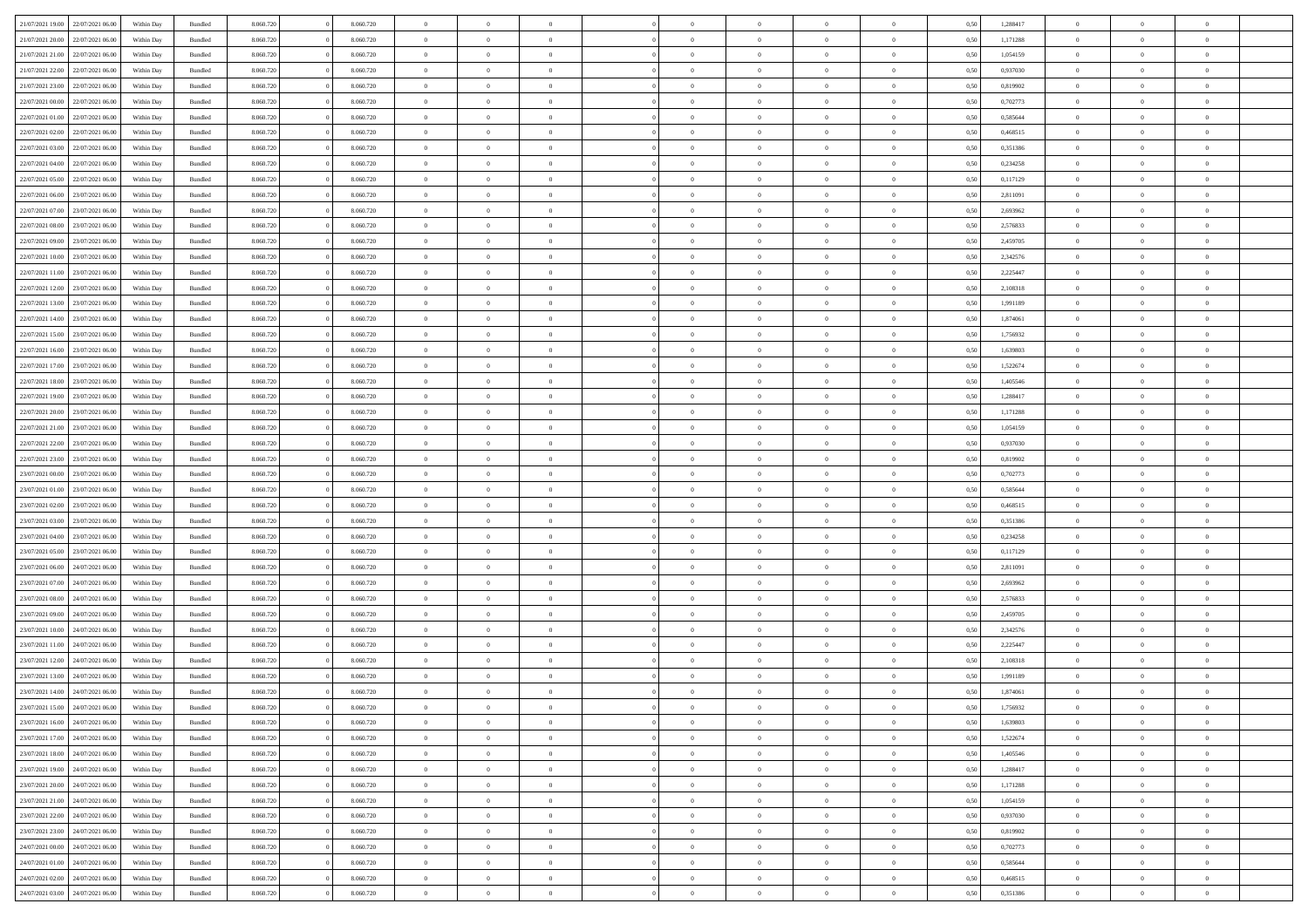| 21/07/2021 19:00                  | 22/07/2021 06:00                  | Within Day | Bundled            | 8.060.720 | 8.060.720 | $\overline{0}$ | $\Omega$       |                | $\Omega$       | $\Omega$       | $\theta$       | $\theta$       | 0.50 | 1,288417 | $\theta$       | $\theta$       | $\theta$       |  |
|-----------------------------------|-----------------------------------|------------|--------------------|-----------|-----------|----------------|----------------|----------------|----------------|----------------|----------------|----------------|------|----------|----------------|----------------|----------------|--|
| 21/07/2021 20:00                  | 22/07/2021 06:00                  | Within Day | Bundled            | 8.060.720 | 8.060.720 | $\overline{0}$ | $\theta$       | $\overline{0}$ | $\overline{0}$ | $\bf{0}$       | $\overline{0}$ | $\overline{0}$ | 0,50 | 1,171288 | $\theta$       | $\theta$       | $\overline{0}$ |  |
| 21/07/2021 21:00                  | 22/07/2021 06:00                  | Within Day | Bundled            | 8.060.720 | 8.060.720 | $\overline{0}$ | $\overline{0}$ | $\overline{0}$ | $\bf{0}$       | $\bf{0}$       | $\bf{0}$       | $\bf{0}$       | 0,50 | 1,054159 | $\overline{0}$ | $\overline{0}$ | $\overline{0}$ |  |
|                                   |                                   |            |                    |           |           |                |                |                |                |                |                |                |      |          |                |                |                |  |
| 21/07/2021 22:00                  | 22/07/2021 06:00                  | Within Dav | Bundled            | 8.060.720 | 8.060.720 | $\overline{0}$ | $\overline{0}$ | $\overline{0}$ | $\overline{0}$ | $\bf{0}$       | $\overline{0}$ | $\overline{0}$ | 0.50 | 0,937030 | $\theta$       | $\theta$       | $\overline{0}$ |  |
| 21/07/2021 23:00                  | 22/07/2021 06:00                  | Within Day | Bundled            | 8.060.720 | 8.060.720 | $\overline{0}$ | $\theta$       | $\overline{0}$ | $\overline{0}$ | $\bf{0}$       | $\overline{0}$ | $\bf{0}$       | 0,50 | 0,819902 | $\theta$       | $\theta$       | $\overline{0}$ |  |
| 22/07/2021 00:00                  | 22/07/2021 06:00                  | Within Day | Bundled            | 8.060.720 | 8.060.720 | $\overline{0}$ | $\bf{0}$       | $\overline{0}$ | $\overline{0}$ | $\overline{0}$ | $\overline{0}$ | $\mathbf{0}$   | 0,50 | 0,702773 | $\overline{0}$ | $\overline{0}$ | $\bf{0}$       |  |
| 22/07/2021 01:00                  | 22/07/2021 06:00                  | Within Dav | Bundled            | 8.060.720 | 8.060.720 | $\overline{0}$ | $\overline{0}$ | $\overline{0}$ | $\overline{0}$ | $\overline{0}$ | $\overline{0}$ | $\overline{0}$ | 0.50 | 0.585644 | $\theta$       | $\theta$       | $\overline{0}$ |  |
|                                   |                                   |            |                    |           |           |                |                |                |                |                |                |                |      |          |                |                |                |  |
| 22/07/2021 02:00                  | 22/07/2021 06:00                  | Within Day | Bundled            | 8.060.720 | 8.060.720 | $\overline{0}$ | $\theta$       | $\overline{0}$ | $\overline{0}$ | $\bf{0}$       | $\overline{0}$ | $\bf{0}$       | 0,50 | 0,468515 | $\theta$       | $\theta$       | $\overline{0}$ |  |
| 22/07/2021 03:00                  | 22/07/2021 06:00                  | Within Day | Bundled            | 8.060.720 | 8.060.720 | $\overline{0}$ | $\overline{0}$ | $\overline{0}$ | $\overline{0}$ | $\bf{0}$       | $\overline{0}$ | $\bf{0}$       | 0,50 | 0,351386 | $\,0\,$        | $\overline{0}$ | $\overline{0}$ |  |
| 22/07/2021 04:00                  | 22/07/2021 06:00                  | Within Dav | Bundled            | 8.060.720 | 8.060.720 | $\overline{0}$ | $\overline{0}$ | $\overline{0}$ | $\overline{0}$ | $\overline{0}$ | $\overline{0}$ | $\overline{0}$ | 0.50 | 0,234258 | $\theta$       | $\overline{0}$ | $\overline{0}$ |  |
| 22/07/2021 05:00                  | 22/07/2021 06:00                  |            | Bundled            | 8.060.720 | 8.060.720 | $\overline{0}$ | $\theta$       | $\overline{0}$ | $\overline{0}$ | $\bf{0}$       | $\overline{0}$ |                |      | 0,117129 | $\,$ 0 $\,$    | $\theta$       | $\overline{0}$ |  |
|                                   |                                   | Within Day |                    |           |           |                |                |                |                |                |                | $\bf{0}$       | 0,50 |          |                |                |                |  |
| 22/07/2021 06:00                  | 23/07/2021 06:00                  | Within Day | Bundled            | 8.060.720 | 8.060.720 | $\overline{0}$ | $\overline{0}$ | $\overline{0}$ | $\overline{0}$ | $\bf{0}$       | $\overline{0}$ | $\bf{0}$       | 0,50 | 2,811091 | $\overline{0}$ | $\overline{0}$ | $\overline{0}$ |  |
| 22/07/2021 07:00                  | 23/07/2021 06:00                  | Within Dav | Bundled            | 8.060.720 | 8.060.720 | $\overline{0}$ | $\overline{0}$ | $\overline{0}$ | $\overline{0}$ | $\bf{0}$       | $\overline{0}$ | $\overline{0}$ | 0.50 | 2,693962 | $\theta$       | $\theta$       | $\overline{0}$ |  |
| 22/07/2021 08:00                  | 23/07/2021 06:00                  | Within Day | Bundled            | 8.060.720 | 8.060.720 | $\overline{0}$ | $\theta$       | $\overline{0}$ | $\overline{0}$ | $\bf{0}$       | $\overline{0}$ | $\overline{0}$ | 0,50 | 2,576833 | $\theta$       | $\theta$       | $\overline{0}$ |  |
|                                   |                                   |            |                    |           |           |                |                |                |                |                |                |                |      |          |                |                |                |  |
| 22/07/2021 09:00                  | 23/07/2021 06:00                  | Within Day | Bundled            | 8.060.720 | 8.060.720 | $\overline{0}$ | $\overline{0}$ | $\overline{0}$ | $\overline{0}$ | $\overline{0}$ | $\overline{0}$ | $\mathbf{0}$   | 0,50 | 2,459705 | $\overline{0}$ | $\overline{0}$ | $\bf{0}$       |  |
| 22/07/2021 10:00                  | 23/07/2021 06:00                  | Within Dav | Bundled            | 8.060.720 | 8.060.720 | $\overline{0}$ | $\overline{0}$ | $\overline{0}$ | $\overline{0}$ | $\overline{0}$ | $\overline{0}$ | $\overline{0}$ | 0.50 | 2,342576 | $\theta$       | $\overline{0}$ | $\overline{0}$ |  |
| 22/07/2021 11:00                  | 23/07/2021 06:00                  | Within Day | Bundled            | 8.060.720 | 8.060.720 | $\overline{0}$ | $\theta$       | $\overline{0}$ | $\overline{0}$ | $\bf{0}$       | $\overline{0}$ | $\bf{0}$       | 0,50 | 2,225447 | $\theta$       | $\theta$       | $\overline{0}$ |  |
| 22/07/2021 12:00                  | 23/07/2021 06:00                  | Within Day | Bundled            | 8.060.720 | 8.060.720 | $\overline{0}$ | $\overline{0}$ | $\overline{0}$ | $\overline{0}$ | $\bf{0}$       | $\overline{0}$ | $\bf{0}$       | 0,50 | 2,108318 | $\bf{0}$       | $\overline{0}$ | $\overline{0}$ |  |
|                                   |                                   |            |                    |           |           |                |                |                |                |                |                |                |      |          |                |                |                |  |
| 22/07/2021 13:00                  | 23/07/2021 06:00                  | Within Dav | Bundled            | 8.060.720 | 8.060.720 | $\overline{0}$ | $\overline{0}$ | $\overline{0}$ | $\overline{0}$ | $\overline{0}$ | $\overline{0}$ | $\overline{0}$ | 0.50 | 1,991189 | $\theta$       | $\overline{0}$ | $\overline{0}$ |  |
| 22/07/2021 14:00                  | 23/07/2021 06:00                  | Within Day | Bundled            | 8.060.720 | 8.060.720 | $\overline{0}$ | $\theta$       | $\overline{0}$ | $\overline{0}$ | $\bf{0}$       | $\overline{0}$ | $\bf{0}$       | 0,50 | 1,874061 | $\,$ 0 $\,$    | $\theta$       | $\overline{0}$ |  |
| 22/07/2021 15:00                  | 23/07/2021 06:00                  | Within Day | Bundled            | 8.060.720 | 8.060.720 | $\overline{0}$ | $\overline{0}$ | $\overline{0}$ | $\overline{0}$ | $\bf{0}$       | $\overline{0}$ | $\bf{0}$       | 0,50 | 1,756932 | $\bf{0}$       | $\overline{0}$ | $\overline{0}$ |  |
| 22/07/2021 16:00                  | 23/07/2021 06:00                  | Within Day | Bundled            | 8.060.720 | 8.060.720 | $\overline{0}$ | $\overline{0}$ | $\overline{0}$ | $\overline{0}$ | $\bf{0}$       | $\overline{0}$ | $\overline{0}$ | 0.50 | 1,639803 | $\theta$       | $\theta$       | $\overline{0}$ |  |
|                                   |                                   |            |                    |           |           |                |                |                |                |                |                |                |      |          |                |                |                |  |
| 22/07/2021 17:00                  | 23/07/2021 06:00                  | Within Day | Bundled            | 8.060.720 | 8.060.720 | $\overline{0}$ | $\theta$       | $\overline{0}$ | $\overline{0}$ | $\bf{0}$       | $\overline{0}$ | $\bf{0}$       | 0,50 | 1,522674 | $\theta$       | $\overline{0}$ | $\overline{0}$ |  |
| 22/07/2021 18:00                  | 23/07/2021 06:00                  | Within Day | Bundled            | 8.060.720 | 8.060.720 | $\overline{0}$ | $\bf{0}$       | $\overline{0}$ | $\overline{0}$ | $\overline{0}$ | $\overline{0}$ | $\mathbf{0}$   | 0,50 | 1,405546 | $\overline{0}$ | $\overline{0}$ | $\bf{0}$       |  |
| 22/07/2021 19:00                  | 23/07/2021 06:00                  | Within Dav | Bundled            | 8.060.720 | 8.060.720 | $\overline{0}$ | $\overline{0}$ | $\overline{0}$ | $\overline{0}$ | $\overline{0}$ | $\overline{0}$ | $\overline{0}$ | 0.50 | 1,288417 | $\theta$       | $\theta$       | $\overline{0}$ |  |
| 22/07/2021 20:00                  | 23/07/2021 06:00                  | Within Day | Bundled            | 8.060.720 | 8.060.720 | $\overline{0}$ | $\theta$       | $\overline{0}$ | $\overline{0}$ | $\bf{0}$       | $\overline{0}$ | $\bf{0}$       | 0,50 | 1,171288 | $\theta$       | $\theta$       | $\overline{0}$ |  |
|                                   |                                   |            |                    |           |           |                |                |                |                |                |                |                |      |          |                |                |                |  |
| 22/07/2021 21:00                  | 23/07/2021 06:00                  | Within Day | Bundled            | 8.060.720 | 8.060.720 | $\overline{0}$ | $\overline{0}$ | $\overline{0}$ | $\overline{0}$ | $\bf{0}$       | $\overline{0}$ | $\bf{0}$       | 0,50 | 1,054159 | $\,0\,$        | $\overline{0}$ | $\overline{0}$ |  |
| 22/07/2021 22:00                  | 23/07/2021 06:00                  | Within Day | Bundled            | 8.060.720 | 8.060.720 | $\overline{0}$ | $\overline{0}$ | $\overline{0}$ | $\overline{0}$ | $\overline{0}$ | $\overline{0}$ | $\overline{0}$ | 0.50 | 0,937030 | $\theta$       | $\overline{0}$ | $\overline{0}$ |  |
| 22/07/2021 23:00                  | 23/07/2021 06:00                  | Within Day | Bundled            | 8.060.720 | 8.060.720 | $\overline{0}$ | $\theta$       | $\overline{0}$ | $\overline{0}$ | $\bf{0}$       | $\overline{0}$ | $\bf{0}$       | 0,50 | 0,819902 | $\,$ 0 $\,$    | $\overline{0}$ | $\overline{0}$ |  |
| 23/07/2021 00:00                  | 23/07/2021 06:00                  | Within Day | Bundled            | 8.060.720 | 8.060.720 | $\overline{0}$ | $\overline{0}$ | $\overline{0}$ | $\overline{0}$ | $\bf{0}$       | $\overline{0}$ | $\bf{0}$       | 0,50 | 0,702773 | $\overline{0}$ | $\overline{0}$ | $\overline{0}$ |  |
|                                   |                                   |            |                    |           |           |                |                |                |                |                |                |                |      |          |                |                |                |  |
| 23/07/2021 01:00                  | 23/07/2021 06:00                  | Within Day | Bundled            | 8.060.720 | 8.060.720 | $\overline{0}$ | $\Omega$       | $\Omega$       | $\Omega$       | $\Omega$       | $\Omega$       | $\overline{0}$ | 0.50 | 0,585644 | $\,0\,$        | $\theta$       | $\theta$       |  |
| 23/07/2021 02:00                  | 23/07/2021 06:00                  | Within Day | Bundled            | 8.060.720 | 8.060.720 | $\overline{0}$ | $\theta$       | $\overline{0}$ | $\overline{0}$ | $\bf{0}$       | $\overline{0}$ | $\bf{0}$       | 0,50 | 0,468515 | $\theta$       | $\theta$       | $\overline{0}$ |  |
| 23/07/2021 03:00                  | 23/07/2021 06:00                  | Within Day | Bundled            | 8.060.720 | 8.060.720 | $\overline{0}$ | $\overline{0}$ | $\overline{0}$ | $\overline{0}$ | $\bf{0}$       | $\overline{0}$ | $\mathbf{0}$   | 0,50 | 0,351386 | $\overline{0}$ | $\overline{0}$ | $\bf{0}$       |  |
| 23/07/2021 04:00                  | 23/07/2021 06:00                  | Within Day | Bundled            | 8.060.720 | 8.060.720 | $\overline{0}$ | $\Omega$       | $\Omega$       | $\Omega$       | $\bf{0}$       | $\Omega$       | $\overline{0}$ | 0.50 | 0,234258 | $\theta$       | $\theta$       | $\theta$       |  |
|                                   |                                   |            |                    |           |           | $\overline{0}$ | $\theta$       | $\overline{0}$ |                | $\bf{0}$       | $\overline{0}$ |                |      |          | $\theta$       | $\theta$       | $\overline{0}$ |  |
| 23/07/2021 05:00                  | 23/07/2021 06:00                  | Within Day | Bundled            | 8.060.720 | 8.060.720 |                |                |                | $\overline{0}$ |                |                | $\bf{0}$       | 0,50 | 0,117129 |                |                |                |  |
| 23/07/2021 06:00                  | 24/07/2021 06:00                  | Within Day | Bundled            | 8.060.720 | 8.060.720 | $\overline{0}$ | $\overline{0}$ | $\overline{0}$ | $\overline{0}$ | $\bf{0}$       | $\overline{0}$ | $\bf{0}$       | 0,50 | 2,811091 | $\bf{0}$       | $\overline{0}$ | $\overline{0}$ |  |
| 23/07/2021 07:00                  | 24/07/2021 06:00                  | Within Day | Bundled            | 8.060.720 | 8.060.720 | $\overline{0}$ | $\Omega$       | $\Omega$       | $\Omega$       | $\theta$       | $\theta$       | $\overline{0}$ | 0.50 | 2,693962 | $\theta$       | $\theta$       | $\theta$       |  |
| 23/07/2021 08:00                  | 24/07/2021 06.00                  | Within Day | Bundled            | 8.060.720 | 8.060.720 | $\overline{0}$ | $\theta$       | $\overline{0}$ | $\overline{0}$ | $\bf{0}$       | $\overline{0}$ | $\bf{0}$       | 0,50 | 2,576833 | $\,$ 0 $\,$    | $\overline{0}$ | $\overline{0}$ |  |
|                                   |                                   |            |                    |           |           |                |                |                |                |                |                |                |      |          |                |                |                |  |
| 23/07/2021 09:00                  | 24/07/2021 06:00                  | Within Day | Bundled            | 8.060.720 | 8.060.720 | $\overline{0}$ | $\overline{0}$ | $\overline{0}$ | $\overline{0}$ | $\bf{0}$       | $\overline{0}$ | $\bf{0}$       | 0,50 | 2,459705 | $\overline{0}$ | $\overline{0}$ | $\overline{0}$ |  |
| 23/07/2021 10:00                  | 24/07/2021 06.00                  | Within Day | Bundled            | 8.060.720 | 8.060.720 | $\overline{0}$ | $\Omega$       | $\Omega$       | $\Omega$       | $\Omega$       | $\overline{0}$ | $\overline{0}$ | 0.50 | 2,342576 | $\,0\,$        | $\theta$       | $\theta$       |  |
| 23/07/2021 11:00                  | 24/07/2021 06.00                  | Within Day | Bundled            | 8.060.720 | 8.060.720 | $\overline{0}$ | $\theta$       | $\overline{0}$ | $\overline{0}$ | $\bf{0}$       | $\overline{0}$ | $\bf{0}$       | 0,50 | 2,225447 | $\,$ 0 $\,$    | $\overline{0}$ | $\overline{0}$ |  |
| 23/07/2021 12:00                  | 24/07/2021 06:00                  | Within Day | Bundled            | 8.060.720 | 8.060.720 | $\overline{0}$ | $\overline{0}$ | $\overline{0}$ | $\bf{0}$       | $\bf{0}$       | $\bf{0}$       | $\mathbf{0}$   | 0,50 | 2,108318 | $\overline{0}$ | $\overline{0}$ | $\bf{0}$       |  |
| 23/07/2021 13:00                  | 24/07/2021 06:00                  |            |                    | 8.060.720 | 8.060.720 | $\overline{0}$ | $\Omega$       | $\Omega$       | $\Omega$       | $\Omega$       | $\Omega$       | $\overline{0}$ | 0.50 |          | $\theta$       | $\Omega$       | $\theta$       |  |
|                                   |                                   | Within Day | Bundled            |           |           |                |                |                |                |                |                |                |      | 1,991189 |                |                |                |  |
| 23/07/2021 14:00                  | 24/07/2021 06:00                  | Within Day | Bundled            | 8.060.720 | 8.060.720 | $\overline{0}$ | $\overline{0}$ | $\overline{0}$ | $\bf{0}$       | $\,$ 0         | $\bf{0}$       | $\bf{0}$       | 0,50 | 1,874061 | $\,0\,$        | $\,$ 0 $\,$    | $\overline{0}$ |  |
| 23/07/2021 15:00 24/07/2021 06:00 |                                   | Within Day | $\mathbf B$ undled | 8.060.720 | 8.060.720 | $\bf{0}$       | $\bf{0}$       |                |                | $\bf{0}$       |                |                | 0,50 | 1,756932 | $\bf{0}$       | $\overline{0}$ |                |  |
| 23/07/2021 16:00                  | 24/07/2021 06:00                  | Within Day | Bundled            | 8.060.720 | 8.060.720 | $\overline{0}$ | $\overline{0}$ | $\overline{0}$ | $\Omega$       | $\overline{0}$ | $\overline{0}$ | $\overline{0}$ | 0.50 | 1.639803 | $\theta$       | $\theta$       | $\theta$       |  |
| 23/07/2021 17:00                  | 24/07/2021 06.00                  | Within Day | Bundled            | 8.060.720 | 8.060.720 | $\overline{0}$ | $\,$ 0         | $\overline{0}$ | $\bf{0}$       | $\,$ 0 $\,$    | $\overline{0}$ | $\mathbf{0}$   | 0,50 | 1,522674 | $\,$ 0 $\,$    | $\,$ 0 $\,$    | $\,$ 0         |  |
|                                   |                                   |            |                    |           |           |                |                |                |                |                |                |                |      |          |                |                |                |  |
| 23/07/2021 18:00                  | 24/07/2021 06:00                  | Within Day | Bundled            | 8.060.720 | 8.060.720 | $\overline{0}$ | $\overline{0}$ | $\overline{0}$ | $\overline{0}$ | $\overline{0}$ | $\overline{0}$ | $\mathbf{0}$   | 0,50 | 1,405546 | $\overline{0}$ | $\bf{0}$       | $\overline{0}$ |  |
| 23/07/2021 19:00                  | 24/07/2021 06:00                  | Within Day | Bundled            | 8.060.720 | 8.060.720 | $\overline{0}$ | $\overline{0}$ | $\overline{0}$ | $\Omega$       | $\overline{0}$ | $\overline{0}$ | $\overline{0}$ | 0,50 | 1,288417 | $\overline{0}$ | $\theta$       | $\overline{0}$ |  |
| 23/07/2021 20:00                  | 24/07/2021 06.00                  | Within Day | Bundled            | 8.060.720 | 8.060.720 | $\overline{0}$ | $\,$ 0         | $\overline{0}$ | $\overline{0}$ | $\,$ 0 $\,$    | $\overline{0}$ | $\mathbf{0}$   | 0,50 | 1,171288 | $\,$ 0 $\,$    | $\overline{0}$ | $\overline{0}$ |  |
| 23/07/2021 21:00                  | 24/07/2021 06:00                  | Within Day | Bundled            | 8.060.720 | 8.060.720 | $\overline{0}$ | $\overline{0}$ | $\overline{0}$ | $\overline{0}$ | $\overline{0}$ | $\overline{0}$ | $\mathbf{0}$   | 0,50 | 1,054159 | $\overline{0}$ | $\overline{0}$ | $\bf{0}$       |  |
|                                   |                                   |            |                    |           |           |                |                |                |                |                |                |                |      |          |                |                |                |  |
| 23/07/2021 22:00                  | 24/07/2021 06:00                  | Within Day | Bundled            | 8.060.720 | 8.060.720 | $\overline{0}$ | $\overline{0}$ | $\overline{0}$ | $\Omega$       | $\overline{0}$ | $\overline{0}$ | $\bf{0}$       | 0.50 | 0,937030 | $\overline{0}$ | $\theta$       | $\overline{0}$ |  |
| 23/07/2021 23:00                  | 24/07/2021 06:00                  | Within Day | Bundled            | 8.060.720 | 8.060.720 | $\overline{0}$ | $\,$ 0         | $\overline{0}$ | $\bf{0}$       | $\bf{0}$       | $\bf{0}$       | $\bf{0}$       | 0,50 | 0,819902 | $\,$ 0 $\,$    | $\overline{0}$ | $\overline{0}$ |  |
| 24/07/2021 00:00                  | 24/07/2021 06:00                  | Within Day | Bundled            | 8.060.720 | 8.060.720 | $\overline{0}$ | $\bf{0}$       | $\overline{0}$ | $\overline{0}$ | $\overline{0}$ | $\overline{0}$ | $\mathbf{0}$   | 0,50 | 0,702773 | $\overline{0}$ | $\overline{0}$ | $\bf{0}$       |  |
| 24/07/2021 01:00                  | 24/07/2021 06:00                  | Within Day | Bundled            | 8.060.720 | 8.060.720 | $\overline{0}$ | $\overline{0}$ | $\overline{0}$ | $\Omega$       | $\overline{0}$ | $\overline{0}$ | $\overline{0}$ | 0.50 | 0,585644 | $\overline{0}$ | $\overline{0}$ | $\overline{0}$ |  |
|                                   |                                   |            |                    |           |           |                |                |                |                |                |                |                |      |          |                |                |                |  |
| 24/07/2021 02.00                  | 24/07/2021 06.00                  | Within Day | Bundled            | 8.060.720 | 8.060.720 | $\overline{0}$ | $\bf{0}$       | $\overline{0}$ | $\overline{0}$ | $\bf{0}$       | $\bf{0}$       | $\bf{0}$       | 0,50 | 0,468515 | $\,$ 0 $\,$    | $\,$ 0 $\,$    | $\bf{0}$       |  |
|                                   | 24/07/2021 03:00 24/07/2021 06:00 | Within Day | Bundled            | 8.060.720 | 8.060.720 | $\overline{0}$ | $\bf{0}$       | $\overline{0}$ | $\bf{0}$       | $\bf{0}$       | $\bf{0}$       | $\bf{0}$       | 0,50 | 0,351386 | $\overline{0}$ | $\overline{0}$ | $\bf{0}$       |  |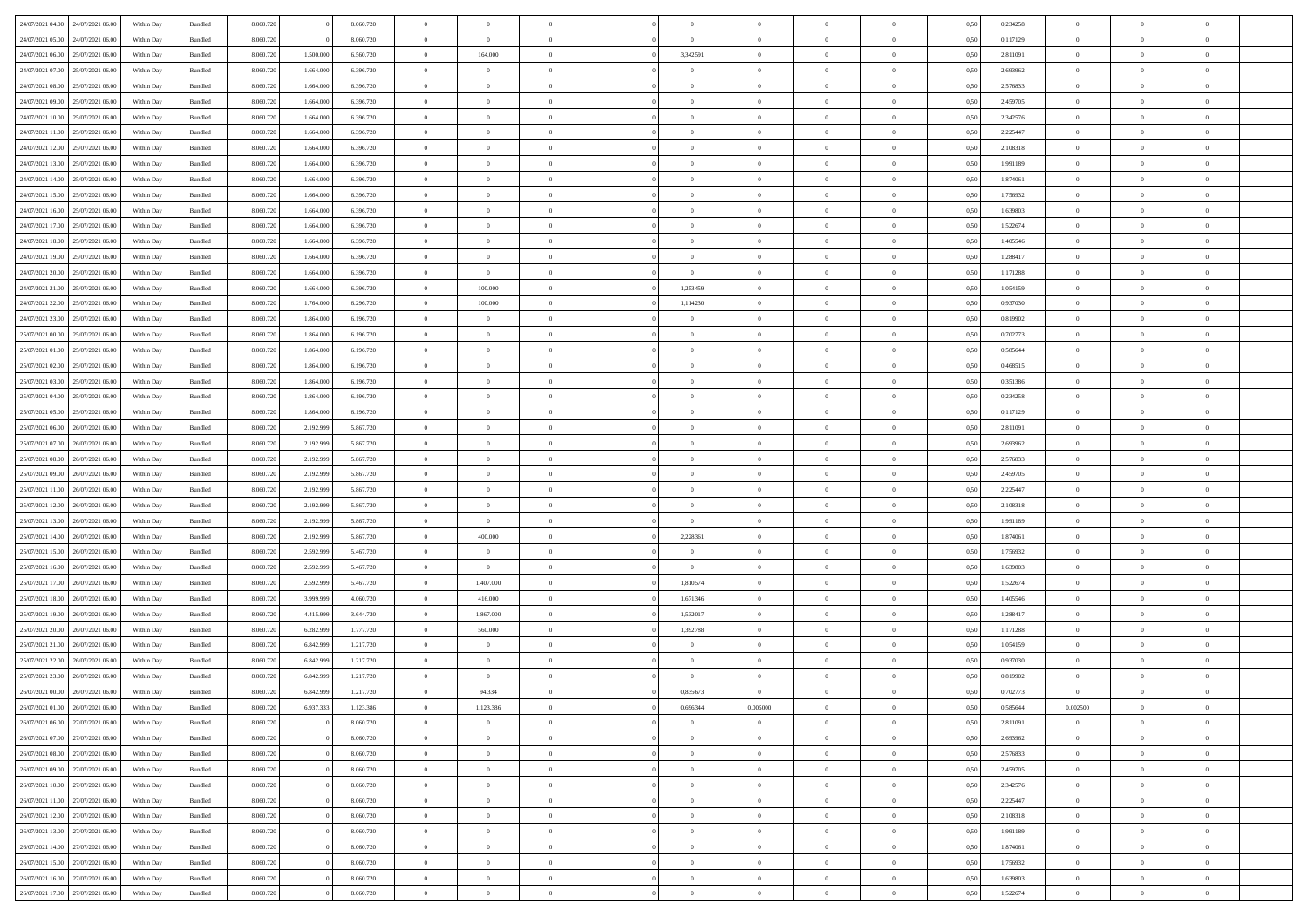| 24/07/2021 04:00                  | 24/07/2021 06:00 | Within Day | Bundled | 8.060.720 |           | 8.060.720 | $\Omega$       | $\Omega$       |                | $\Omega$       | $\Omega$       | $\Omega$       | $\theta$       | 0,50 | 0,234258 | $\theta$       | $\theta$       | $\theta$       |  |
|-----------------------------------|------------------|------------|---------|-----------|-----------|-----------|----------------|----------------|----------------|----------------|----------------|----------------|----------------|------|----------|----------------|----------------|----------------|--|
|                                   |                  |            |         |           |           |           |                |                |                |                |                |                |                |      |          |                |                |                |  |
| 24/07/2021 05:00                  | 24/07/2021 06.00 | Within Day | Bundled | 8.060.720 |           | 8.060.720 | $\overline{0}$ | $\overline{0}$ | $\overline{0}$ | $\overline{0}$ | $\bf{0}$       | $\overline{0}$ | $\bf{0}$       | 0,50 | 0,117129 | $\theta$       | $\theta$       | $\overline{0}$ |  |
| 24/07/2021 06:00                  | 25/07/2021 06:00 | Within Day | Bundled | 8.060.720 | 1.500.000 | 6.560.720 | $\overline{0}$ | 164.000        | $\overline{0}$ | 3,342591       | $\bf{0}$       | $\bf{0}$       | $\mathbf{0}$   | 0,50 | 2,811091 | $\overline{0}$ | $\overline{0}$ | $\overline{0}$ |  |
| 24/07/2021 07:00                  | 25/07/2021 06:00 | Within Dav | Bundled | 8.060.720 | 1.664,000 | 6.396.720 | $\overline{0}$ | $\overline{0}$ | $\overline{0}$ | $\overline{0}$ | $\bf{0}$       | $\overline{0}$ | $\overline{0}$ | 0.50 | 2,693962 | $\theta$       | $\theta$       | $\overline{0}$ |  |
| 24/07/2021 08:00                  | 25/07/2021 06:00 | Within Day | Bundled | 8.060.720 | 1.664.000 | 6.396.720 | $\overline{0}$ | $\theta$       | $\overline{0}$ | $\overline{0}$ | $\bf{0}$       | $\overline{0}$ | $\bf{0}$       | 0,50 | 2,576833 | $\theta$       | $\overline{0}$ | $\overline{0}$ |  |
| 24/07/2021 09:00                  | 25/07/2021 06:00 | Within Day | Bundled | 8.060.720 | 1.664.000 | 6.396.720 | $\overline{0}$ | $\overline{0}$ | $\overline{0}$ | $\bf{0}$       | $\overline{0}$ | $\overline{0}$ | $\mathbf{0}$   | 0,50 | 2,459705 | $\overline{0}$ | $\overline{0}$ | $\bf{0}$       |  |
|                                   |                  |            |         |           |           |           |                |                |                |                |                |                |                |      |          |                |                |                |  |
| 24/07/2021 10:00                  | 25/07/2021 06:00 | Within Dav | Bundled | 8.060.720 | 1.664,000 | 6.396.720 | $\overline{0}$ | $\overline{0}$ | $\overline{0}$ | $\overline{0}$ | $\overline{0}$ | $\overline{0}$ | $\overline{0}$ | 0.50 | 2,342576 | $\theta$       | $\overline{0}$ | $\overline{0}$ |  |
| 24/07/2021 11:00                  | 25/07/2021 06:00 | Within Day | Bundled | 8.060.720 | 1.664.000 | 6.396.720 | $\overline{0}$ | $\theta$       | $\overline{0}$ | $\overline{0}$ | $\bf{0}$       | $\overline{0}$ | $\bf{0}$       | 0,50 | 2,225447 | $\theta$       | $\theta$       | $\overline{0}$ |  |
| 24/07/2021 12:00                  | 25/07/2021 06:00 | Within Day | Bundled | 8.060.720 | 1.664.000 | 6.396.720 | $\overline{0}$ | $\overline{0}$ | $\overline{0}$ | $\bf{0}$       | $\bf{0}$       | $\overline{0}$ | $\mathbf{0}$   | 0,50 | 2,108318 | $\,0\,$        | $\overline{0}$ | $\overline{0}$ |  |
| 24/07/2021 13:00                  | 25/07/2021 06:00 | Within Dav | Bundled | 8.060.720 | 1.664,000 | 6.396.720 | $\overline{0}$ | $\overline{0}$ | $\overline{0}$ | $\overline{0}$ | $\overline{0}$ | $\overline{0}$ | $\overline{0}$ | 0.50 | 1,991189 | $\theta$       | $\overline{0}$ | $\overline{0}$ |  |
| 24/07/2021 14:00                  | 25/07/2021 06:00 | Within Day | Bundled | 8.060.720 | 1.664.000 | 6.396.720 | $\overline{0}$ | $\theta$       | $\overline{0}$ | $\overline{0}$ | $\bf{0}$       | $\overline{0}$ | $\bf{0}$       | 0,50 | 1,874061 | $\,$ 0 $\,$    | $\overline{0}$ | $\overline{0}$ |  |
| 24/07/2021 15:00                  | 25/07/2021 06:00 | Within Day | Bundled | 8.060.720 | 1.664.000 | 6.396.720 | $\overline{0}$ | $\overline{0}$ | $\overline{0}$ | $\overline{0}$ | $\bf{0}$       | $\overline{0}$ | $\mathbf{0}$   | 0,50 | 1,756932 | $\overline{0}$ | $\overline{0}$ | $\overline{0}$ |  |
| 24/07/2021 16:00                  | 25/07/2021 06:00 | Within Dav | Bundled | 8.060.720 | 1.664,000 | 6.396.720 | $\overline{0}$ | $\overline{0}$ | $\overline{0}$ | $\overline{0}$ | $\overline{0}$ | $\overline{0}$ | $\overline{0}$ | 0.50 | 1.639803 | $\theta$       | $\theta$       | $\overline{0}$ |  |
|                                   |                  |            |         |           |           |           |                |                |                |                |                |                |                |      |          |                |                |                |  |
| 24/07/2021 17:00                  | 25/07/2021 06:00 | Within Day | Bundled | 8.060.720 | 1.664.000 | 6.396.720 | $\overline{0}$ | $\theta$       | $\overline{0}$ | $\overline{0}$ | $\bf{0}$       | $\overline{0}$ | $\bf{0}$       | 0,50 | 1,522674 | $\theta$       | $\overline{0}$ | $\overline{0}$ |  |
| 24/07/2021 18:00                  | 25/07/2021 06:00 | Within Day | Bundled | 8.060.720 | 1.664.000 | 6.396.720 | $\overline{0}$ | $\overline{0}$ | $\overline{0}$ | $\overline{0}$ | $\overline{0}$ | $\overline{0}$ | $\mathbf{0}$   | 0,50 | 1,405546 | $\overline{0}$ | $\overline{0}$ | $\bf{0}$       |  |
| 24/07/2021 19:00                  | 25/07/2021 06:00 | Within Dav | Bundled | 8.060.720 | 1.664.000 | 6.396.720 | $\overline{0}$ | $\overline{0}$ | $\overline{0}$ | $\overline{0}$ | $\overline{0}$ | $\overline{0}$ | $\overline{0}$ | 0.50 | 1,288417 | $\theta$       | $\overline{0}$ | $\overline{0}$ |  |
| 24/07/2021 20:00                  | 25/07/2021 06:00 | Within Day | Bundled | 8.060.720 | 1.664.000 | 6.396.720 | $\overline{0}$ | $\overline{0}$ | $\overline{0}$ | $\overline{0}$ | $\bf{0}$       | $\overline{0}$ | $\bf{0}$       | 0,50 | 1,171288 | $\theta$       | $\theta$       | $\overline{0}$ |  |
| 24/07/2021 21:00                  | 25/07/2021 06:00 | Within Day | Bundled | 8.060.720 | 1.664.000 | 6.396.720 | $\overline{0}$ | 100.000        | $\overline{0}$ | 1,253459       | $\bf{0}$       | $\overline{0}$ | $\mathbf{0}$   | 0,50 | 1,054159 | $\,0\,$        | $\overline{0}$ | $\overline{0}$ |  |
| 24/07/2021 22:00                  | 25/07/2021 06:00 | Within Dav | Bundled | 8.060.720 | 1,764,000 | 6.296.720 | $\overline{0}$ | 100.000        | $\overline{0}$ | 1,114230       | $\overline{0}$ | $\overline{0}$ | $\overline{0}$ | 0.50 | 0,937030 | $\theta$       | $\overline{0}$ | $\overline{0}$ |  |
|                                   |                  |            |         |           |           |           |                |                |                |                |                |                |                |      |          |                |                |                |  |
| 24/07/2021 23:00                  | 25/07/2021 06:00 | Within Day | Bundled | 8.060.720 | 1.864.000 | 6.196.720 | $\overline{0}$ | $\theta$       | $\overline{0}$ | $\overline{0}$ | $\bf{0}$       | $\overline{0}$ | $\bf{0}$       | 0,50 | 0,819902 | $\,$ 0 $\,$    | $\theta$       | $\overline{0}$ |  |
| 25/07/2021 00:00                  | 25/07/2021 06:00 | Within Day | Bundled | 8.060.720 | 1.864.000 | 6.196.720 | $\overline{0}$ | $\overline{0}$ | $\overline{0}$ | $\overline{0}$ | $\bf{0}$       | $\overline{0}$ | $\mathbf{0}$   | 0,50 | 0,702773 | $\bf{0}$       | $\overline{0}$ | $\overline{0}$ |  |
| 25/07/2021 01:00                  | 25/07/2021 06:00 | Within Dav | Bundled | 8.060.720 | 1,864,000 | 6.196.720 | $\overline{0}$ | $\overline{0}$ | $\overline{0}$ | $\overline{0}$ | $\overline{0}$ | $\overline{0}$ | $\overline{0}$ | 0.50 | 0.585644 | $\theta$       | $\overline{0}$ | $\overline{0}$ |  |
| 25/07/2021 02:00                  | 25/07/2021 06:00 | Within Day | Bundled | 8.060.720 | 1.864.000 | 6.196.720 | $\overline{0}$ | $\theta$       | $\overline{0}$ | $\overline{0}$ | $\bf{0}$       | $\overline{0}$ | $\bf{0}$       | 0,50 | 0,468515 | $\theta$       | $\overline{0}$ | $\overline{0}$ |  |
| 25/07/2021 03:00                  | 25/07/2021 06:00 | Within Day | Bundled | 8.060.720 | 1.864.000 | 6.196.720 | $\overline{0}$ | $\bf{0}$       | $\overline{0}$ | $\overline{0}$ | $\overline{0}$ | $\overline{0}$ | $\mathbf{0}$   | 0,50 | 0,351386 | $\overline{0}$ | $\overline{0}$ | $\bf{0}$       |  |
| 25/07/2021 04:00                  | 25/07/2021 06:00 | Within Dav | Bundled | 8.060.720 | 1.864,000 | 6.196.720 | $\overline{0}$ | $\overline{0}$ | $\overline{0}$ | $\overline{0}$ | $\overline{0}$ | $\overline{0}$ | $\overline{0}$ | 0.50 | 0,234258 | $\theta$       | $\overline{0}$ | $\overline{0}$ |  |
| 25/07/2021 05:00                  | 25/07/2021 06:00 | Within Day | Bundled | 8.060.720 | 1.864.000 | 6.196.720 | $\overline{0}$ | $\theta$       | $\overline{0}$ | $\overline{0}$ | $\bf{0}$       | $\overline{0}$ | $\bf{0}$       | 0,50 | 0,117129 | $\theta$       | $\theta$       | $\overline{0}$ |  |
|                                   |                  |            |         |           |           |           |                |                |                |                |                |                |                |      |          |                |                |                |  |
| 25/07/2021 06:00                  | 26/07/2021 06:00 | Within Day | Bundled | 8.060.720 | 2.192.999 | 5.867.720 | $\overline{0}$ | $\overline{0}$ | $\overline{0}$ | $\bf{0}$       | $\bf{0}$       | $\overline{0}$ | $\mathbf{0}$   | 0,50 | 2,811091 | $\,0\,$        | $\overline{0}$ | $\overline{0}$ |  |
| 25/07/2021 07:00                  | 26/07/2021 06:00 | Within Day | Bundled | 8.060.720 | 2.192.999 | 5.867.720 | $\overline{0}$ | $\overline{0}$ | $\overline{0}$ | $\overline{0}$ | $\overline{0}$ | $\overline{0}$ | $\overline{0}$ | 0.50 | 2,693962 | $\theta$       | $\overline{0}$ | $\overline{0}$ |  |
| 25/07/2021 08:00                  | 26/07/2021 06:00 | Within Day | Bundled | 8.060.720 | 2.192.999 | 5.867.720 | $\overline{0}$ | $\theta$       | $\overline{0}$ | $\overline{0}$ | $\bf{0}$       | $\overline{0}$ | $\bf{0}$       | 0,50 | 2,576833 | $\,$ 0 $\,$    | $\overline{0}$ | $\overline{0}$ |  |
| 25/07/2021 09:00                  | 26/07/2021 06:00 | Within Day | Bundled | 8.060.720 | 2.192.999 | 5.867.720 | $\overline{0}$ | $\overline{0}$ | $\overline{0}$ | $\overline{0}$ | $\bf{0}$       | $\overline{0}$ | $\mathbf{0}$   | 0,50 | 2,459705 | $\bf{0}$       | $\overline{0}$ | $\overline{0}$ |  |
| 25/07/2021 11:00                  | 26/07/2021 06:00 | Within Day | Bundled | 8.060.720 | 2.192.999 | 5.867.720 | $\overline{0}$ | $\Omega$       | $\overline{0}$ | $\Omega$       | $\Omega$       | $\overline{0}$ | $\overline{0}$ | 0.50 | 2,225447 | $\,0\,$        | $\theta$       | $\theta$       |  |
| 25/07/2021 12:00                  | 26/07/2021 06:00 | Within Day | Bundled | 8.060.720 | 2.192.999 | 5.867.720 | $\overline{0}$ | $\overline{0}$ | $\overline{0}$ | $\overline{0}$ | $\bf{0}$       | $\overline{0}$ | $\bf{0}$       | 0,50 | 2,108318 | $\,$ 0 $\,$    | $\overline{0}$ | $\overline{0}$ |  |
| 25/07/2021 13:00                  | 26/07/2021 06:00 | Within Day | Bundled | 8.060.720 | 2.192.999 | 5.867.720 | $\overline{0}$ | $\overline{0}$ | $\overline{0}$ | $\overline{0}$ | $\bf{0}$       | $\overline{0}$ | $\mathbf{0}$   | 0,50 | 1,991189 | $\overline{0}$ | $\overline{0}$ | $\bf{0}$       |  |
|                                   |                  |            |         |           |           |           |                |                |                |                |                |                |                |      |          |                |                |                |  |
| 25/07/2021 14:00                  | 26/07/2021 06:00 | Within Day | Bundled | 8.060.720 | 2.192.999 | 5.867.720 | $\overline{0}$ | 400,000        | $\Omega$       | 2,228361       | $\bf{0}$       | $\overline{0}$ | $\overline{0}$ | 0.50 | 1,874061 | $\,0\,$        | $\theta$       | $\theta$       |  |
| 25/07/2021 15:00                  | 26/07/2021 06:00 | Within Day | Bundled | 8.060.720 | 2.592.999 | 5.467.720 | $\overline{0}$ | $\theta$       | $\overline{0}$ | $\overline{0}$ | $\,$ 0         | $\overline{0}$ | $\bf{0}$       | 0,50 | 1,756932 | $\,$ 0 $\,$    | $\theta$       | $\overline{0}$ |  |
| 25/07/2021 16:00                  | 26/07/2021 06:00 | Within Day | Bundled | 8.060.720 | 2.592.999 | 5.467.720 | $\overline{0}$ | $\overline{0}$ | $\overline{0}$ | $\overline{0}$ | $\bf{0}$       | $\overline{0}$ | $\mathbf{0}$   | 0,50 | 1,639803 | $\,0\,$        | $\overline{0}$ | $\overline{0}$ |  |
| 25/07/2021 17:00                  | 26/07/2021 06:00 | Within Day | Bundled | 8.060.720 | 2.592.999 | 5.467.720 | $\overline{0}$ | 1.407.000      | $\overline{0}$ | 1.810574       | $\overline{0}$ | $\overline{0}$ | $\overline{0}$ | 0.50 | 1,522674 | $\,$ 0 $\,$    | $\theta$       | $\theta$       |  |
| 25/07/2021 18:00                  | 26/07/2021 06:00 | Within Day | Bundled | 8.060.720 | 3.999.999 | 4.060.720 | $\overline{0}$ | 416.000        | $\overline{0}$ | 1,671346       | $\bf{0}$       | $\overline{0}$ | $\bf{0}$       | 0,50 | 1,405546 | $\,$ 0 $\,$    | $\overline{0}$ | $\overline{0}$ |  |
| 25/07/2021 19:00                  | 26/07/2021 06:00 | Within Day | Bundled | 8.060.720 | 4.415.999 | 3.644.720 | $\overline{0}$ | 1.867.000      | $\overline{0}$ | 1,532017       | $\bf{0}$       | $\overline{0}$ | $\mathbf{0}$   | 0,50 | 1,288417 | $\overline{0}$ | $\overline{0}$ | $\overline{0}$ |  |
| 25/07/2021 20:00                  | 26/07/2021 06:00 | Within Day | Bundled | 8.060.720 | 6.282.999 | 1.777.720 | $\overline{0}$ | 560,000        | $\overline{0}$ | 1,392788       | $\overline{0}$ | $\overline{0}$ | $\overline{0}$ | 0,50 | 1,171288 | $\,0\,$        | $\theta$       | $\theta$       |  |
|                                   |                  |            |         |           |           |           |                |                |                |                |                |                |                |      |          |                | $\overline{0}$ |                |  |
| 25/07/2021 21:00                  | 26/07/2021 06:00 | Within Day | Bundled | 8.060.720 | 6.842.999 | 1.217.720 | $\overline{0}$ | $\theta$       | $\overline{0}$ | $\overline{0}$ | $\bf{0}$       | $\overline{0}$ | $\bf{0}$       | 0,50 | 1,054159 | $\,$ 0 $\,$    |                | $\overline{0}$ |  |
| 25/07/2021 22.00                  | 26/07/2021 06:00 | Within Day | Bundled | 8.060.720 | 6.842.999 | 1.217.720 | $\overline{0}$ | $\overline{0}$ | $\overline{0}$ | $\overline{0}$ | $\bf{0}$       | $\overline{0}$ | $\mathbf{0}$   | 0,50 | 0,937030 | $\overline{0}$ | $\overline{0}$ | $\bf{0}$       |  |
| 25/07/2021 23:00                  | 26/07/2021 06:00 | Within Day | Bundled | 8.060.720 | 6.842.999 | 1.217.720 | $\overline{0}$ | $\overline{0}$ | $\Omega$       | $\Omega$       | $\Omega$       | $\overline{0}$ | $\overline{0}$ | 0.50 | 0,819902 | $\,0\,$        | $\theta$       | $\theta$       |  |
| 26/07/2021 00:00                  | 26/07/2021 06:00 | Within Day | Bundled | 8.060.720 | 6.842.999 | 1.217.720 | $\overline{0}$ | 94.334         | $\overline{0}$ | 0,835673       | $\,$ 0         | $\overline{0}$ | $\bf{0}$       | 0,50 | 0,702773 | $\,0\,$        | $\overline{0}$ | $\overline{0}$ |  |
| 26/07/2021 01:00                  | 26/07/2021 06:00 | Within Day | Bundled | 8.060.720 | 6.937.333 | 1.123.386 | $\bf{0}$       | 1.123.386      |                | 0,696344       | 0,005000       |                |                | 0,50 | 0,585644 | 0,002500       | $\overline{0}$ |                |  |
| 26/07/2021 06:00                  | 27/07/2021 06:00 | Within Day | Bundled | 8.060.720 |           | 8.060.720 | $\overline{0}$ | $\Omega$       | $\Omega$       | $\Omega$       | $\theta$       | $\overline{0}$ | $\overline{0}$ | 0.50 | 2,811091 | $\theta$       | $\theta$       | $\theta$       |  |
| 26/07/2021 07:00                  | 27/07/2021 06:00 | Within Day | Bundled | 8.060.720 |           | 8.060.720 | $\overline{0}$ | $\,$ 0         | $\overline{0}$ | $\bf{0}$       | $\,$ 0 $\,$    | $\overline{0}$ | $\mathbf{0}$   | 0,50 | 2,693962 | $\,$ 0 $\,$    | $\,$ 0 $\,$    | $\bf{0}$       |  |
|                                   |                  |            |         |           |           |           |                |                |                |                |                |                |                |      |          |                |                |                |  |
| 26/07/2021 08:00                  | 27/07/2021 06:00 | Within Day | Bundled | 8.060.720 |           | 8.060.720 | $\overline{0}$ | $\overline{0}$ | $\overline{0}$ | $\overline{0}$ | $\overline{0}$ | $\overline{0}$ | $\mathbf{0}$   | 0,50 | 2,576833 | $\overline{0}$ | $\bf{0}$       | $\bf{0}$       |  |
| 26/07/2021 09:00                  | 27/07/2021 06:00 | Within Day | Bundled | 8.060.720 |           | 8.060.720 | $\overline{0}$ | $\theta$       | $\overline{0}$ | $\Omega$       | $\overline{0}$ | $\overline{0}$ | $\bf{0}$       | 0,50 | 2,459705 | $\overline{0}$ | $\theta$       | $\overline{0}$ |  |
| 26/07/2021 10:00                  | 27/07/2021 06:00 | Within Day | Bundled | 8.060.720 |           | 8.060.720 | $\overline{0}$ | $\,$ 0         | $\overline{0}$ | $\overline{0}$ | $\overline{0}$ | $\bf{0}$       | $\bf{0}$       | 0,50 | 2,342576 | $\,$ 0 $\,$    | $\overline{0}$ | $\overline{0}$ |  |
| 26/07/2021 11:00                  | 27/07/2021 06:00 | Within Day | Bundled | 8.060.720 |           | 8.060.720 | $\overline{0}$ | $\overline{0}$ | $\overline{0}$ | $\overline{0}$ | $\overline{0}$ | $\overline{0}$ | $\mathbf{0}$   | 0,50 | 2,225447 | $\overline{0}$ | $\overline{0}$ | $\bf{0}$       |  |
| 26/07/2021 12:00                  | 27/07/2021 06:00 | Within Day | Bundled | 8.060.720 |           | 8.060.720 | $\overline{0}$ | $\overline{0}$ | $\overline{0}$ | $\Omega$       | $\overline{0}$ | $\overline{0}$ | $\bf{0}$       | 0.50 | 2,108318 | $\overline{0}$ | $\theta$       | $\overline{0}$ |  |
| 26/07/2021 13:00                  | 27/07/2021 06:00 | Within Day | Bundled | 8.060.720 |           | 8.060.720 | $\overline{0}$ | $\overline{0}$ | $\overline{0}$ | $\overline{0}$ | $\bf{0}$       | $\bf{0}$       | $\bf{0}$       | 0,50 | 1,991189 | $\,$ 0 $\,$    | $\overline{0}$ | $\overline{0}$ |  |
| 26/07/2021 14:00                  | 27/07/2021 06:00 | Within Day | Bundled | 8.060.720 |           | 8.060.720 | $\overline{0}$ | $\bf{0}$       | $\overline{0}$ | $\overline{0}$ | $\overline{0}$ | $\overline{0}$ | $\mathbf{0}$   | 0,50 | 1,874061 | $\overline{0}$ | $\overline{0}$ | $\bf{0}$       |  |
|                                   |                  |            |         |           |           |           |                |                |                |                |                |                |                |      |          |                |                |                |  |
| 26/07/2021 15:00                  | 27/07/2021 06:00 | Within Day | Bundled | 8.060.720 |           | 8.060.720 | $\overline{0}$ | $\overline{0}$ | $\overline{0}$ | $\Omega$       | $\overline{0}$ | $\overline{0}$ | $\bf{0}$       | 0.50 | 1,756932 | $\overline{0}$ | $\theta$       | $\overline{0}$ |  |
| 26/07/2021 16:00                  | 27/07/2021 06:00 | Within Day | Bundled | 8.060.720 |           | 8.060.720 | $\overline{0}$ | $\,$ 0 $\,$    | $\overline{0}$ | $\overline{0}$ | $\bf{0}$       | $\bf{0}$       | $\bf{0}$       | 0,50 | 1,639803 | $\,$ 0 $\,$    | $\overline{0}$ | $\bf{0}$       |  |
| 26/07/2021 17:00 27/07/2021 06:00 |                  | Within Day | Bundled | 8.060.720 |           | 8.060.720 | $\overline{0}$ | $\bf{0}$       | $\overline{0}$ | $\bf{0}$       | $\bf{0}$       | $\overline{0}$ | $\bf{0}$       | 0,50 | 1,522674 | $\overline{0}$ | $\overline{0}$ | $\bf{0}$       |  |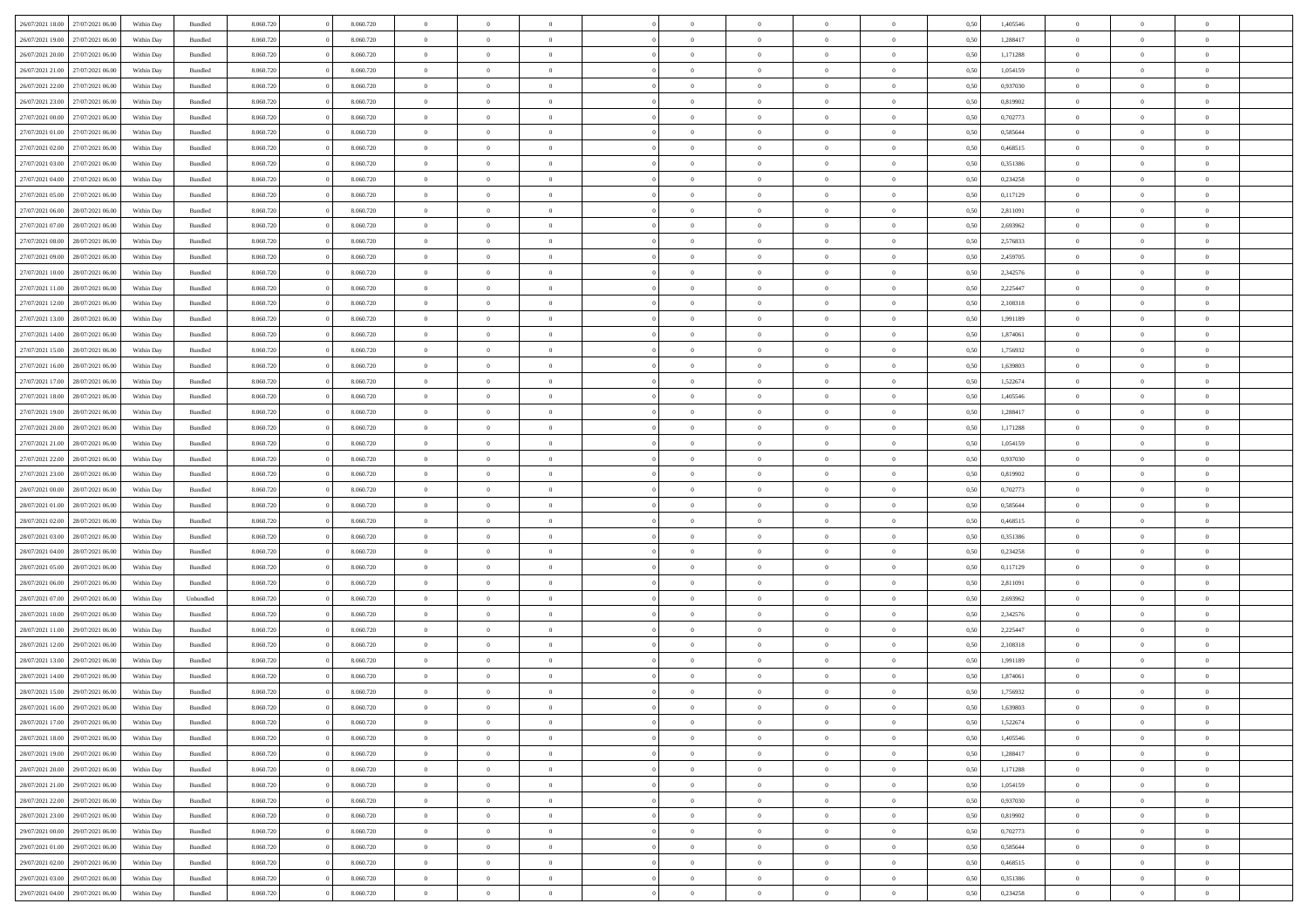| 26/07/2021 18:00 | 27/07/2021 06:00 | Within Day | Bundled            | 8.060.720 | 8.060.720 | $\overline{0}$ | $\Omega$       |                | $\Omega$       | $\Omega$       | $\Omega$       | $\Omega$       | 0.50 | 1,405546 | $\theta$       | $\theta$       | $\theta$       |  |
|------------------|------------------|------------|--------------------|-----------|-----------|----------------|----------------|----------------|----------------|----------------|----------------|----------------|------|----------|----------------|----------------|----------------|--|
| 26/07/2021 19:00 | 27/07/2021 06:00 | Within Day | Bundled            | 8.060.720 | 8.060.720 | $\overline{0}$ | $\theta$       | $\overline{0}$ | $\overline{0}$ | $\bf{0}$       | $\overline{0}$ | $\overline{0}$ | 0,50 | 1,288417 | $\theta$       | $\theta$       | $\overline{0}$ |  |
| 26/07/2021 20:00 | 27/07/2021 06:00 | Within Day | Bundled            | 8.060.720 | 8.060.720 | $\overline{0}$ | $\overline{0}$ | $\overline{0}$ | $\bf{0}$       | $\bf{0}$       | $\bf{0}$       | $\bf{0}$       | 0,50 | 1,171288 | $\bf{0}$       | $\overline{0}$ | $\overline{0}$ |  |
| 26/07/2021 21:00 | 27/07/2021 06:00 | Within Dav | Bundled            | 8.060.720 | 8.060.720 | $\overline{0}$ | $\overline{0}$ | $\overline{0}$ | $\overline{0}$ | $\bf{0}$       | $\overline{0}$ | $\overline{0}$ | 0.50 | 1.054159 | $\theta$       | $\theta$       | $\overline{0}$ |  |
| 26/07/2021 22:00 | 27/07/2021 06:00 | Within Day | Bundled            | 8.060.720 | 8.060.720 | $\overline{0}$ | $\theta$       | $\overline{0}$ | $\overline{0}$ | $\bf{0}$       | $\overline{0}$ | $\bf{0}$       | 0,50 | 0,937030 | $\theta$       | $\theta$       | $\overline{0}$ |  |
|                  |                  |            |                    |           |           |                |                |                |                |                |                |                |      |          |                |                |                |  |
| 26/07/2021 23:00 | 27/07/2021 06:00 | Within Day | Bundled            | 8.060.720 | 8.060.720 | $\overline{0}$ | $\bf{0}$       | $\overline{0}$ | $\bf{0}$       | $\overline{0}$ | $\overline{0}$ | $\mathbf{0}$   | 0,50 | 0,819902 | $\bf{0}$       | $\overline{0}$ | $\bf{0}$       |  |
| 27/07/2021 00:00 | 27/07/2021 06.00 | Within Dav | Bundled            | 8.060.720 | 8.060.720 | $\overline{0}$ | $\overline{0}$ | $\overline{0}$ | $\overline{0}$ | $\overline{0}$ | $\overline{0}$ | $\overline{0}$ | 0.50 | 0,702773 | $\theta$       | $\theta$       | $\overline{0}$ |  |
| 27/07/2021 01:00 | 27/07/2021 06:00 | Within Day | Bundled            | 8.060.720 | 8.060.720 | $\overline{0}$ | $\theta$       | $\overline{0}$ | $\overline{0}$ | $\bf{0}$       | $\overline{0}$ | $\bf{0}$       | 0,50 | 0,585644 | $\theta$       | $\theta$       | $\overline{0}$ |  |
| 27/07/2021 02:00 | 27/07/2021 06:00 | Within Day | Bundled            | 8.060.720 | 8.060.720 | $\overline{0}$ | $\overline{0}$ | $\overline{0}$ | $\bf{0}$       | $\bf{0}$       | $\bf{0}$       | $\bf{0}$       | 0,50 | 0,468515 | $\,0\,$        | $\overline{0}$ | $\overline{0}$ |  |
| 27/07/2021 03:00 | 27/07/2021 06:00 | Within Dav | Bundled            | 8.060.720 | 8.060.720 | $\overline{0}$ | $\overline{0}$ | $\overline{0}$ | $\overline{0}$ | $\overline{0}$ | $\overline{0}$ | $\overline{0}$ | 0.50 | 0,351386 | $\theta$       | $\overline{0}$ | $\overline{0}$ |  |
| 27/07/2021 04:00 | 27/07/2021 06:00 | Within Day | Bundled            | 8.060.720 | 8.060.720 | $\overline{0}$ | $\theta$       | $\overline{0}$ | $\overline{0}$ | $\bf{0}$       | $\overline{0}$ | $\bf{0}$       | 0,50 | 0,234258 | $\theta$       | $\theta$       | $\overline{0}$ |  |
|                  |                  |            |                    |           |           |                |                |                |                |                |                |                |      |          |                |                |                |  |
| 27/07/2021 05:00 | 27/07/2021 06:00 | Within Day | Bundled            | 8.060.720 | 8.060.720 | $\overline{0}$ | $\overline{0}$ | $\overline{0}$ | $\overline{0}$ | $\bf{0}$       | $\overline{0}$ | $\bf{0}$       | 0,50 | 0,117129 | $\overline{0}$ | $\overline{0}$ | $\overline{0}$ |  |
| 27/07/2021 06:00 | 28/07/2021 06:00 | Within Day | Bundled            | 8.060.720 | 8.060.720 | $\overline{0}$ | $\overline{0}$ | $\overline{0}$ | $\overline{0}$ | $\bf{0}$       | $\overline{0}$ | $\overline{0}$ | 0.50 | 2,811091 | $\theta$       | $\theta$       | $\overline{0}$ |  |
| 27/07/2021 07:00 | 28/07/2021 06:00 | Within Day | Bundled            | 8.060.720 | 8.060.720 | $\overline{0}$ | $\theta$       | $\overline{0}$ | $\overline{0}$ | $\bf{0}$       | $\overline{0}$ | $\overline{0}$ | 0,50 | 2,693962 | $\theta$       | $\theta$       | $\overline{0}$ |  |
| 27/07/2021 08:00 | 28/07/2021 06:00 | Within Day | Bundled            | 8.060.720 | 8.060.720 | $\overline{0}$ | $\overline{0}$ | $\overline{0}$ | $\overline{0}$ | $\overline{0}$ | $\overline{0}$ | $\mathbf{0}$   | 0,50 | 2,576833 | $\overline{0}$ | $\overline{0}$ | $\bf{0}$       |  |
| 27/07/2021 09:00 | 28/07/2021 06:00 | Within Dav | Bundled            | 8.060.720 | 8.060.720 | $\overline{0}$ | $\overline{0}$ | $\overline{0}$ | $\overline{0}$ | $\overline{0}$ | $\overline{0}$ | $\overline{0}$ | 0.50 | 2,459705 | $\theta$       | $\overline{0}$ | $\overline{0}$ |  |
| 27/07/2021 10:00 | 28/07/2021 06:00 | Within Day | Bundled            | 8.060.720 | 8.060.720 | $\overline{0}$ | $\theta$       | $\overline{0}$ | $\overline{0}$ | $\bf{0}$       | $\overline{0}$ | $\bf{0}$       | 0,50 | 2,342576 | $\theta$       | $\theta$       | $\overline{0}$ |  |
| 27/07/2021 11:00 | 28/07/2021 06:00 | Within Day | Bundled            | 8.060.720 | 8.060.720 | $\overline{0}$ | $\overline{0}$ | $\overline{0}$ | $\overline{0}$ | $\bf{0}$       | $\overline{0}$ | $\bf{0}$       | 0,50 | 2,225447 | $\,0\,$        | $\overline{0}$ | $\overline{0}$ |  |
| 27/07/2021 12:00 | 28/07/2021 06:00 | Within Dav | Bundled            | 8.060.720 | 8.060.720 | $\overline{0}$ | $\overline{0}$ | $\overline{0}$ | $\overline{0}$ | $\overline{0}$ | $\overline{0}$ | $\overline{0}$ | 0.50 | 2,108318 | $\theta$       | $\overline{0}$ | $\overline{0}$ |  |
|                  |                  |            |                    |           |           |                |                |                |                |                |                |                |      |          |                |                |                |  |
| 27/07/2021 13:00 | 28/07/2021 06:00 | Within Day | Bundled            | 8.060.720 | 8.060.720 | $\overline{0}$ | $\theta$       | $\overline{0}$ | $\overline{0}$ | $\bf{0}$       | $\overline{0}$ | $\bf{0}$       | 0,50 | 1,991189 | $\,$ 0 $\,$    | $\theta$       | $\overline{0}$ |  |
| 27/07/2021 14:00 | 28/07/2021 06:00 | Within Day | Bundled            | 8.060.720 | 8.060.720 | $\overline{0}$ | $\overline{0}$ | $\overline{0}$ | $\overline{0}$ | $\bf{0}$       | $\overline{0}$ | $\bf{0}$       | 0,50 | 1,874061 | $\,0\,$        | $\overline{0}$ | $\overline{0}$ |  |
| 27/07/2021 15:00 | 28/07/2021 06:00 | Within Day | Bundled            | 8.060.720 | 8.060.720 | $\overline{0}$ | $\overline{0}$ | $\overline{0}$ | $\overline{0}$ | $\bf{0}$       | $\overline{0}$ | $\overline{0}$ | 0.50 | 1.756932 | $\theta$       | $\theta$       | $\overline{0}$ |  |
| 27/07/2021 16:00 | 28/07/2021 06:00 | Within Day | Bundled            | 8.060.720 | 8.060.720 | $\overline{0}$ | $\theta$       | $\overline{0}$ | $\overline{0}$ | $\bf{0}$       | $\overline{0}$ | $\bf{0}$       | 0,50 | 1,639803 | $\theta$       | $\overline{0}$ | $\overline{0}$ |  |
| 27/07/2021 17:00 | 28/07/2021 06:00 | Within Day | Bundled            | 8.060.720 | 8.060.720 | $\overline{0}$ | $\bf{0}$       | $\overline{0}$ | $\overline{0}$ | $\overline{0}$ | $\overline{0}$ | $\mathbf{0}$   | 0,50 | 1,522674 | $\overline{0}$ | $\overline{0}$ | $\bf{0}$       |  |
| 27/07/2021 18:00 | 28/07/2021 06:00 | Within Dav | Bundled            | 8.060.720 | 8.060.720 | $\overline{0}$ | $\overline{0}$ | $\overline{0}$ | $\overline{0}$ | $\overline{0}$ | $\overline{0}$ | $\overline{0}$ | 0.50 | 1,405546 | $\theta$       | $\theta$       | $\overline{0}$ |  |
|                  |                  |            |                    |           |           | $\overline{0}$ | $\theta$       | $\overline{0}$ |                | $\bf{0}$       | $\overline{0}$ |                |      |          | $\theta$       | $\theta$       | $\overline{0}$ |  |
| 27/07/2021 19:00 | 28/07/2021 06:00 | Within Day | Bundled            | 8.060.720 | 8.060.720 |                |                |                | $\overline{0}$ |                |                | $\bf{0}$       | 0,50 | 1,288417 |                |                |                |  |
| 27/07/2021 20:00 | 28/07/2021 06:00 | Within Day | Bundled            | 8.060.720 | 8.060.720 | $\overline{0}$ | $\overline{0}$ | $\overline{0}$ | $\overline{0}$ | $\bf{0}$       | $\overline{0}$ | $\bf{0}$       | 0,50 | 1,171288 | $\,0\,$        | $\overline{0}$ | $\overline{0}$ |  |
| 27/07/2021 21:00 | 28/07/2021 06:00 | Within Day | Bundled            | 8.060.720 | 8.060.720 | $\overline{0}$ | $\overline{0}$ | $\overline{0}$ | $\overline{0}$ | $\overline{0}$ | $\overline{0}$ | $\overline{0}$ | 0.50 | 1,054159 | $\theta$       | $\theta$       | $\overline{0}$ |  |
| 27/07/2021 22.00 | 28/07/2021 06:00 | Within Day | Bundled            | 8.060.720 | 8.060.720 | $\overline{0}$ | $\theta$       | $\overline{0}$ | $\overline{0}$ | $\bf{0}$       | $\overline{0}$ | $\bf{0}$       | 0,50 | 0,937030 | $\,$ 0 $\,$    | $\theta$       | $\overline{0}$ |  |
| 27/07/2021 23:00 | 28/07/2021 06:00 | Within Day | Bundled            | 8.060.720 | 8.060.720 | $\overline{0}$ | $\overline{0}$ | $\overline{0}$ | $\overline{0}$ | $\bf{0}$       | $\overline{0}$ | $\bf{0}$       | 0,50 | 0,819902 | $\bf{0}$       | $\overline{0}$ | $\overline{0}$ |  |
| 28/07/2021 00:00 | 28/07/2021 06:00 | Within Day | Bundled            | 8.060.720 | 8.060.720 | $\overline{0}$ | $\Omega$       | $\Omega$       | $\Omega$       | $\Omega$       | $\Omega$       | $\overline{0}$ | 0.50 | 0,702773 | $\,0\,$        | $\theta$       | $\theta$       |  |
| 28/07/2021 01:00 | 28/07/2021 06:00 | Within Day | Bundled            | 8.060.720 | 8.060.720 | $\overline{0}$ | $\theta$       | $\overline{0}$ | $\overline{0}$ | $\bf{0}$       | $\overline{0}$ | $\bf{0}$       | 0,50 | 0,585644 | $\theta$       | $\theta$       | $\overline{0}$ |  |
|                  |                  |            |                    |           |           |                |                |                |                |                |                |                |      |          |                |                |                |  |
| 28/07/2021 02:00 | 28/07/2021 06:00 | Within Day | Bundled            | 8.060.720 | 8.060.720 | $\overline{0}$ | $\overline{0}$ | $\overline{0}$ | $\overline{0}$ | $\bf{0}$       | $\overline{0}$ | $\mathbf{0}$   | 0,50 | 0,468515 | $\overline{0}$ | $\overline{0}$ | $\bf{0}$       |  |
| 28/07/2021 03:00 | 28/07/2021 06:00 | Within Day | Bundled            | 8.060.720 | 8.060.720 | $\overline{0}$ | $\Omega$       | $\Omega$       | $\Omega$       | $\bf{0}$       | $\Omega$       | $\overline{0}$ | 0.50 | 0,351386 | $\theta$       | $\theta$       | $\theta$       |  |
| 28/07/2021 04:00 | 28/07/2021 06:00 | Within Day | Bundled            | 8.060.720 | 8.060.720 | $\overline{0}$ | $\theta$       | $\overline{0}$ | $\overline{0}$ | $\bf{0}$       | $\overline{0}$ | $\bf{0}$       | 0,50 | 0,234258 | $\theta$       | $\theta$       | $\overline{0}$ |  |
| 28/07/2021 05:00 | 28/07/2021 06:00 | Within Day | Bundled            | 8.060.720 | 8.060.720 | $\overline{0}$ | $\overline{0}$ | $\overline{0}$ | $\overline{0}$ | $\bf{0}$       | $\overline{0}$ | $\bf{0}$       | 0,50 | 0,117129 | $\,0\,$        | $\overline{0}$ | $\overline{0}$ |  |
| 28/07/2021 06:00 | 29/07/2021 06:00 | Within Day | Bundled            | 8.060.720 | 8.060.720 | $\overline{0}$ | $\Omega$       | $\Omega$       | $\Omega$       | $\Omega$       | $\theta$       | $\overline{0}$ | 0.50 | 2,811091 | $\theta$       | $\theta$       | $\theta$       |  |
| 28/07/2021 07:00 | 29/07/2021 06:00 | Within Day | Unbundled          | 8.060.720 | 8.060.720 | $\overline{0}$ | $\theta$       | $\overline{0}$ | $\overline{0}$ | $\bf{0}$       | $\overline{0}$ | $\bf{0}$       | 0,50 | 2,693962 | $\,$ 0 $\,$    | $\overline{0}$ | $\overline{0}$ |  |
| 28/07/2021 10:00 | 29/07/2021 06:00 | Within Day | Bundled            | 8.060.720 | 8.060.720 | $\overline{0}$ | $\overline{0}$ | $\overline{0}$ | $\overline{0}$ | $\bf{0}$       | $\overline{0}$ | $\bf{0}$       | 0,50 | 2,342576 | $\overline{0}$ | $\overline{0}$ | $\overline{0}$ |  |
| 28/07/2021 11:00 | 29/07/2021 06:00 |            |                    | 8.060.720 | 8.060.720 | $\overline{0}$ | $\Omega$       | $\Omega$       | $\Omega$       | $\Omega$       | $\overline{0}$ | $\overline{0}$ | 0.50 | 2,225447 | $\,0\,$        | $\theta$       | $\theta$       |  |
|                  |                  | Within Day | Bundled            |           |           |                |                |                |                |                |                |                |      |          |                |                |                |  |
| 28/07/2021 12:00 | 29/07/2021 06:00 | Within Day | Bundled            | 8.060.720 | 8.060.720 | $\overline{0}$ | $\theta$       | $\overline{0}$ | $\overline{0}$ | $\bf{0}$       | $\overline{0}$ | $\bf{0}$       | 0,50 | 2,108318 | $\,$ 0 $\,$    | $\overline{0}$ | $\overline{0}$ |  |
| 28/07/2021 13:00 | 29/07/2021 06:00 | Within Day | Bundled            | 8.060.720 | 8.060.720 | $\overline{0}$ | $\overline{0}$ | $\overline{0}$ | $\overline{0}$ | $\bf{0}$       | $\overline{0}$ | $\mathbf{0}$   | 0,50 | 1,991189 | $\overline{0}$ | $\overline{0}$ | $\bf{0}$       |  |
| 28/07/2021 14:00 | 29/07/2021 06:00 | Within Day | Bundled            | 8.060.720 | 8.060.720 | $\overline{0}$ | $\Omega$       | $\Omega$       | $\Omega$       | $\Omega$       | $\Omega$       | $\overline{0}$ | 0.50 | 1,874061 | $\theta$       | $\Omega$       | $\theta$       |  |
| 28/07/2021 15:00 | 29/07/2021 06:00 | Within Day | Bundled            | 8.060.720 | 8.060.720 | $\overline{0}$ | $\overline{0}$ | $\overline{0}$ | $\bf{0}$       | $\,$ 0         | $\overline{0}$ | $\bf{0}$       | 0,50 | 1,756932 | $\,0\,$        | $\overline{0}$ | $\overline{0}$ |  |
| 28/07/2021 16:00 | 29/07/2021 06:00 | Within Day | $\mathbf B$ undled | 8.060.720 | 8.060.720 | $\bf{0}$       | $\bf{0}$       |                |                | $\bf{0}$       |                |                | 0,50 | 1,639803 | $\bf{0}$       | $\overline{0}$ |                |  |
| 28/07/2021 17:00 | 29/07/2021 06:00 | Within Day | Bundled            | 8.060.720 | 8.060.720 | $\overline{0}$ | $\overline{0}$ | $\overline{0}$ | $\Omega$       | $\overline{0}$ | $\overline{0}$ | $\overline{0}$ | 0.50 | 1,522674 | $\theta$       | $\theta$       | $\theta$       |  |
| 28/07/2021 18:00 | 29/07/2021 06.00 | Within Day | Bundled            | 8.060.720 | 8.060.720 | $\overline{0}$ | $\,$ 0         | $\overline{0}$ | $\overline{0}$ | $\,$ 0 $\,$    | $\overline{0}$ | $\mathbf{0}$   | 0,50 | 1,405546 | $\,$ 0 $\,$    | $\,$ 0 $\,$    | $\,$ 0         |  |
|                  |                  |            |                    |           |           |                |                |                |                |                |                |                |      |          |                |                |                |  |
| 28/07/2021 19:00 | 29/07/2021 06:00 | Within Day | Bundled            | 8.060.720 | 8.060.720 | $\overline{0}$ | $\overline{0}$ | $\overline{0}$ | $\overline{0}$ | $\overline{0}$ | $\overline{0}$ | $\mathbf{0}$   | 0,50 | 1,288417 | $\overline{0}$ | $\bf{0}$       | $\overline{0}$ |  |
| 28/07/2021 20:00 | 29/07/2021 06:00 | Within Day | Bundled            | 8.060.720 | 8.060.720 | $\overline{0}$ | $\overline{0}$ | $\overline{0}$ | $\Omega$       | $\overline{0}$ | $\overline{0}$ | $\overline{0}$ | 0,50 | 1,171288 | $\overline{0}$ | $\theta$       | $\overline{0}$ |  |
| 28/07/2021 21:00 | 29/07/2021 06.00 | Within Day | Bundled            | 8.060.720 | 8.060.720 | $\overline{0}$ | $\,$ 0         | $\overline{0}$ | $\overline{0}$ | $\,$ 0 $\,$    | $\overline{0}$ | $\mathbf{0}$   | 0,50 | 1,054159 | $\,$ 0 $\,$    | $\overline{0}$ | $\overline{0}$ |  |
| 28/07/2021 22:00 | 29/07/2021 06:00 | Within Day | Bundled            | 8.060.720 | 8.060.720 | $\overline{0}$ | $\overline{0}$ | $\overline{0}$ | $\overline{0}$ | $\overline{0}$ | $\overline{0}$ | $\mathbf{0}$   | 0,50 | 0,937030 | $\overline{0}$ | $\overline{0}$ | $\bf{0}$       |  |
| 28/07/2021 23:00 | 29/07/2021 06:00 | Within Day | Bundled            | 8.060.720 | 8.060.720 | $\overline{0}$ | $\overline{0}$ | $\overline{0}$ | $\Omega$       | $\overline{0}$ | $\overline{0}$ | $\bf{0}$       | 0.50 | 0,819902 | $\overline{0}$ | $\theta$       | $\overline{0}$ |  |
| 29/07/2021 00:00 | 29/07/2021 06:00 | Within Day | Bundled            | 8.060.720 | 8.060.720 | $\overline{0}$ | $\,$ 0         | $\overline{0}$ | $\bf{0}$       | $\bf{0}$       | $\bf{0}$       | $\bf{0}$       | 0,50 | 0,702773 | $\,$ 0 $\,$    | $\overline{0}$ | $\overline{0}$ |  |
| 29/07/2021 01:00 | 29/07/2021 06:00 | Within Day | Bundled            | 8.060.720 | 8.060.720 | $\overline{0}$ | $\bf{0}$       | $\overline{0}$ | $\overline{0}$ | $\overline{0}$ | $\overline{0}$ | $\mathbf{0}$   | 0,50 | 0,585644 | $\overline{0}$ | $\overline{0}$ | $\bf{0}$       |  |
|                  |                  |            |                    |           |           |                |                |                |                |                |                |                |      |          |                |                |                |  |
| 29/07/2021 02:00 | 29/07/2021 06:00 | Within Day | Bundled            | 8.060.720 | 8.060.720 | $\overline{0}$ | $\overline{0}$ | $\overline{0}$ | $\Omega$       | $\overline{0}$ | $\overline{0}$ | $\overline{0}$ | 0.50 | 0.468515 | $\overline{0}$ | $\overline{0}$ | $\overline{0}$ |  |
| 29/07/2021 03:00 | 29/07/2021 06.00 | Within Day | Bundled            | 8.060.720 | 8.060.720 | $\overline{0}$ | $\bf{0}$       | $\overline{0}$ | $\overline{0}$ | $\bf{0}$       | $\bf{0}$       | $\bf{0}$       | 0,50 | 0,351386 | $\,$ 0 $\,$    | $\,$ 0 $\,$    | $\bf{0}$       |  |
| 29/07/2021 04:00 | 29/07/2021 06:00 | Within Day | Bundled            | 8.060.720 | 8.060.720 | $\overline{0}$ | $\bf{0}$       | $\overline{0}$ | $\bf{0}$       | $\bf{0}$       | $\bf{0}$       | $\bf{0}$       | 0,50 | 0,234258 | $\overline{0}$ | $\overline{0}$ | $\bf{0}$       |  |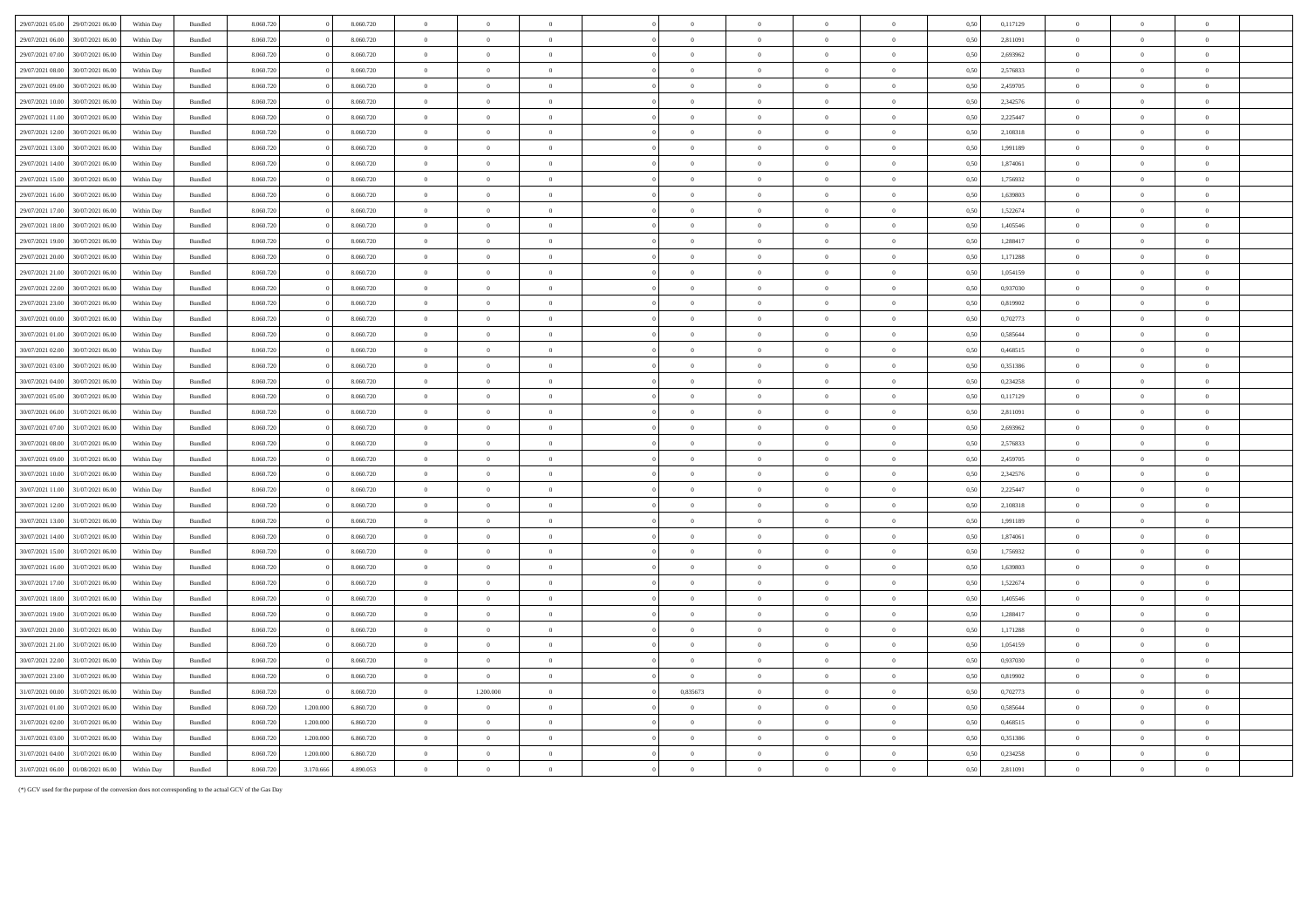| 29/07/2021 05:00 29/07/2021 06:00    | Within Day | Bundled            | 8.060.720 |                | 8.060.720 | $\overline{0}$ | $\Omega$       |                |                |                |                |                                 | 0.50 | 0.117129 | $\overline{0}$ | $\Omega$       |                |  |
|--------------------------------------|------------|--------------------|-----------|----------------|-----------|----------------|----------------|----------------|----------------|----------------|----------------|---------------------------------|------|----------|----------------|----------------|----------------|--|
| 29/07/2021 06:00<br>30/07/2021 06:00 | Within Day | <b>Bundled</b>     | 8.060.720 |                | 8.060.720 | $\overline{0}$ | $\overline{0}$ | $\overline{0}$ | $\overline{0}$ | $\overline{0}$ | $\overline{0}$ | $\overline{0}$                  | 0.50 | 2.811091 | $\overline{0}$ | $\theta$       | $\overline{0}$ |  |
| 29/07/2021 07:00<br>30/07/2021 06:00 |            | Bundled            | 8.060.720 |                | 8.060.720 | $\overline{0}$ | $\Omega$       | $\Omega$       | $\Omega$       | $\Omega$       | $\Omega$       | $\Omega$                        | 0.50 | 2.693962 | $\Omega$       | $\Omega$       | $\Omega$       |  |
| 29/07/2021 08:00<br>30/07/2021 06:00 | Within Day |                    | 8.060.720 |                | 8.060.720 |                | $\overline{0}$ |                |                |                |                |                                 |      | 2.576833 |                | $\overline{0}$ |                |  |
|                                      | Within Day | Bundled            |           |                |           | $\overline{0}$ |                | $\overline{0}$ | $\overline{0}$ | $\overline{0}$ | $\overline{0}$ | $\bf{0}$                        | 0,50 |          | $\overline{0}$ | $\Omega$       | $\overline{0}$ |  |
| 29/07/2021 09:00<br>30/07/2021 06:00 | Within Day | Bundled            | 8.060.720 |                | 8.060.720 | $\overline{0}$ | $\overline{0}$ | $\overline{0}$ | $\overline{0}$ | $\overline{0}$ | $\overline{0}$ | $\mathbf{0}$                    | 0.50 | 2,459705 | $\overline{0}$ |                | $\overline{0}$ |  |
| 29/07/2021 10:00<br>30/07/2021 06:00 | Within Day | Bundled            | 8.060.720 |                | 8.060.720 | $\overline{0}$ | $\overline{0}$ | $\overline{0}$ | $\overline{0}$ | $\mathbf{0}$   | $\,$ 0 $\,$    | $\hspace{0.1mm}0\hspace{0.1mm}$ | 0,50 | 2,342576 | $\overline{0}$ | $\overline{0}$ | $\overline{0}$ |  |
| 29/07/2021 11:00<br>30/07/2021 06:00 | Within Day | Bundled            | 8.060.720 |                | 8.060.720 | $\overline{0}$ | $\overline{0}$ | $\overline{0}$ | $\overline{0}$ | $\overline{0}$ | $\overline{0}$ | $\,$ 0 $\,$                     | 0,50 | 2,225447 | $\overline{0}$ | $\overline{0}$ | $\overline{0}$ |  |
| 29/07/2021 12:00<br>30/07/2021 06:00 | Within Dav | Bundled            | 8.060.720 |                | 8.060.720 | $\overline{0}$ | $\overline{0}$ | $\overline{0}$ | $\overline{0}$ | $\overline{0}$ | $\,$ 0 $\,$    | $\,$ 0 $\,$                     | 0,50 | 2,108318 | $\overline{0}$ | $\overline{0}$ | $\overline{0}$ |  |
| 29/07/2021 13:00<br>30/07/2021 06:00 | Within Day | Bundled            | 8.060.720 |                | 8.060.720 | $\,$ 0 $\,$    | $\overline{0}$ | $\theta$       | $\overline{0}$ | $\overline{0}$ | $\overline{0}$ | $\bf{0}$                        | 0,50 | 1,991189 | $\overline{0}$ | $\theta$       | $\overline{0}$ |  |
| 29/07/2021 14:00<br>30/07/2021 06.0  | Within Day | Bundled            | 8.060.720 |                | 8.060.720 | $\overline{0}$ | $\overline{0}$ | $\,$ 0 $\,$    | $\,$ 0 $\,$    | $\overline{0}$ | $\,$ 0 $\,$    | $\,$ 0 $\,$                     | 0,50 | 1,874061 | $\overline{0}$ | $\overline{0}$ | $\,$ 0 $\,$    |  |
| 29/07/2021 15:00<br>30/07/2021 06:00 | Within Day | Bundled            | 8.060.720 | $\Omega$       | 8.060.720 | $\overline{0}$ | $\overline{0}$ | $\theta$       | $\overline{0}$ | $\theta$       | $\overline{0}$ | $\mathbf{0}$                    | 0,50 | 1,756932 | $\overline{0}$ | $\overline{0}$ | $\overline{0}$ |  |
| 29/07/2021 16:00<br>30/07/2021 06:00 | Within Dav | Bundled            | 8.060.720 |                | 8.060.720 | $\overline{0}$ | $\overline{0}$ | $\overline{0}$ | $\overline{0}$ | $\overline{0}$ | $\overline{0}$ | $\overline{0}$                  | 0.50 | 1.639803 | $\overline{0}$ | $\overline{0}$ | $\overline{0}$ |  |
| 29/07/2021 17:00<br>30/07/2021 06:00 | Within Day | Bundled            | 8.060.720 |                | 8.060.720 | $\overline{0}$ | $\overline{0}$ | $\overline{0}$ | $\overline{0}$ | $\overline{0}$ | $\overline{0}$ | $\overline{0}$                  | 0.50 | 1,522674 | $\overline{0}$ | $\overline{0}$ | $\overline{0}$ |  |
| 29/07/2021 18:00<br>30/07/2021 06:00 | Within Day | <b>Bundled</b>     | 8.060.720 | $\Omega$       | 8.060.720 | $\overline{0}$ | $\Omega$       | $\overline{0}$ | $\Omega$       | $\theta$       | $\Omega$       | $\theta$                        | 0.50 | 1 405546 | $\overline{0}$ | $\theta$       | $\theta$       |  |
| 29/07/2021 19:00<br>30/07/2021 06:00 | Within Day | Bundled            | 8.060.720 |                | 8.060.720 | $\overline{0}$ | $\Omega$       | $\Omega$       | $\Omega$       | $\theta$       | $\Omega$       | $\theta$                        | 0.50 | 1.288417 | $\Omega$       | $\theta$       | $\theta$       |  |
| 29/07/2021 20:00<br>30/07/2021 06:00 | Within Day | <b>Bundled</b>     | 8.060.720 |                | 8.060.720 | $\overline{0}$ | $\theta$       | $\Omega$       | $\overline{0}$ | $\theta$       | $\theta$       | $\,$ 0 $\,$                     | 0.50 | 1,171288 | $\overline{0}$ | $\theta$       | $\overline{0}$ |  |
| 29/07/2021 21:00<br>30/07/2021 06:00 | Within Day | Bundled            | 8.060.720 |                | 8.060.720 | $\overline{0}$ | $\Omega$       | $\Omega$       | $\Omega$       | $\Omega$       | $\Omega$       | $\overline{0}$                  | 0,50 | 1,054159 | $\overline{0}$ | $\theta$       | $\theta$       |  |
| 29/07/2021 22:00<br>30/07/2021 06.0  | Within Day | Bundled            | 8.060.720 |                | 8.060.720 | $\overline{0}$ | $\overline{0}$ | $\overline{0}$ | $\overline{0}$ | $\overline{0}$ | $\overline{0}$ | $\hspace{0.1mm}0\hspace{0.1mm}$ | 0,50 | 0,937030 | $\overline{0}$ | $\overline{0}$ | $\overline{0}$ |  |
| 29/07/2021 23:00<br>30/07/2021 06:0  | Within Day | Bundled            | 8.060.720 |                | 8.060.720 | $\overline{0}$ | $\overline{0}$ | $\overline{0}$ | $\overline{0}$ | $\theta$       | $\overline{0}$ | $\overline{0}$                  | 0,50 | 0,819902 | $\overline{0}$ | $\overline{0}$ | $\theta$       |  |
| 30/07/2021 00:00<br>30/07/2021 06.0  | Within Day | Bundled            | 8.060.720 |                | 8.060.720 | $\overline{0}$ | $\overline{0}$ | $\,$ 0 $\,$    | $\,$ 0 $\,$    | $\bf{0}$       | $\overline{0}$ | $\,$ 0 $\,$                     | 0,50 | 0,702773 | $\overline{0}$ | $\overline{0}$ | $\,$ 0 $\,$    |  |
| 30/07/2021 01:00<br>30/07/2021 06.0  | Within Day | Bundled            | 8.060.720 |                | 8.060.720 | $\,$ 0 $\,$    | $\overline{0}$ | $\overline{0}$ | $\theta$       |                | $\overline{0}$ | $\mathbf{0}$                    | 0,50 | 0,585644 | $\overline{0}$ | $\theta$       | $\bf{0}$       |  |
| 30/07/2021 02:00<br>30/07/2021 06.0  | Within Dav | Bundled            | 8.060.720 |                | 8.060.720 | $\overline{0}$ | $\overline{0}$ | $\theta$       | $\overline{0}$ | $\overline{0}$ | $\overline{0}$ | $\theta$                        | 0,50 | 0,468515 | $\overline{0}$ | $\theta$       | $\overline{0}$ |  |
| 30/07/2021 03:00<br>30/07/2021 06.0  | Within Day | Bundled            | 8.060.720 |                | 8.060.720 | $\,$ 0 $\,$    | $\overline{0}$ | $\overline{0}$ | $\theta$       | $\overline{0}$ | $\overline{0}$ | $\,$ 0 $\,$                     | 0,50 | 0,351386 | $\overline{0}$ | $\overline{0}$ | $\bf{0}$       |  |
| 30/07/2021 04:00<br>30/07/2021 06:00 | Within Day | Bundled            | 8.060.720 |                | 8.060.720 | $\overline{0}$ | $\overline{0}$ | $\overline{0}$ | $\overline{0}$ | $\Omega$       | $\overline{0}$ | $\overline{0}$                  | 0.50 | 0,234258 | $\overline{0}$ | $\Omega$       | $\overline{0}$ |  |
| 30/07/2021 05:00<br>30/07/2021 06:00 | Within Day | Bundled            | 8.060.720 |                | 8.060.720 | $\overline{0}$ | $\overline{0}$ | $\overline{0}$ | $\Omega$       | $\Omega$       | $\overline{0}$ | $\overline{0}$                  | 0,50 | 0,117129 | $\overline{0}$ | $\Omega$       | $\Omega$       |  |
| 30/07/2021 06:00<br>31/07/2021 06:00 | Within Dav | Bundled            | 8.060.720 |                | 8.060.720 | $\overline{0}$ | $\overline{0}$ | $\overline{0}$ | $\overline{0}$ | $\overline{0}$ | $\overline{0}$ | $\overline{0}$                  | 0.50 | 2.811091 | $\overline{0}$ | $\overline{0}$ | $\overline{0}$ |  |
| 30/07/2021 07:00<br>31/07/2021 06:00 | Within Day | <b>Bundled</b>     | 8.060.720 |                | 8.060.720 | $\overline{0}$ | $\Omega$       | $\Omega$       | $\Omega$       | $\overline{0}$ | $\Omega$       | $\overline{0}$                  | 0.50 | 2.693962 | $\Omega$       | $\theta$       | $\overline{0}$ |  |
| 30/07/2021 08:00<br>31/07/2021 06:00 | Within Dav | Bundled            | 8.060.720 |                | 8.060.720 | $\overline{0}$ | $\overline{0}$ | $\overline{0}$ | $\overline{0}$ | $\overline{0}$ | $\overline{0}$ | $\overline{0}$                  | 0.50 | 2.576833 | $\overline{0}$ | $\overline{0}$ | $\overline{0}$ |  |
| 30/07/2021 09:00<br>31/07/2021 06:00 | Within Day | Bundled            | 8.060.720 |                | 8.060.720 | $\overline{0}$ | $\Omega$       | $\Omega$       | $\overline{0}$ | $\theta$       | $\Omega$       | $\overline{0}$                  | 0.50 | 2.459705 | $\overline{0}$ | $\theta$       | $\overline{0}$ |  |
| 30/07/2021 10:00 31/07/2021 06:00    | Within Day | Bundled            | 8.060.720 |                | 8.060.720 | $\overline{0}$ | $\Omega$       | $\Omega$       | $\overline{0}$ | $\theta$       | $\Omega$       | $\theta$                        | 0.50 | 2.342576 | $\overline{0}$ | $\theta$       | $\overline{0}$ |  |
| 30/07/2021 11:00<br>31/07/2021 06:00 | Within Day | Bundled            | 8.060.720 |                | 8.060.720 | $\overline{0}$ | $\overline{0}$ | $\overline{0}$ | $\overline{0}$ | $\mathbf{0}$   | $\,$ 0 $\,$    | $\hspace{0.1mm}0\hspace{0.1mm}$ | 0,50 | 2,225447 | $\overline{0}$ | $\overline{0}$ | $\overline{0}$ |  |
| 30/07/2021 12:00 31/07/2021 06:00    | Within Day | Bundled            | 8.060.720 |                | 8.060.720 | $\overline{0}$ | $\overline{0}$ | $\overline{0}$ | $\overline{0}$ | $\overline{0}$ | $\overline{0}$ | $\overline{0}$                  | 0.50 | 2,108318 | $\overline{0}$ | $\overline{0}$ | $\overline{0}$ |  |
| 30/07/2021 13:00<br>31/07/2021 06:00 | Within Day | Bundled            | 8.060.720 |                | 8.060.720 | $\overline{0}$ | $\overline{0}$ | $\overline{0}$ | $\overline{0}$ | $\mathbf{0}$   | $\overline{0}$ | $\hspace{0.1mm}$ 0              | 0,50 | 1,991189 | $\overline{0}$ | $\overline{0}$ | $\overline{0}$ |  |
| 30/07/2021 14:00<br>31/07/2021 06:00 | Within Day | Bundled            | 8.060.720 |                | 8.060.720 | $\overline{0}$ | $\overline{0}$ | $\overline{0}$ | $\overline{0}$ | $\overline{0}$ | $\theta$       | $\overline{0}$                  | 0,50 | 1,874061 | $\overline{0}$ | $\theta$       | $\overline{0}$ |  |
| 30/07/2021 15:00<br>31/07/2021 06:00 | Within Dav | Bundled            | 8.060.720 | $\overline{0}$ | 8.060.720 | $\overline{0}$ | $\overline{0}$ | $\overline{0}$ | $\overline{0}$ | $\,$ 0 $\,$    | $\overline{0}$ | $\overline{0}$                  | 0,50 | 1,756932 | $\overline{0}$ | $\overline{0}$ | $\overline{0}$ |  |
| 30/07/2021 16:00<br>31/07/2021 06:00 | Within Day | Bundled            | 8.060.720 |                | 8.060.720 | $\overline{0}$ | $\overline{0}$ | $\overline{0}$ | $\overline{0}$ | $\overline{0}$ | $\overline{0}$ | $\mathbf{0}$                    | 0,50 | 1,639803 | $\overline{0}$ | $\theta$       | $\overline{0}$ |  |
| 30/07/2021 17:00<br>31/07/2021 06:00 | Within Day | Bundled            | 8.060.720 | $\Omega$       | 8.060.720 | $\overline{0}$ | $\overline{0}$ | $\overline{0}$ | $\overline{0}$ | $\overline{0}$ | $\overline{0}$ | $\overline{0}$                  | 0.50 | 1,522674 | $\overline{0}$ | $\overline{0}$ | $\overline{0}$ |  |
| 30/07/2021 18:00<br>31/07/2021 06:00 | Within Day | Bundled            | 8.060.720 | $\theta$       | 8.060.720 | $\overline{0}$ | $\overline{0}$ | $\overline{0}$ | $\Omega$       | $\theta$       | $\overline{0}$ | $\mathbf{0}$                    | 0,50 | 1,405546 | $\overline{0}$ | $\overline{0}$ | $\overline{0}$ |  |
| 30/07/2021 19:00<br>31/07/2021 06:00 | Within Day | Bundled            | 8.060.720 | $\theta$       | 8.060.720 | $\overline{0}$ | $\overline{0}$ | $\overline{0}$ | $\overline{0}$ | $\overline{0}$ | $\overline{0}$ | $\overline{0}$                  | 0.50 | 1.288417 | $\overline{0}$ | $\overline{0}$ | $\overline{0}$ |  |
| 30/07/2021 20:00<br>31/07/2021 06:00 | Within Day | <b>Bundled</b>     | 8.060.720 | $\Omega$       | 8.060.720 | $\overline{0}$ | $\Omega$       | $\Omega$       | $\Omega$       | $\theta$       | $\Omega$       | $\theta$                        | 0.50 | 1171288  | $\Omega$       | $\theta$       | $\overline{0}$ |  |
| 30/07/2021 21:00<br>31/07/2021 06:00 | Within Day | <b>Bundled</b>     | 8.060.720 | $\Omega$       | 8.060.720 | $\overline{0}$ | $\theta$       | $\overline{0}$ | $\overline{0}$ | $\overline{0}$ | $\theta$       | $\theta$                        | 0.50 | 1054159  | $\overline{0}$ | $\theta$       | $\theta$       |  |
| 30/07/2021 22:00<br>31/07/2021 06:00 | Within Day | Bundled            | 8.060.720 |                | 8.060.720 | $\overline{0}$ | $\Omega$       | $\Omega$       | $\Omega$       | $\Omega$       | $\Omega$       | $\theta$                        | 0.50 | 0.937030 | $\Omega$       | $\theta$       | $\Omega$       |  |
| 30/07/2021 23:00<br>31/07/2021 06:0  | Within Day | Bundled            | 8.060.720 |                | 8.060.720 | $\overline{0}$ | $\overline{0}$ | $\overline{0}$ | $\overline{0}$ | $\theta$       | $\overline{0}$ | $\hspace{0.1mm}$ 0              | 0,50 | 0,819902 | $\overline{0}$ | $\Omega$       | $\overline{0}$ |  |
| 31/07/2021 00:00<br>31/07/2021 06:0  | Within Day | Bundled            | 8.060.72  |                | 8.060.720 | $\overline{0}$ | 1.200.000      | $\overline{0}$ | 0.835673       | $\Omega$       | $\theta$       | $\hspace{0.1mm}$ 0              | 0,50 | 0,702773 | $\overline{0}$ | $\theta$       | $\sqrt{2}$     |  |
| 31/07/2021 01:00<br>31/07/2021 06.0  | Within Day | Bundled            | 8.060.720 | 1.200.000      | 6.860.720 | $\overline{0}$ | $\overline{0}$ | $\overline{0}$ | $\overline{0}$ | $\overline{0}$ | $\overline{0}$ | $\,$ 0 $\,$                     | 0,50 | 0,585644 | $\overline{0}$ | $\overline{0}$ | $\,$ 0 $\,$    |  |
| 31/07/2021 02:00<br>31/07/2021 06.0  | Within Day | $\mathbf B$ undled | 8.060.720 | 1.200.000      | 6.860.720 | $\,$ 0 $\,$    | $\overline{0}$ | $\overline{0}$ | $\theta$       |                | $\overline{0}$ | $\mathbf{0}$                    | 0,50 | 0,468515 | $\overline{0}$ | $\overline{0}$ | $\bf{0}$       |  |
| 31/07/2021 03:00<br>31/07/2021 06.0  | Within Day | Bundled            | 8.060.72  | 1.200.000      | 6.860.720 | $\overline{0}$ | $\overline{0}$ | $\overline{0}$ | $\overline{0}$ | $\overline{0}$ | $\overline{0}$ | $\bf{0}$                        | 0,50 | 0,351386 | $\overline{0}$ | $\overline{0}$ | $\bf{0}$       |  |
| 31/07/2021 04:00<br>31/07/2021 06.0  | Within Day | Bundled            | 8.060.720 | 1.200.000      | 6.860.720 | $\,$ 0 $\,$    | $\overline{0}$ | $\overline{0}$ | $\theta$       |                | $\overline{0}$ | $\mathbf{0}$                    | 0,50 | 0,234258 | $\overline{0}$ | $\overline{0}$ | $\bf{0}$       |  |
| 31/07/2021 06:00<br>01/08/2021 06:00 | Within Day | $\mathbf B$ undled | 8.060.720 | 3.170.666      | 4.890.053 | $\overline{0}$ | $\Omega$       | $\Omega$       | $\theta$       |                | $\Omega$       | $\theta$                        | 0,50 | 2,811091 | $\Omega$       | $\theta$       | $\theta$       |  |
|                                      |            |                    |           |                |           |                |                |                |                |                |                |                                 |      |          |                |                |                |  |

(\*) GCV used for the purpose of the conversion does not corresponding to the actual GCV of the Gas Day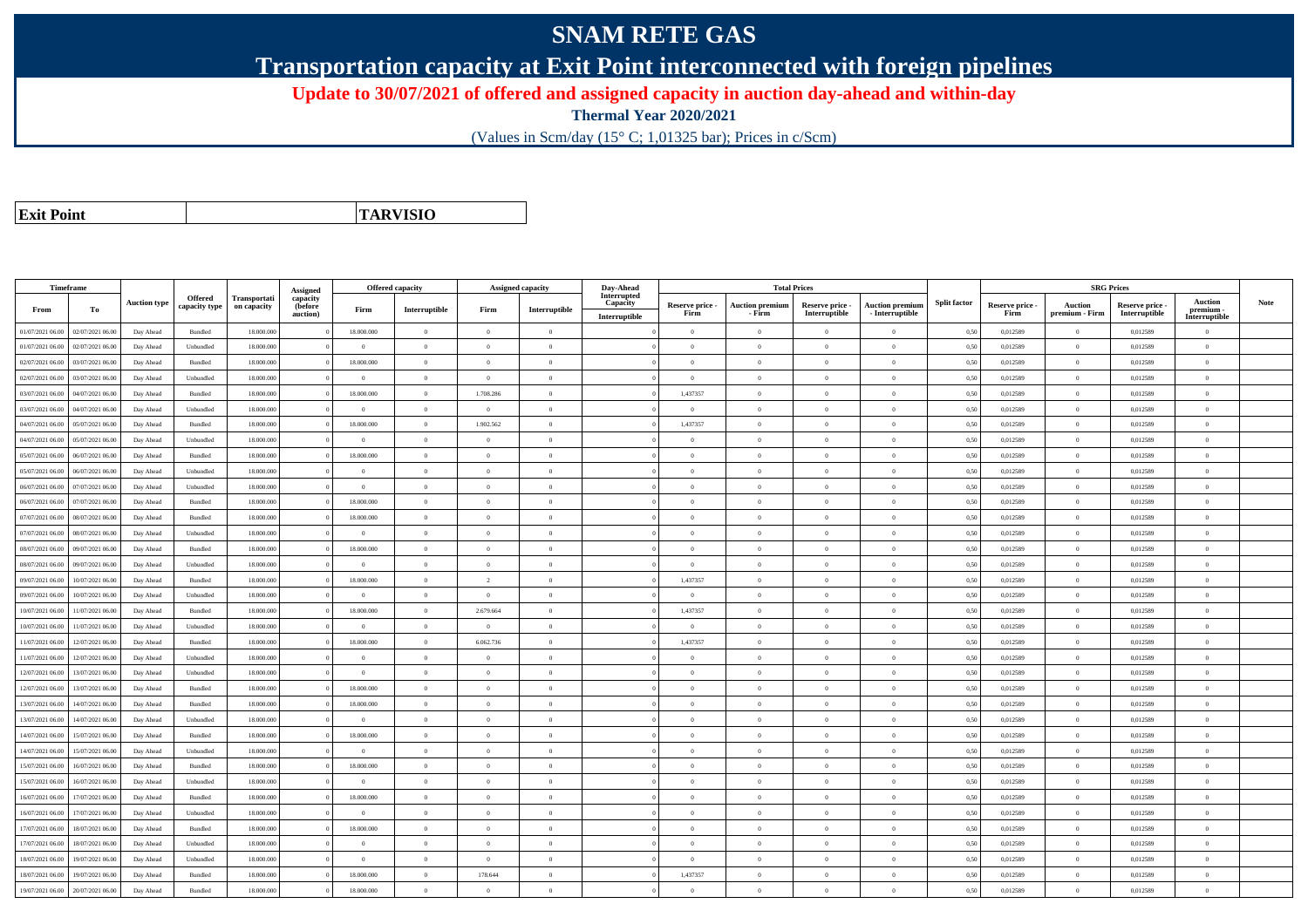## **SNAM RETE GAS**

**Transportation capacity at Exit Point interconnected with foreign pipelines**

**Update to 30/07/2021 of offered and assigned capacity in auction day-ahead and within-day**

**Thermal Year 2020/2021**

(Values in Scm/day (15° C; 1,01325 bar); Prices in c/Scm)

| <b>Exit Point</b> |
|-------------------|
|                   |

**TARVISIO**

|                  | Timeframe        |                     |                          |                             |                                 | <b>Offered capacity</b> |                |                | Assigned capacity | Day-Ahead               |                 | <b>Total Prices</b>    |                 |                        |                     |                 | <b>SRG Prices</b> |                 |                            |      |
|------------------|------------------|---------------------|--------------------------|-----------------------------|---------------------------------|-------------------------|----------------|----------------|-------------------|-------------------------|-----------------|------------------------|-----------------|------------------------|---------------------|-----------------|-------------------|-----------------|----------------------------|------|
|                  |                  | <b>Auction type</b> | Offered<br>capacity type | Transportati<br>on capacity | Assigned<br>capacity<br>(before |                         |                |                |                   | Interrupted<br>Capacity | Reserve price - | <b>Auction premium</b> | Reserve price - | <b>Auction premium</b> | <b>Split factor</b> | Reserve price - | <b>Auction</b>    | Reserve price - | <b>Auction</b>             | Note |
| From             | To               |                     |                          |                             | auction)                        | Firm                    | Interruptible  | Firm           | Interruptible     | Interruptible           | Firm            | - Firm                 | Interruptible   | - Interruptible        |                     | Firm            | premium - Firm    | Interruptible   | premium -<br>Interruptible |      |
| 01/07/2021 06:00 | 02/07/2021 06:00 | Day Ahead           | Bundled                  | 18.000.000                  |                                 | 18.000.000              | $\overline{0}$ | $\Omega$       | $\theta$          |                         | $\Omega$        | $\theta$               | $\Omega$        | $\theta$               | 0,50                | 0,012589        | $\Omega$          | 0,012589        | $\theta$                   |      |
| 01/07/2021 06:00 | 02/07/2021 06.00 | Day Ahead           | Unbundled                | 18.000.000                  |                                 | $\theta$                | $\overline{0}$ | $\Omega$       | $\theta$          |                         | $\theta$        | $\theta$               | $\overline{0}$  | $\mathbf{0}$           | 0,50                | 0,012589        | $\overline{0}$    | 0,012589        | $\bf{0}$                   |      |
| 02/07/2021 06:00 | 03/07/2021 06:00 | Day Ahead           | Bundled                  | 18,000,000                  |                                 | 18,000,000              | $\overline{0}$ | $\Omega$       | $\theta$          |                         | $\theta$        | $\theta$               | $\theta$        | $\Omega$               | 0,50                | 0.012589        | $\overline{0}$    | 0.012589        | $\theta$                   |      |
| 02/07/2021 06:00 | 03/07/2021 06:00 | Day Ahead           | Unbundled                | 18,000,000                  |                                 | $\theta$                | $\Omega$       | $\overline{0}$ | $\Omega$          |                         | $\Omega$        | $\theta$               | $\Omega$        | $\theta$               | 0.50                | 0,012589        | $\Omega$          | 0,012589        | $\Omega$                   |      |
| 03/07/2021 06:00 | 04/07/2021 06.00 | Day Ahead           | Bundled                  | 18.000.000                  |                                 | 18.000.000              | $\overline{0}$ | 1.708.286      | $\theta$          |                         | 1,437357        | $\overline{0}$         | $\overline{0}$  | $\mathbf{0}$           | 0,50                | 0,012589        | $\overline{0}$    | 0,012589        | $\bf{0}$                   |      |
| 03/07/2021 06:00 | 04/07/2021 06.00 | Day Ahead           | Unbundled                | 18.000.000                  |                                 | $\theta$                | $\overline{0}$ | $\Omega$       | $\overline{0}$    |                         | $\overline{0}$  | $\theta$               | $\overline{0}$  | $\mathbf{0}$           | 0,50                | 0,012589        | $\overline{0}$    | 0,012589        | $\Omega$                   |      |
| 04/07/2021 06.00 | 05/07/2021 06.00 | Day Ahead           | Bundled                  | 18.000.000                  |                                 | 18.000.000              | $\overline{0}$ | 1.902.562      | $\overline{0}$    |                         | 1,437357        | $\mathbf{a}$           | $\overline{0}$  | $\mathbf{0}$           | 0,50                | 0,012589        | $\,$ 0 $\,$       | 0,012589        | $\Omega$                   |      |
| 04/07/2021 06:00 | 05/07/2021 06:00 | Day Ahead           | Unbundled                | 18.000.000                  |                                 | $\Omega$                | $\overline{0}$ | $\Omega$       | $\theta$          |                         | $\Omega$        | $\theta$               | $\overline{0}$  | $\Omega$               | 0,50                | 0,012589        | $\overline{0}$    | 0,012589        | $\Omega$                   |      |
| 05/07/2021 06:00 | 06/07/2021 06:00 | Day Ahead           | Bundled                  | 18,000,000                  |                                 | 18,000,000              | $\overline{0}$ | $\Omega$       | $\theta$          |                         | $\theta$        | $\theta$               | $\Omega$        | $\theta$               | 0,50                | 0,012589        | $\overline{0}$    | 0,012589        | $\theta$                   |      |
| 05/07/2021 06:00 | 06/07/2021 06.00 | Day Ahead           | Unbundled                | 18.000.000                  |                                 | $\theta$                | $\mathbf{0}$   | $\Omega$       | $\Omega$          |                         | $\Omega$        | $\theta$               | $\Omega$        | $\Omega$               | 0,50                | 0,012589        | $\Omega$          | 0,012589        | $\Omega$                   |      |
| 06/07/2021 06:00 | 07/07/2021 06:00 | Day Ahead           | Unbundled                | 18,000,000                  |                                 | $\overline{0}$          | $\overline{0}$ | $\overline{0}$ | $\theta$          |                         | $\theta$        | $\theta$               | $\overline{0}$  | $\overline{0}$         | 0.50                | 0.012589        | $\overline{0}$    | 0.012589        | $\bf{0}$                   |      |
| 06/07/2021 06:00 | 07/07/2021 06.00 | Day Ahead           | Bundled                  | 18.000.000                  |                                 | 18.000.000              | $\overline{0}$ | $\overline{0}$ | $\overline{0}$    |                         | $\overline{0}$  | $\overline{0}$         | $\overline{0}$  | $\bf{0}$               | 0,50                | 0,012589        | $\overline{0}$    | 0,012589        | $\overline{0}$             |      |
| 07/07/2021 06.00 | 08/07/2021 06.00 | Day Ahead           | Bundled                  | 18.000.000                  |                                 | 18.000.000              | $\overline{0}$ | $\overline{0}$ | $\theta$          |                         | $\theta$        | $\theta$               | $\overline{0}$  | $\mathbf{0}$           | 0,50                | 0,012589        | $\overline{0}$    | 0,012589        | $\Omega$                   |      |
| 07/07/2021 06:00 | 08/07/2021 06:00 | Day Ahead           | Unbundled                | 18,000,000                  |                                 | $\theta$                | $\overline{0}$ | $\overline{0}$ | $\Omega$          |                         | $\Omega$        | $\theta$               | $\overline{0}$  | $\theta$               | 0,50                | 0,012589        | $\overline{0}$    | 0.012589        | $\theta$                   |      |
| 08/07/2021 06:00 | 09/07/2021 06.00 | Day Ahead           | Bundled                  | 18.000.000                  |                                 | 18.000.000              | $\overline{0}$ | $\Omega$       | $\theta$          |                         | $\theta$        | $\theta$               | $\overline{0}$  | $\mathbf{0}$           | 0,50                | 0,012589        | $\overline{0}$    | 0,012589        | $\bf{0}$                   |      |
| 08/07/2021 06:00 | 09/07/2021 06.00 | Day Ahead           | Unbundled                | 18,000,000                  |                                 | $\Omega$                | $\theta$       | $\Omega$       | $\theta$          |                         | $\theta$        |                        | $\Omega$        | $\Omega$               | 0.50                | 0.012589        | $\Omega$          | 0.012589        | $\Omega$                   |      |
| 09/07/2021 06:00 | 10/07/2021 06:00 | Day Ahead           | Bundled                  | 18,000,000                  |                                 | 18.000.000              | $\overline{0}$ | $\overline{2}$ | $\overline{0}$    |                         | 1,437357        | $\theta$               | $\overline{0}$  | $\overline{0}$         | 0,50                | 0,012589        | $\overline{0}$    | 0,012589        | $\bf{0}$                   |      |
| 09/07/2021 06:00 | 10/07/2021 06:00 | Day Ahead           | Unbundled                | 18.000.000                  |                                 | $\overline{0}$          | $\overline{0}$ | $\overline{0}$ | $\theta$          |                         | $\overline{0}$  | $\overline{0}$         | $\overline{0}$  | $\mathbf{0}$           | 0,50                | 0,012589        | $\bf{0}$          | 0,012589        | $\bf{0}$                   |      |
| 10/07/2021 06:00 | 11/07/2021 06:00 | Day Ahead           | Bundled                  | 18,000,000                  |                                 | 18,000,000              | $\overline{0}$ | 2.679.664      | $\theta$          |                         | 1,437357        | $\theta$               | $\overline{0}$  | $\theta$               | 0.50                | 0.012589        | $\overline{0}$    | 0.012589        | $\Omega$                   |      |
| 10/07/2021 06:00 | 1/07/2021 06.00  | Day Ahead           | Unbundled                | 18.000.000                  |                                 | $\Omega$                | $\overline{0}$ | $\Omega$       | $\Omega$          |                         | $\Omega$        | $\theta$               | $\theta$        | $\theta$               | 0.50                | 0,012589        | $\overline{0}$    | 0,012589        | $\Omega$                   |      |
| 11/07/2021 06:00 | 12/07/2021 06:00 | Day Ahead           | Bundled                  | 18.000.000                  |                                 | 18.000.000              | $\overline{0}$ | 6.062.736      | $\Omega$          |                         | 1,437357        | $\theta$               | $\Omega$        | $\Omega$               | 0,50                | 0,012589        | $\Omega$          | 0,012589        | $\Omega$                   |      |
| 11/07/2021 06:00 | 12/07/2021 06:00 | Day Ahead           | Unbundled                | 18,000,000                  |                                 | $\theta$                | $\Omega$       | $^{\circ}$     | $\theta$          |                         | $\Omega$        | $\theta$               | $\theta$        | $\Omega$               | 0.50                | 0,012589        | $\Omega$          | 0.012589        | $\Omega$                   |      |
| 12/07/2021 06:00 | 13/07/2021 06.00 | Day Ahead           | Unbundled                | 18.000.000                  |                                 | $\overline{0}$          | $\overline{0}$ | $\overline{0}$ | $\theta$          |                         | $\theta$        | $\theta$               | $\overline{0}$  | $\mathbf{0}$           | 0,50                | 0,012589        | $\overline{0}$    | 0,012589        | $\bf{0}$                   |      |
| 12/07/2021 06:00 | 13/07/2021 06:00 | Day Ahead           | Bundled                  | 18.000.000                  |                                 | 18.000.000              | $\overline{0}$ | $\overline{0}$ | $\overline{0}$    |                         | $\overline{0}$  | $\theta$               | $\overline{0}$  | $\mathbf{0}$           | 0,50                | 0,012589        | $\overline{0}$    | 0,012589        | $\bf{0}$                   |      |
| 13/07/2021 06.00 | 14/07/2021 06.00 | Day Ahead           | Bundled                  | 18.000.000                  |                                 | 18.000.000              | $\overline{0}$ | $\overline{0}$ | $\overline{0}$    |                         | $\overline{0}$  | $\theta$               | $\bf{0}$        | $\overline{0}$         | 0,50                | 0,012589        | $\,$ 0 $\,$       | 0,012589        | $\bf{0}$                   |      |
| 13/07/2021 06:00 | 4/07/2021 06.0   | Day Ahead           | Unbundled                | 18.000.000                  |                                 | $\overline{0}$          | $\overline{0}$ | $\overline{0}$ | $\theta$          |                         | $\overline{0}$  | $\theta$               | $\overline{0}$  | $\overline{0}$         | 0,50                | 0,012589        | $\overline{0}$    | 0,012589        | $\bf{0}$                   |      |
| 14/07/2021 06:00 | 15/07/2021 06.00 | Day Ahead           | Bundled                  | 18,000,000                  |                                 | 18,000,000              | $\overline{0}$ | $\overline{0}$ | $\Omega$          |                         | $\Omega$        | $\theta$               | $\overline{0}$  | $\theta$               | 0,50                | 0,012589        | $\theta$          | 0,012589        | $\theta$                   |      |
| 14/07/2021 06:00 | 15/07/2021 06:00 | Day Ahead           | Unbundled                | 18.000.000                  |                                 | $\Omega$                | $\overline{0}$ | $\Omega$       | $\theta$          |                         | $\theta$        | $\theta$               | $\overline{0}$  | $\Omega$               | 0,50                | 0,012589        | $\overline{0}$    | 0,012589        | $\Omega$                   |      |
| 15/07/2021 06:00 | 16/07/2021 06.0  | Day Ahead           | Bundled                  | 18.000.00                   |                                 | 18.000.000              | $\overline{0}$ | $\overline{0}$ | $\theta$          |                         | $\theta$        | $\theta$               | $\overline{0}$  | $\mathbf{0}$           | 0,50                | 0,012589        | $\overline{0}$    | 0,012589        | $\bf{0}$                   |      |
| 15/07/2021 06:00 | 16/07/2021 06:00 | Day Ahead           | Unbundled                | 18.000.000                  |                                 | $\Omega$                | $\overline{0}$ | $\overline{0}$ | $\Omega$          |                         | $\theta$        | $\theta$               | $\overline{0}$  | $\mathbf{0}$           | 0,50                | 0,012589        | $\overline{0}$    | 0,012589        | $\Omega$                   |      |
| 16/07/2021 06:00 | 17/07/2021 06.00 | Day Ahead           | Bundled                  | 18.000.000                  |                                 | 18.000.000              | $\overline{0}$ | $\overline{0}$ | $\theta$          |                         | $\theta$        | $\theta$               | $\overline{0}$  | $\mathbf{0}$           | 0,50                | 0,012589        | $\overline{0}$    | 0,012589        | $\bf{0}$                   |      |
| 16/07/2021 06:00 | 17/07/2021 06.00 | Day Ahead           | Unbundled                | 18.000.000                  |                                 | $\theta$                | $\overline{0}$ | $\Omega$       | $\theta$          |                         | $\Omega$        |                        | $\theta$        | $\Omega$               | 0,50                | 0,012589        | $\overline{0}$    | 0,012589        | $\Omega$                   |      |
| 17/07/2021 06:00 | 18/07/2021 06:00 | Day Ahead           | Bundled                  | 18,000,000                  |                                 | 18,000,000              | $\overline{0}$ | $\overline{0}$ | $\Omega$          |                         | $\Omega$        | $\theta$               | $\overline{0}$  | $\theta$               | 0.50                | 0,012589        | $\overline{0}$    | 0,012589        | $\Omega$                   |      |
| 17/07/2021 06:00 | 18/07/2021 06:00 | Day Ahead           | Unbundled                | 18.000.000                  |                                 | $\theta$                | $\theta$       | $\Omega$       | $\theta$          |                         | $\theta$        | $\theta$               | $\Omega$        | $\theta$               | 0,50                | 0,012589        | $\Omega$          | 0.012589        | $\theta$                   |      |
| 18/07/2021 06:00 | 19/07/2021 06:00 | Day Ahead           | Unbundled                | 18.000.000                  |                                 | $\overline{0}$          | $\overline{0}$ | $\overline{0}$ | $\theta$          |                         | $\theta$        | $\theta$               | $\overline{0}$  | $\mathbf{0}$           | 0,50                | 0,012589        | $\overline{0}$    | 0,012589        | $\bf{0}$                   |      |
| 18/07/2021 06:00 | 19/07/2021 06.0  | Day Ahead           | Bundled                  | 18.000.000                  |                                 | 18.000.000              | $\overline{0}$ | 178.644        | $\overline{0}$    |                         | 1,437357        | $\mathbf{a}$           | $\overline{0}$  | $\mathbf{0}$           | 0,50                | 0,012589        | $\overline{0}$    | 0,012589        | $\bf{0}$                   |      |
| 19/07/2021 06:00 | 20/07/2021 06:00 | Day Ahead           | Bundled                  | 18.000.000                  |                                 | 18.000.000              | $\Omega$       | $\Omega$       | $\theta$          |                         | $\theta$        | $\theta$               | $\Omega$        | $\Omega$               | 0,50                | 0,012589        | $\overline{0}$    | 0,012589        | $\bf{0}$                   |      |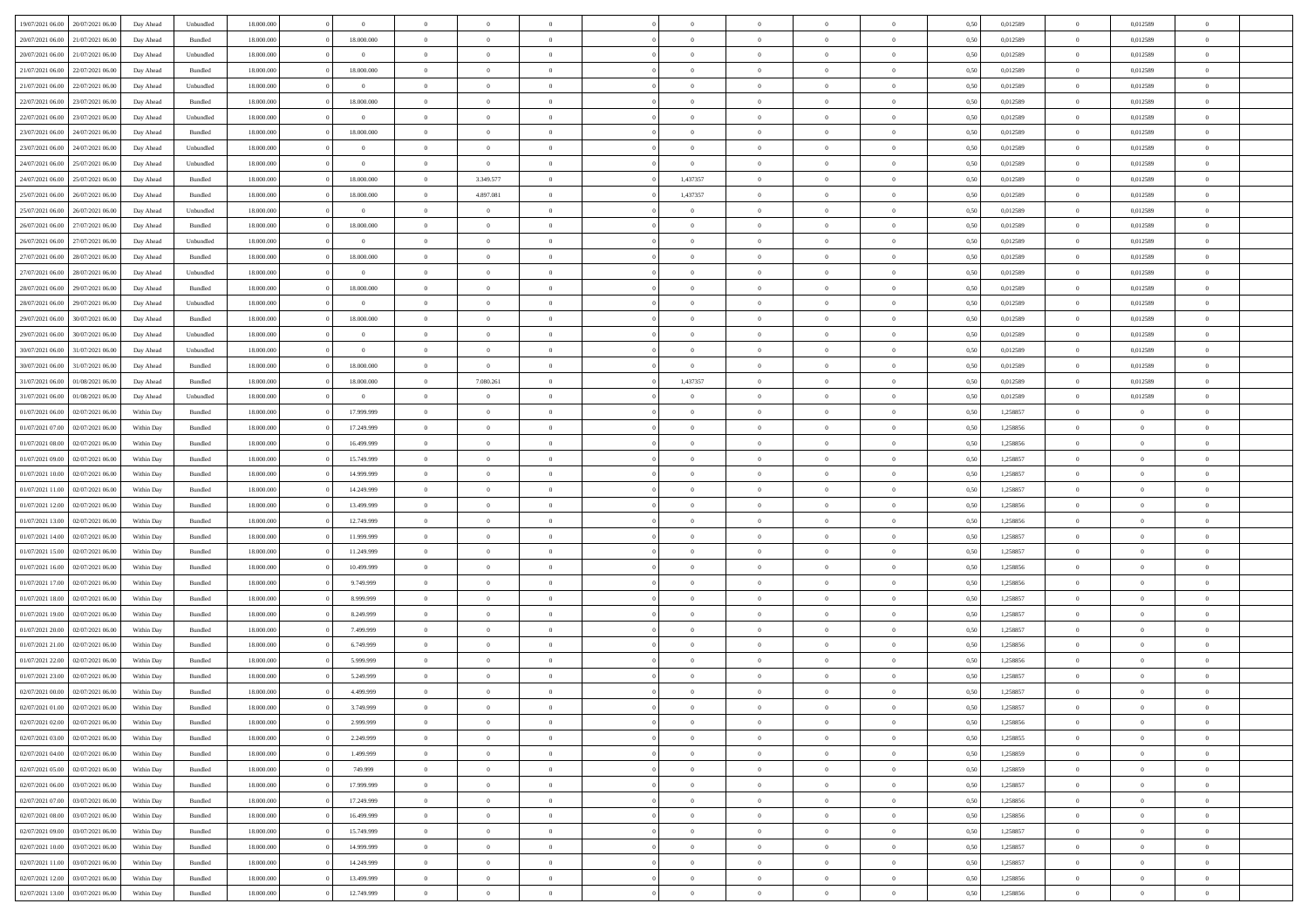| 19/07/2021 06:00 20/07/2021 06:00    | Day Ahead  | Unbundled | 18.000.000 | $\overline{0}$ | $\overline{0}$ | $\overline{0}$ | $\Omega$       | $\Omega$       | $\theta$       | $\Omega$       | $\overline{0}$ | 0,50 | 0,012589 | $\theta$       | 0,012589       | $\theta$       |  |
|--------------------------------------|------------|-----------|------------|----------------|----------------|----------------|----------------|----------------|----------------|----------------|----------------|------|----------|----------------|----------------|----------------|--|
| 20/07/2021 06:00<br>21/07/2021 06:00 | Day Ahead  | Bundled   | 18.000.000 | 18.000.000     | $\overline{0}$ | $\overline{0}$ | $\overline{0}$ | $\overline{0}$ | $\theta$       | $\overline{0}$ | $\bf{0}$       | 0,50 | 0,012589 | $\theta$       | 0,012589       | $\overline{0}$ |  |
| 20/07/2021 06:00<br>21/07/2021 06:00 | Day Ahead  | Unbundled | 18.000.000 | $\overline{0}$ | $\overline{0}$ | $\bf{0}$       | $\overline{0}$ | $\overline{0}$ | $\bf{0}$       | $\overline{0}$ | $\bf{0}$       | 0,50 | 0,012589 | $\overline{0}$ | 0,012589       | $\overline{0}$ |  |
| 21/07/2021 06:00<br>22/07/2021 06:00 | Day Ahead  | Bundled   | 18.000.000 | 18.000.000     | $\overline{0}$ | $\overline{0}$ | $\overline{0}$ | $\overline{0}$ | $\theta$       | $\overline{0}$ | $\overline{0}$ | 0.50 | 0.012589 | $\overline{0}$ | 0.012589       | $\overline{0}$ |  |
| 21/07/2021 06:00<br>22/07/2021 06:00 | Day Ahead  | Unbundled | 18.000.000 | $\overline{0}$ | $\overline{0}$ | $\overline{0}$ | $\overline{0}$ | $\overline{0}$ | $\theta$       | $\overline{0}$ | $\bf{0}$       | 0,50 | 0,012589 | $\theta$       | 0,012589       | $\overline{0}$ |  |
|                                      |            |           |            |                |                |                |                |                |                |                |                |      |          |                |                |                |  |
| 22/07/2021 06:00<br>23/07/2021 06:00 | Day Ahead  | Bundled   | 18.000.000 | 18.000.000     | $\overline{0}$ | $\bf{0}$       | $\overline{0}$ | $\overline{0}$ | $\overline{0}$ | $\overline{0}$ | $\bf{0}$       | 0,50 | 0,012589 | $\overline{0}$ | 0,012589       | $\bf{0}$       |  |
| 22/07/2021 06:00<br>23/07/2021 06:00 | Day Ahead  | Unbundled | 18.000.000 | $\bf{0}$       | $\overline{0}$ | $\overline{0}$ | $\overline{0}$ | $\overline{0}$ | $\overline{0}$ | $\overline{0}$ | $\overline{0}$ | 0.5( | 0,012589 | $\overline{0}$ | 0.012589       | $\overline{0}$ |  |
| 23/07/2021 06:00<br>24/07/2021 06:00 | Day Ahead  | Bundled   | 18.000.000 | 18.000.000     | $\overline{0}$ | $\overline{0}$ | $\overline{0}$ | $\overline{0}$ | $\theta$       | $\overline{0}$ | $\bf{0}$       | 0,50 | 0,012589 | $\theta$       | 0,012589       | $\overline{0}$ |  |
| 23/07/2021 06:00<br>24/07/2021 06.00 | Day Ahead  | Unbundled | 18.000.000 | $\overline{0}$ | $\overline{0}$ | $\bf{0}$       | $\overline{0}$ | $\overline{0}$ | $\overline{0}$ | $\overline{0}$ | $\bf{0}$       | 0,50 | 0,012589 | $\overline{0}$ | 0,012589       | $\overline{0}$ |  |
| 24/07/2021 06:00<br>25/07/2021 06:00 | Day Ahead  | Unbundled | 18.000.000 | $\bf{0}$       | $\overline{0}$ | $\overline{0}$ | $\overline{0}$ | $\overline{0}$ | $\overline{0}$ | $\overline{0}$ | $\overline{0}$ | 0.5( | 0,012589 | $\overline{0}$ | 0,012589       | $\overline{0}$ |  |
| 24/07/2021 06:00<br>25/07/2021 06:00 | Day Ahead  | Bundled   | 18.000.000 | 18.000.000     | $\overline{0}$ | 3.349.577      | $\overline{0}$ | 1,437357       | $\theta$       | $\overline{0}$ | $\bf{0}$       | 0,50 | 0,012589 | $\theta$       | 0,012589       | $\overline{0}$ |  |
| 25/07/2021 06:00<br>26/07/2021 06:00 | Day Ahead  | Bundled   | 18.000.000 | 18.000.000     | $\overline{0}$ | 4.897.081      | $\overline{0}$ | 1,437357       | $\overline{0}$ | $\overline{0}$ | $\bf{0}$       | 0,50 | 0,012589 | $\overline{0}$ | 0,012589       | $\overline{0}$ |  |
| 25/07/2021 06:00<br>26/07/2021 06:00 | Day Ahead  | Unbundled | 18.000.000 | $\overline{0}$ | $\overline{0}$ | $\overline{0}$ | $\overline{0}$ | $\overline{0}$ | $\overline{0}$ | $\overline{0}$ | $\overline{0}$ | 0.5( | 0.012589 | $\overline{0}$ | 0.012589       | $\overline{0}$ |  |
| 26/07/2021 06:00<br>27/07/2021 06:00 | Day Ahead  | Bundled   | 18.000.000 | 18.000.000     | $\overline{0}$ | $\overline{0}$ | $\overline{0}$ | $\overline{0}$ | $\theta$       | $\overline{0}$ | $\bf{0}$       | 0,50 | 0,012589 | $\,$ 0 $\,$    | 0,012589       | $\overline{0}$ |  |
| 26/07/2021 06:00<br>27/07/2021 06:00 | Day Ahead  | Unbundled | 18.000.000 | $\bf{0}$       | $\overline{0}$ | $\overline{0}$ | $\overline{0}$ | $\overline{0}$ | $\overline{0}$ | $\overline{0}$ | $\bf{0}$       | 0,50 | 0,012589 | $\overline{0}$ | 0,012589       | $\bf{0}$       |  |
| 27/07/2021 06:00<br>28/07/2021 06:00 | Day Ahead  | Bundled   | 18.000.000 | 18.000.000     | $\overline{0}$ | $\overline{0}$ | $\overline{0}$ | $\overline{0}$ | $\overline{0}$ | $\overline{0}$ | $\overline{0}$ | 0.5( | 0,012589 | $\overline{0}$ | 0,012589       | $\overline{0}$ |  |
| 27/07/2021 06:00<br>28/07/2021 06:00 | Day Ahead  | Unbundled | 18.000.000 | $\overline{0}$ | $\overline{0}$ | $\overline{0}$ | $\overline{0}$ | $\overline{0}$ | $\theta$       | $\overline{0}$ | $\bf{0}$       | 0,50 | 0,012589 | $\theta$       | 0,012589       | $\overline{0}$ |  |
|                                      |            |           |            |                |                | $\bf{0}$       |                |                | $\overline{0}$ |                |                |      |          |                |                | $\overline{0}$ |  |
| 28/07/2021 06:00<br>29/07/2021 06.00 | Day Ahead  | Bundled   | 18.000.000 | 18.000.000     | $\overline{0}$ |                | $\overline{0}$ | $\overline{0}$ |                | $\overline{0}$ | $\bf{0}$       | 0,50 | 0,012589 | $\overline{0}$ | 0,012589       |                |  |
| 28/07/2021 06:00<br>29/07/2021 06:00 | Day Ahead  | Unbundled | 18.000.000 | $\bf{0}$       | $\overline{0}$ | $\overline{0}$ | $\overline{0}$ | $\overline{0}$ | $\overline{0}$ | $\overline{0}$ | $\overline{0}$ | 0.50 | 0,012589 | $\overline{0}$ | 0.012589       | $\overline{0}$ |  |
| 29/07/2021 06:00<br>30/07/2021 06:00 | Day Ahead  | Bundled   | 18.000.000 | 18.000.000     | $\overline{0}$ | $\overline{0}$ | $\overline{0}$ | $\overline{0}$ | $\theta$       | $\overline{0}$ | $\bf{0}$       | 0,50 | 0,012589 | $\,$ 0 $\,$    | 0,012589       | $\overline{0}$ |  |
| 29/07/2021 06:00<br>30/07/2021 06:00 | Day Ahead  | Unbundled | 18.000.000 | $\overline{0}$ | $\overline{0}$ | $\bf{0}$       | $\overline{0}$ | $\overline{0}$ | $\overline{0}$ | $\overline{0}$ | $\bf{0}$       | 0,50 | 0,012589 | $\overline{0}$ | 0,012589       | $\overline{0}$ |  |
| 30/07/2021 06:00<br>31/07/2021 06:00 | Day Ahead  | Unbundled | 18.000.000 | $\overline{0}$ | $\overline{0}$ | $\overline{0}$ | $\overline{0}$ | $\overline{0}$ | $\overline{0}$ | $\overline{0}$ | $\overline{0}$ | 0.50 | 0.012589 | $\overline{0}$ | 0.012589       | $\overline{0}$ |  |
| 30/07/2021 06:00<br>31/07/2021 06:00 | Day Ahead  | Bundled   | 18.000.000 | 18.000.000     | $\overline{0}$ | $\overline{0}$ | $\overline{0}$ | $\overline{0}$ | $\theta$       | $\overline{0}$ | $\bf{0}$       | 0,50 | 0,012589 | $\theta$       | 0,012589       | $\overline{0}$ |  |
| 31/07/2021 06:00<br>01/08/2021 06:00 | Day Ahead  | Bundled   | 18.000.000 | 18.000.000     | $\overline{0}$ | 7.080.261      | $\overline{0}$ | 1,437357       | $\overline{0}$ | $\overline{0}$ | $\bf{0}$       | 0,50 | 0,012589 | $\overline{0}$ | 0,012589       | $\bf{0}$       |  |
| 31/07/2021 06:00<br>01/08/2021 06:00 | Day Ahead  | Unbundled | 18.000.000 | $\bf{0}$       | $\overline{0}$ | $\overline{0}$ | $\overline{0}$ | $\overline{0}$ | $\overline{0}$ | $\overline{0}$ | $\overline{0}$ | 0.5( | 0,012589 | $\overline{0}$ | 0,012589       | $\overline{0}$ |  |
| 01/07/2021 06:00<br>02/07/2021 06:00 | Within Day | Bundled   | 18.000.000 | 17.999.999     | $\bf{0}$       | $\overline{0}$ | $\overline{0}$ | $\overline{0}$ | $\theta$       | $\overline{0}$ | $\bf{0}$       | 0,50 | 1,258857 | $\theta$       | $\theta$       | $\overline{0}$ |  |
| 01/07/2021 07:00<br>02/07/2021 06:00 | Within Day | Bundled   | 18.000.000 | 17.249.999     | $\overline{0}$ | $\bf{0}$       | $\overline{0}$ | $\overline{0}$ | $\overline{0}$ | $\overline{0}$ | $\bf{0}$       | 0,50 | 1,258856 | $\bf{0}$       | $\overline{0}$ | $\overline{0}$ |  |
| 01/07/2021 08:00<br>02/07/2021 06:00 | Within Day | Bundled   | 18.000.000 | 16.499.999     | $\overline{0}$ | $\overline{0}$ | $\overline{0}$ | $\overline{0}$ | $\overline{0}$ | $\overline{0}$ | $\overline{0}$ | 0.50 | 1.258856 | $\overline{0}$ | $\theta$       | $\overline{0}$ |  |
| 01/07/2021 09:00<br>02/07/2021 06:00 | Within Day | Bundled   | 18.000.000 | 15.749.999     | $\bf{0}$       | $\overline{0}$ | $\overline{0}$ | $\overline{0}$ | $\theta$       | $\overline{0}$ | $\bf{0}$       | 0,50 | 1,258857 | $\theta$       | $\theta$       | $\overline{0}$ |  |
| 01/07/2021 10:00<br>02/07/2021 06:00 | Within Day | Bundled   | 18.000.000 | 14.999.999     | $\overline{0}$ | $\bf{0}$       | $\overline{0}$ | $\overline{0}$ | $\bf{0}$       | $\overline{0}$ | $\bf{0}$       | 0,50 | 1,258857 | $\bf{0}$       | $\overline{0}$ | $\bf{0}$       |  |
|                                      |            |           | 18,000,000 |                | $\overline{0}$ | $\overline{0}$ | $\Omega$       | $\Omega$       | $\Omega$       | $\theta$       | $\overline{0}$ |      |          | $\bf{0}$       | $\Omega$       | $\theta$       |  |
| 01/07/2021 11:00<br>02/07/2021 06:00 | Within Day | Bundled   |            | 14.249.999     |                |                |                |                |                |                |                | 0,50 | 1,258857 | $\theta$       | $\theta$       |                |  |
| 01/07/2021 12:00<br>02/07/2021 06:00 | Within Day | Bundled   | 18.000.000 | 13.499.999     | $\bf{0}$       | $\overline{0}$ | $\overline{0}$ | $\overline{0}$ | $\theta$       | $\overline{0}$ | $\bf{0}$       | 0,50 | 1,258856 |                |                | $\overline{0}$ |  |
| 01/07/2021 13:00<br>02/07/2021 06:00 | Within Day | Bundled   | 18.000.000 | 12.749.999     | $\overline{0}$ | $\bf{0}$       | $\overline{0}$ | $\overline{0}$ | $\overline{0}$ | $\overline{0}$ | $\bf{0}$       | 0,50 | 1,258856 | $\overline{0}$ | $\overline{0}$ | $\bf{0}$       |  |
| 01/07/2021 14:00<br>02/07/2021 06:00 | Within Day | Bundled   | 18,000,000 | 11.999.999     | $\overline{0}$ | $\overline{0}$ | $\Omega$       | $\Omega$       | $\overline{0}$ | $\Omega$       | $\overline{0}$ | 0.50 | 1,258857 | $\overline{0}$ | $\Omega$       | $\theta$       |  |
| 01/07/2021 15:00<br>02/07/2021 06:00 | Within Day | Bundled   | 18.000.000 | 11.249.999     | $\bf{0}$       | $\overline{0}$ | $\overline{0}$ | $\overline{0}$ | $\theta$       | $\overline{0}$ | $\bf{0}$       | 0,50 | 1,258857 | $\theta$       | $\theta$       | $\overline{0}$ |  |
| 01/07/2021 16:00<br>02/07/2021 06:00 | Within Day | Bundled   | 18.000.000 | 10.499.999     | $\overline{0}$ | $\bf{0}$       | $\overline{0}$ | $\overline{0}$ | $\overline{0}$ | $\bf{0}$       | $\bf{0}$       | 0,50 | 1,258856 | $\bf{0}$       | $\overline{0}$ | $\bf{0}$       |  |
| 01/07/2021 17:00<br>02/07/2021 06:00 | Within Day | Bundled   | 18,000,000 | 9.749.999      | $\overline{0}$ | $\theta$       | $\Omega$       | $\Omega$       | $\Omega$       | $\Omega$       | $\overline{0}$ | 0.50 | 1,258856 | $\overline{0}$ | $\Omega$       | $\theta$       |  |
| 01/07/2021 18:00<br>02/07/2021 06:00 | Within Day | Bundled   | 18.000.000 | 8.999.999      | $\bf{0}$       | $\overline{0}$ | $\overline{0}$ | $\overline{0}$ | $\theta$       | $\overline{0}$ | $\bf{0}$       | 0,50 | 1,258857 | $\theta$       | $\theta$       | $\overline{0}$ |  |
| 01/07/2021 19:00<br>02/07/2021 06:00 | Within Day | Bundled   | 18.000.000 | 8.249.999      | $\overline{0}$ | $\bf{0}$       | $\overline{0}$ | $\overline{0}$ | $\overline{0}$ | $\overline{0}$ | $\bf{0}$       | 0,50 | 1,258857 | $\bf{0}$       | $\overline{0}$ | $\bf{0}$       |  |
| 01/07/2021 20:00<br>02/07/2021 06.00 | Within Day | Bundled   | 18,000,000 | 7.499.999      | $\overline{0}$ | $\overline{0}$ | $\Omega$       | $\Omega$       | $\theta$       | $\Omega$       | $\overline{0}$ | 0.50 | 1,258857 | $\bf{0}$       | $\Omega$       | $\theta$       |  |
| 01/07/2021 21:00<br>02/07/2021 06:00 | Within Day | Bundled   | 18.000.000 | 6.749.999      | $\bf{0}$       | $\overline{0}$ | $\overline{0}$ | $\overline{0}$ | $\theta$       | $\overline{0}$ | $\bf{0}$       | 0,50 | 1,258856 | $\theta$       | $\theta$       | $\overline{0}$ |  |
| 01/07/2021 22.00<br>02/07/2021 06:00 | Within Day | Bundled   | 18.000.000 | 5.999.999      | $\overline{0}$ | $\bf{0}$       | $\overline{0}$ | $\overline{0}$ | $\bf{0}$       | $\overline{0}$ | $\bf{0}$       | 0,50 | 1,258856 | $\overline{0}$ | $\overline{0}$ | $\bf{0}$       |  |
| 01/07/2021 23:00<br>02/07/2021 06:00 | Within Day | Bundled   | 18,000,000 | 5.249.999      | $\theta$       | $\Omega$       | $\Omega$       | $\Omega$       | $\Omega$       | $\theta$       | $\overline{0}$ | 0.50 | 1.258857 | $\theta$       | $\Omega$       | $\theta$       |  |
| 02/07/2021 00:00 02/07/2021 06:00    | Within Day | Bundled   | 18.000.000 | 4.499.999      | $\bf{0}$       | $\bf{0}$       | $\overline{0}$ | $\overline{0}$ | $\overline{0}$ | $\overline{0}$ | $\bf{0}$       | 0,50 | 1,258857 | $\bf{0}$       | $\,0\,$        | $\overline{0}$ |  |
| 02/07/2021 01:00 02/07/2021 06:00    | Within Day | Bundled   | 18.000.000 | 3.749.999      | $\bf{0}$       | $\bf{0}$       |                |                |                |                |                | 0,50 | 1,258857 | $\bf{0}$       | $\bf{0}$       |                |  |
|                                      |            |           |            |                |                |                |                |                |                |                |                |      |          |                |                |                |  |
| 02/07/2021 02:00 02/07/2021 06:00    | Within Day | Bundled   | 18,000,000 | 2.999.999      | $\Omega$       | $\overline{0}$ | $\Omega$       | $\theta$       | $\Omega$       | $\theta$       | $\overline{0}$ | 0.50 | 1,258856 | $\theta$       | $\theta$       | $\theta$       |  |
| 02/07/2021 03:00<br>02/07/2021 06:00 | Within Day | Bundled   | 18.000.000 | 2.249.999      | $\bf{0}$       | $\,$ 0         | $\overline{0}$ | $\overline{0}$ | $\overline{0}$ | $\bf{0}$       | $\bf{0}$       | 0,50 | 1,258855 | $\,$ 0 $\,$    | $\,$ 0 $\,$    | $\overline{0}$ |  |
| 02/07/2021 06:00<br>02/07/2021 04:00 | Within Day | Bundled   | 18.000.000 | 1.499.999      | $\overline{0}$ | $\overline{0}$ | $\overline{0}$ | $\overline{0}$ | $\overline{0}$ | $\overline{0}$ | $\bf{0}$       | 0,50 | 1,258859 | $\bf{0}$       | $\bf{0}$       | $\overline{0}$ |  |
| 02/07/2021 05:00<br>02/07/2021 06:00 | Within Day | Bundled   | 18.000.000 | 749.999        | $\overline{0}$ | $\overline{0}$ | $\overline{0}$ | $\overline{0}$ | $\overline{0}$ | $\overline{0}$ | $\bf{0}$       | 0,50 | 1,258859 | $\bf{0}$       | $\theta$       | $\overline{0}$ |  |
| 02/07/2021 06:00<br>03/07/2021 06:00 | Within Day | Bundled   | 18.000.000 | 17.999.999     | $\overline{0}$ | $\overline{0}$ | $\overline{0}$ | $\overline{0}$ | $\overline{0}$ | $\overline{0}$ | $\bf{0}$       | 0,50 | 1,258857 | $\,$ 0 $\,$    | $\,$ 0 $\,$    | $\overline{0}$ |  |
| 03/07/2021 06:00<br>02/07/2021 07:00 | Within Day | Bundled   | 18.000.000 | 17.249.999     | $\overline{0}$ | $\overline{0}$ | $\overline{0}$ | $\overline{0}$ | $\bf{0}$       | $\overline{0}$ | $\bf{0}$       | 0,50 | 1,258856 | $\overline{0}$ | $\overline{0}$ | $\overline{0}$ |  |
| 03/07/2021 06:00<br>02/07/2021 08:00 | Within Day | Bundled   | 18,000,000 | 16.499.999     | $\overline{0}$ | $\overline{0}$ | $\overline{0}$ | $\overline{0}$ | $\overline{0}$ | $\overline{0}$ | $\bf{0}$       | 0.50 | 1,258856 | $\overline{0}$ | $\theta$       | $\overline{0}$ |  |
| 02/07/2021 09:00<br>03/07/2021 06:00 | Within Day | Bundled   | 18.000.000 | 15.749.999     | $\bf{0}$       | $\bf{0}$       | $\overline{0}$ | $\overline{0}$ | $\overline{0}$ | $\overline{0}$ | $\bf{0}$       | 0,50 | 1,258857 | $\,$ 0 $\,$    | $\bf{0}$       | $\overline{0}$ |  |
| 03/07/2021 06:00<br>02/07/2021 10:00 | Within Day | Bundled   | 18.000.000 | 14.999.999     | $\overline{0}$ | $\bf{0}$       | $\overline{0}$ | $\overline{0}$ | $\overline{0}$ | $\overline{0}$ | $\bf{0}$       | 0,50 | 1,258857 | $\bf{0}$       | $\overline{0}$ | $\bf{0}$       |  |
| 03/07/2021 06:00<br>02/07/2021 11:00 | Within Day | Bundled   | 18,000,000 | 14.249.999     | $\overline{0}$ | $\overline{0}$ | $\overline{0}$ | $\overline{0}$ | $\overline{0}$ | $\overline{0}$ | $\bf{0}$       | 0.50 | 1,258857 | $\bf{0}$       | $\theta$       | $\overline{0}$ |  |
| 02/07/2021 12:00<br>03/07/2021 06:00 | Within Day | Bundled   | 18.000.000 | 13.499.999     | $\overline{0}$ | $\bf{0}$       | $\overline{0}$ | $\overline{0}$ | $\overline{0}$ | $\bf{0}$       | $\bf{0}$       | 0,50 | 1,258856 | $\,$ 0 $\,$    | $\,$ 0 $\,$    | $\overline{0}$ |  |
| 02/07/2021 13:00 03/07/2021 06:00    |            |           |            |                |                | $\bf{0}$       |                |                | $\bf{0}$       |                |                |      |          |                |                |                |  |
|                                      | Within Day | Bundled   | 18.000.000 | 12.749.999     | $\overline{0}$ |                | $\overline{0}$ | $\overline{0}$ |                | $\overline{0}$ | $\bf{0}$       | 0,50 | 1,258856 | $\bf{0}$       | $\bf{0}$       | $\overline{0}$ |  |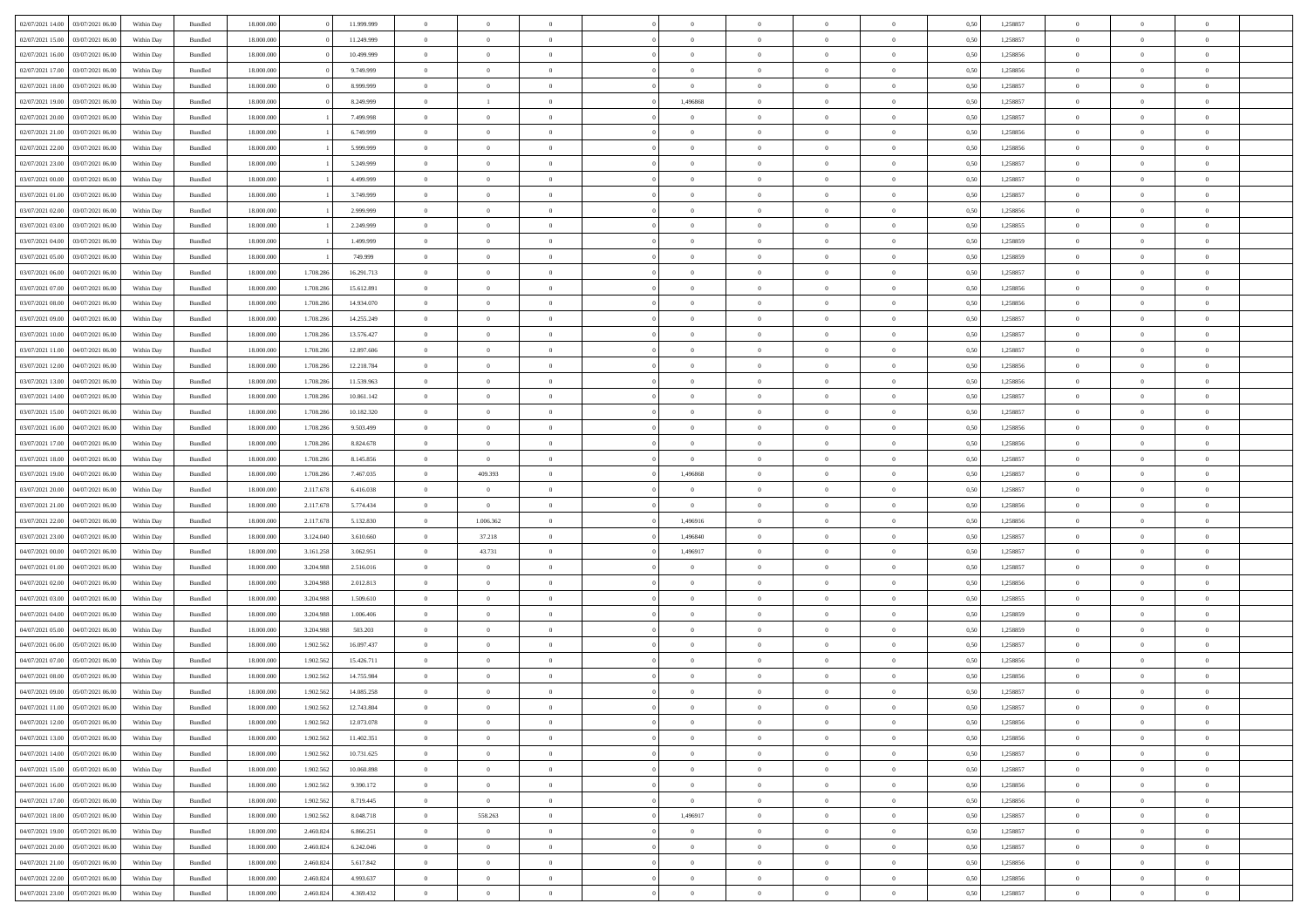| 02/07/2021 14:00                    | 03/07/2021 06:00 | Within Day | Bundled | 18,000,000 |           | 11.999.999 | $\overline{0}$ | $\Omega$       |                |                | $\Omega$       | $\Omega$       | $\overline{0}$ | 0,50 | 1,258857 | $\theta$       | $\theta$       | $\theta$       |  |
|-------------------------------------|------------------|------------|---------|------------|-----------|------------|----------------|----------------|----------------|----------------|----------------|----------------|----------------|------|----------|----------------|----------------|----------------|--|
| 02/07/2021 15:00                    | 03/07/2021 06:00 | Within Dav | Bundled | 18.000.000 |           | 11.249.999 | $\overline{0}$ | $\Omega$       |                | $\Omega$       | $\Omega$       | $\Omega$       | $\bf{0}$       | 0.50 | 1,258857 | $\theta$       | $\Omega$       | $\sqrt{ }$     |  |
| 02/07/2021 16:00                    | 03/07/2021 06:00 | Within Day | Bundled | 18.000.000 |           | 10.499.999 | $\overline{0}$ | $\overline{0}$ | $\overline{0}$ | $\overline{0}$ | $\,$ 0 $\,$    | $\overline{0}$ | $\,$ 0 $\,$    | 0,50 | 1,258856 | $\,$ 0 $\,$    | $\overline{0}$ | $\overline{0}$ |  |
| 02/07/2021 17:00                    | 03/07/2021 06.00 | Within Day |         | 18.000.000 |           | 9.749.999  | $\overline{0}$ | $\overline{0}$ | $\overline{0}$ | $\overline{0}$ | $\bf{0}$       | $\overline{0}$ | $\bf{0}$       | 0,50 | 1,258856 | $\bf{0}$       | $\overline{0}$ | $\overline{0}$ |  |
|                                     |                  |            | Bundled |            |           |            |                |                |                |                |                |                |                |      |          |                |                |                |  |
| 02/07/2021 18:00                    | 03/07/2021 06:00 | Within Day | Bundled | 18.000.000 |           | 8.999.999  | $\overline{0}$ | $\Omega$       | $^{\circ}$     | $\overline{0}$ | $\bf{0}$       | $\Omega$       | $\overline{0}$ | 0.50 | 1,258857 | $\theta$       | $\theta$       | $\sqrt{ }$     |  |
| 02/07/2021 19:00                    | 03/07/2021 06:00 | Within Day | Bundled | 18.000.000 |           | 8.249.999  | $\overline{0}$ | $\mathbf{1}$   | $\overline{0}$ | 1,496868       | $\,$ 0 $\,$    | $\overline{0}$ | $\,$ 0 $\,$    | 0,50 | 1,258857 | $\theta$       | $\overline{0}$ | $\overline{0}$ |  |
| 02/07/2021 20:00                    | 03/07/2021 06:00 | Within Day | Bundled | 18,000,000 |           | 7.499.998  | $\overline{0}$ | $\overline{0}$ | $\overline{0}$ | $\overline{0}$ | $\overline{0}$ | $\overline{0}$ | $\overline{0}$ | 0.50 | 1,258857 | $\bf{0}$       | $\theta$       | $\overline{0}$ |  |
| 02/07/2021 21:00                    | 03/07/2021 06:00 | Within Dav | Bundled | 18.000.000 |           | 6.749.999  | $\overline{0}$ | $\Omega$       | $\Omega$       | $\Omega$       | $\bf{0}$       | $\Omega$       | $\bf{0}$       | 0.50 | 1,258856 | $\theta$       | $\theta$       | $\sqrt{ }$     |  |
| 02/07/2021 22.00                    | 03/07/2021 06:00 |            |         | 18.000.000 |           | 5.999.999  | $\overline{0}$ | $\overline{0}$ | $\overline{0}$ | $\overline{0}$ | $\overline{0}$ | $\overline{0}$ | $\,$ 0 $\,$    |      | 1,258856 | $\,$ 0 $\,$    | $\overline{0}$ | $\overline{0}$ |  |
|                                     |                  | Within Day | Bundled |            |           |            |                |                |                |                |                |                |                | 0,50 |          |                |                |                |  |
| 02/07/2021 23.00                    | 03/07/2021 06:00 | Within Day | Bundled | 18,000,000 |           | 5.249.999  | $\overline{0}$ | $\overline{0}$ | $\overline{0}$ | $\Omega$       | $\overline{0}$ | $\overline{0}$ | $\bf{0}$       | 0,50 | 1,258857 | $\bf{0}$       | $\overline{0}$ | $\overline{0}$ |  |
| 03/07/2021 00:00                    | 03/07/2021 06:00 | Within Dav | Bundled | 18.000.000 |           | 4.499.999  | $\overline{0}$ | $\Omega$       | $^{\circ}$     | $\Omega$       | $\bf{0}$       | $\Omega$       | $\overline{0}$ | 0.50 | 1,258857 | $\theta$       | $\theta$       | $\sqrt{ }$     |  |
| 03/07/2021 01:00                    | 03/07/2021 06:00 | Within Day | Bundled | 18.000.000 |           | 3.749.999  | $\overline{0}$ | $\overline{0}$ | $\overline{0}$ | $\overline{0}$ | $\,$ 0 $\,$    | $\overline{0}$ | $\,$ 0 $\,$    | 0,50 | 1,258857 | $\,$ 0 $\,$    | $\overline{0}$ | $\overline{0}$ |  |
| 03/07/2021 02.00                    | 03/07/2021 06.00 | Within Day | Bundled | 18.000.000 |           | 2.999.999  | $\overline{0}$ | $\overline{0}$ | $\overline{0}$ | $\overline{0}$ | $\bf{0}$       | $\overline{0}$ | $\bf{0}$       | 0,50 | 1,258856 | $\bf{0}$       | $\overline{0}$ | $\overline{0}$ |  |
| 03/07/2021 03:00                    | 03/07/2021 06:00 | Within Day | Bundled | 18.000.000 |           | 2.249.999  | $\overline{0}$ | $\theta$       | $^{\circ}$     | $\overline{0}$ | $\bf{0}$       | $\Omega$       | $\bf{0}$       | 0.50 | 1,258855 | $\theta$       | $\theta$       | $\sqrt{ }$     |  |
|                                     |                  |            |         |            |           |            |                |                |                |                |                |                |                |      |          |                |                |                |  |
| 03/07/2021 04:00                    | 03/07/2021 06:00 | Within Day | Bundled | 18.000.000 |           | 1.499.999  | $\overline{0}$ | $\overline{0}$ | $\overline{0}$ | $\overline{0}$ | $\,$ 0 $\,$    | $\overline{0}$ | $\,$ 0 $\,$    | 0,50 | 1,258859 | $\theta$       | $\overline{0}$ | $\overline{0}$ |  |
| 03/07/2021 05:00                    | 03/07/2021 06:00 | Within Day | Bundled | 18,000,000 |           | 749.999    | $\overline{0}$ | $\overline{0}$ | $\overline{0}$ | $\Omega$       | $\overline{0}$ | $\overline{0}$ | $\overline{0}$ | 0,50 | 1,258859 | $\theta$       | $\overline{0}$ | $\overline{0}$ |  |
| 03/07/2021 06:00                    | 04/07/2021 06:00 | Within Day | Bundled | 18.000.000 | 1.708.286 | 16.291.713 | $\overline{0}$ | $\Omega$       | $^{\circ}$     | $\Omega$       | $\overline{0}$ | $\Omega$       | $\bf{0}$       | 0.50 | 1,258857 | $\theta$       | $\Omega$       | $\sqrt{ }$     |  |
| 03/07/2021 07:00                    | 04/07/2021 06:00 | Within Day | Bundled | 18.000.000 | 1.708.286 | 15.612.891 | $\overline{0}$ | $\overline{0}$ | $\overline{0}$ | $\overline{0}$ | $\,$ 0 $\,$    | $\overline{0}$ | $\,$ 0 $\,$    | 0,50 | 1,258856 | $\,$ 0 $\,$    | $\overline{0}$ | $\overline{0}$ |  |
| 03/07/2021 08:00                    | 04/07/2021 06:00 | Within Day | Bundled | 18,000,000 | 1.708.286 | 14.934.070 | $\overline{0}$ | $\overline{0}$ | $\overline{0}$ | $\Omega$       | $\overline{0}$ | $\overline{0}$ | $\bf{0}$       | 0.50 | 1,258856 | $\bf{0}$       | $\theta$       | $\overline{0}$ |  |
| 03/07/2021 09:00                    | 04/07/2021 06:00 | Within Dav | Bundled | 18.000.000 | 1.708.286 | 14.255.249 | $\overline{0}$ | $\Omega$       | $\Omega$       | $\Omega$       | $\bf{0}$       | $\Omega$       | $\overline{0}$ | 0.50 | 1,258857 | $\theta$       | $\theta$       | $\sqrt{ }$     |  |
|                                     |                  |            |         |            |           |            |                |                |                |                |                |                |                |      |          |                |                |                |  |
| 03/07/2021 10:00                    | 04/07/2021 06:00 | Within Day | Bundled | 18.000.000 | 1.708.286 | 13.576.427 | $\overline{0}$ | $\overline{0}$ | $\overline{0}$ | $\overline{0}$ | $\,$ 0 $\,$    | $\overline{0}$ | $\,$ 0 $\,$    | 0,50 | 1,258857 | $\,$ 0 $\,$    | $\overline{0}$ | $\overline{0}$ |  |
| 03/07/2021 11:00                    | 04/07/2021 06.00 | Within Day | Bundled | 18.000.000 | 1.708.286 | 12.897.606 | $\overline{0}$ | $\overline{0}$ | $\overline{0}$ | $\overline{0}$ | $\bf{0}$       | $\overline{0}$ | $\bf{0}$       | 0,50 | 1,258857 | $\bf{0}$       | $\overline{0}$ | $\bf{0}$       |  |
| 03/07/2021 12:00                    | 04/07/2021 06:00 | Within Day | Bundled | 18.000.000 | 1.708.286 | 12.218.784 | $\overline{0}$ | $\Omega$       | $^{\circ}$     | $\overline{0}$ | $\bf{0}$       | $\Omega$       | $\overline{0}$ | 0.50 | 1,258856 | $\theta$       | $\theta$       | $\sqrt{ }$     |  |
| 03/07/2021 13:00                    | 04/07/2021 06:00 | Within Day | Bundled | 18.000.000 | 1.708.286 | 11.539.963 | $\overline{0}$ | $\overline{0}$ | $\overline{0}$ | $\overline{0}$ | $\,$ 0 $\,$    | $\overline{0}$ | $\,$ 0 $\,$    | 0,50 | 1,258856 | $\theta$       | $\overline{0}$ | $\overline{0}$ |  |
| 03/07/2021 14:00                    | 04/07/2021 06:00 | Within Day | Bundled | 18.000.000 | 1.708.286 | 10.861.142 | $\overline{0}$ | $\overline{0}$ | $\overline{0}$ | $\Omega$       | $\overline{0}$ | $\overline{0}$ | $\bf{0}$       | 0.50 | 1,258857 | $\bf{0}$       | $\overline{0}$ | $\overline{0}$ |  |
| 03/07/2021 15:00                    | 04/07/2021 06:00 | Within Dav | Bundled | 18.000.000 | 1.708.286 | 10.182.320 | $\overline{0}$ | $\Omega$       | $\Omega$       | $\Omega$       | $\bf{0}$       | $\Omega$       | $\bf{0}$       | 0.50 | 1,258857 | $\theta$       | $\theta$       | $\sqrt{ }$     |  |
| 03/07/2021 16:00                    | 04/07/2021 06:00 |            |         | 18.000.000 |           | 9.503.499  | $\overline{0}$ | $\overline{0}$ | $\overline{0}$ | $\overline{0}$ | $\overline{0}$ | $\overline{0}$ | $\,$ 0 $\,$    |      | 1,258856 | $\,$ 0 $\,$    | $\overline{0}$ | $\overline{0}$ |  |
|                                     |                  | Within Day | Bundled |            | 1.708.286 |            |                |                |                |                |                |                |                | 0,50 |          |                |                |                |  |
| 03/07/2021 17:00                    | 04/07/2021 06:00 | Within Day | Bundled | 18,000,000 | 1.708.286 | 8.824.678  | $\overline{0}$ | $\overline{0}$ | $\overline{0}$ | $\Omega$       | $\overline{0}$ | $\overline{0}$ | $\bf{0}$       | 0.50 | 1,258856 | $\bf{0}$       | $\overline{0}$ | $\overline{0}$ |  |
| 03/07/2021 18:00                    | 04/07/2021 06:00 | Within Dav | Bundled | 18.000.000 | 1.708.286 | 8.145.856  | $\overline{0}$ | $\overline{0}$ | $^{\circ}$     | $\overline{0}$ | $\bf{0}$       | $\Omega$       | $\overline{0}$ | 0.50 | 1,258857 | $\theta$       | $\theta$       | $\sqrt{ }$     |  |
| 03/07/2021 19:00                    | 04/07/2021 06:00 | Within Day | Bundled | 18.000.000 | 1.708.286 | 7.467.035  | $\overline{0}$ | 409.393        | $\overline{0}$ | 1,496868       | $\,$ 0 $\,$    | $\overline{0}$ | $\,$ 0 $\,$    | 0,50 | 1,258857 | $\,$ 0 $\,$    | $\overline{0}$ | $\,$ 0         |  |
| 03/07/2021 20.00                    | 04/07/2021 06.00 | Within Day | Bundled | 18.000.000 | 2.117.678 | 6.416.038  | $\bf{0}$       | $\overline{0}$ | $\bf{0}$       | $\bf{0}$       | $\bf{0}$       | $\bf{0}$       | $\bf{0}$       | 0,50 | 1,258857 | $\,$ 0 $\,$    | $\overline{0}$ | $\overline{0}$ |  |
| 03/07/2021 21:00                    | 04/07/2021 06:00 | Within Day | Bundled | 18.000.000 | 2.117.678 | 5.774.434  | $\overline{0}$ | $\overline{0}$ | $\Omega$       | $\overline{0}$ | $\bf{0}$       | $\Omega$       | $\bf{0}$       | 0.50 | 1,258856 | $\theta$       | $\theta$       | $\sqrt{ }$     |  |
| 03/07/2021 22.00                    | 04/07/2021 06:00 | Within Day | Bundled | 18.000.000 | 2.117.678 | 5.132.830  | $\overline{0}$ | 1.006.362      | $\overline{0}$ | 1,496916       | $\overline{0}$ | $\overline{0}$ | $\,$ 0 $\,$    | 0,50 | 1,258856 | $\theta$       | $\overline{0}$ | $\overline{0}$ |  |
|                                     |                  |            |         |            |           |            |                |                |                |                |                |                |                |      |          |                |                |                |  |
| 03/07/2021 23.00                    | 04/07/2021 06.00 | Within Day | Bundled | 18.000.000 | 3.124.040 | 3.610.660  | $\bf{0}$       | 37.218         | $\overline{0}$ | 1,496840       | $\,$ 0         | $\bf{0}$       | $\bf{0}$       | 0,50 | 1,258857 | $\,$ 0 $\,$    | $\overline{0}$ | $\overline{0}$ |  |
| 04/07/2021 00:00                    | 04/07/2021 06:00 | Within Day | Bundled | 18.000.000 | 3.161.258 | 3.062.951  | $\overline{0}$ | 43.731         |                | 1,496917       | $\overline{0}$ | $\Omega$       | $\overline{0}$ | 0.50 | 1,258857 | $\theta$       | $\theta$       | $\sqrt{ }$     |  |
| 04/07/2021 01:00                    | 04/07/2021 06:00 | Within Day | Bundled | 18.000.000 | 3.204.988 | 2.516.016  | $\overline{0}$ | $\overline{0}$ | $\overline{0}$ | $\overline{0}$ | $\,$ 0 $\,$    | $\overline{0}$ | $\,$ 0 $\,$    | 0,50 | 1,258857 | $\,$ 0 $\,$    | $\overline{0}$ | $\overline{0}$ |  |
| 04/07/2021 02:00                    | 04/07/2021 06.00 | Within Day | Bundled | 18.000.000 | 3.204.988 | 2.012.813  | $\bf{0}$       | $\overline{0}$ | $\overline{0}$ | $\bf{0}$       | $\bf{0}$       | $\bf{0}$       | $\bf{0}$       | 0,50 | 1,258856 | $\,$ 0 $\,$    | $\overline{0}$ | $\overline{0}$ |  |
| 04/07/2021 03:00                    | 04/07/2021 06:00 | Within Dav | Bundled | 18.000.000 | 3.204.988 | 1.509.610  | $\overline{0}$ | $\theta$       | $^{\circ}$     | $\Omega$       | $\overline{0}$ | $\Omega$       | $\overline{0}$ | 0.50 | 1,258855 | $\theta$       | $\theta$       | $\sqrt{ }$     |  |
| 04/07/2021 04:00                    | 04/07/2021 06:00 | Within Day | Bundled | 18.000.000 | 3.204.988 | 1.006.406  | $\overline{0}$ | $\overline{0}$ | $\overline{0}$ | $\overline{0}$ | $\,$ 0 $\,$    | $\overline{0}$ | $\,$ 0 $\,$    | 0,50 | 1,258859 | $\,$ 0 $\,$    | $\overline{0}$ | $\overline{0}$ |  |
|                                     |                  |            |         |            |           |            |                | $\overline{0}$ |                |                | $\,$ 0         |                |                |      |          | $\,$ 0 $\,$    | $\overline{0}$ | $\overline{0}$ |  |
| 04/07/2021 05:00                    | 04/07/2021 06.00 | Within Day | Bundled | 18.000.000 | 3.204.988 | 503.203    | $\bf{0}$       |                | $\overline{0}$ | $\bf{0}$       |                | $\bf{0}$       | $\bf{0}$       | 0,50 | 1,258859 |                |                |                |  |
| 04/07/2021 06:00                    | 05/07/2021 06:00 | Within Day | Bundled | 18.000.000 | 1.902.562 | 16.097.437 | $\overline{0}$ | $\theta$       | $\Omega$       | $\Omega$       | $\bf{0}$       | $\Omega$       | $\overline{0}$ | 0.50 | 1,258857 | $\theta$       | $\theta$       | $\sqrt{ }$     |  |
| 04/07/2021 07:00                    | 05/07/2021 06:00 | Within Day | Bundled | 18.000.000 | 1.902.562 | 15.426.711 | $\overline{0}$ | $\theta$       | $\overline{0}$ | $\overline{0}$ | $\,$ 0 $\,$    | $\overline{0}$ | $\,$ 0 $\,$    | 0,50 | 1,258856 | $\theta$       | $\overline{0}$ | $\overline{0}$ |  |
| 04/07/2021 08:00                    | 05/07/2021 06.00 | Within Day | Bundled | 18.000.000 | 1.902.56  | 14.755.984 | $\overline{0}$ | $\theta$       | $\overline{0}$ | $\overline{0}$ | $\overline{0}$ | $\overline{0}$ | $\bf{0}$       | 0,50 | 1,258856 | $\,$ 0 $\,$    | $\overline{0}$ | $\overline{0}$ |  |
| 04/07/2021 09:00                    | 05/07/2021 06:00 | Within Day | Bundled | 18.000.000 | 1.902.562 | 14.085.258 | $\overline{0}$ | $\overline{0}$ | $\Omega$       | $\overline{0}$ | $\bf{0}$       | $\overline{0}$ | $\overline{0}$ | 0.50 | 1,258857 | $\theta$       | $\theta$       | $\overline{0}$ |  |
| 04/07/2021 11:00   05/07/2021 06:00 |                  | Within Day | Bundled | 18.000.000 | 1.902.562 | 12.743.804 | $\overline{0}$ | $\theta$       |                |                |                |                |                | 0,50 | 1,258857 | $\theta$       | $\theta$       |                |  |
| 04/07/2021 12:00                    | 05/07/2021 06:00 | Within Day | Bundled | 18.000.000 | 1.902.562 | 12.073.078 | $\bf{0}$       | $\bf{0}$       | $\overline{0}$ | $\bf{0}$       | $\bf{0}$       | $\bf{0}$       | $\bf{0}$       | 0,50 | 1,258856 | $\bf{0}$       | $\overline{0}$ | $\bf{0}$       |  |
| 04/07/2021 13:00                    | 05/07/2021 06:00 | Within Day | Bundled | 18.000.000 | 1.902.562 | 11.402.351 | $\overline{0}$ | $\overline{0}$ | $\overline{0}$ | $\overline{0}$ | $\overline{0}$ | $\overline{0}$ | $\overline{0}$ | 0,50 | 1,258856 | $\overline{0}$ | $\theta$       | $\overline{0}$ |  |
|                                     |                  |            |         |            |           |            |                |                |                |                |                |                |                |      |          |                |                |                |  |
| 04/07/2021 14:00                    | 05/07/2021 06:00 | Within Day | Bundled | 18.000.000 | 1.902.562 | 10.731.625 | $\overline{0}$ | $\bf{0}$       | $\overline{0}$ | $\overline{0}$ | $\bf{0}$       | $\overline{0}$ | $\,$ 0 $\,$    | 0,50 | 1,258857 | $\mathbf{0}$   | $\,$ 0 $\,$    | $\bf{0}$       |  |
| 04/07/2021 15:00                    | 05/07/2021 06:00 | Within Day | Bundled | 18.000.000 | 1.902.562 | 10.060.898 | $\bf{0}$       | $\overline{0}$ | $\overline{0}$ | $\bf{0}$       | $\bf{0}$       | $\bf{0}$       | $\bf{0}$       | 0,50 | 1,258857 | $\bf{0}$       | $\overline{0}$ | $\bf{0}$       |  |
| 04/07/2021 16:00                    | 05/07/2021 06:00 | Within Day | Bundled | 18.000.000 | 1.902.562 | 9.390.172  | $\overline{0}$ | $\overline{0}$ | $\overline{0}$ | $\overline{0}$ | $\overline{0}$ | $\overline{0}$ | $\overline{0}$ | 0,50 | 1,258856 | $\overline{0}$ | $\overline{0}$ | $\overline{0}$ |  |
| 04/07/2021 17:00                    | 05/07/2021 06:00 | Within Day | Bundled | 18.000.000 | 1.902.562 | 8.719.445  | $\overline{0}$ | $\overline{0}$ | $\overline{0}$ | $\overline{0}$ | $\bf{0}$       | $\overline{0}$ | $\,$ 0 $\,$    | 0,50 | 1,258856 | $\,$ 0 $\,$    | $\,$ 0 $\,$    | $\,$ 0         |  |
| 04/07/2021 18:00                    | 05/07/2021 06:00 | Within Day | Bundled | 18.000.000 | 1.902.562 | 8.048.718  | $\bf{0}$       | 558.263        | $\overline{0}$ | 1,496917       | $\bf{0}$       | $\bf{0}$       | $\bf{0}$       | 0,50 | 1,258857 | $\bf{0}$       | $\overline{0}$ | $\overline{0}$ |  |
| 04/07/2021 19:00                    | 05/07/2021 06:00 | Within Day | Bundled | 18.000.000 | 2.460.824 | 6.866.251  | $\overline{0}$ | $\overline{0}$ | $\overline{0}$ | $\overline{0}$ | $\overline{0}$ | $\overline{0}$ | $\overline{0}$ | 0,50 | 1,258857 | $\theta$       | $\overline{0}$ | $\overline{0}$ |  |
|                                     |                  |            |         |            |           |            |                | $\bf{0}$       |                |                | $\,$ 0 $\,$    |                |                |      |          |                | $\,$ 0 $\,$    | $\,$ 0         |  |
| 04/07/2021 20.00                    | 05/07/2021 06:00 | Within Day | Bundled | 18.000.000 | 2.460.824 | 6.242.046  | $\overline{0}$ |                | $\overline{0}$ | $\bf{0}$       |                | $\overline{0}$ | $\,$ 0 $\,$    | 0,50 | 1,258857 | $\overline{0}$ |                |                |  |
| 04/07/2021 21.00                    | 05/07/2021 06:00 | Within Day | Bundled | 18.000.000 | 2.460.824 | 5.617.842  | $\overline{0}$ | $\overline{0}$ | $\overline{0}$ | $\bf{0}$       | $\bf{0}$       | $\bf{0}$       | $\bf{0}$       | 0,50 | 1,258856 | $\bf{0}$       | $\overline{0}$ | $\overline{0}$ |  |
| 04/07/2021 22:00                    | 05/07/2021 06:00 | Within Day | Bundled | 18.000.000 | 2.460.824 | 4.993.637  | $\overline{0}$ | $\overline{0}$ | $\overline{0}$ | $\overline{0}$ | $\theta$       | $\overline{0}$ | $\overline{0}$ | 0.50 | 1,258856 | $\overline{0}$ | $\theta$       | $\overline{0}$ |  |
| 04/07/2021 23.00 05/07/2021 06:00   |                  | Within Day | Bundled | 18.000.000 | 2.460.824 | 4.369.432  | $\mathbf{0}$   | $\bf{0}$       | $\overline{0}$ | $\overline{0}$ | $\,$ 0 $\,$    | $\overline{0}$ | $\,$ 0 $\,$    | 0,50 | 1,258857 | $\mathbf{0}$   | $\,$ 0 $\,$    | $\,$ 0 $\,$    |  |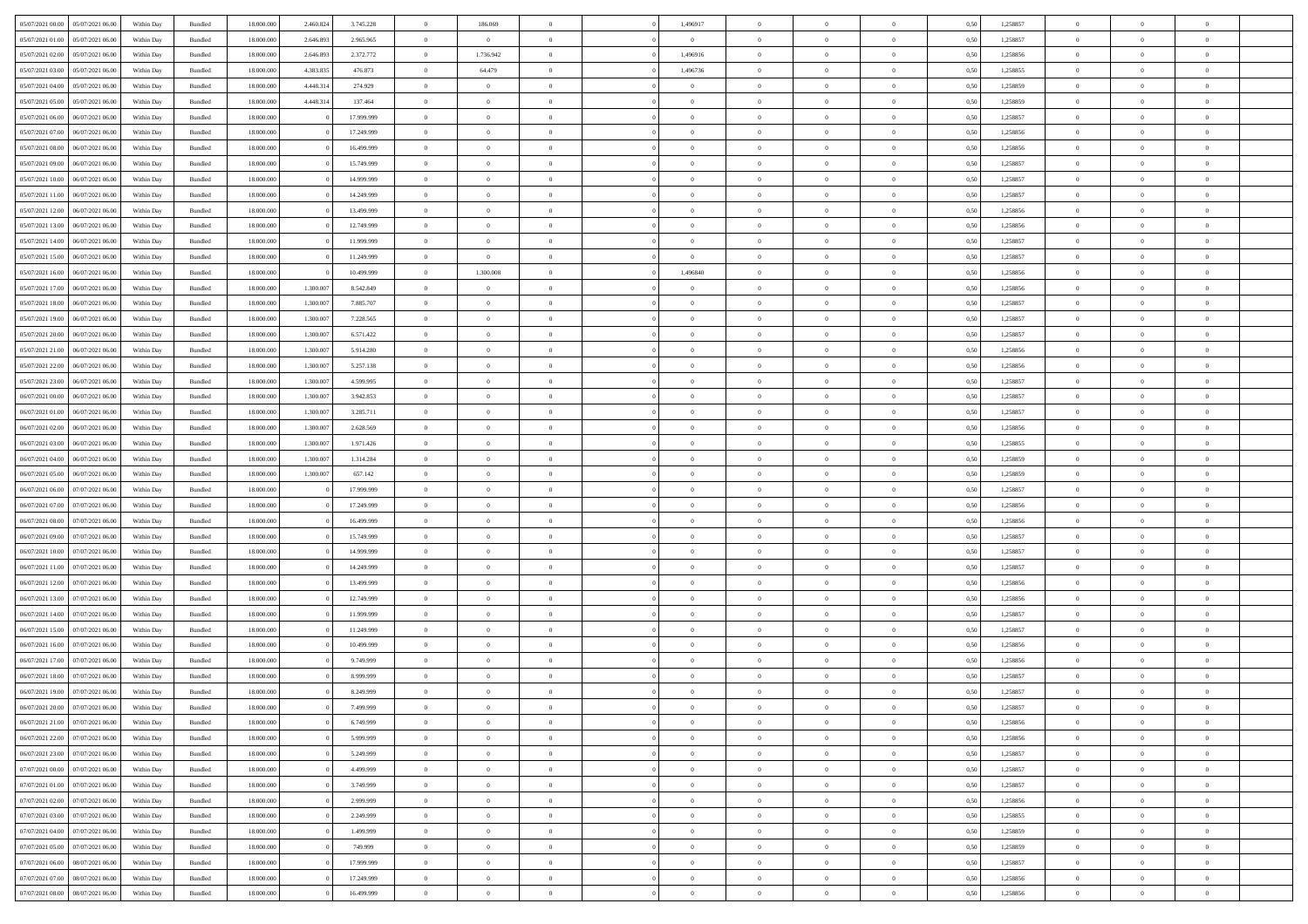| 05/07/2021 00:00                  | 05/07/2021 06:00 | Within Day | Bundled            | 18.000.000 | 2.460.824 | 3.745.228  | $\overline{0}$ | 186.069        |                | 1,496917       | $\bf{0}$       | $\overline{0}$ | $\theta$       | 0,50 | 1,258857 | $\theta$       | $\theta$       | $\theta$                 |  |
|-----------------------------------|------------------|------------|--------------------|------------|-----------|------------|----------------|----------------|----------------|----------------|----------------|----------------|----------------|------|----------|----------------|----------------|--------------------------|--|
| 05/07/2021 01:00                  | 05/07/2021 06.00 | Within Day | Bundled            | 18.000.00  | 2.646.893 | 2.965.965  | $\overline{0}$ | $\overline{0}$ | $\overline{0}$ | $\overline{0}$ | $\,$ 0         | $\bf{0}$       | $\bf{0}$       | 0,50 | 1,258857 | $\,$ 0 $\,$    | $\overline{0}$ | $\overline{0}$           |  |
|                                   |                  |            |                    |            |           |            |                |                |                |                |                |                |                |      |          |                |                |                          |  |
| 05/07/2021 02:00                  | 05/07/2021 06:00 | Within Day | Bundled            | 18,000,000 | 2.646.893 | 2.372.772  | $\overline{0}$ | 1.736.942      | $\overline{0}$ | 1.496916       | $\bf{0}$       | $\overline{0}$ | $\overline{0}$ | 0.50 | 1,258856 | $\bf{0}$       | $\overline{0}$ | $\overline{0}$           |  |
| 05/07/2021 03:00                  | 05/07/2021 06:00 | Within Day | Bundled            | 18.000.000 | 4.383.835 | 476.873    | $\overline{0}$ | 64.479         | $\overline{0}$ | 1,496736       | $\bf{0}$       | $\overline{0}$ | $\overline{0}$ | 0,50 | 1,258855 | $\,$ 0 $\,$    | $\overline{0}$ | $\overline{0}$           |  |
| 05/07/2021 04:00                  | 05/07/2021 06.00 | Within Day | Bundled            | 18.000.000 | 4.448.314 | 274.929    | $\overline{0}$ | $\theta$       | $\overline{0}$ |                | $\overline{0}$ | $\overline{0}$ | $\bf{0}$       | 0,50 | 1,258859 | $\theta$       | $\overline{0}$ | $\overline{0}$           |  |
| 05/07/2021 05:00                  | 05/07/2021 06:00 | Within Day | Bundled            | 18,000,000 | 4.448.314 | 137,464    | $\overline{0}$ | $\overline{0}$ | $\overline{0}$ | $\overline{0}$ | $\bf{0}$       | $\theta$       | $\overline{0}$ | 0.50 | 1.258859 | $\,0\,$        | $\theta$       | $\overline{0}$           |  |
| 05/07/2021 06:00                  | 06/07/2021 06:00 | Within Day | Bundled            | 18.000.000 |           | 17.999.999 | $\overline{0}$ | $\theta$       | $\overline{0}$ | $\overline{0}$ | $\,$ 0         | $\overline{0}$ | $\overline{0}$ | 0,50 | 1,258857 | $\,$ 0 $\,$    | $\theta$       | $\overline{0}$           |  |
| 05/07/2021 07:00                  | 06/07/2021 06.00 | Within Day | Bundled            | 18.000.000 |           | 17.249.999 | $\overline{0}$ | $\theta$       | $\overline{0}$ | $\overline{0}$ | $\,$ 0         | $\overline{0}$ | $\bf{0}$       | 0,50 | 1,258856 | $\,$ 0 $\,$    | $\overline{0}$ | $\overline{0}$           |  |
| 05/07/2021 08:00                  | 06/07/2021 06:00 | Within Day | Bundled            | 18,000,000 |           | 16.499.999 | $\overline{0}$ | $\overline{0}$ | $\overline{0}$ | $\overline{0}$ | $\bf{0}$       | $\overline{0}$ | $\overline{0}$ | 0.50 | 1.258856 | $\theta$       | $\theta$       | $\overline{0}$           |  |
| 05/07/2021 09:00                  | 06/07/2021 06:00 | Within Day | Bundled            | 18.000.000 |           | 15.749.999 | $\overline{0}$ | $\overline{0}$ | $\overline{0}$ | $\overline{0}$ | $\,$ 0         | $\overline{0}$ | $\bf{0}$       | 0,50 | 1,258857 | $\,$ 0 $\,$    | $\overline{0}$ | $\overline{0}$           |  |
| 05/07/2021 10:00                  | 06/07/2021 06.00 | Within Day | Bundled            | 18.000.000 |           | 14.999.999 | $\overline{0}$ | $\theta$       | $\overline{0}$ | $\overline{0}$ | $\,$ 0         | $\overline{0}$ | $\bf{0}$       | 0,50 | 1,258857 | $\,$ 0 $\,$    | $\overline{0}$ | $\overline{0}$           |  |
|                                   | 06/07/2021 06:00 |            | Bundled            | 18,000,000 |           |            |                | $\overline{0}$ | $\overline{0}$ |                |                | $\overline{0}$ |                |      |          |                | $\overline{0}$ |                          |  |
| 05/07/2021 11:00                  |                  | Within Day |                    |            |           | 14.249.999 | $\overline{0}$ |                |                | $\overline{0}$ | $\bf{0}$       |                | $\mathbf{0}$   | 0.50 | 1,258857 | $\bf{0}$       |                | $\overline{\phantom{a}}$ |  |
| 05/07/2021 12:00                  | 06/07/2021 06:00 | Within Day | Bundled            | 18.000.000 |           | 13.499.999 | $\overline{0}$ | $\theta$       | $\overline{0}$ | $\overline{0}$ | $\bf{0}$       | $\overline{0}$ | $\overline{0}$ | 0,50 | 1,258856 | $\,$ 0 $\,$    | $\theta$       | $\overline{0}$           |  |
| 05/07/2021 13:00                  | 06/07/2021 06.00 | Within Day | Bundled            | 18.000.000 |           | 12.749.999 | $\overline{0}$ | $\theta$       | $\overline{0}$ | $\overline{0}$ | $\overline{0}$ | $\overline{0}$ | $\bf{0}$       | 0,50 | 1,258856 | $\,$ 0 $\,$    | $\overline{0}$ | $\overline{0}$           |  |
| 05/07/2021 14:00                  | 06/07/2021 06:00 | Within Day | Bundled            | 18,000,000 |           | 11.999.999 | $\overline{0}$ | $\overline{0}$ | $\overline{0}$ | $\overline{0}$ | $\bf{0}$       | $\Omega$       | $\overline{0}$ | 0.50 | 1.258857 | $\theta$       | $\theta$       | $\overline{0}$           |  |
| 05/07/2021 15:00                  | 06/07/2021 06:00 | Within Day | Bundled            | 18.000.000 |           | 11.249.999 | $\overline{0}$ | $\overline{0}$ | $\overline{0}$ | $\overline{0}$ | $\,$ 0         | $\overline{0}$ | $\overline{0}$ | 0,50 | 1,258857 | $\,$ 0 $\,$    | $\theta$       | $\overline{0}$           |  |
| 05/07/2021 16:00                  | 06/07/2021 06.00 | Within Day | Bundled            | 18.000.000 |           | 10.499.999 | $\overline{0}$ | 1.300.008      | $\Omega$       | 1,496840       | $\bf{0}$       | $\overline{0}$ | $\bf{0}$       | 0,50 | 1,258856 | $\,$ 0 $\,$    | $\overline{0}$ | $\overline{0}$           |  |
| 05/07/2021 17:00                  | 06/07/2021 06:00 | Within Day | Bundled            | 18,000,000 | 1,300,007 | 8.542.849  | $\overline{0}$ | $\overline{0}$ | $\overline{0}$ | $\overline{0}$ | $\bf{0}$       | $\overline{0}$ | $\bf{0}$       | 0.50 | 1.258856 | $\,0\,$        | $\overline{0}$ | $\overline{0}$           |  |
| 05/07/2021 18:00                  | 06/07/2021 06:00 | Within Day | Bundled            | 18.000.000 | 1.300.007 | 7.885.707  | $\overline{0}$ | $\overline{0}$ | $\overline{0}$ | $\overline{0}$ | $\,$ 0         | $\overline{0}$ | $\bf{0}$       | 0,50 | 1,258857 | $\,$ 0 $\,$    | $\overline{0}$ | $\overline{0}$           |  |
| 05/07/2021 19:00                  | 06/07/2021 06.00 | Within Day | Bundled            | 18.000.000 | 1.300.007 | 7.228.565  | $\overline{0}$ | $\theta$       | $\overline{0}$ | $\overline{0}$ | $\,$ 0         | $\bf{0}$       | $\bf{0}$       | 0,50 | 1,258857 | $\,$ 0 $\,$    | $\overline{0}$ | $\overline{0}$           |  |
| 05/07/2021 20.00                  | 06/07/2021 06:00 | Within Day | Bundled            | 18,000,000 | 1,300,007 | 6.571.422  | $\overline{0}$ | $\overline{0}$ | $\overline{0}$ | $\overline{0}$ | $\bf{0}$       | $\overline{0}$ | $\mathbf{0}$   | 0.50 | 1,258857 | $\bf{0}$       | $\overline{0}$ | $\overline{0}$           |  |
| 05/07/2021 21:00                  | 06/07/2021 06:00 | Within Day | Bundled            | 18.000.000 | 1.300.007 | 5.914.280  | $\overline{0}$ | $\overline{0}$ | $\overline{0}$ | $\overline{0}$ | $\bf{0}$       | $\overline{0}$ | $\overline{0}$ | 0,50 | 1,258856 | $\,$ 0 $\,$    | $\overline{0}$ | $\overline{0}$           |  |
| 05/07/2021 22.00                  | 06/07/2021 06.00 | Within Day | Bundled            | 18.000.000 | 1.300.007 | 5.257.138  | $\overline{0}$ | $\theta$       | $\overline{0}$ | $\overline{0}$ | $\bf{0}$       | $\overline{0}$ | $\bf{0}$       | 0,50 | 1,258856 | $\,$ 0 $\,$    | $\overline{0}$ | $\overline{0}$           |  |
|                                   |                  |            |                    |            |           |            |                |                |                |                |                |                |                |      |          |                |                |                          |  |
| 05/07/2021 23.00                  | 06/07/2021 06:00 | Within Day | Bundled            | 18,000,000 | 1,300,007 | 4.599.995  | $\overline{0}$ | $\overline{0}$ | $\overline{0}$ | $\overline{0}$ | $\bf{0}$       | $\Omega$       | $\bf{0}$       | 0.50 | 1.258857 | $\,0\,$        | $\theta$       | $\overline{0}$           |  |
| 06/07/2021 00:00                  | 06/07/2021 06:00 | Within Day | Bundled            | 18.000.000 | 1.300.007 | 3.942.853  | $\overline{0}$ | $\theta$       | $\overline{0}$ | $\overline{0}$ | $\,$ 0         | $\overline{0}$ | $\overline{0}$ | 0,50 | 1,258857 | $\,$ 0 $\,$    | $\theta$       | $\overline{0}$           |  |
| 06/07/2021 01:00                  | 06/07/2021 06.00 | Within Day | Bundled            | 18.000.000 | 1.300.007 | 3.285.711  | $\overline{0}$ | $\theta$       | $\overline{0}$ |                | $\bf{0}$       | $\overline{0}$ | $\bf{0}$       | 0,50 | 1,258857 | $\theta$       | $\overline{0}$ | $\overline{0}$           |  |
| 06/07/2021 02:00                  | 06/07/2021 06:00 | Within Day | Bundled            | 18,000,000 | 1,300,007 | 2.628.569  | $\overline{0}$ | $\overline{0}$ | $\overline{0}$ | $\overline{0}$ | $\bf{0}$       | $\overline{0}$ | $\bf{0}$       | 0.50 | 1.258856 | $\theta$       | $\overline{0}$ | $\overline{0}$           |  |
| 06/07/2021 03:00                  | 06/07/2021 06:00 | Within Day | Bundled            | 18.000.000 | 1.300.007 | 1.971.426  | $\overline{0}$ | $\overline{0}$ | $\overline{0}$ | $\overline{0}$ | $\,$ 0         | $\overline{0}$ | $\bf{0}$       | 0,50 | 1,258855 | $\,$ 0 $\,$    | $\overline{0}$ | $\overline{0}$           |  |
| 06/07/2021 04:00                  | 06/07/2021 06.00 | Within Day | Bundled            | 18.000.000 | 1.300.007 | 1.314.284  | $\overline{0}$ | $\overline{0}$ | $\overline{0}$ | $\overline{0}$ | $\bf{0}$       | $\bf{0}$       | $\bf{0}$       | 0,50 | 1,258859 | $\,$ 0 $\,$    | $\overline{0}$ | $\overline{0}$           |  |
| 06/07/2021 05:00                  | 06/07/2021 06:00 | Within Day | Bundled            | 18,000,000 | 1,300,007 | 657.142    | $\overline{0}$ | $\overline{0}$ | $\overline{0}$ | $\overline{0}$ | $\bf{0}$       | $\overline{0}$ | $\mathbf{0}$   | 0.50 | 1,258859 | $\bf{0}$       | $\overline{0}$ | $\overline{\phantom{a}}$ |  |
| 06/07/2021 06:00                  | 07/07/2021 06:00 | Within Dav | Bundled            | 18.000.000 |           | 17.999.999 | $\overline{0}$ | $\overline{0}$ | $\overline{0}$ | $\overline{0}$ | $\bf{0}$       | $\overline{0}$ | $\overline{0}$ | 0.50 | 1,258857 | $\theta$       | $\overline{0}$ | $\overline{0}$           |  |
| 06/07/2021 07:00                  | 07/07/2021 06.00 | Within Day | Bundled            | 18.000.000 |           | 17.249.999 | $\overline{0}$ | $\theta$       | $\overline{0}$ | $\overline{0}$ | $\,$ 0         | $\overline{0}$ | $\bf{0}$       | 0,50 | 1,258856 | $\,$ 0 $\,$    | $\overline{0}$ | $\overline{0}$           |  |
| 06/07/2021 08:00                  | 07/07/2021 06:00 | Within Day | Bundled            | 18,000,000 |           | 16.499.999 | $\overline{0}$ | $\overline{0}$ | $\overline{0}$ | $\overline{0}$ | $\bf{0}$       | $\overline{0}$ | $\overline{0}$ | 0.50 | 1.258856 | $\theta$       | $\theta$       | $\overline{0}$           |  |
| 06/07/2021 09:00                  | 07/07/2021 06:00 | Within Dav | Bundled            | 18.000.000 |           | 15.749.999 | $\overline{0}$ | $\theta$       | $\Omega$       | $\overline{0}$ | $\bf{0}$       | $\overline{0}$ | $\overline{0}$ | 0.50 | 1,258857 | $\theta$       | $\overline{0}$ | $\overline{0}$           |  |
|                                   |                  |            |                    |            |           |            | $\overline{0}$ | $\theta$       | $\overline{0}$ |                |                | $\overline{0}$ |                |      |          |                |                | $\overline{0}$           |  |
| 06/07/2021 10:00                  | 07/07/2021 06.00 | Within Day | Bundled            | 18.000.000 |           | 14.999.999 |                |                |                | $\overline{0}$ | $\,$ 0         |                | $\bf{0}$       | 0,50 | 1,258857 | $\,$ 0 $\,$    | $\overline{0}$ |                          |  |
| 06/07/2021 11:00                  | 07/07/2021 06:00 | Within Day | Bundled            | 18,000,000 |           | 14.249.999 | $\overline{0}$ | $\overline{0}$ | $\overline{0}$ | $\overline{0}$ | $\bf{0}$       | $\overline{0}$ | $\bf{0}$       | 0.50 | 1.258857 | $\,0\,$        | $\overline{0}$ | $\overline{0}$           |  |
| 06/07/2021 12:00                  | 07/07/2021 06:00 | Within Dav | Bundled            | 18.000.000 |           | 13.499.999 | $\overline{0}$ | $\overline{0}$ | $\overline{0}$ | $\overline{0}$ | $\overline{0}$ | $\overline{0}$ | $\overline{0}$ | 0.50 | 1,258856 | $\theta$       | $\overline{0}$ | $\overline{0}$           |  |
| 06/07/2021 13:00                  | 07/07/2021 06.00 | Within Day | Bundled            | 18.000.000 |           | 12.749.999 | $\overline{0}$ | $\overline{0}$ | $\overline{0}$ | $\overline{0}$ | $\bf{0}$       | $\bf{0}$       | $\bf{0}$       | 0,50 | 1,258856 | $\,$ 0 $\,$    | $\overline{0}$ | $\overline{0}$           |  |
| 06/07/2021 14:00                  | 07/07/2021 06:00 | Within Day | Bundled            | 18,000,000 |           | 11.999.999 | $\overline{0}$ | $\overline{0}$ | $\overline{0}$ | $\overline{0}$ | $\bf{0}$       | $\overline{0}$ | $\mathbf{0}$   | 0.50 | 1,258857 | $\bf{0}$       | $\overline{0}$ | $\overline{0}$           |  |
| 06/07/2021 15:00                  | 07/07/2021 06:00 | Within Dav | Bundled            | 18.000.000 |           | 11.249.999 | $\overline{0}$ | $\overline{0}$ | $\Omega$       | $\overline{0}$ | $\bf{0}$       | $\overline{0}$ | $\overline{0}$ | 0.50 | 1,258857 | $\theta$       | $\overline{0}$ | $\overline{0}$           |  |
| 06/07/2021 16:00                  | 07/07/2021 06.00 | Within Day | Bundled            | 18.000.000 |           | 10.499.999 | $\overline{0}$ | $\theta$       | $\overline{0}$ | $\overline{0}$ | $\,$ 0         | $\overline{0}$ | $\bf{0}$       | 0,50 | 1,258856 | $\,$ 0 $\,$    | $\overline{0}$ | $\overline{0}$           |  |
| 06/07/2021 17:00                  | 07/07/2021 06:00 | Within Day | Bundled            | 18,000,000 |           | 9.749.999  | $\overline{0}$ | $\theta$       | $\overline{0}$ | $\overline{0}$ | $\bf{0}$       | $\Omega$       | $\overline{0}$ | 0.50 | 1.258856 | $\,0\,$        | $\theta$       | $\overline{0}$           |  |
| 06/07/2021 18:00                  | 07/07/2021 06:00 | Within Dav | Bundled            | 18.000.000 |           | 8.999.999  | $\overline{0}$ | $\Omega$       | $\Omega$       | $\Omega$       | $\bf{0}$       | $\overline{0}$ | $\bf{0}$       | 0.50 | 1,258857 | $\theta$       | $\theta$       | $\overline{0}$           |  |
| 06/07/2021 19:00                  | 07/07/2021 06:00 | Within Day | Bundled            | 18.000.000 |           | 8.249.999  | $\overline{0}$ | $\overline{0}$ | $\overline{0}$ | $\bf{0}$       | $\,$ 0         | $\bf{0}$       | $\bf{0}$       | 0,50 | 1,258857 | $\,$ 0 $\,$    | $\overline{0}$ | $\overline{0}$           |  |
| 06/07/2021 20:00 07/07/2021 06:00 |                  | Within Day | $\mathbf B$ undled | 18.000.000 |           | 7.499.999  | $\bf{0}$       | $\bf{0}$       |                | $^{\circ}$     | $\Omega$       |                |                | 0,50 | 1,258857 | $\bf{0}$       | $\bf{0}$       |                          |  |
| 06/07/2021 21:00                  | 07/07/2021 06:00 | Within Day | Bundled            | 18.000.000 |           | 6.749.999  | $\overline{0}$ | $\overline{0}$ | $\overline{0}$ | $\overline{0}$ | $\overline{0}$ | $\overline{0}$ | $\mathbf{0}$   | 0,50 | 1,258856 | $\theta$       | $\overline{0}$ | $\overline{0}$           |  |
|                                   |                  |            |                    |            |           |            |                |                |                |                |                |                |                |      |          |                |                |                          |  |
| 06/07/2021 22:00                  | 07/07/2021 06:00 | Within Day | Bundled            | 18.000.000 |           | 5.999.999  | $\overline{0}$ | $\overline{0}$ | $\overline{0}$ | $\bf{0}$       | $\overline{0}$ | $\overline{0}$ | $\mathbf{0}$   | 0,50 | 1,258856 | $\bf{0}$       | $\overline{0}$ | $\bf{0}$                 |  |
| 06/07/2021 23:00                  | 07/07/2021 06:00 | Within Day | Bundled            | 18,000,000 |           | 5.249.999  | $\overline{0}$ | $\overline{0}$ | $\overline{0}$ | $\overline{0}$ | $\overline{0}$ | $\overline{0}$ | $\mathbf{0}$   | 0.50 | 1.258857 | $\overline{0}$ | $\bf{0}$       | $\bf{0}$                 |  |
| 07/07/2021 00:00                  | 07/07/2021 06:00 | Within Day | Bundled            | 18.000.000 |           | 4.499.999  | $\overline{0}$ | $\overline{0}$ | $\overline{0}$ | $\overline{0}$ | $\overline{0}$ | $\overline{0}$ | $\mathbf{0}$   | 0,50 | 1,258857 | $\overline{0}$ | $\theta$       | $\overline{0}$           |  |
| 07/07/2021 01:00                  | 07/07/2021 06:00 | Within Day | Bundled            | 18.000.000 |           | 3.749.999  | $\overline{0}$ | $\overline{0}$ | $\overline{0}$ | $\overline{0}$ | $\bf{0}$       | $\bf{0}$       | $\bf{0}$       | 0,50 | 1,258857 | $\bf{0}$       | $\overline{0}$ | $\overline{0}$           |  |
| 07/07/2021 02:00                  | 07/07/2021 06:00 | Within Day | Bundled            | 18.000.000 |           | 2.999.999  | $\overline{0}$ | $\overline{0}$ | $\overline{0}$ | $\overline{0}$ | $\bf{0}$       | $\overline{0}$ | $\mathbf{0}$   | 0.50 | 1.258856 | $\,$ 0 $\,$    | $\overline{0}$ | $\overline{0}$           |  |
| 07/07/2021 03:00                  | 07/07/2021 06:00 | Within Day | Bundled            | 18.000.000 |           | 2.249.999  | $\overline{0}$ | $\overline{0}$ | $\overline{0}$ | $\overline{0}$ | $\overline{0}$ | $\overline{0}$ | $\overline{0}$ | 0,50 | 1,258855 | $\overline{0}$ | $\theta$       | $\overline{0}$           |  |
| 07/07/2021 04:00                  | 07/07/2021 06:00 | Within Day | Bundled            | 18.000.000 |           | 1.499.999  | $\overline{0}$ | $\,$ 0         | $\overline{0}$ | $\bf{0}$       | $\overline{0}$ | $\overline{0}$ | $\bf{0}$       | 0,50 | 1,258859 | $\,$ 0 $\,$    | $\overline{0}$ | $\overline{0}$           |  |
| 07/07/2021 05:00                  | 07/07/2021 06:00 | Within Day | Bundled            | 18,000,000 |           | 749.999    | $\overline{0}$ | $\overline{0}$ | $\overline{0}$ | $\overline{0}$ | $\bf{0}$       | $\overline{0}$ | $\mathbf{0}$   | 0.50 | 1.258859 | $\mathbf{0}$   | $\bf{0}$       | $\bf{0}$                 |  |
| 07/07/2021 06:00                  | 08/07/2021 06:00 | Within Dav | Bundled            | 18.000.000 |           | 17.999.999 | $\overline{0}$ | $\overline{0}$ | $\overline{0}$ | $\overline{0}$ | $\overline{0}$ | $\overline{0}$ | $\overline{0}$ | 0,50 | 1,258857 | $\overline{0}$ | $\theta$       | $\overline{0}$           |  |
| 07/07/2021 07:00                  | 08/07/2021 06:00 | Within Day | Bundled            | 18.000.000 |           | 17.249.999 | $\overline{0}$ | $\overline{0}$ | $\overline{0}$ | $\bf{0}$       | $\bf{0}$       | $\bf{0}$       | $\bf{0}$       | 0,50 | 1,258856 | $\bf{0}$       | $\overline{0}$ | $\bf{0}$                 |  |
|                                   |                  |            |                    |            |           |            |                |                |                |                |                |                |                |      |          |                |                |                          |  |
| 07/07/2021 08:00 08/07/2021 06:00 |                  | Within Day | Bundled            | 18.000.000 |           | 16.499.999 | $\overline{0}$ | $\,$ 0 $\,$    | $\overline{0}$ | $\overline{0}$ | $\,$ 0 $\,$    | $\overline{0}$ | $\,$ 0 $\,$    | 0,50 | 1,258856 | $\overline{0}$ | $\,$ 0 $\,$    | $\,$ 0 $\,$              |  |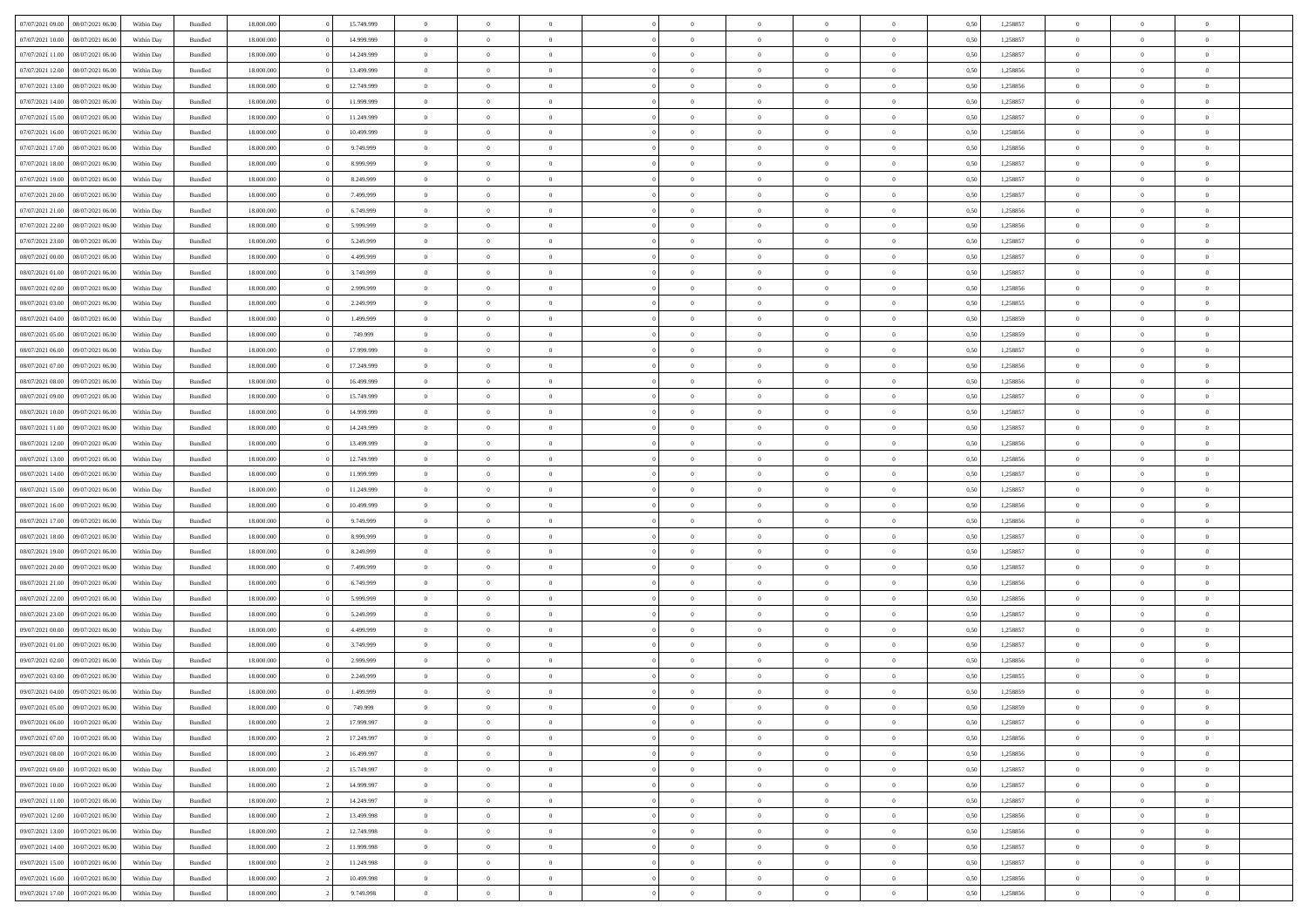| 07/07/2021 09:00                  | 08/07/2021 06:00 | Within Day | Bundled            | 18.000.000 | 15.749.999 | $\overline{0}$ | $\theta$       |                | $\Omega$       | $\Omega$       | $\Omega$       | $\theta$       | 0.50 | 1,258857 | $\theta$       | $\overline{0}$ | $\theta$       |  |
|-----------------------------------|------------------|------------|--------------------|------------|------------|----------------|----------------|----------------|----------------|----------------|----------------|----------------|------|----------|----------------|----------------|----------------|--|
| 07/07/2021 10:00                  | 08/07/2021 06:00 | Within Day | Bundled            | 18.000.000 | 14.999.999 | $\overline{0}$ | $\theta$       | $\overline{0}$ | $\overline{0}$ | $\bf{0}$       | $\overline{0}$ | $\overline{0}$ | 0,50 | 1,258857 | $\theta$       | $\theta$       | $\overline{0}$ |  |
| 07/07/2021 11:00                  | 08/07/2021 06:00 | Within Day | Bundled            | 18.000.000 | 14.249.999 | $\overline{0}$ | $\overline{0}$ | $\overline{0}$ | $\bf{0}$       | $\bf{0}$       | $\bf{0}$       | $\bf{0}$       | 0,50 | 1,258857 | $\bf{0}$       | $\overline{0}$ | $\overline{0}$ |  |
| 07/07/2021 12:00                  | 08/07/2021 06:00 | Within Dav | Bundled            | 18.000.000 | 13.499.999 | $\overline{0}$ | $\theta$       | $\overline{0}$ | $\overline{0}$ | $\bf{0}$       | $\overline{0}$ | $\overline{0}$ | 0.50 | 1.258856 | $\theta$       | $\theta$       | $\overline{0}$ |  |
| 07/07/2021 13:00                  | 08/07/2021 06:00 | Within Day | Bundled            | 18.000.000 | 12.749.999 | $\overline{0}$ | $\theta$       | $\overline{0}$ | $\overline{0}$ | $\bf{0}$       | $\overline{0}$ | $\bf{0}$       | 0,50 | 1,258856 | $\theta$       | $\theta$       | $\overline{0}$ |  |
|                                   |                  |            |                    |            |            |                |                |                |                |                |                |                |      |          |                |                |                |  |
| 07/07/2021 14:00                  | 08/07/2021 06:00 | Within Day | Bundled            | 18.000.000 | 11.999.999 | $\overline{0}$ | $\bf{0}$       | $\overline{0}$ | $\bf{0}$       | $\overline{0}$ | $\overline{0}$ | $\mathbf{0}$   | 0,50 | 1,258857 | $\bf{0}$       | $\overline{0}$ | $\bf{0}$       |  |
| 07/07/2021 15:00                  | 08/07/2021 06:00 | Within Dav | Bundled            | 18.000.000 | 11.249.999 | $\overline{0}$ | $\overline{0}$ | $\overline{0}$ | $\overline{0}$ | $\bf{0}$       | $\overline{0}$ | $\overline{0}$ | 0.50 | 1,258857 | $\theta$       | $\overline{0}$ | $\overline{0}$ |  |
| 07/07/2021 16:00                  | 08/07/2021 06:00 | Within Day | Bundled            | 18.000.000 | 10.499.999 | $\overline{0}$ | $\theta$       | $\overline{0}$ | $\overline{0}$ | $\bf{0}$       | $\overline{0}$ | $\bf{0}$       | 0,50 | 1,258856 | $\theta$       | $\theta$       | $\overline{0}$ |  |
| 07/07/2021 17:00                  | 08/07/2021 06:00 | Within Day | Bundled            | 18.000.000 | 9.749.999  | $\overline{0}$ | $\overline{0}$ | $\overline{0}$ | $\bf{0}$       | $\bf{0}$       | $\bf{0}$       | $\bf{0}$       | 0,50 | 1,258856 | $\,0\,$        | $\overline{0}$ | $\overline{0}$ |  |
| 07/07/2021 18:00                  | 08/07/2021 06:00 | Within Dav | Bundled            | 18.000.000 | 8.999.999  | $\overline{0}$ | $\overline{0}$ | $\overline{0}$ | $\overline{0}$ | $\overline{0}$ | $\overline{0}$ | $\overline{0}$ | 0.50 | 1,258857 | $\theta$       | $\overline{0}$ | $\overline{0}$ |  |
| 07/07/2021 19:00                  | 08/07/2021 06:00 | Within Day | Bundled            | 18.000.000 | 8.249.999  | $\overline{0}$ | $\theta$       | $\overline{0}$ | $\overline{0}$ | $\bf{0}$       | $\overline{0}$ | $\bf{0}$       | 0,50 | 1,258857 | $\theta$       | $\theta$       | $\overline{0}$ |  |
| 07/07/2021 20.00                  | 08/07/2021 06:00 | Within Day | Bundled            | 18.000.000 | 7.499.999  | $\overline{0}$ | $\overline{0}$ | $\overline{0}$ | $\bf{0}$       | $\bf{0}$       | $\bf{0}$       | $\bf{0}$       | 0,50 | 1,258857 | $\bf{0}$       | $\overline{0}$ | $\overline{0}$ |  |
|                                   |                  |            |                    |            |            |                |                |                |                |                |                |                |      |          |                |                |                |  |
| 07/07/2021 21:00                  | 08/07/2021 06:00 | Within Dav | Bundled            | 18.000.000 | 6.749.999  | $\overline{0}$ | $\overline{0}$ | $\overline{0}$ | $\overline{0}$ | $\bf{0}$       | $\overline{0}$ | $\overline{0}$ | 0.50 | 1.258856 | $\theta$       | $\theta$       | $\overline{0}$ |  |
| 07/07/2021 22.00                  | 08/07/2021 06:00 | Within Day | Bundled            | 18.000.000 | 5.999.999  | $\overline{0}$ | $\theta$       | $\overline{0}$ | $\overline{0}$ | $\bf{0}$       | $\overline{0}$ | $\overline{0}$ | 0,50 | 1,258856 | $\theta$       | $\theta$       | $\overline{0}$ |  |
| 07/07/2021 23.00                  | 08/07/2021 06:00 | Within Day | Bundled            | 18.000.000 | 5.249.999  | $\overline{0}$ | $\bf{0}$       | $\overline{0}$ | $\bf{0}$       | $\overline{0}$ | $\overline{0}$ | $\mathbf{0}$   | 0,50 | 1,258857 | $\overline{0}$ | $\overline{0}$ | $\bf{0}$       |  |
| 08/07/2021 00:00                  | 08/07/2021 06:00 | Within Dav | Bundled            | 18.000.000 | 4.499.999  | $\overline{0}$ | $\overline{0}$ | $\overline{0}$ | $\overline{0}$ | $\overline{0}$ | $\overline{0}$ | $\overline{0}$ | 0.50 | 1,258857 | $\theta$       | $\overline{0}$ | $\overline{0}$ |  |
| 08/07/2021 01:00                  | 08/07/2021 06:00 | Within Day | Bundled            | 18.000.000 | 3.749.999  | $\overline{0}$ | $\theta$       | $\overline{0}$ | $\overline{0}$ | $\bf{0}$       | $\overline{0}$ | $\bf{0}$       | 0,50 | 1,258857 | $\theta$       | $\theta$       | $\overline{0}$ |  |
| 08/07/2021 02:00                  | 08/07/2021 06:00 | Within Day | Bundled            | 18.000.000 | 2.999.999  | $\overline{0}$ | $\overline{0}$ | $\overline{0}$ | $\bf{0}$       | $\bf{0}$       | $\bf{0}$       | $\bf{0}$       | 0,50 | 1,258856 | $\,0\,$        | $\overline{0}$ | $\overline{0}$ |  |
| 08/07/2021 03:00                  | 08/07/2021 06:00 | Within Dav | Bundled            | 18.000.000 | 2.249.999  | $\overline{0}$ | $\overline{0}$ | $\overline{0}$ | $\overline{0}$ | $\overline{0}$ | $\overline{0}$ | $\overline{0}$ | 0.50 | 1,258855 | $\theta$       | $\overline{0}$ | $\overline{0}$ |  |
| 08/07/2021 04:00                  | 08/07/2021 06:00 | Within Day | Bundled            | 18.000.000 | 1.499.999  | $\overline{0}$ | $\theta$       | $\overline{0}$ | $\overline{0}$ | $\bf{0}$       | $\overline{0}$ | $\bf{0}$       | 0,50 | 1,258859 | $\theta$       | $\theta$       | $\overline{0}$ |  |
|                                   |                  |            |                    |            |            |                |                |                |                |                |                |                |      |          |                |                |                |  |
| 08/07/2021 05:00                  | 08/07/2021 06:00 | Within Day | Bundled            | 18.000.000 | 749.999    | $\overline{0}$ | $\overline{0}$ | $\overline{0}$ | $\bf{0}$       | $\bf{0}$       | $\bf{0}$       | $\bf{0}$       | 0,50 | 1,258859 | $\,0\,$        | $\overline{0}$ | $\overline{0}$ |  |
| 08/07/2021 06:00                  | 09/07/2021 06:00 | Within Day | Bundled            | 18.000.000 | 17.999.999 | $\overline{0}$ | $\overline{0}$ | $\overline{0}$ | $\overline{0}$ | $\bf{0}$       | $\overline{0}$ | $\overline{0}$ | 0.50 | 1.258857 | $\theta$       | $\theta$       | $\overline{0}$ |  |
| 08/07/2021 07:00                  | 09/07/2021 06:00 | Within Day | Bundled            | 18.000.000 | 17.249.999 | $\overline{0}$ | $\theta$       | $\overline{0}$ | $\overline{0}$ | $\bf{0}$       | $\overline{0}$ | $\bf{0}$       | 0,50 | 1,258856 | $\theta$       | $\overline{0}$ | $\overline{0}$ |  |
| 08/07/2021 08:00                  | 09/07/2021 06:00 | Within Day | Bundled            | 18.000.000 | 16.499.999 | $\overline{0}$ | $\bf{0}$       | $\overline{0}$ | $\bf{0}$       | $\overline{0}$ | $\overline{0}$ | $\mathbf{0}$   | 0,50 | 1,258856 | $\overline{0}$ | $\overline{0}$ | $\bf{0}$       |  |
| 08/07/2021 09:00                  | 09/07/2021 06:00 | Within Dav | Bundled            | 18.000.000 | 15.749.999 | $\overline{0}$ | $\overline{0}$ | $\overline{0}$ | $\overline{0}$ | $\overline{0}$ | $\overline{0}$ | $\overline{0}$ | 0.50 | 1,258857 | $\theta$       | $\theta$       | $\overline{0}$ |  |
| 08/07/2021 10:00                  | 09/07/2021 06:00 | Within Day | Bundled            | 18.000.000 | 14.999.999 | $\overline{0}$ | $\theta$       | $\overline{0}$ | $\overline{0}$ | $\bf{0}$       | $\overline{0}$ | $\bf{0}$       | 0,50 | 1,258857 | $\theta$       | $\theta$       | $\overline{0}$ |  |
| 08/07/2021 11:00                  | 09/07/2021 06:00 | Within Day | Bundled            | 18.000.000 | 14.249.999 | $\overline{0}$ | $\overline{0}$ | $\overline{0}$ | $\bf{0}$       | $\bf{0}$       | $\bf{0}$       | $\bf{0}$       | 0,50 | 1,258857 | $\,0\,$        | $\overline{0}$ | $\overline{0}$ |  |
| 08/07/2021 12:00                  | 09/07/2021 06:00 | Within Day | Bundled            | 18.000.000 | 13.499.999 | $\overline{0}$ | $\overline{0}$ | $\overline{0}$ | $\overline{0}$ | $\overline{0}$ | $\overline{0}$ | $\overline{0}$ | 0.50 | 1,258856 | $\theta$       | $\overline{0}$ | $\overline{0}$ |  |
|                                   |                  |            |                    |            |            |                |                |                |                |                |                |                |      |          |                |                |                |  |
| 08/07/2021 13:00                  | 09/07/2021 06:00 | Within Day | Bundled            | 18.000.000 | 12.749.999 | $\overline{0}$ | $\theta$       | $\overline{0}$ | $\overline{0}$ | $\bf{0}$       | $\overline{0}$ | $\bf{0}$       | 0,50 | 1,258856 | $\,$ 0 $\,$    | $\theta$       | $\overline{0}$ |  |
| 08/07/2021 14:00                  | 09/07/2021 06:00 | Within Day | Bundled            | 18.000.000 | 11.999.999 | $\overline{0}$ | $\overline{0}$ | $\overline{0}$ | $\bf{0}$       | $\bf{0}$       | $\bf{0}$       | $\bf{0}$       | 0,50 | 1,258857 | $\bf{0}$       | $\overline{0}$ | $\overline{0}$ |  |
| 08/07/2021 15:00                  | 09/07/2021 06:00 | Within Day | Bundled            | 18.000.000 | 11.249.999 | $\overline{0}$ | $\Omega$       | $\Omega$       | $\Omega$       | $\Omega$       | $\Omega$       | $\overline{0}$ | 0.50 | 1,258857 | $\,0\,$        | $\theta$       | $\theta$       |  |
| 08/07/2021 16:00                  | 09/07/2021 06:00 | Within Day | Bundled            | 18.000.000 | 10.499.999 | $\overline{0}$ | $\theta$       | $\overline{0}$ | $\overline{0}$ | $\bf{0}$       | $\overline{0}$ | $\bf{0}$       | 0,50 | 1,258856 | $\theta$       | $\theta$       | $\overline{0}$ |  |
| 08/07/2021 17:00                  | 09/07/2021 06:00 | Within Day | Bundled            | 18.000.000 | 9.749.999  | $\overline{0}$ | $\overline{0}$ | $\overline{0}$ | $\bf{0}$       | $\bf{0}$       | $\overline{0}$ | $\mathbf{0}$   | 0,50 | 1,258856 | $\overline{0}$ | $\overline{0}$ | $\bf{0}$       |  |
| 08/07/2021 18:00                  | 09/07/2021 06:00 | Within Day | Bundled            | 18,000,000 | 8.999.999  | $\overline{0}$ | $\Omega$       | $\Omega$       | $\Omega$       | $\Omega$       | $\Omega$       | $\overline{0}$ | 0.50 | 1,258857 | $\theta$       | $\theta$       | $\theta$       |  |
| 08/07/2021 19:00                  | 09/07/2021 06:00 | Within Day | Bundled            | 18.000.000 | 8.249.999  | $\overline{0}$ | $\theta$       | $\overline{0}$ | $\overline{0}$ | $\bf{0}$       | $\overline{0}$ | $\bf{0}$       | 0,50 | 1,258857 | $\theta$       | $\theta$       | $\overline{0}$ |  |
| 08/07/2021 20:00                  | 09/07/2021 06:00 | Within Day | Bundled            | 18.000.000 | 7.499.999  | $\overline{0}$ | $\overline{0}$ | $\overline{0}$ | $\bf{0}$       | $\bf{0}$       | $\bf{0}$       | $\bf{0}$       | 0,50 | 1,258857 | $\,0\,$        | $\overline{0}$ | $\overline{0}$ |  |
|                                   |                  |            |                    |            |            |                | $\Omega$       |                |                | $\Omega$       | $\theta$       |                |      |          |                | $\theta$       | $\theta$       |  |
| 08/07/2021 21:00                  | 09/07/2021 06:00 | Within Day | Bundled            | 18,000,000 | 6.749.999  | $\overline{0}$ |                | $\Omega$       | $\Omega$       |                |                | $\overline{0}$ | 0.50 | 1,258856 | $\theta$       |                |                |  |
| 08/07/2021 22:00                  | 09/07/2021 06:00 | Within Day | Bundled            | 18.000.000 | 5.999.999  | $\overline{0}$ | $\theta$       | $\overline{0}$ | $\overline{0}$ | $\bf{0}$       | $\overline{0}$ | $\bf{0}$       | 0,50 | 1,258856 | $\,$ 0 $\,$    | $\overline{0}$ | $\overline{0}$ |  |
| 08/07/2021 23.00                  | 09/07/2021 06:00 | Within Day | Bundled            | 18.000.000 | 5.249.999  | $\overline{0}$ | $\overline{0}$ | $\overline{0}$ | $\bf{0}$       | $\bf{0}$       | $\bf{0}$       | $\bf{0}$       | 0,50 | 1,258857 | $\bf{0}$       | $\overline{0}$ | $\overline{0}$ |  |
| 09/07/2021 00:00                  | 09/07/2021 06:00 | Within Day | Bundled            | 18.000.000 | 4.499.999  | $\overline{0}$ | $\Omega$       | $\Omega$       | $\Omega$       | $\Omega$       | $\overline{0}$ | $\overline{0}$ | 0.50 | 1,258857 | $\,0\,$        | $\theta$       | $\theta$       |  |
| 09/07/2021 01:00                  | 09/07/2021 06:00 | Within Day | Bundled            | 18.000.000 | 3.749.999  | $\overline{0}$ | $\theta$       | $\overline{0}$ | $\overline{0}$ | $\bf{0}$       | $\overline{0}$ | $\bf{0}$       | 0,50 | 1,258857 | $\,$ 0 $\,$    | $\theta$       | $\overline{0}$ |  |
| 09/07/2021 02:00                  | 09/07/2021 06:00 | Within Day | Bundled            | 18.000.000 | 2.999.999  | $\overline{0}$ | $\overline{0}$ | $\overline{0}$ | $\bf{0}$       | $\bf{0}$       | $\bf{0}$       | $\mathbf{0}$   | 0,50 | 1,258856 | $\bf{0}$       | $\overline{0}$ | $\bf{0}$       |  |
| 09/07/2021 03:00                  | 09/07/2021 06:00 | Within Day | Bundled            | 18,000,000 | 2.249.999  | $\overline{0}$ | $\Omega$       | $\Omega$       | $\Omega$       | $\Omega$       | $\Omega$       | $\overline{0}$ | 0.50 | 1,258855 | $\theta$       | $\theta$       | $\theta$       |  |
| 09/07/2021 04:00                  | 09/07/2021 06:00 | Within Day | Bundled            | 18.000.000 | 1.499.999  | $\overline{0}$ | $\overline{0}$ | $\overline{0}$ | $\bf{0}$       | $\,$ 0         | $\bf{0}$       | $\bf{0}$       | 0,50 | 1,258859 | $\,0\,$        | $\,$ 0 $\,$    | $\overline{0}$ |  |
| 09/07/2021 05:00 09/07/2021 06:00 |                  | Within Day | $\mathbf B$ undled | 18.000.000 | 749.999    | $\bf{0}$       | $\bf{0}$       |                |                | $\bf{0}$       |                |                | 0,50 | 1,258859 | $\bf{0}$       | $\overline{0}$ |                |  |
|                                   |                  |            |                    |            |            |                |                |                |                |                |                |                |      |          |                |                |                |  |
| 09/07/2021 06:00                  | 10/07/2021 06:00 | Within Day | Bundled            | 18,000,000 | 17.999.997 | $\overline{0}$ | $\Omega$       | $\overline{0}$ | $\Omega$       | $\theta$       | $\overline{0}$ | $\overline{0}$ | 0.50 | 1,258857 | $\theta$       | $\theta$       | $\theta$       |  |
| 09/07/2021 07:00                  | 10/07/2021 06:00 | Within Day | Bundled            | 18.000.000 | 17.249.997 | $\overline{0}$ | $\,$ 0         | $\overline{0}$ | $\bf{0}$       | $\,$ 0 $\,$    | $\overline{0}$ | $\mathbf{0}$   | 0,50 | 1,258856 | $\,$ 0 $\,$    | $\overline{0}$ | $\,$ 0         |  |
| 09/07/2021 08:00                  | 10/07/2021 06:00 | Within Day | Bundled            | 18.000.000 | 16.499.997 | $\overline{0}$ | $\overline{0}$ | $\overline{0}$ | $\overline{0}$ | $\overline{0}$ | $\overline{0}$ | $\mathbf{0}$   | 0,50 | 1,258856 | $\overline{0}$ | $\bf{0}$       | $\bf{0}$       |  |
| 09/07/2021 09:00                  | 10/07/2021 06:00 | Within Day | Bundled            | 18.000.000 | 15.749.997 | $\overline{0}$ | $\theta$       | $\overline{0}$ | $\Omega$       | $\overline{0}$ | $\overline{0}$ | $\bf{0}$       | 0,50 | 1,258857 | $\bf{0}$       | $\theta$       | $\overline{0}$ |  |
| 09/07/2021 10:00                  | 10/07/2021 06:00 | Within Day | Bundled            | 18.000.000 | 14.999.997 | $\overline{0}$ | $\,$ 0         | $\overline{0}$ | $\overline{0}$ | $\overline{0}$ | $\overline{0}$ | $\bf{0}$       | 0,50 | 1,258857 | $\,$ 0 $\,$    | $\overline{0}$ | $\overline{0}$ |  |
| 09/07/2021 11:00                  | 10/07/2021 06:00 | Within Day | Bundled            | 18.000.000 | 14.249.997 | $\overline{0}$ | $\overline{0}$ | $\overline{0}$ | $\overline{0}$ | $\overline{0}$ | $\overline{0}$ | $\mathbf{0}$   | 0,50 | 1,258857 | $\overline{0}$ | $\bf{0}$       | $\bf{0}$       |  |
| 09/07/2021 12:00                  | 10/07/2021 06:00 | Within Day | Bundled            | 18.000.000 | 13.499.998 | $\overline{0}$ | $\overline{0}$ | $\overline{0}$ | $\Omega$       | $\overline{0}$ | $\overline{0}$ | $\bf{0}$       | 0.50 | 1,258856 | $\overline{0}$ | $\theta$       | $\overline{0}$ |  |
| 09/07/2021 13:00                  | 10/07/2021 06:00 | Within Day | Bundled            | 18.000.000 | 12.749.998 | $\overline{0}$ | $\,$ 0         | $\overline{0}$ | $\bf{0}$       | $\bf{0}$       | $\bf{0}$       | $\bf{0}$       | 0,50 | 1,258856 | $\,$ 0 $\,$    | $\overline{0}$ | $\overline{0}$ |  |
|                                   |                  |            |                    |            |            |                |                |                |                |                |                |                |      |          |                |                |                |  |
| 09/07/2021 14:00                  | 10/07/2021 06:00 | Within Day | Bundled            | 18.000.000 | 11.999.998 | $\overline{0}$ | $\bf{0}$       | $\overline{0}$ | $\overline{0}$ | $\overline{0}$ | $\overline{0}$ | $\mathbf{0}$   | 0,50 | 1,258857 | $\overline{0}$ | $\overline{0}$ | $\bf{0}$       |  |
| 09/07/2021 15:00                  | 10/07/2021 06:00 | Within Day | Bundled            | 18,000,000 | 11.249.998 | $\overline{0}$ | $\overline{0}$ | $\overline{0}$ | $\Omega$       | $\overline{0}$ | $\overline{0}$ | $\bf{0}$       | 0.50 | 1,258857 | $\overline{0}$ | $\overline{0}$ | $\overline{0}$ |  |
| 09/07/2021 16:00                  | 10/07/2021 06:00 | Within Day | Bundled            | 18.000.000 | 10.499.998 | $\overline{0}$ | $\,$ 0 $\,$    | $\overline{0}$ | $\overline{0}$ | $\bf{0}$       | $\bf{0}$       | $\bf{0}$       | 0,50 | 1,258856 | $\,$ 0 $\,$    | $\overline{0}$ | $\bf{0}$       |  |
| 09/07/2021 17:00                  | 10/07/2021 06:00 | Within Day | Bundled            | 18.000.000 | 9.749.998  | $\overline{0}$ | $\bf{0}$       | $\overline{0}$ | $\bf{0}$       | $\bf{0}$       | $\bf{0}$       | $\bf{0}$       | 0,50 | 1,258856 | $\overline{0}$ | $\overline{0}$ | $\bf{0}$       |  |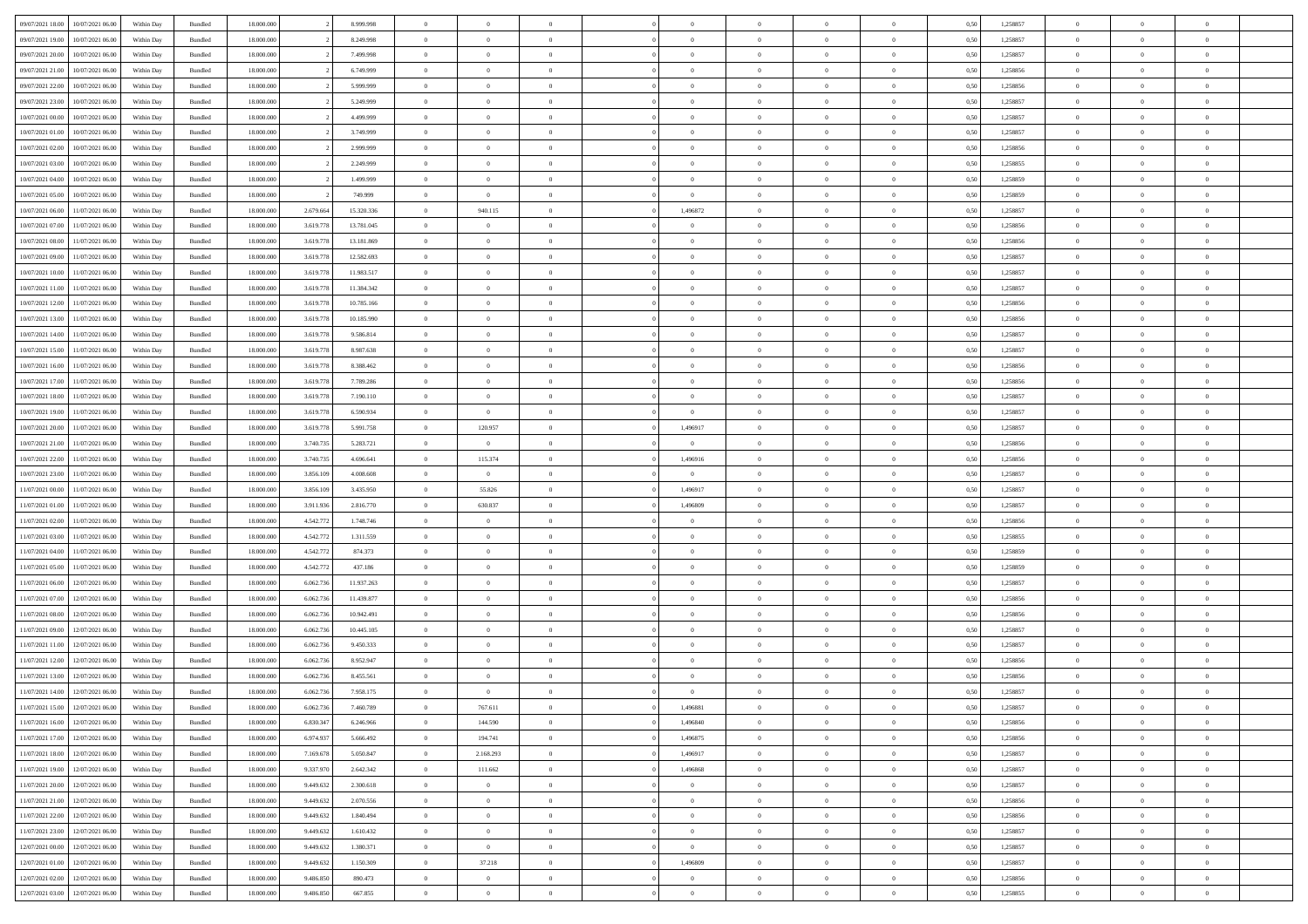| 09/07/2021 18:00 | 10/07/2021 06:00                  | Within Day | Bundled | 18,000,000 |           | 8.999.998  | $\overline{0}$ | $\theta$       |                |                | $\Omega$       | $\Omega$       | $\overline{0}$ | 0,50 | 1,258857 | $\theta$       | $\theta$       | $\theta$                 |  |
|------------------|-----------------------------------|------------|---------|------------|-----------|------------|----------------|----------------|----------------|----------------|----------------|----------------|----------------|------|----------|----------------|----------------|--------------------------|--|
| 09/07/2021 19:00 | 10/07/2021 06:00                  | Within Dav | Bundled | 18.000.000 |           | 8.249.998  | $\overline{0}$ | $\Omega$       |                | $\Omega$       | $\Omega$       | $\Omega$       | $\mathbf{0}$   | 0.50 | 1,258857 | $\theta$       | $\Omega$       | $\sqrt{ }$               |  |
| 09/07/2021 20:00 | 10/07/2021 06:00                  | Within Day | Bundled | 18.000.000 |           | 7.499.998  | $\overline{0}$ | $\overline{0}$ | $\overline{0}$ | $\overline{0}$ | $\,$ 0 $\,$    | $\overline{0}$ | $\,$ 0 $\,$    | 0,50 | 1,258857 | $\,$ 0 $\,$    | $\overline{0}$ | $\overline{0}$           |  |
| 09/07/2021 21:00 | 10/07/2021 06:00                  | Within Day | Bundled | 18.000.000 |           | 6.749.999  | $\overline{0}$ | $\overline{0}$ | $\overline{0}$ | $\overline{0}$ | $\bf{0}$       | $\overline{0}$ | $\bf{0}$       | 0,50 | 1,258856 | $\bf{0}$       | $\overline{0}$ | $\overline{0}$           |  |
| 09/07/2021 22.00 | 10/07/2021 06:00                  | Within Day | Bundled | 18.000.000 |           | 5.999.999  | $\overline{0}$ | $\Omega$       | $^{\circ}$     | $\Omega$       | $\bf{0}$       | $\Omega$       | $\overline{0}$ | 0.50 | 1,258856 | $\theta$       | $\theta$       | $\sqrt{ }$               |  |
|                  |                                   |            |         |            |           |            |                |                |                |                |                |                |                |      |          |                |                |                          |  |
| 09/07/2021 23:00 | 10/07/2021 06:00                  | Within Day | Bundled | 18.000.000 |           | 5.249.999  | $\overline{0}$ | $\overline{0}$ | $\overline{0}$ | $\overline{0}$ | $\,$ 0 $\,$    | $\overline{0}$ | $\,$ 0 $\,$    | 0,50 | 1,258857 | $\theta$       | $\overline{0}$ | $\overline{0}$           |  |
| 10/07/2021 00:00 | 10/07/2021 06:00                  | Within Day | Bundled | 18,000,000 |           | 4.499.999  | $\overline{0}$ | $\overline{0}$ | $\overline{0}$ | $\Omega$       | $\overline{0}$ | $\overline{0}$ | $\bf{0}$       | 0.50 | 1,258857 | $\bf{0}$       | $\theta$       | $\overline{0}$           |  |
| 10/07/2021 01:00 | 10/07/2021 06:00                  | Within Dav | Bundled | 18.000.000 |           | 3.749.999  | $\overline{0}$ | $\Omega$       | $\Omega$       | $\Omega$       | $\bf{0}$       | $\Omega$       | $\mathbf{0}$   | 0.50 | 1,258857 | $\theta$       | $\theta$       | $\sqrt{ }$               |  |
| 10/07/2021 02:00 | 10/07/2021 06:00                  | Within Day | Bundled | 18.000.000 |           | 2.999.999  | $\overline{0}$ | $\overline{0}$ | $\overline{0}$ | $\overline{0}$ | $\,$ 0 $\,$    | $\overline{0}$ | $\,$ 0 $\,$    | 0,50 | 1,258856 | $\,$ 0 $\,$    | $\overline{0}$ | $\overline{0}$           |  |
| 10/07/2021 03:00 | 10/07/2021 06:00                  | Within Day | Bundled | 18,000,000 |           | 2.249.999  | $\overline{0}$ | $\overline{0}$ | $\overline{0}$ | $\Omega$       | $\overline{0}$ | $\overline{0}$ | $\bf{0}$       | 0,50 | 1,258855 | $\bf{0}$       | $\overline{0}$ | $\overline{0}$           |  |
| 10/07/2021 04:00 | 10/07/2021 06:00                  | Within Dav | Bundled | 18.000.000 |           | 1.499.999  | $\overline{0}$ | $\Omega$       | $^{\circ}$     | $\Omega$       | $\bf{0}$       | $\Omega$       | $\overline{0}$ | 0.50 | 1,258859 | $\theta$       | $\theta$       | $\sqrt{ }$               |  |
|                  |                                   |            |         |            |           |            |                | $\overline{0}$ |                |                |                |                |                |      |          |                |                |                          |  |
| 10/07/2021 05:00 | 10/07/2021 06:00                  | Within Day | Bundled | 18.000.000 |           | 749.999    | $\overline{0}$ |                | $\overline{0}$ | $\overline{0}$ | $\,$ 0 $\,$    | $\overline{0}$ | $\,$ 0 $\,$    | 0,50 | 1,258859 | $\,$ 0 $\,$    | $\overline{0}$ | $\,$ 0                   |  |
| 10/07/2021 06:00 | 11/07/2021 06.00                  | Within Day | Bundled | 18.000.000 | 2.679.664 | 15.320.336 | $\overline{0}$ | 940.115        | $\overline{0}$ | 1,496872       | $\bf{0}$       | $\overline{0}$ | $\bf{0}$       | 0,50 | 1,258857 | $\bf{0}$       | $\overline{0}$ | $\overline{\phantom{a}}$ |  |
| 10/07/2021 07:00 | 11/07/2021 06:00                  | Within Day | Bundled | 18.000.000 | 3.619.778 | 13.781.045 | $\overline{0}$ | $\theta$       | $^{\circ}$     | $\Omega$       | $\bf{0}$       | $\Omega$       | $\bf{0}$       | 0.50 | 1,258856 | $\theta$       | $\theta$       | $\sqrt{ }$               |  |
| 10/07/2021 08:00 | 11/07/2021 06:00                  | Within Day | Bundled | 18.000.000 | 3.619.778 | 13.181.869 | $\overline{0}$ | $\theta$       | $\overline{0}$ | $\overline{0}$ | $\,$ 0 $\,$    | $\overline{0}$ | $\,$ 0 $\,$    | 0,50 | 1,258856 | $\theta$       | $\overline{0}$ | $\overline{0}$           |  |
| 10/07/2021 09:00 | 11/07/2021 06:00                  | Within Day | Bundled | 18.000.000 | 3.619.77  | 12.582.693 | $\overline{0}$ | $\overline{0}$ | $\overline{0}$ | $\Omega$       | $\overline{0}$ | $\overline{0}$ | $\bf{0}$       | 0.50 | 1,258857 | $\theta$       | $\overline{0}$ | $\overline{0}$           |  |
| 10/07/2021 10:00 | 11/07/2021 06:00                  | Within Day | Bundled | 18.000.000 | 3.619.778 | 11.983.517 | $\overline{0}$ | $\Omega$       | $^{\circ}$     | $\Omega$       | $\overline{0}$ | $\Omega$       | $\bf{0}$       | 0.50 | 1,258857 | $\theta$       | $\Omega$       | $\sqrt{ }$               |  |
| 10/07/2021 11:00 | 11/07/2021 06:00                  | Within Day | Bundled | 18.000.000 | 3.619.778 | 11.384.342 | $\overline{0}$ | $\overline{0}$ | $\overline{0}$ | $\overline{0}$ | $\,$ 0 $\,$    | $\overline{0}$ | $\,$ 0 $\,$    | 0,50 | 1,258857 | $\,$ 0 $\,$    | $\overline{0}$ | $\overline{0}$           |  |
|                  | 11/07/2021 06:00                  |            |         | 18,000,000 |           |            |                |                |                | $\Omega$       |                |                |                |      |          |                |                |                          |  |
| 10/07/2021 12:00 |                                   | Within Day | Bundled |            | 3.619.77  | 10.785.166 | $\overline{0}$ | $\overline{0}$ | $\overline{0}$ |                | $\overline{0}$ | $\overline{0}$ | $\bf{0}$       | 0.50 | 1,258856 | $\bf{0}$       | $\theta$       | $\overline{0}$           |  |
| 10/07/2021 13:00 | 11/07/2021 06:00                  | Within Dav | Bundled | 18.000.000 | 3.619.778 | 10.185.990 | $\overline{0}$ | $\Omega$       | $\Omega$       | $\Omega$       | $\bf{0}$       | $\Omega$       | $\overline{0}$ | 0.50 | 1,258856 | $\theta$       | $\theta$       | $\sqrt{ }$               |  |
| 10/07/2021 14:00 | 11/07/2021 06:00                  | Within Day | Bundled | 18.000.000 | 3.619.778 | 9.586.814  | $\overline{0}$ | $\overline{0}$ | $\overline{0}$ | $\overline{0}$ | $\,$ 0 $\,$    | $\overline{0}$ | $\,$ 0 $\,$    | 0,50 | 1,258857 | $\,$ 0 $\,$    | $\overline{0}$ | $\overline{0}$           |  |
| 10/07/2021 15:00 | 11/07/2021 06.00                  | Within Day | Bundled | 18.000.000 | 3.619.778 | 8.987.638  | $\overline{0}$ | $\bf{0}$       | $\overline{0}$ | $\overline{0}$ | $\bf{0}$       | $\overline{0}$ | $\bf{0}$       | 0,50 | 1,258857 | $\bf{0}$       | $\overline{0}$ | $\overline{0}$           |  |
| 10/07/2021 16:00 | 11/07/2021 06:00                  | Within Day | Bundled | 18.000.000 | 3.619.778 | 8.388.462  | $\overline{0}$ | $\Omega$       | $\Omega$       | $\overline{0}$ | $\bf{0}$       | $\Omega$       | $\overline{0}$ | 0.50 | 1,258856 | $\theta$       | $\theta$       | $\sqrt{ }$               |  |
| 10/07/2021 17:00 | 11/07/2021 06:00                  | Within Day | Bundled | 18.000.000 | 3.619.778 | 7.789.286  | $\overline{0}$ | $\overline{0}$ | $\overline{0}$ | $\overline{0}$ | $\,$ 0 $\,$    | $\overline{0}$ | $\,$ 0 $\,$    | 0,50 | 1,258856 | $\theta$       | $\overline{0}$ | $\overline{0}$           |  |
| 10/07/2021 18:00 | 11/07/2021 06:00                  | Within Day | Bundled | 18.000.000 | 3.619.77  | 7.190.110  | $\overline{0}$ | $\overline{0}$ | $\overline{0}$ | $\Omega$       | $\overline{0}$ | $\overline{0}$ | $\bf{0}$       | 0.50 | 1,258857 | $\bf{0}$       | $\overline{0}$ | $\overline{0}$           |  |
| 10/07/2021 19:00 | 11/07/2021 06:00                  | Within Dav | Bundled | 18.000.000 | 3.619.778 | 6.590.934  | $\overline{0}$ | $\overline{0}$ | $\Omega$       | $\overline{0}$ | $\bf{0}$       | $\Omega$       | $\bf{0}$       | 0.50 | 1,258857 | $\theta$       | $\theta$       | $\sqrt{ }$               |  |
|                  |                                   |            |         |            |           |            |                |                |                |                |                |                |                |      |          |                |                |                          |  |
| 10/07/2021 20:00 | 11/07/2021 06:00                  | Within Day | Bundled | 18.000.000 | 3.619.778 | 5.991.758  | $\overline{0}$ | 120.957        | $\overline{0}$ | 1,496917       | $\overline{0}$ | $\overline{0}$ | $\,$ 0 $\,$    | 0,50 | 1,258857 | $\,$ 0 $\,$    | $\overline{0}$ | $\overline{0}$           |  |
| 10/07/2021 21:00 | 11/07/2021 06:00                  | Within Day | Bundled | 18,000,000 | 3.740.73  | 5.283.721  | $\overline{0}$ | $\overline{0}$ | $\overline{0}$ | $\overline{0}$ | $\overline{0}$ | $\overline{0}$ | $\bf{0}$       | 0.50 | 1,258856 | $\bf{0}$       | $\overline{0}$ | $\overline{0}$           |  |
| 10/07/2021 22:00 | 11/07/2021 06:00                  | Within Dav | Bundled | 18.000.000 | 3.740.735 | 4.696.641  | $\overline{0}$ | 115.374        |                | 1,496916       | $\overline{0}$ | $\Omega$       | $\overline{0}$ | 0.50 | 1,258856 | $\theta$       | $\theta$       | $\sqrt{ }$               |  |
| 10/07/2021 23:00 | 11/07/2021 06:00                  | Within Day | Bundled | 18.000.000 | 3.856.109 | 4.008.608  | $\overline{0}$ | $\overline{0}$ | $\overline{0}$ | $\overline{0}$ | $\,$ 0 $\,$    | $\overline{0}$ | $\,$ 0 $\,$    | 0,50 | 1,258857 | $\,$ 0 $\,$    | $\overline{0}$ | $\,$ 0                   |  |
| 11/07/2021 00:00 | 11/07/2021 06.00                  | Within Day | Bundled | 18.000.000 | 3.856.109 | 3.435.950  | $\overline{0}$ | 55.826         | $\bf{0}$       | 1,496917       | $\bf{0}$       | $\bf{0}$       | $\bf{0}$       | 0,50 | 1,258857 | $\,$ 0 $\,$    | $\overline{0}$ | $\overline{0}$           |  |
| 11/07/2021 01:00 | 11/07/2021 06:00                  | Within Day | Bundled | 18.000.000 | 3.911.936 | 2.816.770  | $\overline{0}$ | 630.837        | $\Omega$       | 1,496809       | $\bf{0}$       | $\Omega$       | $\overline{0}$ | 0.50 | 1,258857 | $\theta$       | $\theta$       | $\theta$                 |  |
| 11/07/2021 02:00 | 11/07/2021 06:00                  | Within Day | Bundled | 18.000.000 | 4.542.772 | 1.748.746  | $\overline{0}$ | $\theta$       | $\overline{0}$ | $\overline{0}$ | $\,$ 0 $\,$    | $\overline{0}$ | $\,$ 0 $\,$    | 0,50 | 1,258856 | $\theta$       | $\overline{0}$ | $\overline{0}$           |  |
|                  |                                   |            |         |            |           |            |                |                |                |                |                |                |                |      |          |                |                |                          |  |
| 11/07/2021 03:00 | 11/07/2021 06.00                  | Within Day | Bundled | 18.000.000 | 4.542.77  | 1.311.559  | $\overline{0}$ | $\overline{0}$ | $\overline{0}$ | $\overline{0}$ | $\,$ 0         | $\bf{0}$       | $\bf{0}$       | 0,50 | 1,258855 | $\,$ 0 $\,$    | $\overline{0}$ | $\overline{0}$           |  |
| 11/07/2021 04:00 | 11/07/2021 06:00                  | Within Day | Bundled | 18.000.000 | 4.542.772 | 874.373    | $\overline{0}$ | $\Omega$       | $^{\circ}$     | $\Omega$       | $\bf{0}$       | $\theta$       | $\overline{0}$ | 0.50 | 1,258859 | $\theta$       | $\theta$       | $\sqrt{ }$               |  |
| 11/07/2021 05:00 | 11/07/2021 06:00                  | Within Day | Bundled | 18.000.000 | 4.542.772 | 437.186    | $\overline{0}$ | $\overline{0}$ | $\overline{0}$ | $\overline{0}$ | $\,$ 0 $\,$    | $\overline{0}$ | $\,$ 0 $\,$    | 0,50 | 1,258859 | $\,$ 0 $\,$    | $\overline{0}$ | $\overline{0}$           |  |
| 11/07/2021 06.00 | 12/07/2021 06:00                  | Within Day | Bundled | 18.000.000 | 6.062.736 | 11.937.263 | $\overline{0}$ | $\overline{0}$ | $\overline{0}$ | $\bf{0}$       | $\bf{0}$       | $\overline{0}$ | $\bf{0}$       | 0,50 | 1,258857 | $\,$ 0 $\,$    | $\overline{0}$ | $\overline{0}$           |  |
| 11/07/2021 07:00 | 12/07/2021 06:00                  | Within Dav | Bundled | 18.000.000 | 6.062.736 | 11.439.877 | $\overline{0}$ | $\theta$       | $\Omega$       | $\Omega$       | $\bf{0}$       | $\Omega$       | $\overline{0}$ | 0.50 | 1,258856 | $\theta$       | $\theta$       | $\sqrt{ }$               |  |
| 11/07/2021 08:00 | 12/07/2021 06:00                  | Within Day | Bundled | 18.000.000 | 6.062.736 | 10.942.491 | $\overline{0}$ | $\overline{0}$ | $\overline{0}$ | $\overline{0}$ | $\,$ 0 $\,$    | $\overline{0}$ | $\,$ 0 $\,$    | 0,50 | 1,258856 | $\,$ 0 $\,$    | $\overline{0}$ | $\,$ 0                   |  |
| 11/07/2021 09:00 | 12/07/2021 06:00                  | Within Day | Bundled | 18.000.000 | 6.062.736 | 10.445.105 | $\overline{0}$ | $\overline{0}$ | $\overline{0}$ | $\bf{0}$       | $\,$ 0         | $\overline{0}$ | $\bf{0}$       | 0,50 | 1,258857 | $\,$ 0 $\,$    | $\overline{0}$ | $\overline{0}$           |  |
| 11/07/2021 11:00 | 12/07/2021 06:00                  | Within Day | Bundled | 18.000.000 | 6.062.736 | 9.450.333  | $\overline{0}$ | $\theta$       | $\Omega$       | $\Omega$       | $\bf{0}$       | $\Omega$       | $\overline{0}$ | 0.50 | 1,258857 | $\theta$       | $\theta$       | $\sqrt{ }$               |  |
|                  |                                   |            |         |            |           |            |                |                |                |                |                |                |                |      |          |                |                |                          |  |
| 11/07/2021 12:00 | 12/07/2021 06:00                  | Within Day | Bundled | 18.000.000 | 6.062.736 | 8.952.947  | $\overline{0}$ | $\theta$       | $\overline{0}$ | $\overline{0}$ | $\,0\,$        | $\overline{0}$ | $\,$ 0 $\,$    | 0,50 | 1,258856 | $\,$ 0 $\,$    | $\overline{0}$ | $\overline{0}$           |  |
| 11/07/2021 13:00 | 12/07/2021 06.00                  | Within Day | Bundled | 18.000.000 | 6.062.73  | 8.455.561  | $\overline{0}$ | $\theta$       | $\overline{0}$ | $\overline{0}$ | $\bf{0}$       | $\overline{0}$ | $\bf{0}$       | 0,50 | 1,258856 | $\,$ 0 $\,$    | $\overline{0}$ | $\overline{0}$           |  |
| 11/07/2021 14:00 | 12/07/2021 06:00                  | Within Day | Bundled | 18.000.000 | 6.062.736 | 7.958.175  | $\overline{0}$ | $\overline{0}$ | $\Omega$       | $\overline{0}$ | $\bf{0}$       | $\overline{0}$ | $\overline{0}$ | 0.50 | 1,258857 | $\theta$       | $\theta$       | $\overline{0}$           |  |
|                  | 11/07/2021 15:00 12/07/2021 06:00 | Within Day | Bundled | 18.000.000 | 6.062.736 | 7.460.789  | $\overline{0}$ | 767.611        |                | 1.496881       |                |                |                | 0,50 | 1,258857 | $\theta$       | $\theta$       |                          |  |
| 11/07/2021 16:00 | 12/07/2021 06:00                  | Within Day | Bundled | 18.000.000 | 6.830.347 | 6.246.966  | $\overline{0}$ | 144.590        | $\overline{0}$ | 1,496840       | $\bf{0}$       | $\overline{0}$ | $\bf{0}$       | 0,50 | 1,258856 | $\,0\,$        | $\overline{0}$ | $\bf{0}$                 |  |
| 11/07/2021 17:00 | 12/07/2021 06:00                  | Within Day | Bundled | 18.000.000 | 6.974.937 | 5.666.492  | $\overline{0}$ | 194.741        | $\overline{0}$ | 1,496875       | $\theta$       | $\overline{0}$ | $\overline{0}$ | 0,50 | 1,258856 | $\overline{0}$ | $\theta$       | $\overline{0}$           |  |
| 11/07/2021 18:00 | 12/07/2021 06:00                  | Within Day | Bundled | 18.000.000 | 7.169.678 | 5.050.847  | $\overline{0}$ | 2.168.293      | $\overline{0}$ | 1,496917       | $\bf{0}$       | $\overline{0}$ | $\,$ 0 $\,$    | 0,50 | 1,258857 | $\mathbf{0}$   | $\,$ 0 $\,$    | $\bf{0}$                 |  |
|                  |                                   |            |         |            |           |            |                |                |                |                |                |                |                |      |          |                |                |                          |  |
| 11/07/2021 19:00 | 12/07/2021 06:00                  | Within Day | Bundled | 18.000.000 | 9.337.970 | 2.642.342  | $\overline{0}$ | 111.662        | $\overline{0}$ | 1,496868       | $\bf{0}$       | $\overline{0}$ | $\bf{0}$       | 0,50 | 1,258857 | $\bf{0}$       | $\overline{0}$ | $\bf{0}$                 |  |
| 11/07/2021 20:00 | 12/07/2021 06:00                  | Within Day | Bundled | 18.000.000 | 9.449.632 | 2.300.618  | $\overline{0}$ | $\overline{0}$ | $\overline{0}$ | $\overline{0}$ | $\overline{0}$ | $\overline{0}$ | $\overline{0}$ | 0,50 | 1,258857 | $\overline{0}$ | $\overline{0}$ | $\overline{0}$           |  |
| 11/07/2021 21:00 | 12/07/2021 06:00                  | Within Day | Bundled | 18.000.000 | 9.449.632 | 2.070.556  | $\overline{0}$ | $\overline{0}$ | $\overline{0}$ | $\overline{0}$ | $\bf{0}$       | $\overline{0}$ | $\,$ 0 $\,$    | 0,50 | 1,258856 | $\,$ 0 $\,$    | $\,$ 0 $\,$    | $\,$ 0                   |  |
| 11/07/2021 22.00 | 12/07/2021 06:00                  | Within Day | Bundled | 18.000.000 | 9.449.632 | 1.840.494  | $\overline{0}$ | $\overline{0}$ | $\overline{0}$ | $\bf{0}$       | $\bf{0}$       | $\bf{0}$       | $\bf{0}$       | 0,50 | 1,258856 | $\bf{0}$       | $\overline{0}$ | $\overline{0}$           |  |
| 11/07/2021 23:00 | 12/07/2021 06:00                  | Within Day | Bundled | 18.000.000 | 9.449.632 | 1.610.432  | $\overline{0}$ | $\overline{0}$ | $\overline{0}$ | $\overline{0}$ | $\overline{0}$ | $\overline{0}$ | $\overline{0}$ | 0,50 | 1,258857 | $\theta$       | $\overline{0}$ | $\overline{0}$           |  |
| 12/07/2021 00:00 | 12/07/2021 06:00                  | Within Day | Bundled | 18.000.000 | 9.449.632 | 1.380.371  | $\overline{0}$ | $\overline{0}$ | $\overline{0}$ | $\overline{0}$ | $\,$ 0 $\,$    | $\overline{0}$ | $\,$ 0 $\,$    | 0,50 | 1,258857 | $\overline{0}$ | $\,$ 0 $\,$    | $\,$ 0                   |  |
| 12/07/2021 01:00 | 12/07/2021 06:00                  | Within Day | Bundled | 18.000.000 | 9.449.632 | 1.150.309  | $\overline{0}$ | 37.218         | $\overline{0}$ | 1,496809       | $\bf{0}$       | $\bf{0}$       | $\bf{0}$       | 0,50 | 1,258857 | $\bf{0}$       | $\overline{0}$ | $\overline{0}$           |  |
|                  |                                   |            |         |            |           |            |                | $\overline{0}$ |                |                |                |                |                |      |          | $\overline{0}$ | $\theta$       |                          |  |
| 12/07/2021 02:00 | 12/07/2021 06:00                  | Within Day | Bundled | 18.000.000 | 9.486.850 | 890.473    | $\overline{0}$ |                | $\overline{0}$ | $\overline{0}$ | $\theta$       | $\overline{0}$ | $\overline{0}$ | 0.50 | 1,258856 |                |                | $\overline{0}$           |  |
|                  | 12/07/2021 03:00 12/07/2021 06:00 | Within Day | Bundled | 18.000.000 | 9.486.850 | 667.855    | $\mathbf{0}$   | $\bf{0}$       | $\overline{0}$ | $\overline{0}$ | $\,$ 0 $\,$    | $\overline{0}$ | $\,$ 0 $\,$    | 0,50 | 1,258855 | $\mathbf{0}$   | $\,$ 0 $\,$    | $\,$ 0 $\,$              |  |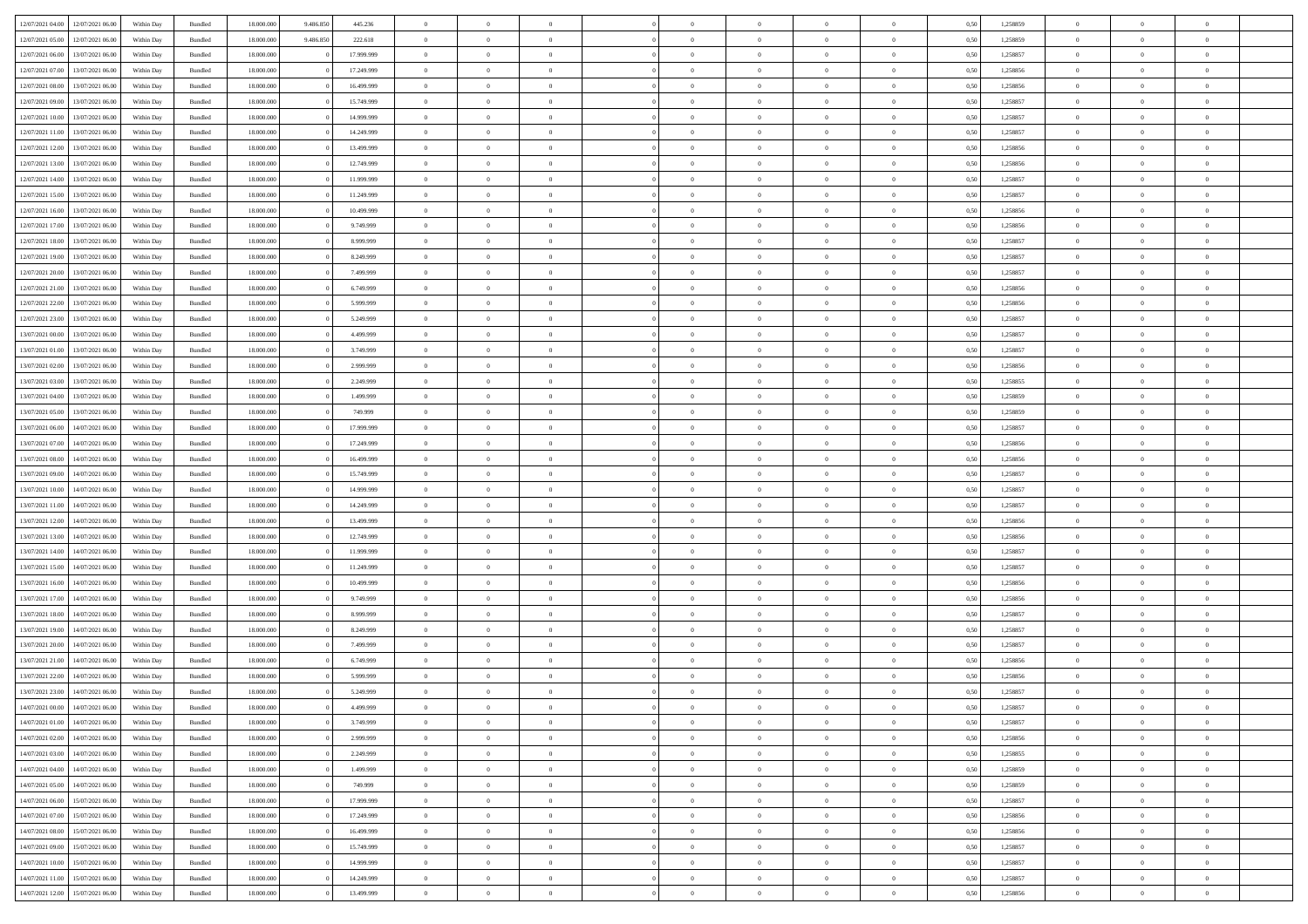| 12/07/2021 04:00                  | 12/07/2021 06:00 | Within Day | Bundled            | 18.000.000 | 9.486.850 | 445.236    | $\overline{0}$ | $\theta$       |                | $\overline{0}$ | $\bf{0}$       | $\overline{0}$ | $\theta$       | 0,50 | 1,258859 | $\theta$       | $\theta$       | $\theta$                 |  |
|-----------------------------------|------------------|------------|--------------------|------------|-----------|------------|----------------|----------------|----------------|----------------|----------------|----------------|----------------|------|----------|----------------|----------------|--------------------------|--|
| 12/07/2021 05:00                  | 12/07/2021 06:00 | Within Day | Bundled            | 18.000.000 | 9.486.850 | 222.618    | $\overline{0}$ | $\overline{0}$ | $\overline{0}$ | $\overline{0}$ | $\,$ 0         | $\bf{0}$       | $\bf{0}$       | 0,50 | 1,258859 | $\,$ 0 $\,$    | $\overline{0}$ | $\overline{0}$           |  |
|                                   |                  |            |                    |            |           |            |                |                |                |                |                |                |                |      |          |                |                |                          |  |
| 12/07/2021 06:00                  | 13/07/2021 06:00 | Within Day | Bundled            | 18,000,000 |           | 17.999.999 | $\overline{0}$ | $\overline{0}$ | $\overline{0}$ | $\overline{0}$ | $\bf{0}$       | $\overline{0}$ | $\overline{0}$ | 0,50 | 1,258857 | $\bf{0}$       | $\overline{0}$ | $\overline{0}$           |  |
| 12/07/2021 07:00                  | 13/07/2021 06:00 | Within Day | Bundled            | 18.000.000 |           | 17.249.999 | $\overline{0}$ | $\overline{0}$ | $\overline{0}$ | $\overline{0}$ | $\,$ 0         | $\overline{0}$ | $\overline{0}$ | 0,50 | 1,258856 | $\,$ 0 $\,$    | $\overline{0}$ | $\overline{0}$           |  |
| 12/07/2021 08:00                  | 13/07/2021 06.00 | Within Day | Bundled            | 18.000.000 |           | 16.499.999 | $\overline{0}$ | $\theta$       | $\overline{0}$ | $\overline{0}$ | $\overline{0}$ | $\overline{0}$ | $\bf{0}$       | 0,50 | 1,258856 | $\theta$       | $\overline{0}$ | $\overline{0}$           |  |
| 12/07/2021 09:00                  | 13/07/2021 06:00 | Within Day | Bundled            | 18,000,000 |           | 15,749.999 | $\overline{0}$ | $\overline{0}$ | $\overline{0}$ | $\overline{0}$ | $\bf{0}$       | $\Omega$       | $\overline{0}$ | 0.50 | 1.258857 | $\,0\,$        | $\theta$       | $\overline{0}$           |  |
| 12/07/2021 10:00                  | 13/07/2021 06:00 | Within Day | Bundled            | 18.000.000 |           | 14.999.999 | $\overline{0}$ | $\theta$       | $\overline{0}$ | $\overline{0}$ | $\,$ 0         | $\overline{0}$ | $\overline{0}$ | 0,50 | 1,258857 | $\,$ 0 $\,$    | $\theta$       | $\overline{0}$           |  |
| 12/07/2021 11:00                  | 13/07/2021 06.00 | Within Day | Bundled            | 18.000.000 |           | 14.249.999 | $\overline{0}$ | $\theta$       | $\overline{0}$ | $\overline{0}$ | $\bf{0}$       | $\overline{0}$ | $\bf{0}$       | 0,50 | 1,258857 | $\,$ 0 $\,$    | $\overline{0}$ | $\overline{0}$           |  |
| 12/07/2021 12:00                  | 13/07/2021 06:00 | Within Day | Bundled            | 18,000,000 |           | 13,499.999 | $\overline{0}$ | $\overline{0}$ | $\overline{0}$ | $\overline{0}$ | $\bf{0}$       | $\overline{0}$ | $\overline{0}$ | 0.50 | 1.258856 | $\theta$       | $\theta$       | $\overline{0}$           |  |
| 12/07/2021 13:00                  | 13/07/2021 06:00 | Within Day | Bundled            | 18.000.000 |           | 12.749.999 | $\overline{0}$ | $\overline{0}$ | $\overline{0}$ | $\overline{0}$ | $\,$ 0         | $\overline{0}$ | $\bf{0}$       | 0,50 | 1,258856 | $\,$ 0 $\,$    | $\overline{0}$ | $\overline{0}$           |  |
| 12/07/2021 14:00                  | 13/07/2021 06.00 | Within Day | Bundled            | 18.000.000 |           | 11.999.999 | $\overline{0}$ | $\theta$       | $\overline{0}$ | $\overline{0}$ | $\,$ 0         | $\overline{0}$ | $\bf{0}$       | 0,50 | 1,258857 | $\,$ 0 $\,$    | $\overline{0}$ | $\overline{0}$           |  |
|                                   | 13/07/2021 06:00 |            |                    | 18,000,000 |           |            |                | $\overline{0}$ |                |                |                | $\overline{0}$ |                |      |          |                | $\overline{0}$ |                          |  |
| 12/07/2021 15:00                  |                  | Within Day | Bundled            |            |           | 11.249.999 | $\overline{0}$ |                | $\overline{0}$ | $\overline{0}$ | $\bf{0}$       |                | $\mathbf{0}$   | 0.50 | 1,258857 | $\bf{0}$       |                | $\overline{\phantom{a}}$ |  |
| 12/07/2021 16:00                  | 13/07/2021 06:00 | Within Day | Bundled            | 18.000.000 |           | 10.499.999 | $\overline{0}$ | $\theta$       | $\overline{0}$ | $\overline{0}$ | $\,$ 0         | $\overline{0}$ | $\overline{0}$ | 0,50 | 1,258856 | $\,$ 0 $\,$    | $\overline{0}$ | $\overline{0}$           |  |
| 12/07/2021 17:00                  | 13/07/2021 06.00 | Within Day | Bundled            | 18.000.000 |           | 9.749.999  | $\overline{0}$ | $\theta$       | $\overline{0}$ | $\overline{0}$ | $\overline{0}$ | $\overline{0}$ | $\bf{0}$       | 0,50 | 1,258856 | $\,$ 0 $\,$    | $\overline{0}$ | $\overline{0}$           |  |
| 12/07/2021 18:00                  | 13/07/2021 06:00 | Within Day | Bundled            | 18,000,000 |           | 8.999.999  | $\overline{0}$ | $\overline{0}$ | $\overline{0}$ | $\overline{0}$ | $\bf{0}$       | $\Omega$       | $\overline{0}$ | 0.50 | 1.258857 | $\theta$       | $\theta$       | $\overline{0}$           |  |
| 12/07/2021 19:00                  | 13/07/2021 06:00 | Within Day | Bundled            | 18.000.000 |           | 8.249.999  | $\overline{0}$ | $\overline{0}$ | $\overline{0}$ | $\overline{0}$ | $\,$ 0         | $\overline{0}$ | $\overline{0}$ | 0,50 | 1,258857 | $\,$ 0 $\,$    | $\theta$       | $\overline{0}$           |  |
| 12/07/2021 20:00                  | 13/07/2021 06.00 | Within Day | Bundled            | 18.000.000 |           | 7.499.999  | $\overline{0}$ | $\theta$       | $\overline{0}$ | $\overline{0}$ | $\bf{0}$       | $\overline{0}$ | $\bf{0}$       | 0,50 | 1,258857 | $\,$ 0 $\,$    | $\overline{0}$ | $\overline{0}$           |  |
| 12/07/2021 21:00                  | 13/07/2021 06:00 | Within Day | Bundled            | 18,000,000 |           | 6.749.999  | $\overline{0}$ | $\overline{0}$ | $\overline{0}$ | $\overline{0}$ | $\bf{0}$       | $\overline{0}$ | $\bf{0}$       | 0.50 | 1.258856 | $\,0\,$        | $\overline{0}$ | $\overline{0}$           |  |
| 12/07/2021 22:00                  | 13/07/2021 06:00 | Within Day | Bundled            | 18.000.000 |           | 5.999.999  | $\overline{0}$ | $\overline{0}$ | $\overline{0}$ | $\overline{0}$ | $\,$ 0         | $\overline{0}$ | $\bf{0}$       | 0,50 | 1,258856 | $\,$ 0 $\,$    | $\overline{0}$ | $\overline{0}$           |  |
| 12/07/2021 23:00                  | 13/07/2021 06.00 | Within Day | Bundled            | 18.000.000 |           | 5.249.999  | $\overline{0}$ | $\theta$       | $\overline{0}$ | $\overline{0}$ | $\,$ 0         | $\overline{0}$ | $\bf{0}$       | 0,50 | 1,258857 | $\,$ 0 $\,$    | $\overline{0}$ | $\overline{0}$           |  |
| 13/07/2021 00:00                  | 13/07/2021 06:00 | Within Day | Bundled            | 18,000,000 |           | 4.499.999  | $\overline{0}$ | $\overline{0}$ | $\overline{0}$ | $\overline{0}$ | $\bf{0}$       | $\overline{0}$ | $\mathbf{0}$   | 0.50 | 1,258857 | $\bf{0}$       | $\overline{0}$ | $\overline{0}$           |  |
| 13/07/2021 01:00                  | 13/07/2021 06:00 | Within Day | Bundled            | 18.000.000 |           | 3.749.999  | $\overline{0}$ | $\overline{0}$ | $\overline{0}$ | $\overline{0}$ | $\bf{0}$       | $\overline{0}$ | $\overline{0}$ | 0,50 | 1,258857 | $\,$ 0 $\,$    | $\overline{0}$ | $\overline{0}$           |  |
|                                   | 13/07/2021 06.00 | Within Day | Bundled            | 18.000.000 |           | 2.999.999  | $\overline{0}$ | $\theta$       | $\overline{0}$ | $\overline{0}$ | $\bf{0}$       | $\overline{0}$ | $\bf{0}$       | 0,50 | 1,258856 | $\,$ 0 $\,$    | $\overline{0}$ | $\overline{0}$           |  |
| 13/07/2021 02:00                  |                  |            |                    |            |           |            |                |                |                |                |                |                |                |      |          |                |                |                          |  |
| 13/07/2021 03:00                  | 13/07/2021 06:00 | Within Day | Bundled            | 18,000,000 |           | 2.249.999  | $\overline{0}$ | $\overline{0}$ | $\overline{0}$ | $\overline{0}$ | $\bf{0}$       | $\Omega$       | $\overline{0}$ | 0.50 | 1.258855 | $\,0\,$        | $\theta$       | $\overline{0}$           |  |
| 13/07/2021 04:00                  | 13/07/2021 06:00 | Within Day | Bundled            | 18.000.000 |           | 1.499.999  | $\overline{0}$ | $\theta$       | $\overline{0}$ | $\overline{0}$ | $\,$ 0         | $\overline{0}$ | $\overline{0}$ | 0,50 | 1,258859 | $\,$ 0 $\,$    | $\theta$       | $\overline{0}$           |  |
| 13/07/2021 05:00                  | 13/07/2021 06.00 | Within Day | Bundled            | 18.000.000 |           | 749.999    | $\overline{0}$ | $\theta$       | $\overline{0}$ |                | $\bf{0}$       | $\overline{0}$ | $\bf{0}$       | 0,50 | 1,258859 | $\,$ 0 $\,$    | $\overline{0}$ | $\overline{0}$           |  |
| 13/07/2021 06:00                  | 14/07/2021 06:00 | Within Day | Bundled            | 18,000,000 |           | 17.999.999 | $\overline{0}$ | $\overline{0}$ | $\overline{0}$ | $\overline{0}$ | $\bf{0}$       | $\overline{0}$ | $\bf{0}$       | 0.50 | 1.258857 | $\theta$       | $\overline{0}$ | $\overline{0}$           |  |
| 13/07/2021 07:00                  | 14/07/2021 06:00 | Within Day | Bundled            | 18.000.000 |           | 17.249.999 | $\overline{0}$ | $\overline{0}$ | $\overline{0}$ | $\overline{0}$ | $\,$ 0         | $\overline{0}$ | $\bf{0}$       | 0,50 | 1,258856 | $\,$ 0 $\,$    | $\overline{0}$ | $\overline{0}$           |  |
| 13/07/2021 08:00                  | 14/07/2021 06.00 | Within Day | Bundled            | 18.000.000 |           | 16.499.999 | $\overline{0}$ | $\theta$       | $\overline{0}$ | $\overline{0}$ | $\,$ 0         | $\overline{0}$ | $\bf{0}$       | 0,50 | 1,258856 | $\,$ 0 $\,$    | $\overline{0}$ | $\overline{0}$           |  |
| 13/07/2021 09:00                  | 14/07/2021 06:00 | Within Day | Bundled            | 18,000,000 |           | 15.749.999 | $\overline{0}$ | $\overline{0}$ | $\overline{0}$ | $\overline{0}$ | $\bf{0}$       | $\overline{0}$ | $\mathbf{0}$   | 0.50 | 1,258857 | $\bf{0}$       | $\overline{0}$ | $\overline{\phantom{a}}$ |  |
| 13/07/2021 10:00                  | 14/07/2021 06:00 | Within Dav | Bundled            | 18.000.000 |           | 14.999.999 | $\overline{0}$ | $\overline{0}$ | $\overline{0}$ | $\overline{0}$ | $\bf{0}$       | $\overline{0}$ | $\overline{0}$ | 0.50 | 1,258857 | $\theta$       | $\overline{0}$ | $\overline{0}$           |  |
| 13/07/2021 11:00                  | 14/07/2021 06.00 | Within Day | Bundled            | 18.000.000 |           | 14.249.999 | $\overline{0}$ | $\theta$       | $\overline{0}$ | $\overline{0}$ | $\bf{0}$       | $\overline{0}$ | $\bf{0}$       | 0,50 | 1,258857 | $\,$ 0 $\,$    | $\overline{0}$ | $\overline{0}$           |  |
| 13/07/2021 12:00                  | 14/07/2021 06:00 | Within Day | Bundled            | 18,000,000 |           | 13,499.999 | $\overline{0}$ | $\overline{0}$ | $\overline{0}$ | $\overline{0}$ | $\bf{0}$       | $\Omega$       | $\overline{0}$ | 0.50 | 1.258856 | $\theta$       | $\theta$       | $\overline{0}$           |  |
| 13/07/2021 13:00                  | 14/07/2021 06:00 | Within Dav | Bundled            | 18.000.000 |           | 12.749.999 | $\overline{0}$ | $\theta$       | $\Omega$       | $\overline{0}$ | $\bf{0}$       | $\overline{0}$ | $\overline{0}$ | 0.50 | 1,258856 | $\theta$       | $\overline{0}$ | $\overline{0}$           |  |
|                                   |                  |            |                    |            |           |            | $\overline{0}$ | $\theta$       | $\overline{0}$ |                |                | $\overline{0}$ |                |      |          |                |                | $\overline{0}$           |  |
| 13/07/2021 14:00                  | 14/07/2021 06.00 | Within Day | Bundled            | 18.000.000 |           | 11.999.999 |                |                |                | $\overline{0}$ | $\,$ 0         |                | $\bf{0}$       | 0,50 | 1,258857 | $\,$ 0 $\,$    | $\overline{0}$ |                          |  |
| 13/07/2021 15:00                  | 14/07/2021 06:00 | Within Day | Bundled            | 18,000,000 |           | 11.249.999 | $\overline{0}$ | $\overline{0}$ | $\overline{0}$ | $\overline{0}$ | $\bf{0}$       | $\overline{0}$ | $\bf{0}$       | 0.50 | 1.258857 | $\,0\,$        | $\overline{0}$ | $\overline{0}$           |  |
| 13/07/2021 16:00                  | 14/07/2021 06:00 | Within Dav | Bundled            | 18.000.000 |           | 10.499.999 | $\overline{0}$ | $\overline{0}$ | $\overline{0}$ | $\overline{0}$ | $\overline{0}$ | $\overline{0}$ | $\overline{0}$ | 0.50 | 1,258856 | $\theta$       | $\overline{0}$ | $\overline{0}$           |  |
| 13/07/2021 17:00                  | 14/07/2021 06.00 | Within Day | Bundled            | 18.000.000 |           | 9.749.999  | $\overline{0}$ | $\overline{0}$ | $\overline{0}$ | $\overline{0}$ | $\bf{0}$       | $\bf{0}$       | $\bf{0}$       | 0,50 | 1,258856 | $\,$ 0 $\,$    | $\overline{0}$ | $\overline{0}$           |  |
| 13/07/2021 18:00                  | 14/07/2021 06:00 | Within Day | Bundled            | 18,000,000 |           | 8.999.999  | $\overline{0}$ | $\overline{0}$ | $\overline{0}$ | $\overline{0}$ | $\bf{0}$       | $\overline{0}$ | $\overline{0}$ | 0.50 | 1,258857 | $\bf{0}$       | $\overline{0}$ | $\overline{0}$           |  |
| 13/07/2021 19:00                  | 14/07/2021 06:00 | Within Dav | Bundled            | 18.000.000 |           | 8.249.999  | $\overline{0}$ | $\overline{0}$ | $\Omega$       | $\overline{0}$ | $\bf{0}$       | $\overline{0}$ | $\overline{0}$ | 0.50 | 1,258857 | $\theta$       | $\overline{0}$ | $\overline{0}$           |  |
| 13/07/2021 20:00                  | 14/07/2021 06.00 | Within Day | Bundled            | 18.000.000 |           | 7.499.999  | $\overline{0}$ | $\theta$       | $\overline{0}$ | $\overline{0}$ | $\bf{0}$       | $\overline{0}$ | $\bf{0}$       | 0,50 | 1,258857 | $\,$ 0 $\,$    | $\overline{0}$ | $\overline{0}$           |  |
| 13/07/2021 21:00                  | 14/07/2021 06:00 | Within Day | Bundled            | 18,000,000 |           | 6.749.999  | $\overline{0}$ | $\theta$       | $\overline{0}$ | $\overline{0}$ | $\overline{0}$ | $\Omega$       | $\overline{0}$ | 0.50 | 1,258856 | $\,0\,$        | $\theta$       | $\overline{0}$           |  |
| 13/07/2021 22:00                  | 14/07/2021 06:00 | Within Dav | Bundled            | 18.000.000 |           | 5.999.999  | $\overline{0}$ | $\Omega$       | $\Omega$       | $\Omega$       | $\bf{0}$       | $\overline{0}$ | $\bf{0}$       | 0.50 | 1,258856 | $\theta$       | $\theta$       | $\overline{0}$           |  |
| 13/07/2021 23:00                  | 14/07/2021 06:00 | Within Day | Bundled            | 18.000.000 |           | 5.249.999  | $\overline{0}$ | $\overline{0}$ | $\overline{0}$ | $\bf{0}$       | $\,$ 0         | $\bf{0}$       | $\bf{0}$       | 0,50 | 1,258857 | $\,$ 0 $\,$    | $\overline{0}$ | $\overline{0}$           |  |
| 14/07/2021 00:00                  | 14/07/2021 06:00 | Within Day | $\mathbf B$ undled | 18.000.000 |           | 4.499.999  | $\bf{0}$       | $\bf{0}$       |                | $^{\circ}$     | $\Omega$       |                | $\Omega$       | 0,50 | 1,258857 | $\bf{0}$       | $\theta$       |                          |  |
| 14/07/2021 01:00                  | 14/07/2021 06:00 | Within Day | Bundled            | 18.000.000 |           | 3.749.999  | $\overline{0}$ | $\overline{0}$ | $\overline{0}$ | $\overline{0}$ | $\overline{0}$ | $\overline{0}$ | $\mathbf{0}$   | 0,50 | 1,258857 | $\theta$       | $\overline{0}$ | $\overline{0}$           |  |
|                                   |                  |            |                    |            |           |            |                |                |                |                |                |                |                |      |          |                |                |                          |  |
| 14/07/2021 02:00                  | 14/07/2021 06:00 | Within Day | Bundled            | 18.000.000 |           | 2.999.999  | $\overline{0}$ | $\overline{0}$ | $\overline{0}$ | $\bf{0}$       | $\overline{0}$ | $\overline{0}$ | $\bf{0}$       | 0,50 | 1,258856 | $\bf{0}$       | $\overline{0}$ | $\bf{0}$                 |  |
| 14/07/2021 03:00                  | 14/07/2021 06:00 | Within Day | Bundled            | 18,000,000 |           | 2.249.999  | $\overline{0}$ | $\overline{0}$ | $\overline{0}$ | $\overline{0}$ | $\overline{0}$ | $\overline{0}$ | $\mathbf{0}$   | 0.50 | 1,258855 | $\overline{0}$ | $\bf{0}$       | $\bf{0}$                 |  |
| 14/07/2021 04:00                  | 14/07/2021 06:00 | Within Day | Bundled            | 18.000.000 |           | 1.499.999  | $\overline{0}$ | $\overline{0}$ | $\overline{0}$ | $\overline{0}$ | $\overline{0}$ | $\overline{0}$ | $\mathbf{0}$   | 0,50 | 1,258859 | $\overline{0}$ | $\theta$       | $\overline{0}$           |  |
| 14/07/2021 05:00                  | 14/07/2021 06:00 | Within Day | Bundled            | 18.000.000 |           | 749.999    | $\overline{0}$ | $\overline{0}$ | $\overline{0}$ | $\overline{0}$ | $\bf{0}$       | $\bf{0}$       | $\bf{0}$       | 0,50 | 1,258859 | $\bf{0}$       | $\overline{0}$ | $\overline{0}$           |  |
| 14/07/2021 06:00                  | 15/07/2021 06:00 | Within Day | Bundled            | 18.000.000 |           | 17.999.999 | $\overline{0}$ | $\overline{0}$ | $\overline{0}$ | $\overline{0}$ | $\bf{0}$       | $\overline{0}$ | $\mathbf{0}$   | 0.50 | 1.258857 | $\,$ 0 $\,$    | $\overline{0}$ | $\overline{0}$           |  |
| 14/07/2021 07:00                  | 15/07/2021 06:00 | Within Day | Bundled            | 18.000.000 |           | 17.249.999 | $\overline{0}$ | $\overline{0}$ | $\overline{0}$ | $\overline{0}$ | $\overline{0}$ | $\overline{0}$ | $\overline{0}$ | 0,50 | 1,258856 | $\overline{0}$ | $\theta$       | $\overline{0}$           |  |
| 14/07/2021 08:00                  | 15/07/2021 06:00 | Within Day | Bundled            | 18.000.000 |           | 16.499.999 | $\overline{0}$ | $\,$ 0         | $\overline{0}$ | $\bf{0}$       | $\overline{0}$ | $\overline{0}$ | $\bf{0}$       | 0,50 | 1,258856 | $\,$ 0 $\,$    | $\overline{0}$ | $\overline{0}$           |  |
| 14/07/2021 09:00                  | 15/07/2021 06:00 | Within Day | Bundled            | 18,000,000 |           | 15.749.999 | $\overline{0}$ | $\overline{0}$ | $\overline{0}$ | $\overline{0}$ | $\bf{0}$       | $\overline{0}$ | $\mathbf{0}$   | 0.50 | 1.258857 | $\mathbf{0}$   | $\bf{0}$       | $\bf{0}$                 |  |
| 14/07/2021 10:00                  | 15/07/2021 06:00 | Within Dav | Bundled            | 18.000.000 |           | 14.999.999 | $\overline{0}$ | $\overline{0}$ | $\overline{0}$ | $\overline{0}$ | $\overline{0}$ | $\overline{0}$ | $\overline{0}$ | 0,50 | 1,258857 | $\overline{0}$ | $\theta$       | $\overline{0}$           |  |
| 14/07/2021 11:00                  | 15/07/2021 06:00 | Within Day | Bundled            | 18.000.000 |           | 14.249.999 | $\overline{0}$ | $\overline{0}$ | $\overline{0}$ | $\bf{0}$       | $\bf{0}$       | $\bf{0}$       | $\bf{0}$       | 0,50 | 1,258857 | $\bf{0}$       | $\overline{0}$ | $\bf{0}$                 |  |
|                                   |                  |            |                    |            |           |            |                |                |                |                |                |                |                |      |          |                |                |                          |  |
| 14/07/2021 12:00 15/07/2021 06:00 |                  | Within Day | Bundled            | 18.000.000 |           | 13.499.999 | $\overline{0}$ | $\,$ 0 $\,$    | $\overline{0}$ | $\overline{0}$ | $\,$ 0 $\,$    | $\overline{0}$ | $\,$ 0 $\,$    | 0,50 | 1,258856 | $\overline{0}$ | $\,$ 0 $\,$    | $\,$ 0 $\,$              |  |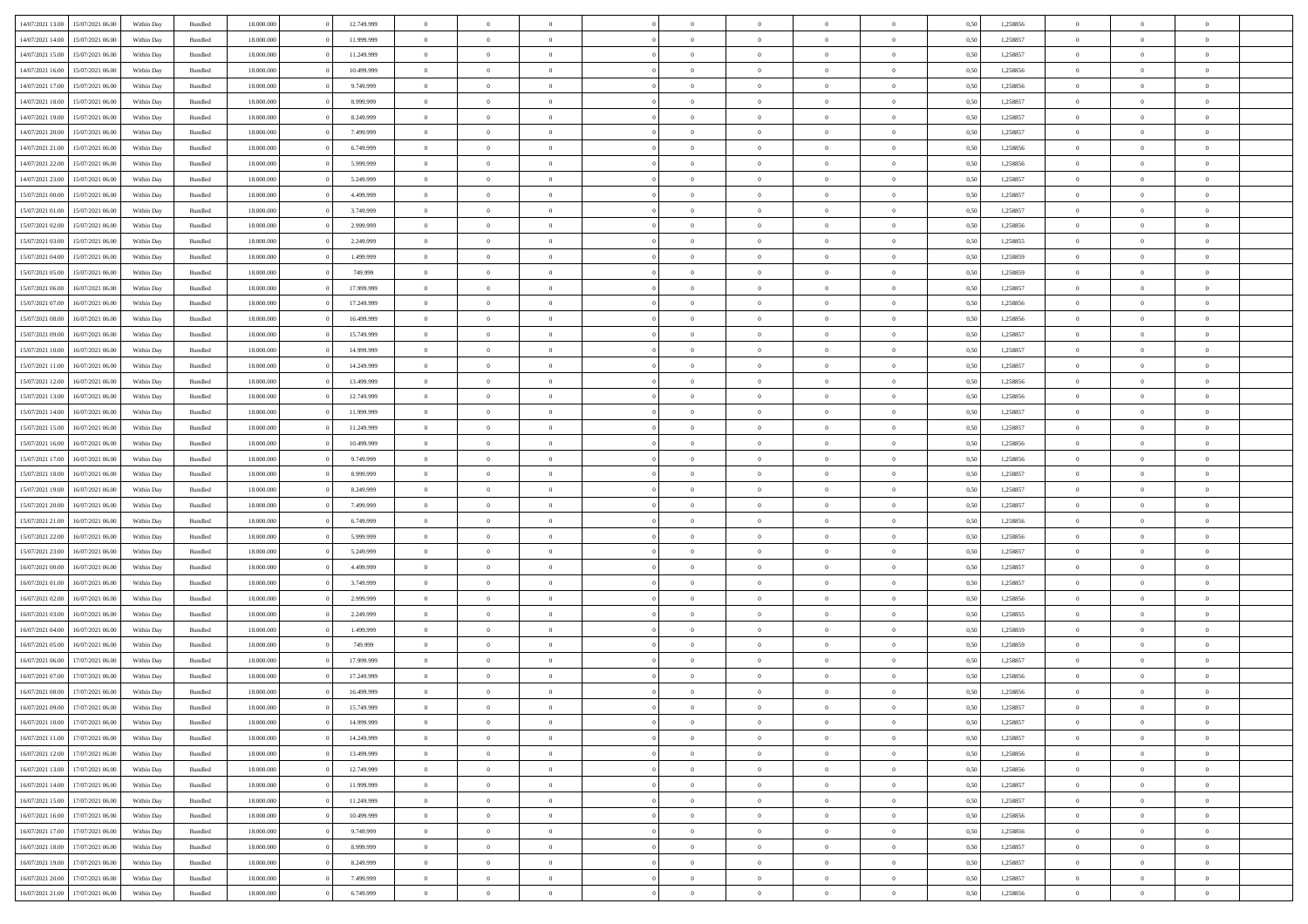| 14/07/2021 13:00 |                  |            |                    |            |            | $\overline{0}$ |                |                |                | $\Omega$       | $\Omega$       | $\theta$       |      |          | $\theta$       |                | $\theta$       |  |
|------------------|------------------|------------|--------------------|------------|------------|----------------|----------------|----------------|----------------|----------------|----------------|----------------|------|----------|----------------|----------------|----------------|--|
|                  | 15/07/2021 06:00 | Within Day | Bundled            | 18.000.000 | 12.749.999 |                | $\theta$       |                | $\Omega$       |                |                |                | 0.50 | 1,258856 |                | $\theta$       |                |  |
| 14/07/2021 14:00 | 15/07/2021 06:00 | Within Day | Bundled            | 18.000.000 | 11.999.999 | $\overline{0}$ | $\theta$       | $\overline{0}$ | $\overline{0}$ | $\bf{0}$       | $\overline{0}$ | $\overline{0}$ | 0,50 | 1,258857 | $\theta$       | $\theta$       | $\overline{0}$ |  |
| 14/07/2021 15:00 | 15/07/2021 06:00 | Within Day | Bundled            | 18.000.000 | 11.249.999 | $\overline{0}$ | $\overline{0}$ | $\overline{0}$ | $\bf{0}$       | $\bf{0}$       | $\overline{0}$ | $\bf{0}$       | 0,50 | 1,258857 | $\overline{0}$ | $\overline{0}$ | $\overline{0}$ |  |
| 14/07/2021 16:00 | 15/07/2021 06:00 | Within Dav | Bundled            | 18.000.000 | 10.499.999 | $\overline{0}$ | $\theta$       | $\overline{0}$ | $\overline{0}$ | $\bf{0}$       | $\overline{0}$ | $\overline{0}$ | 0.50 | 1.258856 | $\theta$       | $\theta$       | $\overline{0}$ |  |
|                  |                  |            |                    |            |            |                |                |                |                |                |                |                |      |          |                |                |                |  |
| 14/07/2021 17:00 | 15/07/2021 06:00 | Within Day | Bundled            | 18.000.000 | 9.749.999  | $\overline{0}$ | $\theta$       | $\overline{0}$ | $\overline{0}$ | $\bf{0}$       | $\overline{0}$ | $\bf{0}$       | 0,50 | 1,258856 | $\theta$       | $\theta$       | $\overline{0}$ |  |
| 14/07/2021 18:00 | 15/07/2021 06:00 | Within Day | Bundled            | 18.000.000 | 8.999.999  | $\overline{0}$ | $\bf{0}$       | $\overline{0}$ | $\overline{0}$ | $\overline{0}$ | $\overline{0}$ | $\mathbf{0}$   | 0,50 | 1,258857 | $\overline{0}$ | $\overline{0}$ | $\bf{0}$       |  |
| 14/07/2021 19:00 | 15/07/2021 06:00 | Within Dav | Bundled            | 18.000.000 | 8.249.999  | $\overline{0}$ | $\overline{0}$ | $\overline{0}$ | $\overline{0}$ | $\bf{0}$       | $\overline{0}$ | $\overline{0}$ | 0.50 | 1,258857 | $\theta$       | $\overline{0}$ | $\overline{0}$ |  |
| 14/07/2021 20:00 | 15/07/2021 06:00 | Within Day | Bundled            | 18.000.000 | 7.499.999  | $\overline{0}$ | $\theta$       | $\overline{0}$ | $\overline{0}$ | $\bf{0}$       | $\overline{0}$ | $\bf{0}$       | 0,50 | 1,258857 | $\theta$       | $\theta$       | $\overline{0}$ |  |
|                  |                  |            |                    |            |            |                |                |                |                |                |                |                |      |          |                |                |                |  |
| 14/07/2021 21.00 | 15/07/2021 06:00 | Within Day | Bundled            | 18.000.000 | 6.749.999  | $\overline{0}$ | $\overline{0}$ | $\overline{0}$ | $\overline{0}$ | $\bf{0}$       | $\overline{0}$ | $\bf{0}$       | 0,50 | 1,258856 | $\,0\,$        | $\overline{0}$ | $\overline{0}$ |  |
| 14/07/2021 22:00 | 15/07/2021 06:00 | Within Dav | Bundled            | 18.000.000 | 5.999.999  | $\overline{0}$ | $\overline{0}$ | $\overline{0}$ | $\overline{0}$ | $\overline{0}$ | $\overline{0}$ | $\overline{0}$ | 0.50 | 1,258856 | $\theta$       | $\overline{0}$ | $\overline{0}$ |  |
| 14/07/2021 23:00 | 15/07/2021 06:00 | Within Day | Bundled            | 18.000.000 | 5.249.999  | $\overline{0}$ | $\theta$       | $\overline{0}$ | $\overline{0}$ | $\bf{0}$       | $\overline{0}$ | $\bf{0}$       | 0,50 | 1,258857 | $\theta$       | $\theta$       | $\overline{0}$ |  |
| 15/07/2021 00:00 | 15/07/2021 06:00 | Within Day | Bundled            | 18.000.000 | 4.499.999  | $\overline{0}$ | $\overline{0}$ | $\overline{0}$ | $\overline{0}$ | $\bf{0}$       | $\overline{0}$ | $\bf{0}$       | 0,50 | 1,258857 | $\bf{0}$       | $\overline{0}$ | $\overline{0}$ |  |
| 15/07/2021 01:00 | 15/07/2021 06:00 | Within Dav | Bundled            | 18.000.000 | 3.749.999  | $\overline{0}$ | $\overline{0}$ | $\overline{0}$ | $\overline{0}$ | $\bf{0}$       | $\overline{0}$ | $\overline{0}$ | 0.50 | 1.258857 | $\theta$       | $\theta$       | $\overline{0}$ |  |
|                  |                  |            |                    |            |            | $\overline{0}$ | $\theta$       |                |                | $\bf{0}$       |                |                |      |          | $\theta$       |                |                |  |
| 15/07/2021 02:00 | 15/07/2021 06:00 | Within Day | Bundled            | 18.000.000 | 2.999.999  |                |                | $\overline{0}$ | $\overline{0}$ |                | $\overline{0}$ | $\overline{0}$ | 0,50 | 1,258856 |                | $\theta$       | $\overline{0}$ |  |
| 15/07/2021 03:00 | 15/07/2021 06:00 | Within Day | Bundled            | 18.000.000 | 2.249.999  | $\overline{0}$ | $\bf{0}$       | $\overline{0}$ | $\overline{0}$ | $\overline{0}$ | $\overline{0}$ | $\mathbf{0}$   | 0,50 | 1,258855 | $\overline{0}$ | $\overline{0}$ | $\bf{0}$       |  |
| 15/07/2021 04:00 | 15/07/2021 06:00 | Within Dav | Bundled            | 18.000.000 | 1.499.999  | $\overline{0}$ | $\overline{0}$ | $\overline{0}$ | $\overline{0}$ | $\overline{0}$ | $\overline{0}$ | $\overline{0}$ | 0.50 | 1,258859 | $\theta$       | $\overline{0}$ | $\overline{0}$ |  |
| 15/07/2021 05:00 | 15/07/2021 06:00 | Within Day | Bundled            | 18.000.000 | 749.999    | $\overline{0}$ | $\theta$       | $\overline{0}$ | $\overline{0}$ | $\bf{0}$       | $\overline{0}$ | $\bf{0}$       | 0,50 | 1,258859 | $\theta$       | $\theta$       | $\overline{0}$ |  |
| 15/07/2021 06:00 | 16/07/2021 06:00 | Within Day | Bundled            | 18.000.000 | 17.999.999 | $\overline{0}$ | $\overline{0}$ | $\overline{0}$ | $\overline{0}$ | $\bf{0}$       | $\overline{0}$ | $\bf{0}$       | 0,50 | 1,258857 | $\,0\,$        | $\overline{0}$ | $\overline{0}$ |  |
|                  |                  |            |                    |            |            |                |                |                |                |                |                |                |      |          |                |                |                |  |
| 15/07/2021 07:00 | 16/07/2021 06:00 | Within Dav | Bundled            | 18.000.000 | 17.249.999 | $\overline{0}$ | $\overline{0}$ | $\overline{0}$ | $\overline{0}$ | $\overline{0}$ | $\overline{0}$ | $\overline{0}$ | 0.50 | 1,258856 | $\theta$       | $\overline{0}$ | $\overline{0}$ |  |
| 15/07/2021 08:00 | 16/07/2021 06:00 | Within Day | Bundled            | 18.000.000 | 16.499.999 | $\overline{0}$ | $\theta$       | $\overline{0}$ | $\overline{0}$ | $\bf{0}$       | $\overline{0}$ | $\bf{0}$       | 0,50 | 1,258856 | $\theta$       | $\theta$       | $\overline{0}$ |  |
| 15/07/2021 09:00 | 16/07/2021 06:00 | Within Day | Bundled            | 18.000.000 | 15.749.999 | $\overline{0}$ | $\overline{0}$ | $\overline{0}$ | $\overline{0}$ | $\bf{0}$       | $\overline{0}$ | $\bf{0}$       | 0,50 | 1,258857 | $\,0\,$        | $\overline{0}$ | $\overline{0}$ |  |
| 15/07/2021 10:00 | 16/07/2021 06:00 | Within Day | Bundled            | 18.000.000 | 14.999.999 | $\overline{0}$ | $\overline{0}$ | $\overline{0}$ | $\overline{0}$ | $\bf{0}$       | $\overline{0}$ | $\overline{0}$ | 0.50 | 1.258857 | $\theta$       | $\theta$       | $\overline{0}$ |  |
| 15/07/2021 11:00 | 16/07/2021 06:00 | Within Day | Bundled            | 18.000.000 | 14.249.999 | $\overline{0}$ | $\theta$       | $\overline{0}$ | $\overline{0}$ | $\bf{0}$       | $\overline{0}$ | $\bf{0}$       | 0,50 | 1,258857 | $\theta$       | $\overline{0}$ | $\overline{0}$ |  |
|                  |                  |            |                    |            |            |                |                |                |                |                |                |                |      |          |                |                |                |  |
| 15/07/2021 12:00 | 16/07/2021 06:00 | Within Day | Bundled            | 18.000.000 | 13.499.999 | $\overline{0}$ | $\bf{0}$       | $\overline{0}$ | $\bf{0}$       | $\overline{0}$ | $\overline{0}$ | $\mathbf{0}$   | 0,50 | 1,258856 | $\overline{0}$ | $\overline{0}$ | $\bf{0}$       |  |
| 15/07/2021 13:00 | 16/07/2021 06:00 | Within Dav | Bundled            | 18.000.000 | 12.749.999 | $\overline{0}$ | $\overline{0}$ | $\overline{0}$ | $\overline{0}$ | $\overline{0}$ | $\overline{0}$ | $\overline{0}$ | 0.50 | 1,258856 | $\theta$       | $\theta$       | $\overline{0}$ |  |
| 15/07/2021 14:00 | 16/07/2021 06:00 | Within Day | Bundled            | 18.000.000 | 11.999.999 | $\overline{0}$ | $\theta$       | $\overline{0}$ | $\overline{0}$ | $\bf{0}$       | $\overline{0}$ | $\bf{0}$       | 0,50 | 1,258857 | $\theta$       | $\theta$       | $\overline{0}$ |  |
| 15/07/2021 15:00 | 16/07/2021 06:00 | Within Day | Bundled            | 18.000.000 | 11.249.999 | $\overline{0}$ | $\overline{0}$ | $\overline{0}$ | $\bf{0}$       | $\bf{0}$       | $\bf{0}$       | $\bf{0}$       | 0,50 | 1,258857 | $\,0\,$        | $\overline{0}$ | $\overline{0}$ |  |
|                  |                  |            |                    |            |            |                |                |                |                | $\overline{0}$ |                |                |      |          | $\theta$       |                |                |  |
| 15/07/2021 16:00 | 16/07/2021 06:00 | Within Day | Bundled            | 18.000.000 | 10.499.999 | $\overline{0}$ | $\overline{0}$ | $\overline{0}$ | $\overline{0}$ |                | $\overline{0}$ | $\overline{0}$ | 0.50 | 1,258856 |                | $\theta$       | $\overline{0}$ |  |
| 15/07/2021 17:00 | 16/07/2021 06:00 | Within Day | Bundled            | 18.000.000 | 9.749.999  | $\overline{0}$ | $\theta$       | $\overline{0}$ | $\overline{0}$ | $\bf{0}$       | $\overline{0}$ | $\bf{0}$       | 0,50 | 1,258856 | $\,$ 0 $\,$    | $\theta$       | $\overline{0}$ |  |
| 15/07/2021 18:00 | 16/07/2021 06:00 | Within Day | Bundled            | 18.000.000 | 8.999.999  | $\overline{0}$ | $\overline{0}$ | $\overline{0}$ | $\bf{0}$       | $\bf{0}$       | $\bf{0}$       | $\bf{0}$       | 0,50 | 1,258857 | $\bf{0}$       | $\overline{0}$ | $\overline{0}$ |  |
| 15/07/2021 19:00 | 16/07/2021 06:00 | Within Day | Bundled            | 18.000.000 | 8.249.999  | $\overline{0}$ | $\Omega$       | $\Omega$       | $\Omega$       | $\Omega$       | $\Omega$       | $\overline{0}$ | 0.50 | 1,258857 | $\,0\,$        | $\theta$       | $\theta$       |  |
| 15/07/2021 20:00 | 16/07/2021 06:00 | Within Day | Bundled            | 18.000.000 | 7.499.999  | $\overline{0}$ | $\theta$       | $\overline{0}$ | $\overline{0}$ | $\bf{0}$       | $\overline{0}$ | $\bf{0}$       | 0,50 | 1,258857 | $\theta$       | $\theta$       | $\overline{0}$ |  |
|                  |                  |            |                    |            |            |                |                |                |                |                |                |                |      |          |                |                |                |  |
| 15/07/2021 21.00 | 16/07/2021 06:00 | Within Day | Bundled            | 18.000.000 | 6.749.999  | $\overline{0}$ | $\overline{0}$ | $\overline{0}$ | $\bf{0}$       | $\bf{0}$       | $\overline{0}$ | $\mathbf{0}$   | 0,50 | 1,258856 | $\overline{0}$ | $\overline{0}$ | $\bf{0}$       |  |
| 15/07/2021 22.00 | 16/07/2021 06:00 | Within Day | Bundled            | 18,000,000 | 5.999.999  | $\overline{0}$ | $\Omega$       | $\Omega$       | $\Omega$       | $\Omega$       | $\Omega$       | $\overline{0}$ | 0.50 | 1,258856 | $\theta$       | $\theta$       | $\theta$       |  |
| 15/07/2021 23:00 | 16/07/2021 06:00 | Within Day | Bundled            | 18.000.000 | 5.249.999  | $\overline{0}$ | $\theta$       | $\overline{0}$ | $\overline{0}$ | $\bf{0}$       | $\overline{0}$ | $\bf{0}$       | 0,50 | 1,258857 | $\theta$       | $\theta$       | $\overline{0}$ |  |
| 16/07/2021 00:00 | 16/07/2021 06:00 | Within Day | Bundled            | 18.000.000 | 4.499.999  | $\overline{0}$ | $\overline{0}$ | $\overline{0}$ | $\bf{0}$       | $\bf{0}$       | $\bf{0}$       | $\bf{0}$       | 0,50 | 1,258857 | $\,0\,$        | $\overline{0}$ | $\overline{0}$ |  |
| 16/07/2021 01:00 | 16/07/2021 06:00 | Within Day | Bundled            | 18,000,000 | 3.749.999  | $\overline{0}$ | $\Omega$       | $\Omega$       | $\Omega$       | $\Omega$       | $\theta$       | $\overline{0}$ | 0.50 | 1,258857 | $\theta$       | $\theta$       | $\theta$       |  |
|                  |                  |            |                    |            |            |                |                |                |                |                |                |                |      |          |                |                |                |  |
| 16/07/2021 02:00 | 16/07/2021 06:00 | Within Day | Bundled            | 18.000.000 | 2.999.999  | $\overline{0}$ | $\theta$       | $\overline{0}$ | $\overline{0}$ | $\bf{0}$       | $\overline{0}$ | $\bf{0}$       | 0,50 | 1,258856 | $\,$ 0 $\,$    | $\overline{0}$ | $\overline{0}$ |  |
| 16/07/2021 03:00 | 16/07/2021 06:00 | Within Day | Bundled            | 18.000.000 | 2.249.999  | $\overline{0}$ | $\overline{0}$ | $\overline{0}$ | $\bf{0}$       | $\bf{0}$       | $\bf{0}$       | $\bf{0}$       | 0,50 | 1,258855 | $\overline{0}$ | $\overline{0}$ | $\overline{0}$ |  |
| 16/07/2021 04:00 | 16/07/2021 06:00 | Within Day | Bundled            | 18.000.000 | 1.499.999  | $\overline{0}$ | $\Omega$       | $\Omega$       | $\Omega$       | $\Omega$       | $\overline{0}$ | $\overline{0}$ | 0.50 | 1,258859 | $\,0\,$        | $\theta$       | $\theta$       |  |
| 16/07/2021 05:00 | 16/07/2021 06:00 | Within Day | Bundled            | 18.000.000 | 749.999    | $\overline{0}$ | $\theta$       | $\overline{0}$ | $\overline{0}$ | $\bf{0}$       | $\overline{0}$ | $\bf{0}$       | 0,50 | 1,258859 | $\,$ 0 $\,$    | $\theta$       | $\overline{0}$ |  |
| 16/07/2021 06:00 | 17/07/2021 06:00 | Within Day | Bundled            | 18.000.000 | 17.999.999 | $\overline{0}$ | $\overline{0}$ | $\overline{0}$ | $\bf{0}$       | $\bf{0}$       | $\bf{0}$       | $\mathbf{0}$   | 0,50 | 1,258857 | $\overline{0}$ | $\overline{0}$ | $\bf{0}$       |  |
|                  |                  |            |                    |            |            |                |                |                |                |                |                |                |      |          |                |                |                |  |
| 16/07/2021 07:00 | 17/07/2021 06:00 | Within Day | Bundled            | 18,000,000 | 17.249.999 | $\overline{0}$ | $\Omega$       | $\Omega$       | $\Omega$       | $\Omega$       | $\Omega$       | $\overline{0}$ | 0.50 | 1,258856 | $\theta$       | $\Omega$       | $\theta$       |  |
| 16/07/2021 08:00 | 17/07/2021 06:00 | Within Day | Bundled            | 18.000.000 | 16.499.999 | $\overline{0}$ | $\overline{0}$ | $\overline{0}$ | $\bf{0}$       | $\,$ 0         | $\bf{0}$       | $\bf{0}$       | 0,50 | 1,258856 | $\,0\,$        | $\,$ 0 $\,$    | $\overline{0}$ |  |
| 16/07/2021 09:00 | 17/07/2021 06:00 | Within Day | $\mathbf B$ undled | 18.000.000 | 15.749.999 | $\bf{0}$       | $\bf{0}$       |                |                | $\bf{0}$       |                |                | 0,50 | 1,258857 | $\bf{0}$       | $\overline{0}$ |                |  |
| 16/07/2021 10:00 | 17/07/2021 06:00 | Within Day | Bundled            | 18,000,000 | 14.999.999 | $\overline{0}$ | $\Omega$       | $\overline{0}$ | $\Omega$       | $\overline{0}$ | $\overline{0}$ | $\overline{0}$ | 0.50 | 1,258857 | $\theta$       | $\theta$       | $\theta$       |  |
| 16/07/2021 11:00 | 17/07/2021 06:00 | Within Day | Bundled            | 18.000.000 | 14.249.999 | $\overline{0}$ | $\,$ 0         | $\overline{0}$ | $\overline{0}$ | $\,$ 0 $\,$    | $\overline{0}$ | $\mathbf{0}$   | 0,50 | 1,258857 | $\,$ 0 $\,$    | $\overline{0}$ | $\,$ 0         |  |
|                  |                  |            |                    |            |            |                |                |                |                |                |                |                |      |          |                |                |                |  |
| 16/07/2021 12:00 | 17/07/2021 06:00 | Within Day | Bundled            | 18.000.000 | 13.499.999 | $\overline{0}$ | $\overline{0}$ | $\overline{0}$ | $\overline{0}$ | $\overline{0}$ | $\overline{0}$ | $\mathbf{0}$   | 0,50 | 1,258856 | $\overline{0}$ | $\bf{0}$       | $\bf{0}$       |  |
| 16/07/2021 13:00 | 17/07/2021 06:00 | Within Day | Bundled            | 18,000,000 | 12.749.999 | $\overline{0}$ | $\theta$       | $\overline{0}$ | $\Omega$       | $\overline{0}$ | $\overline{0}$ | $\bf{0}$       | 0,50 | 1,258856 | $\overline{0}$ | $\theta$       | $\overline{0}$ |  |
| 16/07/2021 14:00 | 17/07/2021 06:00 | Within Day | Bundled            | 18.000.000 | 11.999.999 | $\overline{0}$ | $\,$ 0         | $\overline{0}$ | $\overline{0}$ | $\overline{0}$ | $\overline{0}$ | $\bf{0}$       | 0,50 | 1,258857 | $\,$ 0 $\,$    | $\overline{0}$ | $\overline{0}$ |  |
| 16/07/2021 15:00 | 17/07/2021 06:00 | Within Day | Bundled            | 18.000.000 | 11.249.999 | $\overline{0}$ | $\overline{0}$ | $\overline{0}$ | $\overline{0}$ | $\overline{0}$ | $\overline{0}$ | $\mathbf{0}$   | 0,50 | 1,258857 | $\overline{0}$ | $\bf{0}$       | $\bf{0}$       |  |
| 16/07/2021 16:00 | 17/07/2021 06:00 | Within Day | Bundled            | 18,000,000 | 10.499.999 | $\overline{0}$ | $\overline{0}$ | $\overline{0}$ | $\Omega$       | $\overline{0}$ | $\overline{0}$ | $\bf{0}$       | 0.50 | 1,258856 | $\overline{0}$ | $\theta$       | $\overline{0}$ |  |
|                  |                  |            |                    |            |            |                |                |                |                |                |                |                |      |          |                |                |                |  |
| 16/07/2021 17:00 | 17/07/2021 06:00 | Within Day | Bundled            | 18.000.000 | 9.749.999  | $\overline{0}$ | $\,$ 0         | $\overline{0}$ | $\overline{0}$ | $\bf{0}$       | $\overline{0}$ | $\bf{0}$       | 0,50 | 1,258856 | $\,$ 0 $\,$    | $\overline{0}$ | $\overline{0}$ |  |
| 16/07/2021 18:00 | 17/07/2021 06:00 | Within Day | Bundled            | 18.000.000 | 8.999.999  | $\overline{0}$ | $\bf{0}$       | $\overline{0}$ | $\overline{0}$ | $\overline{0}$ | $\overline{0}$ | $\mathbf{0}$   | 0,50 | 1,258857 | $\overline{0}$ | $\overline{0}$ | $\bf{0}$       |  |
| 16/07/2021 19:00 | 17/07/2021 06:00 | Within Day | Bundled            | 18,000,000 | 8.249.999  | $\overline{0}$ | $\overline{0}$ | $\overline{0}$ | $\Omega$       | $\overline{0}$ | $\overline{0}$ | $\bf{0}$       | 0.50 | 1,258857 | $\overline{0}$ | $\overline{0}$ | $\overline{0}$ |  |
| 16/07/2021 20:00 | 17/07/2021 06:00 | Within Day | Bundled            | 18.000.000 | 7.499.999  | $\overline{0}$ | $\,$ 0 $\,$    | $\overline{0}$ | $\overline{0}$ | $\bf{0}$       | $\overline{0}$ | $\bf{0}$       | 0,50 | 1,258857 | $\,$ 0 $\,$    | $\overline{0}$ | $\bf{0}$       |  |
|                  |                  |            |                    |            |            |                | $\bf{0}$       | $\overline{0}$ | $\bf{0}$       | $\bf{0}$       |                |                |      |          |                | $\overline{0}$ | $\bf{0}$       |  |
| 16/07/2021 21:00 | 17/07/2021 06:00 | Within Day | Bundled            | 18.000.000 | 6.749.999  | $\overline{0}$ |                |                |                |                | $\overline{0}$ | $\bf{0}$       | 0,50 | 1,258856 | $\overline{0}$ |                |                |  |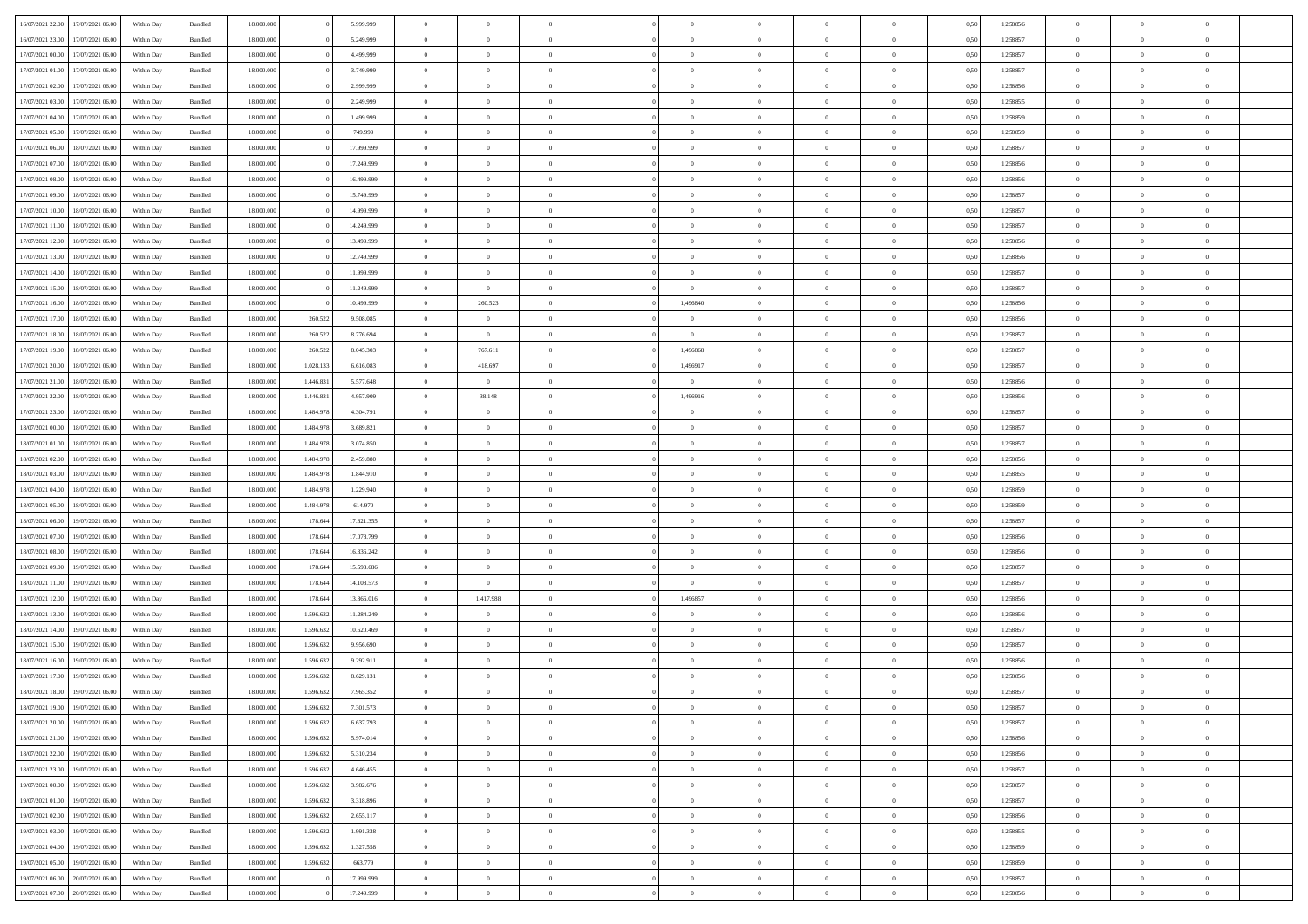|                  |                  |            |                    |            |           |            | $\Omega$       | $\Omega$       |                |                | $\Omega$       | $\Omega$       | $\theta$       |      |          | $\theta$       | $\theta$       |                |  |
|------------------|------------------|------------|--------------------|------------|-----------|------------|----------------|----------------|----------------|----------------|----------------|----------------|----------------|------|----------|----------------|----------------|----------------|--|
| 16/07/2021 22:00 | 17/07/2021 06:00 | Within Day | Bundled            | 18.000.000 |           | 5.999.999  |                |                |                | $\Omega$       |                |                |                | 0.50 | 1,258856 |                |                | $\theta$       |  |
| 16/07/2021 23:00 | 17/07/2021 06:00 | Within Day | Bundled            | 18.000.000 |           | 5.249.999  | $\overline{0}$ | $\theta$       | $\overline{0}$ | $\overline{0}$ | $\bf{0}$       | $\overline{0}$ | $\overline{0}$ | 0,50 | 1,258857 | $\theta$       | $\theta$       | $\overline{0}$ |  |
| 17/07/2021 00:00 | 17/07/2021 06:00 | Within Day | Bundled            | 18.000.000 |           | 4.499.999  | $\overline{0}$ | $\overline{0}$ | $\overline{0}$ | $\bf{0}$       | $\bf{0}$       | $\overline{0}$ | $\bf{0}$       | 0,50 | 1,258857 | $\bf{0}$       | $\overline{0}$ | $\overline{0}$ |  |
| 17/07/2021 01:00 | 17/07/2021 06:00 | Within Dav | Bundled            | 18.000.000 |           | 3.749.999  | $\overline{0}$ | $\theta$       | $\Omega$       | $\overline{0}$ | $\bf{0}$       | $\overline{0}$ | $\overline{0}$ | 0.50 | 1.258857 | $\theta$       | $\theta$       | $\overline{0}$ |  |
| 17/07/2021 02:00 | 17/07/2021 06:00 | Within Day | Bundled            | 18.000.000 |           | 2.999.999  | $\overline{0}$ | $\theta$       | $\overline{0}$ | $\overline{0}$ | $\bf{0}$       | $\overline{0}$ | $\overline{0}$ | 0,50 | 1,258856 | $\theta$       | $\theta$       | $\overline{0}$ |  |
|                  |                  |            |                    |            |           |            |                |                |                |                |                |                |                |      |          |                |                |                |  |
| 17/07/2021 03:00 | 17/07/2021 06:00 | Within Day | Bundled            | 18.000.000 |           | 2.249.999  | $\overline{0}$ | $\bf{0}$       | $\overline{0}$ | $\overline{0}$ | $\overline{0}$ | $\overline{0}$ | $\mathbf{0}$   | 0,50 | 1,258855 | $\overline{0}$ | $\overline{0}$ | $\bf{0}$       |  |
| 17/07/2021 04:00 | 17/07/2021 06:00 | Within Dav | Bundled            | 18.000.000 |           | 1.499.999  | $\overline{0}$ | $\overline{0}$ | $\overline{0}$ | $\overline{0}$ | $\bf{0}$       | $\overline{0}$ | $\overline{0}$ | 0.50 | 1,258859 | $\theta$       | $\overline{0}$ | $\overline{0}$ |  |
| 17/07/2021 05:00 | 17/07/2021 06:00 | Within Day | Bundled            | 18.000.000 |           | 749.999    | $\overline{0}$ | $\theta$       | $\overline{0}$ | $\overline{0}$ | $\bf{0}$       | $\overline{0}$ | $\overline{0}$ | 0,50 | 1,258859 | $\theta$       | $\theta$       | $\overline{0}$ |  |
| 17/07/2021 06:00 | 18/07/2021 06:00 | Within Day | Bundled            | 18.000.000 |           | 17.999.999 | $\overline{0}$ | $\overline{0}$ | $\overline{0}$ | $\bf{0}$       | $\bf{0}$       | $\bf{0}$       | $\bf{0}$       | 0,50 | 1,258857 | $\,0\,$        | $\overline{0}$ | $\overline{0}$ |  |
|                  |                  |            |                    |            |           |            |                | $\overline{0}$ |                |                | $\overline{0}$ |                |                |      |          | $\theta$       | $\overline{0}$ | $\overline{0}$ |  |
| 17/07/2021 07:00 | 18/07/2021 06:00 | Within Dav | Bundled            | 18.000.000 |           | 17.249.999 | $\overline{0}$ |                | $\overline{0}$ | $\overline{0}$ |                | $\overline{0}$ | $\overline{0}$ | 0.50 | 1,258856 |                |                |                |  |
| 17/07/2021 08:00 | 18/07/2021 06:00 | Within Day | Bundled            | 18.000.000 |           | 16.499.999 | $\overline{0}$ | $\theta$       | $\overline{0}$ | $\overline{0}$ | $\bf{0}$       | $\overline{0}$ | $\bf{0}$       | 0,50 | 1,258856 | $\theta$       | $\theta$       | $\overline{0}$ |  |
| 17/07/2021 09:00 | 18/07/2021 06:00 | Within Day | Bundled            | 18.000.000 |           | 15.749.999 | $\overline{0}$ | $\overline{0}$ | $\overline{0}$ | $\bf{0}$       | $\bf{0}$       | $\bf{0}$       | $\bf{0}$       | 0,50 | 1,258857 | $\,0\,$        | $\overline{0}$ | $\overline{0}$ |  |
| 17/07/2021 10:00 | 18/07/2021 06:00 | Within Dav | Bundled            | 18.000.000 |           | 14.999.999 | $\overline{0}$ | $\theta$       | $\overline{0}$ | $\overline{0}$ | $\bf{0}$       | $\overline{0}$ | $\overline{0}$ | 0.50 | 1.258857 | $\theta$       | $\theta$       | $\overline{0}$ |  |
| 17/07/2021 11:00 | 18/07/2021 06:00 | Within Day | Bundled            | 18.000.000 |           | 14.249.999 | $\overline{0}$ | $\theta$       | $\overline{0}$ | $\overline{0}$ | $\bf{0}$       | $\overline{0}$ | $\overline{0}$ | 0,50 | 1,258857 | $\theta$       | $\overline{0}$ | $\overline{0}$ |  |
|                  |                  |            |                    |            |           |            |                |                |                |                |                |                |                |      |          |                |                |                |  |
| 17/07/2021 12:00 | 18/07/2021 06:00 | Within Day | Bundled            | 18.000.000 |           | 13.499.999 | $\overline{0}$ | $\overline{0}$ | $\overline{0}$ | $\bf{0}$       | $\overline{0}$ | $\overline{0}$ | $\mathbf{0}$   | 0,50 | 1,258856 | $\bf{0}$       | $\overline{0}$ | $\bf{0}$       |  |
| 17/07/2021 13:00 | 18/07/2021 06:00 | Within Dav | Bundled            | 18.000.000 |           | 12.749.999 | $\overline{0}$ | $\overline{0}$ | $\overline{0}$ | $\overline{0}$ | $\bf{0}$       | $\overline{0}$ | $\overline{0}$ | 0.50 | 1.258856 | $\theta$       | $\overline{0}$ | $\overline{0}$ |  |
| 17/07/2021 14:00 | 18/07/2021 06:00 | Within Day | Bundled            | 18.000.000 |           | 11.999.999 | $\overline{0}$ | $\theta$       | $\overline{0}$ | $\overline{0}$ | $\bf{0}$       | $\overline{0}$ | $\bf{0}$       | 0,50 | 1,258857 | $\theta$       | $\theta$       | $\overline{0}$ |  |
| 17/07/2021 15:00 | 18/07/2021 06:00 | Within Day | Bundled            | 18.000.000 |           | 11.249.999 | $\overline{0}$ | $\overline{0}$ | $\overline{0}$ | $\bf{0}$       | $\bf{0}$       | $\bf{0}$       | $\bf{0}$       | 0,50 | 1,258857 | $\,0\,$        | $\overline{0}$ | $\overline{0}$ |  |
| 17/07/2021 16:00 | 18/07/2021 06:00 | Within Dav | Bundled            | 18.000.000 |           | 10.499.999 | $\overline{0}$ | 260.523        | $\overline{0}$ | 1,496840       | $\bf{0}$       | $\overline{0}$ | $\overline{0}$ | 0.50 | 1,258856 | $\theta$       | $\overline{0}$ | $\overline{0}$ |  |
| 17/07/2021 17:00 | 18/07/2021 06:00 | Within Day | Bundled            | 18.000.000 | 260.522   | 9.508.085  | $\overline{0}$ | $\theta$       | $\overline{0}$ | $\overline{0}$ | $\bf{0}$       | $\overline{0}$ | $\overline{0}$ | 0,50 | 1,258856 | $\theta$       | $\theta$       | $\overline{0}$ |  |
|                  |                  |            |                    |            |           |            |                |                |                |                |                |                |                |      |          |                |                |                |  |
| 17/07/2021 18:00 | 18/07/2021 06:00 | Within Day | Bundled            | 18.000.000 | 260.522   | 8.776.694  | $\overline{0}$ | $\bf{0}$       | $\overline{0}$ | $\bf{0}$       | $\bf{0}$       | $\bf{0}$       | $\bf{0}$       | 0,50 | 1,258857 | $\,0\,$        | $\overline{0}$ | $\overline{0}$ |  |
| 17/07/2021 19:00 | 18/07/2021 06:00 | Within Dav | Bundled            | 18.000.000 | 260,522   | 8.045.303  | $\overline{0}$ | 767.611        | $\overline{0}$ | 1,496868       | $\bf{0}$       | $\overline{0}$ | $\overline{0}$ | 0.50 | 1.258857 | $\theta$       | $\theta$       | $\overline{0}$ |  |
| 17/07/2021 20:00 | 18/07/2021 06:00 | Within Day | Bundled            | 18.000.000 | 1.028.133 | 6.616.083  | $\overline{0}$ | 418.697        | $\overline{0}$ | 1,496917       | $\bf{0}$       | $\overline{0}$ | $\bf{0}$       | 0,50 | 1,258857 | $\theta$       | $\overline{0}$ | $\overline{0}$ |  |
| 17/07/2021 21.00 | 18/07/2021 06:00 | Within Day | Bundled            | 18.000.000 | 1.446.831 | 5.577.648  | $\overline{0}$ | $\bf{0}$       | $\overline{0}$ | $\bf{0}$       | $\bf{0}$       | $\bf{0}$       | $\mathbf{0}$   | 0,50 | 1,258856 | $\overline{0}$ | $\overline{0}$ | $\bf{0}$       |  |
| 17/07/2021 22.00 | 18/07/2021 06:00 | Within Dav | Bundled            | 18.000.000 | 1.446.831 | 4.957.909  | $\overline{0}$ | 38.148         | $\overline{0}$ | 1,496916       | $\overline{0}$ | $\overline{0}$ | $\overline{0}$ | 0.50 | 1,258856 | $\theta$       | $\theta$       | $\overline{0}$ |  |
| 17/07/2021 23:00 | 18/07/2021 06:00 | Within Day | Bundled            | 18.000.000 | 1.484.978 | 4.304.791  | $\overline{0}$ | $\theta$       | $\overline{0}$ | $\overline{0}$ | $\bf{0}$       | $\overline{0}$ | $\bf{0}$       | 0,50 | 1,258857 | $\theta$       | $\theta$       | $\overline{0}$ |  |
|                  |                  |            |                    |            |           |            |                |                |                |                |                |                |                |      |          |                |                |                |  |
| 18/07/2021 00:00 | 18/07/2021 06:00 | Within Day | Bundled            | 18.000.000 | 1.484.978 | 3.689.821  | $\overline{0}$ | $\overline{0}$ | $\overline{0}$ | $\bf{0}$       | $\bf{0}$       | $\bf{0}$       | $\bf{0}$       | 0,50 | 1,258857 | $\,0\,$        | $\overline{0}$ | $\overline{0}$ |  |
| 18/07/2021 01:00 | 18/07/2021 06:00 | Within Dav | Bundled            | 18.000.000 | 1.484.978 | 3.074.850  | $\overline{0}$ | $\overline{0}$ | $\overline{0}$ | $\overline{0}$ | $\bf{0}$       | $\overline{0}$ | $\overline{0}$ | 0.50 | 1,258857 | $\theta$       | $\overline{0}$ | $\overline{0}$ |  |
| 18/07/2021 02:00 | 18/07/2021 06:00 | Within Day | Bundled            | 18.000.000 | 1.484.978 | 2.459.880  | $\overline{0}$ | $\theta$       | $\overline{0}$ | $\overline{0}$ | $\bf{0}$       | $\overline{0}$ | $\bf{0}$       | 0,50 | 1,258856 | $\theta$       | $\theta$       | $\overline{0}$ |  |
| 18/07/2021 03:00 | 18/07/2021 06:00 | Within Day | Bundled            | 18.000.000 | 1.484.978 | 1.844.910  | $\overline{0}$ | $\overline{0}$ | $\overline{0}$ | $\bf{0}$       | $\bf{0}$       | $\bf{0}$       | $\bf{0}$       | 0,50 | 1,258855 | $\bf{0}$       | $\overline{0}$ | $\overline{0}$ |  |
| 18/07/2021 04:00 | 18/07/2021 06:00 | Within Day | Bundled            | 18,000,000 | 1.484.978 | 1.229.940  | $\overline{0}$ | $\Omega$       | $\Omega$       | $\Omega$       | $\Omega$       | $\Omega$       | $\overline{0}$ | 0.50 | 1,258859 | $\,0\,$        | $\theta$       | $\theta$       |  |
|                  |                  |            |                    |            |           |            | $\overline{0}$ | $\theta$       | $\overline{0}$ |                | $\bf{0}$       | $\overline{0}$ | $\overline{0}$ |      |          | $\theta$       | $\theta$       | $\overline{0}$ |  |
| 18/07/2021 05:00 | 18/07/2021 06:00 | Within Day | Bundled            | 18.000.000 | 1.484.978 | 614.970    |                |                |                | $\overline{0}$ |                |                |                | 0,50 | 1,258859 |                |                |                |  |
| 18/07/2021 06:00 | 19/07/2021 06:00 | Within Day | Bundled            | 18.000.000 | 178.644   | 17.821.355 | $\overline{0}$ | $\bf{0}$       | $\overline{0}$ | $\bf{0}$       | $\bf{0}$       | $\overline{0}$ | $\mathbf{0}$   | 0,50 | 1,258857 | $\bf{0}$       | $\overline{0}$ | $\bf{0}$       |  |
| 18/07/2021 07:00 | 19/07/2021 06:00 | Within Day | Bundled            | 18,000,000 | 178.644   | 17.078.799 | $\overline{0}$ | $\Omega$       | $\Omega$       | $\Omega$       | $\Omega$       | $\Omega$       | $\overline{0}$ | 0.50 | 1,258856 | $\theta$       | $\theta$       | $\theta$       |  |
| 18/07/2021 08:00 | 19/07/2021 06:00 | Within Day | Bundled            | 18.000.000 | 178.644   | 16.336.242 | $\overline{0}$ | $\theta$       | $\overline{0}$ | $\overline{0}$ | $\bf{0}$       | $\overline{0}$ | $\bf{0}$       | 0,50 | 1,258856 | $\theta$       | $\theta$       | $\overline{0}$ |  |
| 18/07/2021 09:00 | 19/07/2021 06:00 | Within Day | Bundled            | 18.000.000 | 178.644   | 15.593.686 | $\overline{0}$ | $\overline{0}$ | $\overline{0}$ | $\bf{0}$       | $\bf{0}$       | $\bf{0}$       | $\bf{0}$       | 0,50 | 1,258857 | $\,0\,$        | $\overline{0}$ | $\overline{0}$ |  |
| 18/07/2021 11:00 | 19/07/2021 06:00 | Within Day | Bundled            | 18,000,000 | 178.644   | 14.108.573 | $\overline{0}$ | $\Omega$       | $\Omega$       | $\Omega$       | $\Omega$       | $\theta$       | $\overline{0}$ | 0.50 | 1,258857 | $\theta$       | $\theta$       | $\theta$       |  |
|                  |                  |            |                    |            |           |            |                |                |                |                |                |                |                |      |          |                |                |                |  |
| 18/07/2021 12:00 | 19/07/2021 06:00 | Within Day | Bundled            | 18.000.000 | 178.644   | 13.366.016 | $\overline{0}$ | 1.417.988      | $\overline{0}$ | 1,496857       | $\bf{0}$       | $\overline{0}$ | $\bf{0}$       | 0,50 | 1,258856 | $\theta$       | $\theta$       | $\overline{0}$ |  |
| 18/07/2021 13:00 | 19/07/2021 06:00 | Within Day | Bundled            | 18.000.000 | 1.596.632 | 11.284.249 | $\overline{0}$ | $\overline{0}$ | $\overline{0}$ | $\bf{0}$       | $\bf{0}$       | $\bf{0}$       | $\bf{0}$       | 0,50 | 1,258856 | $\bf{0}$       | $\overline{0}$ | $\overline{0}$ |  |
| 18/07/2021 14:00 | 19/07/2021 06:00 | Within Day | Bundled            | 18.000.000 | 1.596.632 | 10.620.469 | $\overline{0}$ | $\Omega$       | $\Omega$       | $\Omega$       | $\Omega$       | $\Omega$       | $\overline{0}$ | 0.50 | 1,258857 | $\,0\,$        | $\theta$       | $\theta$       |  |
| 18/07/2021 15:00 | 19/07/2021 06:00 | Within Day | Bundled            | 18.000.000 | 1.596.632 | 9.956.690  | $\overline{0}$ | $\theta$       | $\overline{0}$ | $\overline{0}$ | $\bf{0}$       | $\overline{0}$ | $\bf{0}$       | 0,50 | 1,258857 | $\theta$       | $\theta$       | $\overline{0}$ |  |
| 18/07/2021 16:00 | 19/07/2021 06:00 | Within Day | Bundled            | 18.000.000 | 1.596.632 | 9.292.911  | $\overline{0}$ | $\overline{0}$ | $\overline{0}$ | $\bf{0}$       | $\bf{0}$       | $\bf{0}$       | $\mathbf{0}$   | 0,50 | 1,258856 | $\bf{0}$       | $\overline{0}$ | $\bf{0}$       |  |
|                  |                  |            |                    |            |           |            |                |                |                |                |                |                |                |      |          |                |                |                |  |
| 18/07/2021 17:00 | 19/07/2021 06:00 | Within Day | Bundled            | 18,000,000 | 1.596.63  | 8.629.131  | $\overline{0}$ | $\Omega$       | $\Omega$       | $\Omega$       | $\Omega$       | $\Omega$       | $\Omega$       | 0.50 | 1,258856 | $\theta$       | $\theta$       | $\theta$       |  |
| 18/07/2021 18:00 | 19/07/2021 06:00 | Within Day | Bundled            | 18.000.000 | 1.596.632 | 7.965.352  | $\overline{0}$ | $\overline{0}$ | $\overline{0}$ | $\bf{0}$       | $\,$ 0         | $\bf{0}$       | $\bf{0}$       | 0,50 | 1,258857 | $\,0\,$        | $\overline{0}$ | $\overline{0}$ |  |
| 18/07/2021 19:00 | 19/07/2021 06:00 | Within Day | $\mathbf B$ undled | 18.000.000 | 1.596.632 | 7.301.573  | $\bf{0}$       | $\bf{0}$       |                |                |                |                |                | 0,50 | 1,258857 | $\bf{0}$       | $\overline{0}$ |                |  |
| 18/07/2021 20:00 | 19/07/2021 06:00 | Within Day | Bundled            | 18,000,000 | 1.596.632 | 6.637.793  | $\overline{0}$ | $\overline{0}$ | $\Omega$       | $\Omega$       | $\overline{0}$ | $\overline{0}$ | $\overline{0}$ | 0.50 | 1,258857 | $\theta$       | $\theta$       | $\theta$       |  |
| 18/07/2021 21:00 | 19/07/2021 06:00 | Within Day | Bundled            | 18.000.000 | 1.596.632 | 5.974.014  | $\overline{0}$ | $\,$ 0         | $\overline{0}$ | $\bf{0}$       | $\,$ 0 $\,$    | $\overline{0}$ | $\mathbf{0}$   | 0,50 | 1,258856 | $\,$ 0 $\,$    | $\,$ 0 $\,$    | $\bf{0}$       |  |
| 18/07/2021 22:00 | 19/07/2021 06:00 | Within Day | Bundled            | 18.000.000 | 1.596.632 | 5.310.234  | $\overline{0}$ | $\overline{0}$ | $\overline{0}$ | $\overline{0}$ | $\overline{0}$ | $\overline{0}$ | $\mathbf{0}$   | 0,50 | 1,258856 | $\overline{0}$ | $\bf{0}$       | $\bf{0}$       |  |
|                  |                  |            |                    |            |           |            |                |                |                |                |                |                |                |      |          |                |                |                |  |
| 18/07/2021 23:00 | 19/07/2021 06:00 | Within Day | Bundled            | 18.000.000 | 1.596.632 | 4.646.455  | $\overline{0}$ | $\overline{0}$ | $\overline{0}$ | $\Omega$       | $\overline{0}$ | $\overline{0}$ | $\overline{0}$ | 0,50 | 1,258857 | $\overline{0}$ | $\theta$       | $\overline{0}$ |  |
| 19/07/2021 00:00 | 19/07/2021 06:00 | Within Day | Bundled            | 18.000.000 | 1.596.632 | 3.982.676  | $\overline{0}$ | $\,$ 0         | $\overline{0}$ | $\overline{0}$ | $\,$ 0 $\,$    | $\overline{0}$ | $\mathbf{0}$   | 0,50 | 1,258857 | $\,$ 0 $\,$    | $\overline{0}$ | $\overline{0}$ |  |
| 19/07/2021 01:00 | 19/07/2021 06:00 | Within Day | Bundled            | 18.000.000 | 1.596.632 | 3.318.896  | $\overline{0}$ | $\overline{0}$ | $\overline{0}$ | $\overline{0}$ | $\overline{0}$ | $\overline{0}$ | $\mathbf{0}$   | 0,50 | 1,258857 | $\overline{0}$ | $\overline{0}$ | $\bf{0}$       |  |
| 19/07/2021 02:00 | 19/07/2021 06:00 | Within Day | Bundled            | 18.000.000 | 1.596.632 | 2.655.117  | $\overline{0}$ | $\overline{0}$ | $\overline{0}$ | $\Omega$       | $\overline{0}$ | $\overline{0}$ | $\bf{0}$       | 0.50 | 1,258856 | $\overline{0}$ | $\theta$       | $\overline{0}$ |  |
| 19/07/2021 03:00 | 19/07/2021 06:00 | Within Day | Bundled            | 18.000.000 | 1.596.632 | 1.991.338  | $\overline{0}$ | $\,$ 0         | $\overline{0}$ | $\bf{0}$       | $\bf{0}$       | $\bf{0}$       | $\bf{0}$       | 0,50 | 1,258855 | $\,$ 0 $\,$    | $\overline{0}$ | $\overline{0}$ |  |
| 19/07/2021 04:00 | 19/07/2021 06:00 | Within Day | Bundled            | 18.000.000 | 1.596.632 | 1.327.558  | $\overline{0}$ | $\bf{0}$       | $\overline{0}$ | $\overline{0}$ | $\overline{0}$ | $\overline{0}$ | $\mathbf{0}$   | 0,50 | 1,258859 | $\overline{0}$ | $\overline{0}$ | $\bf{0}$       |  |
|                  |                  |            |                    |            |           |            |                |                |                |                |                |                |                |      |          |                |                |                |  |
| 19/07/2021 05:00 | 19/07/2021 06:00 | Within Day | Bundled            | 18,000,000 | 1.596.632 | 663,779    | $\overline{0}$ | $\overline{0}$ | $\overline{0}$ | $\Omega$       | $\overline{0}$ | $\overline{0}$ | $\overline{0}$ | 0.50 | 1,258859 | $\overline{0}$ | $\theta$       | $\overline{0}$ |  |
| 19/07/2021 06:00 | 20/07/2021 06:00 | Within Day | Bundled            | 18.000.000 |           | 17.999.999 | $\overline{0}$ | $\bf{0}$       | $\overline{0}$ | $\overline{0}$ | $\bf{0}$       | $\bf{0}$       | $\mathbf{0}$   | 0,50 | 1,258857 | $\,$ 0 $\,$    | $\,$ 0 $\,$    | $\bf{0}$       |  |
| 19/07/2021 07:00 | 20/07/2021 06:00 | Within Day | Bundled            | 18.000.000 |           | 17.249.999 | $\overline{0}$ | $\bf{0}$       | $\overline{0}$ | $\bf{0}$       | $\bf{0}$       | $\overline{0}$ | $\bf{0}$       | 0,50 | 1,258856 | $\overline{0}$ | $\overline{0}$ | $\bf{0}$       |  |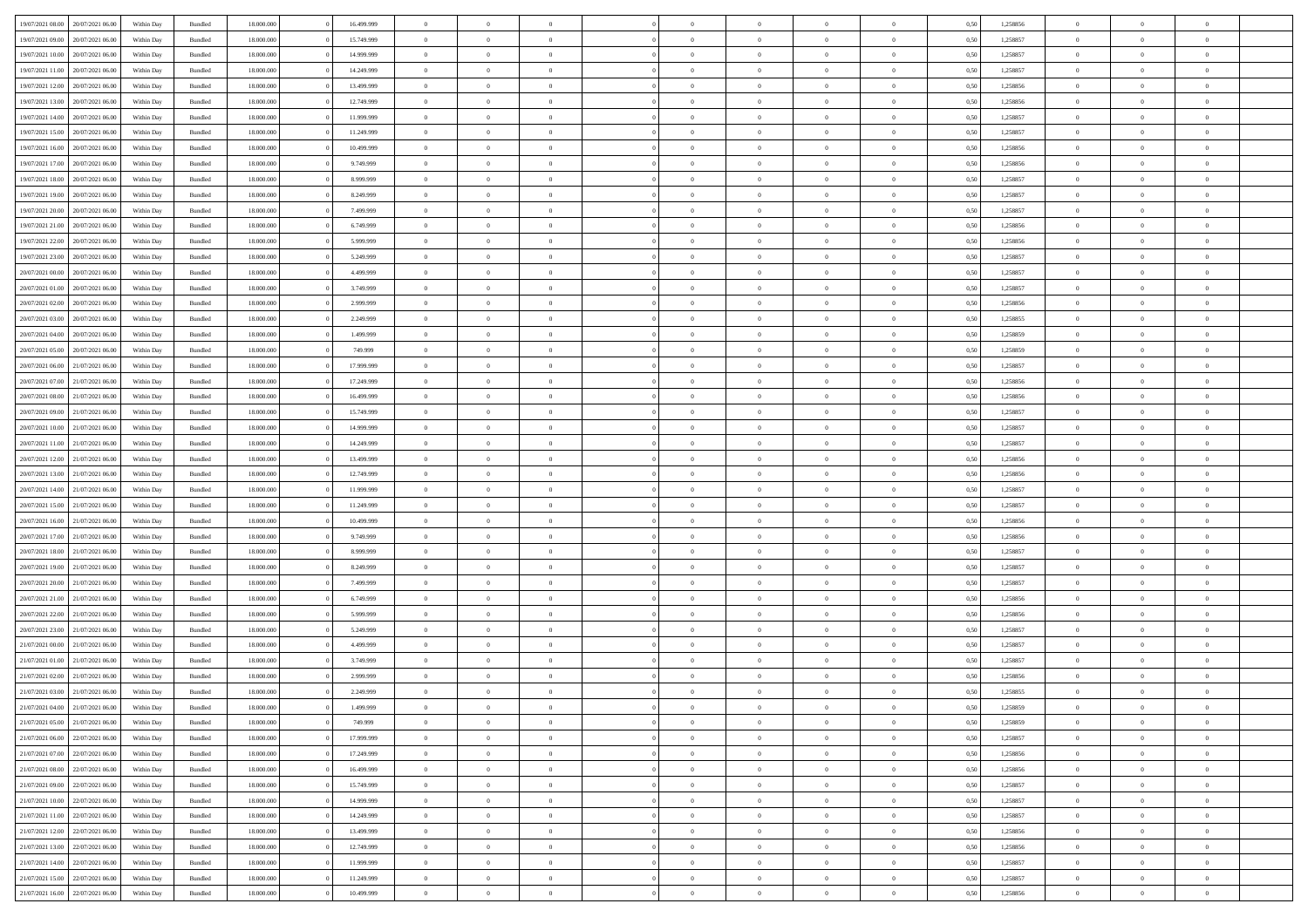| 19/07/2021 08:00                  | 20/07/2021 06:00 | Within Day | Bundled            | 18.000.000 | 16.499.999 | $\Omega$       | $\Omega$       |                | $\Omega$       | $\Omega$       | $\Omega$       | $\theta$       | 0.50 | 1,258856 | $\theta$       | $\theta$       | $\theta$       |  |
|-----------------------------------|------------------|------------|--------------------|------------|------------|----------------|----------------|----------------|----------------|----------------|----------------|----------------|------|----------|----------------|----------------|----------------|--|
|                                   |                  |            |                    |            |            |                |                |                |                |                |                |                |      |          |                |                |                |  |
| 19/07/2021 09:00                  | 20/07/2021 06:00 | Within Day | Bundled            | 18.000.000 | 15.749.999 | $\overline{0}$ | $\theta$       | $\overline{0}$ | $\overline{0}$ | $\bf{0}$       | $\overline{0}$ | $\overline{0}$ | 0,50 | 1,258857 | $\theta$       | $\theta$       | $\overline{0}$ |  |
| 19/07/2021 10:00                  | 20/07/2021 06:00 | Within Day | Bundled            | 18.000.000 | 14.999.999 | $\overline{0}$ | $\overline{0}$ | $\overline{0}$ | $\bf{0}$       | $\bf{0}$       | $\bf{0}$       | $\bf{0}$       | 0,50 | 1,258857 | $\bf{0}$       | $\overline{0}$ | $\overline{0}$ |  |
| 19/07/2021 11:00                  | 20/07/2021 06:00 | Within Dav | Bundled            | 18.000.000 | 14.249.999 | $\overline{0}$ | $\theta$       | $\overline{0}$ | $\overline{0}$ | $\bf{0}$       | $\overline{0}$ | $\overline{0}$ | 0.50 | 1.258857 | $\theta$       | $\theta$       | $\overline{0}$ |  |
| 19/07/2021 12:00                  | 20/07/2021 06:00 | Within Day | Bundled            | 18.000.000 | 13.499.999 | $\overline{0}$ | $\theta$       | $\overline{0}$ | $\overline{0}$ | $\bf{0}$       | $\overline{0}$ | $\bf{0}$       | 0,50 | 1,258856 | $\theta$       | $\theta$       | $\overline{0}$ |  |
| 19/07/2021 13:00                  | 20/07/2021 06:00 | Within Day | Bundled            | 18.000.000 | 12.749.999 | $\overline{0}$ | $\bf{0}$       | $\overline{0}$ | $\bf{0}$       | $\overline{0}$ | $\bf{0}$       | $\mathbf{0}$   | 0,50 | 1,258856 | $\bf{0}$       | $\overline{0}$ | $\bf{0}$       |  |
|                                   |                  |            |                    |            |            |                |                |                |                |                |                |                |      |          |                |                |                |  |
| 19/07/2021 14:00                  | 20/07/2021 06:00 | Within Dav | Bundled            | 18.000.000 | 11.999.999 | $\overline{0}$ | $\overline{0}$ | $\overline{0}$ | $\overline{0}$ | $\bf{0}$       | $\overline{0}$ | $\overline{0}$ | 0.50 | 1,258857 | $\theta$       | $\theta$       | $\overline{0}$ |  |
| 19/07/2021 15:00                  | 20/07/2021 06:00 | Within Day | Bundled            | 18.000.000 | 11.249.999 | $\overline{0}$ | $\theta$       | $\overline{0}$ | $\overline{0}$ | $\bf{0}$       | $\overline{0}$ | $\bf{0}$       | 0,50 | 1,258857 | $\theta$       | $\theta$       | $\overline{0}$ |  |
| 19/07/2021 16:00                  | 20/07/2021 06:00 | Within Day | Bundled            | 18.000.000 | 10.499.999 | $\overline{0}$ | $\overline{0}$ | $\overline{0}$ | $\bf{0}$       | $\bf{0}$       | $\bf{0}$       | $\bf{0}$       | 0,50 | 1,258856 | $\,0\,$        | $\overline{0}$ | $\overline{0}$ |  |
| 19/07/2021 17:00                  | 20/07/2021 06:00 | Within Dav | Bundled            | 18.000.000 | 9.749.999  | $\overline{0}$ | $\overline{0}$ | $\overline{0}$ | $\overline{0}$ | $\overline{0}$ | $\overline{0}$ | $\overline{0}$ | 0.50 | 1,258856 | $\theta$       | $\overline{0}$ | $\overline{0}$ |  |
| 19/07/2021 18:00                  | 20/07/2021 06:00 | Within Day | Bundled            | 18.000.000 | 8.999.999  | $\overline{0}$ | $\theta$       | $\overline{0}$ | $\overline{0}$ | $\bf{0}$       | $\overline{0}$ | $\bf{0}$       | 0,50 | 1,258857 | $\theta$       | $\theta$       | $\overline{0}$ |  |
| 19/07/2021 19:00                  | 20/07/2021 06:00 | Within Day | Bundled            | 18.000.000 | 8.249.999  | $\overline{0}$ | $\overline{0}$ | $\overline{0}$ | $\bf{0}$       | $\bf{0}$       | $\bf{0}$       | $\bf{0}$       | 0,50 | 1,258857 | $\bf{0}$       | $\overline{0}$ | $\overline{0}$ |  |
| 19/07/2021 20:00                  | 20/07/2021 06:00 | Within Dav | Bundled            | 18.000.000 | 7.499.999  | $\overline{0}$ | $\theta$       | $\overline{0}$ | $\overline{0}$ | $\bf{0}$       | $\overline{0}$ | $\overline{0}$ | 0.50 | 1.258857 | $\theta$       | $\theta$       | $\overline{0}$ |  |
|                                   |                  |            |                    |            |            |                |                |                |                |                |                |                |      |          |                |                |                |  |
| 19/07/2021 21:00                  | 20/07/2021 06:00 | Within Day | Bundled            | 18.000.000 | 6.749.999  | $\overline{0}$ | $\theta$       | $\overline{0}$ | $\overline{0}$ | $\bf{0}$       | $\overline{0}$ | $\overline{0}$ | 0,50 | 1,258856 | $\theta$       | $\theta$       | $\overline{0}$ |  |
| 19/07/2021 22.00                  | 20/07/2021 06:00 | Within Day | Bundled            | 18.000.000 | 5.999.999  | $\overline{0}$ | $\bf{0}$       | $\overline{0}$ | $\bf{0}$       | $\overline{0}$ | $\bf{0}$       | $\mathbf{0}$   | 0,50 | 1,258856 | $\overline{0}$ | $\overline{0}$ | $\bf{0}$       |  |
| 19/07/2021 23:00                  | 20/07/2021 06:00 | Within Dav | Bundled            | 18.000.000 | 5.249.999  | $\overline{0}$ | $\overline{0}$ | $\overline{0}$ | $\overline{0}$ | $\bf{0}$       | $\overline{0}$ | $\overline{0}$ | 0.50 | 1,258857 | $\theta$       | $\theta$       | $\overline{0}$ |  |
| 20/07/2021 00:00                  | 20/07/2021 06:00 | Within Day | Bundled            | 18.000.000 | 4.499.999  | $\overline{0}$ | $\theta$       | $\overline{0}$ | $\overline{0}$ | $\bf{0}$       | $\overline{0}$ | $\bf{0}$       | 0,50 | 1,258857 | $\theta$       | $\theta$       | $\overline{0}$ |  |
| 20/07/2021 01:00                  | 20/07/2021 06:00 | Within Day | Bundled            | 18.000.000 | 3.749.999  | $\overline{0}$ | $\overline{0}$ | $\overline{0}$ | $\bf{0}$       | $\bf{0}$       | $\bf{0}$       | $\bf{0}$       | 0,50 | 1,258857 | $\,0\,$        | $\overline{0}$ | $\overline{0}$ |  |
| 20/07/2021 02:00                  | 20/07/2021 06:00 | Within Dav | Bundled            | 18.000.000 | 2.999.999  | $\overline{0}$ | $\overline{0}$ | $\overline{0}$ | $\overline{0}$ | $\overline{0}$ | $\overline{0}$ | $\overline{0}$ | 0.50 | 1,258856 | $\theta$       | $\overline{0}$ | $\overline{0}$ |  |
| 20/07/2021 03:00                  | 20/07/2021 06:00 | Within Day | Bundled            | 18.000.000 | 2.249.999  | $\overline{0}$ | $\theta$       | $\overline{0}$ | $\overline{0}$ | $\bf{0}$       | $\overline{0}$ | $\bf{0}$       | 0,50 | 1,258855 | $\theta$       | $\theta$       | $\overline{0}$ |  |
|                                   |                  |            |                    |            |            |                |                |                |                |                |                |                |      |          |                |                |                |  |
| 20/07/2021 04:00                  | 20/07/2021 06:00 | Within Day | Bundled            | 18.000.000 | 1.499.999  | $\overline{0}$ | $\overline{0}$ | $\overline{0}$ | $\bf{0}$       | $\bf{0}$       | $\bf{0}$       | $\bf{0}$       | 0,50 | 1,258859 | $\,0\,$        | $\overline{0}$ | $\overline{0}$ |  |
| 20/07/2021 05:00                  | 20/07/2021 06:00 | Within Day | Bundled            | 18.000.000 | 749.999    | $\overline{0}$ | $\overline{0}$ | $\overline{0}$ | $\overline{0}$ | $\bf{0}$       | $\overline{0}$ | $\overline{0}$ | 0.50 | 1.258859 | $\theta$       | $\theta$       | $\overline{0}$ |  |
| 20/07/2021 06:00                  | 21/07/2021 06:00 | Within Day | Bundled            | 18.000.000 | 17.999.999 | $\overline{0}$ | $\theta$       | $\overline{0}$ | $\overline{0}$ | $\bf{0}$       | $\overline{0}$ | $\bf{0}$       | 0,50 | 1,258857 | $\theta$       | $\overline{0}$ | $\overline{0}$ |  |
| 20/07/2021 07:00                  | 21/07/2021 06:00 | Within Day | Bundled            | 18.000.000 | 17.249.999 | $\overline{0}$ | $\bf{0}$       | $\overline{0}$ | $\bf{0}$       | $\overline{0}$ | $\bf{0}$       | $\mathbf{0}$   | 0,50 | 1,258856 | $\bf{0}$       | $\overline{0}$ | $\bf{0}$       |  |
| 20/07/2021 08:00                  | 21/07/2021 06:00 | Within Dav | Bundled            | 18.000.000 | 16.499.999 | $\overline{0}$ | $\overline{0}$ | $\overline{0}$ | $\overline{0}$ | $\overline{0}$ | $\overline{0}$ | $\overline{0}$ | 0.50 | 1,258856 | $\theta$       | $\theta$       | $\overline{0}$ |  |
| 20/07/2021 09:00                  | 21/07/2021 06:00 | Within Day | Bundled            | 18.000.000 | 15.749.999 | $\overline{0}$ | $\theta$       | $\overline{0}$ | $\overline{0}$ | $\bf{0}$       | $\overline{0}$ | $\bf{0}$       | 0,50 | 1,258857 | $\theta$       | $\theta$       | $\overline{0}$ |  |
|                                   |                  |            |                    |            |            |                | $\overline{0}$ | $\overline{0}$ |                | $\bf{0}$       |                |                |      |          | $\,0\,$        | $\overline{0}$ | $\overline{0}$ |  |
| 20/07/2021 10:00                  | 21/07/2021 06:00 | Within Day | Bundled            | 18.000.000 | 14.999.999 | $\overline{0}$ |                |                | $\bf{0}$       |                | $\bf{0}$       | $\bf{0}$       | 0,50 | 1,258857 |                |                |                |  |
| 20/07/2021 11:00                  | 21/07/2021 06:00 | Within Day | Bundled            | 18,000,000 | 14.249.999 | $\overline{0}$ | $\overline{0}$ | $\overline{0}$ | $\overline{0}$ | $\bf{0}$       | $\overline{0}$ | $\overline{0}$ | 0.50 | 1,258857 | $\theta$       | $\theta$       | $\overline{0}$ |  |
| 20/07/2021 12:00                  | 21/07/2021 06:00 | Within Day | Bundled            | 18.000.000 | 13.499.999 | $\overline{0}$ | $\theta$       | $\overline{0}$ | $\overline{0}$ | $\bf{0}$       | $\overline{0}$ | $\bf{0}$       | 0,50 | 1,258856 | $\,$ 0 $\,$    | $\theta$       | $\overline{0}$ |  |
| 20/07/2021 13:00                  | 21/07/2021 06:00 | Within Day | Bundled            | 18.000.000 | 12.749.999 | $\overline{0}$ | $\overline{0}$ | $\overline{0}$ | $\bf{0}$       | $\bf{0}$       | $\bf{0}$       | $\bf{0}$       | 0,50 | 1,258856 | $\bf{0}$       | $\overline{0}$ | $\overline{0}$ |  |
| 20/07/2021 14:00                  | 21/07/2021 06:00 | Within Day | Bundled            | 18,000,000 | 11.999.999 | $\overline{0}$ | $\Omega$       | $\Omega$       | $\Omega$       | $\Omega$       | $\Omega$       | $\overline{0}$ | 0.50 | 1,258857 | $\,0\,$        | $\Omega$       | $\theta$       |  |
| 20/07/2021 15:00                  | 21/07/2021 06:00 | Within Day | Bundled            | 18.000.000 | 11.249.999 | $\overline{0}$ | $\theta$       | $\overline{0}$ | $\overline{0}$ | $\bf{0}$       | $\overline{0}$ | $\bf{0}$       | 0,50 | 1,258857 | $\theta$       | $\theta$       | $\overline{0}$ |  |
| 20/07/2021 16:00                  | 21/07/2021 06:00 | Within Day | Bundled            | 18.000.000 | 10.499.999 | $\overline{0}$ | $\bf{0}$       | $\overline{0}$ | $\bf{0}$       | $\bf{0}$       | $\bf{0}$       | $\mathbf{0}$   | 0,50 | 1,258856 | $\bf{0}$       | $\overline{0}$ | $\bf{0}$       |  |
| 20/07/2021 17:00                  | 21/07/2021 06:00 |            | Bundled            | 18,000,000 | 9.749.999  | $\overline{0}$ | $\Omega$       | $\Omega$       | $\Omega$       | $\Omega$       | $\Omega$       | $\overline{0}$ | 0.50 | 1,258856 | $\theta$       | $\theta$       | $\theta$       |  |
|                                   |                  | Within Day |                    |            |            |                |                |                |                |                |                |                |      |          |                |                |                |  |
| 20/07/2021 18:00                  | 21/07/2021 06:00 | Within Day | Bundled            | 18.000.000 | 8.999.999  | $\overline{0}$ | $\theta$       | $\overline{0}$ | $\overline{0}$ | $\bf{0}$       | $\overline{0}$ | $\bf{0}$       | 0,50 | 1,258857 | $\theta$       | $\theta$       | $\overline{0}$ |  |
| 20/07/2021 19:00                  | 21/07/2021 06:00 | Within Day | Bundled            | 18.000.000 | 8.249.999  | $\overline{0}$ | $\overline{0}$ | $\overline{0}$ | $\bf{0}$       | $\bf{0}$       | $\bf{0}$       | $\bf{0}$       | 0,50 | 1,258857 | $\,0\,$        | $\overline{0}$ | $\overline{0}$ |  |
| 20/07/2021 20:00                  | 21/07/2021 06:00 | Within Day | Bundled            | 18,000,000 | 7.499.999  | $\overline{0}$ | $\Omega$       | $\Omega$       | $\Omega$       | $\Omega$       | $\Omega$       | $\overline{0}$ | 0.50 | 1,258857 | $\theta$       | $\theta$       | $\theta$       |  |
| 20/07/2021 21:00                  | 21/07/2021 06:00 | Within Day | Bundled            | 18.000.000 | 6.749.999  | $\overline{0}$ | $\theta$       | $\overline{0}$ | $\overline{0}$ | $\bf{0}$       | $\overline{0}$ | $\bf{0}$       | 0,50 | 1,258856 | $\theta$       | $\theta$       | $\overline{0}$ |  |
| 20/07/2021 22:00                  | 21/07/2021 06:00 | Within Day | Bundled            | 18.000.000 | 5.999.999  | $\overline{0}$ | $\overline{0}$ | $\overline{0}$ | $\bf{0}$       | $\bf{0}$       | $\bf{0}$       | $\bf{0}$       | 0,50 | 1,258856 | $\bf{0}$       | $\overline{0}$ | $\overline{0}$ |  |
| 20/07/2021 23:00                  | 21/07/2021 06:00 | Within Day | Bundled            | 18.000.000 | 5.249.999  | $\overline{0}$ | $\Omega$       | $\Omega$       | $\Omega$       | $\Omega$       | $\Omega$       | $\overline{0}$ | 0.50 | 1,258857 | $\,0\,$        | $\Omega$       | $\theta$       |  |
| 21/07/2021 00:00                  | 21/07/2021 06:00 | Within Day | Bundled            | 18.000.000 | 4.499.999  | $\overline{0}$ | $\theta$       | $\overline{0}$ | $\overline{0}$ | $\bf{0}$       | $\overline{0}$ | $\bf{0}$       | 0,50 | 1,258857 | $\,$ 0 $\,$    | $\theta$       | $\overline{0}$ |  |
|                                   |                  |            |                    |            |            |                | $\overline{0}$ |                |                | $\bf{0}$       |                |                |      |          |                | $\overline{0}$ | $\bf{0}$       |  |
| 21/07/2021 01:00                  | 21/07/2021 06:00 | Within Day | Bundled            | 18.000.000 | 3.749.999  | $\overline{0}$ |                | $\overline{0}$ | $\bf{0}$       |                | $\bf{0}$       | $\mathbf{0}$   | 0,50 | 1,258857 | $\bf{0}$       |                |                |  |
| 21/07/2021 02:00                  | 21/07/2021 06:00 | Within Day | Bundled            | 18,000,000 | 2.999.999  | $\overline{0}$ | $\Omega$       | $\Omega$       | $\Omega$       | $\Omega$       | $\Omega$       | $\Omega$       | 0.50 | 1,258856 | $\theta$       | $\Omega$       | $\theta$       |  |
| 21/07/2021 03:00                  | 21/07/2021 06:00 | Within Day | Bundled            | 18.000.000 | 2.249.999  | $\overline{0}$ | $\overline{0}$ | $\overline{0}$ | $\bf{0}$       | $\,$ 0         | $\bf{0}$       | $\bf{0}$       | 0,50 | 1,258855 | $\,0\,$        | $\,$ 0 $\,$    | $\overline{0}$ |  |
| 21/07/2021 04:00 21/07/2021 06:00 |                  | Within Day | $\mathbf B$ undled | 18.000.000 | 1.499.999  | $\bf{0}$       | $\bf{0}$       |                |                | $\bf{0}$       |                |                | 0,50 | 1,258859 | $\bf{0}$       | $\overline{0}$ |                |  |
| 21/07/2021 05:00                  | 21/07/2021 06:00 | Within Day | Bundled            | 18,000,000 | 749.999    | $\overline{0}$ | $\overline{0}$ | $\overline{0}$ | $\Omega$       | $\overline{0}$ | $\overline{0}$ | $\overline{0}$ | 0.50 | 1,258859 | $\theta$       | $\theta$       | $\theta$       |  |
| 21/07/2021 06:00                  | 22/07/2021 06:00 | Within Day | Bundled            | 18.000.000 | 17.999.999 | $\overline{0}$ | $\,$ 0         | $\overline{0}$ | $\bf{0}$       | $\,$ 0 $\,$    | $\overline{0}$ | $\mathbf{0}$   | 0,50 | 1,258857 | $\,$ 0 $\,$    | $\overline{0}$ | $\,$ 0         |  |
| 21/07/2021 07:00                  | 22/07/2021 06:00 | Within Day | Bundled            | 18.000.000 | 17.249.999 | $\overline{0}$ | $\overline{0}$ | $\overline{0}$ | $\overline{0}$ | $\overline{0}$ | $\overline{0}$ | $\mathbf{0}$   | 0,50 | 1,258856 | $\overline{0}$ | $\bf{0}$       | $\bf{0}$       |  |
|                                   |                  |            |                    |            |            |                |                |                |                |                |                |                |      |          |                |                |                |  |
| 21/07/2021 08:00                  | 22/07/2021 06:00 | Within Day | Bundled            | 18.000.000 | 16.499.999 | $\overline{0}$ | $\theta$       | $\overline{0}$ | $\Omega$       | $\overline{0}$ | $\overline{0}$ | $\bf{0}$       | 0,50 | 1,258856 | $\overline{0}$ | $\theta$       | $\overline{0}$ |  |
| 21/07/2021 09:00                  | 22/07/2021 06:00 | Within Day | Bundled            | 18.000.000 | 15.749.999 | $\overline{0}$ | $\,$ 0         | $\overline{0}$ | $\overline{0}$ | $\overline{0}$ | $\overline{0}$ | $\bf{0}$       | 0,50 | 1,258857 | $\,$ 0 $\,$    | $\overline{0}$ | $\overline{0}$ |  |
| 21/07/2021 10:00                  | 22/07/2021 06:00 | Within Day | Bundled            | 18.000.000 | 14.999.999 | $\overline{0}$ | $\overline{0}$ | $\overline{0}$ | $\overline{0}$ | $\overline{0}$ | $\overline{0}$ | $\mathbf{0}$   | 0,50 | 1,258857 | $\overline{0}$ | $\bf{0}$       | $\bf{0}$       |  |
| 21/07/2021 11:00                  | 22/07/2021 06:00 | Within Day | Bundled            | 18.000.000 | 14.249.999 | $\overline{0}$ | $\overline{0}$ | $\overline{0}$ | $\Omega$       | $\overline{0}$ | $\overline{0}$ | $\bf{0}$       | 0.50 | 1,258857 | $\overline{0}$ | $\theta$       | $\overline{0}$ |  |
| 21/07/2021 12:00                  | 22/07/2021 06:00 | Within Day | Bundled            | 18.000.000 | 13.499.999 | $\overline{0}$ | $\,$ 0         | $\overline{0}$ | $\bf{0}$       | $\bf{0}$       | $\bf{0}$       | $\bf{0}$       | 0,50 | 1,258856 | $\,$ 0 $\,$    | $\overline{0}$ | $\overline{0}$ |  |
| 21/07/2021 13:00                  | 22/07/2021 06:00 | Within Day | Bundled            | 18.000.000 | 12.749.999 | $\overline{0}$ | $\bf{0}$       | $\overline{0}$ | $\overline{0}$ | $\overline{0}$ | $\overline{0}$ | $\mathbf{0}$   | 0,50 | 1,258856 | $\overline{0}$ | $\overline{0}$ | $\bf{0}$       |  |
| 21/07/2021 14:00                  | 22/07/2021 06:00 | Within Day | Bundled            | 18,000,000 | 11.999.999 | $\overline{0}$ | $\overline{0}$ | $\overline{0}$ | $\Omega$       | $\overline{0}$ | $\overline{0}$ | $\bf{0}$       | 0.50 | 1,258857 | $\overline{0}$ | $\overline{0}$ | $\overline{0}$ |  |
|                                   |                  |            |                    |            |            |                |                |                |                |                |                |                |      |          |                |                |                |  |
| 21/07/2021 15:00                  | 22/07/2021 06:00 | Within Day | Bundled            | 18.000.000 | 11.249.999 | $\overline{0}$ | $\,$ 0 $\,$    | $\overline{0}$ | $\overline{0}$ | $\bf{0}$       | $\bf{0}$       | $\bf{0}$       | 0,50 | 1,258857 | $\,$ 0 $\,$    | $\overline{0}$ | $\bf{0}$       |  |
| 21/07/2021 16:00 22/07/2021 06:00 |                  | Within Day | Bundled            | 18.000.000 | 10.499.999 | $\overline{0}$ | $\bf{0}$       | $\overline{0}$ | $\bf{0}$       | $\bf{0}$       | $\bf{0}$       | $\bf{0}$       | 0,50 | 1,258856 | $\overline{0}$ | $\overline{0}$ | $\bf{0}$       |  |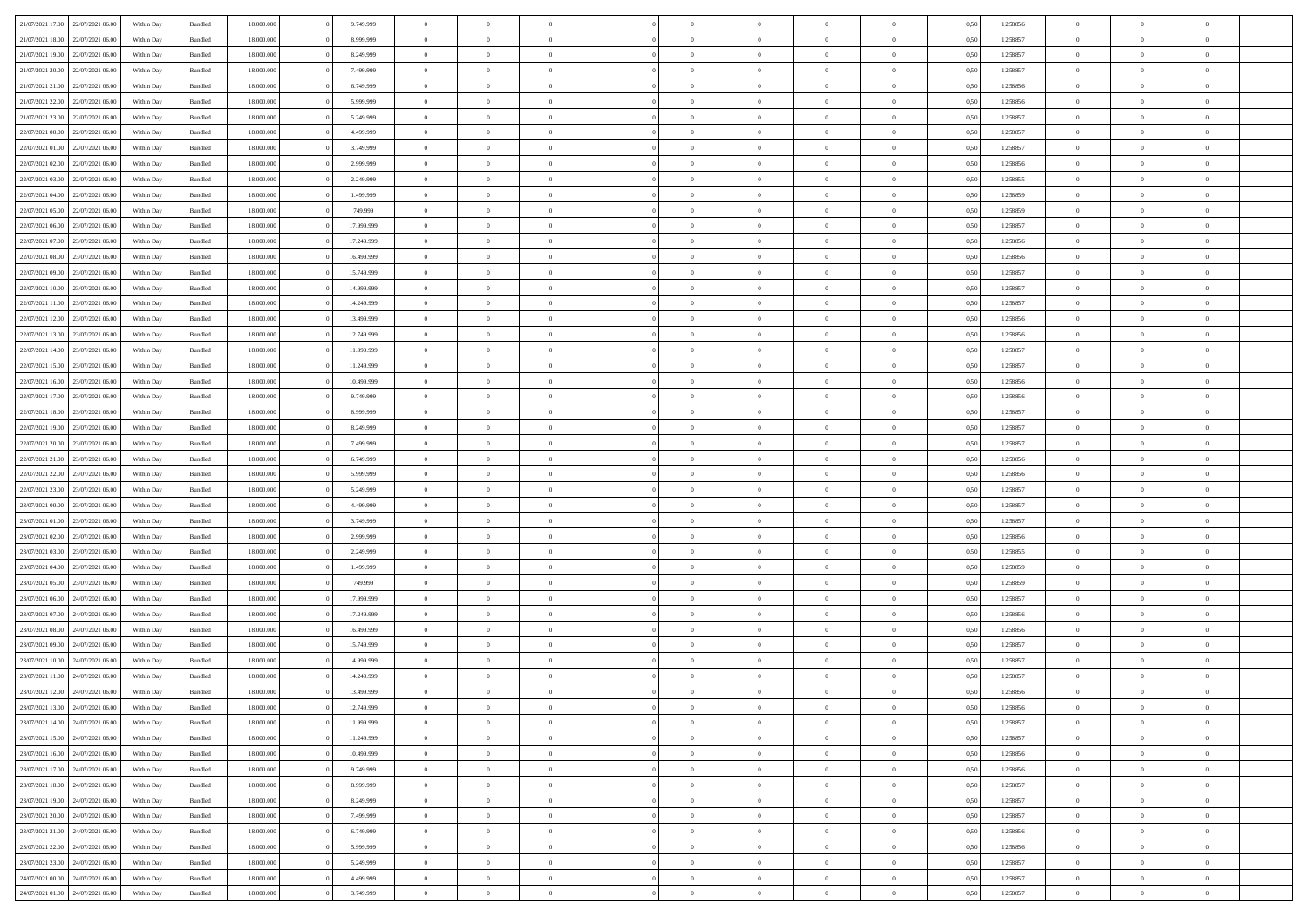| 21/07/2021 17:00                  | 22/07/2021 06:00 | Within Day | Bundled | 18,000,000 | 9.749.999  | $\overline{0}$ | $\Omega$       |                |                | $\Omega$       | $\Omega$       | $\overline{0}$ | 0,50 | 1,258856 | $\theta$       | $\Omega$       | $\theta$       |  |
|-----------------------------------|------------------|------------|---------|------------|------------|----------------|----------------|----------------|----------------|----------------|----------------|----------------|------|----------|----------------|----------------|----------------|--|
| 21/07/2021 18:00                  | 22/07/2021 06:00 | Within Dav | Bundled | 18.000.000 | 8.999.999  | $\Omega$       | $\Omega$       |                | $\Omega$       | $\Omega$       | $\Omega$       | $\Omega$       | 0.50 | 1,258857 | $\theta$       | $\Omega$       | $\sqrt{ }$     |  |
| 21/07/2021 19:00                  | 22/07/2021 06:00 | Within Day | Bundled | 18.000.000 | 8.249.999  | $\overline{0}$ | $\overline{0}$ | $\overline{0}$ | $\overline{0}$ | $\,$ 0 $\,$    | $\overline{0}$ | $\,$ 0 $\,$    | 0,50 | 1,258857 | $\,$ 0 $\,$    | $\overline{0}$ | $\overline{0}$ |  |
| 21/07/2021 20:00                  | 22/07/2021 06:00 |            |         | 18.000.000 | 7.499.999  | $\overline{0}$ | $\overline{0}$ | $\overline{0}$ | $\overline{0}$ | $\overline{0}$ | $\overline{0}$ | $\bf{0}$       | 0,50 |          | $\bf{0}$       | $\theta$       | $\overline{0}$ |  |
|                                   |                  | Within Day | Bundled |            |            |                |                |                |                |                |                |                |      | 1,258857 |                |                |                |  |
| 21/07/2021 21:00                  | 22/07/2021 06:00 | Within Day | Bundled | 18.000.000 | 6.749.999  | $\overline{0}$ | $\Omega$       | $^{\circ}$     | $\Omega$       | $\overline{0}$ | $\Omega$       | $\bf{0}$       | 0.50 | 1,258856 | $\theta$       | $\theta$       | -0             |  |
| 21/07/2021 22:00                  | 22/07/2021 06:00 | Within Day | Bundled | 18.000.000 | 5.999.999  | $\overline{0}$ | $\overline{0}$ | $\overline{0}$ | $\overline{0}$ | $\,$ 0 $\,$    | $\overline{0}$ | $\,$ 0 $\,$    | 0,50 | 1,258856 | $\theta$       | $\overline{0}$ | $\overline{0}$ |  |
| 21/07/2021 23:00                  | 22/07/2021 06:00 | Within Day | Bundled | 18.000.000 | 5.249.999  | $\overline{0}$ | $\overline{0}$ | $\overline{0}$ | $\Omega$       | $\overline{0}$ | $\overline{0}$ | $\bf{0}$       | 0.50 | 1,258857 | $\bf{0}$       | $\theta$       | $\overline{0}$ |  |
| 22/07/2021 00:00                  | 22/07/2021 06:00 | Within Dav | Bundled | 18.000.000 | 4.499.999  | $\overline{0}$ | $\Omega$       | $^{\circ}$     | $\Omega$       | $\overline{0}$ | $\Omega$       | $\bf{0}$       | 0.50 | 1,258857 | $\theta$       | $\theta$       | $\sqrt{ }$     |  |
| 22/07/2021 01:00                  | 22/07/2021 06:00 |            |         | 18.000.000 | 3.749.999  | $\overline{0}$ | $\overline{0}$ | $\overline{0}$ | $\overline{0}$ | $\overline{0}$ | $\overline{0}$ | $\,$ 0 $\,$    |      | 1,258857 | $\,$ 0 $\,$    | $\overline{0}$ | $\overline{0}$ |  |
|                                   |                  | Within Day | Bundled |            |            |                |                |                |                |                |                |                | 0,50 |          |                |                |                |  |
| 22/07/2021 02:00                  | 22/07/2021 06:00 | Within Day | Bundled | 18,000,000 | 2.999.999  | $\overline{0}$ | $\overline{0}$ | $\overline{0}$ | $\Omega$       | $\overline{0}$ | $\overline{0}$ | $\bf{0}$       | 0,50 | 1,258856 | $\bf{0}$       | $\theta$       | $\overline{0}$ |  |
| 22/07/2021 03:00                  | 22/07/2021 06:00 | Within Dav | Bundled | 18.000.000 | 2.249.999  | $\overline{0}$ | $\Omega$       | $^{\circ}$     | $\Omega$       | $\overline{0}$ | $\Omega$       | $\bf{0}$       | 0.50 | 1,258855 | $\theta$       | $\Omega$       | $\sqrt{ }$     |  |
| 22/07/2021 04:00                  | 22/07/2021 06:00 | Within Day | Bundled | 18.000.000 | 1.499.999  | $\overline{0}$ | $\overline{0}$ | $\overline{0}$ | $\overline{0}$ | $\,$ 0 $\,$    | $\overline{0}$ | $\,$ 0 $\,$    | 0,50 | 1,258859 | $\,$ 0 $\,$    | $\overline{0}$ | $\overline{0}$ |  |
| 22/07/2021 05:00                  | 22/07/2021 06:00 | Within Day | Bundled | 18.000.000 | 749.999    | $\overline{0}$ | $\overline{0}$ | $\overline{0}$ | $\overline{0}$ | $\bf{0}$       | $\overline{0}$ | $\bf{0}$       | 0,50 | 1,258859 | $\bf{0}$       | $\overline{0}$ | $\bf{0}$       |  |
| 22/07/2021 06:00                  | 23/07/2021 06:00 | Within Day | Bundled | 18.000.000 | 17.999.999 | $\overline{0}$ | $\Omega$       | $^{\circ}$     | $\Omega$       | $\overline{0}$ | $\Omega$       | $\bf{0}$       | 0.50 | 1,258857 | $\theta$       | $\theta$       | $\sqrt{ }$     |  |
|                                   |                  |            |         |            |            |                |                |                |                |                |                |                |      |          |                |                |                |  |
| 22/07/2021 07:00                  | 23/07/2021 06:00 | Within Day | Bundled | 18.000.000 | 17.249.999 | $\overline{0}$ | $\theta$       | $\overline{0}$ | $\overline{0}$ | $\bf{0}$       | $\overline{0}$ | $\,$ 0 $\,$    | 0,50 | 1,258856 | $\theta$       | $\overline{0}$ | $\overline{0}$ |  |
| 22/07/2021 08:00                  | 23/07/2021 06:00 | Within Day | Bundled | 18.000.000 | 16.499.999 | $\overline{0}$ | $\overline{0}$ | $\overline{0}$ | $\Omega$       | $\overline{0}$ | $\overline{0}$ | $\overline{0}$ | 0,50 | 1,258856 | $\theta$       | $\overline{0}$ | $\overline{0}$ |  |
| 22/07/2021 09:00                  | 23/07/2021 06:00 | Within Day | Bundled | 18.000.000 | 15.749.999 | $\overline{0}$ | $\Omega$       | $^{\circ}$     | $\Omega$       | $\Omega$       | $\Omega$       | $\bf{0}$       | 0.50 | 1,258857 | $\theta$       | $\Omega$       | -0             |  |
| 22/07/2021 10:00                  | 23/07/2021 06:00 | Within Day | Bundled | 18.000.000 | 14.999.999 | $\overline{0}$ | $\overline{0}$ | $\overline{0}$ | $\overline{0}$ | $\,$ 0 $\,$    | $\overline{0}$ | $\,$ 0 $\,$    | 0,50 | 1,258857 | $\,$ 0 $\,$    | $\overline{0}$ | $\overline{0}$ |  |
| 22/07/2021 11:00                  | 23/07/2021 06:00 | Within Day | Bundled | 18,000,000 | 14.249.999 | $\overline{0}$ | $\overline{0}$ | $\overline{0}$ | $\Omega$       | $\overline{0}$ | $\overline{0}$ | $\bf{0}$       | 0.50 | 1,258857 | $\bf{0}$       | $\theta$       | $\overline{0}$ |  |
| 22/07/2021 12:00                  | 23/07/2021 06:00 | Within Dav | Bundled | 18.000.000 | 13.499.999 | $\overline{0}$ | $\Omega$       | $^{\circ}$     | $\Omega$       | $\bf{0}$       | $\Omega$       | $\overline{0}$ | 0.50 | 1,258856 | $\theta$       | $\theta$       | $\sqrt{ }$     |  |
|                                   |                  |            |         |            |            |                |                |                |                |                |                |                |      |          |                |                |                |  |
| 22/07/2021 13:00                  | 23/07/2021 06:00 | Within Day | Bundled | 18.000.000 | 12.749.999 | $\overline{0}$ | $\theta$       | $\overline{0}$ | $\overline{0}$ | $\,$ 0 $\,$    | $\overline{0}$ | $\,$ 0 $\,$    | 0,50 | 1,258856 | $\,$ 0 $\,$    | $\overline{0}$ | $\overline{0}$ |  |
| 22/07/2021 14:00                  | 23/07/2021 06:00 | Within Day | Bundled | 18.000.000 | 11.999.999 | $\overline{0}$ | $\overline{0}$ | $\overline{0}$ | $\overline{0}$ | $\bf{0}$       | $\overline{0}$ | $\bf{0}$       | 0,50 | 1,258857 | $\bf{0}$       | $\overline{0}$ | $\overline{0}$ |  |
| 22/07/2021 15:00                  | 23/07/2021 06:00 | Within Day | Bundled | 18.000.000 | 11.249.999 | $\overline{0}$ | $\Omega$       | $^{\circ}$     | $\Omega$       | $\bf{0}$       | $\Omega$       | $\bf{0}$       | 0.50 | 1,258857 | $\theta$       | $\theta$       | $\sqrt{ }$     |  |
| 22/07/2021 16:00                  | 23/07/2021 06:00 | Within Day | Bundled | 18.000.000 | 10.499.999 | $\overline{0}$ | $\theta$       | $\overline{0}$ | $\overline{0}$ | $\,$ 0 $\,$    | $\overline{0}$ | $\,$ 0 $\,$    | 0,50 | 1,258856 | $\theta$       | $\overline{0}$ | $\overline{0}$ |  |
| 22/07/2021 17:00                  | 23/07/2021 06:00 | Within Day | Bundled | 18.000.000 | 9.749.999  | $\overline{0}$ | $\overline{0}$ | $\overline{0}$ | $\Omega$       | $\overline{0}$ | $\overline{0}$ | $\bf{0}$       | 0.50 | 1,258856 | $\bf{0}$       | $\theta$       | $\overline{0}$ |  |
| 22/07/2021 18:00                  | 23/07/2021 06:00 | Within Day | Bundled | 18.000.000 | 8.999.999  | $\overline{0}$ | $\Omega$       | $^{\circ}$     | $\Omega$       | $\bf{0}$       | $\Omega$       | $\bf{0}$       | 0.50 | 1,258857 | $\theta$       | $\theta$       | $\sqrt{ }$     |  |
| 22/07/2021 19:00                  | 23/07/2021 06:00 |            |         | 18.000.000 | 8.249.999  | $\overline{0}$ | $\overline{0}$ | $\overline{0}$ | $\overline{0}$ | $\overline{0}$ | $\overline{0}$ | $\,$ 0 $\,$    |      | 1,258857 | $\,$ 0 $\,$    | $\overline{0}$ | $\overline{0}$ |  |
|                                   |                  | Within Day | Bundled |            |            |                |                |                |                |                |                |                | 0,50 |          |                |                |                |  |
| 22/07/2021 20:00                  | 23/07/2021 06:00 | Within Day | Bundled | 18,000,000 | 7.499.999  | $\overline{0}$ | $\overline{0}$ | $\overline{0}$ | $\Omega$       | $\overline{0}$ | $\overline{0}$ | $\bf{0}$       | 0.50 | 1,258857 | $\bf{0}$       | $\theta$       | $\overline{0}$ |  |
| 22/07/2021 21:00                  | 23/07/2021 06:00 | Within Dav | Bundled | 18.000.000 | 6.749.999  | $\overline{0}$ | $\Omega$       |                | $\Omega$       | $\overline{0}$ | $\Omega$       | $\bf{0}$       | 0.50 | 1,258856 | $\theta$       | $\Omega$       | -0             |  |
| 22/07/2021 22:00                  | 23/07/2021 06:00 | Within Day | Bundled | 18.000.000 | 5.999.999  | $\overline{0}$ | $\overline{0}$ | $\overline{0}$ | $\overline{0}$ | $\,$ 0 $\,$    | $\overline{0}$ | $\,$ 0 $\,$    | 0,50 | 1,258856 | $\,$ 0 $\,$    | $\overline{0}$ | $\overline{0}$ |  |
| 22/07/2021 23:00                  | 23/07/2021 06:00 | Within Day | Bundled | 18.000.000 | 5.249.999  | $\overline{0}$ | $\overline{0}$ | $\overline{0}$ | $\bf{0}$       | $\,$ 0         | $\bf{0}$       | $\bf{0}$       | 0,50 | 1,258857 | $\,$ 0 $\,$    | $\overline{0}$ | $\overline{0}$ |  |
| 23/07/2021 00:00                  | 23/07/2021 06:00 | Within Day | Bundled | 18.000.000 | 4.499.999  | $\overline{0}$ | $\theta$       | $^{\circ}$     | $\Omega$       | $\overline{0}$ | $\Omega$       | $\bf{0}$       | 0.50 | 1,258857 | $\theta$       | $\theta$       | $\sqrt{ }$     |  |
| 23/07/2021 01:00                  | 23/07/2021 06:00 | Within Day | Bundled | 18.000.000 | 3.749.999  | $\overline{0}$ | $\theta$       | $\overline{0}$ | $\overline{0}$ | $\,$ 0 $\,$    | $\overline{0}$ | $\,$ 0 $\,$    | 0,50 | 1,258857 | $\theta$       | $\overline{0}$ | $\overline{0}$ |  |
|                                   |                  |            |         |            |            |                |                |                |                |                |                |                |      |          |                |                |                |  |
| 23/07/2021 02:00                  | 23/07/2021 06.00 | Within Day | Bundled | 18.000.000 | 2.999.999  | $\overline{0}$ | $\theta$       | $\overline{0}$ | $\overline{0}$ | $\,$ 0         | $\bf{0}$       | $\bf{0}$       | 0,50 | 1,258856 | $\,$ 0 $\,$    | $\overline{0}$ | $\overline{0}$ |  |
| 23/07/2021 03:00                  | 23/07/2021 06:00 | Within Day | Bundled | 18.000.000 | 2.249.999  | $\overline{0}$ | $\Omega$       |                | $\Omega$       | $\Omega$       | $\Omega$       | $\bf{0}$       | 0.50 | 1,258855 | $\theta$       | $\Omega$       | -0             |  |
| 23/07/2021 04:00                  | 23/07/2021 06:00 | Within Day | Bundled | 18.000.000 | 1.499.999  | $\overline{0}$ | $\overline{0}$ | $\overline{0}$ | $\overline{0}$ | $\,$ 0 $\,$    | $\overline{0}$ | $\,$ 0 $\,$    | 0,50 | 1,258859 | $\,$ 0 $\,$    | $\overline{0}$ | $\overline{0}$ |  |
| 23/07/2021 05:00                  | 23/07/2021 06.00 | Within Day | Bundled | 18.000.000 | 749.999    | $\overline{0}$ | $\,$ 0 $\,$    | $\overline{0}$ | $\bf{0}$       | $\bf{0}$       | $\overline{0}$ | $\bf{0}$       | 0,50 | 1,258859 | $\,$ 0 $\,$    | $\overline{0}$ | $\overline{0}$ |  |
| 23/07/2021 06:00                  | 24/07/2021 06.00 | Within Dav | Bundled | 18.000.000 | 17.999.999 | $\overline{0}$ | $\Omega$       | $^{\circ}$     | $\Omega$       | $\overline{0}$ | $\Omega$       | $\bf{0}$       | 0.50 | 1,258857 | $\theta$       | $\theta$       | -0             |  |
| 23/07/2021 07:00                  | 24/07/2021 06.00 | Within Day | Bundled | 18.000.000 | 17.249.999 | $\overline{0}$ | $\overline{0}$ | $\overline{0}$ | $\overline{0}$ | $\,$ 0 $\,$    | $\overline{0}$ | $\,$ 0 $\,$    | 0,50 | 1,258856 | $\,$ 0 $\,$    | $\overline{0}$ | $\overline{0}$ |  |
| 23/07/2021 08:00                  | 24/07/2021 06.00 | Within Day | Bundled | 18.000.000 | 16.499.999 | $\overline{0}$ | $\,$ 0 $\,$    | $\overline{0}$ | $\bf{0}$       | $\,$ 0         | $\overline{0}$ | $\bf{0}$       | 0,50 | 1,258856 | $\,$ 0 $\,$    | $\overline{0}$ | $\overline{0}$ |  |
|                                   |                  |            |         |            |            |                |                |                |                |                |                |                |      |          |                |                |                |  |
| 23/07/2021 09:00                  | 24/07/2021 06.00 | Within Day | Bundled | 18.000.000 | 15.749.999 | $\overline{0}$ | $\Omega$       | $^{\circ}$     | $\Omega$       | $\overline{0}$ | $\Omega$       | $\bf{0}$       | 0.50 | 1,258857 | $\theta$       | $\theta$       | -0             |  |
| 23/07/2021 10:00                  | 24/07/2021 06.00 | Within Day | Bundled | 18.000.000 | 14.999.999 | $\overline{0}$ | $\theta$       | $\overline{0}$ | $\overline{0}$ | $\,0\,$        | $\overline{0}$ | $\,$ 0 $\,$    | 0,50 | 1,258857 | $\,$ 0 $\,$    | $\overline{0}$ | $\overline{0}$ |  |
| 23/07/2021 11:00                  | 24/07/2021 06.0  | Within Day | Bundled | 18.000.000 | 14.249.999 | $\overline{0}$ | $\theta$       | $\overline{0}$ | $\overline{0}$ | $\overline{0}$ | $\overline{0}$ | $\bf{0}$       | 0,50 | 1,258857 | $\,$ 0 $\,$    | $\overline{0}$ | $\overline{0}$ |  |
| 23/07/2021 12:00 24/07/2021 06:00 |                  | Within Day | Bundled | 18.000.000 | 13.499.999 | $\overline{0}$ | $\overline{0}$ | $\Omega$       | $\overline{0}$ | $\bf{0}$       | $\overline{0}$ | $\overline{0}$ | 0,50 | 1,258856 | $\theta$       | $\theta$       | $\overline{0}$ |  |
| 23/07/2021 13:00 24/07/2021 06:00 |                  | Within Day | Bundled | 18.000.000 | 12.749.999 | $\overline{0}$ | $\theta$       |                |                |                |                |                | 0,50 | 1,258856 | $\theta$       | $\theta$       |                |  |
| 23/07/2021 14:00                  | 24/07/2021 06:00 | Within Day | Bundled | 18.000.000 | 11.999.999 | $\overline{0}$ | $\overline{0}$ | $\overline{0}$ | $\bf{0}$       | $\bf{0}$       | $\overline{0}$ | $\bf{0}$       | 0,50 | 1,258857 | $\bf{0}$       | $\overline{0}$ | $\bf{0}$       |  |
| 23/07/2021 15:00                  | 24/07/2021 06:00 | Within Day | Bundled | 18.000.000 | 11.249.999 | $\overline{0}$ | $\overline{0}$ | $\overline{0}$ | $\overline{0}$ | $\mathbf{0}$   | $\overline{0}$ | $\overline{0}$ | 0,50 | 1,258857 | $\overline{0}$ | $\theta$       | $\overline{0}$ |  |
|                                   |                  |            |         |            |            |                |                |                |                |                |                |                |      |          |                |                |                |  |
| 23/07/2021 16:00                  | 24/07/2021 06:00 | Within Day | Bundled | 18.000.000 | 10.499.999 | $\overline{0}$ | $\bf{0}$       | $\overline{0}$ | $\overline{0}$ | $\bf{0}$       | $\overline{0}$ | $\,$ 0 $\,$    | 0,50 | 1,258856 | $\mathbf{0}$   | $\,$ 0 $\,$    | $\bf{0}$       |  |
| 23/07/2021 17:00                  | 24/07/2021 06:00 | Within Day | Bundled | 18.000.000 | 9.749.999  | $\overline{0}$ | $\overline{0}$ | $\overline{0}$ | $\bf{0}$       | $\bf{0}$       | $\overline{0}$ | $\bf{0}$       | 0,50 | 1,258856 | $\bf{0}$       | $\overline{0}$ | $\bf{0}$       |  |
| 23/07/2021 18:00                  | 24/07/2021 06:00 | Within Day | Bundled | 18.000.000 | 8.999.999  | $\overline{0}$ | $\overline{0}$ | $\overline{0}$ | $\overline{0}$ | $\overline{0}$ | $\overline{0}$ | $\overline{0}$ | 0,50 | 1,258857 | $\overline{0}$ | $\overline{0}$ | $\overline{0}$ |  |
| 23/07/2021 19:00                  | 24/07/2021 06:00 | Within Day | Bundled | 18.000.000 | 8.249.999  | $\overline{0}$ | $\bf{0}$       | $\overline{0}$ | $\overline{0}$ | $\bf{0}$       | $\overline{0}$ | $\,$ 0 $\,$    | 0,50 | 1,258857 | $\,$ 0 $\,$    | $\,$ 0 $\,$    | $\,$ 0         |  |
| 23/07/2021 20:00                  | 24/07/2021 06.00 | Within Day | Bundled | 18.000.000 | 7.499.999  | $\overline{0}$ | $\overline{0}$ | $\overline{0}$ | $\bf{0}$       | $\bf{0}$       | $\bf{0}$       | $\bf{0}$       | 0,50 | 1,258857 | $\bf{0}$       | $\overline{0}$ | $\bf{0}$       |  |
| 23/07/2021 21:00                  | 24/07/2021 06:00 | Within Day | Bundled | 18.000.000 | 6.749.999  | $\overline{0}$ | $\overline{0}$ | $\overline{0}$ | $\overline{0}$ | $\overline{0}$ | $\overline{0}$ | $\mathbf{0}$   | 0,50 | 1,258856 | $\overline{0}$ | $\overline{0}$ | $\overline{0}$ |  |
| 23/07/2021 22.00                  | 24/07/2021 06:00 | Within Day | Bundled | 18.000.000 | 5.999.999  | $\overline{0}$ | $\bf{0}$       | $\overline{0}$ | $\bf{0}$       | $\,$ 0 $\,$    | $\overline{0}$ | $\,$ 0 $\,$    | 0,50 | 1,258856 | $\overline{0}$ | $\,$ 0 $\,$    | $\,$ 0         |  |
|                                   |                  |            |         |            |            |                |                |                |                |                |                |                |      |          |                |                |                |  |
| 23/07/2021 23:00                  | 24/07/2021 06:00 | Within Day | Bundled | 18.000.000 | 5.249.999  | $\overline{0}$ | $\overline{0}$ | $\overline{0}$ | $\bf{0}$       | $\bf{0}$       | $\bf{0}$       | $\bf{0}$       | 0,50 | 1,258857 | $\bf{0}$       | $\overline{0}$ | $\overline{0}$ |  |
| 24/07/2021 00:00                  | 24/07/2021 06:00 | Within Day | Bundled | 18.000.000 | 4.499.999  | $\overline{0}$ | $\overline{0}$ | $\overline{0}$ | $\overline{0}$ | $\mathbf{0}$   | $\overline{0}$ | $\overline{0}$ | 0.50 | 1,258857 | $\overline{0}$ | $\theta$       | $\overline{0}$ |  |
| 24/07/2021 01:00 24/07/2021 06:00 |                  | Within Day | Bundled | 18.000.000 | 3.749.999  | $\mathbf{0}$   | $\bf{0}$       | $\overline{0}$ | $\overline{0}$ | $\bf{0}$       | $\overline{0}$ | $\,$ 0 $\,$    | 0,50 | 1,258857 | $\mathbf{0}$   | $\,$ 0 $\,$    | $\,$ 0 $\,$    |  |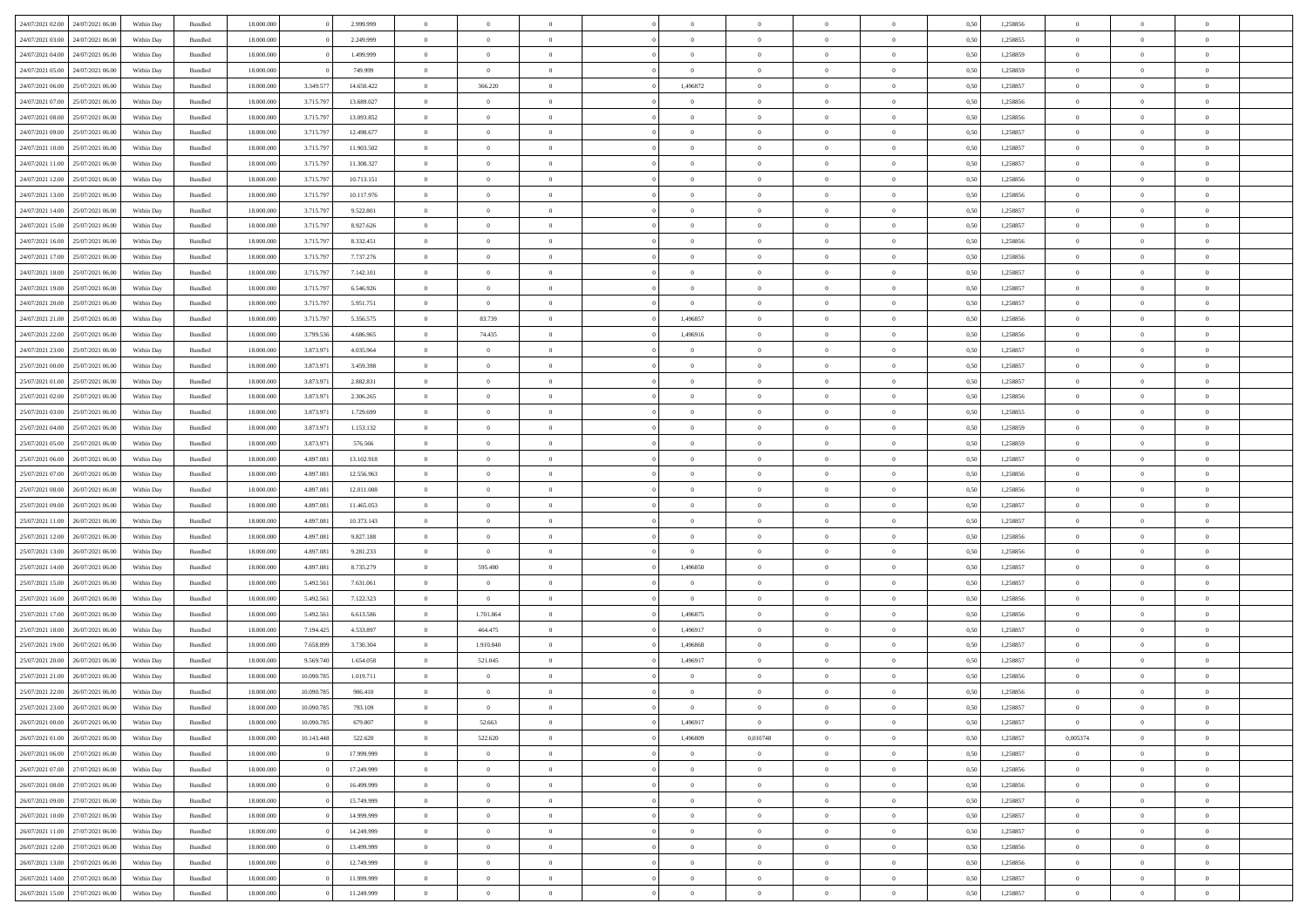| 24/07/2021 02:00                  | 24/07/2021 06:00 | Within Day | Bundled | 18,000,000 |            | 2.999.999  | $\overline{0}$ | $\theta$       |                |                | $\Omega$       | $\Omega$       | $\overline{0}$ | 0,50 | 1,258856 | $\theta$       | $\theta$       | $\theta$       |  |
|-----------------------------------|------------------|------------|---------|------------|------------|------------|----------------|----------------|----------------|----------------|----------------|----------------|----------------|------|----------|----------------|----------------|----------------|--|
| 24/07/2021 03:00                  | 24/07/2021 06.00 | Within Dav | Bundled | 18.000.000 |            | 2.249.999  | $\overline{0}$ | $\Omega$       |                | $\Omega$       | $\Omega$       | $\theta$       | $\bf{0}$       | 0.50 | 1,258855 | $\theta$       | $\Omega$       | $\sqrt{ }$     |  |
| 24/07/2021 04:00                  | 24/07/2021 06.00 | Within Day | Bundled | 18.000.000 |            | 1.499.999  | $\overline{0}$ | $\overline{0}$ | $\overline{0}$ | $\overline{0}$ | $\,$ 0 $\,$    | $\overline{0}$ | $\,$ 0 $\,$    | 0,50 | 1,258859 | $\,$ 0 $\,$    | $\overline{0}$ | $\overline{0}$ |  |
| 24/07/2021 05:00                  | 24/07/2021 06.00 | Within Day | Bundled | 18.000.000 |            | 749.999    | $\overline{0}$ | $\overline{0}$ | $\overline{0}$ | $\overline{0}$ | $\bf{0}$       | $\overline{0}$ | $\bf{0}$       | 0,50 | 1,258859 | $\bf{0}$       | $\overline{0}$ | $\bf{0}$       |  |
|                                   |                  |            |         |            |            |            |                |                |                |                |                |                |                |      |          |                |                |                |  |
| 24/07/2021 06:00                  | 25/07/2021 06:00 | Within Day | Bundled | 18.000.000 | 3.349.577  | 14.650.422 | $\overline{0}$ | 366.220        | $^{\circ}$     | 1,496872       | $\overline{0}$ | $\Omega$       | $\overline{0}$ | 0.50 | 1,258857 | $\theta$       | $\theta$       | $\sqrt{ }$     |  |
| 24/07/2021 07:00                  | 25/07/2021 06:00 | Within Day | Bundled | 18.000.000 | 3.715.797  | 13.689.027 | $\overline{0}$ | $\overline{0}$ | $\overline{0}$ | $\overline{0}$ | $\,$ 0 $\,$    | $\overline{0}$ | $\,$ 0 $\,$    | 0,50 | 1,258856 | $\theta$       | $\overline{0}$ | $\overline{0}$ |  |
| 24/07/2021 08:00                  | 25/07/2021 06:00 | Within Day | Bundled | 18.000.000 | 3.715.797  | 13.093.852 | $\overline{0}$ | $\overline{0}$ | $\overline{0}$ | $\Omega$       | $\overline{0}$ | $\overline{0}$ | $\bf{0}$       | 0.50 | 1,258856 | $\,0\,$        | $\theta$       | $\overline{0}$ |  |
| 24/07/2021 09:00                  | 25/07/2021 06:00 | Within Dav | Bundled | 18.000.000 | 3.715.797  | 12.498.677 | $\overline{0}$ | $\theta$       | $\Omega$       | $\Omega$       | $\bf{0}$       | $\Omega$       | $\bf{0}$       | 0.50 | 1,258857 | $\theta$       | $\theta$       | $\sqrt{ }$     |  |
| 24/07/2021 10:00                  | 25/07/2021 06:00 | Within Day | Bundled | 18.000.000 | 3.715.797  | 11.903.502 | $\overline{0}$ | $\overline{0}$ | $\overline{0}$ | $\overline{0}$ | $\,$ 0 $\,$    | $\overline{0}$ | $\,$ 0 $\,$    | 0,50 | 1,258857 | $\,$ 0 $\,$    | $\overline{0}$ | $\overline{0}$ |  |
| 24/07/2021 11:00                  | 25/07/2021 06:00 | Within Day | Bundled | 18,000,000 | 3.715.797  | 11.308.327 | $\overline{0}$ | $\overline{0}$ | $\overline{0}$ | $\Omega$       | $\overline{0}$ | $\overline{0}$ | $\bf{0}$       | 0,50 | 1,258857 | $\bf{0}$       | $\overline{0}$ | $\overline{0}$ |  |
|                                   |                  |            |         |            |            |            |                |                |                |                |                |                |                |      |          |                |                |                |  |
| 24/07/2021 12:00                  | 25/07/2021 06:00 | Within Dav | Bundled | 18.000.000 | 3.715.797  | 10.713.151 | $\overline{0}$ | $\Omega$       | $^{\circ}$     | $\Omega$       | $\bf{0}$       | $\Omega$       | $\overline{0}$ | 0.50 | 1,258856 | $\theta$       | $\theta$       | $\sqrt{ }$     |  |
| 24/07/2021 13:00                  | 25/07/2021 06:00 | Within Day | Bundled | 18.000.000 | 3.715.797  | 10.117.976 | $\overline{0}$ | $\overline{0}$ | $\overline{0}$ | $\overline{0}$ | $\,$ 0 $\,$    | $\overline{0}$ | $\,$ 0 $\,$    | 0,50 | 1,258856 | $\,$ 0 $\,$    | $\overline{0}$ | $\,$ 0         |  |
| 24/07/2021 14:00                  | 25/07/2021 06:00 | Within Day | Bundled | 18.000.000 | 3.715.797  | 9.522.801  | $\bf{0}$       | $\overline{0}$ | $\overline{0}$ | $\overline{0}$ | $\bf{0}$       | $\overline{0}$ | $\bf{0}$       | 0,50 | 1,258857 | $\bf{0}$       | $\overline{0}$ | $\overline{0}$ |  |
| 24/07/2021 15:00                  | 25/07/2021 06:00 | Within Day | Bundled | 18.000.000 | 3.715.797  | 8.927.626  | $\overline{0}$ | $\theta$       | $\Omega$       | $\overline{0}$ | $\bf{0}$       | $\Omega$       | $\overline{0}$ | 0.50 | 1,258857 | $\theta$       | $\theta$       | $\sqrt{ }$     |  |
| 24/07/2021 16:00                  | 25/07/2021 06:00 | Within Day | Bundled | 18.000.000 | 3.715.797  | 8.332.451  | $\overline{0}$ | $\overline{0}$ | $\overline{0}$ | $\overline{0}$ | $\,$ 0 $\,$    | $\overline{0}$ | $\,$ 0 $\,$    | 0,50 | 1,258856 | $\theta$       | $\overline{0}$ | $\overline{0}$ |  |
| 24/07/2021 17:00                  | 25/07/2021 06:00 | Within Day | Bundled | 18.000.000 | 3.715.797  | 7.737.276  | $\overline{0}$ | $\overline{0}$ | $\overline{0}$ | $\Omega$       | $\overline{0}$ | $\overline{0}$ | $\bf{0}$       | 0.50 | 1,258856 | $\,0\,$        | $\overline{0}$ | $\overline{0}$ |  |
| 24/07/2021 18:00                  | 25/07/2021 06:00 | Within Day | Bundled | 18.000.000 | 3.715.797  | 7.142.101  | $\overline{0}$ | $\Omega$       | $^{\circ}$     | $\Omega$       | $\bf{0}$       | $\Omega$       | $\bf{0}$       | 0.50 | 1,258857 | $\theta$       | $\theta$       | $\sqrt{ }$     |  |
|                                   |                  |            |         |            |            |            |                |                |                |                |                |                |                |      |          |                |                |                |  |
| 24/07/2021 19:00                  | 25/07/2021 06:00 | Within Day | Bundled | 18.000.000 | 3.715.797  | 6.546.926  | $\overline{0}$ | $\overline{0}$ | $\overline{0}$ | $\overline{0}$ | $\,$ 0 $\,$    | $\overline{0}$ | $\,$ 0 $\,$    | 0,50 | 1,258857 | $\,$ 0 $\,$    | $\overline{0}$ | $\overline{0}$ |  |
| 24/07/2021 20:00                  | 25/07/2021 06:00 | Within Day | Bundled | 18,000,000 | 3.715.797  | 5.951.751  | $\overline{0}$ | $\overline{0}$ | $\overline{0}$ | $\Omega$       | $\overline{0}$ | $\overline{0}$ | $\bf{0}$       | 0.50 | 1,258857 | $\bf{0}$       | $\theta$       | $\overline{0}$ |  |
| 24/07/2021 21:00                  | 25/07/2021 06:00 | Within Dav | Bundled | 18.000.000 | 3.715.797  | 5.356.575  | $\overline{0}$ | 83.739         | $\Omega$       | 1,496857       | $\bf{0}$       | $\Omega$       | $\overline{0}$ | 0.50 | 1,258856 | $\theta$       | $\theta$       | $\sqrt{ }$     |  |
| 24/07/2021 22.00                  | 25/07/2021 06:00 | Within Day | Bundled | 18.000.000 | 3.799.536  | 4.686.965  | $\overline{0}$ | 74.435         | $\overline{0}$ | 1,496916       | $\,$ 0 $\,$    | $\overline{0}$ | $\,$ 0 $\,$    | 0,50 | 1,258856 | $\,$ 0 $\,$    | $\overline{0}$ | $\,$ 0         |  |
| 24/07/2021 23:00                  | 25/07/2021 06:00 | Within Day | Bundled | 18.000.000 | 3.873.971  | 4.035.964  | $\bf{0}$       | $\overline{0}$ | $\overline{0}$ | $\overline{0}$ | $\bf{0}$       | $\overline{0}$ | $\bf{0}$       | 0,50 | 1,258857 | $\,0\,$        | $\overline{0}$ | $\overline{0}$ |  |
| 25/07/2021 00:00                  | 25/07/2021 06:00 | Within Day | Bundled | 18.000.000 | 3.873.971  | 3.459.398  | $\overline{0}$ | $\theta$       | $\Omega$       | $\overline{0}$ | $\bf{0}$       | $\Omega$       | $\overline{0}$ | 0.50 | 1,258857 | $\theta$       | $\theta$       | $\sqrt{ }$     |  |
| 25/07/2021 01:00                  | 25/07/2021 06:00 | Within Day | Bundled | 18.000.000 | 3.873.971  | 2.882.831  | $\overline{0}$ | $\overline{0}$ | $\overline{0}$ | $\overline{0}$ | $\,$ 0 $\,$    | $\overline{0}$ | $\,$ 0 $\,$    | 0,50 | 1,258857 | $\theta$       | $\overline{0}$ | $\overline{0}$ |  |
|                                   |                  |            |         |            |            |            |                |                |                |                |                |                |                |      |          |                |                |                |  |
| 25/07/2021 02:00                  | 25/07/2021 06:00 | Within Day | Bundled | 18.000.000 | 3.873.971  | 2.306.265  | $\overline{0}$ | $\overline{0}$ | $\overline{0}$ | $\Omega$       | $\overline{0}$ | $\overline{0}$ | $\bf{0}$       | 0.50 | 1,258856 | $\bf{0}$       | $\overline{0}$ | $\overline{0}$ |  |
| 25/07/2021 03:00                  | 25/07/2021 06:00 | Within Dav | Bundled | 18.000.000 | 3.873.971  | 1.729.699  | $\overline{0}$ | $\theta$       | $\Omega$       | $\Omega$       | $\bf{0}$       | $\theta$       | $\overline{0}$ | 0.50 | 1,258855 | $\theta$       | $\theta$       | $\sqrt{ }$     |  |
| 25/07/2021 04:00                  | 25/07/2021 06:00 | Within Day | Bundled | 18.000.000 | 3.873.971  | 1.153.132  | $\overline{0}$ | $\overline{0}$ | $\overline{0}$ | $\overline{0}$ | $\,$ 0 $\,$    | $\overline{0}$ | $\,$ 0 $\,$    | 0,50 | 1,258859 | $\,$ 0 $\,$    | $\overline{0}$ | $\overline{0}$ |  |
| 25/07/2021 05:00                  | 25/07/2021 06:00 | Within Day | Bundled | 18,000,000 | 3.873.971  | 576.566    | $\overline{0}$ | $\overline{0}$ | $\overline{0}$ | $\Omega$       | $\overline{0}$ | $\overline{0}$ | $\bf{0}$       | 0.50 | 1,258859 | $\bf{0}$       | $\overline{0}$ | $\overline{0}$ |  |
| 25/07/2021 06:00                  | 26/07/2021 06:00 | Within Dav | Bundled | 18.000.000 | 4.897.081  | 13.102.918 | $\overline{0}$ | $\Omega$       | $^{\circ}$     | $\Omega$       | $\bf{0}$       | $\Omega$       | $\overline{0}$ | 0.50 | 1,258857 | $\theta$       | $\theta$       | $\sqrt{ }$     |  |
| 25/07/2021 07:00                  | 26/07/2021 06:00 | Within Day | Bundled | 18.000.000 | 4.897.081  | 12.556.963 | $\overline{0}$ | $\overline{0}$ | $\overline{0}$ | $\overline{0}$ | $\,$ 0 $\,$    | $\overline{0}$ | $\,$ 0 $\,$    | 0,50 | 1,258856 | $\,$ 0 $\,$    | $\overline{0}$ | $\,$ 0         |  |
| 25/07/2021 08:00                  | 26/07/2021 06:00 | Within Day | Bundled | 18.000.000 | 4.897.081  | 12.011.008 | $\overline{0}$ | $\overline{0}$ | $\bf{0}$       | $\bf{0}$       | $\bf{0}$       | $\overline{0}$ | $\bf{0}$       | 0,50 | 1,258856 | $\,$ 0 $\,$    | $\overline{0}$ | $\overline{0}$ |  |
|                                   |                  |            |         |            |            |            |                |                |                |                |                |                |                |      |          |                |                |                |  |
| 25/07/2021 09:00                  | 26/07/2021 06:00 | Within Day | Bundled | 18.000.000 | 4.897.081  | 11.465.053 | $\overline{0}$ | $\theta$       | $\Omega$       | $\overline{0}$ | $\bf{0}$       | $\Omega$       | $\overline{0}$ | 0.50 | 1,258857 | $\theta$       | $\theta$       | $\theta$       |  |
| 25/07/2021 11:00                  | 26/07/2021 06:00 | Within Day | Bundled | 18.000.000 | 4.897.081  | 10.373.143 | $\overline{0}$ | $\overline{0}$ | $\overline{0}$ | $\overline{0}$ | $\,$ 0 $\,$    | $\overline{0}$ | $\,$ 0 $\,$    | 0,50 | 1,258857 | $\theta$       | $\overline{0}$ | $\overline{0}$ |  |
| 25/07/2021 12:00                  | 26/07/2021 06.00 | Within Day | Bundled | 18.000.000 | 4.897.081  | 9.827.188  | $\overline{0}$ | $\overline{0}$ | $\overline{0}$ | $\overline{0}$ | $\,$ 0         | $\bf{0}$       | $\bf{0}$       | 0,50 | 1,258856 | $\,$ 0 $\,$    | $\overline{0}$ | $\overline{0}$ |  |
| 25/07/2021 13:00                  | 26/07/2021 06:00 | Within Day | Bundled | 18.000.000 | 4.897.081  | 9.281.233  | $\overline{0}$ | $\overline{0}$ | $^{\circ}$     | $\overline{0}$ | $\bf{0}$       | $\theta$       | $\overline{0}$ | 0.50 | 1,258856 | $\theta$       | $\theta$       | $\sqrt{ }$     |  |
| 25/07/2021 14:00                  | 26/07/2021 06:00 | Within Day | Bundled | 18.000.000 | 4.897.081  | 8.735.279  | $\overline{0}$ | 595.480        | $\overline{0}$ | 1,496850       | $\,$ 0 $\,$    | $\overline{0}$ | $\,$ 0 $\,$    | 0,50 | 1,258857 | $\,$ 0 $\,$    | $\overline{0}$ | $\overline{0}$ |  |
| 25/07/2021 15:00                  | 26/07/2021 06.00 | Within Day | Bundled | 18.000.000 | 5.492.561  | 7.631.061  | $\overline{0}$ | $\overline{0}$ | $\overline{0}$ | $\bf{0}$       | $\bf{0}$       | $\bf{0}$       | $\bf{0}$       | 0,50 | 1,258857 | $\,$ 0 $\,$    | $\overline{0}$ | $\overline{0}$ |  |
| 25/07/2021 16:00                  | 26/07/2021 06:00 | Within Dav | Bundled | 18.000.000 | 5.492.561  | 7.122.323  | $\overline{0}$ | $\overline{0}$ | $\Omega$       | $\overline{0}$ | $\bf{0}$       | $\Omega$       | $\overline{0}$ | 0.50 | 1,258856 | $\theta$       | $\theta$       | $\sqrt{ }$     |  |
|                                   |                  |            |         |            |            |            |                |                | $\overline{0}$ |                | $\,$ 0 $\,$    | $\overline{0}$ |                |      |          | $\,$ 0 $\,$    | $\overline{0}$ | $\,$ 0         |  |
| 25/07/2021 17:00                  | 26/07/2021 06:00 | Within Day | Bundled | 18.000.000 | 5.492.561  | 6.613.586  | $\overline{0}$ | 1.701.864      |                | 1,496875       |                |                | $\,$ 0 $\,$    | 0,50 | 1,258856 |                |                |                |  |
| 25/07/2021 18:00                  | 26/07/2021 06.00 | Within Day | Bundled | 18.000.000 | 7.194.425  | 4.533.897  | $\overline{0}$ | 464.475        | $\overline{0}$ | 1,496917       | $\bf{0}$       | $\bf{0}$       | $\bf{0}$       | 0,50 | 1,258857 | $\,$ 0 $\,$    | $\overline{0}$ | $\overline{0}$ |  |
| 25/07/2021 19:00                  | 26/07/2021 06:00 | Within Day | Bundled | 18.000.000 | 7.658.899  | 3.730.304  | $\overline{0}$ | 1.910.840      | $^{\circ}$     | 1,496868       | $\bf{0}$       | $\Omega$       | $\overline{0}$ | 0.50 | 1,258857 | $\theta$       | $\theta$       | $\sqrt{ }$     |  |
| 25/07/2021 20:00                  | 26/07/2021 06:00 | Within Day | Bundled | 18.000.000 | 9.569.740  | 1.654.058  | $\overline{0}$ | 521.045        | $\overline{0}$ | 1,496917       | $\bf{0}$       | $\overline{0}$ | $\,$ 0 $\,$    | 0,50 | 1,258857 | $\,$ 0 $\,$    | $\overline{0}$ | $\overline{0}$ |  |
| 25/07/2021 21.00                  | 26/07/2021 06.00 | Within Day | Bundled | 18.000.000 | 10.090.785 | 1.019.711  | $\overline{0}$ | $\theta$       | $\overline{0}$ | $\overline{0}$ | $\overline{0}$ | $\overline{0}$ | $\bf{0}$       | 0,50 | 1,258856 | $\,$ 0 $\,$    | $\overline{0}$ | $\overline{0}$ |  |
| 25/07/2021 22:00 26/07/2021 06:00 |                  | Within Day | Bundled | 18.000.000 | 10.090.785 | 906.410    | $\overline{0}$ | $\overline{0}$ | $\Omega$       | $\overline{0}$ | $\bf{0}$       | $\overline{0}$ | $\mathbf{0}$   | 0.50 | 1,258856 | $\theta$       | $\theta$       | $\overline{0}$ |  |
| 25/07/2021 23.00 26/07/2021 06.00 |                  | Within Day | Bundled | 18.000.000 | 10.090.785 | 793.109    | $\overline{0}$ | $\theta$       |                |                |                |                |                | 0,50 | 1,258857 | $\theta$       | $\theta$       |                |  |
| 26/07/2021 00:00                  | 26/07/2021 06:00 | Within Day | Bundled | 18.000.000 | 10.090.785 | 679.807    | $\overline{0}$ | 52.663         | $\bf{0}$       | 1,496917       | $\overline{0}$ | $\bf{0}$       | $\bf{0}$       | 0,50 | 1,258857 | $\bf{0}$       | $\overline{0}$ | $\bf{0}$       |  |
|                                   |                  |            |         |            |            |            |                |                |                |                |                |                |                |      |          |                | $\overline{0}$ |                |  |
| 26/07/2021 01:00                  | 26/07/2021 06:00 | Within Day | Bundled | 18.000.000 | 10.143.448 | 522.620    | $\overline{0}$ | 522.620        | $\overline{0}$ | 1,496809       | 0,010748       | $\overline{0}$ | $\overline{0}$ | 0.50 | 1,258857 | 0,005374       |                | $\overline{0}$ |  |
| 26/07/2021 06:00                  | 27/07/2021 06:00 | Within Day | Bundled | 18.000.000 |            | 17.999.999 | $\overline{0}$ | $\overline{0}$ | $\overline{0}$ | $\bf{0}$       | $\bf{0}$       | $\overline{0}$ | $\,$ 0 $\,$    | 0,50 | 1,258857 | $\overline{0}$ | $\,$ 0 $\,$    | $\,$ 0 $\,$    |  |
| 26/07/2021 07:00                  | 27/07/2021 06:00 | Within Day | Bundled | 18.000.000 |            | 17.249.999 | $\bf{0}$       | $\overline{0}$ | $\overline{0}$ | $\bf{0}$       | $\bf{0}$       | $\bf{0}$       | $\bf{0}$       | 0,50 | 1,258856 | $\bf{0}$       | $\overline{0}$ | $\overline{0}$ |  |
| 26/07/2021 08:00                  | 27/07/2021 06:00 | Within Day | Bundled | 18.000.000 |            | 16.499.999 | $\overline{0}$ | $\overline{0}$ | $\overline{0}$ | $\overline{0}$ | $\mathbf{0}$   | $\overline{0}$ | $\overline{0}$ | 0.50 | 1,258856 | $\overline{0}$ | $\overline{0}$ | $\overline{0}$ |  |
| 26/07/2021 09:00                  | 27/07/2021 06:00 | Within Day | Bundled | 18.000.000 |            | 15.749.999 | $\overline{0}$ | $\overline{0}$ | $\overline{0}$ | $\overline{0}$ | $\bf{0}$       | $\overline{0}$ | $\,$ 0 $\,$    | 0,50 | 1,258857 | $\,$ 0 $\,$    | $\overline{0}$ | $\,$ 0         |  |
| 26/07/2021 10:00                  | 27/07/2021 06:00 | Within Day | Bundled | 18.000.000 |            | 14.999.999 | $\bf{0}$       | $\overline{0}$ | $\overline{0}$ | $\bf{0}$       | $\bf{0}$       | $\bf{0}$       | $\bf{0}$       | 0,50 | 1,258857 | $\bf{0}$       | $\overline{0}$ | $\overline{0}$ |  |
| 26/07/2021 11:00                  | 27/07/2021 06:00 | Within Day | Bundled | 18.000.000 |            | 14.249.999 | $\overline{0}$ | $\overline{0}$ | $\overline{0}$ | $\overline{0}$ | $\mathbf{0}$   | $\overline{0}$ | $\overline{0}$ | 0,50 | 1,258857 | $\theta$       | $\overline{0}$ | $\overline{0}$ |  |
| 26/07/2021 12:00                  | 27/07/2021 06:00 | Within Day | Bundled | 18.000.000 |            | 13.499.999 | $\overline{0}$ | $\overline{0}$ | $\overline{0}$ | $\bf{0}$       | $\,$ 0 $\,$    | $\overline{0}$ | $\,$ 0 $\,$    | 0,50 | 1,258856 | $\overline{0}$ | $\,$ 0 $\,$    | $\,$ 0         |  |
|                                   |                  |            |         |            |            |            |                |                |                |                |                |                |                |      |          |                |                |                |  |
| 26/07/2021 13:00                  | 27/07/2021 06:00 | Within Day | Bundled | 18.000.000 |            | 12.749.999 | $\overline{0}$ | $\overline{0}$ | $\bf{0}$       | $\bf{0}$       | $\bf{0}$       | $\bf{0}$       | $\bf{0}$       | 0,50 | 1,258856 | $\bf{0}$       | $\overline{0}$ | $\overline{0}$ |  |
| 26/07/2021 14:00                  | 27/07/2021 06:00 | Within Day | Bundled | 18.000.000 |            | 11.999.999 | $\overline{0}$ | $\theta$       | $\overline{0}$ | $\overline{0}$ | $\bf{0}$       | $\overline{0}$ | $\overline{0}$ | 0.50 | 1,258857 | $\overline{0}$ | $\overline{0}$ | $\overline{0}$ |  |
| 26/07/2021 15:00 27/07/2021 06:00 |                  | Within Day | Bundled | 18.000.000 |            | 11.249.999 | $\mathbf{0}$   | $\bf{0}$       | $\overline{0}$ | $\overline{0}$ | $\,$ 0 $\,$    | $\overline{0}$ | $\,$ 0 $\,$    | 0,50 | 1,258857 | $\mathbf{0}$   | $\,$ 0 $\,$    | $\,$ 0 $\,$    |  |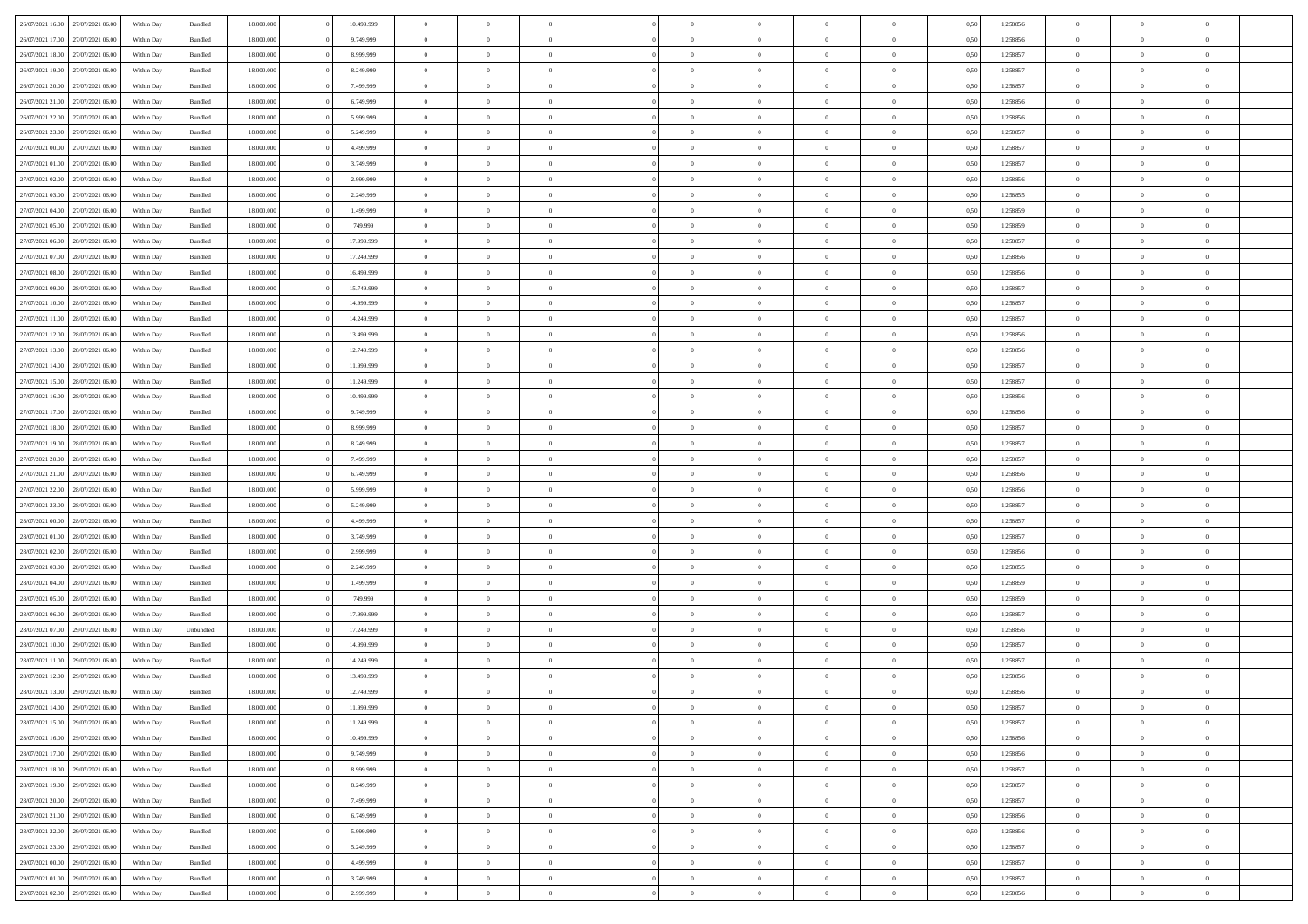|                  |                  |            |                    |            |            | $\Omega$       | $\Omega$       |                |                | $\Omega$       | $\Omega$       | $\theta$       |      |          | $\theta$       |                | $\theta$       |  |
|------------------|------------------|------------|--------------------|------------|------------|----------------|----------------|----------------|----------------|----------------|----------------|----------------|------|----------|----------------|----------------|----------------|--|
| 26/07/2021 16:00 | 27/07/2021 06:00 | Within Day | Bundled            | 18.000.000 | 10.499.999 |                |                |                | $\Omega$       |                |                |                | 0.50 | 1,258856 |                | $\theta$       |                |  |
| 26/07/2021 17:00 | 27/07/2021 06:00 | Within Day | Bundled            | 18.000.000 | 9.749.999  | $\overline{0}$ | $\theta$       | $\overline{0}$ | $\overline{0}$ | $\bf{0}$       | $\overline{0}$ | $\overline{0}$ | 0,50 | 1,258856 | $\theta$       | $\theta$       | $\overline{0}$ |  |
| 26/07/2021 18:00 | 27/07/2021 06:00 | Within Day | Bundled            | 18.000.000 | 8.999.999  | $\overline{0}$ | $\overline{0}$ | $\overline{0}$ | $\bf{0}$       | $\bf{0}$       | $\bf{0}$       | $\bf{0}$       | 0,50 | 1,258857 | $\bf{0}$       | $\overline{0}$ | $\overline{0}$ |  |
| 26/07/2021 19:00 | 27/07/2021 06:00 | Within Dav | Bundled            | 18.000.000 | 8.249.999  | $\overline{0}$ | $\theta$       | $\overline{0}$ | $\overline{0}$ | $\bf{0}$       | $\overline{0}$ | $\overline{0}$ | 0.50 | 1.258857 | $\theta$       | $\theta$       | $\overline{0}$ |  |
|                  |                  |            |                    |            |            |                |                |                |                |                |                |                |      |          |                |                |                |  |
| 26/07/2021 20:00 | 27/07/2021 06:00 | Within Day | Bundled            | 18.000.000 | 7.499.999  | $\overline{0}$ | $\theta$       | $\overline{0}$ | $\overline{0}$ | $\bf{0}$       | $\overline{0}$ | $\bf{0}$       | 0,50 | 1,258857 | $\theta$       | $\theta$       | $\overline{0}$ |  |
| 26/07/2021 21:00 | 27/07/2021 06:00 | Within Day | Bundled            | 18.000.000 | 6.749.999  | $\overline{0}$ | $\bf{0}$       | $\overline{0}$ | $\bf{0}$       | $\overline{0}$ | $\bf{0}$       | $\mathbf{0}$   | 0,50 | 1,258856 | $\bf{0}$       | $\overline{0}$ | $\bf{0}$       |  |
| 26/07/2021 22:00 | 27/07/2021 06.00 | Within Dav | Bundled            | 18.000.000 | 5.999.999  | $\overline{0}$ | $\overline{0}$ | $\overline{0}$ | $\overline{0}$ | $\bf{0}$       | $\overline{0}$ | $\overline{0}$ | 0.50 | 1.258856 | $\theta$       | $\theta$       | $\overline{0}$ |  |
| 26/07/2021 23:00 | 27/07/2021 06:00 | Within Day | Bundled            | 18.000.000 | 5.249.999  | $\overline{0}$ | $\theta$       | $\overline{0}$ | $\overline{0}$ | $\bf{0}$       | $\overline{0}$ | $\bf{0}$       | 0,50 | 1,258857 | $\theta$       | $\theta$       | $\overline{0}$ |  |
|                  |                  |            |                    |            |            |                |                |                |                |                |                |                |      |          |                |                |                |  |
| 27/07/2021 00:00 | 27/07/2021 06:00 | Within Day | Bundled            | 18.000.000 | 4.499.999  | $\overline{0}$ | $\overline{0}$ | $\overline{0}$ | $\bf{0}$       | $\bf{0}$       | $\bf{0}$       | $\bf{0}$       | 0,50 | 1,258857 | $\,0\,$        | $\overline{0}$ | $\overline{0}$ |  |
| 27/07/2021 01:00 | 27/07/2021 06.00 | Within Dav | Bundled            | 18.000.000 | 3.749.999  | $\overline{0}$ | $\overline{0}$ | $\overline{0}$ | $\overline{0}$ | $\overline{0}$ | $\overline{0}$ | $\overline{0}$ | 0.50 | 1,258857 | $\theta$       | $\overline{0}$ | $\overline{0}$ |  |
| 27/07/2021 02:00 | 27/07/2021 06:00 | Within Day | Bundled            | 18.000.000 | 2.999.999  | $\overline{0}$ | $\theta$       | $\overline{0}$ | $\overline{0}$ | $\bf{0}$       | $\overline{0}$ | $\bf{0}$       | 0,50 | 1,258856 | $\theta$       | $\theta$       | $\overline{0}$ |  |
| 27/07/2021 03:00 | 27/07/2021 06:00 | Within Day | Bundled            | 18.000.000 | 2.249.999  | $\overline{0}$ | $\overline{0}$ | $\overline{0}$ | $\bf{0}$       | $\bf{0}$       | $\bf{0}$       | $\bf{0}$       | 0,50 | 1,258855 | $\bf{0}$       | $\overline{0}$ | $\overline{0}$ |  |
| 27/07/2021 04:00 | 27/07/2021 06:00 | Within Dav | Bundled            | 18.000.000 | 1.499.999  | $\overline{0}$ | $\theta$       | $\overline{0}$ | $\overline{0}$ | $\bf{0}$       | $\overline{0}$ | $\overline{0}$ | 0.50 | 1.258859 | $\theta$       | $\theta$       | $\overline{0}$ |  |
|                  |                  |            |                    |            |            |                |                |                |                |                |                |                |      |          |                |                |                |  |
| 27/07/2021 05:00 | 27/07/2021 06:00 | Within Day | Bundled            | 18.000.000 | 749.999    | $\overline{0}$ | $\theta$       | $\overline{0}$ | $\overline{0}$ | $\bf{0}$       | $\overline{0}$ | $\overline{0}$ | 0,50 | 1,258859 | $\theta$       | $\theta$       | $\overline{0}$ |  |
| 27/07/2021 06:00 | 28/07/2021 06:00 | Within Day | Bundled            | 18.000.000 | 17.999.999 | $\overline{0}$ | $\bf{0}$       | $\overline{0}$ | $\bf{0}$       | $\overline{0}$ | $\overline{0}$ | $\mathbf{0}$   | 0,50 | 1,258857 | $\bf{0}$       | $\overline{0}$ | $\bf{0}$       |  |
| 27/07/2021 07:00 | 28/07/2021 06:00 | Within Dav | Bundled            | 18.000.000 | 17.249.999 | $\overline{0}$ | $\overline{0}$ | $\overline{0}$ | $\overline{0}$ | $\bf{0}$       | $\overline{0}$ | $\overline{0}$ | 0.50 | 1,258856 | $\theta$       | $\theta$       | $\overline{0}$ |  |
| 27/07/2021 08:00 | 28/07/2021 06:00 | Within Day | Bundled            | 18.000.000 | 16.499.999 | $\overline{0}$ | $\theta$       | $\overline{0}$ | $\overline{0}$ | $\bf{0}$       | $\overline{0}$ | $\bf{0}$       | 0,50 | 1,258856 | $\theta$       | $\theta$       | $\overline{0}$ |  |
| 27/07/2021 09:00 | 28/07/2021 06:00 | Within Day | Bundled            | 18.000.000 | 15.749.999 | $\overline{0}$ | $\overline{0}$ | $\overline{0}$ | $\bf{0}$       | $\bf{0}$       | $\bf{0}$       | $\bf{0}$       | 0,50 | 1,258857 | $\,0\,$        | $\overline{0}$ | $\overline{0}$ |  |
|                  |                  |            |                    |            |            |                |                |                |                |                |                |                |      |          |                |                |                |  |
| 27/07/2021 10:00 | 28/07/2021 06:00 | Within Dav | Bundled            | 18.000.000 | 14.999.999 | $\overline{0}$ | $\overline{0}$ | $\overline{0}$ | $\overline{0}$ | $\overline{0}$ | $\overline{0}$ | $\overline{0}$ | 0.50 | 1,258857 | $\theta$       | $\overline{0}$ | $\overline{0}$ |  |
| 27/07/2021 11:00 | 28/07/2021 06:00 | Within Day | Bundled            | 18.000.000 | 14.249.999 | $\overline{0}$ | $\theta$       | $\overline{0}$ | $\overline{0}$ | $\bf{0}$       | $\overline{0}$ | $\bf{0}$       | 0,50 | 1,258857 | $\theta$       | $\theta$       | $\overline{0}$ |  |
| 27/07/2021 12:00 | 28/07/2021 06:00 | Within Day | Bundled            | 18.000.000 | 13.499.999 | $\overline{0}$ | $\overline{0}$ | $\overline{0}$ | $\bf{0}$       | $\bf{0}$       | $\bf{0}$       | $\bf{0}$       | 0,50 | 1,258856 | $\,0\,$        | $\overline{0}$ | $\overline{0}$ |  |
| 27/07/2021 13:00 | 28/07/2021 06:00 | Within Day | Bundled            | 18.000.000 | 12.749.999 | $\overline{0}$ | $\overline{0}$ | $\overline{0}$ | $\overline{0}$ | $\bf{0}$       | $\overline{0}$ | $\overline{0}$ | 0.50 | 1.258856 | $\theta$       | $\theta$       | $\overline{0}$ |  |
|                  |                  |            |                    |            |            |                |                |                |                |                |                |                |      |          |                |                |                |  |
| 27/07/2021 14:00 | 28/07/2021 06:00 | Within Day | Bundled            | 18.000.000 | 11.999.999 | $\overline{0}$ | $\theta$       | $\overline{0}$ | $\overline{0}$ | $\bf{0}$       | $\overline{0}$ | $\bf{0}$       | 0,50 | 1,258857 | $\theta$       | $\theta$       | $\overline{0}$ |  |
| 27/07/2021 15:00 | 28/07/2021 06:00 | Within Day | Bundled            | 18.000.000 | 11.249.999 | $\overline{0}$ | $\overline{0}$ | $\overline{0}$ | $\bf{0}$       | $\overline{0}$ | $\bf{0}$       | $\mathbf{0}$   | 0,50 | 1,258857 | $\bf{0}$       | $\overline{0}$ | $\bf{0}$       |  |
| 27/07/2021 16:00 | 28/07/2021 06:00 | Within Dav | Bundled            | 18.000.000 | 10.499.999 | $\overline{0}$ | $\overline{0}$ | $\overline{0}$ | $\overline{0}$ | $\overline{0}$ | $\overline{0}$ | $\overline{0}$ | 0.50 | 1.258856 | $\theta$       | $\theta$       | $\overline{0}$ |  |
| 27/07/2021 17:00 | 28/07/2021 06:00 | Within Day | Bundled            | 18.000.000 | 9.749.999  | $\overline{0}$ | $\theta$       | $\overline{0}$ | $\overline{0}$ | $\bf{0}$       | $\overline{0}$ | $\bf{0}$       | 0,50 | 1,258856 | $\theta$       | $\theta$       | $\overline{0}$ |  |
| 27/07/2021 18:00 | 28/07/2021 06:00 | Within Day | Bundled            | 18.000.000 | 8.999.999  | $\overline{0}$ | $\overline{0}$ | $\overline{0}$ | $\bf{0}$       | $\bf{0}$       | $\bf{0}$       | $\bf{0}$       | 0,50 | 1,258857 | $\,0\,$        | $\overline{0}$ | $\overline{0}$ |  |
|                  |                  |            |                    |            |            |                |                |                |                |                |                |                |      |          |                |                |                |  |
| 27/07/2021 19:00 | 28/07/2021 06:00 | Within Day | Bundled            | 18,000,000 | 8.249.999  | $\overline{0}$ | $\overline{0}$ | $\overline{0}$ | $\overline{0}$ | $\overline{0}$ | $\overline{0}$ | $\overline{0}$ | 0.50 | 1,258857 | $\theta$       | $\theta$       | $\overline{0}$ |  |
| 27/07/2021 20:00 | 28/07/2021 06:00 | Within Day | Bundled            | 18.000.000 | 7.499.999  | $\overline{0}$ | $\theta$       | $\overline{0}$ | $\overline{0}$ | $\bf{0}$       | $\overline{0}$ | $\bf{0}$       | 0,50 | 1,258857 | $\,$ 0 $\,$    | $\theta$       | $\overline{0}$ |  |
| 27/07/2021 21.00 | 28/07/2021 06:00 | Within Day | Bundled            | 18.000.000 | 6.749.999  | $\overline{0}$ | $\overline{0}$ | $\overline{0}$ | $\bf{0}$       | $\bf{0}$       | $\bf{0}$       | $\bf{0}$       | 0,50 | 1,258856 | $\bf{0}$       | $\overline{0}$ | $\overline{0}$ |  |
| 27/07/2021 22:00 | 28/07/2021 06:00 | Within Day | Bundled            | 18.000.000 | 5.999.999  | $\overline{0}$ | $\Omega$       | $\Omega$       | $\Omega$       | $\Omega$       | $\Omega$       | $\overline{0}$ | 0.50 | 1,258856 | $\,0\,$        | $\Omega$       | $\theta$       |  |
| 27/07/2021 23:00 | 28/07/2021 06:00 |            |                    | 18.000.000 | 5.249.999  | $\overline{0}$ | $\theta$       | $\overline{0}$ | $\overline{0}$ | $\bf{0}$       | $\overline{0}$ |                |      | 1,258857 | $\theta$       | $\theta$       | $\overline{0}$ |  |
|                  |                  | Within Day | Bundled            |            |            |                |                |                |                |                |                | $\bf{0}$       | 0,50 |          |                |                |                |  |
| 28/07/2021 00:00 | 28/07/2021 06:00 | Within Day | Bundled            | 18.000.000 | 4.499.999  | $\overline{0}$ | $\overline{0}$ | $\overline{0}$ | $\bf{0}$       | $\bf{0}$       | $\overline{0}$ | $\mathbf{0}$   | 0,50 | 1,258857 | $\overline{0}$ | $\overline{0}$ | $\bf{0}$       |  |
| 28/07/2021 01:00 | 28/07/2021 06:00 | Within Day | Bundled            | 18,000,000 | 3.749.999  | $\overline{0}$ | $\Omega$       | $\Omega$       | $\Omega$       | $\Omega$       | $\Omega$       | $\overline{0}$ | 0.50 | 1,258857 | $\theta$       | $\theta$       | $\theta$       |  |
| 28/07/2021 02:00 | 28/07/2021 06:00 | Within Day | Bundled            | 18.000.000 | 2.999.999  | $\overline{0}$ | $\theta$       | $\overline{0}$ | $\overline{0}$ | $\bf{0}$       | $\overline{0}$ | $\bf{0}$       | 0,50 | 1,258856 | $\theta$       | $\theta$       | $\overline{0}$ |  |
| 28/07/2021 03:00 | 28/07/2021 06:00 | Within Day | Bundled            | 18.000.000 | 2.249.999  | $\overline{0}$ | $\overline{0}$ | $\overline{0}$ | $\bf{0}$       | $\bf{0}$       | $\bf{0}$       | $\bf{0}$       | 0,50 | 1,258855 | $\,0\,$        | $\overline{0}$ | $\overline{0}$ |  |
|                  |                  |            |                    |            |            |                |                |                |                |                |                |                |      |          |                |                |                |  |
| 28/07/2021 04:00 | 28/07/2021 06:00 | Within Day | Bundled            | 18,000,000 | 1.499.999  | $\overline{0}$ | $\Omega$       | $\Omega$       | $\Omega$       | $\Omega$       | $\Omega$       | $\overline{0}$ | 0.50 | 1,258859 | $\theta$       | $\theta$       | $\theta$       |  |
| 28/07/2021 05:00 | 28/07/2021 06:00 | Within Day | Bundled            | 18.000.000 | 749.999    | $\overline{0}$ | $\theta$       | $\overline{0}$ | $\overline{0}$ | $\bf{0}$       | $\overline{0}$ | $\bf{0}$       | 0,50 | 1,258859 | $\,$ 0 $\,$    | $\theta$       | $\overline{0}$ |  |
| 28/07/2021 06:00 | 29/07/2021 06:00 | Within Day | Bundled            | 18.000.000 | 17.999.999 | $\overline{0}$ | $\overline{0}$ | $\overline{0}$ | $\bf{0}$       | $\bf{0}$       | $\bf{0}$       | $\bf{0}$       | 0,50 | 1,258857 | $\bf{0}$       | $\overline{0}$ | $\overline{0}$ |  |
| 28/07/2021 07:00 | 29/07/2021 06:00 | Within Day | Unbundled          | 18.000.000 | 17.249.999 | $\overline{0}$ | $\Omega$       | $\Omega$       | $\Omega$       | $\Omega$       | $\Omega$       | $\overline{0}$ | 0.50 | 1,258856 | $\,0\,$        | $\Omega$       | $\theta$       |  |
| 28/07/2021 10:00 | 29/07/2021 06:00 | Within Day | Bundled            | 18.000.000 | 14.999.999 | $\overline{0}$ | $\theta$       | $\overline{0}$ | $\overline{0}$ | $\bf{0}$       | $\overline{0}$ | $\bf{0}$       | 0,50 | 1,258857 | $\,$ 0 $\,$    | $\theta$       | $\overline{0}$ |  |
|                  |                  |            |                    |            |            |                |                |                |                |                |                |                |      |          |                |                |                |  |
| 28/07/2021 11:00 | 29/07/2021 06:00 | Within Day | Bundled            | 18.000.000 | 14.249.999 | $\overline{0}$ | $\overline{0}$ | $\overline{0}$ | $\bf{0}$       | $\bf{0}$       | $\bf{0}$       | $\mathbf{0}$   | 0,50 | 1,258857 | $\overline{0}$ | $\overline{0}$ | $\bf{0}$       |  |
| 28/07/2021 12:00 | 29/07/2021 06:00 | Within Day | Bundled            | 18,000,000 | 13.499.999 | $\overline{0}$ | $\Omega$       | $\Omega$       | $\Omega$       | $\Omega$       | $\Omega$       | $\overline{0}$ | 0.50 | 1,258856 | $\theta$       | $\Omega$       | $\theta$       |  |
| 28/07/2021 13:00 | 29/07/2021 06:00 | Within Day | Bundled            | 18.000.000 | 12.749.999 | $\overline{0}$ | $\overline{0}$ | $\overline{0}$ | $\bf{0}$       | $\,$ 0         | $\bf{0}$       | $\bf{0}$       | 0,50 | 1,258856 | $\,0\,$        | $\overline{0}$ | $\overline{0}$ |  |
| 28/07/2021 14:00 | 29/07/2021 06:00 | Within Day | $\mathbf B$ undled | 18.000.000 | 11.999.999 | $\bf{0}$       | $\bf{0}$       |                |                | $\bf{0}$       |                |                | 0,50 | 1,258857 | $\bf{0}$       | $\overline{0}$ |                |  |
| 28/07/2021 15:00 | 29/07/2021 06:00 | Within Day | Bundled            | 18,000,000 | 11.249.999 | $\overline{0}$ | $\overline{0}$ | $\overline{0}$ | $\Omega$       | $\overline{0}$ | $\overline{0}$ | $\overline{0}$ | 0.50 | 1,258857 | $\theta$       | $\theta$       | $\theta$       |  |
|                  |                  |            |                    |            |            |                |                |                |                |                |                |                |      |          |                |                |                |  |
| 28/07/2021 16:00 | 29/07/2021 06.00 | Within Day | Bundled            | 18.000.000 | 10.499.999 | $\overline{0}$ | $\,$ 0         | $\overline{0}$ | $\bf{0}$       | $\,$ 0 $\,$    | $\overline{0}$ | $\mathbf{0}$   | 0,50 | 1,258856 | $\,$ 0 $\,$    | $\,$ 0 $\,$    | $\,$ 0         |  |
| 28/07/2021 17:00 | 29/07/2021 06:00 | Within Day | Bundled            | 18.000.000 | 9.749.999  | $\overline{0}$ | $\overline{0}$ | $\overline{0}$ | $\overline{0}$ | $\overline{0}$ | $\overline{0}$ | $\mathbf{0}$   | 0,50 | 1,258856 | $\overline{0}$ | $\bf{0}$       | $\bf{0}$       |  |
| 28/07/2021 18:00 | 29/07/2021 06:00 | Within Day | Bundled            | 18,000,000 | 8.999.999  | $\overline{0}$ | $\overline{0}$ | $\overline{0}$ | $\Omega$       | $\overline{0}$ | $\overline{0}$ | $\overline{0}$ | 0,50 | 1,258857 | $\overline{0}$ | $\theta$       | $\overline{0}$ |  |
| 28/07/2021 19:00 | 29/07/2021 06.00 | Within Day | Bundled            | 18.000.000 | 8.249.999  | $\overline{0}$ | $\,$ 0         | $\overline{0}$ | $\overline{0}$ | $\,$ 0 $\,$    | $\overline{0}$ | $\bf{0}$       | 0,50 | 1,258857 | $\,$ 0 $\,$    | $\overline{0}$ | $\overline{0}$ |  |
| 28/07/2021 20:00 | 29/07/2021 06:00 | Within Day | Bundled            | 18.000.000 | 7.499.999  | $\overline{0}$ | $\overline{0}$ | $\overline{0}$ | $\overline{0}$ | $\overline{0}$ | $\overline{0}$ | $\mathbf{0}$   | 0,50 | 1,258857 | $\overline{0}$ | $\overline{0}$ | $\bf{0}$       |  |
|                  |                  |            |                    |            |            |                |                |                |                |                |                |                |      |          |                |                |                |  |
| 28/07/2021 21:00 | 29/07/2021 06:00 | Within Day | Bundled            | 18,000,000 | 6.749.999  | $\overline{0}$ | $\overline{0}$ | $\overline{0}$ | $\Omega$       | $\overline{0}$ | $\overline{0}$ | $\bf{0}$       | 0.50 | 1,258856 | $\overline{0}$ | $\theta$       | $\overline{0}$ |  |
| 28/07/2021 22.00 | 29/07/2021 06.00 | Within Day | Bundled            | 18.000.000 | 5.999.999  | $\overline{0}$ | $\,$ 0         | $\overline{0}$ | $\overline{0}$ | $\bf{0}$       | $\overline{0}$ | $\bf{0}$       | 0,50 | 1,258856 | $\,$ 0 $\,$    | $\overline{0}$ | $\overline{0}$ |  |
| 28/07/2021 23:00 | 29/07/2021 06:00 | Within Day | Bundled            | 18.000.000 | 5.249.999  | $\overline{0}$ | $\bf{0}$       | $\overline{0}$ | $\overline{0}$ | $\overline{0}$ | $\overline{0}$ | $\mathbf{0}$   | 0,50 | 1,258857 | $\overline{0}$ | $\overline{0}$ | $\bf{0}$       |  |
| 29/07/2021 00:00 | 29/07/2021 06:00 | Within Day | Bundled            | 18,000,000 | 4.499.999  | $\overline{0}$ | $\overline{0}$ | $\overline{0}$ | $\Omega$       | $\overline{0}$ | $\overline{0}$ | $\overline{0}$ | 0.50 | 1,258857 | $\overline{0}$ | $\overline{0}$ | $\overline{0}$ |  |
|                  |                  |            |                    |            |            |                | $\,$ 0 $\,$    |                | $\overline{0}$ |                |                |                |      |          | $\,$ 0 $\,$    | $\,$ 0 $\,$    |                |  |
| 29/07/2021 01:00 | 29/07/2021 06:00 | Within Day | Bundled            | 18.000.000 | 3.749.999  | $\overline{0}$ |                | $\overline{0}$ |                | $\bf{0}$       | $\overline{0}$ | $\bf{0}$       | 0,50 | 1,258857 |                |                | $\bf{0}$       |  |
| 29/07/2021 02:00 | 29/07/2021 06:00 | Within Day | Bundled            | 18.000.000 | 2.999.999  | $\overline{0}$ | $\bf{0}$       | $\overline{0}$ | $\bf{0}$       | $\bf{0}$       | $\overline{0}$ | $\bf{0}$       | 0,50 | 1,258856 | $\overline{0}$ | $\overline{0}$ | $\bf{0}$       |  |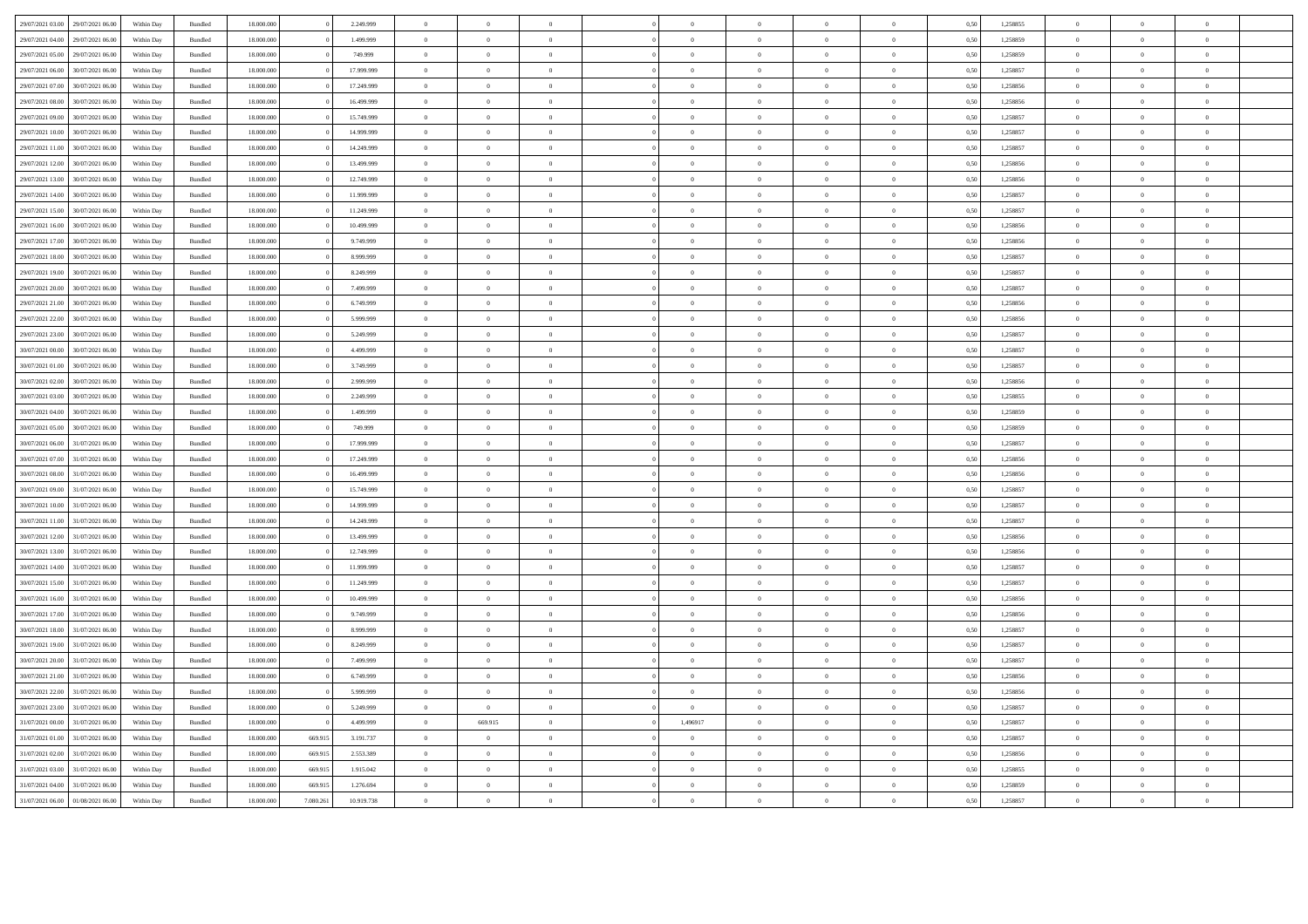| 29/07/2021 03.00 | 29/07/2021 06.00 | Within Day | Bundled            | 18.000.000 |           | 2.249.999  | $\overline{0}$    |                |                |                |                |                |                | 0,50 | 1,258855 | $\theta$       |                |                |  |
|------------------|------------------|------------|--------------------|------------|-----------|------------|-------------------|----------------|----------------|----------------|----------------|----------------|----------------|------|----------|----------------|----------------|----------------|--|
| 29/07/2021 04:00 | 29/07/2021 06.0  | Within Day | Bundled            | 18.000.000 |           | 1.499.999  | $\,$ 0 $\,$       | $\bf{0}$       | $\overline{0}$ |                | $\bf{0}$       | $\,$ 0 $\,$    |                | 0,50 | 1,258859 | $\,$ 0 $\,$    | $\overline{0}$ |                |  |
| 29/07/2021 05:00 | 29/07/2021 06.00 | Within Day | Bundled            | 18.000.000 |           | 749.999    | $\bf{0}$          | $\bf{0}$       | $\overline{0}$ | $\overline{0}$ | $\,$ 0 $\,$    | $\bf{0}$       | $\bf{0}$       | 0,50 | 1,258859 | $\overline{0}$ | $\bf{0}$       | $\overline{0}$ |  |
| 29/07/2021 06:00 | 30/07/2021 06:00 | Within Dav | <b>Bundled</b>     | 18 000 000 |           | 17 999 999 | $\overline{0}$    | $\overline{0}$ | $\theta$       | $\sqrt{2}$     | $\theta$       | $\Omega$       | $\theta$       | 0.50 | 1.258857 | $\theta$       | $\theta$       | $\sqrt{2}$     |  |
| 29/07/2021 07:00 | 30/07/2021 06:00 | Within Day | <b>Bundled</b>     | 18.000.000 |           | 17 249 999 | $\overline{0}$    | $\overline{0}$ | $\theta$       | $\Omega$       | $\mathbf{0}$   | $\theta$       | $\overline{0}$ | 0.50 | 1.258856 | $\overline{0}$ | $\theta$       | $\theta$       |  |
| 29/07/2021 08:00 | 30/07/2021 06:00 | Within Day | <b>Bundled</b>     | 18 000 000 |           | 16 499 999 | $\theta$          | $\overline{0}$ | $\theta$       | $\sqrt{2}$     | $\theta$       | $\Omega$       | $\theta$       | 0.50 | 1.258856 | $\Omega$       | $\Omega$       | $\Omega$       |  |
| 29/07/2021 09:00 | 30/07/2021 06:00 | Within Day | $\mathbf B$ undled | 18.000.000 |           | 15.749.999 | $\hspace{0.1cm}0$ | $\overline{0}$ | $\overline{0}$ | $\overline{0}$ | $\,$ 0 $\,$    | $\overline{0}$ | $\,$ 0 $\,$    | 0,50 | 1,258857 | $\overline{0}$ | $\,$ 0 $\,$    | $\,$ 0 $\,$    |  |
| 29/07/2021 10:00 | 30/07/2021 06.00 | Within Day | $\mathbf B$ undled | 18.000.000 |           | 14.999.999 | $\overline{0}$    | $\overline{0}$ | $\theta$       | $\overline{0}$ | $\overline{0}$ | $\theta$       |                | 0,50 | 1,258857 | $\overline{0}$ | $\overline{0}$ | $\overline{0}$ |  |
| 29/07/2021 11:00 | 30/07/2021 06:00 | Within Day | <b>Bundled</b>     | 18.000.000 |           | 14.249.999 | $\overline{0}$    | $\overline{0}$ | $\overline{0}$ | $\overline{0}$ | $\,$ 0 $\,$    | $\overline{0}$ | $\overline{0}$ | 0,50 | 1,258857 | $\,$ 0 $\,$    | $\overline{0}$ | $\overline{0}$ |  |
| 29/07/2021 12:00 | 30/07/2021 06:00 | Within Day | Bundled            | 18,000,000 |           | 13,499,999 | $\overline{0}$    | $\theta$       | $\theta$       | $\Omega$       | $\mathbf{0}$   | $\Omega$       | $\theta$       | 0.50 | 1.258856 | $\overline{0}$ | $\theta$       | $\theta$       |  |
| 29/07/2021 13:00 | 30/07/2021 06:00 | Within Day | Bundled            | 18,000,000 |           | 12,749.999 | $\overline{0}$    | $\overline{0}$ | $\overline{0}$ | $\overline{0}$ | $\bf{0}$       | $\overline{0}$ | $\overline{0}$ | 0.50 | 1.258856 | $\overline{0}$ | $\Omega$       | $\overline{0}$ |  |
| 29/07/2021 14:00 | 30/07/2021 06:00 | Within Day | <b>Bundled</b>     | 18 000 000 |           | 11 999 999 | $\theta$          | $\Omega$       | $\theta$       | $\Omega$       | $\theta$       | $\Omega$       | $\theta$       | 0.50 | 1.258857 | $\overline{0}$ | $\Omega$       | $\theta$       |  |
| 29/07/2021 15:00 | 30/07/2021 06:00 | Within Dav | Bundled            | 18.000.000 |           | 11.249.999 | $\overline{0}$    | $\overline{0}$ | $\overline{0}$ | $\theta$       | $\overline{0}$ | $\theta$       | $\theta$       | 0.50 | 1.258857 | $\overline{0}$ | $\Omega$       | $\theta$       |  |
| 29/07/2021 16:00 | 30/07/2021 06:00 | Within Day | Bundled            | 18.000.000 |           | 10.499.999 | $\,$ 0 $\,$       | $\overline{0}$ | $\overline{0}$ | $\Omega$       | $\overline{0}$ | $\theta$       | $\theta$       | 0,50 | 1,258856 | $\overline{0}$ | $\overline{0}$ | $\theta$       |  |
| 29/07/2021 17:00 | 30/07/2021 06:00 | Within Day | $\mathbf B$ undled | 18.000.000 |           | 9.749.999  | $\,$ 0 $\,$       | $\overline{0}$ | $\overline{0}$ |                | $\bf{0}$       | $\theta$       | $\overline{0}$ | 0,50 | 1,258856 | $\overline{0}$ | $\overline{0}$ |                |  |
| 29/07/2021 18:00 | 30/07/2021 06.0  | Within Day | Bundled            | 18.000.000 |           | 8.999.999  | $\bf{0}$          | $\bf{0}$       | $\overline{0}$ | $\overline{0}$ | $\bf{0}$       | $\,$ 0 $\,$    | $\bf{0}$       | 0,50 | 1,258857 | $\overline{0}$ | $\bf{0}$       |                |  |
| 29/07/2021 19:00 | 30/07/2021 06.0  | Within Day | $\mathbf B$ undled | 18.000.000 |           | 8.249.999  | $\bf{0}$          | $\overline{0}$ | $\overline{0}$ | $\Omega$       | $\overline{0}$ | $\theta$       | $\overline{0}$ | 0,50 | 1,258857 | $\overline{0}$ | $\Omega$       |                |  |
| 29/07/2021 20:00 | 30/07/2021 06:00 | Within Day | Bundled            | 18,000,000 |           | 7.499.999  | $\,$ 0 $\,$       | $\overline{0}$ | $\theta$       | $\Omega$       | $\mathbf{0}$   | $\theta$       | $\overline{0}$ | 0.50 | 1,258857 | $\overline{0}$ | $\theta$       | $\theta$       |  |
| 29/07/2021 21:00 | 30/07/2021 06:00 | Within Day | Bundled            | 18,000,000 |           | 6.749.999  | $\overline{0}$    | $\overline{0}$ | $\overline{0}$ | $\overline{0}$ | $\mathbf{0}$   | $\overline{0}$ | $\overline{0}$ | 0.50 | 1.258856 | $\overline{0}$ | $\overline{0}$ | $\Omega$       |  |
| 29/07/2021 22:00 | 30/07/2021 06:00 | Within Dav | Bundled            | 18,000,000 |           | 5.999.999  | $\overline{0}$    | $\overline{0}$ | $\overline{0}$ | $\overline{0}$ | $\mathbf{0}$   | $\overline{0}$ | $\overline{0}$ | 0.50 | 1.258856 | $\overline{0}$ | $\overline{0}$ | $\overline{0}$ |  |
| 29/07/2021 23:00 | 30/07/2021 06:00 | Within Dav | Bundled            | 18,000,000 |           | 5.249.999  | $\overline{0}$    | $\overline{0}$ | $\theta$       | $\Omega$       | $\overline{0}$ | $\theta$       | $\theta$       | 0.50 | 1.258857 | $\overline{0}$ | $\Omega$       | $\theta$       |  |
| 30/07/2021 00:00 | 30/07/2021 06:00 | Within Day | $\mathbf B$ undled | 18.000.000 |           | 4.499.999  | $\hspace{0.1cm}0$ | $\overline{0}$ | $\overline{0}$ | $\overline{0}$ | $\,$ 0 $\,$    | $\,$ 0         | $\overline{0}$ | 0,50 | 1,258857 | $\,$ 0 $\,$    | $\overline{0}$ | $\overline{0}$ |  |
| 30/07/2021 01:00 | 30/07/2021 06:00 | Within Day | Bundled            | 18.000.000 |           | 3.749.999  | $\,$ 0 $\,$       | $\theta$       | $\theta$       | $\overline{0}$ | $\,$ 0 $\,$    | $\,0\,$        | $\overline{0}$ | 0,50 | 1,258857 | $\overline{0}$ | $\,$ 0 $\,$    | $\overline{0}$ |  |
| 30/07/2021 02:00 | 30/07/2021 06:00 | Within Day | Bundled            | 18.000.000 |           | 2.999.999  | $\overline{0}$    | $\bf{0}$       | $\overline{0}$ | $\overline{0}$ | $\bf{0}$       | $\overline{0}$ | $\overline{0}$ | 0,50 | 1,258856 | $\overline{0}$ | $\overline{0}$ | $\mathbf{0}$   |  |
| 30/07/2021 03:00 | 30/07/2021 06:00 | Within Day | <b>Bundled</b>     | 18 000 000 |           | 2.249.999  | $\theta$          | $\Omega$       | $\theta$       | $\Omega$       | $\theta$       | $\Omega$       | $\theta$       | 0.50 | 1.258855 | $\Omega$       | $\Omega$       | $\theta$       |  |
| 30/07/2021 04:00 | 30/07/2021 06:00 | Within Day | <b>Bundled</b>     | 18 000 000 |           | 1 499 999  | $\Omega$          | $\theta$       | $\theta$       | $\Omega$       | $\theta$       | $\Omega$       | $\theta$       | 0.50 | 1.258859 | $\overline{0}$ | $\Omega$       | $\theta$       |  |
| 30/07/2021 05:00 | 30/07/2021 06:00 | Within Dav | Bundled            | 18,000,000 |           | 749,999    | $\overline{0}$    | $\overline{0}$ | $\overline{0}$ | $\sqrt{2}$     | $\bf{0}$       | $\overline{0}$ | $\mathbf{a}$   | 0.50 | 1.258859 | $\overline{0}$ | $\overline{0}$ | $\theta$       |  |
| 30/07/2021 06:00 | 31/07/2021 06:00 | Within Day | $\mathbf B$ undled | 18.000.000 |           | 17.999.999 | $\overline{0}$    | $\overline{0}$ | $\overline{0}$ |                | $\bf{0}$       | $\theta$       | $\bf{0}$       | 0,50 | 1,258857 | $\overline{0}$ | $\overline{0}$ |                |  |
| 30/07/2021 07:00 | 31/07/2021 06:00 | Within Day | Bundled            | 18.000.000 |           | 17.249.999 | $\overline{0}$    | $\overline{0}$ | $\theta$       | $\overline{0}$ | $\overline{0}$ | $\theta$       | $\overline{0}$ | 0,50 | 1,258856 | $\overline{0}$ | $\overline{0}$ | $\overline{0}$ |  |
| 30/07/2021 08:00 | 31/07/2021 06.0  | Within Day | $\mathbf B$ undled | 18.000.000 |           | 16.499.999 | $\overline{0}$    | $\overline{0}$ | $\overline{0}$ |                | $\bf{0}$       | $\theta$       | $\overline{0}$ | 0,50 | 1,258856 | $\mathbf{0}$   | $\theta$       |                |  |
| 30/07/2021 09:00 | 31/07/2021 06.00 | Within Day | Bundled            | 18.000.000 |           | 15.749.999 | $\,$ 0 $\,$       | $\bf{0}$       | $\overline{0}$ | $\overline{0}$ | $\bf{0}$       | $\,$ 0 $\,$    | $\,$ 0         | 0,50 | 1,258857 | $\,$ 0 $\,$    | $\overline{0}$ |                |  |
| 30/07/2021 10:00 | 31/07/2021 06:00 | Within Day | Bundled            | 18,000,000 |           | 14,999,999 | $\theta$          | $\theta$       | $\theta$       | $\Omega$       | $\theta$       | $\theta$       | $\theta$       | 0.50 | 1.258857 | $\overline{0}$ | $\theta$       | $\sqrt{2}$     |  |
| 30/07/2021 11:00 | 31/07/2021 06:00 | Within Day | <b>Bundled</b>     | 18.000.000 |           | 14.249.999 | $\overline{0}$    | $\overline{0}$ | $\theta$       | $\Omega$       | $\overline{0}$ | $\overline{0}$ | $\overline{0}$ | 0.50 | 1.258857 | $\overline{0}$ | $\Omega$       | $\theta$       |  |
| 30/07/2021 12:00 | 31/07/2021 06:00 | Within Day | <b>Bundled</b>     | 18.000.000 |           | 13 499 999 | $\Omega$          | $\overline{0}$ | $\theta$       | $\Omega$       | $\theta$       | $\Omega$       | $\theta$       | 0.50 | 1.258856 | $\theta$       | $\theta$       | $\theta$       |  |
| 30/07/2021 13:00 | 31/07/2021 06:00 | Within Day | $\mathbf B$ undled | 18.000.000 |           | 12.749.999 | $\overline{0}$    | $\overline{0}$ | $\overline{0}$ | $\overline{0}$ | $\,$ 0 $\,$    | $\overline{0}$ | $\,$ 0 $\,$    | 0,50 | 1,258856 | $\overline{0}$ | $\overline{0}$ | $\,$ 0 $\,$    |  |
| 30/07/2021 14:00 | 31/07/2021 06:00 | Within Day | $\mathbf B$ undled | 18.000.000 |           | 11.999.999 | $\,$ 0 $\,$       | $\overline{0}$ | $\overline{0}$ | $\overline{0}$ | $\,$ 0 $\,$    | $\overline{0}$ | $\overline{0}$ | 0,50 | 1,258857 | $\overline{0}$ | $\overline{0}$ | $\overline{0}$ |  |
| 30/07/2021 15:00 | 31/07/2021 06:00 | Within Day | Bundled            | 18.000.000 |           | 11.249.999 | $\,$ 0 $\,$       | $\theta$       | $\overline{0}$ | $\overline{0}$ | $\,$ 0 $\,$    | $\overline{0}$ | $\,$ 0 $\,$    | 0,50 | 1,258857 | $\overline{0}$ | $\overline{0}$ | $\overline{0}$ |  |
| 30/07/2021 16:00 | 31/07/2021 06:00 | Within Day | $\mathbf B$ undled | 18.000.000 |           | 10.499.999 | $\overline{0}$    | $\theta$       | $\Omega$       | $\Omega$       | $\bf{0}$       | $\theta$       | $\theta$       | 0.50 | 1,258856 | $\overline{0}$ | $\overline{0}$ | $\theta$       |  |
| 30/07/2021 17:00 | 31/07/2021 06.00 | Within Day | <b>Bundled</b>     | 18 000 000 |           | 9 749 999  | $\overline{0}$    | $\theta$       | $\overline{0}$ | $\overline{0}$ | $\mathbf 0$    | $\overline{0}$ | $\bf{0}$       | 0.50 | 1,258856 | $\overline{0}$ | $\Omega$       | $\theta$       |  |
| 30/07/2021 18:00 | 31/07/2021 06:00 | Within Day | Bundled            | 18.000.000 |           | 8 999 999  | $\theta$          | $\Omega$       | $\theta$       | $\Omega$       | $\overline{0}$ | $\Omega$       | $\theta$       | 0.50 | 1.258857 | $\overline{0}$ | $\Omega$       | $\theta$       |  |
| 30/07/2021 19:00 | 31/07/2021 06:00 | Within Dav | Bundled            | 18,000,000 |           | 8.249.999  | $\overline{0}$    | $\overline{0}$ | $\overline{0}$ | $\theta$       | $\overline{0}$ | $\theta$       | $\overline{0}$ | 0.50 | 1.258857 | $\overline{0}$ | $\overline{0}$ | $\theta$       |  |
| 30/07/2021 20:00 | 31/07/2021 06:00 | Within Dav | Bundled            | 18.000.000 |           | 7.499.999  | $\overline{0}$    | $\overline{0}$ | $\overline{0}$ | $\theta$       | $\overline{0}$ | $\overline{0}$ | $\theta$       | 0.50 | 1,258857 | $\overline{0}$ | $\overline{0}$ | $\theta$       |  |
| 30/07/2021 21:00 | 31/07/2021 06:00 | Within Day | $\mathbf B$ undled | 18.000.000 |           | 6.749.999  | $\,$ 0 $\,$       | $\bf{0}$       | $\overline{0}$ | $\Omega$       | $\,$ 0 $\,$    | $\,$ 0 $\,$    | $\mathbf{0}$   | 0,50 | 1,258856 | $\overline{0}$ | $^{\circ}$     |                |  |
| 30/07/2021 22.00 | 31/07/2021 06.00 | Within Day | Bundled            | 18.000.000 |           | 5.999.999  | $\,$ 0 $\,$       | $\theta$       | $\overline{0}$ | $\overline{0}$ | $\bf{0}$       | $\,$ 0 $\,$    | $\,$ 0         | 0,50 | 1,258856 | $\,$ 0 $\,$    | $\,$ 0 $\,$    |                |  |
| 30/07/2021 23:00 | 31/07/2021 06.0  | Within Day | Bundled            | 18.000.000 |           | 5.249.999  | $\bf{0}$          | $\overline{0}$ | $\overline{0}$ | $\Omega$       | $\bf{0}$       | $\theta$       | $\theta$       | 0,50 | 1,258857 | $\overline{0}$ | $\Omega$       |                |  |
| 31/07/2021 00:00 | 31/07/2021 06.00 | Within Day | Bundled            | 18.000.000 |           | 4.499.999  | $\overline{0}$    | 669.915        | $\overline{0}$ | 1,496917       | $\,$ 0 $\,$    | $\theta$       | $\overline{0}$ | 0.50 | 1,258857 | $\overline{0}$ | $\overline{0}$ | $\theta$       |  |
| 31/07/2021 01:00 | 31/07/2021 06:00 | Within Day | <b>Bundled</b>     | 18.000.000 | 669.91    | 3 191 737  | $\theta$          | $\overline{0}$ | $\theta$       | $\Omega$       | $\theta$       | $\overline{0}$ | $\theta$       | 0.50 | 1.258857 | $\theta$       | $\theta$       | $\theta$       |  |
| 31/07/2021 02.00 | 31/07/2021 06:00 | Within Day | Bundled            | 18,000,000 | 669.91    | 2.553.389  | $\overline{0}$    | $\overline{0}$ | $\overline{0}$ | $\overline{0}$ | $\mathbf{0}$   | $\overline{0}$ | $\overline{0}$ | 0.50 | 1.258856 | $\overline{0}$ | $\overline{0}$ | $\overline{0}$ |  |
| 31/07/2021 03:00 | 31/07/2021 06:00 | Within Dav | Bundled            | 18,000,000 | 669.91    | 1.915.042  | $\overline{0}$    | $\overline{0}$ | $\Omega$       | $\theta$       | $\overline{0}$ | $\Omega$       | $\theta$       | 0.50 | 1.258855 | $\overline{0}$ | $\overline{0}$ | $\theta$       |  |
| 31/07/2021 04:00 | 31/07/2021 06:00 | Within Day | Bundled            | 18.000.000 | 669.91    | 1.276.694  | $\,$ 0 $\,$       | $\theta$       | $\overline{0}$ | $\overline{0}$ | $\,$ 0 $\,$    | $\overline{0}$ | $\overline{0}$ | 0,50 | 1,258859 | $\overline{0}$ | $\overline{0}$ | $\overline{0}$ |  |
| 31/07/2021 06:00 | 01/08/2021 06:00 | Within Day | Bundled            | 18.000.000 | 7.080.261 | 10.919.738 | $\,$ 0 $\,$       | $\overline{0}$ | $\Omega$       | $\overline{0}$ | $\mathbf{0}$   | $\theta$       |                | 0,50 | 1,258857 | $\overline{0}$ | $\overline{0}$ | $\overline{0}$ |  |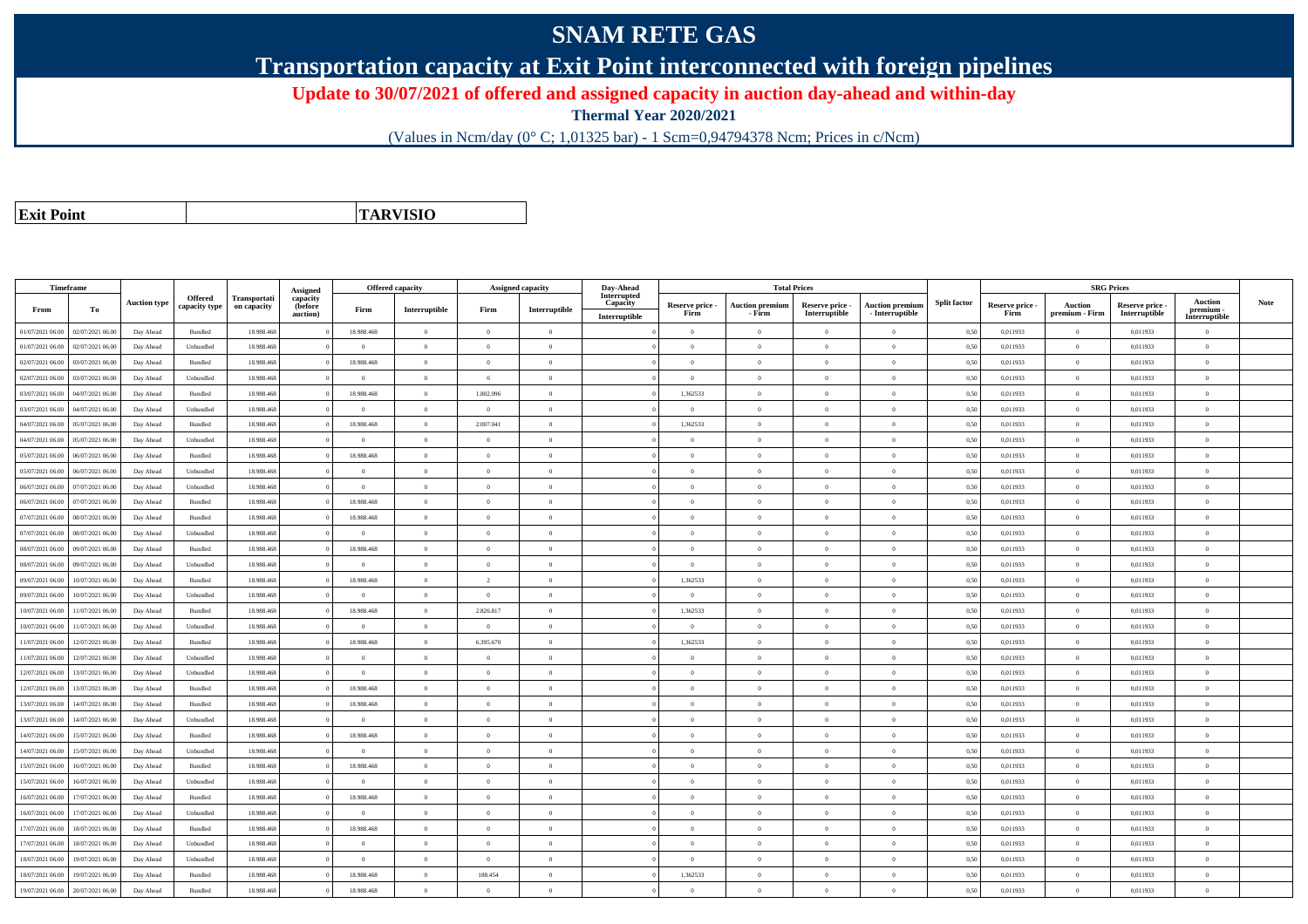## **SNAM RETE GAS**

**Transportation capacity at Exit Point interconnected with foreign pipelines**

**Update to 30/07/2021 of offered and assigned capacity in auction day-ahead and within-day**

**Thermal Year 2020/2021**

(Values in Ncm/day (0° C; 1,01325 bar) - 1 Scm=0,94794378 Ncm; Prices in c/Ncm)

**Exit Point**

**TARVISIO**

|                  | Timeframe        |                     |                |              |                             |                | Offered capacity |                | Assigned capacity | Day-Ahead               |                         | <b>Total Prices</b>              |                                  |                                           |                     |                         | <b>SRG Prices</b>                |                                  |                            |             |
|------------------|------------------|---------------------|----------------|--------------|-----------------------------|----------------|------------------|----------------|-------------------|-------------------------|-------------------------|----------------------------------|----------------------------------|-------------------------------------------|---------------------|-------------------------|----------------------------------|----------------------------------|----------------------------|-------------|
|                  |                  | <b>Auction type</b> | <b>Offered</b> | Transportati | <b>Assigned</b><br>capacity |                |                  |                |                   | Interrupted<br>Capacity |                         |                                  |                                  |                                           | <b>Split factor</b> |                         |                                  |                                  | <b>Auction</b>             | <b>Note</b> |
| From             | To               |                     | capacity type  | on capacity  | (before<br>auction)         | Firm           | Interruptible    | Firm           | Interruptible     | Interruptible           | Reserve price -<br>Firm | <b>Auction premium</b><br>- Firm | Reserve price -<br>Interruptible | <b>Auction premiun</b><br>- Interruptible |                     | Reserve price -<br>Firm | <b>Auction</b><br>premium - Firm | Reserve price -<br>Interruptible | premium -<br>Interruptible |             |
| 01/07/2021 06:00 | 02/07/2021 06:00 | Day Ahead           | Bundled        | 18.988.468   |                             | 18,988,468     | $\overline{0}$   | $\overline{0}$ | $\overline{0}$    |                         | $\Omega$                | $\theta$                         | $\overline{0}$                   | $\theta$                                  | 0.50                | 0,011933                | $\theta$                         | 0,011933                         | $\Omega$                   |             |
| 01/07/2021 06:00 | 02/07/2021 06:00 | Day Ahead           | Unbundled      | 18.988.468   |                             | $\theta$       | $\overline{0}$   | $\theta$       | $\Omega$          |                         | $\Omega$                | $\theta$                         | $\Omega$                         | $\Omega$                                  | 0,50                | 0,011933                | $\overline{0}$                   | 0,011933                         | $\theta$                   |             |
| 02/07/2021 06:00 | 03/07/2021 06:00 | Day Ahead           | Bundled        | 18.988.468   |                             | 18.988.468     | $\overline{0}$   | $\theta$       | $\Omega$          |                         | $\Omega$                | $\theta$                         | $\Omega$                         | $\Omega$                                  | 0,50                | 0,011933                | $\overline{0}$                   | 0,011933                         | $\Omega$                   |             |
| 02/07/2021 06:00 | 03/07/2021 06:00 | Day Ahead           | Unbundled      | 18.988.468   |                             | $\theta$       | $\overline{0}$   | $\overline{0}$ | $\overline{0}$    |                         | $\Omega$                | $\theta$                         | $\Omega$                         | $\Omega$                                  | 0,50                | 0,011933                | $\overline{0}$                   | 0,011933                         | $\Omega$                   |             |
| 03/07/2021 06:00 | 04/07/2021 06:00 | Day Ahead           | Bundled        | 18.988.468   |                             | 18.988.468     | $\overline{0}$   | 1.802.096      | $\Omega$          |                         | 1,362533                | $\theta$                         | $\overline{0}$                   | $\mathbf{0}$                              | 0,50                | 0,011933                | $\overline{0}$                   | 0,011933                         | $\Omega$                   |             |
| 03/07/2021 06:00 | 04/07/2021 06:00 | Day Ahead           | Unbundled      | 18,988,468   |                             | $\theta$       | $\overline{0}$   | $\overline{0}$ | $\overline{0}$    |                         | $\overline{0}$          | $\theta$                         | $\overline{0}$                   | $\overline{0}$                            | 0.50                | 0.011933                | $\overline{0}$                   | 0.011933                         | $\theta$                   |             |
| 04/07/2021 06:00 | 05/07/2021 06:00 | Day Ahead           | Bundled        | 18.988.468   |                             | 18.988.468     | $\overline{0}$   | 2.007.041      | $\overline{0}$    |                         | 1,362533                | $\theta$                         | $\overline{0}$                   | $\overline{0}$                            | 0,50                | 0,011933                | $\overline{0}$                   | 0,011933                         | $\Omega$                   |             |
| 04/07/2021 06:00 | 05/07/2021 06:00 | Day Ahead           | Unbundled      | 18.988.468   |                             | $\theta$       | $\overline{0}$   | $\theta$       | $\overline{0}$    |                         | $\Omega$                | $\theta$                         | $\overline{0}$                   | $\Omega$                                  | 0,50                | 0,011933                | $\overline{0}$                   | 0,011933                         | $\Omega$                   |             |
| 05/07/2021 06:00 | 06/07/2021 06:00 | Day Ahead           | Bundled        | 18,988,468   |                             | 18,988,468     | $\overline{0}$   | $\Omega$       | $\Omega$          |                         | $\Omega$                | $\theta$                         | $\Omega$                         | $\Omega$                                  | 0.50                | 0,011933                | $\overline{0}$                   | 0.011933                         | $\theta$                   |             |
| 05/07/2021 06:00 | 06/07/2021 06:00 | Day Ahead           | Unbundled      | 18.988.468   |                             | $\overline{0}$ | $\overline{0}$   | $\overline{0}$ | $\overline{0}$    |                         | $\theta$                |                                  | $\overline{0}$                   | $\theta$                                  | 0,50                | 0,011933                | $\theta$                         | 0,011933                         | $\bf{0}$                   |             |
| 06/07/2021 06:00 | 07/07/2021 06:00 | Day Ahead           | Unbundled      | 18.988.468   |                             | $\overline{0}$ | $\overline{0}$   | $\overline{0}$ | $\overline{0}$    |                         | $\overline{0}$          | $\theta$                         | $\overline{0}$                   | $\overline{0}$                            | 0,50                | 0,011933                | $\overline{0}$                   | 0,011933                         | $\Omega$                   |             |
| 06/07/2021 06:00 | 07/07/2021 06:00 | Day Ahead           | Bundled        | 18,988,468   |                             | 18,988,468     | $\overline{0}$   | $\Omega$       | $\overline{0}$    |                         | $\overline{0}$          | $\mathbf{a}$                     | $\overline{0}$                   | $\overline{0}$                            | 0.50                | 0.011933                | $\overline{0}$                   | 0.011933                         | $\Omega$                   |             |
| 07/07/2021 06:00 | 08/07/2021 06:00 | Day Ahead           | Bundled        | 18.988.468   |                             | 18.988.468     | $\overline{0}$   | $\overline{0}$ | $\Omega$          |                         | $\Omega$                | $\theta$                         | $\overline{0}$                   | $\theta$                                  | 0.50                | 0,011933                | $\overline{0}$                   | 0,011933                         | $\theta$                   |             |
| 07/07/2021 06:00 | 08/07/2021 06:00 | Day Ahead           | Unbundled      | 18.988.468   |                             | $\overline{0}$ | $\overline{0}$   | $\overline{0}$ | $\overline{0}$    |                         | $\overline{0}$          | $\theta$                         | $\overline{0}$                   | $\overline{0}$                            | 0,50                | 0,011933                | $\overline{0}$                   | 0,011933                         | $\bf{0}$                   |             |
| 08/07/2021 06:00 | 09/07/2021 06:00 | Day Ahead           | Bundled        | 18.988.468   |                             | 18.988.468     | $\overline{0}$   | $\theta$       | $\Omega$          |                         | $\Omega$                | $\theta$                         | $\overline{0}$                   | $\Omega$                                  | 0,50                | 0,011933                | $\overline{0}$                   | 0,011933                         | $\Omega$                   |             |
| 08/07/2021 06:00 | 09/07/2021 06:00 | Day Ahead           | Unbundled      | 18.988.468   |                             | $\theta$       | $\theta$         | $\Omega$       | $\Omega$          |                         | $\Omega$                |                                  | $\Omega$                         | $\theta$                                  | 0,50                | 0,011933                | $\Omega$                         | 0,011933                         | $\Omega$                   |             |
| 09/07/2021 06:00 | 10/07/2021 06:00 | Day Ahead           | Bundled        | 18.988.468   |                             | 18.988.468     | $\overline{0}$   | $\overline{2}$ | $\overline{0}$    |                         | 1,362533                | $\theta$                         | $\overline{0}$                   | $\overline{0}$                            | 0,50                | 0,011933                | $\overline{0}$                   | 0,011933                         | $\bf{0}$                   |             |
| 09/07/2021 06:00 | 10/07/2021 06:00 | Day Ahead           | Unbundled      | 18.988.468   |                             | $\overline{0}$ | $\overline{0}$   | $\overline{0}$ | $\overline{0}$    |                         | $\overline{0}$          | $\mathbf{0}$                     | $\overline{0}$                   | $\overline{0}$                            | 0,50                | 0,011933                | $\overline{0}$                   | 0,011933                         | $\overline{0}$             |             |
| 10/07/2021 06:00 | 11/07/2021 06.00 | Day Ahead           | Bundled        | 18.988.468   |                             | 18.988.468     | $\overline{0}$   | 2.826.817      | $\overline{0}$    |                         | 1,362533                |                                  | $\overline{0}$                   | $\mathbf{0}$                              | 0,50                | 0,011933                | $\overline{0}$                   | 0,011933                         | $\Omega$                   |             |
| 10/07/2021 06:00 | 11/07/2021 06:00 | Day Ahead           | Unbundled      | 18,988,468   |                             | $\overline{0}$ | $\overline{0}$   | $\overline{0}$ | $\overline{0}$    |                         | $\overline{0}$          | $\theta$                         | $\overline{0}$                   | $\overline{0}$                            | 0.50                | 0.011933                | $\overline{0}$                   | 0.011933                         | $\bf{0}$                   |             |
| 11/07/2021 06:00 | 12/07/2021 06.00 | Day Ahead           | Bundled        | 18.988.468   |                             | 18.988.468     | $\overline{0}$   | 6.395.670      | $\overline{0}$    |                         | 1,362533                | $\theta$                         | $\overline{0}$                   | $\mathbf{0}$                              | 0,50                | 0,011933                | $\overline{0}$                   | 0,011933                         | $\Omega$                   |             |
| 11/07/2021 06:00 | 12/07/2021 06:00 | Day Ahead           | Unbundled      | 18.988.468   |                             | $\theta$       | $\overline{0}$   | $\Omega$       | $\Omega$          |                         | $\Omega$                |                                  | $\Omega$                         | $\theta$                                  | 0,50                | 0,011933                | $\theta$                         | 0,011933                         | $\theta$                   |             |
| 12/07/2021 06:00 | 13/07/2021 06:00 | Day Ahead           | Unbundled      | 18,988,468   |                             | $\theta$       | $\overline{0}$   | $\Omega$       | $\Omega$          |                         | $\Omega$                | $\Omega$                         | $\theta$                         | $\theta$                                  | 0,50                | 0,011933                | $\overline{0}$                   | 0.011933                         | $\theta$                   |             |
| 12/07/2021 06:00 | 13/07/2021 06:00 | Day Ahead           | Bundled        | 18.988.468   |                             | 18.988.468     | $\overline{0}$   | $\overline{0}$ | $\overline{0}$    |                         | $\overline{0}$          | $\overline{0}$                   | $\overline{0}$                   | $\bf{0}$                                  | 0,50                | 0,011933                | $\overline{0}$                   | 0,011933                         | $\bf{0}$                   |             |
| 13/07/2021 06:00 | 14/07/2021 06.00 | Day Ahead           | Bundled        | 18.988.468   |                             | 18.988.468     | $\overline{0}$   | $\overline{0}$ | $\overline{0}$    |                         | $\Omega$                |                                  | $\overline{0}$                   | $\mathbf{0}$                              | 0,50                | 0,011933                | $\overline{0}$                   | 0,011933                         | $\Omega$                   |             |
| 13/07/2021 06:00 | 14/07/2021 06:00 | Day Ahead           | Unbundled      | 18,988,468   |                             | $\theta$       | $\overline{0}$   | $\overline{0}$ | $\Omega$          |                         | $\Omega$                | $\theta$                         | $\overline{0}$                   | $\theta$                                  | 0.50                | 0.011933                | $\overline{0}$                   | 0.011933                         | $\theta$                   |             |
| 14/07/2021 06:00 | 15/07/2021 06:00 | Day Ahead           | Bundled        | 18.988.468   |                             | 18.988.468     | $\overline{0}$   | $\theta$       | $\Omega$          |                         | $\Omega$                | $\theta$                         | $\overline{0}$                   | $\Omega$                                  | 0,50                | 0,011933                | $\overline{0}$                   | 0,011933                         | $\Omega$                   |             |
| 14/07/2021 06:00 | 15/07/2021 06:00 | Day Ahead           | Unbundled      | 18.988.468   |                             | $\theta$       | $\overline{0}$   | $\Omega$       | $\Omega$          |                         | $\Omega$                |                                  | $\theta$                         | $\theta$                                  | 0,50                | 0,011933                | $\overline{0}$                   | 0,011933                         | $\theta$                   |             |
| 15/07/2021 06:00 | 16/07/2021 06:00 | Day Ahead           | Bundled        | 18.988.468   |                             | 18.988.468     | $\overline{0}$   | $\overline{0}$ | $\overline{0}$    |                         | $\overline{0}$          | $\theta$                         | $\overline{0}$                   | $\overline{0}$                            | 0,50                | 0,011933                | $\overline{0}$                   | 0,011933                         | $\theta$                   |             |
| 15/07/2021 06:00 | 16/07/2021 06:00 | Day Ahead           | Unbundled      | 18.988.468   |                             | $\overline{0}$ | $\overline{0}$   | $\overline{0}$ | $\overline{0}$    |                         | $\overline{0}$          | $\theta$                         | $\overline{0}$                   | $\mathbf{0}$                              | 0,50                | 0,011933                | $\overline{0}$                   | 0,011933                         | $\bf{0}$                   |             |
| 16/07/2021 06:00 | 17/07/2021 06:00 | Day Ahead           | Bundled        | 18,988,468   |                             | 18,988,468     | $\overline{0}$   | $\overline{0}$ | $\overline{0}$    |                         | $\theta$                |                                  | $\overline{0}$                   | $\mathbf{0}$                              | 0.50                | 0.011933                | $\overline{0}$                   | 0.011933                         | $\theta$                   |             |
| 16/07/2021 06:00 | 17/07/2021 06:00 | Day Ahead           | Unbundled      | 18,988,468   |                             | $\theta$       | $\overline{0}$   | $\overline{0}$ | $\Omega$          |                         | $\Omega$                | $\theta$                         | $\overline{0}$                   | $\theta$                                  | 0.50                | 0,011933                | $\overline{0}$                   | 0.011933                         | $\Omega$                   |             |
| 17/07/2021 06:00 | 18/07/2021 06:00 | Day Ahead           | Bundled        | 18.988.468   |                             | 18.988.468     | $\overline{0}$   | $\overline{0}$ | $\overline{0}$    |                         | $\Omega$                | $\theta$                         | $\overline{0}$                   | $\Omega$                                  | 0,50                | 0,011933                | $\overline{0}$                   | 0,011933                         | $\Omega$                   |             |
| 17/07/2021 06:00 | 18/07/2021 06:00 | Day Ahead           | Unbundled      | 18,988,468   |                             | $\theta$       | $\overline{0}$   | $\Omega$       | $\Omega$          |                         | $\theta$                |                                  | $\Omega$                         | $\theta$                                  | 0.50                | 0.011933                | $\Omega$                         | 0.011933                         | $\theta$                   |             |
| 18/07/2021 06:00 | 19/07/2021 06:00 | Day Ahead           | Unbundled      | 18.988.468   |                             | $\overline{0}$ | $\overline{0}$   | $\overline{0}$ | $\overline{0}$    |                         | $\overline{0}$          | $\theta$                         | $\overline{0}$                   | $\overline{0}$                            | 0,50                | 0,011933                | $\overline{0}$                   | 0,011933                         | $\bf{0}$                   |             |
| 18/07/2021 06:00 | 19/07/2021 06:00 | Day Ahead           | Bundled        | 18.988.468   |                             | 18.988.468     | $\overline{0}$   | 188.454        | $\overline{0}$    |                         | 1,362533                | $\theta$                         | $\overline{0}$                   | $\mathbf{0}$                              | 0,50                | 0,011933                | $\overline{0}$                   | 0,011933                         | $\bf{0}$                   |             |
| 19/07/2021 06:00 | 20/07/2021 06:00 | Day Ahead           | Bundled        | 18,988,468   |                             | 18,988,468     | $\theta$         | $\Omega$       | $\Omega$          |                         | $\Omega$                |                                  | $\Omega$                         | $\Omega$                                  | 0,50                | 0.011933                | $\Omega$                         | 0.011933                         | $\theta$                   |             |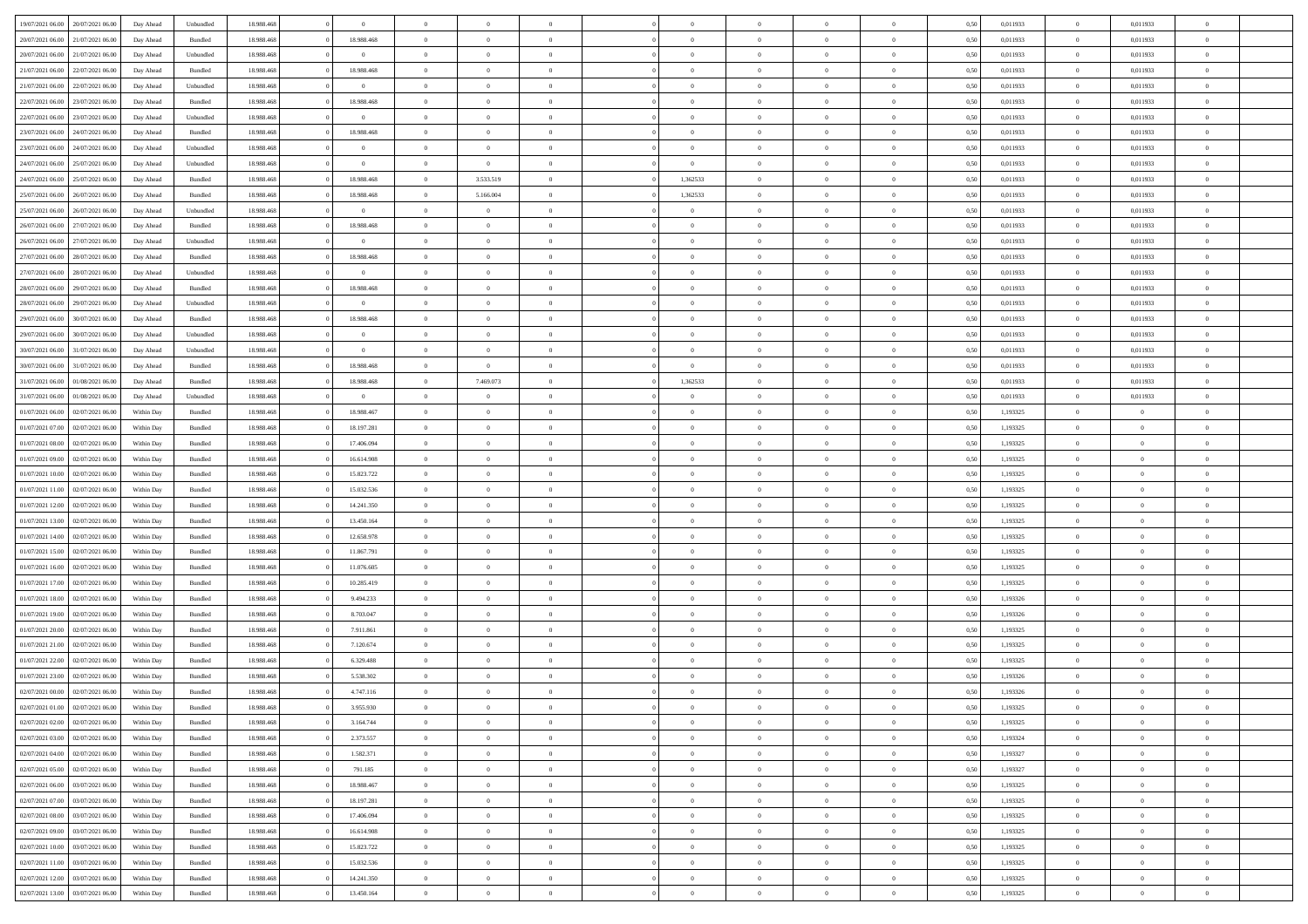| 19/07/2021 06:00 20/07/2021 06:00    | Day Ahead  | Unbundled | 18.988.468 | $\overline{0}$ | $\overline{0}$ | $\overline{0}$             | $\Omega$       | $\Omega$       | $\theta$                         | $\Omega$       | $\overline{0}$ | 0,50 | 0,011933 | $\theta$                   | 0,011933       | $\theta$                         |  |
|--------------------------------------|------------|-----------|------------|----------------|----------------|----------------------------|----------------|----------------|----------------------------------|----------------|----------------|------|----------|----------------------------|----------------|----------------------------------|--|
| 20/07/2021 06:00<br>21/07/2021 06:00 | Day Ahead  | Bundled   | 18.988.46  | 18.988.468     | $\overline{0}$ | $\theta$                   | $\overline{0}$ | $\overline{0}$ | $\theta$                         | $\overline{0}$ | $\bf{0}$       | 0,50 | 0,011933 | $\theta$                   | 0,011933       | $\overline{0}$                   |  |
| 20/07/2021 06:00<br>21/07/2021 06:00 | Day Ahead  | Unbundled | 18.988.468 | $\overline{0}$ | $\overline{0}$ | $\bf{0}$                   | $\overline{0}$ | $\overline{0}$ | $\overline{0}$                   | $\overline{0}$ | $\bf{0}$       | 0,50 | 0,011933 | $\overline{0}$             | 0,011933       | $\overline{0}$                   |  |
| 21/07/2021 06:00<br>22/07/2021 06:00 | Day Ahead  | Bundled   | 18.988.468 | 18.988.468     | $\overline{0}$ | $\overline{0}$             | $\overline{0}$ | $\overline{0}$ | $\theta$                         | $\overline{0}$ | $\overline{0}$ | 0.50 | 0,011933 | $\overline{0}$             | 0,011933       | $\overline{0}$                   |  |
| 21/07/2021 06:00<br>22/07/2021 06:00 | Day Ahead  | Unbundled | 18.988.468 | $\overline{0}$ | $\overline{0}$ | $\overline{0}$             | $\overline{0}$ | $\overline{0}$ | $\theta$                         | $\overline{0}$ | $\bf{0}$       | 0,50 | 0,011933 | $\theta$                   | 0,011933       | $\overline{0}$                   |  |
| 22/07/2021 06:00<br>23/07/2021 06:00 | Day Ahead  | Bundled   | 18.988.468 | 18.988.468     | $\overline{0}$ | $\bf{0}$                   | $\overline{0}$ | $\overline{0}$ | $\overline{0}$                   | $\overline{0}$ | $\bf{0}$       | 0,50 | 0,011933 | $\bf{0}$                   | 0,011933       | $\bf{0}$                         |  |
| 22/07/2021 06:00<br>23/07/2021 06:00 | Day Ahead  | Unbundled | 18.988.468 | $\bf{0}$       | $\overline{0}$ | $\overline{0}$             | $\overline{0}$ | $\overline{0}$ | $\overline{0}$                   | $\overline{0}$ | $\overline{0}$ | 0.5( | 0,011933 | $\theta$                   | 0,011933       | $\overline{0}$                   |  |
| 23/07/2021 06:00<br>24/07/2021 06:00 | Day Ahead  | Bundled   | 18.988.468 | 18.988.468     | $\overline{0}$ | $\overline{0}$             | $\overline{0}$ | $\overline{0}$ | $\theta$                         | $\overline{0}$ | $\bf{0}$       | 0,50 | 0,011933 | $\theta$                   | 0,011933       | $\overline{0}$                   |  |
|                                      |            |           |            |                |                |                            |                |                |                                  |                |                |      |          |                            |                |                                  |  |
| 23/07/2021 06:00<br>24/07/2021 06.00 | Day Ahead  | Unbundled | 18.988.468 | $\overline{0}$ | $\overline{0}$ | $\bf{0}$<br>$\overline{0}$ | $\overline{0}$ | $\overline{0}$ | $\overline{0}$<br>$\overline{0}$ | $\bf{0}$       | $\bf{0}$       | 0,50 | 0,011933 | $\bf{0}$<br>$\overline{0}$ | 0,011933       | $\overline{0}$<br>$\overline{0}$ |  |
| 24/07/2021 06:00<br>25/07/2021 06:00 | Day Ahead  | Unbundled | 18.988.468 | $\bf{0}$       | $\overline{0}$ |                            | $\overline{0}$ | $\overline{0}$ |                                  | $\overline{0}$ | $\overline{0}$ | 0.5( | 0,011933 |                            | 0,011933       |                                  |  |
| 24/07/2021 06:00<br>25/07/2021 06:00 | Day Ahead  | Bundled   | 18.988.468 | 18.988.468     | $\bf{0}$       | 3.533.519                  | $\overline{0}$ | 1,362533       | $\theta$                         | $\overline{0}$ | $\bf{0}$       | 0,50 | 0,011933 | $\theta$                   | 0,011933       | $\overline{0}$                   |  |
| 25/07/2021 06:00<br>26/07/2021 06:00 | Day Ahead  | Bundled   | 18.988.468 | 18.988.468     | $\overline{0}$ | 5.166.004                  | $\overline{0}$ | 1,362533       | $\overline{0}$                   | $\overline{0}$ | $\bf{0}$       | 0,50 | 0,011933 | $\bf{0}$                   | 0,011933       | $\overline{0}$                   |  |
| 25/07/2021 06:00<br>26/07/2021 06:00 | Day Ahead  | Unbundled | 18.988.468 | $\overline{0}$ | $\overline{0}$ | $\overline{0}$             | $\overline{0}$ | $\overline{0}$ | $\overline{0}$                   | $\overline{0}$ | $\overline{0}$ | 0.5( | 0,011933 | $\overline{0}$             | 0.011933       | $\overline{0}$                   |  |
| 26/07/2021 06:00<br>27/07/2021 06:00 | Day Ahead  | Bundled   | 18.988.468 | 18.988.468     | $\overline{0}$ | $\overline{0}$             | $\overline{0}$ | $\overline{0}$ | $\theta$                         | $\overline{0}$ | $\bf{0}$       | 0,50 | 0,011933 | $\,$ 0 $\,$                | 0,011933       | $\overline{0}$                   |  |
| 26/07/2021 06:00<br>27/07/2021 06:00 | Day Ahead  | Unbundled | 18.988.468 | $\bf{0}$       | $\overline{0}$ | $\bf{0}$                   | $\overline{0}$ | $\overline{0}$ | $\bf{0}$                         | $\overline{0}$ | $\bf{0}$       | 0,50 | 0,011933 | $\overline{0}$             | 0,011933       | $\bf{0}$                         |  |
| 27/07/2021 06:00<br>28/07/2021 06:00 | Day Ahead  | Bundled   | 18.988.468 | 18.988.468     | $\overline{0}$ | $\overline{0}$             | $\overline{0}$ | $\overline{0}$ | $\overline{0}$                   | $\overline{0}$ | $\overline{0}$ | 0.5( | 0,011933 | $\overline{0}$             | 0,011933       | $\overline{0}$                   |  |
| 27/07/2021 06:00<br>28/07/2021 06:00 | Day Ahead  | Unbundled | 18.988.468 | $\overline{0}$ | $\overline{0}$ | $\overline{0}$             | $\overline{0}$ | $\overline{0}$ | $\theta$                         | $\overline{0}$ | $\bf{0}$       | 0,50 | 0,011933 | $\theta$                   | 0,011933       | $\overline{0}$                   |  |
| 28/07/2021 06:00<br>29/07/2021 06.00 | Day Ahead  | Bundled   | 18.988.468 | 18.988.468     | $\overline{0}$ | $\bf{0}$                   | $\overline{0}$ | $\overline{0}$ | $\overline{0}$                   | $\overline{0}$ | $\bf{0}$       | 0,50 | 0,011933 | $\bf{0}$                   | 0,011933       | $\overline{0}$                   |  |
| 28/07/2021 06:00<br>29/07/2021 06:00 | Day Ahead  | Unbundled | 18.988.468 | $\bf{0}$       | $\overline{0}$ | $\overline{0}$             | $\overline{0}$ | $\overline{0}$ | $\overline{0}$                   | $\overline{0}$ | $\overline{0}$ | 0.5( | 0,011933 | $\overline{0}$             | 0,011933       | $\overline{0}$                   |  |
| 29/07/2021 06:00<br>30/07/2021 06:00 | Day Ahead  | Bundled   | 18.988.468 | 18.988.468     | $\bf{0}$       | $\overline{0}$             | $\overline{0}$ | $\overline{0}$ | $\theta$                         | $\overline{0}$ | $\bf{0}$       | 0,50 | 0,011933 | $\,$ 0 $\,$                | 0,011933       | $\overline{0}$                   |  |
| 29/07/2021 06:00<br>30/07/2021 06:00 | Day Ahead  | Unbundled | 18.988.468 | $\overline{0}$ | $\overline{0}$ | $\bf{0}$                   | $\overline{0}$ | $\overline{0}$ | $\overline{0}$                   | $\overline{0}$ | $\bf{0}$       | 0,50 | 0,011933 | $\bf{0}$                   | 0,011933       | $\overline{0}$                   |  |
| 30/07/2021 06:00<br>31/07/2021 06:00 | Day Ahead  | Unbundled | 18.988.468 | $\overline{0}$ | $\overline{0}$ | $\overline{0}$             | $\overline{0}$ | $\overline{0}$ | $\overline{0}$                   | $\overline{0}$ | $\overline{0}$ | 0.5( | 0,011933 | $\overline{0}$             | 0,011933       | $\overline{0}$                   |  |
| 30/07/2021 06:00<br>31/07/2021 06:00 | Day Ahead  | Bundled   | 18.988.468 | 18.988.468     | $\overline{0}$ | $\overline{0}$             | $\overline{0}$ | $\overline{0}$ | $\theta$                         | $\overline{0}$ | $\bf{0}$       | 0,50 | 0,011933 | $\theta$                   | 0,011933       | $\overline{0}$                   |  |
| 31/07/2021 06:00<br>01/08/2021 06:00 | Day Ahead  | Bundled   | 18.988.468 | 18.988.468     | $\overline{0}$ | 7.469.073                  | $\overline{0}$ | 1,362533       | $\bf{0}$                         | $\overline{0}$ | $\bf{0}$       | 0,50 | 0,011933 | $\bf{0}$                   | 0,011933       | $\bf{0}$                         |  |
| 31/07/2021 06:00<br>01/08/2021 06:00 | Day Ahead  | Unbundled | 18.988.468 | $\bf{0}$       | $\overline{0}$ | $\overline{0}$             | $\overline{0}$ | $\overline{0}$ | $\overline{0}$                   | $\overline{0}$ | $\overline{0}$ | 0.5( | 0,011933 | $\overline{0}$             | 0,011933       | $\overline{0}$                   |  |
| 01/07/2021 06:00<br>02/07/2021 06:00 | Within Day | Bundled   | 18.988.468 | 18.988.467     | $\bf{0}$       | $\overline{0}$             | $\overline{0}$ | $\overline{0}$ | $\theta$                         | $\overline{0}$ | $\bf{0}$       | 0,50 | 1,193325 | $\theta$                   | $\theta$       | $\overline{0}$                   |  |
| 01/07/2021 07:00<br>02/07/2021 06:00 | Within Day | Bundled   | 18.988.468 | 18.197.281     | $\overline{0}$ | $\bf{0}$                   | $\overline{0}$ | $\overline{0}$ | $\overline{0}$                   | $\bf{0}$       | $\bf{0}$       | 0,50 | 1,193325 | $\bf{0}$                   | $\overline{0}$ | $\overline{0}$                   |  |
| 01/07/2021 08:00<br>02/07/2021 06:00 | Within Day | Bundled   | 18.988.468 | 17.406.094     | $\overline{0}$ | $\overline{0}$             | $\overline{0}$ | $\overline{0}$ | $\overline{0}$                   | $\overline{0}$ | $\overline{0}$ | 0.5( | 1,193325 | $\theta$                   | $\theta$       | $\overline{0}$                   |  |
| 01/07/2021 09:00<br>02/07/2021 06:00 | Within Day | Bundled   | 18.988.468 | 16.614.908     | $\bf{0}$       | $\overline{0}$             | $\overline{0}$ | $\overline{0}$ | $\theta$                         | $\overline{0}$ | $\bf{0}$       | 0,50 | 1,193325 | $\theta$                   | $\theta$       | $\overline{0}$                   |  |
| 01/07/2021 10:00<br>02/07/2021 06:00 | Within Day | Bundled   | 18.988.468 | 15.823.722     | $\overline{0}$ | $\bf{0}$                   | $\overline{0}$ | $\overline{0}$ | $\bf{0}$                         | $\overline{0}$ | $\bf{0}$       | 0,50 | 1,193325 | $\bf{0}$                   | $\overline{0}$ | $\bf{0}$                         |  |
| 01/07/2021 11:00<br>02/07/2021 06.00 | Within Day | Bundled   | 18,988,46  | 15.032.536     | $\overline{0}$ | $\overline{0}$             | $\Omega$       | $\Omega$       | $\Omega$                         | $\theta$       | $\overline{0}$ | 0.50 | 1,193325 | $\bf{0}$                   | $\Omega$       | $\theta$                         |  |
| 01/07/2021 12:00<br>02/07/2021 06:00 | Within Day | Bundled   | 18.988.468 | 14.241.350     | $\bf{0}$       | $\overline{0}$             | $\overline{0}$ | $\overline{0}$ | $\theta$                         | $\overline{0}$ | $\bf{0}$       | 0,50 | 1,193325 | $\theta$                   | $\theta$       | $\overline{0}$                   |  |
| 01/07/2021 13:00<br>02/07/2021 06:00 | Within Day | Bundled   | 18.988.468 | 13.450.164     | $\overline{0}$ | $\bf{0}$                   | $\overline{0}$ | $\overline{0}$ | $\overline{0}$                   | $\overline{0}$ | $\bf{0}$       | 0,50 | 1,193325 | $\overline{0}$             | $\overline{0}$ | $\bf{0}$                         |  |
| 01/07/2021 14:00<br>02/07/2021 06:00 | Within Day | Bundled   | 18,988,468 | 12.658.978     | $\overline{0}$ | $\overline{0}$             | $\Omega$       | $\Omega$       | $\overline{0}$                   | $\Omega$       | $\overline{0}$ | 0.50 | 1,193325 | $\bf{0}$                   | $\Omega$       | $\theta$                         |  |
| 01/07/2021 15:00<br>02/07/2021 06:00 | Within Day | Bundled   | 18.988.468 | 11.867.791     | $\bf{0}$       | $\overline{0}$             | $\overline{0}$ | $\overline{0}$ | $\theta$                         | $\overline{0}$ | $\bf{0}$       | 0,50 | 1,193325 | $\theta$                   | $\theta$       | $\overline{0}$                   |  |
| 01/07/2021 16:00<br>02/07/2021 06:00 | Within Day | Bundled   | 18.988.468 | 11.076.605     | $\overline{0}$ | $\bf{0}$                   | $\overline{0}$ | $\overline{0}$ | $\overline{0}$                   | $\bf{0}$       | $\bf{0}$       | 0,50 | 1,193325 | $\bf{0}$                   | $\overline{0}$ | $\overline{0}$                   |  |
| 01/07/2021 17:00<br>02/07/2021 06:00 | Within Day | Bundled   | 18,988,46  | 10.285.419     | $\overline{0}$ | $\theta$                   | $\Omega$       | $\Omega$       | $\Omega$                         | $\Omega$       | $\overline{0}$ | 0.50 | 1,193325 | $\overline{0}$             | $\Omega$       | $\theta$                         |  |
| 01/07/2021 18:00<br>02/07/2021 06:00 | Within Day | Bundled   | 18.988.468 | 9.494.233      | $\bf{0}$       | $\overline{0}$             | $\overline{0}$ | $\overline{0}$ | $\theta$                         | $\overline{0}$ | $\bf{0}$       | 0,50 | 1,193326 | $\,$ 0 $\,$                | $\theta$       | $\overline{0}$                   |  |
| 01/07/2021 19:00<br>02/07/2021 06:00 | Within Day | Bundled   | 18.988.468 | 8.703.047      | $\overline{0}$ | $\bf{0}$                   | $\overline{0}$ | $\overline{0}$ | $\overline{0}$                   | $\overline{0}$ | $\bf{0}$       | 0,50 | 1,193326 | $\bf{0}$                   | $\overline{0}$ | $\bf{0}$                         |  |
| 01/07/2021 20:00<br>02/07/2021 06.00 | Within Day | Bundled   | 18,988,46  | 7.911.861      | $\overline{0}$ | $\overline{0}$             | $\Omega$       | $\Omega$       | $\theta$                         | $\Omega$       | $\overline{0}$ | 0.50 | 1,193325 | $\bf{0}$                   | $\Omega$       | $\theta$                         |  |
| 01/07/2021 21:00<br>02/07/2021 06:00 | Within Day | Bundled   | 18.988.46  | 7.120.674      | $\bf{0}$       | $\overline{0}$             | $\overline{0}$ | $\overline{0}$ | $\theta$                         | $\overline{0}$ | $\bf{0}$       | 0,50 | 1,193325 | $\theta$                   | $\theta$       | $\overline{0}$                   |  |
| 01/07/2021 22.00<br>02/07/2021 06:00 | Within Day | Bundled   | 18.988.468 | 6.329.488      | $\overline{0}$ | $\bf{0}$                   | $\overline{0}$ | $\overline{0}$ | $\bf{0}$                         | $\overline{0}$ | $\bf{0}$       | 0,50 | 1,193325 | $\overline{0}$             | $\overline{0}$ | $\bf{0}$                         |  |
| 01/07/2021 23:00<br>02/07/2021 06:00 | Within Day | Bundled   | 18,988,46  | 5.538.302      | $\overline{0}$ | $\Omega$                   | $\Omega$       | $\Omega$       | $\Omega$                         | $\theta$       | $\overline{0}$ | 0.50 | 1,193326 | $\theta$                   | $\Omega$       | $\theta$                         |  |
| 02/07/2021 00:00 02/07/2021 06:00    | Within Day | Bundled   | 18.988.468 | 4.747.116      | $\bf{0}$       | $\bf{0}$                   | $\overline{0}$ | $\overline{0}$ | $\overline{0}$                   | $\overline{0}$ | $\bf{0}$       | 0,50 | 1,193326 | $\bf{0}$                   | $\,0\,$        | $\overline{0}$                   |  |
| 02/07/2021 01:00 02/07/2021 06:00    | Within Day | Bundled   | 18.988.468 | 3.955.930      | $\bf{0}$       |                            |                |                |                                  |                |                | 0,50 | 1,193325 | $\bf{0}$                   | $\bf{0}$       |                                  |  |
| 02/07/2021 02:00 02/07/2021 06:00    | Within Day | Bundled   | 18,988,468 | 3.164.744      | $\Omega$       | $\overline{0}$             | $\Omega$       | $\theta$       | $\Omega$                         | $\theta$       | $\overline{0}$ | 0.50 | 1,193325 | $\theta$                   | $\theta$       | $\theta$                         |  |
| 02/07/2021 03:00<br>02/07/2021 06:00 | Within Day | Bundled   | 18.988.468 | 2.373.557      | $\bf{0}$       | $\,$ 0                     | $\overline{0}$ | $\overline{0}$ | $\overline{0}$                   | $\bf{0}$       | $\bf{0}$       | 0,50 | 1,193324 | $\,$ 0 $\,$                | $\,$ 0 $\,$    | $\overline{0}$                   |  |
| 02/07/2021 06:00<br>02/07/2021 04:00 | Within Day | Bundled   | 18.988.468 | 1.582.371      | $\overline{0}$ | $\overline{0}$             | $\overline{0}$ | $\overline{0}$ | $\overline{0}$                   | $\overline{0}$ | $\bf{0}$       | 0,50 | 1,193327 | $\overline{0}$             | $\bf{0}$       | $\overline{0}$                   |  |
| 02/07/2021 05:00<br>02/07/2021 06:00 | Within Day | Bundled   | 18,988,468 | 791.185        | $\overline{0}$ | $\overline{0}$             | $\overline{0}$ | $\overline{0}$ | $\overline{0}$                   | $\overline{0}$ | $\bf{0}$       | 0,50 | 1,193327 | $\bf{0}$                   | $\theta$       | $\overline{0}$                   |  |
| 02/07/2021 06:00<br>03/07/2021 06:00 | Within Day | Bundled   | 18.988.468 | 18.988.467     | $\overline{0}$ | $\overline{0}$             | $\overline{0}$ | $\overline{0}$ | $\overline{0}$                   | $\overline{0}$ | $\bf{0}$       | 0,50 | 1,193325 | $\,$ 0 $\,$                | $\,$ 0 $\,$    | $\overline{0}$                   |  |
| 03/07/2021 06:00<br>02/07/2021 07:00 | Within Day | Bundled   | 18.988.468 | 18.197.281     | $\overline{0}$ | $\overline{0}$             | $\overline{0}$ | $\overline{0}$ | $\overline{0}$                   | $\overline{0}$ | $\bf{0}$       | 0,50 | 1,193325 | $\overline{0}$             | $\overline{0}$ | $\overline{0}$                   |  |
| 03/07/2021 06:00<br>02/07/2021 08:00 | Within Day | Bundled   | 18.988.468 | 17.406.094     | $\overline{0}$ | $\overline{0}$             | $\overline{0}$ | $\overline{0}$ | $\overline{0}$                   | $\overline{0}$ | $\bf{0}$       | 0.50 | 1,193325 | $\overline{0}$             | $\theta$       | $\overline{0}$                   |  |
| 02/07/2021 09:00<br>03/07/2021 06:00 | Within Day | Bundled   | 18.988.468 | 16.614.908     | $\bf{0}$       | $\bf{0}$                   | $\overline{0}$ | $\overline{0}$ | $\overline{0}$                   | $\overline{0}$ | $\bf{0}$       | 0,50 | 1,193325 | $\,$ 0 $\,$                | $\bf{0}$       | $\overline{0}$                   |  |
| 03/07/2021 06:00<br>02/07/2021 10:00 | Within Day | Bundled   | 18.988.468 | 15.823.722     | $\overline{0}$ | $\bf{0}$                   | $\overline{0}$ | $\overline{0}$ | $\overline{0}$                   | $\overline{0}$ | $\bf{0}$       | 0,50 | 1,193325 | $\overline{0}$             | $\overline{0}$ | $\bf{0}$                         |  |
| 03/07/2021 06:00<br>02/07/2021 11:00 | Within Day | Bundled   | 18,988,468 | 15.032.536     | $\overline{0}$ | $\overline{0}$             | $\overline{0}$ | $\overline{0}$ | $\overline{0}$                   | $\overline{0}$ | $\bf{0}$       | 0.50 | 1,193325 | $\overline{0}$             | $\theta$       | $\overline{0}$                   |  |
| 02/07/2021 12:00<br>03/07/2021 06:00 | Within Day | Bundled   | 18.988.468 | 14.241.350     | $\overline{0}$ | $\,$ 0                     | $\overline{0}$ | $\overline{0}$ | $\overline{0}$                   | $\overline{0}$ | $\bf{0}$       | 0,50 | 1,193325 | $\,$ 0 $\,$                | $\,$ 0 $\,$    | $\overline{0}$                   |  |
| 02/07/2021 13:00 03/07/2021 06:00    | Within Day | Bundled   | 18.988.468 | 13.450.164     | $\overline{0}$ | $\bf{0}$                   | $\overline{0}$ | $\overline{0}$ | $\bf{0}$                         | $\overline{0}$ | $\bf{0}$       | 0,50 | 1,193325 | $\overline{0}$             | $\bf{0}$       | $\overline{0}$                   |  |
|                                      |            |           |            |                |                |                            |                |                |                                  |                |                |      |          |                            |                |                                  |  |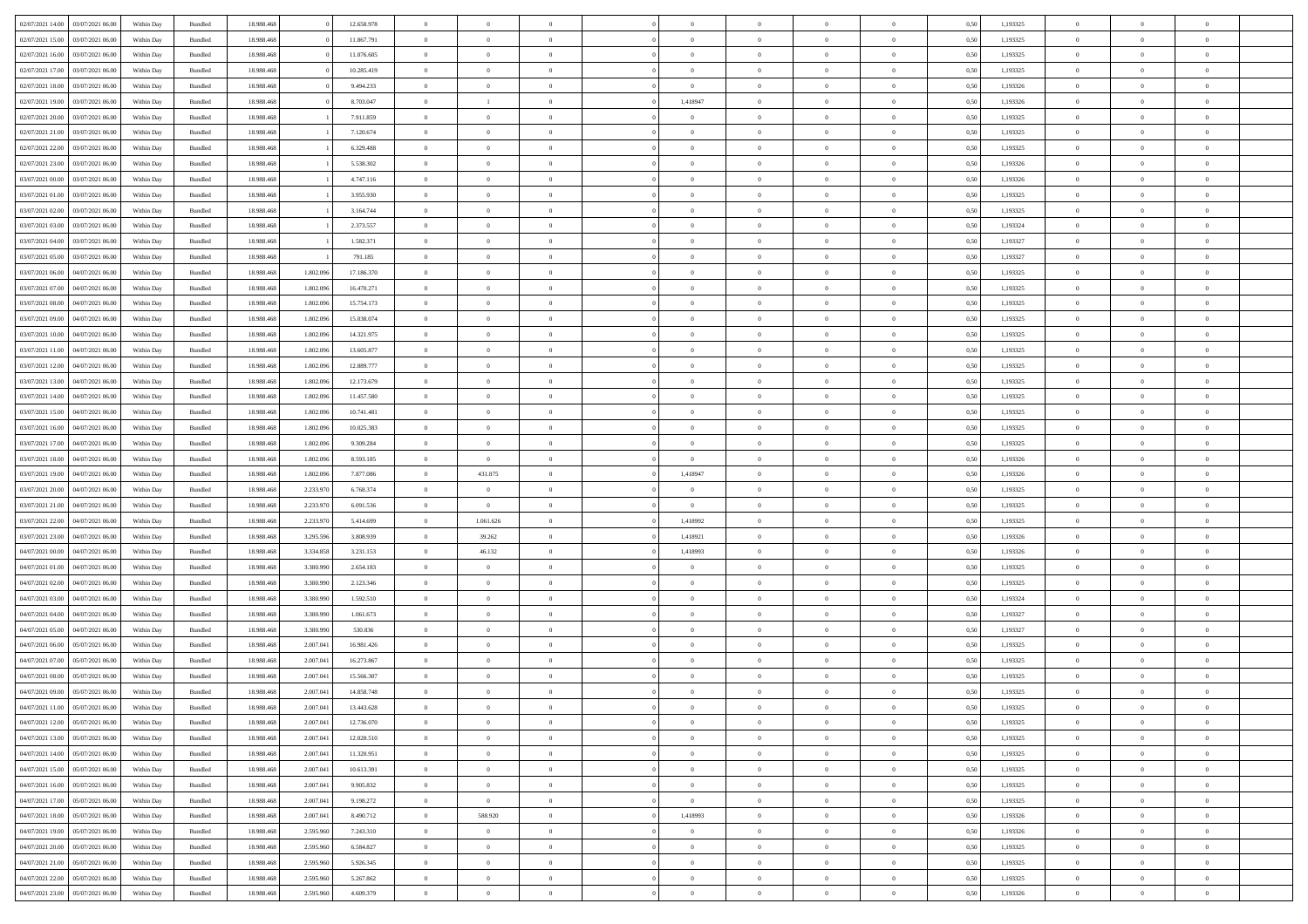| 02/07/2021 14:00                    | 03/07/2021 06:00 | Within Day | Bundled | 18.988.468 |           | 12.658.978 | $\overline{0}$ | $\theta$       |                |                | $\Omega$       | $\Omega$       | $\overline{0}$ | 0,50 | 1,193325 | $\theta$       | $\theta$       | $\theta$       |  |
|-------------------------------------|------------------|------------|---------|------------|-----------|------------|----------------|----------------|----------------|----------------|----------------|----------------|----------------|------|----------|----------------|----------------|----------------|--|
| 02/07/2021 15:00                    | 03/07/2021 06:00 | Within Dav | Bundled | 18.988.468 |           | 11.867.791 | $\overline{0}$ | $\Omega$       |                | $\Omega$       | $\Omega$       | $\Omega$       | $\mathbf{0}$   | 0.50 | 1,193325 | $\theta$       | $\Omega$       | $\sqrt{ }$     |  |
| 02/07/2021 16:00                    | 03/07/2021 06:00 | Within Day | Bundled | 18.988.468 |           | 11.076.605 | $\overline{0}$ | $\overline{0}$ | $\overline{0}$ | $\overline{0}$ | $\,$ 0 $\,$    | $\overline{0}$ | $\,$ 0 $\,$    | 0,50 | 1,193325 | $\,$ 0 $\,$    | $\overline{0}$ | $\overline{0}$ |  |
| 02/07/2021 17:00                    | 03/07/2021 06.00 | Within Day | Bundled | 18.988.468 |           | 10.285.419 | $\overline{0}$ | $\overline{0}$ | $\overline{0}$ | $\overline{0}$ | $\bf{0}$       | $\overline{0}$ | $\bf{0}$       | 0,50 | 1,193325 | $\bf{0}$       | $\overline{0}$ | $\overline{0}$ |  |
| 02/07/2021 18:00                    | 03/07/2021 06:00 | Within Day | Bundled | 18.988.468 |           | 9.494.233  | $\overline{0}$ | $\Omega$       | $^{\circ}$     | $\overline{0}$ | $\overline{0}$ | $\Omega$       | $\overline{0}$ | 0.50 | 1,193326 | $\theta$       | $\theta$       | $\sqrt{ }$     |  |
|                                     |                  |            |         |            |           |            |                |                |                |                |                |                |                |      |          |                |                |                |  |
| 02/07/2021 19:00                    | 03/07/2021 06:00 | Within Day | Bundled | 18.988.468 |           | 8.703.047  | $\overline{0}$ | $\mathbf{1}$   | $\overline{0}$ | 1,418947       | $\,$ 0 $\,$    | $\overline{0}$ | $\,$ 0 $\,$    | 0,50 | 1,193326 | $\theta$       | $\overline{0}$ | $\overline{0}$ |  |
| 02/07/2021 20:00                    | 03/07/2021 06:00 | Within Day | Bundled | 18.988.468 |           | 7.911.859  | $\overline{0}$ | $\overline{0}$ | $\overline{0}$ | $\overline{0}$ | $\overline{0}$ | $\overline{0}$ | $\bf{0}$       | 0.50 | 1,193325 | $\bf{0}$       | $\theta$       | $\overline{0}$ |  |
| 02/07/2021 21:00                    | 03/07/2021 06:00 | Within Dav | Bundled | 18.988.468 |           | 7.120.674  | $\overline{0}$ | $\Omega$       | $^{\circ}$     | $\Omega$       | $\bf{0}$       | $\Omega$       | $\bf{0}$       | 0.50 | 1,193325 | $\theta$       | $\theta$       | $\sqrt{ }$     |  |
| 02/07/2021 22.00                    | 03/07/2021 06:00 | Within Day | Bundled | 18.988.468 |           | 6.329.488  | $\overline{0}$ | $\overline{0}$ | $\overline{0}$ | $\overline{0}$ | $\overline{0}$ | $\overline{0}$ | $\,$ 0 $\,$    | 0,50 | 1,193325 | $\,$ 0 $\,$    | $\overline{0}$ | $\overline{0}$ |  |
| 02/07/2021 23.00                    | 03/07/2021 06:00 | Within Day | Bundled | 18.988.468 |           | 5.538.302  | $\overline{0}$ | $\overline{0}$ | $\overline{0}$ | $\Omega$       | $\overline{0}$ | $\overline{0}$ | $\bf{0}$       | 0,50 | 1,193326 | $\bf{0}$       | $\theta$       | $\overline{0}$ |  |
| 03/07/2021 00:00                    | 03/07/2021 06:00 | Within Dav | Bundled | 18.988.468 |           | 4.747.116  | $\overline{0}$ | $\Omega$       | $^{\circ}$     | $\Omega$       | $\bf{0}$       | $\Omega$       | $\mathbf{0}$   | 0.50 | 1,193326 | $\theta$       | $\theta$       | $\sqrt{ }$     |  |
| 03/07/2021 01:00                    | 03/07/2021 06:00 | Within Day | Bundled | 18.988.468 |           | 3.955.930  | $\overline{0}$ | $\overline{0}$ | $\overline{0}$ | $\overline{0}$ | $\,$ 0 $\,$    | $\overline{0}$ | $\,$ 0 $\,$    | 0,50 | 1,193325 | $\,$ 0 $\,$    | $\overline{0}$ | $\overline{0}$ |  |
| 03/07/2021 02.00                    | 03/07/2021 06.00 |            |         | 18.988.468 |           | 3.164.744  | $\overline{0}$ | $\bf{0}$       | $\overline{0}$ | $\overline{0}$ | $\bf{0}$       | $\overline{0}$ | $\bf{0}$       | 0,50 | 1,193325 | $\bf{0}$       | $\overline{0}$ | $\overline{0}$ |  |
|                                     |                  | Within Day | Bundled |            |           |            |                |                |                |                |                |                |                |      |          |                |                |                |  |
| 03/07/2021 03:00                    | 03/07/2021 06:00 | Within Day | Bundled | 18.988.468 |           | 2.373.557  | $\overline{0}$ | $\theta$       | $^{\circ}$     | $\overline{0}$ | $\overline{0}$ | $\Omega$       | $\bf{0}$       | 0.50 | 1,193324 | $\theta$       | $\theta$       | $\sqrt{ }$     |  |
| 03/07/2021 04:00                    | 03/07/2021 06:00 | Within Day | Bundled | 18.988.468 |           | 1.582.371  | $\overline{0}$ | $\overline{0}$ | $\overline{0}$ | $\overline{0}$ | $\,$ 0 $\,$    | $\overline{0}$ | $\,$ 0 $\,$    | 0,50 | 1,193327 | $\theta$       | $\overline{0}$ | $\overline{0}$ |  |
| 03/07/2021 05:00                    | 03/07/2021 06:00 | Within Day | Bundled | 18.988.468 |           | 791.185    | $\overline{0}$ | $\overline{0}$ | $\overline{0}$ | $\Omega$       | $\overline{0}$ | $\overline{0}$ | $\bf{0}$       | 0.50 | 1,193327 | $\theta$       | $\overline{0}$ | $\overline{0}$ |  |
| 03/07/2021 06:00                    | 04/07/2021 06:00 | Within Day | Bundled | 18.988.468 | 1.802.096 | 17.186.370 | $\overline{0}$ | $\Omega$       | $^{\circ}$     | $\Omega$       | $\overline{0}$ | $\Omega$       | $\mathbf{0}$   | 0.50 | 1,193325 | $\theta$       | $\Omega$       | -0             |  |
| 03/07/2021 07:00                    | 04/07/2021 06:00 | Within Day | Bundled | 18.988.468 | 1.802.096 | 16.470.271 | $\overline{0}$ | $\overline{0}$ | $\overline{0}$ | $\overline{0}$ | $\,$ 0 $\,$    | $\overline{0}$ | $\,$ 0 $\,$    | 0,50 | 1,193325 | $\,$ 0 $\,$    | $\overline{0}$ | $\overline{0}$ |  |
| 03/07/2021 08:00                    | 04/07/2021 06:00 | Within Day | Bundled | 18.988.468 | 1.802.096 | 15.754.173 | $\overline{0}$ | $\overline{0}$ | $\overline{0}$ | $\Omega$       | $\overline{0}$ | $\overline{0}$ | $\bf{0}$       | 0,50 | 1,193325 | $\bf{0}$       | $\theta$       | $\overline{0}$ |  |
| 03/07/2021 09:00                    | 04/07/2021 06:00 | Within Dav | Bundled | 18.988.468 | 1.802.096 | 15.038.074 | $\overline{0}$ | $\Omega$       | $\Omega$       | $\Omega$       | $\bf{0}$       | $\Omega$       | $\overline{0}$ | 0.50 | 1,193325 | $\theta$       | $\theta$       | $\sqrt{ }$     |  |
| 03/07/2021 10:00                    | 04/07/2021 06:00 | Within Day | Bundled | 18.988.468 | 1.802.096 | 14.321.975 | $\overline{0}$ | $\overline{0}$ | $\overline{0}$ | $\overline{0}$ | $\,$ 0 $\,$    | $\overline{0}$ | $\,$ 0 $\,$    | 0,50 | 1,193325 | $\,$ 0 $\,$    | $\overline{0}$ | $\overline{0}$ |  |
|                                     |                  |            |         |            |           |            |                |                |                |                |                |                |                |      |          |                |                |                |  |
| 03/07/2021 11:00                    | 04/07/2021 06.00 | Within Day | Bundled | 18.988.468 | 1.802.096 | 13.605.877 | $\overline{0}$ | $\overline{0}$ | $\overline{0}$ | $\overline{0}$ | $\bf{0}$       | $\overline{0}$ | $\bf{0}$       | 0,50 | 1,193325 | $\bf{0}$       | $\overline{0}$ | $\bf{0}$       |  |
| 03/07/2021 12:00                    | 04/07/2021 06:00 | Within Day | Bundled | 18.988.468 | 1.802.096 | 12.889.777 | $\overline{0}$ | $\Omega$       | $^{\circ}$     | $\overline{0}$ | $\bf{0}$       | $\Omega$       | $\overline{0}$ | 0.50 | 1,193325 | $\theta$       | $\theta$       | $\sqrt{ }$     |  |
| 03/07/2021 13:00                    | 04/07/2021 06:00 | Within Day | Bundled | 18.988.468 | 1.802.096 | 12.173.679 | $\overline{0}$ | $\overline{0}$ | $\overline{0}$ | $\overline{0}$ | $\,$ 0 $\,$    | $\overline{0}$ | $\,$ 0 $\,$    | 0,50 | 1,193325 | $\theta$       | $\overline{0}$ | $\overline{0}$ |  |
| 03/07/2021 14:00                    | 04/07/2021 06:00 | Within Day | Bundled | 18.988.468 | 1.802.09  | 11.457.580 | $\overline{0}$ | $\overline{0}$ | $\overline{0}$ | $\Omega$       | $\overline{0}$ | $\overline{0}$ | $\bf{0}$       | 0.50 | 1,193325 | $\bf{0}$       | $\theta$       | $\overline{0}$ |  |
| 03/07/2021 15:00                    | 04/07/2021 06:00 | Within Dav | Bundled | 18.988.468 | 1.802.096 | 10.741.481 | $\overline{0}$ | $\Omega$       | $\Omega$       | $\Omega$       | $\bf{0}$       | $\Omega$       | $\bf{0}$       | 0.50 | 1,193325 | $\theta$       | $\theta$       | $\sqrt{ }$     |  |
| 03/07/2021 16:00                    | 04/07/2021 06:00 | Within Day | Bundled | 18.988.468 | 1.802.096 | 10.025.383 | $\overline{0}$ | $\overline{0}$ | $\overline{0}$ | $\overline{0}$ | $\overline{0}$ | $\overline{0}$ | $\,$ 0 $\,$    | 0,50 | 1,193325 | $\,$ 0 $\,$    | $\overline{0}$ | $\overline{0}$ |  |
| 03/07/2021 17:00                    | 04/07/2021 06:00 | Within Day | Bundled | 18.988.468 | 1.802.096 | 9.309.284  | $\overline{0}$ | $\overline{0}$ | $\overline{0}$ | $\Omega$       | $\overline{0}$ | $\overline{0}$ | $\bf{0}$       | 0.50 | 1,193325 | $\bf{0}$       | $\theta$       | $\overline{0}$ |  |
| 03/07/2021 18:00                    | 04/07/2021 06:00 | Within Dav | Bundled | 18.988.468 | 1.802.096 | 8.593.185  | $\overline{0}$ | $\overline{0}$ | $^{\circ}$     | $\overline{0}$ | $\bf{0}$       | $\Omega$       | $\overline{0}$ | 0.50 | 1,193326 | $\theta$       | $\theta$       | $\sqrt{ }$     |  |
| 03/07/2021 19:00                    | 04/07/2021 06:00 | Within Day | Bundled | 18.988.468 | 1.802.096 | 7.877.086  | $\overline{0}$ | 431.875        | $\overline{0}$ | 1,418947       | $\,$ 0 $\,$    | $\overline{0}$ | $\,$ 0 $\,$    | 0,50 | 1,193326 | $\,$ 0 $\,$    | $\overline{0}$ | $\overline{0}$ |  |
|                                     |                  |            |         |            |           |            |                |                |                |                |                |                |                |      |          |                |                |                |  |
| 03/07/2021 20.00                    | 04/07/2021 06.00 | Within Day | Bundled | 18.988.468 | 2.233.970 | 6.768.374  | $\bf{0}$       | $\overline{0}$ | $\bf{0}$       | $\bf{0}$       | $\bf{0}$       | $\overline{0}$ | $\bf{0}$       | 0,50 | 1,193325 | $\,$ 0 $\,$    | $\overline{0}$ | $\overline{0}$ |  |
| 03/07/2021 21:00                    | 04/07/2021 06:00 | Within Day | Bundled | 18.988.468 | 2.233.970 | 6.091.536  | $\overline{0}$ | $\overline{0}$ | $\Omega$       | $\overline{0}$ | $\bf{0}$       | $\Omega$       | $\bf{0}$       | 0.50 | 1,193325 | $\theta$       | $\theta$       | $\sqrt{ }$     |  |
| 03/07/2021 22.00                    | 04/07/2021 06:00 | Within Day | Bundled | 18.988.468 | 2.233.970 | 5.414.699  | $\overline{0}$ | 1.061.626      | $\overline{0}$ | 1,418992       | $\overline{0}$ | $\overline{0}$ | $\,$ 0 $\,$    | 0,50 | 1,193325 | $\theta$       | $\overline{0}$ | $\overline{0}$ |  |
| 03/07/2021 23.00                    | 04/07/2021 06.00 | Within Day | Bundled | 18.988.468 | 3.295.596 | 3.808.939  | $\bf{0}$       | 39.262         | $\overline{0}$ | 1,418921       | $\,$ 0         | $\overline{0}$ | $\bf{0}$       | 0,50 | 1,193326 | $\,$ 0 $\,$    | $\overline{0}$ | $\overline{0}$ |  |
| 04/07/2021 00:00                    | 04/07/2021 06:00 | Within Day | Bundled | 18.988.468 | 3.334.858 | 3.231.153  | $\overline{0}$ | 46.132         | $^{\circ}$     | 1,418993       | $\Omega$       | $\Omega$       | $\overline{0}$ | 0.50 | 1,193326 | $\theta$       | $\theta$       | $\sqrt{ }$     |  |
| 04/07/2021 01:00                    | 04/07/2021 06:00 | Within Day | Bundled | 18.988.468 | 3.380.990 | 2.654.183  | $\overline{0}$ | $\theta$       | $\overline{0}$ | $\overline{0}$ | $\,$ 0 $\,$    | $\overline{0}$ | $\,$ 0 $\,$    | 0,50 | 1,193325 | $\,$ 0 $\,$    | $\overline{0}$ | $\overline{0}$ |  |
| 04/07/2021 02:00                    | 04/07/2021 06.00 | Within Day | Bundled | 18.988.468 | 3.380.990 | 2.123.346  | $\bf{0}$       | $\overline{0}$ | $\overline{0}$ | $\bf{0}$       | $\,$ 0         | $\overline{0}$ | $\bf{0}$       | 0,50 | 1,193325 | $\,$ 0 $\,$    | $\overline{0}$ | $\overline{0}$ |  |
| 04/07/2021 03:00                    | 04/07/2021 06:00 | Within Dav | Bundled | 18.988.468 | 3.380.990 | 1.592.510  | $\overline{0}$ | $\theta$       | $^{\circ}$     | $\Omega$       | $\overline{0}$ | $\Omega$       | $\bf{0}$       | 0.50 | 1,193324 | $\theta$       | $\theta$       | $\sqrt{ }$     |  |
| 04/07/2021 04:00                    | 04/07/2021 06:00 | Within Day | Bundled | 18.988.468 | 3.380.990 | 1.061.673  | $\overline{0}$ | $\overline{0}$ | $\overline{0}$ | $\overline{0}$ | $\,$ 0 $\,$    | $\overline{0}$ | $\,$ 0 $\,$    | 0,50 | 1,193327 | $\,$ 0 $\,$    | $\overline{0}$ | $\overline{0}$ |  |
|                                     |                  |            |         |            |           |            |                |                |                |                |                |                |                |      |          |                |                |                |  |
| 04/07/2021 05:00                    | 04/07/2021 06.00 | Within Day | Bundled | 18.988.468 | 3.380.990 | 530.836    | $\bf{0}$       | $\overline{0}$ | $\overline{0}$ | $\bf{0}$       | $\,$ 0         | $\overline{0}$ | $\bf{0}$       | 0,50 | 1,193327 | $\,$ 0 $\,$    | $\overline{0}$ | $\overline{0}$ |  |
| 04/07/2021 06:00                    | 05/07/2021 06:00 | Within Day | Bundled | 18.988.468 | 2.007.041 | 16.981.426 | $\overline{0}$ | $\theta$       | $\Omega$       | $\Omega$       | $\bf{0}$       | $\Omega$       | $\overline{0}$ | 0.50 | 1,193325 | $\theta$       | $\theta$       | $\sqrt{ }$     |  |
| 04/07/2021 07:00                    | 05/07/2021 06:00 | Within Day | Bundled | 18.988.468 | 2.007.041 | 16.273.867 | $\overline{0}$ | $\theta$       | $\overline{0}$ | $\overline{0}$ | $\,$ 0 $\,$    | $\overline{0}$ | $\,$ 0 $\,$    | 0,50 | 1,193325 | $\theta$       | $\overline{0}$ | $\overline{0}$ |  |
| 04/07/2021 08:00                    | 05/07/2021 06.00 | Within Day | Bundled | 18.988.468 | 2.007.04  | 15.566.307 | $\overline{0}$ | $\theta$       | $\overline{0}$ | $\overline{0}$ | $\overline{0}$ | $\overline{0}$ | $\bf{0}$       | 0,50 | 1,193325 | $\,$ 0 $\,$    | $\overline{0}$ | $\overline{0}$ |  |
| 04/07/2021 09:00                    | 05/07/2021 06:00 | Within Day | Bundled | 18.988.468 | 2.007.041 | 14.858.748 | $\overline{0}$ | $\overline{0}$ | $\Omega$       | $\overline{0}$ | $\bf{0}$       | $\overline{0}$ | $\bf{0}$       | 0.50 | 1,193325 | $\theta$       | $\theta$       | $\overline{0}$ |  |
| 04/07/2021 11:00   05/07/2021 06:00 |                  | Within Day | Bundled | 18.988.468 | 2.007.041 | 13.443.628 | $\overline{0}$ | $\theta$       |                |                |                |                |                | 0,50 | 1,193325 | $\theta$       | $\theta$       |                |  |
| 04/07/2021 12:00                    | 05/07/2021 06:00 | Within Day | Bundled | 18.988.468 | 2.007.041 | 12.736.070 | $\bf{0}$       | $\bf{0}$       | $\bf{0}$       | $\bf{0}$       | $\bf{0}$       | $\overline{0}$ | $\bf{0}$       | 0,50 | 1,193325 | $\,0\,$        | $\overline{0}$ | $\bf{0}$       |  |
| 04/07/2021 13:00                    | 05/07/2021 06:00 | Within Day | Bundled | 18.988.468 | 2.007.041 | 12.028.510 | $\overline{0}$ | $\overline{0}$ | $\overline{0}$ | $\overline{0}$ | $\overline{0}$ | $\overline{0}$ | $\overline{0}$ | 0,50 | 1,193325 | $\overline{0}$ | $\theta$       | $\overline{0}$ |  |
| 04/07/2021 14:00                    | 05/07/2021 06:00 | Within Day | Bundled | 18.988.468 | 2.007.041 | 11.320.951 | $\overline{0}$ | $\bf{0}$       | $\overline{0}$ | $\overline{0}$ | $\bf{0}$       | $\overline{0}$ | $\,$ 0 $\,$    | 0,50 | 1,193325 | $\mathbf{0}$   | $\,$ 0 $\,$    | $\bf{0}$       |  |
|                                     |                  |            |         |            |           |            |                |                |                |                |                |                |                |      |          |                |                |                |  |
| 04/07/2021 15:00                    | 05/07/2021 06:00 | Within Day | Bundled | 18.988.468 | 2.007.041 | 10.613.391 | $\overline{0}$ | $\overline{0}$ | $\overline{0}$ | $\bf{0}$       | $\bf{0}$       | $\overline{0}$ | $\bf{0}$       | 0,50 | 1,193325 | $\bf{0}$       | $\overline{0}$ | $\bf{0}$       |  |
| 04/07/2021 16:00                    | 05/07/2021 06:00 | Within Day | Bundled | 18.988.468 | 2.007.041 | 9.905.832  | $\overline{0}$ | $\overline{0}$ | $\overline{0}$ | $\overline{0}$ | $\overline{0}$ | $\overline{0}$ | $\overline{0}$ | 0,50 | 1,193325 | $\overline{0}$ | $\overline{0}$ | $\overline{0}$ |  |
| 04/07/2021 17:00                    | 05/07/2021 06:00 | Within Day | Bundled | 18.988.468 | 2.007.041 | 9.198.272  | $\overline{0}$ | $\overline{0}$ | $\overline{0}$ | $\overline{0}$ | $\bf{0}$       | $\overline{0}$ | $\,$ 0 $\,$    | 0,50 | 1,193325 | $\,$ 0 $\,$    | $\,$ 0 $\,$    | $\,$ 0         |  |
| 04/07/2021 18:00                    | 05/07/2021 06:00 | Within Day | Bundled | 18.988.468 | 2.007.041 | 8.490.712  | $\overline{0}$ | 588.920        | $\overline{0}$ | 1,418993       | $\bf{0}$       | $\bf{0}$       | $\bf{0}$       | 0,50 | 1,193326 | $\bf{0}$       | $\overline{0}$ | $\overline{0}$ |  |
| 04/07/2021 19:00                    | 05/07/2021 06:00 | Within Day | Bundled | 18.988.468 | 2.595.960 | 7.243.310  | $\overline{0}$ | $\overline{0}$ | $\overline{0}$ | $\overline{0}$ | $\overline{0}$ | $\overline{0}$ | $\overline{0}$ | 0,50 | 1,193326 | $\theta$       | $\overline{0}$ | $\overline{0}$ |  |
| 04/07/2021 20.00                    | 05/07/2021 06:00 | Within Day | Bundled | 18.988.468 | 2.595.960 | 6.584.827  | $\overline{0}$ | $\bf{0}$       | $\overline{0}$ | $\bf{0}$       | $\,$ 0 $\,$    | $\overline{0}$ | $\,$ 0 $\,$    | 0,50 | 1,193325 | $\overline{0}$ | $\,$ 0 $\,$    | $\,$ 0         |  |
| 04/07/2021 21.00                    | 05/07/2021 06:00 | Within Day | Bundled | 18.988.468 | 2.595.960 | 5.926.345  | $\overline{0}$ | $\overline{0}$ | $\overline{0}$ | $\bf{0}$       | $\bf{0}$       | $\bf{0}$       | $\bf{0}$       | 0,50 | 1,193325 | $\bf{0}$       | $\overline{0}$ | $\overline{0}$ |  |
| 04/07/2021 22:00                    | 05/07/2021 06:00 | Within Day | Bundled | 18.988.468 | 2.595.960 | 5.267.862  | $\overline{0}$ | $\overline{0}$ | $\overline{0}$ | $\overline{0}$ | $\theta$       | $\overline{0}$ | $\overline{0}$ | 0.50 | 1,193325 | $\overline{0}$ | $\theta$       | $\overline{0}$ |  |
|                                     |                  |            |         |            |           |            |                |                |                |                |                |                |                |      |          |                |                |                |  |
| 04/07/2021 23.00 05/07/2021 06:00   |                  | Within Day | Bundled | 18.988.468 | 2.595.960 | 4.609.379  | $\mathbf{0}$   | $\bf{0}$       | $\overline{0}$ | $\overline{0}$ | $\,$ 0 $\,$    | $\overline{0}$ | $\,$ 0 $\,$    | 0,50 | 1,193326 | $\mathbf{0}$   | $\,$ 0 $\,$    | $\,$ 0 $\,$    |  |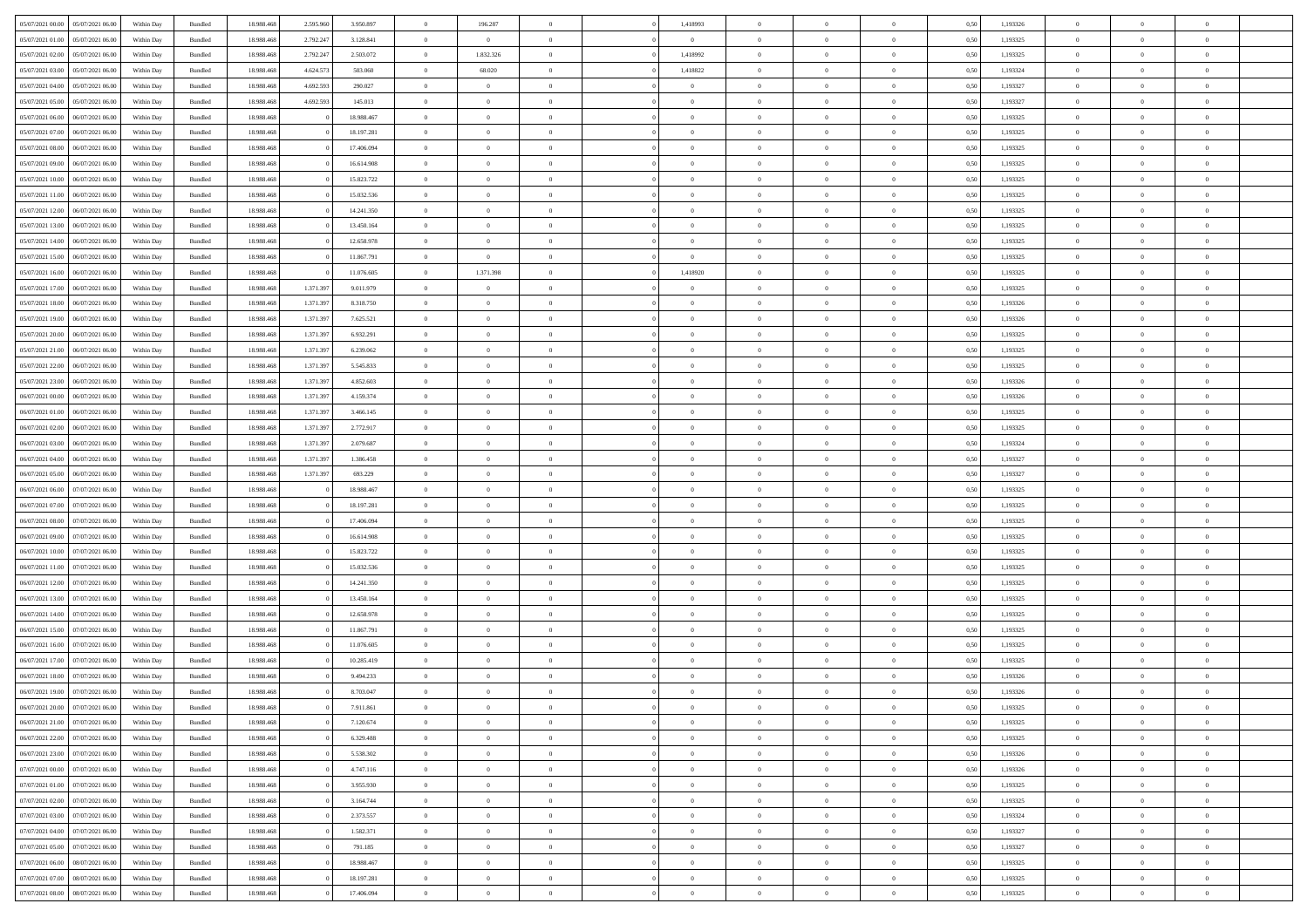| 05/07/2021 00:00                  | 05/07/2021 06:00 | Within Day | Bundled            | 18.988.468 | 2.595.960 | 3.950.897  | $\overline{0}$ | 196.287        |                | 1,418993       | $\Omega$       | $\Omega$       | $\theta$       | 0.50 | 1,193326 | $\theta$       | $\theta$       | $\theta$       |  |
|-----------------------------------|------------------|------------|--------------------|------------|-----------|------------|----------------|----------------|----------------|----------------|----------------|----------------|----------------|------|----------|----------------|----------------|----------------|--|
|                                   |                  |            |                    |            |           |            |                |                |                |                |                |                |                |      |          |                |                |                |  |
| 05/07/2021 01:00                  | 05/07/2021 06:00 | Within Day | Bundled            | 18.988.468 | 2.792.247 | 3.128.841  | $\overline{0}$ | $\overline{0}$ | $\overline{0}$ | $\overline{0}$ | $\bf{0}$       | $\overline{0}$ | $\overline{0}$ | 0,50 | 1,193325 | $\theta$       | $\theta$       | $\overline{0}$ |  |
| 05/07/2021 02:00                  | 05/07/2021 06:00 | Within Day | Bundled            | 18.988.468 | 2.792.247 | 2.503.072  | $\overline{0}$ | 1.832.326      | $\overline{0}$ | 1,418992       | $\bf{0}$       | $\overline{0}$ | $\bf{0}$       | 0,50 | 1,193325 | $\bf{0}$       | $\overline{0}$ | $\overline{0}$ |  |
| 05/07/2021 03:00                  | 05/07/2021 06:00 | Within Dav | Bundled            | 18.988.468 | 4.624.57  | 503,060    | $\overline{0}$ | 68.020         | $\Omega$       | 1,418822       | $\bf{0}$       | $\overline{0}$ | $\overline{0}$ | 0.50 | 1,193324 | $\theta$       | $\theta$       | $\overline{0}$ |  |
| 05/07/2021 04:00                  | 05/07/2021 06:00 | Within Day | Bundled            | 18.988.468 | 4.692.593 | 290.027    | $\overline{0}$ | $\theta$       | $\overline{0}$ | $\overline{0}$ | $\bf{0}$       | $\overline{0}$ | $\bf{0}$       | 0,50 | 1,193327 | $\theta$       | $\theta$       | $\overline{0}$ |  |
| 05/07/2021 05:00                  | 05/07/2021 06:00 | Within Day | Bundled            | 18.988.468 | 4.692.593 | 145.013    | $\overline{0}$ | $\bf{0}$       | $\overline{0}$ | $\overline{0}$ | $\overline{0}$ | $\overline{0}$ | $\mathbf{0}$   | 0,50 | 1,193327 | $\bf{0}$       | $\overline{0}$ | $\bf{0}$       |  |
|                                   |                  |            |                    |            |           |            |                |                |                |                | $\bf{0}$       |                |                |      |          | $\theta$       | $\overline{0}$ | $\overline{0}$ |  |
| 05/07/2021 06:00                  | 06/07/2021 06:00 | Within Dav | Bundled            | 18.988.468 |           | 18.988.467 | $\overline{0}$ | $\overline{0}$ | $\overline{0}$ | $\overline{0}$ |                | $\overline{0}$ | $\overline{0}$ | 0.50 | 1,193325 |                |                |                |  |
| 05/07/2021 07:00                  | 06/07/2021 06:00 | Within Day | Bundled            | 18.988.468 |           | 18.197.281 | $\overline{0}$ | $\theta$       | $\overline{0}$ | $\overline{0}$ | $\bf{0}$       | $\overline{0}$ | $\bf{0}$       | 0,50 | 1,193325 | $\theta$       | $\theta$       | $\overline{0}$ |  |
| 05/07/2021 08:00                  | 06/07/2021 06:00 | Within Day | Bundled            | 18.988.468 |           | 17.406.094 | $\overline{0}$ | $\overline{0}$ | $\overline{0}$ | $\overline{0}$ | $\bf{0}$       | $\overline{0}$ | $\bf{0}$       | 0,50 | 1,193325 | $\,0\,$        | $\overline{0}$ | $\overline{0}$ |  |
| 05/07/2021 09:00                  | 06/07/2021 06:00 | Within Dav | Bundled            | 18.988.468 |           | 16.614.908 | $\overline{0}$ | $\overline{0}$ | $\overline{0}$ | $\overline{0}$ | $\overline{0}$ | $\overline{0}$ | $\overline{0}$ | 0.50 | 1,193325 | $\theta$       | $\overline{0}$ | $\overline{0}$ |  |
| 05/07/2021 10:00                  | 06/07/2021 06:00 | Within Day | Bundled            | 18.988.468 |           | 15.823.722 | $\overline{0}$ | $\theta$       | $\overline{0}$ | $\overline{0}$ | $\bf{0}$       | $\overline{0}$ | $\bf{0}$       | 0,50 | 1,193325 | $\theta$       | $\theta$       | $\overline{0}$ |  |
| 05/07/2021 11:00                  | 06/07/2021 06:00 | Within Day | Bundled            | 18.988.468 |           | 15.032.536 | $\overline{0}$ | $\overline{0}$ | $\overline{0}$ | $\bf{0}$       | $\bf{0}$       | $\bf{0}$       | $\bf{0}$       | 0,50 | 1,193325 | $\,0\,$        | $\overline{0}$ | $\overline{0}$ |  |
| 05/07/2021 12:00                  | 06/07/2021 06:00 | Within Dav | Bundled            | 18.988.468 |           | 14.241.350 | $\overline{0}$ | $\overline{0}$ | $\overline{0}$ | $\overline{0}$ | $\bf{0}$       | $\overline{0}$ | $\overline{0}$ | 0.50 | 1,193325 | $\theta$       | $\theta$       | $\overline{0}$ |  |
|                                   |                  |            |                    |            |           |            | $\overline{0}$ | $\theta$       | $\overline{0}$ |                | $\bf{0}$       | $\overline{0}$ | $\overline{0}$ |      |          | $\theta$       | $\theta$       | $\overline{0}$ |  |
| 05/07/2021 13:00                  | 06/07/2021 06:00 | Within Day | Bundled            | 18.988.468 |           | 13.450.164 |                |                |                | $\overline{0}$ |                |                |                | 0,50 | 1,193325 |                |                |                |  |
| 05/07/2021 14:00                  | 06/07/2021 06:00 | Within Day | Bundled            | 18.988.468 |           | 12.658.978 | $\overline{0}$ | $\overline{0}$ | $\overline{0}$ | $\bf{0}$       | $\bf{0}$       | $\overline{0}$ | $\mathbf{0}$   | 0,50 | 1,193325 | $\overline{0}$ | $\overline{0}$ | $\bf{0}$       |  |
| 05/07/2021 15:00                  | 06/07/2021 06:00 | Within Dav | Bundled            | 18.988.468 |           | 11.867.791 | $\overline{0}$ | $\overline{0}$ | $\overline{0}$ | $\overline{0}$ | $\overline{0}$ | $\overline{0}$ | $\overline{0}$ | 0.50 | 1,193325 | $\theta$       | $\overline{0}$ | $\overline{0}$ |  |
| 05/07/2021 16:00                  | 06/07/2021 06:00 | Within Day | Bundled            | 18.988.468 |           | 11.076.605 | $\overline{0}$ | 1.371.398      | $\overline{0}$ | 1,418920       | $\bf{0}$       | $\overline{0}$ | $\bf{0}$       | 0,50 | 1,193325 | $\theta$       | $\theta$       | $\overline{0}$ |  |
| 05/07/2021 17:00                  | 06/07/2021 06:00 | Within Day | Bundled            | 18.988.468 | 1.371.397 | 9.011.979  | $\overline{0}$ | $\overline{0}$ | $\overline{0}$ | $\bf{0}$       | $\bf{0}$       | $\bf{0}$       | $\bf{0}$       | 0,50 | 1,193325 | $\,0\,$        | $\overline{0}$ | $\overline{0}$ |  |
| 05/07/2021 18:00                  | 06/07/2021 06:00 | Within Dav | Bundled            | 18.988.468 | 1.371.397 | 8.318.750  | $\overline{0}$ | $\overline{0}$ | $\overline{0}$ | $\overline{0}$ | $\overline{0}$ | $\overline{0}$ | $\overline{0}$ | 0.50 | 1,193326 | $\theta$       | $\overline{0}$ | $\overline{0}$ |  |
| 05/07/2021 19:00                  | 06/07/2021 06:00 | Within Day | Bundled            | 18.988.468 | 1.371.397 | 7.625.521  | $\overline{0}$ | $\theta$       | $\overline{0}$ | $\overline{0}$ | $\bf{0}$       | $\overline{0}$ | $\bf{0}$       | 0,50 | 1,193326 | $\theta$       | $\theta$       | $\overline{0}$ |  |
|                                   |                  |            |                    |            |           |            |                |                |                |                |                |                |                |      |          |                |                |                |  |
| 05/07/2021 20.00                  | 06/07/2021 06:00 | Within Day | Bundled            | 18.988.468 | 1.371.397 | 6.932.291  | $\overline{0}$ | $\overline{0}$ | $\overline{0}$ | $\bf{0}$       | $\bf{0}$       | $\bf{0}$       | $\bf{0}$       | 0,50 | 1,193325 | $\,0\,$        | $\overline{0}$ | $\overline{0}$ |  |
| 05/07/2021 21:00                  | 06/07/2021 06:00 | Within Day | Bundled            | 18.988.468 | 1.371.397 | 6.239.062  | $\overline{0}$ | $\overline{0}$ | $\overline{0}$ | $\overline{0}$ | $\bf{0}$       | $\overline{0}$ | $\overline{0}$ | 0.50 | 1,193325 | $\theta$       | $\theta$       | $\overline{0}$ |  |
| 05/07/2021 22.00                  | 06/07/2021 06:00 | Within Day | Bundled            | 18.988.468 | 1.371.397 | 5.545.833  | $\overline{0}$ | $\theta$       | $\overline{0}$ | $\overline{0}$ | $\bf{0}$       | $\overline{0}$ | $\bf{0}$       | 0,50 | 1,193325 | $\theta$       | $\overline{0}$ | $\overline{0}$ |  |
| 05/07/2021 23.00                  | 06/07/2021 06:00 | Within Day | Bundled            | 18.988.468 | 1.371.397 | 4.852.603  | $\overline{0}$ | $\bf{0}$       | $\overline{0}$ | $\bf{0}$       | $\overline{0}$ | $\overline{0}$ | $\mathbf{0}$   | 0,50 | 1,193326 | $\overline{0}$ | $\overline{0}$ | $\bf{0}$       |  |
| 06/07/2021 00:00                  | 06/07/2021 06:00 | Within Dav | Bundled            | 18.988.468 | 1.371.397 | 4.159.374  | $\overline{0}$ | $\overline{0}$ | $\overline{0}$ | $\overline{0}$ | $\overline{0}$ | $\overline{0}$ | $\overline{0}$ | 0.50 | 1,193326 | $\theta$       | $\overline{0}$ | $\overline{0}$ |  |
| 06/07/2021 01:00                  | 06/07/2021 06:00 | Within Day | Bundled            | 18.988.468 | 1.371.397 | 3.466.145  | $\overline{0}$ | $\theta$       | $\overline{0}$ | $\overline{0}$ | $\bf{0}$       | $\overline{0}$ | $\bf{0}$       | 0,50 | 1,193325 | $\theta$       | $\theta$       | $\overline{0}$ |  |
| 06/07/2021 02:00                  | 06/07/2021 06:00 | Within Day | Bundled            | 18.988.468 | 1.371.397 | 2.772.917  | $\overline{0}$ | $\overline{0}$ | $\overline{0}$ | $\bf{0}$       | $\bf{0}$       | $\bf{0}$       | $\bf{0}$       | 0,50 | 1,193325 | $\,0\,$        | $\overline{0}$ | $\overline{0}$ |  |
| 06/07/2021 03:00                  | 06/07/2021 06:00 |            | Bundled            | 18.988.468 | 1.371.397 | 2.079.687  | $\overline{0}$ | $\overline{0}$ | $\overline{0}$ | $\overline{0}$ | $\overline{0}$ | $\overline{0}$ | $\overline{0}$ | 0.50 | 1,193324 | $\theta$       | $\overline{0}$ | $\overline{0}$ |  |
|                                   |                  | Within Day |                    |            |           |            |                |                |                |                |                |                |                |      |          |                |                |                |  |
| 06/07/2021 04:00                  | 06/07/2021 06:00 | Within Day | Bundled            | 18.988.468 | 1.371.397 | 1.386.458  | $\overline{0}$ | $\theta$       | $\overline{0}$ | $\overline{0}$ | $\bf{0}$       | $\overline{0}$ | $\bf{0}$       | 0,50 | 1,193327 | $\theta$       | $\theta$       | $\overline{0}$ |  |
| 06/07/2021 05:00                  | 06/07/2021 06:00 | Within Day | Bundled            | 18.988.468 | 1.371.397 | 693.229    | $\overline{0}$ | $\overline{0}$ | $\overline{0}$ | $\bf{0}$       | $\bf{0}$       | $\bf{0}$       | $\bf{0}$       | 0,50 | 1,193327 | $\,0\,$        | $\overline{0}$ | $\overline{0}$ |  |
| 06/07/2021 06:00                  | 07/07/2021 06:00 | Within Day | Bundled            | 18.988.468 |           | 18,988,467 | $\overline{0}$ | $\Omega$       | $\Omega$       | $\Omega$       | $\Omega$       | $\overline{0}$ | $\overline{0}$ | 0,50 | 1,193325 | $\,0\,$        | $\theta$       | $\theta$       |  |
| 06/07/2021 07:00                  | 07/07/2021 06.00 | Within Day | Bundled            | 18.988.468 |           | 18.197.281 | $\overline{0}$ | $\theta$       | $\overline{0}$ | $\overline{0}$ | $\bf{0}$       | $\overline{0}$ | $\bf{0}$       | 0,50 | 1,193325 | $\theta$       | $\theta$       | $\overline{0}$ |  |
| 06/07/2021 08:00                  | 07/07/2021 06:00 | Within Day | Bundled            | 18.988.468 |           | 17.406.094 | $\overline{0}$ | $\overline{0}$ | $\overline{0}$ | $\bf{0}$       | $\bf{0}$       | $\overline{0}$ | $\mathbf{0}$   | 0,50 | 1,193325 | $\overline{0}$ | $\overline{0}$ | $\bf{0}$       |  |
| 06/07/2021 09:00                  | 07/07/2021 06:00 | Within Day | Bundled            | 18.988.468 |           | 16.614.908 | $\overline{0}$ | $\Omega$       | $\Omega$       | $\Omega$       | $\bf{0}$       | $\overline{0}$ | $\overline{0}$ | 0.50 | 1,193325 | $\,0\,$        | $\theta$       | $\theta$       |  |
| 06/07/2021 10:00                  | 07/07/2021 06:00 | Within Day | Bundled            | 18.988.468 |           | 15.823.722 | $\overline{0}$ | $\theta$       | $\overline{0}$ | $\overline{0}$ | $\bf{0}$       | $\overline{0}$ | $\bf{0}$       | 0,50 | 1,193325 | $\theta$       | $\theta$       | $\overline{0}$ |  |
|                                   |                  |            |                    |            |           |            |                |                |                |                |                |                |                |      |          |                |                |                |  |
| 06/07/2021 11:00                  | 07/07/2021 06:00 | Within Day | Bundled            | 18.988.468 |           | 15.032.536 | $\overline{0}$ | $\overline{0}$ | $\overline{0}$ | $\bf{0}$       | $\bf{0}$       | $\bf{0}$       | $\bf{0}$       | 0,50 | 1,193325 | $\,0\,$        | $\overline{0}$ | $\overline{0}$ |  |
| 06/07/2021 12:00                  | 07/07/2021 06:00 | Within Day | Bundled            | 18.988.468 |           | 14.241.350 | $\overline{0}$ | $\Omega$       | $\Omega$       | $\Omega$       | $\Omega$       | $\theta$       | $\overline{0}$ | 0.50 | 1,193325 | $\theta$       | $\theta$       | $\theta$       |  |
| 06/07/2021 13:00                  | 07/07/2021 06:00 | Within Day | Bundled            | 18.988.468 |           | 13.450.164 | $\overline{0}$ | $\theta$       | $\overline{0}$ | $\overline{0}$ | $\bf{0}$       | $\overline{0}$ | $\bf{0}$       | 0,50 | 1,193325 | $\theta$       | $\theta$       | $\overline{0}$ |  |
| 06/07/2021 14:00                  | 07/07/2021 06:00 | Within Day | Bundled            | 18.988.468 |           | 12.658.978 | $\overline{0}$ | $\overline{0}$ | $\overline{0}$ | $\bf{0}$       | $\bf{0}$       | $\bf{0}$       | $\bf{0}$       | 0,50 | 1,193325 | $\,0\,$        | $\overline{0}$ | $\overline{0}$ |  |
| 06/07/2021 15:00                  | 07/07/2021 06:00 | Within Day | Bundled            | 18.988.468 |           | 11.867.791 | $\overline{0}$ | $\Omega$       | $\Omega$       | $\Omega$       | $\overline{0}$ | $\overline{0}$ | $\overline{0}$ | 0,50 | 1,193325 | $\,0\,$        | $\theta$       | $\theta$       |  |
| 06/07/2021 16:00                  | 07/07/2021 06:00 | Within Day | Bundled            | 18.988.468 |           | 11.076.605 | $\overline{0}$ | $\theta$       | $\overline{0}$ | $\overline{0}$ | $\bf{0}$       | $\overline{0}$ | $\bf{0}$       | 0,50 | 1,193325 | $\theta$       | $\overline{0}$ | $\overline{0}$ |  |
| 06/07/2021 17:00                  | 07/07/2021 06:00 | Within Day | Bundled            | 18.988.468 |           | 10.285.419 | $\overline{0}$ | $\overline{0}$ | $\overline{0}$ | $\bf{0}$       | $\bf{0}$       | $\bf{0}$       | $\mathbf{0}$   | 0,50 | 1,193325 | $\overline{0}$ | $\overline{0}$ | $\bf{0}$       |  |
| 06/07/2021 18:00                  | 07/07/2021 06:00 |            | Bundled            | 18.988.468 |           | 9.494.233  | $\overline{0}$ | $\Omega$       | $\Omega$       | $\Omega$       | $\Omega$       | $\Omega$       | $\overline{0}$ | 0.50 | 1,193326 | $\theta$       | $\theta$       | $\theta$       |  |
|                                   |                  | Within Day |                    |            |           |            |                |                |                |                |                |                |                |      |          |                |                |                |  |
| 06/07/2021 19:00                  | 07/07/2021 06:00 | Within Day | Bundled            | 18.988.468 |           | 8.703.047  | $\overline{0}$ | $\overline{0}$ | $\overline{0}$ | $\bf{0}$       | $\,$ 0         | $\bf{0}$       | $\bf{0}$       | 0,50 | 1,193326 | $\,0\,$        | $\overline{0}$ | $\overline{0}$ |  |
| 06/07/2021 20:00 07/07/2021 06:00 |                  | Within Day | $\mathbf B$ undled | 18.988.468 |           | 7.911.861  | $\bf{0}$       | $\bf{0}$       |                |                |                |                |                | 0,50 | 1,193325 | $\bf{0}$       | $\overline{0}$ |                |  |
| 06/07/2021 21:00                  | 07/07/2021 06:00 | Within Day | Bundled            | 18,988,468 |           | 7.120.674  | $\overline{0}$ | $\Omega$       | $\overline{0}$ | $\Omega$       | $\overline{0}$ | $\overline{0}$ | $\overline{0}$ | 0.50 | 1,193325 | $\theta$       | $\theta$       | $\theta$       |  |
| 06/07/2021 22.00                  | 07/07/2021 06:00 | Within Day | Bundled            | 18.988.468 |           | 6.329.488  | $\overline{0}$ | $\,$ 0         | $\overline{0}$ | $\bf{0}$       | $\,$ 0 $\,$    | $\overline{0}$ | $\mathbf{0}$   | 0,50 | 1,193325 | $\,$ 0 $\,$    | $\,$ 0 $\,$    | $\,$ 0         |  |
| 06/07/2021 23:00                  | 07/07/2021 06:00 | Within Day | Bundled            | 18.988.468 |           | 5.538.302  | $\overline{0}$ | $\overline{0}$ | $\overline{0}$ | $\overline{0}$ | $\overline{0}$ | $\overline{0}$ | $\mathbf{0}$   | 0,50 | 1,193326 | $\overline{0}$ | $\bf{0}$       | $\bf{0}$       |  |
| 07/07/2021 00:00                  | 07/07/202106.00  | Within Day | Bundled            | 18.988.468 |           | 4.747.116  | $\overline{0}$ | $\overline{0}$ | $\overline{0}$ | $\Omega$       | $\overline{0}$ | $\overline{0}$ | $\bf{0}$       | 0,50 | 1,193326 | $\overline{0}$ | $\theta$       | $\overline{0}$ |  |
| 07/07/2021 01:00                  | 07/07/2021 06:00 | Within Day | Bundled            | 18.988.468 |           | 3.955.930  | $\overline{0}$ | $\,$ 0         | $\overline{0}$ | $\overline{0}$ | $\overline{0}$ | $\overline{0}$ | $\bf{0}$       | 0,50 | 1,193325 | $\,$ 0 $\,$    | $\overline{0}$ | $\overline{0}$ |  |
|                                   |                  |            |                    |            |           |            |                |                |                |                |                |                |                |      |          |                |                |                |  |
| 07/07/2021 02:00                  | 07/07/2021 06:00 | Within Day | Bundled            | 18.988.468 |           | 3.164.744  | $\overline{0}$ | $\overline{0}$ | $\overline{0}$ | $\overline{0}$ | $\overline{0}$ | $\overline{0}$ | $\mathbf{0}$   | 0,50 | 1,193325 | $\overline{0}$ | $\bf{0}$       | $\bf{0}$       |  |
| 07/07/2021 03:00                  | 07/07/2021 06:00 | Within Day | Bundled            | 18.988.468 |           | 2.373.557  | $\overline{0}$ | $\overline{0}$ | $\overline{0}$ | $\Omega$       | $\overline{0}$ | $\overline{0}$ | $\bf{0}$       | 0.50 | 1,193324 | $\overline{0}$ | $\theta$       | $\overline{0}$ |  |
| 07/07/2021 04:00                  | 07/07/2021 06:00 | Within Day | Bundled            | 18.988.468 |           | 1.582.371  | $\overline{0}$ | $\,$ 0         | $\overline{0}$ | $\bf{0}$       | $\bf{0}$       | $\bf{0}$       | $\bf{0}$       | 0,50 | 1,193327 | $\,$ 0 $\,$    | $\overline{0}$ | $\overline{0}$ |  |
| 07/07/2021 05:00                  | 07/07/2021 06:00 | Within Day | Bundled            | 18.988.468 |           | 791.185    | $\overline{0}$ | $\bf{0}$       | $\overline{0}$ | $\overline{0}$ | $\overline{0}$ | $\overline{0}$ | $\mathbf{0}$   | 0,50 | 1,193327 | $\overline{0}$ | $\overline{0}$ | $\bf{0}$       |  |
| 07/07/2021 06:00                  | 08/07/2021 06:00 | Within Day | Bundled            | 18,988,468 |           | 18.988.467 | $\overline{0}$ | $\overline{0}$ | $\overline{0}$ | $\Omega$       | $\overline{0}$ | $\overline{0}$ | $\bf{0}$       | 0.50 | 1,193325 | $\overline{0}$ | $\theta$       | $\overline{0}$ |  |
| 07/07/2021 07:00                  | 08/07/2021 06:00 | Within Day | Bundled            | 18.988.468 |           | 18.197.281 | $\overline{0}$ | $\bf{0}$       | $\overline{0}$ | $\overline{0}$ | $\bf{0}$       | $\bf{0}$       | $\mathbf{0}$   | 0,50 | 1,193325 | $\,$ 0 $\,$    | $\,$ 0 $\,$    | $\bf{0}$       |  |
| 07/07/2021 08:00                  | 08/07/2021 06:00 | Within Day | Bundled            | 18.988.468 |           | 17.406.094 | $\overline{0}$ | $\overline{0}$ | $\overline{0}$ | $\overline{0}$ | $\bf{0}$       | $\bf{0}$       | $\mathbf{0}$   | 0,50 | 1,193325 | $\overline{0}$ | $\bf{0}$       | $\bf{0}$       |  |
|                                   |                  |            |                    |            |           |            |                |                |                |                |                |                |                |      |          |                |                |                |  |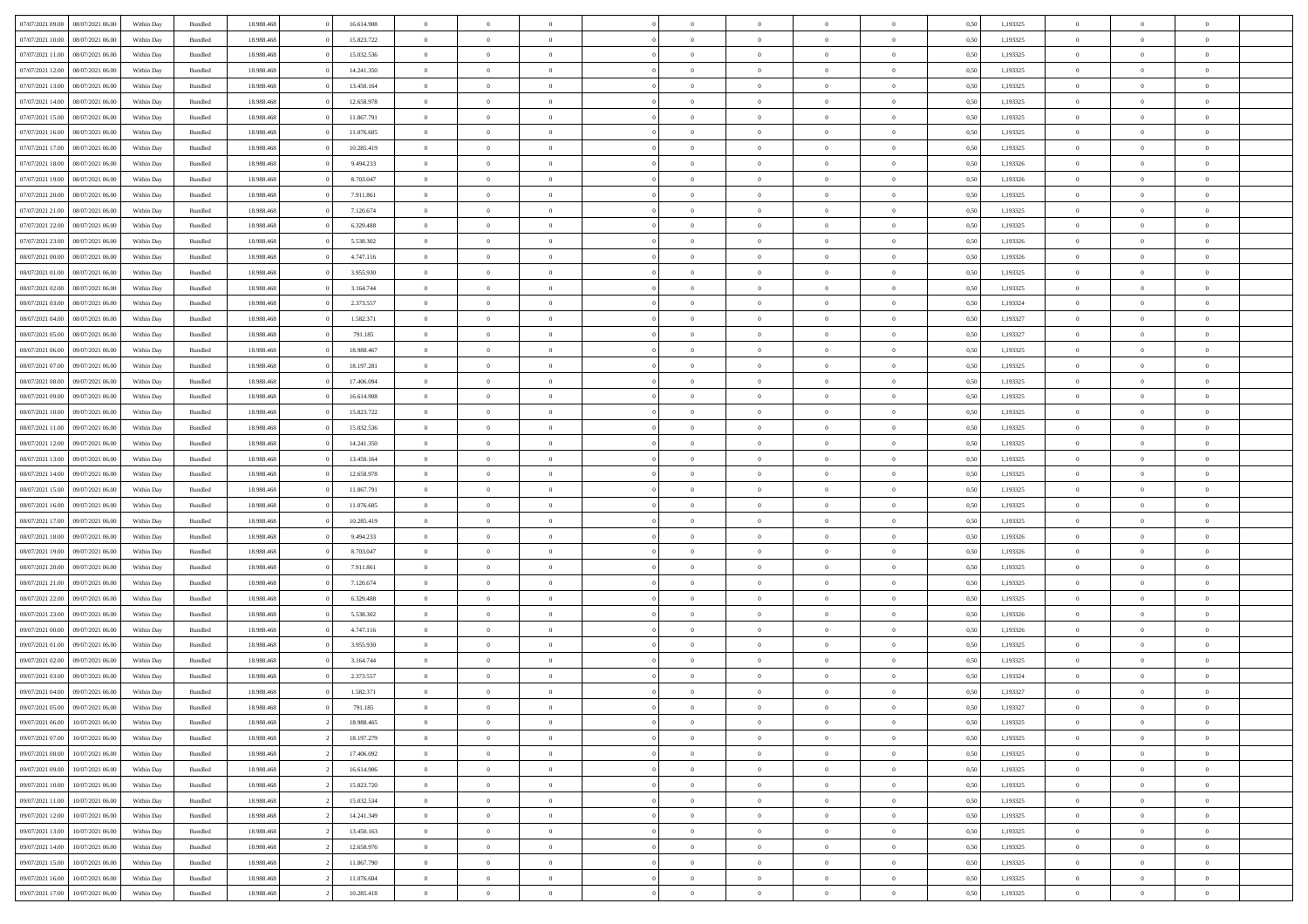| 07/07/2021 09:00                  | 08/07/2021 06:00 | Within Day | Bundled            | 18.988.468 | 16.614.908 | $\overline{0}$ | $\theta$       |                | $\Omega$       | $\Omega$       | $\Omega$       | $\theta$       | 0.50 | 1,193325 | $\theta$       | $\overline{0}$ | $\theta$       |  |
|-----------------------------------|------------------|------------|--------------------|------------|------------|----------------|----------------|----------------|----------------|----------------|----------------|----------------|------|----------|----------------|----------------|----------------|--|
| 07/07/2021 10:00                  | 08/07/2021 06:00 | Within Day | Bundled            | 18.988.468 | 15.823.722 | $\overline{0}$ | $\theta$       | $\overline{0}$ | $\overline{0}$ | $\bf{0}$       | $\overline{0}$ | $\overline{0}$ | 0,50 | 1,193325 | $\theta$       | $\overline{0}$ | $\overline{0}$ |  |
| 07/07/2021 11:00                  | 08/07/2021 06:00 | Within Day | Bundled            | 18.988.468 | 15.032.536 | $\overline{0}$ | $\overline{0}$ | $\overline{0}$ | $\bf{0}$       | $\bf{0}$       | $\bf{0}$       | $\bf{0}$       | 0,50 | 1,193325 | $\bf{0}$       | $\overline{0}$ | $\overline{0}$ |  |
|                                   |                  |            |                    |            |            |                |                |                |                |                |                |                |      |          | $\theta$       |                |                |  |
| 07/07/2021 12:00                  | 08/07/2021 06:00 | Within Dav | Bundled            | 18.988.468 | 14.241.350 | $\overline{0}$ | $\overline{0}$ | $\overline{0}$ | $\overline{0}$ | $\bf{0}$       | $\overline{0}$ | $\overline{0}$ | 0.50 | 1,193325 |                | $\theta$       | $\overline{0}$ |  |
| 07/07/2021 13:00                  | 08/07/2021 06:00 | Within Day | Bundled            | 18.988.468 | 13.450.164 | $\overline{0}$ | $\theta$       | $\overline{0}$ | $\overline{0}$ | $\bf{0}$       | $\overline{0}$ | $\bf{0}$       | 0,50 | 1,193325 | $\theta$       | $\theta$       | $\overline{0}$ |  |
| 07/07/2021 14:00                  | 08/07/2021 06:00 | Within Day | Bundled            | 18.988.468 | 12.658.978 | $\overline{0}$ | $\bf{0}$       | $\overline{0}$ | $\bf{0}$       | $\overline{0}$ | $\overline{0}$ | $\mathbf{0}$   | 0,50 | 1,193325 | $\bf{0}$       | $\overline{0}$ | $\bf{0}$       |  |
| 07/07/2021 15:00                  | 08/07/2021 06:00 | Within Dav | Bundled            | 18.988.468 | 11.867.791 | $\overline{0}$ | $\overline{0}$ | $\overline{0}$ | $\overline{0}$ | $\bf{0}$       | $\overline{0}$ | $\overline{0}$ | 0.50 | 1,193325 | $\theta$       | $\overline{0}$ | $\overline{0}$ |  |
|                                   |                  |            |                    |            |            |                |                |                |                |                |                |                |      |          |                |                |                |  |
| 07/07/2021 16:00                  | 08/07/2021 06:00 | Within Day | Bundled            | 18.988.468 | 11.076.605 | $\overline{0}$ | $\theta$       | $\overline{0}$ | $\overline{0}$ | $\bf{0}$       | $\overline{0}$ | $\bf{0}$       | 0,50 | 1,193325 | $\theta$       | $\theta$       | $\overline{0}$ |  |
| 07/07/2021 17:00                  | 08/07/2021 06:00 | Within Day | Bundled            | 18.988.468 | 10.285.419 | $\overline{0}$ | $\overline{0}$ | $\overline{0}$ | $\bf{0}$       | $\bf{0}$       | $\bf{0}$       | $\bf{0}$       | 0,50 | 1,193325 | $\,0\,$        | $\overline{0}$ | $\overline{0}$ |  |
| 07/07/2021 18:00                  | 08/07/2021 06:00 | Within Dav | Bundled            | 18.988.468 | 9.494.233  | $\overline{0}$ | $\overline{0}$ | $\overline{0}$ | $\overline{0}$ | $\overline{0}$ | $\overline{0}$ | $\overline{0}$ | 0.50 | 1,193326 | $\theta$       | $\overline{0}$ | $\overline{0}$ |  |
| 07/07/2021 19:00                  | 08/07/2021 06:00 |            | Bundled            | 18.988.468 | 8.703.047  | $\overline{0}$ | $\theta$       | $\overline{0}$ | $\overline{0}$ | $\bf{0}$       | $\overline{0}$ |                |      | 1,193326 | $\theta$       | $\theta$       | $\overline{0}$ |  |
|                                   |                  | Within Day |                    |            |            |                |                |                |                |                |                | $\bf{0}$       | 0,50 |          |                |                |                |  |
| 07/07/2021 20.00                  | 08/07/2021 06:00 | Within Day | Bundled            | 18.988.468 | 7.911.861  | $\overline{0}$ | $\overline{0}$ | $\overline{0}$ | $\bf{0}$       | $\bf{0}$       | $\bf{0}$       | $\bf{0}$       | 0,50 | 1,193325 | $\bf{0}$       | $\overline{0}$ | $\overline{0}$ |  |
| 07/07/2021 21:00                  | 08/07/2021 06:00 | Within Dav | Bundled            | 18.988.468 | 7.120.674  | $\overline{0}$ | $\theta$       | $\overline{0}$ | $\overline{0}$ | $\bf{0}$       | $\overline{0}$ | $\overline{0}$ | 0.50 | 1,193325 | $\theta$       | $\theta$       | $\overline{0}$ |  |
| 07/07/2021 22.00                  | 08/07/2021 06:00 | Within Day | Bundled            | 18.988.468 | 6.329.488  | $\overline{0}$ | $\theta$       | $\overline{0}$ | $\overline{0}$ | $\bf{0}$       | $\overline{0}$ | $\overline{0}$ | 0,50 | 1,193325 | $\theta$       | $\theta$       | $\overline{0}$ |  |
|                                   |                  |            |                    |            |            |                |                |                |                |                |                |                |      |          |                |                |                |  |
| 07/07/2021 23.00                  | 08/07/2021 06:00 | Within Day | Bundled            | 18.988.468 | 5.538.302  | $\overline{0}$ | $\overline{0}$ | $\overline{0}$ | $\bf{0}$       | $\overline{0}$ | $\overline{0}$ | $\mathbf{0}$   | 0,50 | 1,193326 | $\bf{0}$       | $\overline{0}$ | $\bf{0}$       |  |
| 08/07/2021 00:00                  | 08/07/2021 06:00 | Within Dav | Bundled            | 18.988.468 | 4.747.116  | $\overline{0}$ | $\overline{0}$ | $\overline{0}$ | $\overline{0}$ | $\bf{0}$       | $\overline{0}$ | $\overline{0}$ | 0.50 | 1,193326 | $\theta$       | $\overline{0}$ | $\overline{0}$ |  |
| 08/07/2021 01:00                  | 08/07/2021 06:00 | Within Day | Bundled            | 18.988.468 | 3.955.930  | $\overline{0}$ | $\theta$       | $\overline{0}$ | $\overline{0}$ | $\bf{0}$       | $\overline{0}$ | $\bf{0}$       | 0,50 | 1,193325 | $\theta$       | $\theta$       | $\overline{0}$ |  |
| 08/07/2021 02:00                  | 08/07/2021 06:00 | Within Day | Bundled            | 18.988.468 | 3.164.744  | $\overline{0}$ | $\overline{0}$ | $\overline{0}$ | $\bf{0}$       | $\bf{0}$       | $\bf{0}$       | $\bf{0}$       | 0,50 | 1,193325 | $\,0\,$        | $\overline{0}$ | $\overline{0}$ |  |
|                                   |                  |            |                    |            |            |                |                |                |                |                |                |                |      |          |                |                |                |  |
| 08/07/2021 03:00                  | 08/07/2021 06:00 | Within Dav | Bundled            | 18.988.468 | 2.373.557  | $\overline{0}$ | $\overline{0}$ | $\overline{0}$ | $\overline{0}$ | $\overline{0}$ | $\overline{0}$ | $\overline{0}$ | 0.50 | 1,193324 | $\theta$       | $\overline{0}$ | $\overline{0}$ |  |
| 08/07/2021 04:00                  | 08/07/2021 06:00 | Within Day | Bundled            | 18.988.468 | 1.582.371  | $\overline{0}$ | $\theta$       | $\overline{0}$ | $\overline{0}$ | $\bf{0}$       | $\overline{0}$ | $\bf{0}$       | 0,50 | 1,193327 | $\theta$       | $\theta$       | $\overline{0}$ |  |
| 08/07/2021 05:00                  | 08/07/2021 06:00 | Within Day | Bundled            | 18.988.468 | 791.185    | $\overline{0}$ | $\overline{0}$ | $\overline{0}$ | $\bf{0}$       | $\bf{0}$       | $\bf{0}$       | $\bf{0}$       | 0,50 | 1,193327 | $\,0\,$        | $\overline{0}$ | $\overline{0}$ |  |
| 08/07/2021 06:00                  | 09/07/2021 06:00 | Within Day | Bundled            | 18.988.468 | 18.988.467 | $\overline{0}$ | $\overline{0}$ | $\overline{0}$ | $\overline{0}$ | $\bf{0}$       | $\overline{0}$ | $\overline{0}$ | 0.50 | 1,193325 | $\theta$       | $\theta$       | $\overline{0}$ |  |
|                                   |                  |            |                    |            |            | $\overline{0}$ | $\theta$       | $\overline{0}$ | $\overline{0}$ | $\bf{0}$       | $\overline{0}$ |                |      |          | $\theta$       | $\overline{0}$ | $\overline{0}$ |  |
| 08/07/2021 07:00                  | 09/07/2021 06:00 | Within Day | Bundled            | 18.988.468 | 18.197.281 |                |                |                |                |                |                | $\bf{0}$       | 0,50 | 1,193325 |                |                |                |  |
| 08/07/2021 08:00                  | 09/07/2021 06:00 | Within Day | Bundled            | 18.988.468 | 17.406.094 | $\overline{0}$ | $\overline{0}$ | $\overline{0}$ | $\bf{0}$       | $\overline{0}$ | $\overline{0}$ | $\mathbf{0}$   | 0,50 | 1,193325 | $\bf{0}$       | $\overline{0}$ | $\bf{0}$       |  |
| 08/07/2021 09:00                  | 09/07/2021 06:00 | Within Dav | Bundled            | 18.988.468 | 16.614.908 | $\overline{0}$ | $\overline{0}$ | $\overline{0}$ | $\overline{0}$ | $\overline{0}$ | $\overline{0}$ | $\overline{0}$ | 0.50 | 1,193325 | $\theta$       | $\theta$       | $\overline{0}$ |  |
| 08/07/2021 10:00                  | 09/07/2021 06:00 | Within Day | Bundled            | 18.988.468 | 15.823.722 | $\overline{0}$ | $\theta$       | $\overline{0}$ | $\overline{0}$ | $\bf{0}$       | $\overline{0}$ | $\bf{0}$       | 0,50 | 1,193325 | $\theta$       | $\theta$       | $\overline{0}$ |  |
|                                   |                  |            |                    |            |            |                |                |                |                |                |                |                |      |          |                |                |                |  |
| 08/07/2021 11:00                  | 09/07/2021 06:00 | Within Day | Bundled            | 18.988.468 | 15.032.536 | $\overline{0}$ | $\overline{0}$ | $\overline{0}$ | $\bf{0}$       | $\bf{0}$       | $\bf{0}$       | $\bf{0}$       | 0,50 | 1,193325 | $\,0\,$        | $\overline{0}$ | $\overline{0}$ |  |
| 08/07/2021 12:00                  | 09/07/2021 06:00 | Within Day | Bundled            | 18.988.468 | 14.241.350 | $\overline{0}$ | $\overline{0}$ | $\overline{0}$ | $\overline{0}$ | $\overline{0}$ | $\overline{0}$ | $\overline{0}$ | 0.50 | 1,193325 | $\theta$       | $\overline{0}$ | $\overline{0}$ |  |
| 08/07/2021 13:00                  | 09/07/2021 06:00 | Within Day | Bundled            | 18.988.468 | 13.450.164 | $\overline{0}$ | $\theta$       | $\overline{0}$ | $\overline{0}$ | $\bf{0}$       | $\overline{0}$ | $\bf{0}$       | 0,50 | 1,193325 | $\theta$       | $\theta$       | $\overline{0}$ |  |
| 08/07/2021 14:00                  | 09/07/2021 06:00 | Within Day | Bundled            | 18.988.468 | 12.658.978 | $\overline{0}$ | $\overline{0}$ | $\overline{0}$ | $\bf{0}$       | $\bf{0}$       | $\bf{0}$       | $\bf{0}$       | 0,50 | 1,193325 | $\bf{0}$       | $\overline{0}$ | $\overline{0}$ |  |
|                                   |                  |            |                    |            |            | $\overline{0}$ | $\Omega$       | $\Omega$       | $\Omega$       | $\Omega$       | $\Omega$       |                |      |          |                | $\Omega$       | $\theta$       |  |
| 08/07/2021 15:00                  | 09/07/2021 06:00 | Within Day | Bundled            | 18.988.468 | 11.867.791 |                |                |                |                |                |                | $\overline{0}$ | 0.50 | 1,193325 | $\,0\,$        |                |                |  |
| 08/07/2021 16:00                  | 09/07/2021 06:00 | Within Day | Bundled            | 18.988.468 | 11.076.605 | $\overline{0}$ | $\theta$       | $\overline{0}$ | $\overline{0}$ | $\bf{0}$       | $\overline{0}$ | $\bf{0}$       | 0,50 | 1,193325 | $\theta$       | $\theta$       | $\overline{0}$ |  |
| 08/07/2021 17:00                  | 09/07/2021 06:00 | Within Day | Bundled            | 18.988.468 | 10.285.419 | $\overline{0}$ | $\bf{0}$       | $\overline{0}$ | $\bf{0}$       | $\bf{0}$       | $\overline{0}$ | $\mathbf{0}$   | 0,50 | 1,193325 | $\overline{0}$ | $\overline{0}$ | $\bf{0}$       |  |
| 08/07/2021 18:00                  | 09/07/2021 06:00 | Within Day | Bundled            | 18.988.468 | 9.494.233  | $\overline{0}$ | $\Omega$       | $\Omega$       | $\Omega$       | $\Omega$       | $\Omega$       | $\overline{0}$ | 0.50 | 1,193326 | $\theta$       | $\theta$       | $\theta$       |  |
| 08/07/2021 19:00                  | 09/07/2021 06:00 |            |                    | 18.988.468 | 8.703.047  | $\overline{0}$ | $\theta$       | $\overline{0}$ | $\overline{0}$ | $\bf{0}$       | $\overline{0}$ |                |      | 1,193326 | $\theta$       | $\theta$       | $\overline{0}$ |  |
|                                   |                  | Within Day | Bundled            |            |            |                |                |                |                |                |                | $\bf{0}$       | 0,50 |          |                |                |                |  |
| 08/07/2021 20:00                  | 09/07/2021 06:00 | Within Day | Bundled            | 18.988.468 | 7.911.861  | $\overline{0}$ | $\overline{0}$ | $\overline{0}$ | $\bf{0}$       | $\bf{0}$       | $\bf{0}$       | $\bf{0}$       | 0,50 | 1,193325 | $\,0\,$        | $\overline{0}$ | $\overline{0}$ |  |
| 08/07/2021 21:00                  | 09/07/2021 06:00 | Within Day | Bundled            | 18.988.468 | 7.120.674  | $\overline{0}$ | $\Omega$       | $\Omega$       | $\Omega$       | $\Omega$       | $\theta$       | $\overline{0}$ | 0.50 | 1,193325 | $\theta$       | $\theta$       | $\theta$       |  |
| 08/07/2021 22:00                  | 09/07/2021 06:00 | Within Day | Bundled            | 18.988.468 | 6.329.488  | $\overline{0}$ | $\theta$       | $\overline{0}$ | $\overline{0}$ | $\bf{0}$       | $\overline{0}$ | $\bf{0}$       | 0,50 | 1,193325 | $\theta$       | $\theta$       | $\overline{0}$ |  |
|                                   |                  |            |                    |            |            |                |                |                |                |                |                |                |      |          |                |                |                |  |
| 08/07/2021 23.00                  | 09/07/2021 06:00 | Within Day | Bundled            | 18.988.468 | 5.538.302  | $\overline{0}$ | $\overline{0}$ | $\overline{0}$ | $\bf{0}$       | $\bf{0}$       | $\bf{0}$       | $\bf{0}$       | 0,50 | 1,193326 | $\bf{0}$       | $\overline{0}$ | $\overline{0}$ |  |
| 09/07/2021 00:00                  | 09/07/2021 06:00 | Within Day | Bundled            | 18.988.468 | 4.747.116  | $\overline{0}$ | $\Omega$       | $\Omega$       | $\Omega$       | $\Omega$       | $\overline{0}$ | $\overline{0}$ | 0.50 | 1,193326 | $\,0\,$        | $\theta$       | $\theta$       |  |
| 09/07/2021 01:00                  | 09/07/2021 06:00 | Within Day | Bundled            | 18.988.468 | 3.955.930  | $\overline{0}$ | $\theta$       | $\overline{0}$ | $\overline{0}$ | $\bf{0}$       | $\overline{0}$ | $\bf{0}$       | 0,50 | 1,193325 | $\theta$       | $\theta$       | $\overline{0}$ |  |
| 09/07/2021 02:00                  | 09/07/2021 06:00 | Within Day | Bundled            | 18.988.468 | 3.164.744  | $\overline{0}$ | $\overline{0}$ | $\overline{0}$ | $\bf{0}$       | $\bf{0}$       | $\bf{0}$       | $\mathbf{0}$   | 0,50 | 1,193325 | $\overline{0}$ | $\overline{0}$ | $\bf{0}$       |  |
| 09/07/2021 03:00                  | 09/07/2021 06:00 |            | Bundled            | 18.988.468 | 2.373.557  | $\overline{0}$ | $\Omega$       | $\Omega$       | $\Omega$       | $\Omega$       | $\Omega$       | $\overline{0}$ | 0.50 | 1,193324 | $\theta$       | $\theta$       | $\theta$       |  |
|                                   |                  | Within Day |                    |            |            |                |                |                |                |                |                |                |      |          |                |                |                |  |
| 09/07/2021 04:00                  | 09/07/2021 06:00 | Within Day | Bundled            | 18.988.468 | 1.582.371  | $\overline{0}$ | $\overline{0}$ | $\overline{0}$ | $\bf{0}$       | $\,$ 0         | $\bf{0}$       | $\bf{0}$       | 0,50 | 1,193327 | $\,0\,$        | $\overline{0}$ | $\overline{0}$ |  |
| 09/07/2021 05:00 09/07/2021 06:00 |                  | Within Day | $\mathbf B$ undled | 18.988.468 | 791.185    | $\bf{0}$       | $\bf{0}$       |                |                | $\bf{0}$       |                |                | 0,50 | 1,193327 | $\bf{0}$       | $\overline{0}$ |                |  |
| 09/07/2021 06:00                  | 10/07/2021 06:00 | Within Day | Bundled            | 18,988,468 | 18.988.465 | $\overline{0}$ | $\Omega$       | $\overline{0}$ | $\Omega$       | $\theta$       | $\overline{0}$ | $\overline{0}$ | 0.50 | 1,193325 | $\theta$       | $\theta$       | $\theta$       |  |
| 09/07/2021 07:00                  | 10/07/2021 06:00 | Within Day | Bundled            | 18.988.468 | 18.197.279 | $\overline{0}$ | $\,$ 0         | $\overline{0}$ | $\overline{0}$ | $\,$ 0 $\,$    | $\overline{0}$ | $\mathbf{0}$   | 0,50 | 1,193325 | $\,$ 0 $\,$    | $\overline{0}$ | $\,$ 0         |  |
|                                   |                  |            |                    |            |            |                |                |                |                |                |                |                |      |          |                |                |                |  |
| 09/07/2021 08:00                  | 10/07/2021 06:00 | Within Day | Bundled            | 18.988.468 | 17.406.092 | $\overline{0}$ | $\overline{0}$ | $\overline{0}$ | $\overline{0}$ | $\overline{0}$ | $\overline{0}$ | $\mathbf{0}$   | 0,50 | 1,193325 | $\overline{0}$ | $\bf{0}$       | $\bf{0}$       |  |
| 09/07/2021 09:00                  | 10/07/2021 06:00 | Within Day | Bundled            | 18.988.468 | 16.614.906 | $\overline{0}$ | $\theta$       | $\overline{0}$ | $\Omega$       | $\overline{0}$ | $\overline{0}$ | $\bf{0}$       | 0,50 | 1,193325 | $\overline{0}$ | $\theta$       | $\overline{0}$ |  |
| 09/07/2021 10:00                  | 10/07/2021 06:00 | Within Day | Bundled            | 18.988.468 | 15.823.720 | $\overline{0}$ | $\,$ 0         | $\overline{0}$ | $\overline{0}$ | $\overline{0}$ | $\overline{0}$ | $\bf{0}$       | 0,50 | 1,193325 | $\,$ 0 $\,$    | $\overline{0}$ | $\overline{0}$ |  |
| 09/07/2021 11:00                  | 10/07/2021 06:00 | Within Day | Bundled            | 18.988.468 | 15.032.534 | $\overline{0}$ | $\overline{0}$ | $\overline{0}$ | $\overline{0}$ | $\overline{0}$ | $\overline{0}$ | $\mathbf{0}$   | 0,50 | 1,193325 | $\overline{0}$ | $\overline{0}$ | $\bf{0}$       |  |
|                                   |                  |            |                    |            |            |                |                |                |                |                |                |                |      |          |                |                |                |  |
| 09/07/2021 12:00                  | 10/07/2021 06:00 | Within Day | Bundled            | 18.988.468 | 14.241.349 | $\overline{0}$ | $\overline{0}$ | $\overline{0}$ | $\Omega$       | $\overline{0}$ | $\overline{0}$ | $\bf{0}$       | 0.50 | 1,193325 | $\overline{0}$ | $\theta$       | $\overline{0}$ |  |
| 09/07/2021 13:00                  | 10/07/2021 06:00 | Within Day | Bundled            | 18.988.468 | 13.450.163 | $\overline{0}$ | $\,$ 0 $\,$    | $\overline{0}$ | $\overline{0}$ | $\bf{0}$       | $\overline{0}$ | $\bf{0}$       | 0,50 | 1,193325 | $\,$ 0 $\,$    | $\overline{0}$ | $\overline{0}$ |  |
| 09/07/2021 14:00                  | 10/07/2021 06:00 | Within Day | Bundled            | 18.988.468 | 12.658.976 | $\overline{0}$ | $\bf{0}$       | $\overline{0}$ | $\overline{0}$ | $\overline{0}$ | $\overline{0}$ | $\mathbf{0}$   | 0,50 | 1,193325 | $\overline{0}$ | $\overline{0}$ | $\bf{0}$       |  |
| 09/07/2021 15:00                  | 10/07/2021 06:00 | Within Day | Bundled            | 18,988,468 | 11.867.790 | $\overline{0}$ | $\overline{0}$ | $\overline{0}$ | $\Omega$       | $\overline{0}$ | $\overline{0}$ | $\overline{0}$ | 0.50 | 1,193325 | $\overline{0}$ | $\theta$       | $\overline{0}$ |  |
|                                   |                  |            |                    |            |            |                |                |                |                |                |                |                |      |          |                |                |                |  |
| 09/07/2021 16:00                  | 10/07/2021 06:00 | Within Day | Bundled            | 18.988.468 | 11.076.604 | $\overline{0}$ | $\,$ 0 $\,$    | $\overline{0}$ | $\overline{0}$ | $\bf{0}$       | $\overline{0}$ | $\bf{0}$       | 0,50 | 1,193325 | $\,$ 0 $\,$    | $\,$ 0 $\,$    | $\overline{0}$ |  |
| 09/07/2021 17:00                  | 10/07/2021 06:00 | Within Day | Bundled            | 18.988.468 | 10.285.418 | $\overline{0}$ | $\overline{0}$ | $\overline{0}$ | $\overline{0}$ | $\bf{0}$       | $\overline{0}$ | $\mathbf{0}$   | 0,50 | 1,193325 | $\overline{0}$ | $\bf{0}$       | $\bf{0}$       |  |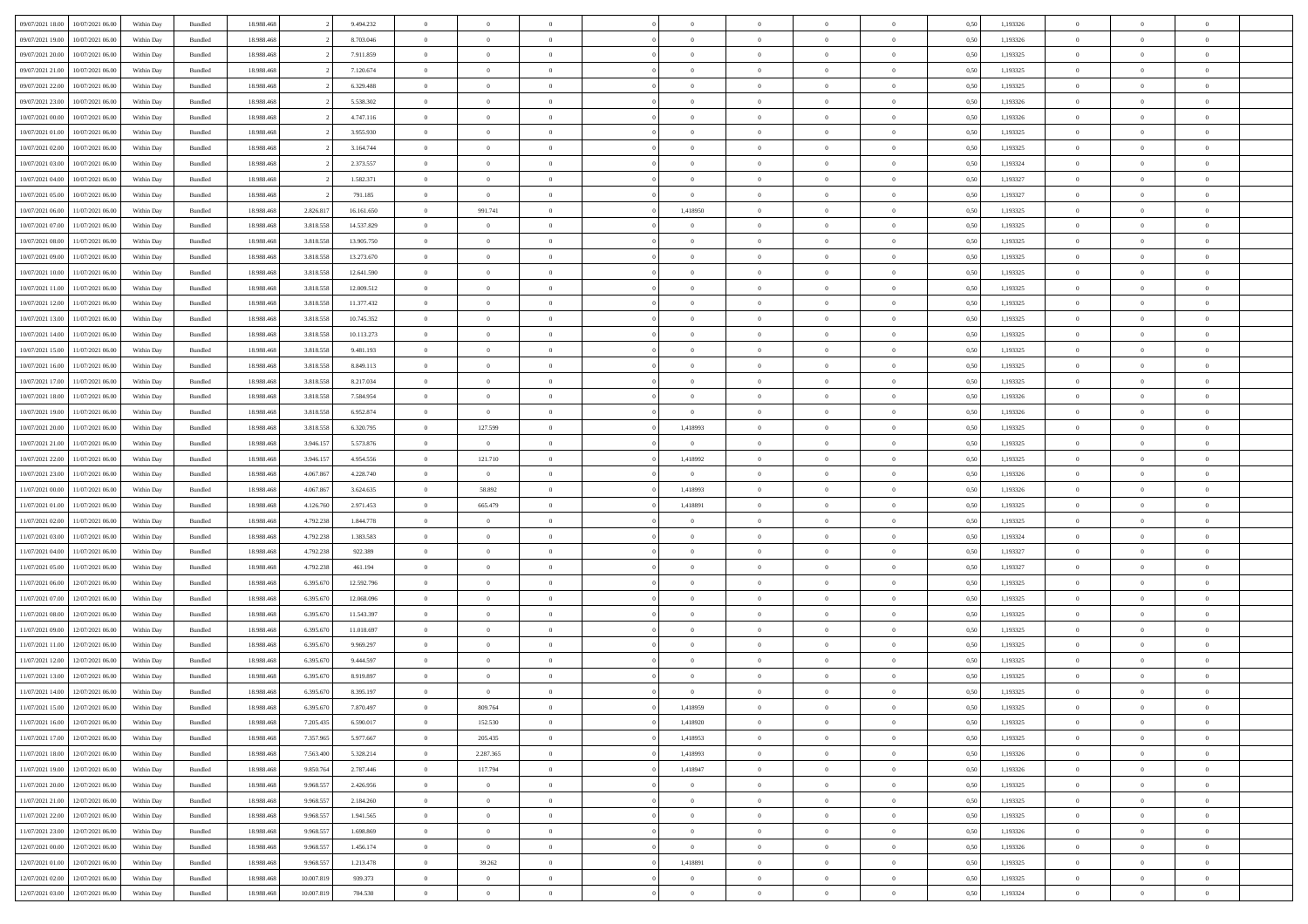| 09/07/2021 18:00                  | 10/07/2021 06:00                     | Within Day               | Bundled            | 18.988.468               |                        | 9.494.232              | $\overline{0}$             | $\theta$           |                                  |                      | $\Omega$       | $\Omega$                         | $\overline{0}$             | 0,50         | 1,193326             | $\theta$       | $\theta$       | $\theta$       |  |
|-----------------------------------|--------------------------------------|--------------------------|--------------------|--------------------------|------------------------|------------------------|----------------------------|--------------------|----------------------------------|----------------------|----------------|----------------------------------|----------------------------|--------------|----------------------|----------------|----------------|----------------|--|
| 09/07/2021 19:00                  | 10/07/2021 06:00                     | Within Dav               | Bundled            | 18.988.468               |                        | 8.703.046              | $\overline{0}$             | $\Omega$           |                                  | $\Omega$             | $\Omega$       | $\Omega$                         | $\bf{0}$                   | 0.50         | 1,193326             | $\theta$       | $\Omega$       | $\sqrt{ }$     |  |
| 09/07/2021 20:00                  | 10/07/2021 06:00                     | Within Day               | Bundled            | 18.988.468               |                        | 7.911.859              | $\overline{0}$             | $\overline{0}$     | $\overline{0}$                   | $\overline{0}$       | $\,$ 0 $\,$    | $\overline{0}$                   | $\,$ 0 $\,$                | 0,50         | 1,193325             | $\,$ 0 $\,$    | $\overline{0}$ | $\overline{0}$ |  |
| 09/07/2021 21:00                  | 10/07/2021 06:00                     | Within Day               | Bundled            | 18.988.468               |                        | 7.120.674              | $\overline{0}$             | $\overline{0}$     | $\overline{0}$                   | $\overline{0}$       | $\bf{0}$       | $\overline{0}$                   | $\bf{0}$                   | 0,50         | 1,193325             | $\bf{0}$       | $\overline{0}$ | $\overline{0}$ |  |
| 09/07/2021 22.00                  | 10/07/2021 06:00                     | Within Day               | Bundled            | 18.988.468               |                        | 6.329.488              | $\overline{0}$             | $\Omega$           | $^{\circ}$                       | $\Omega$             | $\overline{0}$ | $\Omega$                         | $\overline{0}$             | 0.50         | 1,193325             | $\theta$       | $\theta$       | $\sqrt{ }$     |  |
| 09/07/2021 23:00                  | 10/07/2021 06:00                     | Within Day               | Bundled            | 18.988.468               |                        | 5.538.302              | $\overline{0}$             | $\overline{0}$     | $\overline{0}$                   | $\overline{0}$       | $\,$ 0 $\,$    | $\overline{0}$                   | $\,$ 0 $\,$                | 0,50         | 1,193326             | $\theta$       | $\overline{0}$ | $\overline{0}$ |  |
| 10/07/2021 00:00                  | 10/07/2021 06:00                     | Within Day               | Bundled            | 18.988.468               |                        | 4.747.116              | $\overline{0}$             | $\overline{0}$     | $\overline{0}$                   | $\Omega$             | $\overline{0}$ | $\overline{0}$                   | $\bf{0}$                   | 0.50         | 1,193326             | $\bf{0}$       | $\theta$       | $\overline{0}$ |  |
| 10/07/2021 01:00                  | 10/07/2021 06:00                     | Within Dav               | Bundled            | 18.988.468               |                        | 3.955.930              | $\overline{0}$             | $\Omega$           |                                  |                      | $\bf{0}$       | $\Omega$                         |                            | 0.50         | 1,193325             |                |                | $\sqrt{ }$     |  |
|                                   |                                      |                          |                    |                          |                        |                        |                            |                    | $^{\circ}$                       | $\Omega$             |                |                                  | $\bf{0}$                   |              |                      | $\theta$       | $\theta$       |                |  |
| 10/07/2021 02:00                  | 10/07/2021 06:00                     | Within Day               | Bundled            | 18.988.468               |                        | 3.164.744              | $\overline{0}$             | $\overline{0}$     | $\overline{0}$                   | $\overline{0}$       | $\,$ 0 $\,$    | $\overline{0}$                   | $\,$ 0 $\,$                | 0,50         | 1,193325             | $\,$ 0 $\,$    | $\overline{0}$ | $\overline{0}$ |  |
| 10/07/2021 03:00                  | 10/07/2021 06:00                     | Within Day               | Bundled            | 18.988.468               |                        | 2.373.557              | $\overline{0}$             | $\overline{0}$     | $\overline{0}$                   | $\Omega$             | $\overline{0}$ | $\overline{0}$                   | $\bf{0}$                   | 0.50         | 1,193324             | $\bf{0}$       | $\overline{0}$ | $\overline{0}$ |  |
| 10/07/2021 04:00                  | 10/07/2021 06:00                     | Within Dav               | Bundled            | 18.988.468               |                        | 1.582.371              | $\overline{0}$             | $\Omega$           | $^{\circ}$                       | $\Omega$             | $\bf{0}$       | $\Omega$                         | $\overline{0}$             | 0.50         | 1,193327             | $\theta$       | $\theta$       | $\sqrt{ }$     |  |
| 10/07/2021 05:00                  | 10/07/2021 06:00                     | Within Day               | Bundled            | 18.988.468               |                        | 791.185                | $\overline{0}$             | $\overline{0}$     | $\overline{0}$                   | $\overline{0}$       | $\,$ 0 $\,$    | $\overline{0}$                   | $\,$ 0 $\,$                | 0,50         | 1,193327             | $\,$ 0 $\,$    | $\overline{0}$ | $\overline{0}$ |  |
| 10/07/2021 06:00                  | 11/07/2021 06.00                     | Within Day               | Bundled            | 18.988.468               | 2.826.817              | 16.161.650             | $\overline{0}$             | 991.741            | $\overline{0}$                   | 1,418950             | $\bf{0}$       | $\overline{0}$                   | $\bf{0}$                   | 0,50         | 1,193325             | $\bf{0}$       | $\overline{0}$ | $\overline{0}$ |  |
| 10/07/2021 07:00                  | 11/07/2021 06:00                     | Within Day               | Bundled            | 18.988.468               | 3.818.558              | 14.537.829             | $\overline{0}$             | $\theta$           | $^{\circ}$                       | $\Omega$             | $\bf{0}$       | $\Omega$                         | $\bf{0}$                   | 0.50         | 1,193325             | $\theta$       | $\theta$       | $\sqrt{ }$     |  |
| 10/07/2021 08:00                  | 11/07/2021 06:00                     | Within Day               | Bundled            | 18.988.468               | 3.818.558              | 13.905.750             | $\overline{0}$             | $\theta$           | $\overline{0}$                   | $\overline{0}$       | $\,$ 0 $\,$    | $\overline{0}$                   | $\,$ 0 $\,$                | 0,50         | 1,193325             | $\theta$       | $\overline{0}$ | $\overline{0}$ |  |
| 10/07/2021 09:00                  | 11/07/2021 06:00                     | Within Day               | Bundled            | 18.988.468               | 3.818.558              | 13.273.670             | $\overline{0}$             | $\overline{0}$     | $\overline{0}$                   | $\Omega$             | $\overline{0}$ | $\overline{0}$                   | $\bf{0}$                   | 0.50         | 1,193325             | $\theta$       | $\overline{0}$ | $\overline{0}$ |  |
| 10/07/2021 10:00                  | 11/07/2021 06:00                     | Within Day               | Bundled            | 18.988.468               | 3.818.558              | 12.641.590             | $\overline{0}$             | $\Omega$           | $^{\circ}$                       | $\Omega$             | $\overline{0}$ | $\Omega$                         | $\bf{0}$                   | 0.50         | 1,193325             | $\theta$       | $\Omega$       | $\sqrt{ }$     |  |
| 10/07/2021 11:00                  | 11/07/2021 06:00                     | Within Day               | Bundled            | 18.988.468               | 3.818.558              | 12.009.512             | $\overline{0}$             | $\overline{0}$     | $\overline{0}$                   | $\overline{0}$       | $\,$ 0 $\,$    | $\overline{0}$                   | $\,$ 0 $\,$                | 0,50         | 1,193325             | $\,$ 0 $\,$    | $\overline{0}$ | $\overline{0}$ |  |
| 10/07/2021 12:00                  | 11/07/2021 06:00                     | Within Day               | Bundled            | 18.988.468               | 3.818.558              | 11.377.432             | $\overline{0}$             | $\overline{0}$     | $\overline{0}$                   | $\Omega$             | $\overline{0}$ | $\overline{0}$                   | $\bf{0}$                   | 0.50         | 1,193325             | $\bf{0}$       | $\theta$       | $\overline{0}$ |  |
| 10/07/2021 13:00                  | 11/07/2021 06:00                     | Within Dav               | Bundled            | 18.988.468               | 3.818.558              | 10.745.352             | $\overline{0}$             | $\Omega$           | $\Omega$                         | $\Omega$             | $\bf{0}$       | $\Omega$                         | $\overline{0}$             | 0.50         | 1,193325             | $\theta$       | $\theta$       | $\sqrt{ }$     |  |
|                                   |                                      |                          |                    |                          |                        |                        |                            |                    |                                  |                      |                |                                  |                            |              |                      |                |                |                |  |
| 10/07/2021 14:00                  | 11/07/2021 06:00                     | Within Day               | Bundled            | 18.988.468               | 3.818.558              | 10.113.273             | $\overline{0}$             | $\overline{0}$     | $\overline{0}$                   | $\overline{0}$       | $\,$ 0 $\,$    | $\overline{0}$                   | $\,$ 0 $\,$                | 0,50         | 1,193325             | $\,$ 0 $\,$    | $\overline{0}$ | $\overline{0}$ |  |
| 10/07/2021 15:00                  | 11/07/2021 06.00                     | Within Day               | Bundled            | 18.988.468               | 3.818.558              | 9.481.193              | $\overline{0}$             | $\bf{0}$           | $\overline{0}$                   | $\overline{0}$       | $\bf{0}$       | $\overline{0}$                   | $\bf{0}$                   | 0,50         | 1,193325             | $\bf{0}$       | $\overline{0}$ | $\bf{0}$       |  |
| 10/07/2021 16:00                  | 11/07/2021 06:00                     | Within Day               | Bundled            | 18.988.468               | 3.818.558              | 8.849.113              | $\overline{0}$             | $\Omega$           | $\Omega$                         | $\overline{0}$       | $\bf{0}$       | $\Omega$                         | $\overline{0}$             | 0.50         | 1,193325             | $\theta$       | $\theta$       | $\sqrt{ }$     |  |
| 10/07/2021 17:00                  | 11/07/2021 06:00                     | Within Day               | Bundled            | 18.988.468               | 3.818.558              | 8.217.034              | $\overline{0}$             | $\overline{0}$     | $\overline{0}$                   | $\overline{0}$       | $\,$ 0 $\,$    | $\overline{0}$                   | $\,$ 0 $\,$                | 0,50         | 1,193325             | $\theta$       | $\overline{0}$ | $\overline{0}$ |  |
| 10/07/2021 18:00                  | 11/07/2021 06:00                     | Within Day               | Bundled            | 18.988.468               | 3.818.558              | 7.584.954              | $\overline{0}$             | $\overline{0}$     | $\overline{0}$                   | $\Omega$             | $\overline{0}$ | $\overline{0}$                   | $\bf{0}$                   | 0.50         | 1,193326             | $\bf{0}$       | $\theta$       | $\overline{0}$ |  |
| 10/07/2021 19:00                  | 11/07/2021 06:00                     | Within Dav               | Bundled            | 18.988.468               | 3.818.558              | 6.952.874              | $\overline{0}$             | $\overline{0}$     | $\Omega$                         | $\overline{0}$       | $\bf{0}$       | $\Omega$                         | $\bf{0}$                   | 0.50         | 1,193326             | $\theta$       | $\theta$       | $\sqrt{ }$     |  |
| 10/07/2021 20:00                  | 11/07/2021 06:00                     | Within Day               | Bundled            | 18.988.468               | 3.818.558              | 6.320.795              | $\overline{0}$             | 127.599            | $\overline{0}$                   | 1,418993             | $\overline{0}$ | $\overline{0}$                   | $\,$ 0 $\,$                | 0,50         | 1,193325             | $\,$ 0 $\,$    | $\overline{0}$ | $\overline{0}$ |  |
| 10/07/2021 21:00                  | 11/07/2021 06:00                     | Within Day               | Bundled            | 18.988.468               | 3.946.157              | 5.573.876              | $\overline{0}$             | $\overline{0}$     | $\overline{0}$                   | $\overline{0}$       | $\overline{0}$ | $\overline{0}$                   | $\bf{0}$                   | 0.50         | 1,193325             | $\bf{0}$       | $\overline{0}$ | $\overline{0}$ |  |
| 10/07/2021 22:00                  | 11/07/2021 06:00                     | Within Dav               | Bundled            | 18.988.468               | 3.946.157              | 4.954.556              | $\overline{0}$             | 121.710            | $^{\circ}$                       | 1,418992             | $\overline{0}$ | $\Omega$                         | $\overline{0}$             | 0.50         | 1,193325             | $\theta$       | $\theta$       | $\sqrt{ }$     |  |
| 10/07/2021 23:00                  | 11/07/2021 06:00                     | Within Day               | Bundled            | 18.988.468               | 4.067.867              | 4.228.740              | $\overline{0}$             | $\overline{0}$     | $\overline{0}$                   | $\overline{0}$       | $\,$ 0 $\,$    | $\overline{0}$                   | $\,$ 0 $\,$                | 0,50         | 1,193326             | $\,$ 0 $\,$    | $\overline{0}$ | $\,$ 0         |  |
| 11/07/2021 00:00                  | 11/07/2021 06.00                     | Within Day               | Bundled            | 18.988.468               | 4.067.867              | 3.624.635              | $\bf{0}$                   | 58.892             | $\bf{0}$                         | 1,418993             | $\bf{0}$       | $\overline{0}$                   | $\bf{0}$                   | 0,50         | 1,193326             | $\,$ 0 $\,$    | $\overline{0}$ | $\overline{0}$ |  |
| 11/07/2021 01:00                  | 11/07/2021 06:00                     | Within Day               | Bundled            | 18.988.468               | 4.126.760              | 2.971.453              | $\overline{0}$             | 665.479            | $\Omega$                         | 1,418891             | $\bf{0}$       | $\Omega$                         | $\overline{0}$             | 0.50         | 1,193325             | $\theta$       | $\theta$       | $\sqrt{ }$     |  |
| 11/07/2021 02:00                  | 11/07/2021 06:00                     |                          |                    | 18.988.468               | 4.792.238              | 1.844.778              | $\overline{0}$             | $\theta$           | $\overline{0}$                   | $\overline{0}$       | $\overline{0}$ | $\overline{0}$                   | $\,$ 0 $\,$                |              | 1,193325             | $\theta$       | $\overline{0}$ | $\overline{0}$ |  |
|                                   |                                      | Within Day               | Bundled            |                          |                        |                        |                            |                    |                                  |                      |                |                                  |                            | 0,50         |                      |                |                |                |  |
| 11/07/2021 03:00                  | 1/07/2021 06.00                      | Within Day               | Bundled            | 18.988.468               | 4.792.238              | 1.383.583              | $\bf{0}$                   | $\overline{0}$     | $\overline{0}$                   | $\overline{0}$       | $\,$ 0         | $\overline{0}$                   | $\bf{0}$                   | 0,50         | 1,193324             | $\,$ 0 $\,$    | $\overline{0}$ | $\overline{0}$ |  |
| 11/07/2021 04:00                  | 11/07/2021 06:00                     | Within Day               | Bundled            | 18.988.468               | 4.792.238              | 922.389                | $\overline{0}$             | $\Omega$           | $^{\circ}$                       | $\Omega$             | $\overline{0}$ | $\Omega$                         | $\overline{0}$             | 0.50         | 1,193327             | $\theta$       | $\Omega$       | $\sqrt{ }$     |  |
| 11/07/2021 05:00                  | 11/07/2021 06:00                     | Within Day               | Bundled            | 18.988.468               | 4.792.238              | 461.194                | $\overline{0}$             | $\overline{0}$     | $\overline{0}$                   | $\overline{0}$       | $\,$ 0 $\,$    | $\overline{0}$                   | $\,$ 0 $\,$                | 0,50         | 1,193327             | $\,$ 0 $\,$    | $\overline{0}$ | $\overline{0}$ |  |
| 11/07/2021 06.00                  | 12/07/2021 06:00                     | Within Day               | Bundled            | 18.988.468               | 6.395.670              | 12.592.796             | $\bf{0}$                   | $\overline{0}$     | $\overline{0}$                   | $\bf{0}$             | $\bf{0}$       | $\overline{0}$                   | $\bf{0}$                   | 0,50         | 1,193325             | $\,$ 0 $\,$    | $\overline{0}$ | $\overline{0}$ |  |
| 11/07/2021 07:00                  | 12/07/2021 06:00                     | Within Dav               | Bundled            | 18.988.468               | 6.395.670              | 12.068.096             | $\overline{0}$             | $\Omega$           | $\Omega$                         | $\Omega$             | $\bf{0}$       | $\Omega$                         | $\overline{0}$             | 0.50         | 1,193325             | $\theta$       | $\theta$       | $\sqrt{ }$     |  |
| 11/07/2021 08:00                  | 12/07/2021 06:00                     | Within Day               | Bundled            | 18.988.468               | 6.395.670              | 11.543.397             | $\overline{0}$             | $\overline{0}$     | $\overline{0}$                   | $\overline{0}$       | $\,$ 0 $\,$    | $\overline{0}$                   | $\,$ 0 $\,$                | 0,50         | 1,193325             | $\,$ 0 $\,$    | $\overline{0}$ | $\overline{0}$ |  |
| 11/07/2021 09:00                  | 12/07/2021 06:00                     | Within Day               | Bundled            | 18.988.468               | 6.395.670              | 11.018.697             | $\bf{0}$                   | $\overline{0}$     | $\overline{0}$                   | $\bf{0}$             | $\,$ 0         | $\overline{0}$                   | $\bf{0}$                   | 0,50         | 1,193325             | $\,$ 0 $\,$    | $\overline{0}$ | $\overline{0}$ |  |
| 11/07/2021 11:00                  | 12/07/2021 06:00                     | Within Day               | Bundled            | 18.988.468               | 6.395.670              | 9.969.297              | $\overline{0}$             | $\theta$           | $\Omega$                         | $\Omega$             | $\bf{0}$       | $\Omega$                         | $\overline{0}$             | 0.50         | 1,193325             | $\theta$       | $\theta$       | $\sqrt{ }$     |  |
| 11/07/2021 12:00                  | 12/07/2021 06:00                     | Within Day               | Bundled            | 18.988.468               | 6.395.670              | 9.444.597              | $\overline{0}$             | $\theta$           | $\overline{0}$                   | $\overline{0}$       | $\,0\,$        | $\overline{0}$                   | $\,$ 0 $\,$                | 0,50         | 1,193325             | $\theta$       | $\overline{0}$ | $\overline{0}$ |  |
| 11/07/2021 13:00                  | 12/07/2021 06.00                     | Within Day               | Bundled            | 18.988.468               | 6.395.670              | 8.919.897              | $\overline{0}$             | $\theta$           | $\overline{0}$                   | $\overline{0}$       | $\bf{0}$       | $\overline{0}$                   | $\bf{0}$                   | 0,50         | 1,193325             | $\,$ 0 $\,$    | $\overline{0}$ | $\overline{0}$ |  |
| 11/07/2021 14:00                  | 12/07/2021 06:00                     | Within Day               | Bundled            | 18.988.468               | 6.395.670              | 8.395.197              | $\overline{0}$             | $\overline{0}$     | $\Omega$                         | $\overline{0}$       | $\bf{0}$       | $\overline{0}$                   | $\bf{0}$                   | 0.50         | 1,193325             | $\theta$       | $\theta$       | $\overline{0}$ |  |
|                                   | 11/07/2021 15:00 12/07/2021 06:00    | Within Day               | Bundled            | 18.988.468               | 6.395.670              | 7.870.497              | $\overline{0}$             | 809.764            |                                  | 1.418959             |                |                                  |                            | 0,50         | 1,193325             | $\theta$       | $\theta$       |                |  |
| 11/07/2021 16:00                  |                                      |                          |                    |                          |                        |                        |                            |                    |                                  |                      | $\bf{0}$       |                                  |                            |              |                      | $\,0\,$        | $\overline{0}$ | $\bf{0}$       |  |
| 11/07/2021 17:00                  | 12/07/2021 06:00<br>12/07/2021 06:00 | Within Day<br>Within Day | Bundled<br>Bundled | 18.988.468<br>18.988.468 | 7.205.435<br>7.357.965 | 6.590.017<br>5.977.667 | $\bf{0}$<br>$\overline{0}$ | 152.530<br>205.435 | $\overline{0}$<br>$\overline{0}$ | 1,418920<br>1,418953 | $\theta$       | $\overline{0}$<br>$\overline{0}$ | $\bf{0}$<br>$\overline{0}$ | 0,50<br>0,50 | 1,193325<br>1,193325 | $\overline{0}$ | $\theta$       | $\overline{0}$ |  |
|                                   |                                      |                          |                    |                          |                        |                        |                            |                    |                                  |                      |                |                                  |                            |              |                      |                |                |                |  |
| 11/07/2021 18:00                  | 12/07/2021 06:00                     | Within Day               | Bundled            | 18.988.468               | 7.563.400              | 5.328.214              | $\overline{0}$             | 2.287.365          | $\overline{0}$                   | 1,418993             | $\bf{0}$       | $\overline{0}$                   | $\,$ 0 $\,$                | 0,50         | 1,193326             | $\mathbf{0}$   | $\,$ 0 $\,$    | $\bf{0}$       |  |
| 11/07/2021 19:00                  | 12/07/2021 06:00                     | Within Day               | Bundled            | 18.988.468               | 9.850.764              | 2.787.446              | $\bf{0}$                   | 117.794            | $\overline{0}$                   | 1,418947             | $\bf{0}$       | $\bf{0}$                         | $\bf{0}$                   | 0,50         | 1,193326             | $\bf{0}$       | $\overline{0}$ | $\bf{0}$       |  |
| 11/07/2021 20:00                  | 12/07/2021 06:00                     | Within Day               | Bundled            | 18.988.468               | 9.968.557              | 2.426.956              | $\overline{0}$             | $\overline{0}$     | $\overline{0}$                   | $\overline{0}$       | $\overline{0}$ | $\overline{0}$                   | $\overline{0}$             | 0.50         | 1,193325             | $\overline{0}$ | $\overline{0}$ | $\overline{0}$ |  |
| 11/07/2021 21:00                  | 12/07/2021 06:00                     | Within Day               | Bundled            | 18.988.468               | 9.968.557              | 2.184.260              | $\overline{0}$             | $\overline{0}$     | $\overline{0}$                   | $\overline{0}$       | $\bf{0}$       | $\overline{0}$                   | $\,$ 0 $\,$                | 0,50         | 1,193325             | $\,$ 0 $\,$    | $\theta$       | $\,$ 0         |  |
| 11/07/2021 22:00                  | 12/07/2021 06:00                     | Within Day               | Bundled            | 18.988.468               | 9.968.557              | 1.941.565              | $\bf{0}$                   | $\overline{0}$     | $\overline{0}$                   | $\bf{0}$             | $\bf{0}$       | $\bf{0}$                         | $\bf{0}$                   | 0,50         | 1,193325             | $\bf{0}$       | $\overline{0}$ | $\overline{0}$ |  |
| 11/07/2021 23:00                  | 12/07/2021 06:00                     | Within Day               | Bundled            | 18.988.468               | 9.968.557              | 1.698.869              | $\overline{0}$             | $\overline{0}$     | $\overline{0}$                   | $\overline{0}$       | $\overline{0}$ | $\overline{0}$                   | $\overline{0}$             | 0,50         | 1,193326             | $\theta$       | $\overline{0}$ | $\overline{0}$ |  |
| 12/07/2021 00:00                  | 12/07/2021 06:00                     | Within Day               | Bundled            | 18.988.468               | 9.968.557              | 1.456.174              | $\overline{0}$             | $\bf{0}$           | $\overline{0}$                   | $\overline{0}$       | $\,$ 0 $\,$    | $\overline{0}$                   | $\,$ 0 $\,$                | 0,50         | 1,193326             | $\overline{0}$ | $\,$ 0 $\,$    | $\,$ 0         |  |
| 12/07/2021 01:00                  | 12/07/2021 06:00                     | Within Day               | Bundled            | 18.988.468               | 9.968.557              | 1.213.478              | $\overline{0}$             | 39.262             | $\overline{0}$                   | 1,418891             | $\bf{0}$       | $\bf{0}$                         | $\bf{0}$                   | 0,50         | 1,193325             | $\bf{0}$       | $\overline{0}$ | $\overline{0}$ |  |
| 12/07/2021 02:00                  | 12/07/2021 06:00                     | Within Day               | Bundled            | 18.988.468               | 10.007.819             | 939.373                | $\overline{0}$             | $\overline{0}$     | $\overline{0}$                   | $\overline{0}$       | $\theta$       | $\overline{0}$                   | $\overline{0}$             | 0.50         | 1,193325             | $\overline{0}$ | $\overline{0}$ | $\overline{0}$ |  |
| 12/07/2021 03:00 12/07/2021 06:00 |                                      | Within Day               | Bundled            | 18.988.468               | 10.007.819             | 704.530                | $\mathbf{0}$               | $\bf{0}$           | $\overline{0}$                   | $\overline{0}$       | $\,$ 0 $\,$    | $\overline{0}$                   | $\,$ 0 $\,$                | 0,50         | 1,193324             | $\mathbf{0}$   | $\,$ 0 $\,$    | $\,$ 0 $\,$    |  |
|                                   |                                      |                          |                    |                          |                        |                        |                            |                    |                                  |                      |                |                                  |                            |              |                      |                |                |                |  |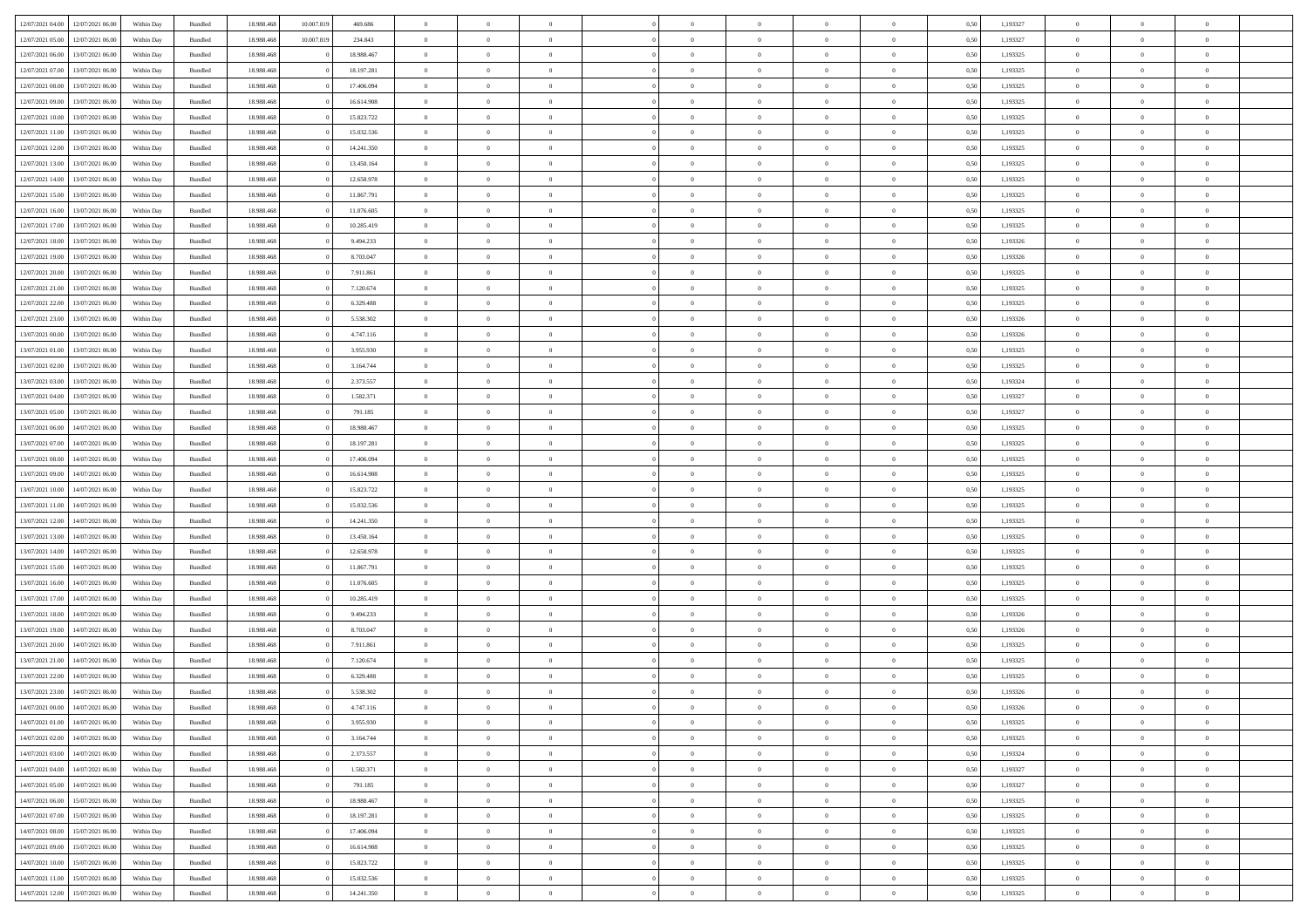| 12/07/2021 04:00 | 12/07/2021 06:00 | Within Day | Bundled            | 18.988.468 | 10.007.819 | 469.686    | $\overline{0}$ | $\Omega$       |                | $\Omega$       | $\Omega$       | $\Omega$       | $\theta$       | 0.50 | 1,193327 | $\theta$       | $\theta$       | $\theta$       |  |
|------------------|------------------|------------|--------------------|------------|------------|------------|----------------|----------------|----------------|----------------|----------------|----------------|----------------|------|----------|----------------|----------------|----------------|--|
|                  |                  |            |                    |            |            |            |                |                |                |                |                |                |                |      |          |                |                |                |  |
| 12/07/2021 05:00 | 12/07/2021 06:00 | Within Day | Bundled            | 18.988.468 | 10.007.819 | 234.843    | $\overline{0}$ | $\theta$       | $\overline{0}$ | $\overline{0}$ | $\bf{0}$       | $\overline{0}$ | $\overline{0}$ | 0,50 | 1,193327 | $\theta$       | $\theta$       | $\overline{0}$ |  |
| 12/07/2021 06:00 | 13/07/2021 06:00 | Within Day | Bundled            | 18.988.468 |            | 18.988.467 | $\overline{0}$ | $\overline{0}$ | $\overline{0}$ | $\bf{0}$       | $\bf{0}$       | $\overline{0}$ | $\bf{0}$       | 0,50 | 1,193325 | $\bf{0}$       | $\overline{0}$ | $\overline{0}$ |  |
| 12/07/2021 07:00 | 13/07/2021 06:00 | Within Dav | Bundled            | 18.988.468 |            | 18.197.281 | $\overline{0}$ | $\theta$       | $\overline{0}$ | $\overline{0}$ | $\bf{0}$       | $\overline{0}$ | $\overline{0}$ | 0.50 | 1,193325 | $\theta$       | $\theta$       | $\overline{0}$ |  |
| 12/07/2021 08:00 | 13/07/2021 06:00 | Within Day | Bundled            | 18.988.468 |            | 17.406.094 | $\overline{0}$ | $\theta$       | $\overline{0}$ | $\overline{0}$ | $\bf{0}$       | $\overline{0}$ | $\bf{0}$       | 0,50 | 1,193325 | $\theta$       | $\theta$       | $\overline{0}$ |  |
| 12/07/2021 09:00 | 13/07/2021 06:00 | Within Day | Bundled            | 18.988.468 |            | 16.614.908 | $\overline{0}$ | $\bf{0}$       | $\overline{0}$ | $\overline{0}$ | $\overline{0}$ | $\overline{0}$ | $\mathbf{0}$   | 0,50 | 1,193325 | $\bf{0}$       | $\overline{0}$ | $\bf{0}$       |  |
| 12/07/2021 10:00 | 13/07/2021 06:00 | Within Dav | Bundled            | 18.988.468 |            | 15.823.722 | $\overline{0}$ | $\overline{0}$ | $\overline{0}$ | $\overline{0}$ | $\bf{0}$       | $\overline{0}$ | $\overline{0}$ | 0.50 | 1,193325 | $\theta$       | $\overline{0}$ | $\overline{0}$ |  |
|                  |                  |            |                    |            |            |            |                |                |                |                |                |                |                |      |          |                |                |                |  |
| 12/07/2021 11:00 | 13/07/2021 06:00 | Within Day | Bundled            | 18.988.468 |            | 15.032.536 | $\overline{0}$ | $\theta$       | $\overline{0}$ | $\overline{0}$ | $\bf{0}$       | $\overline{0}$ | $\bf{0}$       | 0,50 | 1,193325 | $\theta$       | $\theta$       | $\overline{0}$ |  |
| 12/07/2021 12:00 | 13/07/2021 06:00 | Within Day | Bundled            | 18.988.468 |            | 14.241.350 | $\overline{0}$ | $\overline{0}$ | $\overline{0}$ | $\overline{0}$ | $\bf{0}$       | $\overline{0}$ | $\bf{0}$       | 0,50 | 1,193325 | $\,0\,$        | $\overline{0}$ | $\overline{0}$ |  |
| 12/07/2021 13:00 | 13/07/2021 06:00 | Within Dav | Bundled            | 18.988.468 |            | 13.450.164 | $\overline{0}$ | $\overline{0}$ | $\overline{0}$ | $\overline{0}$ | $\overline{0}$ | $\overline{0}$ | $\overline{0}$ | 0.50 | 1,193325 | $\theta$       | $\overline{0}$ | $\overline{0}$ |  |
| 12/07/2021 14:00 | 13/07/2021 06:00 | Within Day | Bundled            | 18.988.468 |            | 12.658.978 | $\overline{0}$ | $\theta$       | $\overline{0}$ | $\overline{0}$ | $\bf{0}$       | $\overline{0}$ | $\bf{0}$       | 0,50 | 1,193325 | $\theta$       | $\theta$       | $\overline{0}$ |  |
| 12/07/2021 15:00 | 13/07/2021 06:00 | Within Day | Bundled            | 18.988.468 |            | 11.867.791 | $\overline{0}$ | $\overline{0}$ | $\overline{0}$ | $\overline{0}$ | $\bf{0}$       | $\overline{0}$ | $\bf{0}$       | 0,50 | 1,193325 | $\bf{0}$       | $\overline{0}$ | $\overline{0}$ |  |
| 12/07/2021 16:00 | 13/07/2021 06:00 | Within Day | Bundled            | 18.988.468 |            | 11.076.605 | $\overline{0}$ | $\theta$       | $\overline{0}$ | $\overline{0}$ | $\bf{0}$       | $\overline{0}$ | $\overline{0}$ | 0.50 | 1,193325 | $\theta$       | $\theta$       | $\overline{0}$ |  |
|                  |                  |            |                    |            |            |            |                |                |                |                |                |                |                |      |          |                |                |                |  |
| 12/07/2021 17:00 | 13/07/2021 06:00 | Within Day | Bundled            | 18.988.468 |            | 10.285.419 | $\overline{0}$ | $\theta$       | $\overline{0}$ | $\overline{0}$ | $\bf{0}$       | $\overline{0}$ | $\overline{0}$ | 0,50 | 1,193325 | $\theta$       | $\theta$       | $\overline{0}$ |  |
| 12/07/2021 18:00 | 13/07/2021 06:00 | Within Day | Bundled            | 18.988.468 |            | 9.494.233  | $\overline{0}$ | $\overline{0}$ | $\overline{0}$ | $\overline{0}$ | $\overline{0}$ | $\overline{0}$ | $\mathbf{0}$   | 0,50 | 1,193326 | $\bf{0}$       | $\overline{0}$ | $\bf{0}$       |  |
| 12/07/2021 19:00 | 13/07/2021 06:00 | Within Dav | Bundled            | 18.988.468 |            | 8.703.047  | $\overline{0}$ | $\overline{0}$ | $\overline{0}$ | $\overline{0}$ | $\bf{0}$       | $\overline{0}$ | $\overline{0}$ | 0.50 | 1,193326 | $\theta$       | $\overline{0}$ | $\overline{0}$ |  |
| 12/07/2021 20:00 | 13/07/2021 06:00 | Within Day | Bundled            | 18.988.468 |            | 7.911.861  | $\overline{0}$ | $\theta$       | $\overline{0}$ | $\overline{0}$ | $\bf{0}$       | $\overline{0}$ | $\bf{0}$       | 0,50 | 1,193325 | $\theta$       | $\theta$       | $\overline{0}$ |  |
| 12/07/2021 21.00 | 13/07/2021 06:00 | Within Day | Bundled            | 18.988.468 |            | 7.120.674  | $\overline{0}$ | $\overline{0}$ | $\overline{0}$ | $\overline{0}$ | $\bf{0}$       | $\overline{0}$ | $\bf{0}$       | 0,50 | 1,193325 | $\,0\,$        | $\overline{0}$ | $\overline{0}$ |  |
| 12/07/2021 22:00 | 13/07/2021 06:00 | Within Day | Bundled            | 18.988.468 |            | 6.329.488  | $\overline{0}$ | $\overline{0}$ | $\overline{0}$ | $\overline{0}$ | $\overline{0}$ | $\overline{0}$ | $\overline{0}$ | 0.50 | 1,193325 | $\theta$       | $\overline{0}$ | $\overline{0}$ |  |
| 12/07/2021 23:00 | 13/07/2021 06:00 | Within Day | Bundled            | 18.988.468 |            | 5.538.302  | $\overline{0}$ | $\theta$       | $\overline{0}$ | $\overline{0}$ | $\bf{0}$       | $\overline{0}$ | $\bf{0}$       | 0,50 | 1,193326 | $\theta$       | $\theta$       | $\overline{0}$ |  |
|                  |                  |            |                    |            |            |            |                |                |                |                |                |                |                |      |          |                |                |                |  |
| 13/07/2021 00:00 | 13/07/2021 06:00 | Within Day | Bundled            | 18.988.468 |            | 4.747.116  | $\overline{0}$ | $\overline{0}$ | $\overline{0}$ | $\bf{0}$       | $\bf{0}$       | $\overline{0}$ | $\bf{0}$       | 0,50 | 1,193326 | $\,0\,$        | $\overline{0}$ | $\overline{0}$ |  |
| 13/07/2021 01:00 | 13/07/2021 06:00 | Within Day | Bundled            | 18.988.468 |            | 3.955.930  | $\overline{0}$ | $\overline{0}$ | $\overline{0}$ | $\overline{0}$ | $\bf{0}$       | $\overline{0}$ | $\overline{0}$ | 0.50 | 1,193325 | $\theta$       | $\theta$       | $\overline{0}$ |  |
| 13/07/2021 02:00 | 13/07/2021 06:00 | Within Day | Bundled            | 18.988.468 |            | 3.164.744  | $\overline{0}$ | $\theta$       | $\overline{0}$ | $\overline{0}$ | $\bf{0}$       | $\overline{0}$ | $\bf{0}$       | 0,50 | 1,193325 | $\theta$       | $\overline{0}$ | $\overline{0}$ |  |
| 13/07/2021 03:00 | 13/07/2021 06:00 | Within Day | Bundled            | 18.988.468 |            | 2.373.557  | $\overline{0}$ | $\bf{0}$       | $\overline{0}$ | $\bf{0}$       | $\overline{0}$ | $\overline{0}$ | $\mathbf{0}$   | 0,50 | 1,193324 | $\overline{0}$ | $\overline{0}$ | $\bf{0}$       |  |
| 13/07/2021 04:00 | 13/07/2021 06:00 | Within Dav | Bundled            | 18.988.468 |            | 1.582.371  | $\overline{0}$ | $\overline{0}$ | $\overline{0}$ | $\overline{0}$ | $\overline{0}$ | $\overline{0}$ | $\overline{0}$ | 0.50 | 1,193327 | $\theta$       | $\overline{0}$ | $\overline{0}$ |  |
| 13/07/2021 05:00 | 13/07/2021 06:00 | Within Day | Bundled            | 18.988.468 |            | 791.185    | $\overline{0}$ | $\theta$       | $\overline{0}$ | $\overline{0}$ | $\bf{0}$       | $\overline{0}$ | $\bf{0}$       | 0,50 | 1,193327 | $\theta$       | $\theta$       | $\overline{0}$ |  |
|                  |                  |            |                    |            |            |            |                |                |                |                |                |                |                |      |          |                |                |                |  |
| 13/07/2021 06:00 | 14/07/2021 06:00 | Within Day | Bundled            | 18.988.468 |            | 18.988.467 | $\overline{0}$ | $\overline{0}$ | $\overline{0}$ | $\bf{0}$       | $\bf{0}$       | $\bf{0}$       | $\bf{0}$       | 0,50 | 1,193325 | $\,0\,$        | $\overline{0}$ | $\overline{0}$ |  |
| 13/07/2021 07:00 | 14/07/2021 06:00 | Within Day | Bundled            | 18.988.468 |            | 18.197.281 | $\overline{0}$ | $\overline{0}$ | $\overline{0}$ | $\overline{0}$ | $\overline{0}$ | $\overline{0}$ | $\overline{0}$ | 0.50 | 1,193325 | $\theta$       | $\overline{0}$ | $\overline{0}$ |  |
| 13/07/2021 08:00 | 14/07/2021 06:00 | Within Day | Bundled            | 18.988.468 |            | 17.406.094 | $\overline{0}$ | $\theta$       | $\overline{0}$ | $\overline{0}$ | $\bf{0}$       | $\overline{0}$ | $\bf{0}$       | 0,50 | 1,193325 | $\,$ 0 $\,$    | $\theta$       | $\overline{0}$ |  |
| 13/07/2021 09:00 | 14/07/2021 06:00 | Within Day | Bundled            | 18.988.468 |            | 16.614.908 | $\overline{0}$ | $\overline{0}$ | $\overline{0}$ | $\bf{0}$       | $\bf{0}$       | $\bf{0}$       | $\bf{0}$       | 0,50 | 1,193325 | $\bf{0}$       | $\overline{0}$ | $\overline{0}$ |  |
| 13/07/2021 10:00 | 14/07/2021 06:00 | Within Day | Bundled            | 18.988.468 |            | 15.823.722 | $\overline{0}$ | $\Omega$       | $\Omega$       | $\Omega$       | $\Omega$       | $\overline{0}$ | $\overline{0}$ | 0.50 | 1,193325 | $\,0\,$        | $\theta$       | $\theta$       |  |
| 13/07/2021 11:00 | 14/07/2021 06:00 | Within Day | Bundled            | 18.988.468 |            | 15.032.536 | $\overline{0}$ | $\theta$       | $\overline{0}$ | $\overline{0}$ | $\bf{0}$       | $\overline{0}$ | $\bf{0}$       | 0,50 | 1,193325 | $\theta$       | $\theta$       | $\overline{0}$ |  |
| 13/07/2021 12:00 | 14/07/2021 06:00 | Within Day | Bundled            | 18.988.468 |            | 14.241.350 | $\overline{0}$ | $\bf{0}$       | $\overline{0}$ | $\bf{0}$       | $\bf{0}$       | $\overline{0}$ | $\mathbf{0}$   | 0,50 | 1,193325 | $\overline{0}$ | $\overline{0}$ | $\bf{0}$       |  |
|                  | 14/07/2021 06:00 |            |                    |            |            |            | $\overline{0}$ | $\Omega$       | $\Omega$       | $\Omega$       | $\bf{0}$       | $\Omega$       |                |      |          | $\theta$       | $\theta$       | $\theta$       |  |
| 13/07/2021 13:00 |                  | Within Day | Bundled            | 18.988.468 |            | 13.450.164 |                |                |                |                |                |                | $\overline{0}$ | 0.50 | 1,193325 |                |                |                |  |
| 13/07/2021 14:00 | 14/07/2021 06:00 | Within Day | Bundled            | 18.988.468 |            | 12.658.978 | $\overline{0}$ | $\theta$       | $\overline{0}$ | $\overline{0}$ | $\bf{0}$       | $\overline{0}$ | $\bf{0}$       | 0,50 | 1,193325 | $\theta$       | $\theta$       | $\overline{0}$ |  |
| 13/07/2021 15:00 | 14/07/2021 06:00 | Within Day | Bundled            | 18.988.468 |            | 11.867.791 | $\overline{0}$ | $\overline{0}$ | $\overline{0}$ | $\bf{0}$       | $\bf{0}$       | $\bf{0}$       | $\bf{0}$       | 0,50 | 1,193325 | $\,0\,$        | $\overline{0}$ | $\overline{0}$ |  |
| 13/07/2021 16:00 | 14/07/2021 06:00 | Within Day | Bundled            | 18.988.468 |            | 11.076.605 | $\overline{0}$ | $\Omega$       | $\Omega$       | $\Omega$       | $\Omega$       | $\theta$       | $\overline{0}$ | 0.50 | 1,193325 | $\theta$       | $\theta$       | $\theta$       |  |
| 13/07/2021 17:00 | 14/07/2021 06:00 | Within Day | Bundled            | 18.988.468 |            | 10.285.419 | $\overline{0}$ | $\theta$       | $\overline{0}$ | $\overline{0}$ | $\bf{0}$       | $\overline{0}$ | $\bf{0}$       | 0,50 | 1,193325 | $\theta$       | $\theta$       | $\overline{0}$ |  |
| 13/07/2021 18:00 | 14/07/2021 06:00 | Within Day | Bundled            | 18.988.468 |            | 9.494.233  | $\overline{0}$ | $\overline{0}$ | $\overline{0}$ | $\bf{0}$       | $\bf{0}$       | $\bf{0}$       | $\bf{0}$       | 0,50 | 1,193326 | $\bf{0}$       | $\overline{0}$ | $\overline{0}$ |  |
| 13/07/2021 19:00 | 14/07/2021 06:00 | Within Day | Bundled            | 18.988.468 |            | 8,703,047  | $\overline{0}$ | $\Omega$       | $\Omega$       | $\Omega$       | $\Omega$       | $\overline{0}$ | $\overline{0}$ | 0.50 | 1,193326 | $\,0\,$        | $\theta$       | $\theta$       |  |
| 13/07/2021 20:00 | 14/07/2021 06:00 |            |                    | 18.988.468 |            | 7.911.861  | $\overline{0}$ | $\theta$       | $\overline{0}$ | $\overline{0}$ | $\bf{0}$       | $\overline{0}$ |                |      | 1,193325 | $\theta$       | $\theta$       | $\overline{0}$ |  |
|                  |                  | Within Day | Bundled            |            |            |            |                |                |                |                |                |                | $\bf{0}$       | 0,50 |          |                |                |                |  |
| 13/07/2021 21.00 | 14/07/2021 06:00 | Within Day | Bundled            | 18.988.468 |            | 7.120.674  | $\overline{0}$ | $\overline{0}$ | $\overline{0}$ | $\bf{0}$       | $\bf{0}$       | $\bf{0}$       | $\mathbf{0}$   | 0,50 | 1,193325 | $\bf{0}$       | $\overline{0}$ | $\bf{0}$       |  |
| 13/07/2021 22.00 | 14/07/2021 06:00 | Within Day | Bundled            | 18.988.468 |            | 6.329.488  | $\overline{0}$ | $\Omega$       | $\Omega$       | $\Omega$       | $\Omega$       | $\Omega$       | $\overline{0}$ | 0.50 | 1,193325 | $\theta$       | $\theta$       | $\theta$       |  |
| 13/07/2021 23:00 | 14/07/2021 06:00 | Within Day | Bundled            | 18.988.468 |            | 5.538.302  | $\overline{0}$ | $\overline{0}$ | $\overline{0}$ | $\bf{0}$       | $\,$ 0         | $\bf{0}$       | $\bf{0}$       | 0,50 | 1,193326 | $\,0\,$        | $\overline{0}$ | $\overline{0}$ |  |
| 14/07/2021 00:00 | 14/07/2021 06:00 | Within Day | $\mathbf B$ undled | 18.988.468 |            | 4.747.116  | $\bf{0}$       | $\bf{0}$       |                |                |                |                |                | 0,50 | 1,193326 | $\bf{0}$       | $\overline{0}$ |                |  |
| 14/07/2021 01:00 | 14/07/2021 06:00 | Within Day | Bundled            | 18,988,468 |            | 3.955.930  | $\overline{0}$ | $\Omega$       | $\overline{0}$ | $\Omega$       | $\theta$       | $\overline{0}$ | $\overline{0}$ | 0.50 | 1,193325 | $\theta$       | $\theta$       | $\theta$       |  |
| 14/07/2021 02:00 | 14/07/2021 06:00 | Within Day | Bundled            | 18.988.468 |            | 3.164.744  | $\overline{0}$ | $\,$ 0         | $\overline{0}$ | $\bf{0}$       | $\,$ 0 $\,$    | $\overline{0}$ | $\mathbf{0}$   | 0,50 | 1,193325 | $\,$ 0 $\,$    | $\,$ 0 $\,$    | $\,$ 0         |  |
|                  |                  |            |                    |            |            |            |                |                |                |                |                |                |                |      |          |                |                |                |  |
| 14/07/2021 03:00 | 14/07/2021 06:00 | Within Day | Bundled            | 18.988.468 |            | 2.373.557  | $\overline{0}$ | $\overline{0}$ | $\overline{0}$ | $\overline{0}$ | $\overline{0}$ | $\overline{0}$ | $\mathbf{0}$   | 0,50 | 1,193324 | $\overline{0}$ | $\bf{0}$       | $\bf{0}$       |  |
| 14/07/2021 04:00 | 14/07/2021 06:00 | Within Day | Bundled            | 18.988.468 |            | 1.582.371  | $\overline{0}$ | $\theta$       | $\overline{0}$ | $\Omega$       | $\overline{0}$ | $\overline{0}$ | $\bf{0}$       | 0,50 | 1,193327 | $\overline{0}$ | $\theta$       | $\overline{0}$ |  |
| 14/07/2021 05:00 | 14/07/2021 06:00 | Within Day | Bundled            | 18.988.468 |            | 791.185    | $\overline{0}$ | $\,$ 0         | $\overline{0}$ | $\overline{0}$ | $\overline{0}$ | $\overline{0}$ | $\bf{0}$       | 0,50 | 1,193327 | $\,$ 0 $\,$    | $\overline{0}$ | $\overline{0}$ |  |
| 14/07/2021 06:00 | 15/07/2021 06:00 | Within Day | Bundled            | 18.988.468 |            | 18.988.467 | $\overline{0}$ | $\overline{0}$ | $\overline{0}$ | $\overline{0}$ | $\overline{0}$ | $\overline{0}$ | $\mathbf{0}$   | 0,50 | 1,193325 | $\overline{0}$ | $\bf{0}$       | $\bf{0}$       |  |
| 14/07/2021 07:00 | 15/07/2021 06:00 | Within Day | Bundled            | 18.988.468 |            | 18.197.281 | $\overline{0}$ | $\overline{0}$ | $\overline{0}$ | $\Omega$       | $\overline{0}$ | $\overline{0}$ | $\bf{0}$       | 0.50 | 1,193325 | $\overline{0}$ | $\theta$       | $\overline{0}$ |  |
| 14/07/2021 08:00 | 15/07/2021 06:00 | Within Day | Bundled            | 18.988.468 |            | 17.406.094 | $\overline{0}$ | $\,$ 0         | $\overline{0}$ | $\bf{0}$       | $\bf{0}$       | $\bf{0}$       | $\bf{0}$       | 0,50 | 1,193325 | $\,$ 0 $\,$    | $\overline{0}$ | $\overline{0}$ |  |
| 14/07/2021 09:00 | 15/07/2021 06:00 | Within Day | Bundled            | 18.988.468 |            | 16.614.908 | $\overline{0}$ | $\bf{0}$       | $\overline{0}$ | $\overline{0}$ | $\overline{0}$ | $\bf{0}$       | $\mathbf{0}$   | 0,50 | 1,193325 | $\overline{0}$ | $\overline{0}$ | $\bf{0}$       |  |
|                  |                  |            |                    |            |            |            |                |                |                |                |                |                |                |      |          |                |                |                |  |
| 14/07/2021 10:00 | 15/07/2021 06:00 | Within Day | Bundled            | 18,988,468 |            | 15.823.722 | $\overline{0}$ | $\overline{0}$ | $\overline{0}$ | $\Omega$       | $\overline{0}$ | $\overline{0}$ | $\bf{0}$       | 0.50 | 1,193325 | $\overline{0}$ | $\overline{0}$ | $\overline{0}$ |  |
| 14/07/2021 11:00 | 15/07/2021 06:00 | Within Day | Bundled            | 18.988.468 |            | 15.032.536 | $\overline{0}$ | $\bf{0}$       | $\overline{0}$ | $\overline{0}$ | $\bf{0}$       | $\bf{0}$       | $\mathbf{0}$   | 0,50 | 1,193325 | $\,$ 0 $\,$    | $\,$ 0 $\,$    | $\bf{0}$       |  |
| 14/07/2021 12:00 | 15/07/2021 06:00 | Within Day | Bundled            | 18.988.468 |            | 14.241.350 | $\overline{0}$ | $\overline{0}$ | $\overline{0}$ | $\overline{0}$ | $\bf{0}$       | $\bf{0}$       | $\mathbf{0}$   | 0,50 | 1,193325 | $\overline{0}$ | $\bf{0}$       | $\bf{0}$       |  |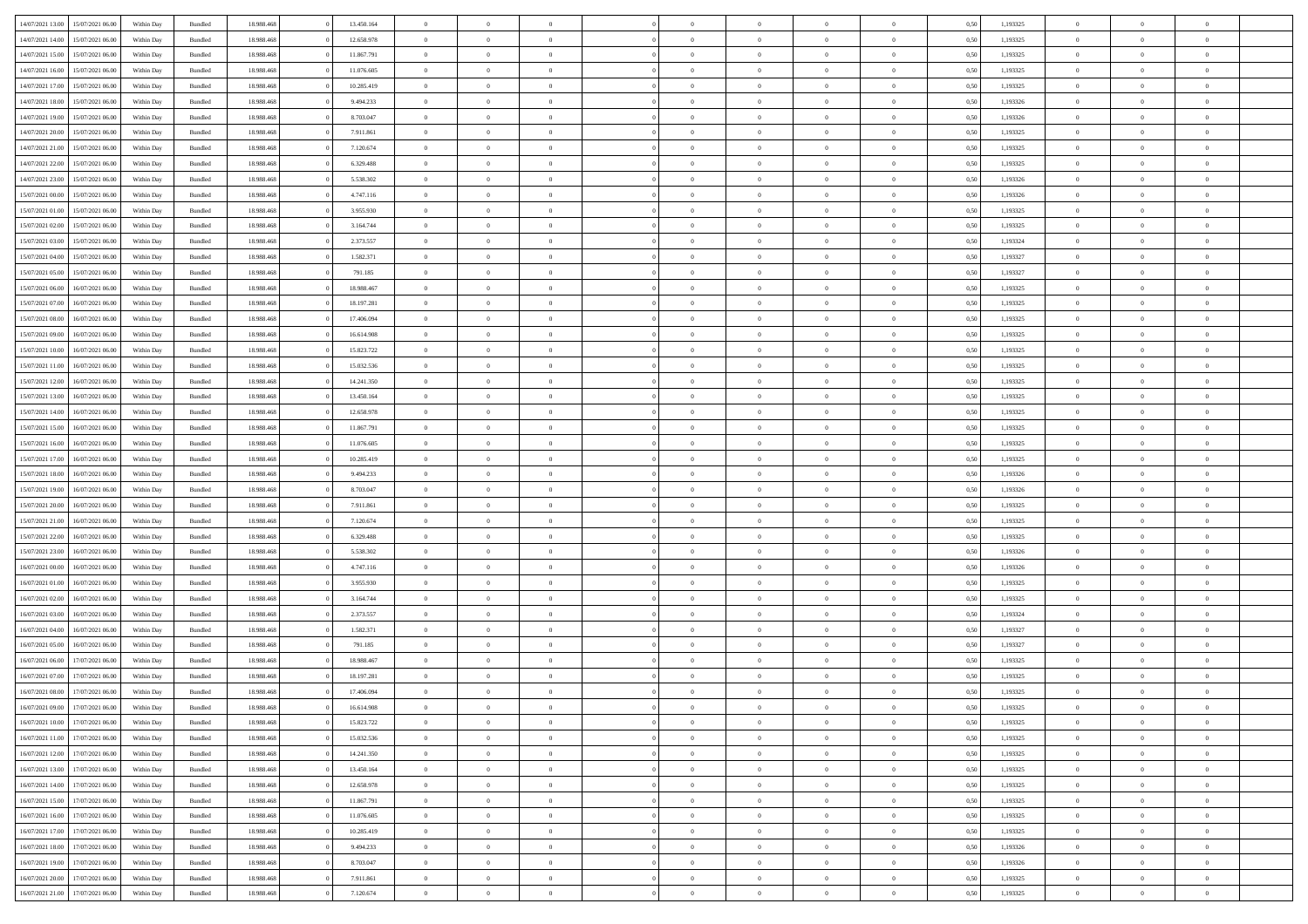| 14/07/2021 13:00 | 15/07/2021 06:00 | Within Day | Bundled            | 18.988.468 | 13.450.164 | $\overline{0}$ | $\theta$       |                | $\Omega$       | $\Omega$       | $\Omega$       | $\theta$       | 0.50 | 1,193325 | $\theta$       | $\overline{0}$ | $\theta$       |  |
|------------------|------------------|------------|--------------------|------------|------------|----------------|----------------|----------------|----------------|----------------|----------------|----------------|------|----------|----------------|----------------|----------------|--|
| 14/07/2021 14:00 | 15/07/2021 06:00 | Within Day | Bundled            | 18.988.468 | 12.658.978 | $\overline{0}$ | $\theta$       | $\overline{0}$ | $\overline{0}$ | $\bf{0}$       | $\overline{0}$ | $\overline{0}$ | 0,50 | 1,193325 | $\theta$       | $\overline{0}$ | $\overline{0}$ |  |
| 14/07/2021 15:00 | 15/07/2021 06:00 | Within Day | Bundled            | 18.988.468 | 11.867.791 | $\overline{0}$ | $\overline{0}$ | $\overline{0}$ | $\bf{0}$       | $\bf{0}$       | $\bf{0}$       | $\bf{0}$       | 0,50 | 1,193325 | $\bf{0}$       | $\overline{0}$ | $\overline{0}$ |  |
|                  |                  |            |                    |            |            |                |                |                |                |                |                |                |      |          | $\theta$       |                |                |  |
| 14/07/2021 16:00 | 15/07/2021 06:00 | Within Dav | Bundled            | 18.988.468 | 11.076.605 | $\overline{0}$ | $\theta$       | $\overline{0}$ | $\overline{0}$ | $\bf{0}$       | $\overline{0}$ | $\overline{0}$ | 0.50 | 1,193325 |                | $\theta$       | $\overline{0}$ |  |
| 14/07/2021 17:00 | 15/07/2021 06:00 | Within Day | Bundled            | 18.988.468 | 10.285.419 | $\overline{0}$ | $\theta$       | $\overline{0}$ | $\overline{0}$ | $\bf{0}$       | $\overline{0}$ | $\bf{0}$       | 0,50 | 1,193325 | $\theta$       | $\theta$       | $\overline{0}$ |  |
| 14/07/2021 18:00 | 15/07/2021 06:00 | Within Day | Bundled            | 18.988.468 | 9.494.233  | $\overline{0}$ | $\bf{0}$       | $\overline{0}$ | $\bf{0}$       | $\overline{0}$ | $\overline{0}$ | $\mathbf{0}$   | 0,50 | 1,193326 | $\overline{0}$ | $\overline{0}$ | $\bf{0}$       |  |
| 14/07/2021 19:00 | 15/07/2021 06:00 | Within Dav | Bundled            | 18.988.468 | 8.703.047  | $\overline{0}$ | $\overline{0}$ | $\overline{0}$ | $\overline{0}$ | $\bf{0}$       | $\overline{0}$ | $\overline{0}$ | 0.50 | 1,193326 | $\theta$       | $\overline{0}$ | $\overline{0}$ |  |
|                  |                  |            |                    |            |            |                |                |                |                |                |                |                |      |          |                |                |                |  |
| 14/07/2021 20:00 | 15/07/2021 06:00 | Within Day | Bundled            | 18.988.468 | 7.911.861  | $\overline{0}$ | $\theta$       | $\overline{0}$ | $\overline{0}$ | $\bf{0}$       | $\overline{0}$ | $\bf{0}$       | 0,50 | 1,193325 | $\theta$       | $\theta$       | $\overline{0}$ |  |
| 14/07/2021 21.00 | 15/07/2021 06:00 | Within Day | Bundled            | 18.988.468 | 7.120.674  | $\overline{0}$ | $\overline{0}$ | $\overline{0}$ | $\bf{0}$       | $\bf{0}$       | $\bf{0}$       | $\bf{0}$       | 0,50 | 1,193325 | $\,0\,$        | $\overline{0}$ | $\overline{0}$ |  |
| 14/07/2021 22:00 | 15/07/2021 06:00 | Within Dav | Bundled            | 18.988.468 | 6.329.488  | $\overline{0}$ | $\overline{0}$ | $\overline{0}$ | $\overline{0}$ | $\overline{0}$ | $\overline{0}$ | $\overline{0}$ | 0.50 | 1,193325 | $\theta$       | $\overline{0}$ | $\overline{0}$ |  |
| 14/07/2021 23:00 | 15/07/2021 06:00 |            | Bundled            | 18.988.468 | 5.538.302  | $\overline{0}$ | $\theta$       | $\overline{0}$ | $\overline{0}$ | $\bf{0}$       | $\overline{0}$ |                |      | 1,193326 | $\theta$       | $\theta$       | $\overline{0}$ |  |
|                  |                  | Within Day |                    |            |            |                |                |                |                |                |                | $\bf{0}$       | 0,50 |          |                |                |                |  |
| 15/07/2021 00:00 | 15/07/2021 06:00 | Within Day | Bundled            | 18.988.468 | 4.747.116  | $\overline{0}$ | $\overline{0}$ | $\overline{0}$ | $\bf{0}$       | $\bf{0}$       | $\bf{0}$       | $\bf{0}$       | 0,50 | 1,193326 | $\bf{0}$       | $\overline{0}$ | $\overline{0}$ |  |
| 15/07/2021 01:00 | 15/07/2021 06:00 | Within Day | Bundled            | 18.988.468 | 3.955.930  | $\overline{0}$ | $\overline{0}$ | $\overline{0}$ | $\overline{0}$ | $\bf{0}$       | $\overline{0}$ | $\overline{0}$ | 0.50 | 1,193325 | $\theta$       | $\theta$       | $\overline{0}$ |  |
| 15/07/2021 02:00 | 15/07/2021 06:00 | Within Day | Bundled            | 18.988.468 | 3.164.744  | $\overline{0}$ | $\theta$       | $\overline{0}$ | $\overline{0}$ | $\bf{0}$       | $\overline{0}$ | $\overline{0}$ | 0,50 | 1,193325 | $\theta$       | $\theta$       | $\overline{0}$ |  |
|                  |                  |            |                    |            |            |                |                |                |                |                |                |                |      |          |                |                |                |  |
| 15/07/2021 03:00 | 15/07/2021 06:00 | Within Day | Bundled            | 18.988.468 | 2.373.557  | $\overline{0}$ | $\bf{0}$       | $\overline{0}$ | $\bf{0}$       | $\overline{0}$ | $\overline{0}$ | $\mathbf{0}$   | 0,50 | 1,193324 | $\overline{0}$ | $\overline{0}$ | $\bf{0}$       |  |
| 15/07/2021 04:00 | 15/07/2021 06:00 | Within Dav | Bundled            | 18.988.468 | 1.582.371  | $\overline{0}$ | $\overline{0}$ | $\overline{0}$ | $\overline{0}$ | $\bf{0}$       | $\overline{0}$ | $\overline{0}$ | 0.50 | 1,193327 | $\theta$       | $\overline{0}$ | $\overline{0}$ |  |
| 15/07/2021 05:00 | 15/07/2021 06:00 | Within Day | Bundled            | 18.988.468 | 791.185    | $\overline{0}$ | $\theta$       | $\overline{0}$ | $\overline{0}$ | $\bf{0}$       | $\overline{0}$ | $\bf{0}$       | 0,50 | 1,193327 | $\theta$       | $\theta$       | $\overline{0}$ |  |
| 15/07/2021 06:00 | 16/07/2021 06:00 | Within Day | Bundled            | 18.988.468 | 18.988.467 | $\overline{0}$ | $\overline{0}$ | $\overline{0}$ | $\bf{0}$       | $\bf{0}$       | $\bf{0}$       | $\bf{0}$       | 0,50 | 1,193325 | $\,0\,$        | $\overline{0}$ | $\overline{0}$ |  |
|                  |                  |            |                    |            |            |                | $\overline{0}$ |                |                | $\overline{0}$ |                |                |      |          | $\theta$       | $\overline{0}$ | $\overline{0}$ |  |
| 15/07/2021 07:00 | 16/07/2021 06:00 | Within Day | Bundled            | 18.988.468 | 18.197.281 | $\overline{0}$ |                | $\overline{0}$ | $\overline{0}$ |                | $\overline{0}$ | $\overline{0}$ | 0.50 | 1,193325 |                |                |                |  |
| 15/07/2021 08:00 | 16/07/2021 06:00 | Within Day | Bundled            | 18.988.468 | 17.406.094 | $\overline{0}$ | $\theta$       | $\overline{0}$ | $\overline{0}$ | $\bf{0}$       | $\overline{0}$ | $\bf{0}$       | 0,50 | 1,193325 | $\theta$       | $\theta$       | $\overline{0}$ |  |
| 15/07/2021 09:00 | 16/07/2021 06:00 | Within Day | Bundled            | 18.988.468 | 16.614.908 | $\overline{0}$ | $\overline{0}$ | $\overline{0}$ | $\bf{0}$       | $\bf{0}$       | $\overline{0}$ | $\bf{0}$       | 0,50 | 1,193325 | $\,0\,$        | $\overline{0}$ | $\overline{0}$ |  |
| 15/07/2021 10:00 | 16/07/2021 06:00 | Within Day | Bundled            | 18.988.468 | 15.823.722 | $\overline{0}$ | $\overline{0}$ | $\overline{0}$ | $\overline{0}$ | $\bf{0}$       | $\overline{0}$ | $\overline{0}$ | 0.50 | 1,193325 | $\theta$       | $\theta$       | $\overline{0}$ |  |
|                  |                  |            |                    |            |            |                |                |                |                |                |                |                |      |          |                |                |                |  |
| 15/07/2021 11:00 | 16/07/2021 06:00 | Within Day | Bundled            | 18.988.468 | 15.032.536 | $\overline{0}$ | $\theta$       | $\overline{0}$ | $\overline{0}$ | $\bf{0}$       | $\overline{0}$ | $\bf{0}$       | 0,50 | 1,193325 | $\theta$       | $\overline{0}$ | $\overline{0}$ |  |
| 15/07/2021 12:00 | 16/07/2021 06:00 | Within Day | Bundled            | 18.988.468 | 14.241.350 | $\overline{0}$ | $\overline{0}$ | $\overline{0}$ | $\overline{0}$ | $\overline{0}$ | $\overline{0}$ | $\mathbf{0}$   | 0,50 | 1,193325 | $\bf{0}$       | $\overline{0}$ | $\bf{0}$       |  |
| 15/07/2021 13:00 | 16/07/2021 06:00 | Within Dav | Bundled            | 18.988.468 | 13.450.164 | $\overline{0}$ | $\overline{0}$ | $\overline{0}$ | $\overline{0}$ | $\overline{0}$ | $\overline{0}$ | $\overline{0}$ | 0.50 | 1,193325 | $\theta$       | $\overline{0}$ | $\overline{0}$ |  |
| 15/07/2021 14:00 | 16/07/2021 06:00 | Within Day | Bundled            | 18.988.468 | 12.658.978 | $\overline{0}$ | $\theta$       | $\overline{0}$ | $\overline{0}$ | $\bf{0}$       | $\overline{0}$ | $\bf{0}$       | 0,50 | 1,193325 | $\theta$       | $\theta$       | $\overline{0}$ |  |
|                  |                  |            |                    |            |            |                |                |                |                |                |                |                |      |          |                |                |                |  |
| 15/07/2021 15:00 | 16/07/2021 06:00 | Within Day | Bundled            | 18.988.468 | 11.867.791 | $\overline{0}$ | $\overline{0}$ | $\overline{0}$ | $\overline{0}$ | $\bf{0}$       | $\overline{0}$ | $\bf{0}$       | 0,50 | 1,193325 | $\,0\,$        | $\overline{0}$ | $\overline{0}$ |  |
| 15/07/2021 16:00 | 16/07/2021 06:00 | Within Day | Bundled            | 18.988.468 | 11.076.605 | $\overline{0}$ | $\overline{0}$ | $\overline{0}$ | $\overline{0}$ | $\overline{0}$ | $\overline{0}$ | $\overline{0}$ | 0.50 | 1,193325 | $\theta$       | $\overline{0}$ | $\overline{0}$ |  |
| 15/07/2021 17:00 | 16/07/2021 06:00 | Within Day | Bundled            | 18.988.468 | 10.285.419 | $\overline{0}$ | $\theta$       | $\overline{0}$ | $\overline{0}$ | $\bf{0}$       | $\overline{0}$ | $\bf{0}$       | 0,50 | 1,193325 | $\,$ 0 $\,$    | $\theta$       | $\overline{0}$ |  |
| 15/07/2021 18:00 | 16/07/2021 06:00 | Within Day | Bundled            | 18.988.468 | 9.494.233  | $\overline{0}$ | $\overline{0}$ | $\overline{0}$ | $\overline{0}$ | $\bf{0}$       | $\overline{0}$ | $\bf{0}$       | 0,50 | 1,193326 | $\bf{0}$       | $\overline{0}$ | $\overline{0}$ |  |
|                  |                  |            |                    |            |            | $\overline{0}$ | $\Omega$       | $\Omega$       | $\Omega$       | $\Omega$       |                |                |      | 1,193326 |                | $\Omega$       | $\theta$       |  |
| 15/07/2021 19:00 | 16/07/2021 06:00 | Within Day | Bundled            | 18.988.468 | 8.703.047  |                |                |                |                |                | $\overline{0}$ | $\overline{0}$ | 0.50 |          | $\,0\,$        |                |                |  |
| 15/07/2021 20:00 | 16/07/2021 06:00 | Within Day | Bundled            | 18.988.468 | 7.911.861  | $\overline{0}$ | $\theta$       | $\overline{0}$ | $\overline{0}$ | $\bf{0}$       | $\overline{0}$ | $\bf{0}$       | 0,50 | 1,193325 | $\theta$       | $\theta$       | $\overline{0}$ |  |
| 15/07/2021 21.00 | 16/07/2021 06:00 | Within Day | Bundled            | 18.988.468 | 7.120.674  | $\overline{0}$ | $\overline{0}$ | $\overline{0}$ | $\overline{0}$ | $\bf{0}$       | $\overline{0}$ | $\mathbf{0}$   | 0,50 | 1,193325 | $\bf{0}$       | $\overline{0}$ | $\bf{0}$       |  |
| 15/07/2021 22.00 | 16/07/2021 06:00 | Within Day | Bundled            | 18.988.468 | 6.329.488  | $\overline{0}$ | $\Omega$       | $\Omega$       | $\Omega$       | $\Omega$       | $\Omega$       | $\overline{0}$ | 0.50 | 1,193325 | $\theta$       | $\theta$       | $\theta$       |  |
| 15/07/2021 23:00 | 16/07/2021 06:00 |            |                    | 18.988.468 | 5.538.302  | $\overline{0}$ | $\theta$       | $\overline{0}$ | $\overline{0}$ | $\bf{0}$       | $\overline{0}$ |                |      | 1,193326 | $\theta$       | $\theta$       | $\overline{0}$ |  |
|                  |                  | Within Day | Bundled            |            |            |                |                |                |                |                |                | $\bf{0}$       | 0,50 |          |                |                |                |  |
| 16/07/2021 00:00 | 16/07/2021 06:00 | Within Day | Bundled            | 18.988.468 | 4.747.116  | $\overline{0}$ | $\overline{0}$ | $\overline{0}$ | $\overline{0}$ | $\bf{0}$       | $\overline{0}$ | $\bf{0}$       | 0,50 | 1,193326 | $\,0\,$        | $\overline{0}$ | $\overline{0}$ |  |
| 16/07/2021 01:00 | 16/07/2021 06:00 | Within Day | Bundled            | 18.988.468 | 3.955.930  | $\overline{0}$ | $\Omega$       | $\Omega$       | $\Omega$       | $\Omega$       | $\theta$       | $\overline{0}$ | 0.50 | 1,193325 | $\theta$       | $\theta$       | $\theta$       |  |
| 16/07/2021 02:00 | 16/07/2021 06:00 | Within Day | Bundled            | 18.988.468 | 3.164.744  | $\overline{0}$ | $\theta$       | $\overline{0}$ | $\overline{0}$ | $\bf{0}$       | $\overline{0}$ | $\bf{0}$       | 0,50 | 1,193325 | $\,$ 0 $\,$    | $\theta$       | $\overline{0}$ |  |
|                  |                  |            |                    |            |            |                |                |                |                |                |                |                |      |          |                |                |                |  |
| 16/07/2021 03:00 | 16/07/2021 06:00 | Within Day | Bundled            | 18.988.468 | 2.373.557  | $\overline{0}$ | $\overline{0}$ | $\overline{0}$ | $\overline{0}$ | $\bf{0}$       | $\overline{0}$ | $\bf{0}$       | 0,50 | 1,193324 | $\bf{0}$       | $\overline{0}$ | $\overline{0}$ |  |
| 16/07/2021 04:00 | 16/07/2021 06:00 | Within Day | Bundled            | 18.988.468 | 1.582.371  | $\overline{0}$ | $\Omega$       | $\Omega$       | $\Omega$       | $\Omega$       | $\overline{0}$ | $\overline{0}$ | 0.50 | 1,193327 | $\,0\,$        | $\theta$       | $\theta$       |  |
| 16/07/2021 05:00 | 16/07/2021 06:00 | Within Day | Bundled            | 18.988.468 | 791.185    | $\overline{0}$ | $\theta$       | $\overline{0}$ | $\overline{0}$ | $\bf{0}$       | $\overline{0}$ | $\bf{0}$       | 0,50 | 1,193327 | $\,$ 0 $\,$    | $\theta$       | $\overline{0}$ |  |
| 16/07/2021 06:00 | 17/07/2021 06:00 | Within Day | Bundled            | 18.988.468 | 18.988.467 | $\overline{0}$ | $\overline{0}$ | $\overline{0}$ | $\overline{0}$ | $\bf{0}$       | $\overline{0}$ | $\mathbf{0}$   | 0,50 | 1,193325 | $\bf{0}$       | $\overline{0}$ | $\bf{0}$       |  |
| 16/07/2021 07:00 | 17/07/2021 06:00 |            |                    | 18.988.468 |            | $\overline{0}$ | $\Omega$       | $\Omega$       | $\Omega$       | $\Omega$       | $\Omega$       | $\overline{0}$ | 0.50 |          | $\theta$       | $\theta$       | $\theta$       |  |
|                  |                  | Within Day | Bundled            |            | 18.197.281 |                |                |                |                |                |                |                |      | 1,193325 |                |                |                |  |
| 16/07/2021 08:00 | 17/07/2021 06:00 | Within Day | Bundled            | 18.988.468 | 17.406.094 | $\overline{0}$ | $\overline{0}$ | $\overline{0}$ | $\bf{0}$       | $\,$ 0         | $\overline{0}$ | $\bf{0}$       | 0,50 | 1,193325 | $\,0\,$        | $\overline{0}$ | $\overline{0}$ |  |
| 16/07/2021 09:00 | 17/07/2021 06:00 | Within Day | $\mathbf B$ undled | 18.988.468 | 16.614.908 | $\bf{0}$       | $\bf{0}$       |                |                |                |                |                | 0,50 | 1,193325 | $\bf{0}$       | $\overline{0}$ |                |  |
| 16/07/2021 10:00 | 17/07/2021 06:00 | Within Day | Bundled            | 18.988.468 | 15.823.722 | $\overline{0}$ | $\Omega$       | $\overline{0}$ | $\Omega$       | $\theta$       | $\overline{0}$ | $\overline{0}$ | 0.50 | 1,193325 | $\theta$       | $\theta$       | $\theta$       |  |
| 16/07/2021 11:00 | 17/07/2021 06:00 | Within Day | Bundled            | 18.988.468 | 15.032.536 | $\overline{0}$ | $\,$ 0         | $\overline{0}$ | $\overline{0}$ | $\,$ 0 $\,$    | $\overline{0}$ | $\mathbf{0}$   | 0,50 | 1,193325 | $\,$ 0 $\,$    | $\overline{0}$ | $\,$ 0         |  |
|                  |                  |            |                    |            |            |                |                |                |                |                |                |                |      |          |                |                |                |  |
| 16/07/2021 12:00 | 17/07/2021 06:00 | Within Day | Bundled            | 18.988.468 | 14.241.350 | $\overline{0}$ | $\overline{0}$ | $\overline{0}$ | $\overline{0}$ | $\overline{0}$ | $\overline{0}$ | $\mathbf{0}$   | 0,50 | 1,193325 | $\overline{0}$ | $\bf{0}$       | $\bf{0}$       |  |
| 16/07/2021 13:00 | 17/07/2021 06:00 | Within Day | Bundled            | 18.988.468 | 13.450.164 | $\overline{0}$ | $\theta$       | $\overline{0}$ | $\Omega$       | $\overline{0}$ | $\overline{0}$ | $\bf{0}$       | 0,50 | 1,193325 | $\overline{0}$ | $\theta$       | $\overline{0}$ |  |
| 16/07/2021 14:00 | 17/07/2021 06:00 | Within Day | Bundled            | 18.988.468 | 12.658.978 | $\overline{0}$ | $\,$ 0         | $\overline{0}$ | $\overline{0}$ | $\overline{0}$ | $\overline{0}$ | $\bf{0}$       | 0,50 | 1,193325 | $\,$ 0 $\,$    | $\overline{0}$ | $\overline{0}$ |  |
| 16/07/2021 15:00 | 17/07/2021 06:00 | Within Day | Bundled            | 18.988.468 | 11.867.791 | $\overline{0}$ | $\overline{0}$ | $\overline{0}$ | $\overline{0}$ | $\overline{0}$ | $\overline{0}$ | $\mathbf{0}$   | 0,50 | 1,193325 | $\overline{0}$ | $\bf{0}$       | $\bf{0}$       |  |
|                  |                  |            |                    |            |            |                |                |                |                |                |                |                |      |          |                |                |                |  |
| 16/07/2021 16:00 | 17/07/2021 06:00 | Within Day | Bundled            | 18.988.468 | 11.076.605 | $\overline{0}$ | $\overline{0}$ | $\overline{0}$ | $\Omega$       | $\overline{0}$ | $\overline{0}$ | $\bf{0}$       | 0.50 | 1,193325 | $\overline{0}$ | $\theta$       | $\overline{0}$ |  |
| 16/07/2021 17:00 | 17/07/2021 06:00 | Within Day | Bundled            | 18.988.468 | 10.285.419 | $\overline{0}$ | $\,$ 0 $\,$    | $\overline{0}$ | $\bf{0}$       | $\bf{0}$       | $\bf{0}$       | $\bf{0}$       | 0,50 | 1,193325 | $\,$ 0 $\,$    | $\overline{0}$ | $\overline{0}$ |  |
| 16/07/2021 18:00 | 17/07/2021 06:00 | Within Day | Bundled            | 18.988.468 | 9.494.233  | $\overline{0}$ | $\bf{0}$       | $\overline{0}$ | $\overline{0}$ | $\overline{0}$ | $\bf{0}$       | $\mathbf{0}$   | 0,50 | 1,193326 | $\overline{0}$ | $\overline{0}$ | $\bf{0}$       |  |
| 16/07/2021 19:00 | 17/07/2021 06:00 | Within Day | Bundled            | 18,988,468 | 8.703.047  | $\overline{0}$ | $\overline{0}$ | $\overline{0}$ | $\Omega$       | $\overline{0}$ | $\overline{0}$ | $\overline{0}$ | 0.50 | 1,193326 | $\overline{0}$ | $\theta$       | $\overline{0}$ |  |
|                  |                  |            |                    |            |            |                |                |                |                |                |                |                |      |          |                |                |                |  |
| 16/07/2021 20:00 | 17/07/2021 06:00 | Within Day | Bundled            | 18.988.468 | 7.911.861  | $\overline{0}$ | $\,$ 0 $\,$    | $\overline{0}$ | $\overline{0}$ | $\bf{0}$       | $\bf{0}$       | $\bf{0}$       | 0,50 | 1,193325 | $\,$ 0 $\,$    | $\,$ 0 $\,$    | $\overline{0}$ |  |
| 16/07/2021 21:00 | 17/07/2021 06:00 | Within Day | Bundled            | 18.988.468 | 7.120.674  | $\overline{0}$ | $\overline{0}$ | $\overline{0}$ | $\overline{0}$ | $\bf{0}$       | $\bf{0}$       | $\mathbf{0}$   | 0,50 | 1,193325 | $\overline{0}$ | $\bf{0}$       | $\bf{0}$       |  |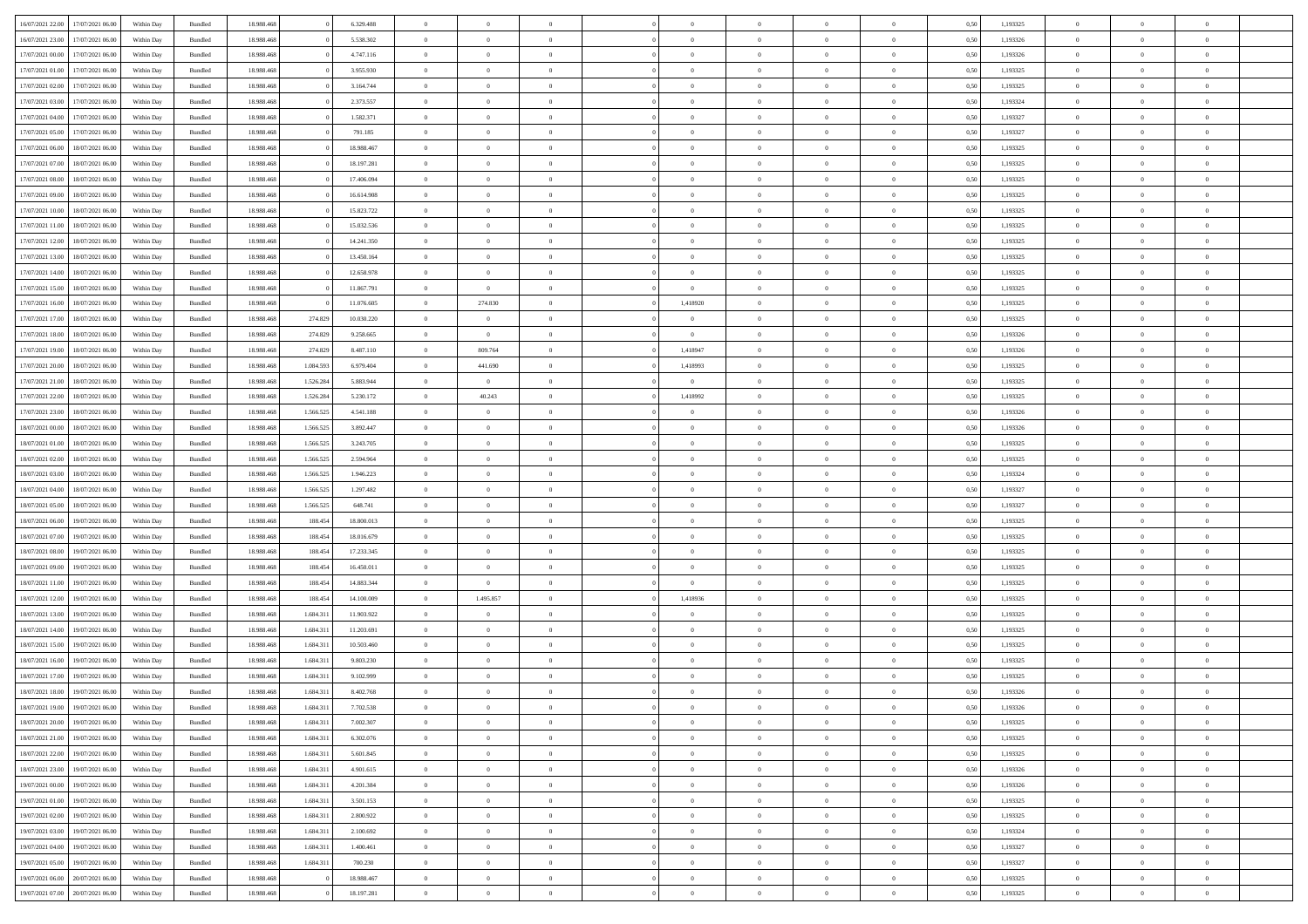| 16/07/2021 22:00 | 17/07/2021 06:00 | Within Day | Bundled            | 18.988.468 |           | 6.329.488  | $\overline{0}$ | $\Omega$       |                | $\Omega$       | $\Omega$       | $\Omega$       | $\theta$       | 0.50 | 1,193325 | $\theta$       | $\theta$       | $\theta$       |  |
|------------------|------------------|------------|--------------------|------------|-----------|------------|----------------|----------------|----------------|----------------|----------------|----------------|----------------|------|----------|----------------|----------------|----------------|--|
| 16/07/2021 23:00 | 17/07/2021 06:00 | Within Day | Bundled            | 18.988.468 |           | 5.538.302  | $\overline{0}$ | $\theta$       | $\overline{0}$ | $\overline{0}$ | $\bf{0}$       | $\overline{0}$ | $\overline{0}$ | 0,50 | 1,193326 | $\theta$       | $\theta$       | $\overline{0}$ |  |
| 17/07/2021 00:00 | 17/07/2021 06:00 | Within Day | Bundled            | 18.988.468 |           | 4.747.116  | $\overline{0}$ | $\overline{0}$ | $\overline{0}$ | $\bf{0}$       | $\bf{0}$       | $\bf{0}$       | $\bf{0}$       | 0,50 | 1,193326 | $\bf{0}$       | $\overline{0}$ | $\overline{0}$ |  |
| 17/07/2021 01:00 | 17/07/2021 06:00 | Within Dav | Bundled            | 18.988.468 |           | 3.955.930  | $\overline{0}$ | $\theta$       | $\Omega$       | $\overline{0}$ | $\bf{0}$       | $\overline{0}$ | $\overline{0}$ | 0.50 | 1,193325 | $\theta$       | $\theta$       | $\overline{0}$ |  |
| 17/07/2021 02:00 | 17/07/2021 06:00 | Within Day | Bundled            | 18.988.468 |           | 3.164.744  | $\overline{0}$ | $\theta$       | $\overline{0}$ | $\overline{0}$ | $\bf{0}$       | $\overline{0}$ | $\overline{0}$ | 0,50 | 1,193325 | $\theta$       | $\theta$       | $\overline{0}$ |  |
|                  |                  |            |                    |            |           |            |                |                |                |                |                |                |                |      |          |                |                |                |  |
| 17/07/2021 03:00 | 17/07/2021 06:00 | Within Day | Bundled            | 18.988.468 |           | 2.373.557  | $\overline{0}$ | $\bf{0}$       | $\overline{0}$ | $\bf{0}$       | $\overline{0}$ | $\overline{0}$ | $\mathbf{0}$   | 0,50 | 1,193324 | $\overline{0}$ | $\overline{0}$ | $\bf{0}$       |  |
| 17/07/2021 04:00 | 17/07/2021 06:00 | Within Dav | Bundled            | 18.988.468 |           | 1.582.371  | $\overline{0}$ | $\overline{0}$ | $\overline{0}$ | $\overline{0}$ | $\bf{0}$       | $\overline{0}$ | $\overline{0}$ | 0.50 | 1,193327 | $\theta$       | $\overline{0}$ | $\overline{0}$ |  |
| 17/07/2021 05:00 | 17/07/2021 06:00 | Within Day | Bundled            | 18.988.468 |           | 791.185    | $\overline{0}$ | $\theta$       | $\overline{0}$ | $\overline{0}$ | $\bf{0}$       | $\overline{0}$ | $\overline{0}$ | 0,50 | 1,193327 | $\theta$       | $\theta$       | $\overline{0}$ |  |
| 17/07/2021 06:00 | 18/07/2021 06:00 | Within Day | Bundled            | 18.988.468 |           | 18.988.467 | $\overline{0}$ | $\overline{0}$ | $\overline{0}$ | $\bf{0}$       | $\bf{0}$       | $\bf{0}$       | $\bf{0}$       | 0,50 | 1,193325 | $\,0\,$        | $\overline{0}$ | $\overline{0}$ |  |
| 17/07/2021 07:00 | 18/07/2021 06:00 | Within Dav | Bundled            | 18.988.468 |           | 18.197.281 | $\overline{0}$ | $\overline{0}$ | $\overline{0}$ | $\overline{0}$ | $\overline{0}$ | $\overline{0}$ | $\overline{0}$ | 0.50 | 1,193325 | $\theta$       | $\overline{0}$ | $\overline{0}$ |  |
| 17/07/2021 08:00 | 18/07/2021 06:00 | Within Day | Bundled            | 18.988.468 |           | 17.406.094 | $\overline{0}$ | $\theta$       | $\overline{0}$ | $\overline{0}$ | $\bf{0}$       | $\overline{0}$ | $\bf{0}$       | 0,50 | 1,193325 | $\theta$       | $\theta$       | $\overline{0}$ |  |
| 17/07/2021 09:00 | 18/07/2021 06:00 | Within Day | Bundled            | 18.988.468 |           | 16.614.908 | $\overline{0}$ | $\overline{0}$ | $\overline{0}$ | $\bf{0}$       | $\bf{0}$       | $\bf{0}$       | $\bf{0}$       | 0,50 | 1,193325 | $\,0\,$        | $\overline{0}$ | $\overline{0}$ |  |
|                  |                  |            |                    |            |           |            |                |                |                |                |                |                |                |      |          | $\theta$       |                |                |  |
| 17/07/2021 10:00 | 18/07/2021 06:00 | Within Dav | Bundled            | 18.988.468 |           | 15.823.722 | $\overline{0}$ | $\theta$       | $\overline{0}$ | $\overline{0}$ | $\bf{0}$       | $\overline{0}$ | $\overline{0}$ | 0.50 | 1,193325 |                | $\theta$       | $\overline{0}$ |  |
| 17/07/2021 11:00 | 18/07/2021 06:00 | Within Day | Bundled            | 18.988.468 |           | 15.032.536 | $\overline{0}$ | $\theta$       | $\overline{0}$ | $\overline{0}$ | $\bf{0}$       | $\overline{0}$ | $\overline{0}$ | 0,50 | 1,193325 | $\theta$       | $\theta$       | $\overline{0}$ |  |
| 17/07/2021 12:00 | 18/07/2021 06:00 | Within Day | Bundled            | 18.988.468 |           | 14.241.350 | $\overline{0}$ | $\overline{0}$ | $\overline{0}$ | $\bf{0}$       | $\bf{0}$       | $\overline{0}$ | $\mathbf{0}$   | 0,50 | 1,193325 | $\overline{0}$ | $\overline{0}$ | $\bf{0}$       |  |
| 17/07/2021 13:00 | 18/07/2021 06:00 | Within Dav | Bundled            | 18.988.468 |           | 13.450.164 | $\overline{0}$ | $\overline{0}$ | $\overline{0}$ | $\overline{0}$ | $\bf{0}$       | $\overline{0}$ | $\overline{0}$ | 0.50 | 1,193325 | $\theta$       | $\overline{0}$ | $\overline{0}$ |  |
| 17/07/2021 14:00 | 18/07/2021 06:00 | Within Day | Bundled            | 18.988.468 |           | 12.658.978 | $\overline{0}$ | $\theta$       | $\overline{0}$ | $\overline{0}$ | $\bf{0}$       | $\overline{0}$ | $\bf{0}$       | 0,50 | 1,193325 | $\theta$       | $\theta$       | $\overline{0}$ |  |
| 17/07/2021 15:00 | 18/07/2021 06:00 | Within Day | Bundled            | 18.988.468 |           | 11.867.791 | $\overline{0}$ | $\overline{0}$ | $\overline{0}$ | $\overline{0}$ | $\bf{0}$       | $\overline{0}$ | $\bf{0}$       | 0,50 | 1,193325 | $\,0\,$        | $\overline{0}$ | $\overline{0}$ |  |
| 17/07/2021 16:00 | 18/07/2021 06:00 | Within Dav | Bundled            | 18.988.468 |           | 11.076.605 | $\overline{0}$ | 274.830        | $\overline{0}$ | 1,418920       | $\bf{0}$       | $\overline{0}$ | $\overline{0}$ | 0.50 | 1,193325 | $\theta$       | $\overline{0}$ | $\overline{0}$ |  |
|                  |                  |            |                    |            |           |            |                |                |                |                |                |                |                |      |          |                |                |                |  |
| 17/07/2021 17:00 | 18/07/2021 06:00 | Within Day | Bundled            | 18.988.468 | 274.829   | 10.030.220 | $\overline{0}$ | $\theta$       | $\overline{0}$ | $\overline{0}$ | $\bf{0}$       | $\overline{0}$ | $\bf{0}$       | 0,50 | 1,193325 | $\theta$       | $\theta$       | $\overline{0}$ |  |
| 17/07/2021 18:00 | 18/07/2021 06:00 | Within Day | Bundled            | 18.988.468 | 274.829   | 9.258.665  | $\overline{0}$ | $\bf{0}$       | $\overline{0}$ | $\overline{0}$ | $\bf{0}$       | $\overline{0}$ | $\bf{0}$       | 0,50 | 1,193326 | $\,0\,$        | $\overline{0}$ | $\overline{0}$ |  |
| 17/07/2021 19:00 | 18/07/2021 06:00 | Within Dav | Bundled            | 18.988.468 | 274.829   | 8.487.110  | $\overline{0}$ | 809.764        | $\overline{0}$ | 1,418947       | $\bf{0}$       | $\overline{0}$ | $\overline{0}$ | 0.50 | 1,193326 | $\theta$       | $\theta$       | $\overline{0}$ |  |
| 17/07/2021 20:00 | 18/07/2021 06:00 | Within Day | Bundled            | 18.988.468 | 1.084.593 | 6.979.404  | $\overline{0}$ | 441.690        | $\overline{0}$ | 1,418993       | $\bf{0}$       | $\overline{0}$ | $\bf{0}$       | 0,50 | 1,193325 | $\theta$       | $\overline{0}$ | $\overline{0}$ |  |
| 17/07/2021 21.00 | 18/07/2021 06:00 | Within Day | Bundled            | 18.988.468 | 1.526.284 | 5.883.944  | $\overline{0}$ | $\bf{0}$       | $\overline{0}$ | $\overline{0}$ | $\bf{0}$       | $\overline{0}$ | $\mathbf{0}$   | 0,50 | 1,193325 | $\bf{0}$       | $\overline{0}$ | $\bf{0}$       |  |
| 17/07/2021 22.00 | 18/07/2021 06:00 | Within Dav | Bundled            | 18.988.468 | 1.526.284 | 5.230.172  | $\overline{0}$ | 40.243         | $\overline{0}$ | 1,418992       | $\overline{0}$ | $\overline{0}$ | $\overline{0}$ | 0.50 | 1,193325 | $\theta$       | $\overline{0}$ | $\overline{0}$ |  |
| 17/07/2021 23:00 | 18/07/2021 06:00 | Within Day | Bundled            | 18.988.468 | 1.566.525 | 4.541.188  | $\overline{0}$ | $\theta$       | $\overline{0}$ | $\overline{0}$ | $\bf{0}$       | $\overline{0}$ | $\bf{0}$       | 0,50 | 1,193326 | $\theta$       | $\theta$       | $\overline{0}$ |  |
|                  |                  |            |                    |            |           |            |                |                |                |                |                |                |                |      |          |                |                |                |  |
| 18/07/2021 00:00 | 18/07/2021 06:00 | Within Day | Bundled            | 18.988.468 | 1.566.525 | 3.892.447  | $\overline{0}$ | $\overline{0}$ | $\overline{0}$ | $\bf{0}$       | $\bf{0}$       | $\overline{0}$ | $\bf{0}$       | 0,50 | 1,193326 | $\,0\,$        | $\overline{0}$ | $\overline{0}$ |  |
| 18/07/2021 01:00 | 18/07/2021 06:00 | Within Dav | Bundled            | 18.988.468 | 1.566.525 | 3.243.705  | $\overline{0}$ | $\overline{0}$ | $\overline{0}$ | $\overline{0}$ | $\bf{0}$       | $\overline{0}$ | $\overline{0}$ | 0.50 | 1,193325 | $\theta$       | $\overline{0}$ | $\overline{0}$ |  |
| 18/07/2021 02:00 | 18/07/2021 06:00 | Within Day | Bundled            | 18.988.468 | 1.566.525 | 2.594.964  | $\overline{0}$ | $\theta$       | $\overline{0}$ | $\overline{0}$ | $\bf{0}$       | $\overline{0}$ | $\bf{0}$       | 0,50 | 1,193325 | $\,$ 0 $\,$    | $\theta$       | $\overline{0}$ |  |
| 18/07/2021 03:00 | 18/07/2021 06:00 | Within Day | Bundled            | 18.988.468 | 1.566.525 | 1.946.223  | $\overline{0}$ | $\overline{0}$ | $\overline{0}$ | $\overline{0}$ | $\bf{0}$       | $\overline{0}$ | $\bf{0}$       | 0,50 | 1,193324 | $\bf{0}$       | $\overline{0}$ | $\overline{0}$ |  |
| 18/07/2021 04:00 | 18/07/2021 06:00 | Within Day | Bundled            | 18.988.468 | 1.566.525 | 1.297.482  | $\overline{0}$ | $\Omega$       | $\Omega$       | $\Omega$       | $\Omega$       | $\Omega$       | $\overline{0}$ | 0.50 | 1,193327 | $\,0\,$        | $\theta$       | $\theta$       |  |
| 18/07/2021 05:00 | 18/07/2021 06:00 | Within Day | Bundled            | 18.988.468 | 1.566.525 | 648.741    | $\overline{0}$ | $\theta$       | $\overline{0}$ | $\overline{0}$ | $\bf{0}$       | $\overline{0}$ | $\overline{0}$ | 0,50 | 1,193327 | $\theta$       | $\theta$       | $\overline{0}$ |  |
| 18/07/2021 06:00 | 19/07/2021 06:00 | Within Day | Bundled            | 18.988.468 | 188.454   | 18.800.013 | $\overline{0}$ | $\overline{0}$ | $\overline{0}$ | $\overline{0}$ | $\bf{0}$       | $\overline{0}$ | $\mathbf{0}$   | 0,50 | 1,193325 | $\bf{0}$       | $\overline{0}$ | $\bf{0}$       |  |
| 18/07/2021 07:00 | 19/07/2021 06:00 |            | Bundled            | 18.988.468 | 188.454   | 18.016.679 | $\overline{0}$ | $\Omega$       | $\Omega$       | $\Omega$       | $\bf{0}$       | $\Omega$       | $\overline{0}$ | 0.50 | 1,193325 | $\theta$       | $\theta$       | $\theta$       |  |
|                  |                  | Within Day |                    |            |           |            |                |                |                |                |                |                |                |      |          |                |                |                |  |
| 18/07/2021 08:00 | 19/07/2021 06:00 | Within Day | Bundled            | 18.988.468 | 188.454   | 17.233.345 | $\overline{0}$ | $\theta$       | $\overline{0}$ | $\overline{0}$ | $\bf{0}$       | $\overline{0}$ | $\bf{0}$       | 0,50 | 1,193325 | $\theta$       | $\theta$       | $\overline{0}$ |  |
| 18/07/2021 09:00 | 19/07/2021 06:00 | Within Day | Bundled            | 18.988.468 | 188.454   | 16.450.011 | $\overline{0}$ | $\overline{0}$ | $\overline{0}$ | $\overline{0}$ | $\bf{0}$       | $\overline{0}$ | $\bf{0}$       | 0,50 | 1,193325 | $\,0\,$        | $\overline{0}$ | $\overline{0}$ |  |
| 18/07/2021 11:00 | 19/07/2021 06:00 | Within Day | Bundled            | 18.988.468 | 188.454   | 14.883.344 | $\overline{0}$ | $\overline{0}$ | $\Omega$       | $\Omega$       | $\Omega$       | $\theta$       | $\overline{0}$ | 0.50 | 1,193325 | $\theta$       | $\theta$       | $\theta$       |  |
| 18/07/2021 12:00 | 19/07/2021 06:00 | Within Day | Bundled            | 18.988.468 | 188.454   | 14.100.009 | $\overline{0}$ | 1.495.857      | $\overline{0}$ | 1,418936       | $\bf{0}$       | $\overline{0}$ | $\bf{0}$       | 0,50 | 1,193325 | $\theta$       | $\theta$       | $\overline{0}$ |  |
| 18/07/2021 13:00 | 19/07/2021 06:00 | Within Day | Bundled            | 18.988.468 | 1.684.311 | 11.903.922 | $\overline{0}$ | $\overline{0}$ | $\overline{0}$ | $\overline{0}$ | $\bf{0}$       | $\overline{0}$ | $\bf{0}$       | 0,50 | 1,193325 | $\bf{0}$       | $\overline{0}$ | $\overline{0}$ |  |
| 18/07/2021 14:00 | 19/07/2021 06:00 | Within Day | Bundled            | 18.988.468 | 1.684.311 | 11.203.691 | $\overline{0}$ | $\Omega$       | $\Omega$       | $\Omega$       | $\Omega$       | $\overline{0}$ | $\overline{0}$ | 0.50 | 1,193325 | $\,0\,$        | $\theta$       | $\theta$       |  |
| 18/07/2021 15:00 | 19/07/2021 06:00 | Within Day | Bundled            | 18.988.468 | 1.684.311 | 10.503.460 | $\overline{0}$ | $\theta$       | $\overline{0}$ | $\overline{0}$ | $\bf{0}$       | $\overline{0}$ | $\bf{0}$       | 0,50 | 1,193325 | $\theta$       | $\theta$       | $\overline{0}$ |  |
| 18/07/2021 16:00 | 19/07/2021 06:00 | Within Day | Bundled            | 18.988.468 | 1.684.311 | 9.803.230  | $\overline{0}$ | $\overline{0}$ | $\overline{0}$ | $\bf{0}$       | $\bf{0}$       | $\bf{0}$       | $\mathbf{0}$   | 0,50 | 1,193325 | $\overline{0}$ | $\overline{0}$ | $\bf{0}$       |  |
|                  |                  |            |                    |            |           |            |                |                |                |                |                |                |                |      |          |                |                |                |  |
| 18/07/2021 17:00 | 19/07/2021 06:00 | Within Day | Bundled            | 18.988.468 | 1.684.31  | 9.102.999  | $\overline{0}$ | $\Omega$       | $\Omega$       | $\Omega$       | $\Omega$       | $\Omega$       | $\overline{0}$ | 0.50 | 1,193325 | $\theta$       | $\theta$       | $\theta$       |  |
| 18/07/2021 18:00 | 19/07/2021 06:00 | Within Day | Bundled            | 18.988.468 | 1.684.311 | 8.402.768  | $\overline{0}$ | $\,$ 0 $\,$    | $\overline{0}$ | $\bf{0}$       | $\,$ 0         | $\bf{0}$       | $\bf{0}$       | 0,50 | 1,193326 | $\,0\,$        | $\overline{0}$ | $\overline{0}$ |  |
| 18/07/2021 19:00 | 19/07/2021 06:00 | Within Day | $\mathbf B$ undled | 18.988.468 | 1.684.311 | 7.702.538  | $\bf{0}$       | $\bf{0}$       |                |                |                |                |                | 0,50 | 1,193326 | $\bf{0}$       | $\bf{0}$       |                |  |
| 18/07/2021 20:00 | 19/07/2021 06:00 | Within Day | Bundled            | 18.988.468 | 1.684.311 | 7.002.307  | $\overline{0}$ | $\overline{0}$ | $\Omega$       | $\Omega$       | $\overline{0}$ | $\overline{0}$ | $\overline{0}$ | 0.50 | 1,193325 | $\theta$       | $\theta$       | $\theta$       |  |
| 18/07/2021 21:00 | 19/07/2021 06:00 | Within Day | Bundled            | 18.988.468 | 1.684.311 | 6.302.076  | $\overline{0}$ | $\,$ 0         | $\overline{0}$ | $\bf{0}$       | $\,$ 0 $\,$    | $\overline{0}$ | $\mathbf{0}$   | 0,50 | 1,193325 | $\,$ 0 $\,$    | $\,$ 0 $\,$    | $\bf{0}$       |  |
| 18/07/2021 22:00 | 19/07/2021 06:00 | Within Day | Bundled            | 18.988.468 | 1.684.311 | 5.601.845  | $\overline{0}$ | $\overline{0}$ | $\overline{0}$ | $\overline{0}$ | $\overline{0}$ | $\overline{0}$ | $\mathbf{0}$   | 0,50 | 1,193325 | $\overline{0}$ | $\bf{0}$       | $\bf{0}$       |  |
| 18/07/2021 23:00 | 19/07/2021 06:00 | Within Day | Bundled            | 18.988.468 | 1.684.311 | 4.901.615  | $\overline{0}$ | $\overline{0}$ | $\overline{0}$ | $\Omega$       | $\overline{0}$ | $\overline{0}$ | $\overline{0}$ | 0,50 | 1,193326 | $\overline{0}$ | $\theta$       | $\overline{0}$ |  |
| 19/07/2021 00:00 | 19/07/2021 06:00 | Within Day | Bundled            | 18.988.468 | 1.684.311 | 4.201.384  | $\overline{0}$ | $\,$ 0         | $\overline{0}$ | $\overline{0}$ | $\,$ 0 $\,$    | $\overline{0}$ | $\mathbf{0}$   | 0,50 | 1,193326 | $\,$ 0 $\,$    | $\overline{0}$ | $\overline{0}$ |  |
|                  |                  |            |                    |            |           |            |                |                |                |                |                |                |                |      |          |                |                |                |  |
| 19/07/2021 01:00 | 19/07/2021 06:00 | Within Day | Bundled            | 18.988.468 | 1.684.311 | 3.501.153  | $\overline{0}$ | $\overline{0}$ | $\overline{0}$ | $\overline{0}$ | $\overline{0}$ | $\overline{0}$ | $\mathbf{0}$   | 0,50 | 1,193325 | $\overline{0}$ | $\overline{0}$ | $\bf{0}$       |  |
| 19/07/2021 02:00 | 19/07/2021 06:00 | Within Day | Bundled            | 18.988.468 | 1.684.311 | 2.800.922  | $\overline{0}$ | $\overline{0}$ | $\overline{0}$ | $\Omega$       | $\overline{0}$ | $\overline{0}$ | $\bf{0}$       | 0.50 | 1,193325 | $\overline{0}$ | $\theta$       | $\overline{0}$ |  |
| 19/07/2021 03:00 | 19/07/2021 06:00 | Within Day | Bundled            | 18.988.468 | 1.684.311 | 2.100.692  | $\overline{0}$ | $\,$ 0         | $\overline{0}$ | $\bf{0}$       | $\bf{0}$       | $\bf{0}$       | $\bf{0}$       | 0,50 | 1,193324 | $\,$ 0 $\,$    | $\overline{0}$ | $\overline{0}$ |  |
| 19/07/2021 04:00 | 19/07/2021 06:00 | Within Day | Bundled            | 18.988.468 | 1.684.311 | 1.400.461  | $\overline{0}$ | $\bf{0}$       | $\overline{0}$ | $\overline{0}$ | $\overline{0}$ | $\overline{0}$ | $\mathbf{0}$   | 0,50 | 1,193327 | $\overline{0}$ | $\overline{0}$ | $\bf{0}$       |  |
| 19/07/2021 05:00 | 19/07/2021 06:00 | Within Day | Bundled            | 18.988.468 | 1.684.311 | 700.230    | $\overline{0}$ | $\overline{0}$ | $\overline{0}$ | $\Omega$       | $\overline{0}$ | $\overline{0}$ | $\bf{0}$       | 0.50 | 1,193327 | $\overline{0}$ | $\theta$       | $\overline{0}$ |  |
| 19/07/2021 06:00 | 20/07/2021 06:00 | Within Day | Bundled            | 18.988.468 |           | 18.988.467 | $\overline{0}$ | $\bf{0}$       | $\overline{0}$ | $\overline{0}$ | $\bf{0}$       | $\bf{0}$       | $\bf{0}$       | 0,50 | 1,193325 | $\,$ 0 $\,$    | $\,$ 0 $\,$    | $\bf{0}$       |  |
|                  |                  |            |                    |            |           |            |                | $\bf{0}$       | $\overline{0}$ | $\bf{0}$       | $\bf{0}$       |                |                |      |          |                | $\overline{0}$ |                |  |
| 19/07/2021 07:00 | 20/07/2021 06:00 | Within Day | Bundled            | 18.988.468 |           | 18.197.281 | $\overline{0}$ |                |                |                |                | $\bf{0}$       | $\bf{0}$       | 0,50 | 1,193325 | $\overline{0}$ |                | $\bf{0}$       |  |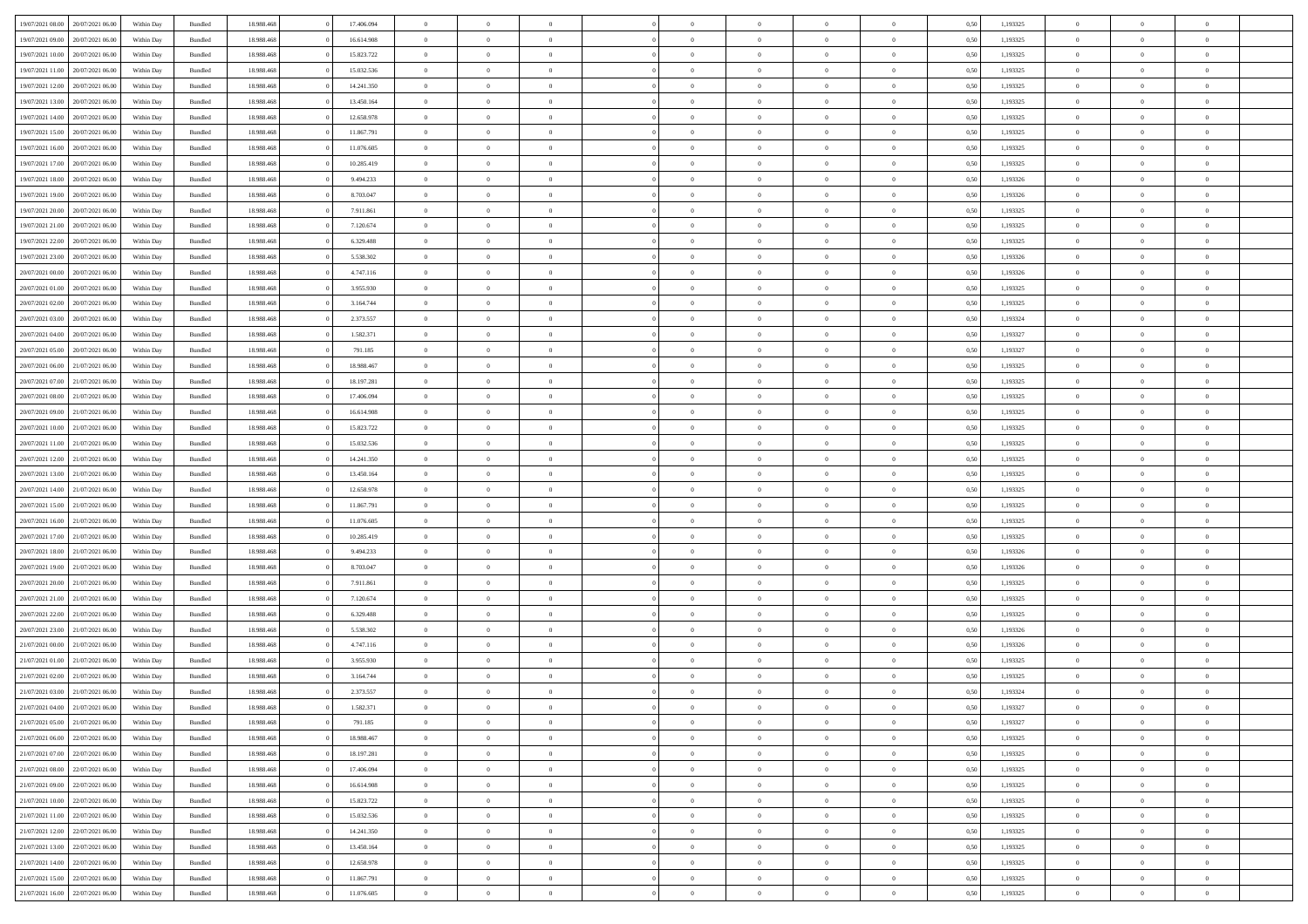| 19/07/2021 08:00                  | 20/07/2021 06:00 | Within Day | Bundled            | 18.988.468 | 17.406.094 | $\overline{0}$ | $\Omega$       |                | $\Omega$       | $\Omega$       | $\Omega$       | $\theta$       | 0.50 | 1,193325 | $\theta$       | $\theta$       | $\theta$       |  |
|-----------------------------------|------------------|------------|--------------------|------------|------------|----------------|----------------|----------------|----------------|----------------|----------------|----------------|------|----------|----------------|----------------|----------------|--|
|                                   |                  |            |                    |            |            |                |                |                |                |                |                |                |      |          |                |                |                |  |
| 19/07/2021 09:00                  | 20/07/2021 06:00 | Within Day | Bundled            | 18.988.468 | 16.614.908 | $\overline{0}$ | $\theta$       | $\overline{0}$ | $\overline{0}$ | $\bf{0}$       | $\overline{0}$ | $\overline{0}$ | 0,50 | 1,193325 | $\theta$       | $\overline{0}$ | $\overline{0}$ |  |
| 19/07/2021 10:00                  | 20/07/2021 06:00 | Within Day | Bundled            | 18.988.468 | 15.823.722 | $\overline{0}$ | $\overline{0}$ | $\overline{0}$ | $\bf{0}$       | $\bf{0}$       | $\bf{0}$       | $\bf{0}$       | 0,50 | 1,193325 | $\bf{0}$       | $\overline{0}$ | $\overline{0}$ |  |
| 19/07/2021 11:00                  | 20/07/2021 06:00 | Within Dav | Bundled            | 18.988.468 | 15.032.536 | $\overline{0}$ | $\theta$       | $\overline{0}$ | $\overline{0}$ | $\bf{0}$       | $\overline{0}$ | $\overline{0}$ | 0.50 | 1,193325 | $\theta$       | $\theta$       | $\overline{0}$ |  |
|                                   |                  |            |                    |            |            |                |                |                |                |                |                |                |      |          |                |                |                |  |
| 19/07/2021 12:00                  | 20/07/2021 06:00 | Within Day | Bundled            | 18.988.468 | 14.241.350 | $\overline{0}$ | $\theta$       | $\overline{0}$ | $\overline{0}$ | $\bf{0}$       | $\overline{0}$ | $\bf{0}$       | 0,50 | 1,193325 | $\theta$       | $\theta$       | $\overline{0}$ |  |
| 19/07/2021 13:00                  | 20/07/2021 06:00 | Within Day | Bundled            | 18.988.468 | 13.450.164 | $\overline{0}$ | $\bf{0}$       | $\overline{0}$ | $\bf{0}$       | $\overline{0}$ | $\bf{0}$       | $\mathbf{0}$   | 0,50 | 1,193325 | $\overline{0}$ | $\overline{0}$ | $\bf{0}$       |  |
| 19/07/2021 14:00                  | 20/07/2021 06:00 | Within Dav | Bundled            | 18.988.468 | 12.658.978 | $\overline{0}$ | $\theta$       | $\overline{0}$ | $\overline{0}$ | $\bf{0}$       | $\overline{0}$ | $\overline{0}$ | 0.50 | 1,193325 | $\theta$       | $\overline{0}$ | $\overline{0}$ |  |
| 19/07/2021 15:00                  | 20/07/2021 06:00 | Within Day | Bundled            | 18.988.468 | 11.867.791 | $\overline{0}$ | $\theta$       | $\overline{0}$ | $\overline{0}$ | $\bf{0}$       | $\overline{0}$ | $\bf{0}$       | 0,50 | 1,193325 | $\theta$       | $\theta$       | $\overline{0}$ |  |
| 19/07/2021 16:00                  | 20/07/2021 06:00 | Within Day | Bundled            | 18.988.468 | 11.076.605 | $\overline{0}$ | $\overline{0}$ | $\overline{0}$ | $\bf{0}$       | $\bf{0}$       | $\bf{0}$       | $\bf{0}$       | 0,50 | 1,193325 | $\,0\,$        | $\overline{0}$ | $\overline{0}$ |  |
|                                   |                  |            |                    |            |            |                |                |                |                |                |                |                |      |          |                |                |                |  |
| 19/07/2021 17:00                  | 20/07/2021 06:00 | Within Dav | Bundled            | 18.988.468 | 10.285.419 | $\overline{0}$ | $\overline{0}$ | $\overline{0}$ | $\overline{0}$ | $\overline{0}$ | $\overline{0}$ | $\overline{0}$ | 0.50 | 1,193325 | $\theta$       | $\overline{0}$ | $\overline{0}$ |  |
| 19/07/2021 18:00                  | 20/07/2021 06:00 | Within Day | Bundled            | 18.988.468 | 9.494.233  | $\overline{0}$ | $\theta$       | $\overline{0}$ | $\overline{0}$ | $\bf{0}$       | $\overline{0}$ | $\bf{0}$       | 0,50 | 1,193326 | $\theta$       | $\theta$       | $\overline{0}$ |  |
| 19/07/2021 19:00                  | 20/07/2021 06:00 | Within Day | Bundled            | 18.988.468 | 8.703.047  | $\overline{0}$ | $\overline{0}$ | $\overline{0}$ | $\bf{0}$       | $\bf{0}$       | $\bf{0}$       | $\bf{0}$       | 0,50 | 1,193326 | $\bf{0}$       | $\overline{0}$ | $\overline{0}$ |  |
| 19/07/2021 20:00                  | 20/07/2021 06:00 | Within Dav | Bundled            | 18.988.468 | 7.911.861  | $\overline{0}$ | $\theta$       | $\overline{0}$ | $\overline{0}$ | $\bf{0}$       | $\overline{0}$ | $\overline{0}$ | 0.50 | 1,193325 | $\theta$       | $\theta$       | $\overline{0}$ |  |
| 19/07/2021 21:00                  | 20/07/2021 06:00 | Within Day | Bundled            | 18.988.468 | 7.120.674  | $\overline{0}$ | $\theta$       | $\overline{0}$ | $\overline{0}$ | $\bf{0}$       | $\overline{0}$ | $\overline{0}$ | 0,50 | 1,193325 | $\theta$       | $\theta$       | $\overline{0}$ |  |
|                                   |                  |            |                    |            |            |                |                |                |                |                |                |                |      |          |                |                |                |  |
| 19/07/2021 22.00                  | 20/07/2021 06:00 | Within Day | Bundled            | 18.988.468 | 6.329.488  | $\overline{0}$ | $\overline{0}$ | $\overline{0}$ | $\bf{0}$       | $\overline{0}$ | $\bf{0}$       | $\mathbf{0}$   | 0,50 | 1,193325 | $\bf{0}$       | $\overline{0}$ | $\bf{0}$       |  |
| 19/07/2021 23:00                  | 20/07/2021 06:00 | Within Dav | Bundled            | 18.988.468 | 5.538.302  | $\overline{0}$ | $\overline{0}$ | $\overline{0}$ | $\overline{0}$ | $\bf{0}$       | $\overline{0}$ | $\overline{0}$ | 0.50 | 1,193326 | $\theta$       | $\overline{0}$ | $\overline{0}$ |  |
| 20/07/2021 00:00                  | 20/07/2021 06:00 | Within Day | Bundled            | 18.988.468 | 4.747.116  | $\overline{0}$ | $\theta$       | $\overline{0}$ | $\overline{0}$ | $\bf{0}$       | $\overline{0}$ | $\bf{0}$       | 0,50 | 1,193326 | $\theta$       | $\theta$       | $\overline{0}$ |  |
| 20/07/2021 01:00                  | 20/07/2021 06:00 | Within Day | Bundled            | 18.988.468 | 3.955.930  | $\overline{0}$ | $\overline{0}$ | $\overline{0}$ | $\bf{0}$       | $\bf{0}$       | $\bf{0}$       | $\bf{0}$       | 0,50 | 1,193325 | $\,0\,$        | $\overline{0}$ | $\overline{0}$ |  |
| 20/07/2021 02:00                  | 20/07/2021 06:00 | Within Dav | Bundled            | 18.988.468 | 3.164.744  | $\overline{0}$ | $\overline{0}$ | $\overline{0}$ | $\overline{0}$ | $\overline{0}$ | $\overline{0}$ | $\overline{0}$ | 0.50 | 1,193325 | $\theta$       | $\overline{0}$ | $\overline{0}$ |  |
|                                   |                  |            |                    |            |            |                |                |                |                |                |                |                |      |          |                |                |                |  |
| 20/07/2021 03:00                  | 20/07/2021 06:00 | Within Day | Bundled            | 18.988.468 | 2.373.557  | $\overline{0}$ | $\theta$       | $\overline{0}$ | $\overline{0}$ | $\bf{0}$       | $\overline{0}$ | $\bf{0}$       | 0,50 | 1,193324 | $\theta$       | $\theta$       | $\overline{0}$ |  |
| 20/07/2021 04:00                  | 20/07/2021 06:00 | Within Day | Bundled            | 18.988.468 | 1.582.371  | $\overline{0}$ | $\overline{0}$ | $\overline{0}$ | $\bf{0}$       | $\bf{0}$       | $\bf{0}$       | $\bf{0}$       | 0,50 | 1,193327 | $\,0\,$        | $\overline{0}$ | $\overline{0}$ |  |
| 20/07/2021 05:00                  | 20/07/2021 06:00 | Within Day | Bundled            | 18.988.468 | 791.185    | $\overline{0}$ | $\overline{0}$ | $\overline{0}$ | $\overline{0}$ | $\bf{0}$       | $\overline{0}$ | $\overline{0}$ | 0.50 | 1,193327 | $\theta$       | $\theta$       | $\overline{0}$ |  |
| 20/07/2021 06:00                  | 21/07/2021 06:00 | Within Day | Bundled            | 18.988.468 | 18.988.467 | $\overline{0}$ | $\theta$       | $\overline{0}$ | $\overline{0}$ | $\bf{0}$       | $\overline{0}$ | $\bf{0}$       | 0,50 | 1,193325 | $\theta$       | $\overline{0}$ | $\overline{0}$ |  |
| 20/07/2021 07:00                  | 21/07/2021 06:00 | Within Day | Bundled            | 18.988.468 | 18.197.281 | $\overline{0}$ | $\overline{0}$ | $\overline{0}$ | $\bf{0}$       | $\overline{0}$ | $\bf{0}$       | $\mathbf{0}$   | 0,50 | 1,193325 | $\overline{0}$ | $\overline{0}$ | $\bf{0}$       |  |
|                                   |                  |            |                    |            |            |                |                |                |                |                |                |                |      |          |                |                |                |  |
| 20/07/2021 08:00                  | 21/07/2021 06:00 | Within Dav | Bundled            | 18.988.468 | 17.406.094 | $\overline{0}$ | $\overline{0}$ | $\overline{0}$ | $\overline{0}$ | $\overline{0}$ | $\overline{0}$ | $\overline{0}$ | 0.50 | 1,193325 | $\theta$       | $\theta$       | $\overline{0}$ |  |
| 20/07/2021 09:00                  | 21/07/2021 06:00 | Within Day | Bundled            | 18.988.468 | 16.614.908 | $\overline{0}$ | $\theta$       | $\overline{0}$ | $\overline{0}$ | $\bf{0}$       | $\overline{0}$ | $\bf{0}$       | 0,50 | 1,193325 | $\theta$       | $\theta$       | $\overline{0}$ |  |
| 20/07/2021 10:00                  | 21/07/2021 06:00 | Within Day | Bundled            | 18.988.468 | 15.823.722 | $\overline{0}$ | $\overline{0}$ | $\overline{0}$ | $\bf{0}$       | $\bf{0}$       | $\bf{0}$       | $\bf{0}$       | 0,50 | 1,193325 | $\,0\,$        | $\overline{0}$ | $\overline{0}$ |  |
| 20/07/2021 11:00                  | 21/07/2021 06:00 | Within Day | Bundled            | 18.988.468 | 15.032.536 | $\overline{0}$ | $\overline{0}$ | $\overline{0}$ | $\overline{0}$ | $\bf{0}$       | $\overline{0}$ | $\overline{0}$ | 0.50 | 1,193325 | $\theta$       | $\overline{0}$ | $\overline{0}$ |  |
| 20/07/2021 12:00                  | 21/07/2021 06:00 | Within Day | Bundled            | 18.988.468 | 14.241.350 | $\overline{0}$ | $\theta$       | $\overline{0}$ | $\overline{0}$ | $\bf{0}$       | $\overline{0}$ | $\bf{0}$       | 0,50 | 1,193325 | $\theta$       | $\theta$       | $\overline{0}$ |  |
| 20/07/2021 13:00                  | 21/07/2021 06:00 | Within Day | Bundled            | 18.988.468 | 13.450.164 | $\overline{0}$ | $\overline{0}$ | $\overline{0}$ | $\bf{0}$       | $\bf{0}$       | $\bf{0}$       | $\bf{0}$       | 0,50 | 1,193325 | $\bf{0}$       | $\overline{0}$ | $\overline{0}$ |  |
| 20/07/2021 14:00                  |                  |            |                    |            |            | $\overline{0}$ | $\Omega$       | $\Omega$       | $\Omega$       | $\Omega$       | $\Omega$       | $\overline{0}$ | 0.50 | 1,193325 | $\,0\,$        | $\Omega$       | $\theta$       |  |
|                                   | 21/07/2021 06:00 | Within Day | Bundled            | 18.988.468 | 12.658.978 |                |                |                |                |                |                |                |      |          |                |                |                |  |
| 20/07/2021 15:00                  | 21/07/2021 06:00 | Within Day | Bundled            | 18.988.468 | 11.867.791 | $\overline{0}$ | $\theta$       | $\overline{0}$ | $\overline{0}$ | $\bf{0}$       | $\overline{0}$ | $\bf{0}$       | 0,50 | 1,193325 | $\theta$       | $\theta$       | $\overline{0}$ |  |
| 20/07/2021 16:00                  | 21/07/2021 06:00 | Within Day | Bundled            | 18.988.468 | 11.076.605 | $\overline{0}$ | $\bf{0}$       | $\overline{0}$ | $\bf{0}$       | $\bf{0}$       | $\bf{0}$       | $\mathbf{0}$   | 0,50 | 1,193325 | $\overline{0}$ | $\overline{0}$ | $\bf{0}$       |  |
| 20/07/2021 17:00                  | 21/07/2021 06:00 | Within Day | Bundled            | 18.988.468 | 10.285.419 | $\overline{0}$ | $\Omega$       | $\Omega$       | $\Omega$       | $\Omega$       | $\Omega$       | $\overline{0}$ | 0.50 | 1,193325 | $\theta$       | $\theta$       | $\theta$       |  |
| 20/07/2021 18:00                  | 21/07/2021 06:00 | Within Day | Bundled            | 18.988.468 | 9.494.233  | $\overline{0}$ | $\theta$       | $\overline{0}$ | $\overline{0}$ | $\bf{0}$       | $\overline{0}$ | $\bf{0}$       | 0,50 | 1,193326 | $\theta$       | $\theta$       | $\overline{0}$ |  |
| 20/07/2021 19:00                  | 21/07/2021 06:00 | Within Day | Bundled            | 18.988.468 | 8.703.047  | $\overline{0}$ | $\overline{0}$ | $\overline{0}$ | $\bf{0}$       | $\bf{0}$       | $\bf{0}$       | $\bf{0}$       | 0,50 | 1,193326 | $\,0\,$        | $\overline{0}$ | $\overline{0}$ |  |
| 20/07/2021 20:00                  | 21/07/2021 06:00 |            |                    | 18.988.468 |            | $\overline{0}$ | $\Omega$       | $\Omega$       | $\Omega$       | $\Omega$       | $\theta$       | $\overline{0}$ | 0.50 |          | $\theta$       | $\theta$       | $\theta$       |  |
|                                   |                  | Within Day | Bundled            |            | 7.911.861  |                |                |                |                |                |                |                |      | 1,193325 |                |                |                |  |
| 20/07/2021 21:00                  | 21/07/2021 06:00 | Within Day | Bundled            | 18.988.468 | 7.120.674  | $\overline{0}$ | $\theta$       | $\overline{0}$ | $\overline{0}$ | $\bf{0}$       | $\overline{0}$ | $\bf{0}$       | 0,50 | 1,193325 | $\theta$       | $\theta$       | $\overline{0}$ |  |
| 20/07/2021 22.00                  | 21/07/2021 06:00 | Within Day | Bundled            | 18.988.468 | 6.329.488  | $\overline{0}$ | $\overline{0}$ | $\overline{0}$ | $\bf{0}$       | $\bf{0}$       | $\bf{0}$       | $\bf{0}$       | 0,50 | 1,193325 | $\bf{0}$       | $\overline{0}$ | $\overline{0}$ |  |
| 20/07/2021 23:00                  | 21/07/2021 06:00 | Within Day | Bundled            | 18.988.468 | 5.538.302  | $\overline{0}$ | $\Omega$       | $\Omega$       | $\Omega$       | $\Omega$       | $\overline{0}$ | $\overline{0}$ | 0.50 | 1,193326 | $\,0\,$        | $\theta$       | $\theta$       |  |
| 21/07/2021 00:00                  | 21/07/2021 06:00 | Within Day | Bundled            | 18.988.468 | 4.747.116  | $\overline{0}$ | $\theta$       | $\overline{0}$ | $\overline{0}$ | $\bf{0}$       | $\overline{0}$ | $\bf{0}$       | 0,50 | 1,193326 | $\theta$       | $\theta$       | $\overline{0}$ |  |
| 21/07/2021 01:00                  | 21/07/2021 06:00 | Within Day | Bundled            | 18.988.468 | 3.955.930  | $\overline{0}$ | $\overline{0}$ | $\overline{0}$ | $\bf{0}$       | $\bf{0}$       | $\bf{0}$       | $\mathbf{0}$   | 0,50 | 1,193325 | $\overline{0}$ | $\overline{0}$ | $\bf{0}$       |  |
|                                   |                  |            |                    |            |            |                |                |                |                |                |                |                |      |          |                |                |                |  |
| 21/07/2021 02.00                  | 21/07/2021 06:00 | Within Day | Bundled            | 18.988.468 | 3.164.744  | $\overline{0}$ | $\Omega$       | $\Omega$       | $\Omega$       | $\Omega$       | $\Omega$       | $\overline{0}$ | 0.50 | 1,193325 | $\theta$       | $\Omega$       | $\theta$       |  |
| 21/07/2021 03:00                  | 21/07/2021 06:00 | Within Day | Bundled            | 18.988.468 | 2.373.557  | $\overline{0}$ | $\,$ 0 $\,$    | $\overline{0}$ | $\bf{0}$       | $\,$ 0         | $\bf{0}$       | $\bf{0}$       | 0,50 | 1,193324 | $\,0\,$        | $\overline{0}$ | $\overline{0}$ |  |
| 21/07/2021 04:00 21/07/2021 06:00 |                  | Within Day | $\mathbf B$ undled | 18.988.468 | 1.582.371  | $\bf{0}$       | $\bf{0}$       |                |                |                |                |                | 0,50 | 1,193327 | $\bf{0}$       | $\overline{0}$ |                |  |
| 21/07/2021 05:00                  | 21/07/2021 06:00 | Within Day | Bundled            | 18,988,468 | 791.185    | $\overline{0}$ | $\overline{0}$ | $\overline{0}$ | $\Omega$       | $\theta$       | $\overline{0}$ | $\overline{0}$ | 0.50 | 1,193327 | $\theta$       | $\theta$       | $\theta$       |  |
| 21/07/2021 06:00                  | 22/07/2021 06:00 | Within Day | Bundled            | 18.988.468 | 18.988.467 | $\overline{0}$ | $\,$ 0         | $\overline{0}$ | $\bf{0}$       | $\,$ 0 $\,$    | $\overline{0}$ | $\mathbf{0}$   | 0,50 | 1,193325 | $\,$ 0 $\,$    | $\overline{0}$ | $\,$ 0         |  |
| 21/07/2021 07:00                  | 22/07/2021 06:00 | Within Day | Bundled            | 18.988.468 | 18.197.281 | $\overline{0}$ | $\overline{0}$ | $\overline{0}$ | $\overline{0}$ | $\overline{0}$ | $\overline{0}$ | $\mathbf{0}$   | 0,50 | 1,193325 | $\overline{0}$ | $\bf{0}$       | $\bf{0}$       |  |
|                                   |                  |            |                    |            | 17.406.094 | $\overline{0}$ | $\theta$       |                | $\Omega$       | $\overline{0}$ | $\overline{0}$ |                |      |          |                | $\theta$       | $\overline{0}$ |  |
| 21/07/2021 08:00                  | 22/07/2021 06:00 | Within Day | Bundled            | 18.988.468 |            |                |                | $\overline{0}$ |                |                |                | $\bf{0}$       | 0,50 | 1,193325 | $\overline{0}$ |                |                |  |
| 21/07/2021 09:00                  | 22/07/2021 06:00 | Within Day | Bundled            | 18.988.468 | 16.614.908 | $\overline{0}$ | $\,$ 0         | $\overline{0}$ | $\overline{0}$ | $\overline{0}$ | $\overline{0}$ | $\bf{0}$       | 0,50 | 1,193325 | $\,$ 0 $\,$    | $\overline{0}$ | $\overline{0}$ |  |
| 21/07/2021 10:00                  | 22/07/2021 06:00 | Within Day | Bundled            | 18.988.468 | 15.823.722 | $\overline{0}$ | $\overline{0}$ | $\overline{0}$ | $\overline{0}$ | $\overline{0}$ | $\overline{0}$ | $\mathbf{0}$   | 0,50 | 1,193325 | $\overline{0}$ | $\bf{0}$       | $\bf{0}$       |  |
| 21/07/2021 11:00                  | 22/07/2021 06:00 | Within Day | Bundled            | 18.988.468 | 15.032.536 | $\overline{0}$ | $\overline{0}$ | $\overline{0}$ | $\Omega$       | $\overline{0}$ | $\overline{0}$ | $\bf{0}$       | 0.50 | 1,193325 | $\overline{0}$ | $\theta$       | $\overline{0}$ |  |
| 21/07/2021 12:00                  | 22/07/2021 06:00 | Within Day | Bundled            | 18.988.468 | 14.241.350 | $\overline{0}$ | $\,$ 0         | $\overline{0}$ | $\overline{0}$ | $\bf{0}$       | $\overline{0}$ | $\bf{0}$       | 0,50 | 1,193325 | $\,$ 0 $\,$    | $\overline{0}$ | $\overline{0}$ |  |
| 21/07/2021 13:00                  | 22/07/2021 06:00 | Within Day | Bundled            | 18.988.468 | 13.450.164 | $\overline{0}$ | $\bf{0}$       | $\overline{0}$ | $\overline{0}$ | $\overline{0}$ | $\overline{0}$ | $\mathbf{0}$   | 0,50 | 1,193325 | $\overline{0}$ | $\overline{0}$ | $\bf{0}$       |  |
|                                   |                  |            |                    |            |            |                |                |                |                |                |                |                |      |          |                |                |                |  |
| 21/07/2021 14:00                  | 22/07/2021 06:00 | Within Day | Bundled            | 18,988,468 | 12.658.978 | $\overline{0}$ | $\overline{0}$ | $\overline{0}$ | $\Omega$       | $\overline{0}$ | $\overline{0}$ | $\bf{0}$       | 0.50 | 1,193325 | $\overline{0}$ | $\theta$       | $\overline{0}$ |  |
| 21/07/2021 15:00                  | 22/07/2021 06:00 | Within Day | Bundled            | 18.988.468 | 11.867.791 | $\overline{0}$ | $\,$ 0         | $\overline{0}$ | $\overline{0}$ | $\bf{0}$       | $\overline{0}$ | $\bf{0}$       | 0,50 | 1,193325 | $\,$ 0 $\,$    | $\,$ 0 $\,$    | $\bf{0}$       |  |
| 21/07/2021 16:00 22/07/2021 06:00 |                  | Within Day | Bundled            | 18.988.468 | 11.076.605 | $\overline{0}$ | $\overline{0}$ | $\overline{0}$ | $\overline{0}$ | $\bf{0}$       | $\overline{0}$ | $\mathbf{0}$   | 0,50 | 1,193325 | $\overline{0}$ | $\bf{0}$       | $\bf{0}$       |  |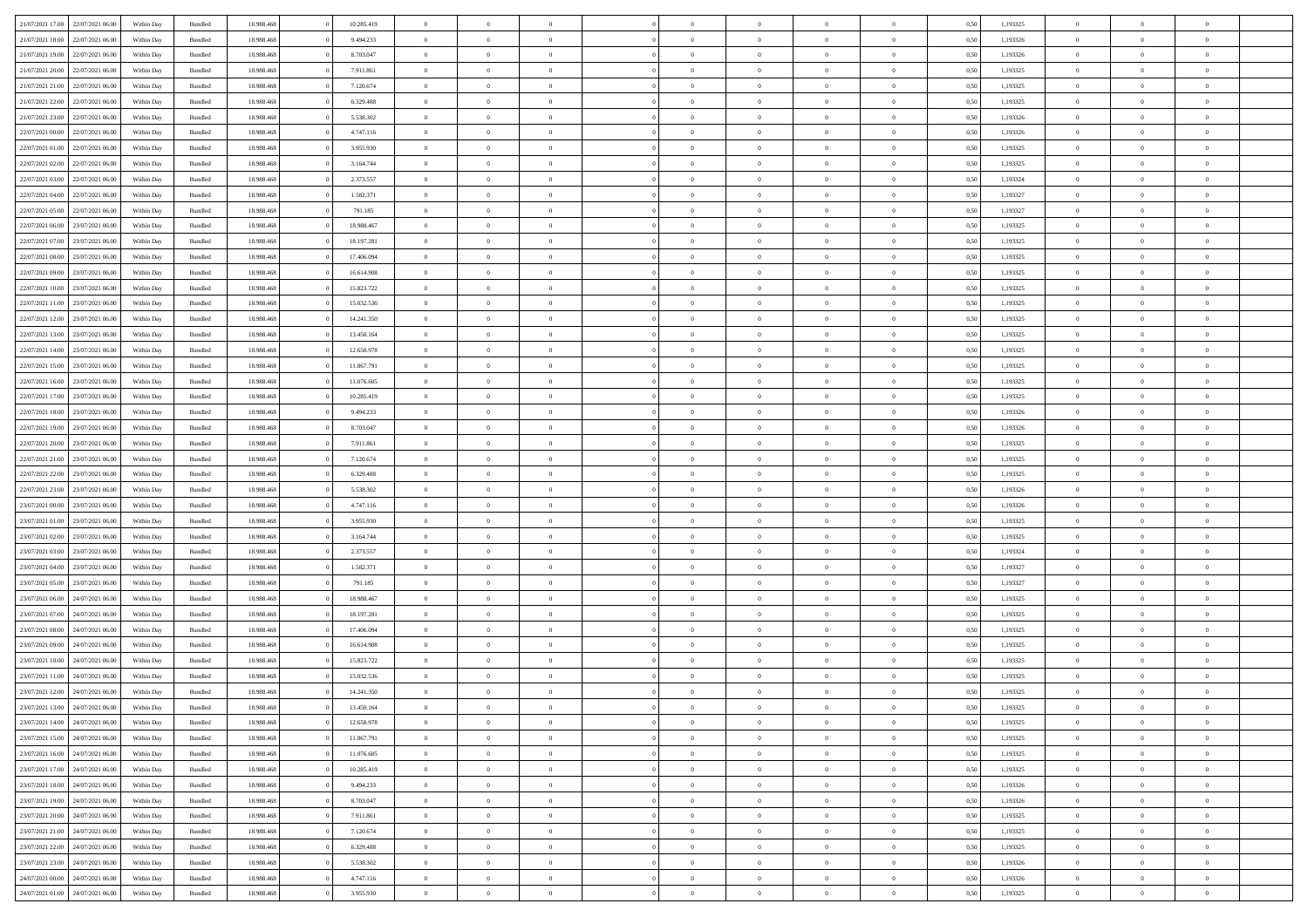| 21/07/2021 17:00 22/07/2021 06:00                        | Within Day | Bundled            | 18.988.468               | 10.285.419               | $\overline{0}$                   | $\overline{0}$ | $\Omega$       | $\Omega$                         | $\theta$                         | $\Omega$       | $\overline{0}$             | 0,50         | 1,193325             | $\theta$                   | $\theta$       | $\overline{0}$ |  |
|----------------------------------------------------------|------------|--------------------|--------------------------|--------------------------|----------------------------------|----------------|----------------|----------------------------------|----------------------------------|----------------|----------------------------|--------------|----------------------|----------------------------|----------------|----------------|--|
| 21/07/2021 18:00<br>22/07/2021 06:00                     | Within Day | Bundled            | 18.988.46                | 9.494.233                | $\overline{0}$                   | $\theta$       | $\overline{0}$ | $\overline{0}$                   | $\theta$                         | $\overline{0}$ | $\,$ 0 $\,$                | 0,50         | 1,193326             | $\theta$                   | $\theta$       | $\overline{0}$ |  |
| 21/07/2021 19:00<br>22/07/2021 06:00                     | Within Day | Bundled            | 18.988.468               | 8.703.047                | $\overline{0}$                   | $\bf{0}$       | $\overline{0}$ | $\overline{0}$                   | $\bf{0}$                         | $\overline{0}$ | $\bf{0}$                   | 0,50         | 1,193326             | $\bf{0}$                   | $\overline{0}$ | $\overline{0}$ |  |
| 21/07/2021 20:00<br>22/07/2021 06:00                     | Within Day | Bundled            | 18.988.468               | 7.911.861                | $\overline{0}$                   | $\overline{0}$ | $\overline{0}$ | $\overline{0}$                   | $\overline{0}$                   | $\overline{0}$ | $\overline{0}$             | 0.50         | 1,193325             | $\theta$                   | $\theta$       | $\overline{0}$ |  |
| 21/07/2021 21:00<br>22/07/2021 06:00                     | Within Day | Bundled            | 18.988.468               | 7.120.674                | $\overline{0}$                   | $\overline{0}$ | $\overline{0}$ | $\overline{0}$                   | $\theta$                         | $\overline{0}$ | $\bf{0}$                   | 0,50         | 1,193325             | $\theta$                   | $\theta$       | $\overline{0}$ |  |
|                                                          |            |                    |                          |                          |                                  | $\bf{0}$       |                |                                  |                                  |                |                            |              |                      |                            | $\overline{0}$ | $\bf{0}$       |  |
| 21/07/2021 22:00<br>22/07/2021 06:00                     | Within Day | Bundled            | 18.988.468               | 6.329.488                | $\overline{0}$                   | $\overline{0}$ | $\overline{0}$ | $\overline{0}$                   | $\overline{0}$<br>$\overline{0}$ | $\overline{0}$ | $\bf{0}$                   | 0,50         | 1,193325             | $\overline{0}$<br>$\theta$ | $\theta$       | $\overline{0}$ |  |
| 21/07/2021 23:00<br>22/07/2021 06:00                     | Within Day | Bundled            | 18.988.468               | 5.538.302                | $\overline{0}$                   |                | $\overline{0}$ | $\overline{0}$                   |                                  | $\overline{0}$ | $\overline{0}$             | 0.5(         | 1,193326             |                            |                |                |  |
| 22/07/2021 00:00<br>22/07/2021 06:00                     | Within Day | Bundled            | 18.988.468               | 4.747.116                | $\overline{0}$                   | $\theta$       | $\overline{0}$ | $\overline{0}$                   | $\theta$                         | $\overline{0}$ | $\bf{0}$                   | 0,50         | 1,193326             | $\theta$                   | $\theta$       | $\overline{0}$ |  |
| 22/07/2021 01:00<br>22/07/2021 06:00                     | Within Day | Bundled            | 18.988.468               | 3.955.930                | $\overline{0}$                   | $\bf{0}$       | $\overline{0}$ | $\overline{0}$                   | $\overline{0}$                   | $\overline{0}$ | $\bf{0}$                   | 0,50         | 1,193325             | $\bf{0}$                   | $\bf{0}$       | $\overline{0}$ |  |
| 22/07/2021 02:00<br>22/07/2021 06:00                     | Within Day | Bundled            | 18.988.468               | 3.164.744                | $\overline{0}$                   | $\overline{0}$ | $\overline{0}$ | $\overline{0}$                   | $\overline{0}$                   | $\overline{0}$ | $\bf{0}$                   | 0.50         | 1,193325             | $\theta$                   | $\theta$       | $\overline{0}$ |  |
| 22/07/2021 03:00<br>22/07/2021 06:00                     | Within Day | Bundled            | 18.988.468               | 2.373.557                | $\bf{0}$                         | $\overline{0}$ | $\overline{0}$ | $\overline{0}$                   | $\theta$                         | $\overline{0}$ | $\bf{0}$                   | 0,50         | 1,193324             | $\theta$                   | $\theta$       | $\overline{0}$ |  |
| 22/07/2021 04:00<br>22/07/2021 06:00                     | Within Day | Bundled            | 18.988.468               | 1.582.371                | $\overline{0}$                   | $\bf{0}$       | $\overline{0}$ | $\overline{0}$                   | $\bf{0}$                         | $\overline{0}$ | $\bf{0}$                   | 0,50         | 1,193327             | $\bf{0}$                   | $\overline{0}$ | $\bf{0}$       |  |
| 22/07/2021 05:00<br>22/07/2021 06:00                     | Within Day | Bundled            | 18.988.468               | 791.185                  | $\overline{0}$                   | $\overline{0}$ | $\overline{0}$ | $\overline{0}$                   | $\overline{0}$                   | $\overline{0}$ | $\overline{0}$             | 0.5(         | 1,193327             | $\theta$                   | $\theta$       | $\overline{0}$ |  |
| 22/07/2021 06:00<br>23/07/2021 06:00                     | Within Day | Bundled            | 18.988.468               | 18.988.467               | $\overline{0}$                   | $\theta$       | $\overline{0}$ | $\overline{0}$                   | $\theta$                         | $\overline{0}$ | $\,$ 0 $\,$                | 0,50         | 1,193325             | $\theta$                   | $\theta$       | $\overline{0}$ |  |
| 22/07/2021 07:00<br>23/07/2021 06:00                     | Within Day | Bundled            | 18.988.468               | 18.197.281               | $\overline{0}$                   | $\bf{0}$       | $\overline{0}$ | $\overline{0}$                   | $\overline{0}$                   | $\overline{0}$ | $\bf{0}$                   | 0,50         | 1,193325             | $\bf{0}$                   | $\overline{0}$ | $\overline{0}$ |  |
| 22/07/2021 08:00<br>23/07/2021 06:00                     | Within Day | Bundled            | 18.988.468               | 17.406.094               | $\overline{0}$                   | $\overline{0}$ | $\overline{0}$ | $\overline{0}$                   | $\overline{0}$                   | $\overline{0}$ | $\overline{0}$             | 0.5(         | 1,193325             | $\theta$                   | $\overline{0}$ | $\overline{0}$ |  |
| 22/07/2021 09:00<br>23/07/2021 06:00                     | Within Day | Bundled            | 18.988.468               | 16.614.908               | $\bf{0}$                         | $\overline{0}$ | $\overline{0}$ | $\overline{0}$                   | $\theta$                         | $\overline{0}$ | $\bf{0}$                   | 0,50         | 1,193325             | $\theta$                   | $\theta$       | $\overline{0}$ |  |
|                                                          |            |                    |                          |                          |                                  | $\bf{0}$       |                |                                  | $\overline{0}$                   | $\overline{0}$ |                            |              |                      | $\bf{0}$                   | $\overline{0}$ | $\overline{0}$ |  |
| 22/07/2021 10:00<br>23/07/2021 06:00<br>23/07/2021 06:00 | Within Day | Bundled<br>Bundled | 18.988.468<br>18.988.468 | 15.823.722<br>15.032.536 | $\overline{0}$<br>$\overline{0}$ | $\overline{0}$ | $\overline{0}$ | $\overline{0}$<br>$\overline{0}$ | $\overline{0}$                   | $\overline{0}$ | $\bf{0}$<br>$\overline{0}$ | 0,50<br>0.50 | 1,193325<br>1,193325 | $\theta$                   | $\theta$       | $\overline{0}$ |  |
| 22/07/2021 11:00                                         | Within Day |                    |                          |                          |                                  |                | $\overline{0}$ |                                  |                                  |                |                            |              |                      |                            |                |                |  |
| 22/07/2021 12:00<br>23/07/2021 06:00                     | Within Day | Bundled            | 18.988.468               | 14.241.350               | $\bf{0}$                         | $\overline{0}$ | $\overline{0}$ | $\overline{0}$                   | $\theta$                         | $\overline{0}$ | $\bf{0}$                   | 0,50         | 1,193325             | $\theta$                   | $\theta$       | $\overline{0}$ |  |
| 22/07/2021 13:00<br>23/07/2021 06:00                     | Within Day | Bundled            | 18.988.468               | 13.450.164               | $\overline{0}$                   | $\bf{0}$       | $\overline{0}$ | $\overline{0}$                   | $\bf{0}$                         | $\overline{0}$ | $\bf{0}$                   | 0,50         | 1,193325             | $\bf{0}$                   | $\overline{0}$ | $\bf{0}$       |  |
| 22/07/2021 14:00<br>23/07/2021 06:00                     | Within Day | Bundled            | 18.988.468               | 12.658.978               | $\overline{0}$                   | $\overline{0}$ | $\overline{0}$ | $\overline{0}$                   | $\overline{0}$                   | $\overline{0}$ | $\overline{0}$             | 0.5(         | 1,193325             | $\theta$                   | $\theta$       | $\overline{0}$ |  |
| 22/07/2021 15:00<br>23/07/2021 06:00                     | Within Day | Bundled            | 18.988.468               | 11.867.791               | $\bf{0}$                         | $\theta$       | $\overline{0}$ | $\overline{0}$                   | $\theta$                         | $\overline{0}$ | $\bf{0}$                   | 0,50         | 1,193325             | $\theta$                   | $\theta$       | $\overline{0}$ |  |
| 22/07/2021 16:00<br>23/07/2021 06:00                     | Within Day | Bundled            | 18.988.468               | 11.076.605               | $\overline{0}$                   | $\bf{0}$       | $\overline{0}$ | $\overline{0}$                   | $\overline{0}$                   | $\overline{0}$ | $\bf{0}$                   | 0,50         | 1,193325             | $\overline{0}$             | $\overline{0}$ | $\bf{0}$       |  |
| 22/07/2021 17:00<br>23/07/2021 06:00                     | Within Day | Bundled            | 18.988.468               | 10.285.419               | $\overline{0}$                   | $\overline{0}$ | $\overline{0}$ | $\overline{0}$                   | $\overline{0}$                   | $\overline{0}$ | $\overline{0}$             | 0.5(         | 1,193325             | $\overline{0}$             | $\theta$       | $\overline{0}$ |  |
| 22/07/2021 18:00<br>23/07/2021 06:00                     | Within Day | Bundled            | 18.988.468               | 9.494.233                | $\overline{0}$                   | $\overline{0}$ | $\overline{0}$ | $\overline{0}$                   | $\theta$                         | $\overline{0}$ | $\bf{0}$                   | 0,50         | 1,193326             | $\theta$                   | $\theta$       | $\overline{0}$ |  |
| 22/07/2021 19:00<br>23/07/2021 06:00                     | Within Day | Bundled            | 18.988.468               | 8.703.047                | $\overline{0}$                   | $\bf{0}$       | $\overline{0}$ | $\overline{0}$                   | $\overline{0}$                   | $\bf{0}$       | $\bf{0}$                   | 0,50         | 1,193326             | $\bf{0}$                   | $\bf{0}$       | $\overline{0}$ |  |
| 22/07/2021 20:00<br>23/07/2021 06:00                     | Within Day | Bundled            | 18.988.468               | 7.911.861                | $\overline{0}$                   | $\overline{0}$ | $\overline{0}$ | $\overline{0}$                   | $\overline{0}$                   | $\overline{0}$ | $\overline{0}$             | 0.5(         | 1,193325             | $\theta$                   | $\theta$       | $\overline{0}$ |  |
| 22/07/2021 21:00<br>23/07/2021 06:00                     | Within Day | Bundled            | 18.988.468               | 7.120.674                | $\bf{0}$                         | $\overline{0}$ | $\overline{0}$ | $\overline{0}$                   | $\theta$                         | $\overline{0}$ | $\bf{0}$                   | 0,50         | 1,193325             | $\theta$                   | $\theta$       | $\overline{0}$ |  |
| 22/07/2021 22:00<br>23/07/2021 06:00                     | Within Day | Bundled            | 18.988.468               | 6.329.488                | $\overline{0}$                   | $\bf{0}$       | $\overline{0}$ | $\overline{0}$                   | $\bf{0}$                         | $\overline{0}$ | $\bf{0}$                   | 0,50         | 1,193325             | $\bf{0}$                   | $\overline{0}$ | $\bf{0}$       |  |
| 22/07/2021 23:00<br>23/07/2021 06:00                     |            | Bundled            | 18.988.468               | 5.538.302                | $\overline{0}$                   | $\overline{0}$ | $\Omega$       | $\Omega$                         | $\Omega$                         | $\Omega$       | $\overline{0}$             | 0,50         | 1,193326             | $\,$ 0 $\,$                | $\overline{0}$ | $\theta$       |  |
| 23/07/2021 00:00<br>23/07/2021 06:00                     | Within Day |                    | 18.988.46                | 4.747.116                |                                  | $\overline{0}$ | $\overline{0}$ | $\overline{0}$                   | $\theta$                         | $\overline{0}$ | $\bf{0}$                   |              | 1,193326             | $\theta$                   | $\theta$       | $\overline{0}$ |  |
|                                                          | Within Day | Bundled            |                          |                          | $\bf{0}$                         |                |                |                                  |                                  |                |                            | 0,50         |                      |                            |                |                |  |
| 23/07/2021 01:00<br>23/07/2021 06:00                     | Within Day | Bundled            | 18.988.468               | 3.955.930                | $\overline{0}$                   | $\bf{0}$       | $\overline{0}$ | $\overline{0}$                   | $\overline{0}$                   | $\overline{0}$ | $\bf{0}$                   | 0,50         | 1,193325             | $\overline{0}$             | $\overline{0}$ | $\bf{0}$       |  |
| 23/07/2021 02:00<br>23/07/2021 06:00                     | Within Day | Bundled            | 18,988,468               | 3.164.744                | $\overline{0}$                   | $\overline{0}$ | $\Omega$       | $\Omega$                         | $\overline{0}$                   | $\Omega$       | $\overline{0}$             | 0.50         | 1,193325             | $\bf{0}$                   | $\theta$       | $\theta$       |  |
| 23/07/2021 03:00<br>23/07/2021 06:00                     | Within Day | Bundled            | 18.988.468               | 2.373.557                | $\bf{0}$                         | $\overline{0}$ | $\overline{0}$ | $\overline{0}$                   | $\theta$                         | $\overline{0}$ | $\bf{0}$                   | 0,50         | 1,193324             | $\theta$                   | $\theta$       | $\overline{0}$ |  |
| 23/07/2021 04:00<br>23/07/2021 06:00                     | Within Day | Bundled            | 18.988.468               | 1.582.371                | $\overline{0}$                   | $\bf{0}$       | $\overline{0}$ | $\overline{0}$                   | $\overline{0}$                   | $\bf{0}$       | $\bf{0}$                   | 0,50         | 1,193327             | $\bf{0}$                   | $\overline{0}$ | $\overline{0}$ |  |
| 23/07/2021 05:00<br>23/07/2021 06:00                     | Within Day | Bundled            | 18,988,46                | 791.185                  | $\overline{0}$                   | $\overline{0}$ | $\Omega$       | $\Omega$                         | $\Omega$                         | $\theta$       | $\overline{0}$             | 0.50         | 1,193327             | $\theta$                   | $\Omega$       | $\theta$       |  |
| 23/07/2021 06:00<br>24/07/2021 06:00                     | Within Day | Bundled            | 18.988.468               | 18.988.467               | $\bf{0}$                         | $\overline{0}$ | $\overline{0}$ | $\overline{0}$                   | $\theta$                         | $\overline{0}$ | $\bf{0}$                   | 0,50         | 1,193325             | $\theta$                   | $\theta$       | $\overline{0}$ |  |
| 23/07/2021 07:00<br>24/07/2021 06.00                     | Within Day | Bundled            | 18.988.468               | 18.197.281               | $\overline{0}$                   | $\bf{0}$       | $\overline{0}$ | $\overline{0}$                   | $\bf{0}$                         | $\overline{0}$ | $\bf{0}$                   | 0,50         | 1,193325             | $\bf{0}$                   | $\overline{0}$ | $\bf{0}$       |  |
| 23/07/2021 08:00<br>24/07/2021 06.00                     | Within Day | Bundled            | 18.988.468               | 17.406.094               | $\overline{0}$                   | $\overline{0}$ | $\Omega$       | $\Omega$                         | $\theta$                         | $\Omega$       | $\overline{0}$             | 0.50         | 1,193325             | $\bf{0}$                   | $\overline{0}$ | $\theta$       |  |
| 23/07/2021 09:00<br>24/07/2021 06:00                     | Within Day | Bundled            | 18.988.46                | 16.614.908               | $\bf{0}$                         | $\overline{0}$ | $\overline{0}$ | $\overline{0}$                   | $\theta$                         | $\overline{0}$ | $\bf{0}$                   | 0,50         | 1,193325             | $\theta$                   | $\theta$       | $\overline{0}$ |  |
| 23/07/2021 10:00<br>24/07/2021 06.00                     | Within Day | Bundled            | 18.988.468               | 15.823.722               | $\overline{0}$                   | $\bf{0}$       | $\overline{0}$ | $\overline{0}$                   | $\bf{0}$                         | $\overline{0}$ | $\bf{0}$                   | 0,50         | 1,193325             | $\overline{0}$             | $\overline{0}$ | $\bf{0}$       |  |
| 23/07/2021 11:00<br>24/07/2021 06:00                     | Within Day | Bundled            | 18,988,46                | 15.032.536               | $\overline{0}$                   | $\Omega$       | $\Omega$       | $\Omega$                         | $\Omega$                         | $\theta$       | $\overline{0}$             | 0.50         | 1,193325             | $\theta$                   | $\overline{0}$ | $\theta$       |  |
| 23/07/2021 12:00<br>24/07/2021 06:00                     | Within Day | Bundled            | 18.988.468               | 14.241.350               | $\bf{0}$                         | $\bf{0}$       | $\overline{0}$ | $\overline{0}$                   | $\overline{0}$                   | $\bf{0}$       | $\bf{0}$                   | 0,50         | 1,193325             | $\bf{0}$                   | $\,$ 0 $\,$    | $\overline{0}$ |  |
| 23/07/2021 13:00 24/07/2021 06:00                        | Within Day | Bundled            | 18.988.468               | 13.450.164               |                                  |                |                |                                  |                                  |                |                            | 0,50         | 1,193325             | $\bf{0}$                   | $\bf{0}$       |                |  |
| 23/07/2021 14:00 24/07/2021 06:00                        | Within Day | Bundled            | 18,988,468               |                          | $\Omega$                         | $\overline{0}$ | $\Omega$       | $\theta$                         | $\Omega$                         | $\theta$       | $\overline{0}$             | 0.50         |                      | $\theta$                   | $\theta$       | $\theta$       |  |
| 23/07/2021 15:00<br>24/07/2021 06:00                     | Within Day | Bundled            | 18.988.468               | 12.658.978<br>11.867.791 | $\bf{0}$                         | $\,$ 0         |                |                                  | $\overline{0}$                   |                | $\,$ 0 $\,$                |              | 1,193325<br>1,193325 | $\,$ 0 $\,$                | $\,$ 0 $\,$    | $\,$ 0         |  |
|                                                          |            |                    |                          |                          |                                  |                | $\overline{0}$ | $\overline{0}$                   |                                  | $\overline{0}$ |                            | 0,50         |                      |                            |                |                |  |
| 23/07/2021 16:00 24/07/2021 06:00                        | Within Day | Bundled            | 18.988.468               | 11.076.605               | $\overline{0}$                   | $\overline{0}$ | $\overline{0}$ | $\overline{0}$                   | $\overline{0}$                   | $\overline{0}$ | $\bf{0}$                   | 0,50         | 1,193325             | $\overline{0}$             | $\bf{0}$       | $\overline{0}$ |  |
| 23/07/2021 17:00<br>24/07/2021 06:00                     | Within Day | Bundled            | 18.988.468               | 10.285.419               | $\overline{0}$                   | $\overline{0}$ | $\overline{0}$ | $\overline{0}$                   | $\overline{0}$                   | $\overline{0}$ | $\bf{0}$                   | 0,50         | 1,193325             | $\bf{0}$                   | $\theta$       | $\overline{0}$ |  |
| 23/07/2021 18:00<br>24/07/2021 06:00                     | Within Day | Bundled            | 18.988.468               | 9.494.233                | $\overline{0}$                   | $\overline{0}$ | $\overline{0}$ | $\overline{0}$                   | $\overline{0}$                   | $\overline{0}$ | $\bf{0}$                   | 0,50         | 1,193326             | $\,$ 0 $\,$                | $\,$ 0 $\,$    | $\overline{0}$ |  |
| 23/07/2021 19:00<br>24/07/2021 06:00                     | Within Day | Bundled            | 18.988.468               | 8.703.047                | $\overline{0}$                   | $\overline{0}$ | $\overline{0}$ | $\overline{0}$                   | $\bf{0}$                         | $\overline{0}$ | $\bf{0}$                   | 0,50         | 1,193326             | $\overline{0}$             | $\overline{0}$ | $\overline{0}$ |  |
| 23/07/2021 20:00<br>24/07/2021 06:00                     | Within Day | Bundled            | 18,988,468               | 7.911.861                | $\overline{0}$                   | $\overline{0}$ | $\overline{0}$ | $\overline{0}$                   | $\overline{0}$                   | $\overline{0}$ | $\bf{0}$                   | 0.50         | 1,193325             | $\overline{0}$             | $\theta$       | $\overline{0}$ |  |
| 23/07/2021 21:00<br>24/07/2021 06:00                     | Within Day | Bundled            | 18.988.468               | 7.120.674                | $\overline{0}$                   | $\,$ 0         | $\overline{0}$ | $\overline{0}$                   | $\overline{0}$                   | $\overline{0}$ | $\bf{0}$                   | 0,50         | 1,193325             | $\,$ 0 $\,$                | $\bf{0}$       | $\overline{0}$ |  |
| 24/07/2021 06:00<br>23/07/2021 22:00                     | Within Day | Bundled            | 18.988.468               | 6.329.488                | $\overline{0}$                   | $\bf{0}$       | $\overline{0}$ | $\overline{0}$                   | $\overline{0}$                   | $\overline{0}$ | $\bf{0}$                   | 0,50         | 1,193325             | $\overline{0}$             | $\overline{0}$ | $\bf{0}$       |  |
| 24/07/2021 06:00<br>23/07/2021 23:00                     | Within Day | Bundled            | 18,988,468               | 5.538.302                | $\overline{0}$                   | $\overline{0}$ | $\overline{0}$ | $\overline{0}$                   | $\overline{0}$                   | $\overline{0}$ | $\bf{0}$                   | 0.50         | 1,193326             | $\overline{0}$             | $\overline{0}$ | $\overline{0}$ |  |
| 24/07/2021 00:00<br>24/07/2021 06:00                     | Within Day | Bundled            | 18.988.468               | 4.747.116                | $\overline{0}$                   | $\,$ 0         | $\overline{0}$ | $\overline{0}$                   | $\bf{0}$                         | $\bf{0}$       | $\bf{0}$                   | 0,50         | 1,193326             | $\,$ 0 $\,$                | $\,$ 0 $\,$    | $\overline{0}$ |  |
| 24/07/2021 01:00 24/07/2021 06:00                        | Within Day | Bundled            | 18.988.468               | 3.955.930                | $\overline{0}$                   | $\bf{0}$       | $\overline{0}$ | $\overline{0}$                   | $\overline{0}$                   | $\overline{0}$ | $\bf{0}$                   | 0,50         | 1,193325             | $\overline{0}$             | $\overline{0}$ | $\bf{0}$       |  |
|                                                          |            |                    |                          |                          |                                  |                |                |                                  |                                  |                |                            |              |                      |                            |                |                |  |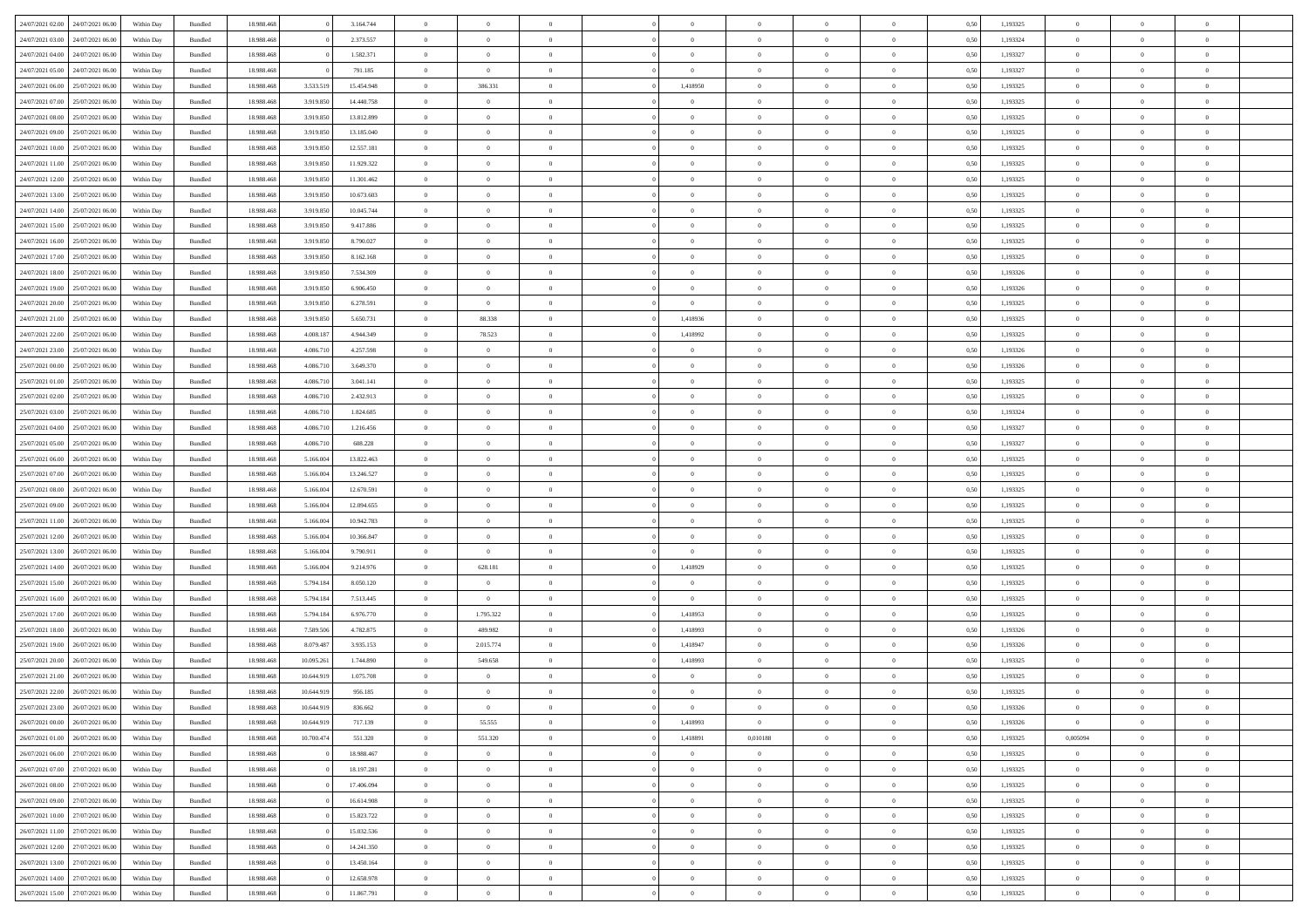| 24/07/2021 02:00 | 24/07/2021 06:00                  | Within Dav | Bundled            | 18.988.468 |            | 3.164.744  | $\overline{0}$ | $\Omega$       |                | $\Omega$       | $\Omega$       | $\theta$       | $\theta$       | 0.50 | 1,193325 | $\theta$       | $\theta$       | $\theta$       |  |
|------------------|-----------------------------------|------------|--------------------|------------|------------|------------|----------------|----------------|----------------|----------------|----------------|----------------|----------------|------|----------|----------------|----------------|----------------|--|
|                  |                                   |            |                    |            |            |            |                |                |                |                |                |                |                |      |          |                |                |                |  |
| 24/07/2021 03:00 | 24/07/2021 06.00                  | Within Day | Bundled            | 18.988.468 |            | 2.373.557  | $\overline{0}$ | $\theta$       | $\overline{0}$ | $\overline{0}$ | $\bf{0}$       | $\overline{0}$ | $\overline{0}$ | 0,50 | 1,193324 | $\theta$       | $\theta$       | $\overline{0}$ |  |
| 24/07/2021 04:00 | 24/07/2021 06:00                  | Within Day | Bundled            | 18.988.468 |            | 1.582.371  | $\overline{0}$ | $\bf{0}$       | $\overline{0}$ | $\bf{0}$       | $\bf{0}$       | $\overline{0}$ | $\mathbf{0}$   | 0,50 | 1,193327 | $\overline{0}$ | $\overline{0}$ | $\overline{0}$ |  |
| 24/07/2021 05:00 | 24/07/2021 06:00                  | Within Dav | Bundled            | 18.988.468 |            | 791.185    | $\overline{0}$ | $\overline{0}$ | $\overline{0}$ | $\overline{0}$ | $\bf{0}$       | $\overline{0}$ | $\overline{0}$ | 0.50 | 1,193327 | $\theta$       | $\theta$       | $\overline{0}$ |  |
|                  |                                   |            |                    |            |            |            |                |                |                |                |                |                |                |      |          |                |                |                |  |
| 24/07/2021 06:00 | 25/07/2021 06:00                  | Within Day | Bundled            | 18.988.468 | 3.533.519  | 15.454.948 | $\overline{0}$ | 386.331        | $\overline{0}$ | 1,418950       | $\bf{0}$       | $\overline{0}$ | $\bf{0}$       | 0,50 | 1,193325 | $\theta$       | $\overline{0}$ | $\overline{0}$ |  |
| 24/07/2021 07:00 | 25/07/2021 06:00                  | Within Day | Bundled            | 18.988.468 | 3.919.850  | 14.440.758 | $\overline{0}$ | $\overline{0}$ | $\overline{0}$ | $\overline{0}$ | $\overline{0}$ | $\overline{0}$ | $\mathbf{0}$   | 0,50 | 1,193325 | $\overline{0}$ | $\overline{0}$ | $\bf{0}$       |  |
| 24/07/2021 08:00 | 25/07/2021 06:00                  | Within Dav | Bundled            | 18.988.468 | 3.919.850  | 13.812.899 | $\overline{0}$ | $\overline{0}$ | $\overline{0}$ | $\overline{0}$ | $\overline{0}$ | $\overline{0}$ | $\overline{0}$ | 0.50 | 1,193325 | $\theta$       | $\overline{0}$ | $\overline{0}$ |  |
| 24/07/2021 09:00 | 25/07/2021 06:00                  | Within Day | Bundled            | 18.988.468 | 3.919.850  | 13.185.040 | $\overline{0}$ | $\theta$       | $\overline{0}$ | $\overline{0}$ | $\bf{0}$       | $\overline{0}$ | $\bf{0}$       | 0,50 | 1,193325 | $\theta$       | $\theta$       | $\overline{0}$ |  |
|                  |                                   |            |                    |            |            |            |                | $\overline{0}$ |                | $\bf{0}$       | $\bf{0}$       |                |                |      |          | $\,0\,$        | $\overline{0}$ | $\overline{0}$ |  |
| 24/07/2021 10:00 | 25/07/2021 06:00                  | Within Day | Bundled            | 18.988.468 | 3.919.850  | 12.557.181 | $\overline{0}$ |                | $\overline{0}$ |                |                | $\overline{0}$ | $\bf{0}$       | 0,50 | 1,193325 |                |                |                |  |
| 24/07/2021 11:00 | 25/07/2021 06:00                  | Within Dav | Bundled            | 18.988.468 | 3.919.850  | 11.929.322 | $\overline{0}$ | $\overline{0}$ | $\overline{0}$ | $\overline{0}$ | $\overline{0}$ | $\overline{0}$ | $\overline{0}$ | 0.50 | 1,193325 | $\theta$       | $\overline{0}$ | $\overline{0}$ |  |
| 24/07/2021 12:00 | 25/07/2021 06:00                  | Within Day | Bundled            | 18.988.468 | 3.919.850  | 11.301.462 | $\overline{0}$ | $\theta$       | $\overline{0}$ | $\overline{0}$ | $\bf{0}$       | $\overline{0}$ | $\bf{0}$       | 0,50 | 1,193325 | $\,$ 0 $\,$    | $\theta$       | $\overline{0}$ |  |
| 24/07/2021 13:00 | 25/07/2021 06:00                  | Within Day | Bundled            | 18.988.468 | 3.919.850  | 10.673.603 | $\overline{0}$ | $\overline{0}$ | $\overline{0}$ | $\overline{0}$ | $\bf{0}$       | $\overline{0}$ | $\mathbf{0}$   | 0,50 | 1,193325 | $\overline{0}$ | $\overline{0}$ | $\overline{0}$ |  |
| 24/07/2021 14:00 | 25/07/2021 06:00                  | Within Dav | Bundled            | 18.988.468 | 3.919.850  | 10.045.744 | $\overline{0}$ | $\overline{0}$ | $\overline{0}$ | $\overline{0}$ | $\bf{0}$       | $\overline{0}$ | $\overline{0}$ | 0.50 | 1,193325 | $\theta$       | $\theta$       | $\overline{0}$ |  |
|                  |                                   |            |                    |            |            |            |                |                |                |                |                |                |                |      |          |                |                |                |  |
| 24/07/2021 15:00 | 25/07/2021 06:00                  | Within Day | Bundled            | 18.988.468 | 3.919.850  | 9.417.886  | $\overline{0}$ | $\theta$       | $\overline{0}$ | $\overline{0}$ | $\bf{0}$       | $\overline{0}$ | $\bf{0}$       | 0,50 | 1,193325 | $\theta$       | $\overline{0}$ | $\overline{0}$ |  |
| 24/07/2021 16:00 | 25/07/2021 06:00                  | Within Day | Bundled            | 18.988.468 | 3.919.850  | 8.790.027  | $\overline{0}$ | $\overline{0}$ | $\overline{0}$ | $\overline{0}$ | $\overline{0}$ | $\overline{0}$ | $\mathbf{0}$   | 0,50 | 1,193325 | $\overline{0}$ | $\overline{0}$ | $\bf{0}$       |  |
| 24/07/2021 17:00 | 25/07/2021 06:00                  | Within Dav | Bundled            | 18.988.468 | 3.919.850  | 8.162.168  | $\overline{0}$ | $\overline{0}$ | $\overline{0}$ | $\overline{0}$ | $\overline{0}$ | $\overline{0}$ | $\overline{0}$ | 0.50 | 1,193325 | $\theta$       | $\overline{0}$ | $\overline{0}$ |  |
| 24/07/2021 18:00 | 25/07/2021 06:00                  | Within Day | Bundled            | 18.988.468 | 3.919.850  | 7.534.309  | $\overline{0}$ | $\theta$       | $\overline{0}$ | $\overline{0}$ | $\bf{0}$       | $\overline{0}$ | $\bf{0}$       | 0,50 | 1,193326 | $\theta$       | $\theta$       | $\overline{0}$ |  |
|                  |                                   |            |                    |            |            |            |                |                |                |                |                |                |                |      |          |                |                |                |  |
| 24/07/2021 19:00 | 25/07/2021 06:00                  | Within Day | Bundled            | 18.988.468 | 3.919.850  | 6.906.450  | $\overline{0}$ | $\overline{0}$ | $\overline{0}$ | $\overline{0}$ | $\bf{0}$       | $\overline{0}$ | $\mathbf{0}$   | 0,50 | 1,193326 | $\,0\,$        | $\overline{0}$ | $\overline{0}$ |  |
| 24/07/2021 20:00 | 25/07/2021 06:00                  | Within Dav | Bundled            | 18.988.468 | 3.919.850  | 6.278.591  | $\overline{0}$ | $\overline{0}$ | $\overline{0}$ | $\overline{0}$ | $\overline{0}$ | $\overline{0}$ | $\overline{0}$ | 0.50 | 1,193325 | $\theta$       | $\overline{0}$ | $\overline{0}$ |  |
| 24/07/2021 21:00 | 25/07/2021 06:00                  | Within Day | Bundled            | 18.988.468 | 3.919.850  | 5.650.731  | $\overline{0}$ | 88.338         | $\overline{0}$ | 1,418936       | $\bf{0}$       | $\overline{0}$ | $\bf{0}$       | 0,50 | 1,193325 | $\,$ 0 $\,$    | $\theta$       | $\overline{0}$ |  |
| 24/07/2021 22.00 | 25/07/2021 06:00                  | Within Day | Bundled            | 18.988.468 | 4.008.187  | 4.944.349  | $\overline{0}$ | 78.523         | $\overline{0}$ | 1,418992       | $\bf{0}$       | $\bf{0}$       | $\bf{0}$       | 0,50 | 1,193325 | $\bf{0}$       | $\overline{0}$ | $\overline{0}$ |  |
| 24/07/2021 23:00 | 25/07/2021 06:00                  | Within Dav | Bundled            | 18.988.468 | 4.086.710  | 4.257.598  | $\overline{0}$ | $\overline{0}$ | $\overline{0}$ | $\overline{0}$ | $\overline{0}$ | $\overline{0}$ | $\overline{0}$ | 0.50 | 1,193326 | $\theta$       | $\overline{0}$ | $\overline{0}$ |  |
|                  |                                   |            |                    |            |            |            |                |                |                |                |                |                |                |      |          |                |                |                |  |
| 25/07/2021 00:00 | 25/07/2021 06:00                  | Within Day | Bundled            | 18.988.468 | 4.086.710  | 3.649.370  | $\overline{0}$ | $\theta$       | $\overline{0}$ | $\overline{0}$ | $\bf{0}$       | $\overline{0}$ | $\bf{0}$       | 0,50 | 1,193326 | $\,$ 0 $\,$    | $\overline{0}$ | $\overline{0}$ |  |
| 25/07/2021 01:00 | 25/07/2021 06:00                  | Within Day | Bundled            | 18.988.468 | 4.086.710  | 3.041.141  | $\overline{0}$ | $\bf{0}$       | $\overline{0}$ | $\bf{0}$       | $\overline{0}$ | $\overline{0}$ | $\mathbf{0}$   | 0,50 | 1,193325 | $\overline{0}$ | $\overline{0}$ | $\bf{0}$       |  |
| 25/07/2021 02:00 | 25/07/2021 06:00                  | Within Dav | Bundled            | 18.988.468 | 4.086.710  | 2.432.913  | $\overline{0}$ | $\overline{0}$ | $\overline{0}$ | $\overline{0}$ | $\overline{0}$ | $\overline{0}$ | $\overline{0}$ | 0.50 | 1,193325 | $\theta$       | $\overline{0}$ | $\overline{0}$ |  |
| 25/07/2021 03:00 | 25/07/2021 06:00                  | Within Day | Bundled            | 18.988.468 | 4.086.710  | 1.824.685  | $\overline{0}$ | $\theta$       | $\overline{0}$ | $\overline{0}$ | $\bf{0}$       | $\overline{0}$ | $\bf{0}$       | 0,50 | 1,193324 | $\theta$       | $\theta$       | $\overline{0}$ |  |
|                  |                                   |            |                    |            |            |            |                |                |                |                |                |                |                |      |          |                |                |                |  |
| 25/07/2021 04:00 | 25/07/2021 06:00                  | Within Day | Bundled            | 18.988.468 | 4.086.710  | 1.216.456  | $\overline{0}$ | $\overline{0}$ | $\overline{0}$ | $\bf{0}$       | $\bf{0}$       | $\bf{0}$       | $\bf{0}$       | 0,50 | 1,193327 | $\,0\,$        | $\overline{0}$ | $\overline{0}$ |  |
| 25/07/2021 05:00 | 25/07/2021 06:00                  | Within Day | Bundled            | 18.988.468 | 4.086.710  | 608.228    | $\overline{0}$ | $\overline{0}$ | $\overline{0}$ | $\overline{0}$ | $\overline{0}$ | $\overline{0}$ | $\overline{0}$ | 0.50 | 1,193327 | $\theta$       | $\overline{0}$ | $\overline{0}$ |  |
| 25/07/2021 06:00 | 26/07/2021 06:00                  | Within Day | Bundled            | 18.988.468 | 5.166.004  | 13.822.463 | $\overline{0}$ | $\theta$       | $\overline{0}$ | $\overline{0}$ | $\bf{0}$       | $\overline{0}$ | $\bf{0}$       | 0,50 | 1,193325 | $\,$ 0 $\,$    | $\theta$       | $\overline{0}$ |  |
| 25/07/2021 07:00 | 26/07/2021 06:00                  | Within Day | Bundled            | 18.988.468 | 5.166.004  | 13.246.527 | $\overline{0}$ | $\overline{0}$ | $\overline{0}$ | $\bf{0}$       | $\bf{0}$       | $\bf{0}$       | $\bf{0}$       | 0,50 | 1,193325 | $\bf{0}$       | $\overline{0}$ | $\overline{0}$ |  |
| 25/07/2021 08:00 | 26/07/2021 06:00                  | Within Day | Bundled            | 18.988.468 | 5.166.004  | 12.670.591 | $\overline{0}$ | $\Omega$       | $\overline{0}$ | $\Omega$       | $\Omega$       | $\overline{0}$ | $\overline{0}$ | 0,50 | 1,193325 | $\,0\,$        | $\theta$       | $\theta$       |  |
|                  |                                   |            |                    |            |            |            | $\overline{0}$ | $\theta$       |                |                |                |                |                |      |          |                | $\overline{0}$ |                |  |
| 25/07/2021 09:00 | 26/07/2021 06:00                  | Within Day | Bundled            | 18.988.468 | 5.166.004  | 12.094.655 |                |                | $\overline{0}$ | $\overline{0}$ | $\bf{0}$       | $\overline{0}$ | $\bf{0}$       | 0,50 | 1,193325 | $\,$ 0 $\,$    |                | $\overline{0}$ |  |
| 25/07/2021 11:00 | 26/07/2021 06:00                  | Within Day | Bundled            | 18.988.468 | 5.166.004  | 10.942.783 | $\overline{0}$ | $\overline{0}$ | $\overline{0}$ | $\bf{0}$       | $\bf{0}$       | $\overline{0}$ | $\mathbf{0}$   | 0,50 | 1,193325 | $\overline{0}$ | $\overline{0}$ | $\bf{0}$       |  |
| 25/07/2021 12:00 | 26/07/2021 06:00                  | Within Day | Bundled            | 18.988.468 | 5.166.004  | 10.366.847 | $\overline{0}$ | $\Omega$       | $\Omega$       | $\Omega$       | $\bf{0}$       | $\overline{0}$ | $\overline{0}$ | 0.50 | 1,193325 | $\,$ 0 $\,$    | $\theta$       | $\theta$       |  |
| 25/07/2021 13:00 | 26/07/2021 06:00                  | Within Day | Bundled            | 18.988.468 | 5.166.004  | 9.790.911  | $\overline{0}$ | $\overline{0}$ | $\overline{0}$ | $\overline{0}$ | $\bf{0}$       | $\overline{0}$ | $\bf{0}$       | 0,50 | 1,193325 | $\,$ 0 $\,$    | $\theta$       | $\overline{0}$ |  |
| 25/07/2021 14:00 | 26/07/2021 06:00                  | Within Day | Bundled            | 18.988.468 | 5.166.004  | 9.214.976  | $\overline{0}$ | 628.181        | $\overline{0}$ | 1,418929       | $\bf{0}$       | $\bf{0}$       | $\bf{0}$       | 0,50 | 1,193325 | $\,0\,$        | $\overline{0}$ | $\overline{0}$ |  |
|                  |                                   |            |                    |            |            |            |                |                |                |                |                |                |                |      |          |                |                |                |  |
| 25/07/2021 15:00 | 26/07/2021 06:00                  | Within Day | Bundled            | 18.988.468 | 5.794.184  | 8.050.120  | $\overline{0}$ | $\Omega$       | $\Omega$       | $\Omega$       | $\Omega$       | $\theta$       | $\overline{0}$ | 0.50 | 1,193325 | $\,$ 0 $\,$    | $\theta$       | $\theta$       |  |
| 25/07/2021 16:00 | 26/07/2021 06:00                  | Within Day | Bundled            | 18.988.468 | 5.794.184  | 7.513.445  | $\overline{0}$ | $\,$ 0         | $\overline{0}$ | $\overline{0}$ | $\bf{0}$       | $\overline{0}$ | $\bf{0}$       | 0,50 | 1,193325 | $\,$ 0 $\,$    | $\overline{0}$ | $\overline{0}$ |  |
| 25/07/2021 17:00 | 26/07/2021 06:00                  | Within Day | Bundled            | 18.988.468 | 5.794.184  | 6.976.770  | $\overline{0}$ | 1.795.322      | $\overline{0}$ | 1,418953       | $\bf{0}$       | $\bf{0}$       | $\bf{0}$       | 0,50 | 1,193325 | $\overline{0}$ | $\overline{0}$ | $\overline{0}$ |  |
| 25/07/2021 18:00 | 26/07/2021 06:00                  | Within Day | Bundled            | 18.988.468 | 7.589.506  | 4.782.875  | $\overline{0}$ | 489.982        | $\overline{0}$ | 1,418993       | $\Omega$       | $\overline{0}$ | $\overline{0}$ | 0,50 | 1,193326 | $\,0\,$        | $\theta$       | $\theta$       |  |
|                  |                                   |            |                    |            |            |            |                |                |                |                |                |                |                |      |          |                | $\overline{0}$ |                |  |
| 25/07/2021 19:00 | 26/07/2021 06:00                  | Within Day | Bundled            | 18.988.468 | 8.079.487  | 3.935.153  | $\overline{0}$ | 2.015.774      | $\overline{0}$ | 1,418947       | $\bf{0}$       | $\overline{0}$ | $\bf{0}$       | 0,50 | 1,193326 | $\,$ 0 $\,$    |                | $\overline{0}$ |  |
| 25/07/2021 20.00 | 26/07/2021 06:00                  | Within Day | Bundled            | 18.988.468 | 10.095.261 | 1.744.890  | $\overline{0}$ | 549.658        | $\overline{0}$ | 1,418993       | $\bf{0}$       | $\bf{0}$       | $\mathbf{0}$   | 0,50 | 1,193325 | $\overline{0}$ | $\overline{0}$ | $\bf{0}$       |  |
| 25/07/2021 21:00 | 26/07/2021 06:00                  | Within Day | Bundled            | 18.988.468 | 10.644.91  | 1.075.708  | $\overline{0}$ | $\Omega$       | $\Omega$       | $\Omega$       | $\Omega$       | $\Omega$       | $\overline{0}$ | 0.50 | 1,193325 | $\theta$       | $\theta$       | $\theta$       |  |
| 25/07/2021 22:00 | 26/07/2021 06:00                  | Within Day | Bundled            | 18.988.468 | 10.644.919 | 956.185    | $\overline{0}$ | $\overline{0}$ | $\overline{0}$ | $\overline{0}$ | $\,$ 0         | $\overline{0}$ | $\bf{0}$       | 0,50 | 1,193325 | $\,0\,$        | $\,0\,$        | $\overline{0}$ |  |
|                  | 25/07/2021 23:00 26/07/2021 06:00 | Within Day | $\mathbf B$ undled | 18.988.468 | 10.644.919 | 836.662    | $\bf{0}$       | $\bf{0}$       |                |                |                |                |                | 0,50 | 1,193326 | $\bf{0}$       | $\bf{0}$       |                |  |
| 26/07/2021 00:00 | 26/07/2021 06:00                  |            |                    | 18.988.468 | 10.644.91  |            | $\overline{0}$ | 55.555         |                | 1.418993       | $\overline{0}$ | $\overline{0}$ |                | 0.50 |          | $\overline{0}$ | $\theta$       | $\theta$       |  |
|                  |                                   | Within Day | Bundled            |            |            | 717.139    |                |                | $\overline{0}$ |                |                |                | $\overline{0}$ |      | 1,193326 |                |                |                |  |
| 26/07/2021 01:00 | 26/07/2021 06:00                  | Within Day | Bundled            | 18.988.468 | 10.700.474 | 551.320    | $\overline{0}$ | 551.320        | $\overline{0}$ | 1,418891       | 0,010188       | $\overline{0}$ | $\mathbf{0}$   | 0,50 | 1,193325 | 0,005094       | $\overline{0}$ | $\overline{0}$ |  |
| 26/07/2021 06:00 | 27/07/2021 06:00                  | Within Day | Bundled            | 18.988.468 |            | 18.988.467 | $\overline{0}$ | $\overline{0}$ | $\overline{0}$ | $\overline{0}$ | $\overline{0}$ | $\overline{0}$ | $\mathbf{0}$   | 0,50 | 1,193325 | $\overline{0}$ | $\overline{0}$ | $\bf{0}$       |  |
| 26/07/2021 07:00 | 27/07/2021 06:00                  | Within Day | Bundled            | 18.988.468 |            | 18.197.281 | $\overline{0}$ | $\theta$       | $\overline{0}$ | $\Omega$       | $\bf{0}$       | $\overline{0}$ | $\bf{0}$       | 0,50 | 1,193325 | $\overline{0}$ | $\theta$       | $\overline{0}$ |  |
| 26/07/2021 08:00 | 27/07/2021 06:00                  | Within Day | Bundled            | 18.988.468 |            | 17.406.094 | $\overline{0}$ | $\,$ 0         | $\overline{0}$ | $\overline{0}$ | $\bf{0}$       | $\overline{0}$ | $\bf{0}$       | 0,50 | 1,193325 | $\,$ 0 $\,$    | $\overline{0}$ | $\overline{0}$ |  |
|                  |                                   |            |                    |            |            |            |                |                |                |                |                |                |                |      |          |                |                |                |  |
| 26/07/2021 09:00 | 27/07/2021 06:00                  | Within Day | Bundled            | 18.988.468 |            | 16.614.908 | $\overline{0}$ | $\overline{0}$ | $\overline{0}$ | $\overline{0}$ | $\overline{0}$ | $\overline{0}$ | $\mathbf{0}$   | 0,50 | 1,193325 | $\overline{0}$ | $\overline{0}$ | $\bf{0}$       |  |
| 26/07/2021 10:00 | 27/07/2021 06:00                  | Within Day | Bundled            | 18.988.468 |            | 15.823.722 | $\overline{0}$ | $\overline{0}$ | $\overline{0}$ | $\Omega$       | $\overline{0}$ | $\overline{0}$ | $\bf{0}$       | 0.50 | 1,193325 | $\overline{0}$ | $\theta$       | $\overline{0}$ |  |
| 26/07/2021 11:00 | 27/07/2021 06:00                  | Within Day | Bundled            | 18.988.468 |            | 15.032.536 | $\overline{0}$ | $\theta$       | $\overline{0}$ | $\overline{0}$ | $\bf{0}$       | $\overline{0}$ | $\bf{0}$       | 0,50 | 1,193325 | $\,$ 0 $\,$    | $\overline{0}$ | $\overline{0}$ |  |
| 26/07/2021 12:00 | 27/07/2021 06:00                  | Within Day | Bundled            | 18.988.468 |            | 14.241.350 | $\overline{0}$ | $\bf{0}$       | $\overline{0}$ | $\overline{0}$ | $\bf{0}$       | $\overline{0}$ | $\mathbf{0}$   | 0,50 | 1,193325 | $\overline{0}$ | $\overline{0}$ | $\bf{0}$       |  |
|                  |                                   |            |                    |            |            |            |                |                |                |                |                |                |                |      |          |                |                |                |  |
| 26/07/2021 13:00 | 27/07/2021 06:00                  | Within Day | Bundled            | 18,988,468 |            | 13.450.164 | $\overline{0}$ | $\overline{0}$ | $\overline{0}$ | $\Omega$       | $\overline{0}$ | $\overline{0}$ | $\overline{0}$ | 0.50 | 1,193325 | $\overline{0}$ | $\theta$       | $\overline{0}$ |  |
| 26/07/2021 14:00 | 27/07/2021 06:00                  | Within Day | Bundled            | 18.988.468 |            | 12.658.978 | $\overline{0}$ | $\,$ 0 $\,$    | $\bf{0}$       | $\overline{0}$ | $\bf{0}$       | $\overline{0}$ | $\bf{0}$       | 0,50 | 1,193325 | $\,$ 0 $\,$    | $\overline{0}$ | $\overline{0}$ |  |
|                  | 26/07/2021 15:00 27/07/2021 06:00 | Within Day | Bundled            | 18.988.468 |            | 11.867.791 | $\overline{0}$ | $\bf{0}$       | $\overline{0}$ | $\overline{0}$ | $\bf{0}$       | $\overline{0}$ | $\mathbf{0}$   | 0,50 | 1,193325 | $\overline{0}$ | $\bf{0}$       | $\bf{0}$       |  |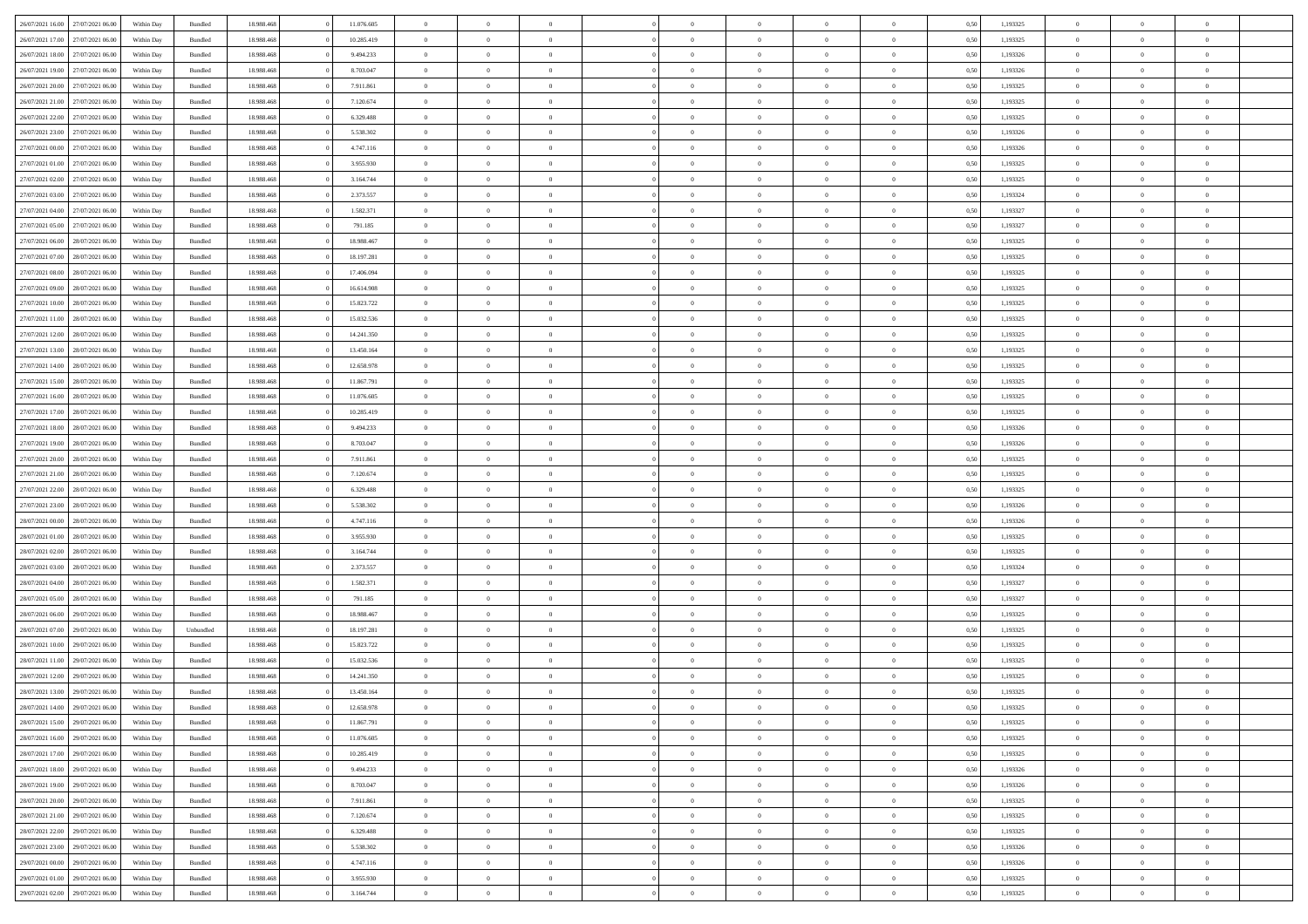| 26/07/2021 16:00 | 27/07/2021 06:00 | Within Dav | Bundled            | 18.988.468 | 11.076.605 | $\overline{0}$ | $\Omega$       |                | $\Omega$       | $\Omega$       | $\Omega$       | $\theta$       | 0.50 | 1,193325 | $\theta$       | $\overline{0}$ | $\theta$       |  |
|------------------|------------------|------------|--------------------|------------|------------|----------------|----------------|----------------|----------------|----------------|----------------|----------------|------|----------|----------------|----------------|----------------|--|
|                  |                  |            |                    |            |            |                |                |                |                |                |                |                |      |          |                |                |                |  |
| 26/07/2021 17:00 | 27/07/2021 06:00 | Within Day | Bundled            | 18.988.468 | 10.285.419 | $\overline{0}$ | $\theta$       | $\overline{0}$ | $\overline{0}$ | $\bf{0}$       | $\overline{0}$ | $\overline{0}$ | 0,50 | 1,193325 | $\theta$       | $\theta$       | $\overline{0}$ |  |
| 26/07/2021 18:00 | 27/07/2021 06:00 | Within Day | Bundled            | 18.988.468 | 9.494.233  | $\overline{0}$ | $\overline{0}$ | $\overline{0}$ | $\bf{0}$       | $\bf{0}$       | $\overline{0}$ | $\bf{0}$       | 0,50 | 1,193326 | $\bf{0}$       | $\overline{0}$ | $\overline{0}$ |  |
| 26/07/2021 19:00 | 27/07/2021 06:00 | Within Dav | Bundled            | 18.988.468 | 8.703.047  | $\overline{0}$ | $\theta$       | $\overline{0}$ | $\overline{0}$ | $\bf{0}$       | $\overline{0}$ | $\overline{0}$ | 0.50 | 1,193326 | $\theta$       | $\theta$       | $\overline{0}$ |  |
|                  |                  |            |                    |            |            |                |                |                |                |                |                |                |      |          |                |                |                |  |
| 26/07/2021 20:00 | 27/07/2021 06:00 | Within Day | Bundled            | 18.988.468 | 7.911.861  | $\overline{0}$ | $\theta$       | $\overline{0}$ | $\overline{0}$ | $\bf{0}$       | $\overline{0}$ | $\bf{0}$       | 0,50 | 1,193325 | $\theta$       | $\theta$       | $\overline{0}$ |  |
| 26/07/2021 21:00 | 27/07/2021 06:00 | Within Day | Bundled            | 18.988.468 | 7.120.674  | $\overline{0}$ | $\bf{0}$       | $\overline{0}$ | $\overline{0}$ | $\overline{0}$ | $\overline{0}$ | $\mathbf{0}$   | 0,50 | 1,193325 | $\overline{0}$ | $\overline{0}$ | $\bf{0}$       |  |
| 26/07/2021 22:00 | 27/07/2021 06.00 | Within Dav | Bundled            | 18.988.468 | 6.329.488  | $\overline{0}$ | $\overline{0}$ | $\overline{0}$ | $\overline{0}$ | $\bf{0}$       | $\overline{0}$ | $\overline{0}$ | 0.50 | 1,193325 | $\theta$       | $\overline{0}$ | $\overline{0}$ |  |
| 26/07/2021 23:00 | 27/07/2021 06:00 | Within Day | Bundled            | 18.988.468 | 5.538.302  | $\overline{0}$ | $\theta$       | $\overline{0}$ | $\overline{0}$ | $\bf{0}$       | $\overline{0}$ | $\bf{0}$       | 0,50 | 1,193326 | $\theta$       | $\theta$       | $\overline{0}$ |  |
| 27/07/2021 00:00 | 27/07/2021 06:00 | Within Day | Bundled            | 18.988.468 | 4.747.116  | $\overline{0}$ | $\overline{0}$ | $\overline{0}$ | $\bf{0}$       | $\bf{0}$       | $\bf{0}$       | $\bf{0}$       | 0,50 | 1,193326 | $\,0\,$        | $\overline{0}$ | $\overline{0}$ |  |
|                  |                  |            |                    |            |            |                |                |                |                |                |                |                |      |          |                |                |                |  |
| 27/07/2021 01:00 | 27/07/2021 06.00 | Within Dav | Bundled            | 18.988.468 | 3.955.930  | $\overline{0}$ | $\overline{0}$ | $\overline{0}$ | $\overline{0}$ | $\overline{0}$ | $\overline{0}$ | $\overline{0}$ | 0.50 | 1,193325 | $\theta$       | $\overline{0}$ | $\overline{0}$ |  |
| 27/07/2021 02:00 | 27/07/2021 06:00 | Within Day | Bundled            | 18.988.468 | 3.164.744  | $\overline{0}$ | $\theta$       | $\overline{0}$ | $\overline{0}$ | $\bf{0}$       | $\overline{0}$ | $\bf{0}$       | 0,50 | 1,193325 | $\theta$       | $\theta$       | $\overline{0}$ |  |
| 27/07/2021 03:00 | 27/07/2021 06:00 | Within Day | Bundled            | 18.988.468 | 2.373.557  | $\overline{0}$ | $\overline{0}$ | $\overline{0}$ | $\bf{0}$       | $\bf{0}$       | $\bf{0}$       | $\bf{0}$       | 0,50 | 1,193324 | $\bf{0}$       | $\overline{0}$ | $\overline{0}$ |  |
| 27/07/2021 04:00 | 27/07/2021 06:00 | Within Dav | Bundled            | 18.988.468 | 1.582.371  | $\overline{0}$ | $\theta$       | $\overline{0}$ | $\overline{0}$ | $\bf{0}$       | $\overline{0}$ | $\overline{0}$ | 0.50 | 1,193327 | $\theta$       | $\theta$       | $\overline{0}$ |  |
| 27/07/2021 05:00 | 27/07/2021 06:00 | Within Day | Bundled            | 18.988.468 | 791.185    | $\overline{0}$ | $\theta$       | $\overline{0}$ | $\overline{0}$ | $\bf{0}$       | $\overline{0}$ | $\overline{0}$ | 0,50 | 1,193327 | $\theta$       | $\theta$       | $\overline{0}$ |  |
|                  |                  |            |                    |            |            |                |                |                |                |                |                |                |      |          |                |                |                |  |
| 27/07/2021 06:00 | 28/07/2021 06:00 | Within Day | Bundled            | 18.988.468 | 18.988.467 | $\overline{0}$ | $\bf{0}$       | $\overline{0}$ | $\bf{0}$       | $\overline{0}$ | $\overline{0}$ | $\mathbf{0}$   | 0,50 | 1,193325 | $\overline{0}$ | $\overline{0}$ | $\bf{0}$       |  |
| 27/07/2021 07:00 | 28/07/2021 06:00 | Within Dav | Bundled            | 18.988.468 | 18.197.281 | $\overline{0}$ | $\overline{0}$ | $\overline{0}$ | $\overline{0}$ | $\bf{0}$       | $\overline{0}$ | $\overline{0}$ | 0.50 | 1,193325 | $\theta$       | $\overline{0}$ | $\overline{0}$ |  |
| 27/07/2021 08:00 | 28/07/2021 06:00 | Within Day | Bundled            | 18.988.468 | 17.406.094 | $\overline{0}$ | $\theta$       | $\overline{0}$ | $\overline{0}$ | $\bf{0}$       | $\overline{0}$ | $\bf{0}$       | 0,50 | 1,193325 | $\theta$       | $\theta$       | $\overline{0}$ |  |
| 27/07/2021 09:00 | 28/07/2021 06:00 | Within Day | Bundled            | 18.988.468 | 16.614.908 | $\overline{0}$ | $\overline{0}$ | $\overline{0}$ | $\bf{0}$       | $\bf{0}$       | $\bf{0}$       | $\bf{0}$       | 0,50 | 1,193325 | $\,0\,$        | $\overline{0}$ | $\overline{0}$ |  |
| 27/07/2021 10:00 | 28/07/2021 06:00 | Within Day | Bundled            | 18.988.468 | 15.823.722 | $\overline{0}$ | $\overline{0}$ | $\overline{0}$ | $\overline{0}$ | $\overline{0}$ | $\overline{0}$ | $\overline{0}$ | 0.50 | 1,193325 | $\theta$       | $\overline{0}$ | $\overline{0}$ |  |
|                  |                  |            |                    |            |            |                |                |                |                |                |                |                |      |          |                |                |                |  |
| 27/07/2021 11:00 | 28/07/2021 06:00 | Within Day | Bundled            | 18.988.468 | 15.032.536 | $\overline{0}$ | $\theta$       | $\overline{0}$ | $\overline{0}$ | $\bf{0}$       | $\overline{0}$ | $\bf{0}$       | 0,50 | 1,193325 | $\theta$       | $\theta$       | $\overline{0}$ |  |
| 27/07/2021 12:00 | 28/07/2021 06:00 | Within Day | Bundled            | 18.988.468 | 14.241.350 | $\overline{0}$ | $\overline{0}$ | $\overline{0}$ | $\bf{0}$       | $\bf{0}$       | $\bf{0}$       | $\bf{0}$       | 0,50 | 1,193325 | $\,0\,$        | $\overline{0}$ | $\overline{0}$ |  |
| 27/07/2021 13:00 | 28/07/2021 06:00 | Within Day | Bundled            | 18.988.468 | 13.450.164 | $\overline{0}$ | $\overline{0}$ | $\overline{0}$ | $\overline{0}$ | $\bf{0}$       | $\overline{0}$ | $\overline{0}$ | 0.50 | 1,193325 | $\theta$       | $\theta$       | $\overline{0}$ |  |
| 27/07/2021 14:00 | 28/07/2021 06:00 | Within Day | Bundled            | 18.988.468 | 12.658.978 | $\overline{0}$ | $\theta$       | $\overline{0}$ | $\overline{0}$ | $\bf{0}$       | $\overline{0}$ | $\bf{0}$       | 0,50 | 1,193325 | $\theta$       | $\overline{0}$ | $\overline{0}$ |  |
| 27/07/2021 15:00 | 28/07/2021 06:00 | Within Day | Bundled            | 18.988.468 | 11.867.791 | $\overline{0}$ | $\overline{0}$ | $\overline{0}$ | $\bf{0}$       | $\overline{0}$ | $\bf{0}$       | $\mathbf{0}$   | 0,50 | 1,193325 | $\overline{0}$ | $\overline{0}$ | $\bf{0}$       |  |
|                  |                  |            |                    |            |            |                |                |                |                |                |                |                |      |          |                |                |                |  |
| 27/07/2021 16:00 | 28/07/2021 06:00 | Within Dav | Bundled            | 18.988.468 | 11.076.605 | $\overline{0}$ | $\overline{0}$ | $\overline{0}$ | $\overline{0}$ | $\overline{0}$ | $\overline{0}$ | $\overline{0}$ | 0.50 | 1,193325 | $\theta$       | $\theta$       | $\overline{0}$ |  |
| 27/07/2021 17:00 | 28/07/2021 06:00 | Within Day | Bundled            | 18.988.468 | 10.285.419 | $\overline{0}$ | $\theta$       | $\overline{0}$ | $\overline{0}$ | $\bf{0}$       | $\overline{0}$ | $\bf{0}$       | 0,50 | 1,193325 | $\theta$       | $\theta$       | $\overline{0}$ |  |
| 27/07/2021 18:00 | 28/07/2021 06:00 | Within Day | Bundled            | 18.988.468 | 9.494.233  | $\overline{0}$ | $\overline{0}$ | $\overline{0}$ | $\bf{0}$       | $\bf{0}$       | $\bf{0}$       | $\bf{0}$       | 0,50 | 1,193326 | $\,0\,$        | $\overline{0}$ | $\overline{0}$ |  |
| 27/07/2021 19:00 | 28/07/2021 06:00 | Within Day | Bundled            | 18.988.468 | 8.703.047  | $\overline{0}$ | $\overline{0}$ | $\overline{0}$ | $\overline{0}$ | $\bf{0}$       | $\overline{0}$ | $\overline{0}$ | 0.50 | 1,193326 | $\theta$       | $\overline{0}$ | $\overline{0}$ |  |
| 27/07/2021 20:00 | 28/07/2021 06:00 | Within Day | Bundled            | 18.988.468 | 7.911.861  | $\overline{0}$ | $\theta$       | $\overline{0}$ | $\overline{0}$ | $\bf{0}$       | $\overline{0}$ | $\bf{0}$       | 0,50 | 1,193325 | $\,$ 0 $\,$    | $\theta$       | $\overline{0}$ |  |
|                  |                  |            |                    |            |            |                |                |                |                |                |                |                |      |          |                |                |                |  |
| 27/07/2021 21.00 | 28/07/2021 06:00 | Within Day | Bundled            | 18.988.468 | 7.120.674  | $\overline{0}$ | $\overline{0}$ | $\overline{0}$ | $\bf{0}$       | $\bf{0}$       | $\bf{0}$       | $\bf{0}$       | 0,50 | 1,193325 | $\bf{0}$       | $\overline{0}$ | $\overline{0}$ |  |
| 27/07/2021 22:00 | 28/07/2021 06:00 | Within Day | Bundled            | 18.988.468 | 6.329.488  | $\overline{0}$ | $\Omega$       | $\Omega$       | $\Omega$       | $\Omega$       | $\Omega$       | $\overline{0}$ | 0.50 | 1,193325 | $\,0\,$        | $\Omega$       | $\theta$       |  |
| 27/07/2021 23:00 | 28/07/2021 06:00 | Within Day | Bundled            | 18.988.468 | 5.538.302  | $\overline{0}$ | $\theta$       | $\overline{0}$ | $\overline{0}$ | $\bf{0}$       | $\overline{0}$ | $\bf{0}$       | 0,50 | 1,193326 | $\theta$       | $\theta$       | $\overline{0}$ |  |
| 28/07/2021 00:00 | 28/07/2021 06:00 | Within Day | Bundled            | 18.988.468 | 4.747.116  | $\overline{0}$ | $\bf{0}$       | $\overline{0}$ | $\overline{0}$ | $\bf{0}$       | $\overline{0}$ | $\mathbf{0}$   | 0,50 | 1,193326 | $\overline{0}$ | $\overline{0}$ | $\bf{0}$       |  |
| 28/07/2021 01:00 | 28/07/2021 06:00 | Within Day | Bundled            | 18.988.468 | 3.955.930  | $\overline{0}$ | $\Omega$       | $\Omega$       | $\Omega$       | $\Omega$       | $\Omega$       | $\overline{0}$ | 0.50 | 1,193325 | $\theta$       | $\theta$       | $\theta$       |  |
|                  |                  |            |                    |            |            |                |                |                |                |                |                |                |      |          |                |                |                |  |
| 28/07/2021 02:00 | 28/07/2021 06:00 | Within Day | Bundled            | 18.988.468 | 3.164.744  | $\overline{0}$ | $\theta$       | $\overline{0}$ | $\overline{0}$ | $\bf{0}$       | $\overline{0}$ | $\bf{0}$       | 0,50 | 1,193325 | $\theta$       | $\theta$       | $\overline{0}$ |  |
| 28/07/2021 03:00 | 28/07/2021 06:00 | Within Day | Bundled            | 18.988.468 | 2.373.557  | $\overline{0}$ | $\overline{0}$ | $\overline{0}$ | $\overline{0}$ | $\bf{0}$       | $\overline{0}$ | $\bf{0}$       | 0,50 | 1,193324 | $\,0\,$        | $\overline{0}$ | $\overline{0}$ |  |
| 28/07/2021 04:00 | 28/07/2021 06:00 | Within Day | Bundled            | 18.988.468 | 1.582.371  | $\overline{0}$ | $\Omega$       | $\Omega$       | $\Omega$       | $\Omega$       | $\theta$       | $\overline{0}$ | 0.50 | 1,193327 | $\theta$       | $\theta$       | $\theta$       |  |
| 28/07/2021 05:00 | 28/07/2021 06:00 | Within Day | Bundled            | 18.988.468 | 791.185    | $\overline{0}$ | $\theta$       | $\overline{0}$ | $\overline{0}$ | $\bf{0}$       | $\overline{0}$ | $\bf{0}$       | 0,50 | 1,193327 | $\theta$       | $\theta$       | $\overline{0}$ |  |
| 28/07/2021 06:00 | 29/07/2021 06:00 | Within Day | Bundled            | 18.988.468 | 18.988.467 | $\overline{0}$ | $\overline{0}$ | $\overline{0}$ | $\overline{0}$ | $\bf{0}$       | $\overline{0}$ | $\bf{0}$       | 0,50 | 1,193325 | $\bf{0}$       | $\overline{0}$ | $\overline{0}$ |  |
| 28/07/2021 07:00 |                  |            |                    |            |            | $\overline{0}$ | $\Omega$       | $\Omega$       | $\Omega$       | $\Omega$       | $\overline{0}$ | $\overline{0}$ | 0.50 |          | $\,0\,$        | $\theta$       | $\theta$       |  |
|                  | 29/07/2021 06:00 | Within Day | Unbundled          | 18.988.468 | 18.197.281 |                |                |                |                |                |                |                |      | 1,193325 |                |                |                |  |
| 28/07/2021 10:00 | 29/07/2021 06:00 | Within Day | Bundled            | 18.988.468 | 15.823.722 | $\overline{0}$ | $\theta$       | $\overline{0}$ | $\overline{0}$ | $\bf{0}$       | $\overline{0}$ | $\bf{0}$       | 0,50 | 1,193325 | $\,$ 0 $\,$    | $\theta$       | $\overline{0}$ |  |
| 28/07/2021 11:00 | 29/07/2021 06:00 | Within Day | Bundled            | 18.988.468 | 15.032.536 | $\overline{0}$ | $\overline{0}$ | $\overline{0}$ | $\overline{0}$ | $\bf{0}$       | $\overline{0}$ | $\mathbf{0}$   | 0,50 | 1,193325 | $\overline{0}$ | $\overline{0}$ | $\bf{0}$       |  |
| 28/07/2021 12:00 | 29/07/2021 06:00 | Within Day | Bundled            | 18.988.468 | 14.241.350 | $\overline{0}$ | $\Omega$       | $\Omega$       | $\Omega$       | $\Omega$       | $\Omega$       | $\overline{0}$ | 0.50 | 1,193325 | $\theta$       | $\Omega$       | $\theta$       |  |
| 28/07/2021 13:00 | 29/07/2021 06:00 | Within Day | Bundled            | 18.988.468 | 13.450.164 | $\overline{0}$ | $\,$ 0 $\,$    | $\overline{0}$ | $\bf{0}$       | $\,$ 0         | $\overline{0}$ | $\bf{0}$       | 0,50 | 1,193325 | $\,0\,$        | $\overline{0}$ | $\overline{0}$ |  |
| 28/07/2021 14:00 | 29/07/2021 06:00 | Within Day | $\mathbf B$ undled | 18.988.468 | 12.658.978 | $\bf{0}$       | $\bf{0}$       |                |                |                |                |                | 0,50 | 1,193325 | $\bf{0}$       | $\overline{0}$ |                |  |
|                  |                  |            |                    |            |            |                |                |                |                |                |                |                |      |          |                |                |                |  |
| 28/07/2021 15:00 | 29/07/2021 06:00 | Within Day | Bundled            | 18,988,468 | 11.867.791 | $\overline{0}$ | $\Omega$       | $\overline{0}$ | $\Omega$       | $\theta$       | $\overline{0}$ | $\overline{0}$ | 0.50 | 1,193325 | $\theta$       | $\theta$       | $\theta$       |  |
| 28/07/2021 16:00 | 29/07/2021 06.00 | Within Day | Bundled            | 18.988.468 | 11.076.605 | $\overline{0}$ | $\,$ 0         | $\overline{0}$ | $\overline{0}$ | $\,$ 0 $\,$    | $\overline{0}$ | $\mathbf{0}$   | 0,50 | 1,193325 | $\,$ 0 $\,$    | $\,$ 0 $\,$    | $\,$ 0         |  |
| 28/07/2021 17:00 | 29/07/2021 06:00 | Within Day | Bundled            | 18.988.468 | 10.285.419 | $\overline{0}$ | $\overline{0}$ | $\overline{0}$ | $\overline{0}$ | $\overline{0}$ | $\overline{0}$ | $\mathbf{0}$   | 0,50 | 1,193325 | $\overline{0}$ | $\bf{0}$       | $\bf{0}$       |  |
| 28/07/2021 18:00 | 29/07/2021 06:00 | Within Day | Bundled            | 18.988.468 | 9.494.233  | $\overline{0}$ | $\theta$       | $\overline{0}$ | $\Omega$       | $\overline{0}$ | $\overline{0}$ | $\bf{0}$       | 0,50 | 1,193326 | $\overline{0}$ | $\theta$       | $\overline{0}$ |  |
| 28/07/2021 19:00 | 29/07/2021 06.00 | Within Day | Bundled            | 18.988.468 | 8.703.047  | $\overline{0}$ | $\,$ 0         | $\overline{0}$ | $\overline{0}$ | $\overline{0}$ | $\overline{0}$ | $\bf{0}$       | 0,50 | 1,193326 | $\,$ 0 $\,$    | $\overline{0}$ | $\overline{0}$ |  |
|                  |                  |            |                    |            |            |                |                |                |                |                |                |                |      |          |                |                |                |  |
| 28/07/2021 20:00 | 29/07/2021 06:00 | Within Day | Bundled            | 18.988.468 | 7.911.861  | $\overline{0}$ | $\overline{0}$ | $\overline{0}$ | $\overline{0}$ | $\overline{0}$ | $\overline{0}$ | $\mathbf{0}$   | 0,50 | 1,193325 | $\overline{0}$ | $\overline{0}$ | $\bf{0}$       |  |
| 28/07/2021 21:00 | 29/07/2021 06:00 | Within Day | Bundled            | 18.988.468 | 7.120.674  | $\overline{0}$ | $\overline{0}$ | $\overline{0}$ | $\Omega$       | $\overline{0}$ | $\overline{0}$ | $\bf{0}$       | 0.50 | 1,193325 | $\overline{0}$ | $\theta$       | $\overline{0}$ |  |
| 28/07/2021 22.00 | 29/07/2021 06.00 | Within Day | Bundled            | 18.988.468 | 6.329.488  | $\overline{0}$ | $\,$ 0         | $\overline{0}$ | $\bf{0}$       | $\bf{0}$       | $\bf{0}$       | $\bf{0}$       | 0,50 | 1,193325 | $\,$ 0 $\,$    | $\overline{0}$ | $\overline{0}$ |  |
| 28/07/2021 23:00 | 29/07/2021 06:00 | Within Day | Bundled            | 18.988.468 | 5.538.302  | $\overline{0}$ | $\bf{0}$       | $\overline{0}$ | $\overline{0}$ | $\overline{0}$ | $\overline{0}$ | $\mathbf{0}$   | 0,50 | 1,193326 | $\overline{0}$ | $\overline{0}$ | $\bf{0}$       |  |
| 29/07/2021 00:00 | 29/07/2021 06:00 | Within Day | Bundled            | 18,988,468 | 4.747.116  | $\overline{0}$ | $\overline{0}$ | $\overline{0}$ | $\Omega$       | $\overline{0}$ | $\overline{0}$ | $\bf{0}$       | 0.50 | 1,193326 | $\overline{0}$ | $\overline{0}$ | $\overline{0}$ |  |
| 29/07/2021 01:00 | 29/07/2021 06.00 | Within Day | Bundled            | 18.988.468 | 3.955.930  | $\overline{0}$ | $\bf{0}$       | $\overline{0}$ | $\overline{0}$ | $\bf{0}$       | $\bf{0}$       | $\mathbf{0}$   | 0,50 | 1,193325 | $\,$ 0 $\,$    | $\,$ 0 $\,$    | $\bf{0}$       |  |
|                  |                  |            |                    |            |            |                |                |                |                |                |                |                |      |          |                |                |                |  |
| 29/07/2021 02:00 | 29/07/2021 06:00 | Within Day | Bundled            | 18.988.468 | 3.164.744  | $\overline{0}$ | $\overline{0}$ | $\overline{0}$ | $\overline{0}$ | $\bf{0}$       | $\bf{0}$       | $\mathbf{0}$   | 0,50 | 1,193325 | $\overline{0}$ | $\bf{0}$       | $\bf{0}$       |  |